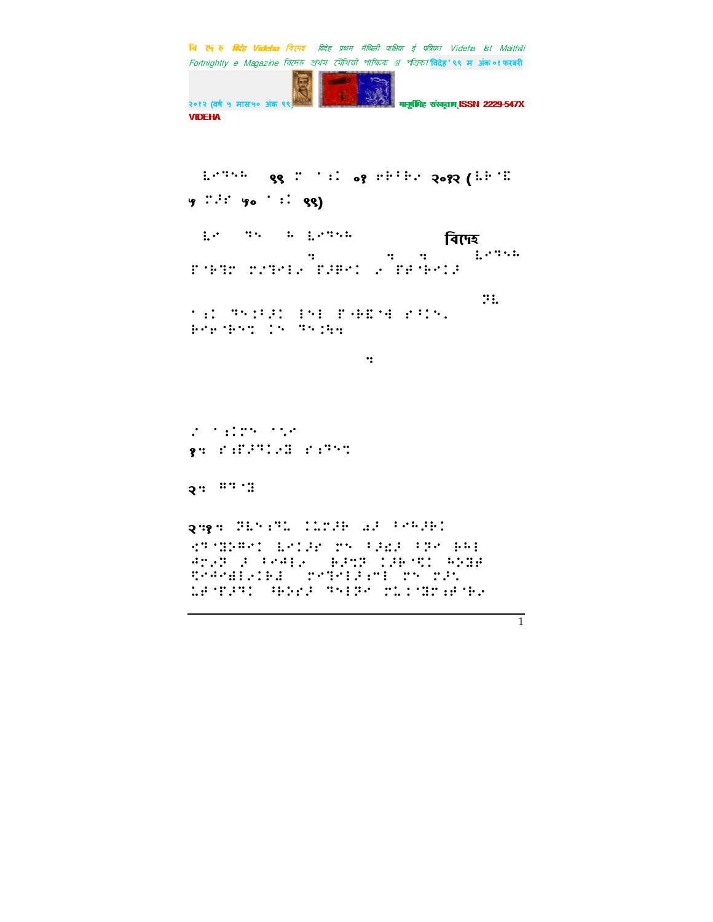Quest Photon, Carley all Compet 373195921 LOLEY TV FREE FROUBBE ANYE 2 PRAIR (BRNE 128-NI ANGE Seechibili repelleri ra r.h. LENTINI HERR THIRD TIINTERNE

 $2:$   $1:$   $1:$   $1:$ 

 $\mathcal{L} = \mathcal{L} \otimes \mathcal{L} \otimes \mathcal{L} \otimes \mathcal{L} \otimes \mathcal{L}$ **PHOTOSHIPS: 2007-2007** 

**Allen de la Benedictura** 

 $1.43344$  $\mathbf{H}^{\text{max}}$  and  $\mathbf{H}^{\text{max}}$  $\dddot{\cdot}$ PORT TITES FRANCIS PROPOSE  $\mathbb{R}$ til Thill in Teach ring **Brenktham In Thing** 

 $\ddot{\cdot}$ 

বিদেহ

२०१२ (वर्ष ५ मास५० मानुबंधिह संस्कृताम् ISSN 2229-547X **VIDEHA** 

 $\mathbb{E}^{1,2,3,4,4} = \mathsf{gg} \quad \mathbb{C}^{1,3,4,4} = \mathsf{sg} \quad \mathbb{C}^{1,3,4,4} = \mathsf{sg} \quad \mathbb{C}^{1,3,4,4} = \mathsf{sg} \quad \mathbb{C}^{1,3,4,4,4} = \mathsf{sg} \quad \mathbb{C}^{1,3,4,4,4} = \mathsf{sg} \quad \mathbb{C}^{1,3,4,4,4,4} = \mathsf{sg} \quad \mathbb{C}^{1,3,4,4,4,4} = \mathsf{sg} \quad \mathbb{C}^{1,3,4,4$ 

बि एक स्टेड Videha विएक विदेह प्रथम मैथिली पाक्षिक ई पत्रिका Videha Ist Maithili Fortnightly e Magazine রিদেত প্রথম মৌথিনী পাক্ষিক প্র পত্রিকা' বিदेह' ९९ म अंक०९ फरबरी

 $\mathbf{1}$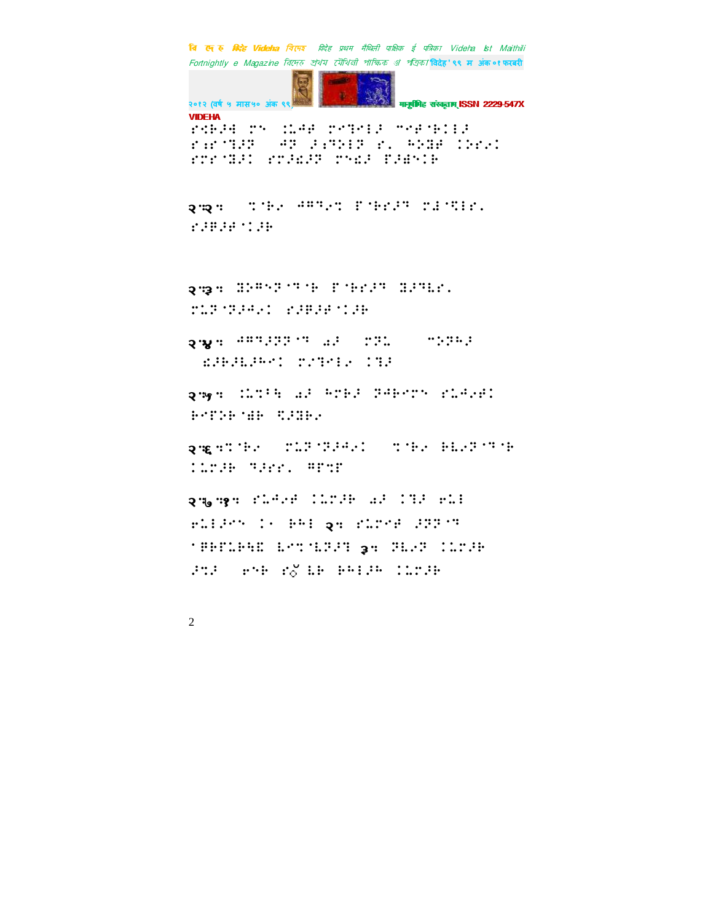

मानुबंधिह संस्कृताम् ISSN 2229-547X

#### **VIDEHA**

rdela no dias nomola nosalella rentaa ah kana riika toon FTF WILL FRIELY THE FIRST

aman such amazi pobela rachie. 

amas EPROPORTE ESPECTABLES. **MINISTERS REPORTED** 

2324 ##722277 a2 221 722 72282 ESPECIAL PROPERTIES

gment Class af Schillenberg riegel **BOYDE MANUELLE** 

pages the control states of the HEPP that **TEST SERVICES** 

guaugh class flowsh as the sit FLIPS IS HE QU'ELPOR STRIT **TEPLESE ESTAGGI 34 GEST COMP** FOR THE POINT EARLY CONFE

 $\overline{2}$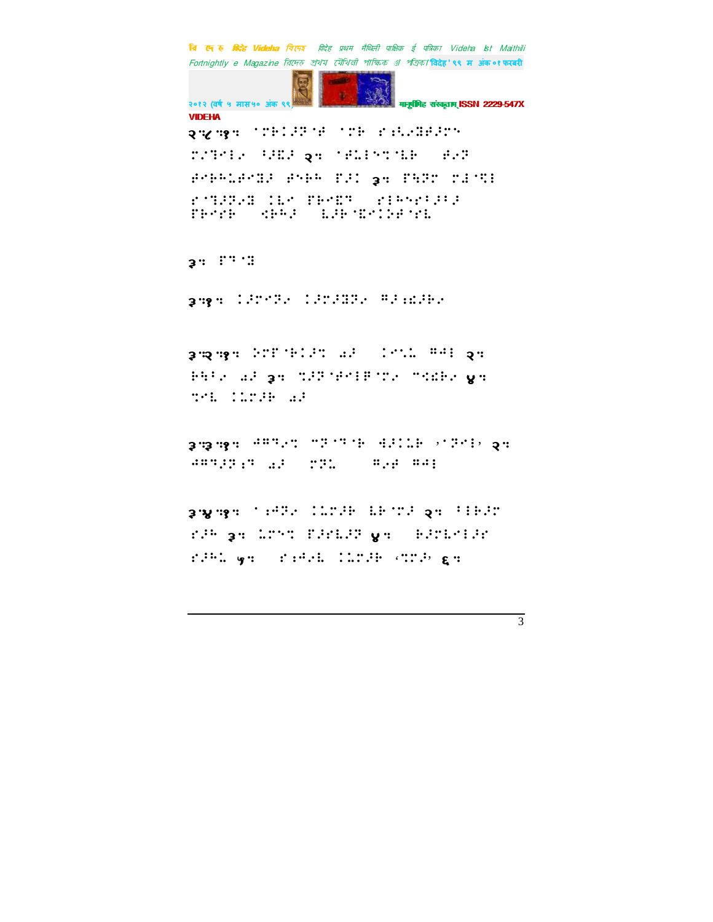२०१२ (वर्ष ५ मास५० अंक ९९) मानुषि संस्कृतिह संस्कृतम् ISSN 2229-547X VIDEHA

२८८ पश्य प्राप्त करणे प्राप्त करणे प्राप्त करणे प्राप्त करणे प्राप्त करणे प्राप्त करणे प्राप्त करणे प्राप्त क 4⣙5⢴!⢸⢼⣏⢼!२⣒!⢾⣅5⣉⣇⢷.!⢾⢴⢽! ⢾⢷⢳⣅⢾⣝⢼!⢾⢷⢳!2⢼!३⣒!2⣓⢽!⣜⣋5.! "⣙⢼⢽⢴⣝!⣇!2⢷⣏⢹!)"5⢳"⢼⢼! 2⢷"⢷.!⣊⢷⢳⢼\*!⣇⢼⢷⣏⢵⢾"⣇.!3123!

 $3: "$ 

३⣒१⣒!⢼⢽⢴!⢼⢼⣝⢽⢴.⢻⢼⣐⣎⢼⢷⢴!

३⣒२⣒१⣒!⢵2⢷⢼⣉!⣔⢼.!⣁⣅!⢻⢺5!२⣒! Hele al as throw the the schedule THE CONTROL OF

३⣒३⣒१⣒!⢺⢻⢹⢴⣉!a⢽⢹⢷!⣚⢼⣅⢷!'⢽5' २⣒! ⢺⢻⢹⢼⢽⣐⢹!⣔⢼!(⢽⣅(!.⢻⢴⢾.⢻⢺5!

३⣒४⣒१⣒!⣐⢺⢽⢴!⣅⢼⢷!⣇⢷⢼!२⣒!5⢷⢼! "⢼⢳!३⣒!⣅⣉!2⢼"⣇⢼⢽!४⣒!!⢷⢼⣇5⢼"! "⢼⢳⣅!५⣒!!"⣐⢺⢴⣇!⣅⢼⢷!'⣉⢼' ६⣒!!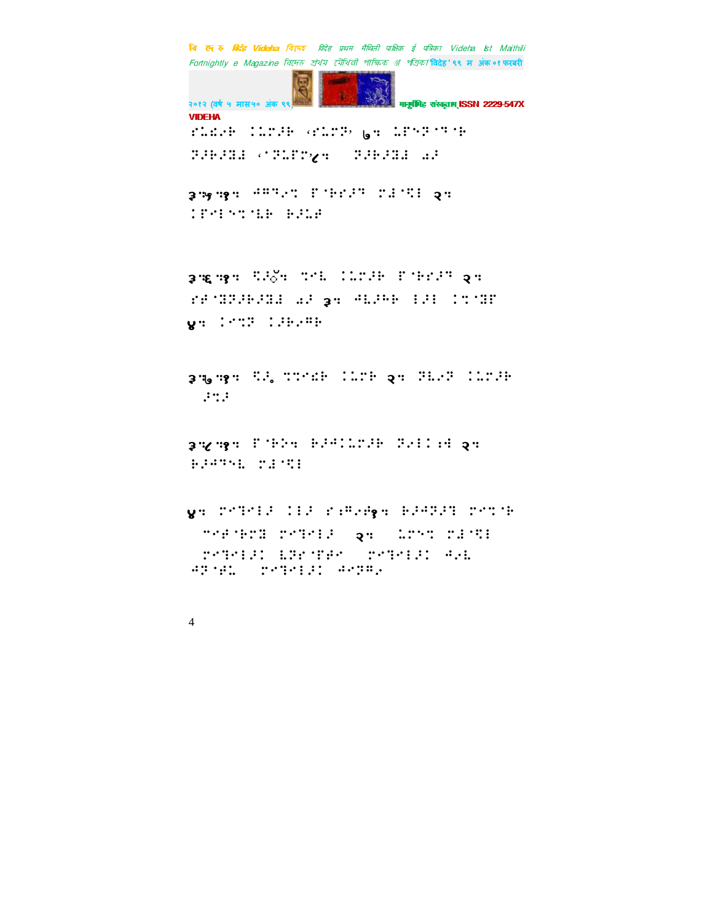

VIDEHA ruerk (undergrung) gardner mar ⢽⢼⢷⢼⣝⣜!'⢽⣅2'८⣒!!⢽⢼⢷⢼⣝⣜!⣔⢼!

३⣒५⣒१⣒!⢺⢻⢹⢴⣉!2⢷"⢼⢹!⣜⣋5!२⣒! 25⣉⣇⢷!⢷⢼⣅⢾!!

# ३⣒६⣒१⣒!⣋⢼◌ॅ⣒!⣉⣇!⣅⢼⢷!2⢷"⢼⢹!२⣒! "⢾⣝⢽⢼⢷⢼⣝⣜!⣔⢼!३⣒!⢺⣇⢼⢳⢷!5⢼5!⣉⣝2! ४⣒!⣉⢽!⢼⢷⢴⢻⢷!

३⣒७⣒१⣒!⣋⢼॰ ⣉⣉⣎⢷!⣅⢷!२⣒!⢽⣇⢴⢽!⣅⢼⢷!  $\therefore$ 

३⣒८⣒१⣒!2⢷⢵⣒!⢷⢼⢺⣅⢼⢷!⢽⢴5⣐⣚!२⣒! ⢷⢼⢺⢹⣇!⣜⣋5!

४⣒!⣙5⢼!5⢼."⣐⢻⢴⢾१⣒!⢷⢼⢺⢽⢼⣙!⣉⢷! )and the south of the south of the south of the south of the south of the south of the south of the south of t )⣙5⢼!⣇⢽"2⢾0!⣙5⢼!⢺⢴⣇. ⢺⢽⢾⣅0!⣙5⢼!⢺⢽⢻⢴\*!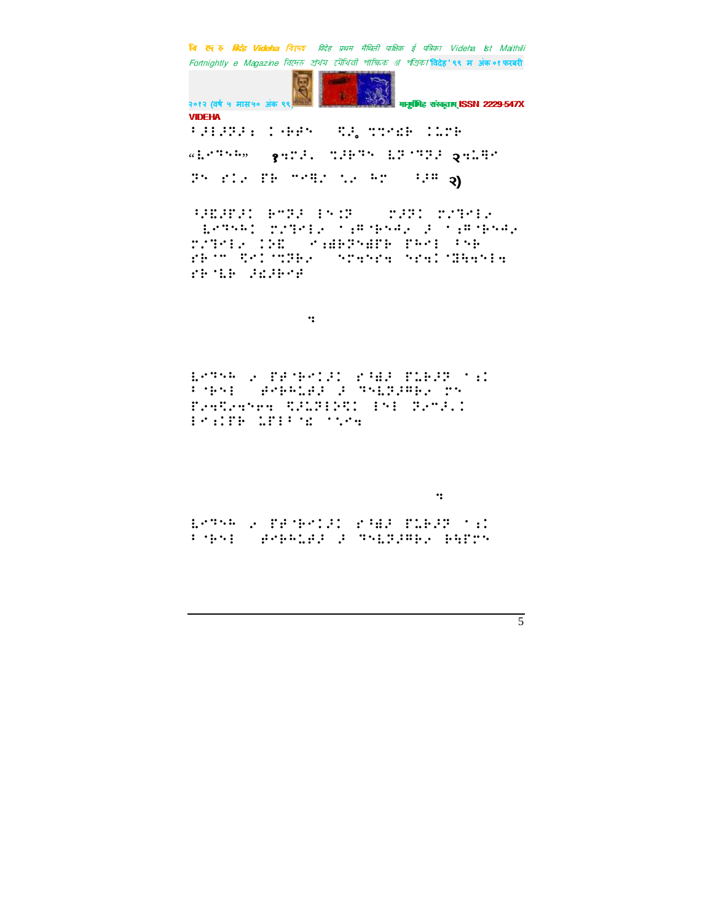

⢼5⢼⢽⢼⣐!B⢷⢾.!⣋⢼॰ ⣉⣉⣎⢷!⣅⢷! "⣇⢹⢳".!१⣒⢼E!⣉⢼⢷⢹!⣇⢽⢹⢽⢼!२⣒⣅⣛! Phone: PHone: Phone: Phone: PHONe: 2)

⢸⢼⣏⢼2⢼!⢷a⢽⢼.5⣈⢽!.\⢼⢽!4⣙5⢴^-! \⣇⢹⢳!4⣙5⢴.⣐⢻⢷⢺⢴!⢼!⣐⢻⢷⢺⢴! 4⣙5⢴!⢵⣏!)⣐⣞⢷⢽⣞2⢷!2⢳5!⢷!  $^{\circ}$  The state of the state of the state of the state of the state of the state of the state of the state of the state of the state of the state of the state of the state of the state of the state of the state of the sta "⢷⣇⢷!⢼⣎⢼⢷⢾!.Cbtfe!po!nt.trm!

Ejdujpobsz⣒^!!

VIDEHA

⣇⢹⢳!⢴.2⢾⢷⢼!"⢸⣞⢼!2⣅⢷⢼⢽!⣐!)! ⢷5-!⢾⢷⢳⣅⢾⢼!⢼!⢹⣇⢽⢼⢻⢷⢴!!\*! 2⢴⣒⣋⢴⣒⢶⣒!⣋⢼⣅⢽5⢵⣋!55!⢽⢴a⢼E! 5⣐2⢷!⣅25⣎!⣁⣒!Bmm!uif!pme!

but uif gebruik van die koninkelijke van die koninkelijke van die koninkelijke van die koninkelijke van die ko

L⁄PH) : PENFIJ 2 EEFTER 1:<br>PHP: PENFEID PHILPPER ⢷5-!⢾⢷⢳⣅⢾⢼!⢼!⢹⣇⢽⢼⢻⢷⢴!⢷⣓2!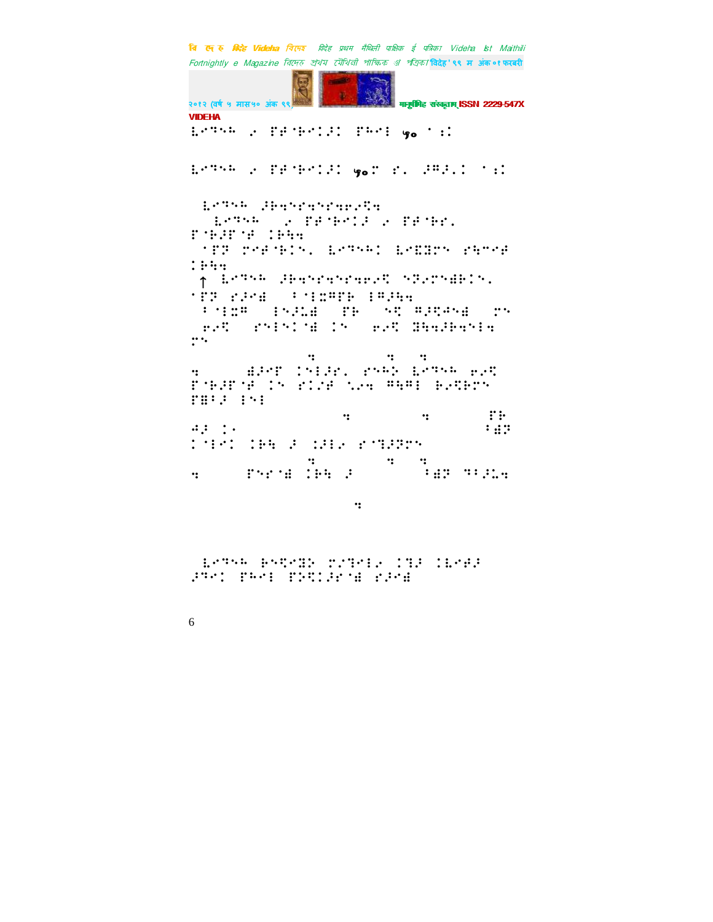**Separate** २०१२ (वर्ष ५ मास५० अंक ९९) मानुषि संस्कृतिह संस्कृतम् ISSN 2229-547X VIDEHA ⣇⢹⢳!⢴.2⢾⢷⢼!2⢳5!५० ⣐! LATHE & PENECING WOR PL PRESS ON !⣇⢹⢳!⢼⢷⣒"⣒"⣒⢶⢴⣋⣒! !#⣇⢹⢳#!⢴.2⢾⢷⢼!⢴.2⢾⢷"E! 2⢷⢼2⢾!⢷⣓⣒! !2⢽!⢾⢷E!⣇⢹⢳!⣇⣏⣝!"⣓a⢾! ⢷⣓⣒! ↑!⣇⢹⢳!⢼⢷⣒"⣒"⣒⢶⢴⣋!⢽⢴⣞⢷E! 2⢽!"⢼⣞0!5⣍⢻2⢷!5⢻⢼⣓⣒!! !5⣍⢻!#5⢼⣅⣞#!2⢷!#⣋!⢻⢼⣋⢺⣞#!! #⢶⢴⣋#!"5⣞!!#⢶⢴⣋!⣝⣓⣒⢼⢷⣒5⣒#! **!!!!** iuuq;00xxx⣒wjefib⣒dp⣒jo0joefy  $y$  = #PC INTER PRESERVE 2⢷⢼2⢾!!"4⢾!⣁⢴⣒!⢻⣓⢻5!⢷⢴⣋⢷! **PHILE 151** ius;00sfbefs,00sfbefsqbefs,00sfbefsqbefs **b**: Bee by two products in the products of the products of the products of the products of the products of the p 5!⢷⣓!⢼!⣈⢼5⢴!"⣙⢼⢽! iuuq;00xxx⣒wjefib⣒dp⣒jo0joefy  $\mathbf{y} = \mathbf{y} = \mathbf{y} = \mathbf{y} = \mathbf{y} = \mathbf{y} = \mathbf{y} = \mathbf{y} = \mathbf{y} = \mathbf{y} = \mathbf{y} = \mathbf{y} = \mathbf{y} = \mathbf{y} = \mathbf{y} = \mathbf{y} = \mathbf{y} = \mathbf{y} = \mathbf{y} = \mathbf{y} = \mathbf{y} = \mathbf{y} = \mathbf{y} = \mathbf{y} = \mathbf{y} = \mathbf{y} = \mathbf{y} = \mathbf{y} = \mathbf{y} = \mathbf{y} = \mathbf{y} = \mathbf{$ 

 $\mathbf{g}$  is a set of  $\mathbf{g}$  is a set of  $\mathbf{g}$ 

!⣇⢹⢳!⢷⣋⣝⢵;4⣙5⢴!⣙⢼.⣇⢾⢼! ⢼⢹!2⢳5!2⢵⣋⢼"⣞!"⢼⣞!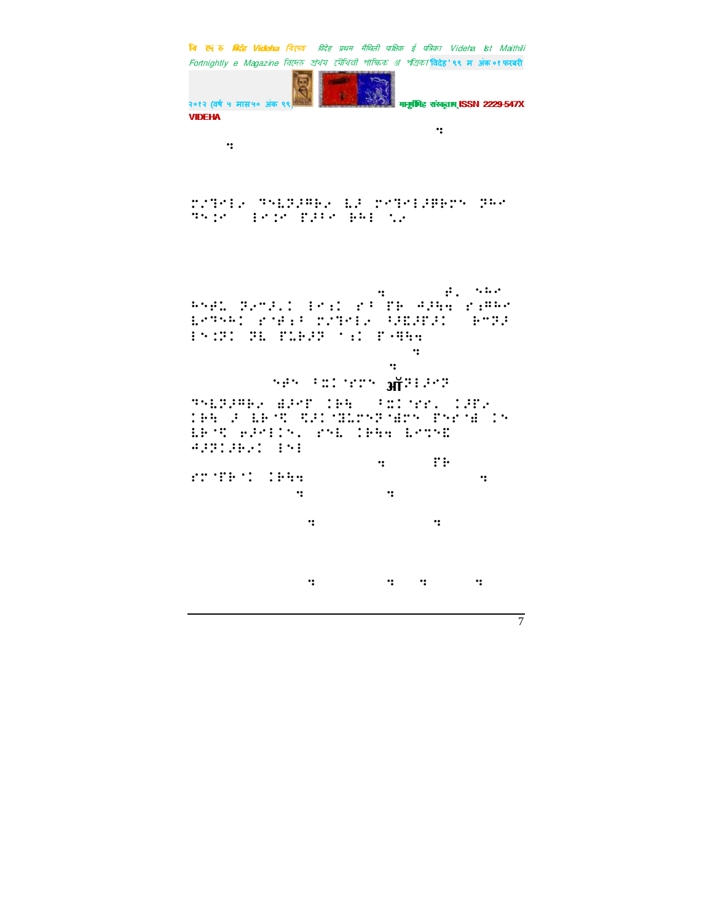मानुमिह संस्कृतम् ISSN 2229-547X २०१२ (वर्ष ५ मास५० ३ **VIDEHA** 

 $\dddot{\cdot}$  $\dddot{\mathbf{r}}$ 

CONFIDENTALES AS CANDIDATES THA There is not place and the

 $\mathcal{G}_\mathcal{A}$  . When  $\mathbf{u}$  . ango dengit brit rajor gaggirigane Be<sup>nda</sup>r) roman prometa (Godona) (ASSA

**SANTA REPORT OF PARA**  $\ddot{\cdot}$ 

SPS FOLOGEN ANGELISE

 $\dddot{\cdot}$ 

THERPHA WART INN (POINTING INFA) THE 2 LEAT RAINBOARD BAR BATE IN LEST FRONTS, PSL IPHR LOTSE **APPIDENT INE** 

 $\mathbf{r}$  $\dddot{\mathbf{z}}$ **STATE CONTROL**  $\ddot{\cdot}$  $\dddot{\cdot}$  $\cdot$ :

> $\ddot{\cdot}$  $\dddot{\bullet}$

> > $\ddot{\cdot}$  $\mathbf{B}$  and  $\mathbf{B}$  are the set of  $\mathbf{B}$

> > > $\overline{7}$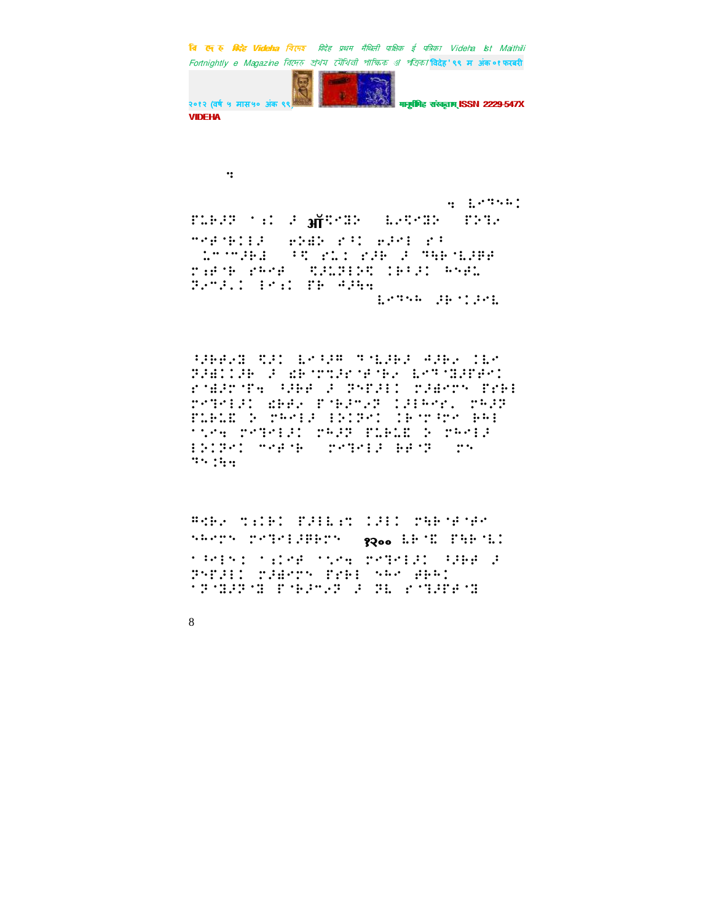

२०१२ (वर्ष ५ मास५० अंक ९९) मानुषि संस्कृतिह संस्कृतम् ISSN 2229-547X VIDEHA

 $\mathcal{G}$ 

quojoht0 ! ELEVE I C SWITCH CONTROL a⢾⢷5⢼0!⢶⢵⣞⢵!"⢸!⢶⢼5!"⢸! )⣅aa⢼⢷⣜-!⣋!"⣅⣈!"⢼⢷!⢼!⢹⣓⢷⣇⢼⢿⢾! ⣐⢾⢷!"⢳⢾\*!⣋⢼⣅⢽5⢵⣋!⢷⢼!⢳⢾⣅! ⢽⢴a⢼E!5⣐!2⢷!⢺⢼⣓⣒! !WJEFIB!BSDIJWF!⣇⢹⢳!⢼⢷⢼⣇!

⢸⢼⢷⢾⢴⣝!⣋⢼!⣇⢸⢼⢻!⢹⣇⢼⢷⢼!⢺⢼⢷⢴!⣇-! ⢽⢼⣞⢼⢷!⢼!⣎⢷⣉⢼"⢾⢷⢴!⣇⢹⣝⢼2⢾! "⣞⢼2⣒!⢸⢼⢷⢾!⢼!⢽2⢼5!⢼⣞!2"⢷5!  $\mathbb{R}^5$ 5 $\mathbb{R}^5$  .  $\mathbb{R}^5$  .  $\mathbb{R}^5$  .  $\mathbb{R}^5$  .  $\mathbb{R}^5$  .  $\mathbb{R}^5$  .  $\mathbb{R}^5$  .  $\mathbb{R}^5$  .  $\mathbb{R}^5$  .  $\mathbb{R}^5$  .  $\mathbb{R}^5$  .  $\mathbb{R}^5$  .  $\mathbb{R}^5$  .  $\mathbb{R}^5$  .  $\mathbb{R}^5$  .  $\mathbb{R}^5$  .  $\math$ 2⣅⢷⣅⣏!⢵!⢳5⢼!5⢵⢽!⢷⢸!⢷⢳5! ⣁⣒!⣙5⢼!⢳⢼⢽!2⣅⢷⣅⣏!⢵!⢳5⢼! 5⢵⢽!a⢾⢷!(⣙5⢼!⢷⢾⢽(!! ⢹⣈⣓⣒!!

⢻⣊⢷⢴.⣉⣐⢷!2⢼5⣇⣐⣉!⢼5!⣓⢷⢾⢾-!  $\frac{1}{2}$   $\frac{1}{2}$   $\frac{1}{2}$   $\frac{1}{2}$   $\frac{1}{2}$   $\frac{1}{2}$   $\frac{1}{2}$   $\frac{1}{2}$   $\frac{1}{2}$   $\frac{1}{2}$   $\frac{1}{2}$   $\frac{1}{2}$   $\frac{1}{2}$   $\frac{1}{2}$   $\frac{1}{2}$   $\frac{1}{2}$   $\frac{1}{2}$   $\frac{1}{2}$   $\frac{1}{2}$   $\frac{1}{2}$   $\frac{1}{2}$   $\frac{1}{2}$   $\$  $5$  Fermion School School School School School School School School School School ⢽2⢼5!⢼⣞!2"⢷5!⢳!⢾⢷⢳! ⢽⣝⢼⢽⣝!2⢷⢼a⢴⢽!⢼!⢽⣇!"⣙⢼2⢾⣝-!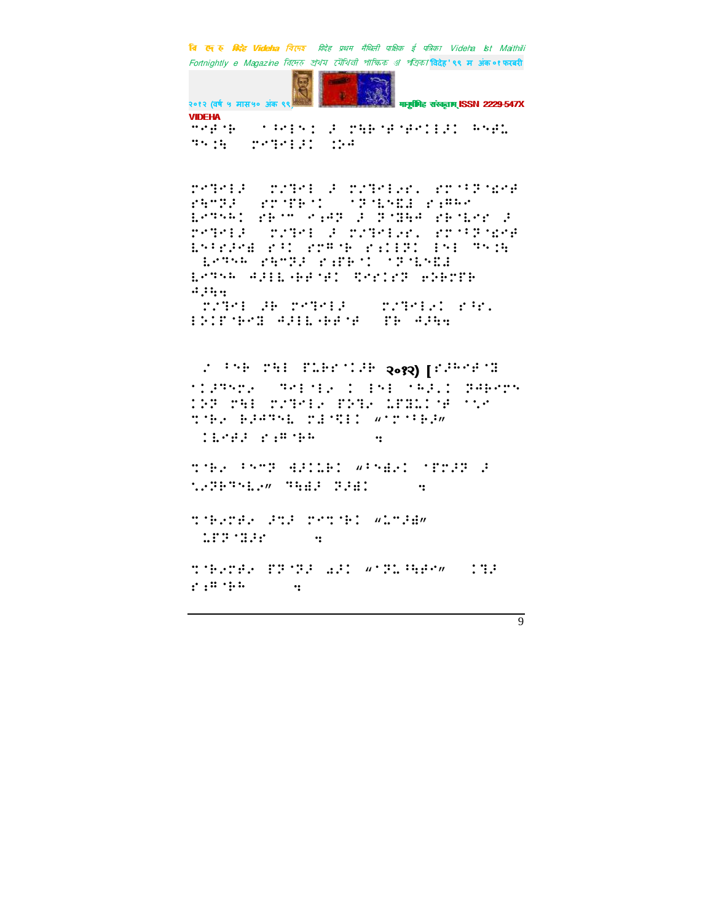

२०१२ (वर्ष ५ मास५० अंक

मानुबंधिह संस्कृताम् ISSN 2229-547X

**VIDEHA**  $\cdots$  ,  $\cdots$  ,  $\cdots$ **START CONTRACTOR** SERVICE This primit no

retell rotel a rotelle crotages FAMPA (From Hold of Political Pagean ESTARD SEMMONSET 2 TATES SEMESE 2  $\frac{1}{2} \left( \frac{1}{2} \left( \frac{1}{2} \right) \right) \left( \frac{1}{2} \left( \frac{1}{2} \right) \right)$ **TEST PERMIT STATE** ENFRIME RAD REACH REDED ENE ANCH Mark Ark kaled orang ESTAR APIE (BESE) SARIET BIBOTH  $4.344$ **STATE OF STATES CONSIST SEC** 

**MORTHLAND CONTROLLER** 

 $\left(1-\frac{1}{2}\right)\frac{1}{2}+\frac{1}{2}\left(1-\frac{1}{2}\right)\frac{1}{2}+\frac{1}{2}\left(1-\frac{1}{2}\right)\frac{1}{2}+\frac{1}{2}\left(1-\frac{1}{2}\right)\frac{1}{2}+\frac{1}{2}\left(1-\frac{1}{2}\right)\frac{1}{2}+\frac{1}{2}\left(1-\frac{1}{2}\right)\frac{1}{2}+\frac{1}{2}\left(1-\frac{1}{2}\right)\frac{1}{2}+\frac{1}{2}\left(1-\frac{1}{2}\right)\frac{1}{2}+\frac{1}{2}\left(1-\frac{1}{2}\right)\frac{1}{2}+\$ 

MIPPOS TREME IN ENE MARIO PARKS **198 MAE MONEYE TRAG AFRICAE STA** THE BRANNE MENTIC WOMERS

**TEMPER PRODUCT**  $\dddot{\phantom{1}}$ 

the Pri ANGEL WEART TENP P 

tiere at revel with  $\mathbb{R}^n$  :  $\mathbb{R}^n$  :  $\mathbb{R}^n$  :  $\mathbb{R}^n$  :  $\mathbb{R}^n$ 

there hrid an window the th  $\mathbf{r}^{2}$  ,  $\mathbf{r}^{2}$  ,  $\mathbf{r}^{2}$  ,  $\mathbf{r}^{2}$  ,  $\mathbf{r}^{2}$  $\dddot{\bullet}$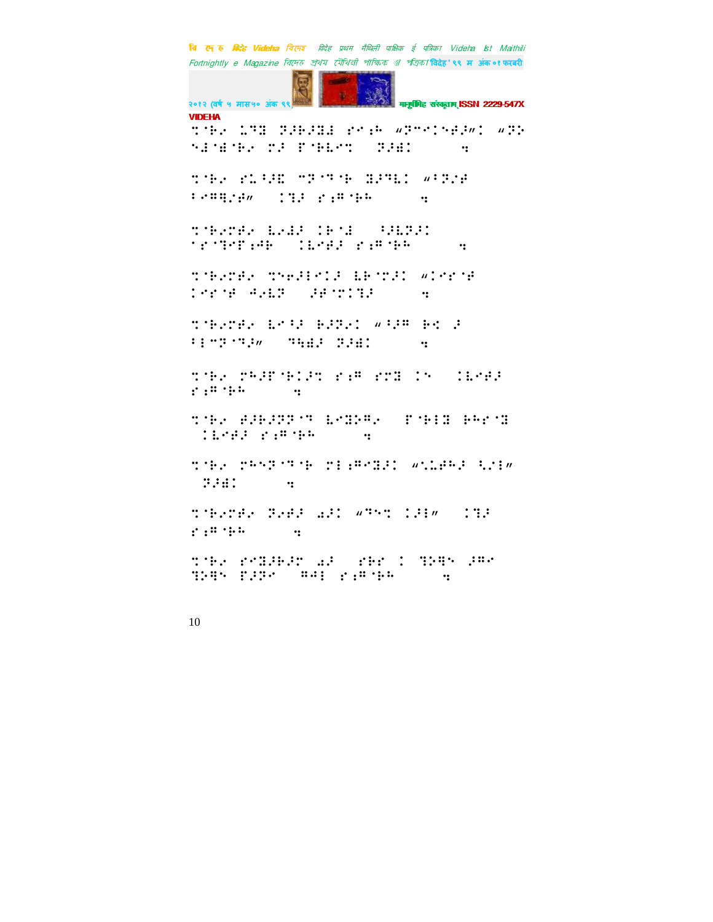

<sup>व</sup> मनूर्वमिह संस्कृतम् ISSN 2229-547X

### TORY LEB PARABE POST WPOCHER, WPP **NEWTHERE IN PRESS**  $\ddot{\phantom{1}}$

THE PLICE TRIPS BOWL WIRE  $\texttt{[}\texttt{[}\texttt{[1]} \texttt{[1]} \texttt{[1]} \texttt{[1]} \texttt{[1]} \texttt{[1]} \texttt{[1]} \texttt{[1]} \texttt{[1]} \texttt{[1]} \texttt{[1]} \texttt{[1]} \texttt{[1]} \texttt{[1]} \texttt{[1]} \texttt{[1]} \texttt{[1]} \texttt{[1]} \texttt{[1]} \texttt{[1]} \texttt{[1]} \texttt{[1]} \texttt{[1]} \texttt{[1]} \texttt{[1]} \texttt{[1]} \texttt{[1]} \texttt{[1]} \texttt{[1]} \texttt{[1]}$  $\dddot{\mathbf{r}}$ 

**THATE LAD IRM (FILTI)** tripres (bos regular  $\sim$   $\sim$ 

there theless around the top of *lera Al*is derrit  $\dddot{\bullet}$ 

there are expected the sta **TEMPORE THE THE**  $\ddot{\phantom{1}}$ 

the refrigir regions in Tiera  $2.1422$  $\dddot{\bullet}$ 

the SHSPA CONSection Profile Service COMPARED SERVICE  $\mathbf{r}$ 

the response rightlic wided wile **SAME**  $\mathcal{L}_{\text{max}}$  and  $\mathcal{L}_{\text{max}}$ 

there had all which are the  $\mathbf{r}^{1}$  ,  $\mathbf{r}^{1}$  ,  $\mathbf{r}^{2}$  ,  $\mathbf{r}^{3}$  ,  $\mathbf{r}^{4}$  $\cdot$ :

the redder at the Code Cor gyns pipe (mai elmopa)  $\bullet$ 

 $10<sup>10</sup>$ 

**VIDEHA**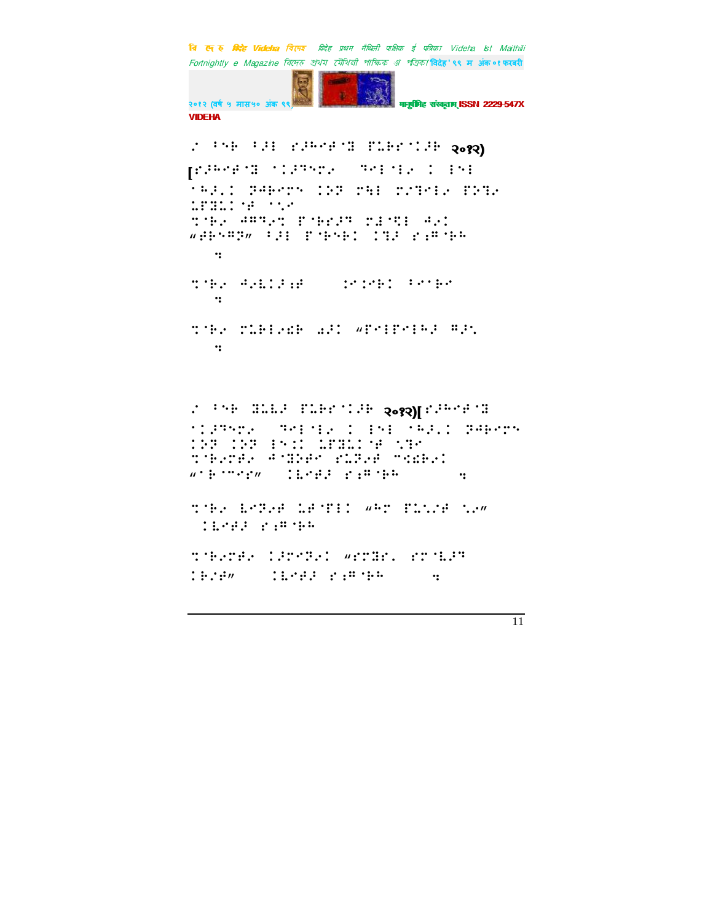

### VIDEHA

4!⢷!⢼5!"⢼⢳⢾⣝!2⣅⢷"⢼⢷)२०१२) ["⢼⢳⢾⣝!⢼⢹⢴-!⢹55⢴^!55! ⢳⢼E!⢽⢺⢷!⢵⢽!⣓5!4⣙5⢴!2⢵⣙⢴! ⣅2⣝⣅⢾!⣁!@! ⣉⢷⢴!⢺⢻⢹⢴⣉!2⢷"⢼⢹!⣜⣋5!⢺⢴! WHIPS THE STREET  $\frac{68}{5}$ ⣉⢷⢴!⢺⢴⣇⢼⣐⢾!.!⣈⣈⢷!⢷!! 32 **63** ⣉⢷⢴!⣅⢷5⢴⣎⢷!⣔⢼!"2525⢳⢼!⢻⢼⣁!!

2:⣒62&!!!!!

 $4.1 \pm 0.1$  . The control of the control of  $\sim 20$ MIPRES TREME IN THE <sup>26</sup>P.I PARTS ⢵⢽!⢵⢽!5⣈!⣅2⣝⣅⢾!⣁⣙!@! ⣉⢷⢴⢾⢴!⢺⣝⢵⢾!"⣅⢽⢴⢾!a⣊⣎⢷⢴!  $\mathbf{w}^*$  is the result of the set of the set of the set of the set of the set of the set of the set of the set of the set of the set of the set of the set of the set of the set of the set of the set of the set of the set

⣉⢷⢴!⣇⢽⢴⢾!⣅⢾25!"⢳!2⣅⣁4⢾!⣁⢴" )⣇⢾⢼!"⣐⢻⢷⢳\*!!9&!!!!!

⣉⢷⢴⢾⢴!⢼⢽⢴!""⣝"E!"⣇⢼⢹! 1H.48 - 1124F 2484E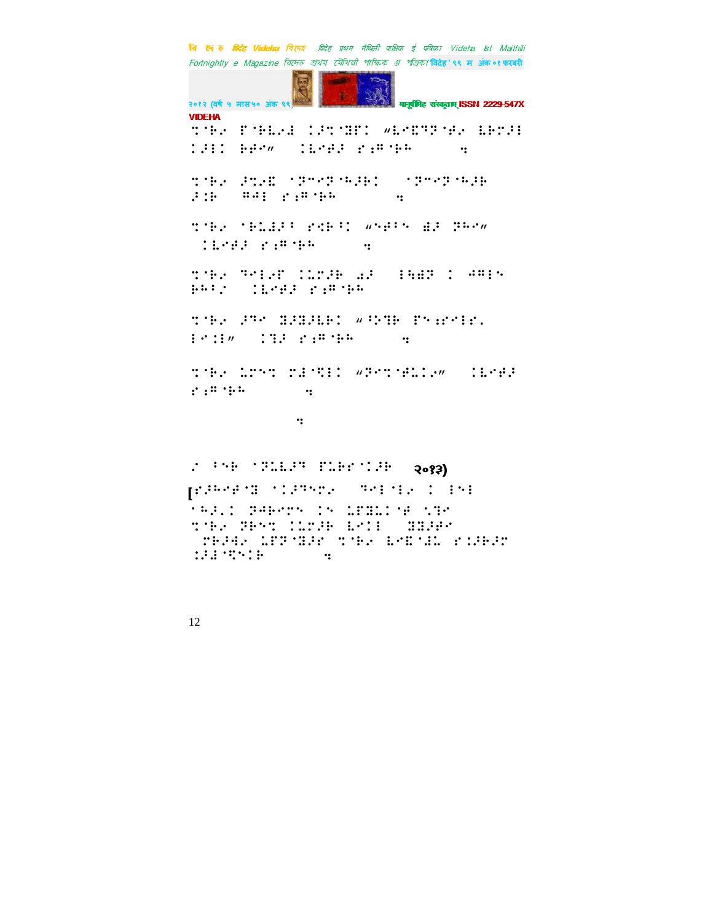

the Phila Cathr. Werrich Bra ISI HAM TEMPI KAPAN  $\mathbf{r}$ 

the Pier from the second of the products  $3:8 = 241 + 242 + 24$  $\dddot{\bullet}$ 

THE TELEPT PERTY WHEN HE PACK tiski rimsko  $\mathbf{r}$ 

the Prish Clode ad (1988): Amir pary (issue partial

the PP BREED while Provinc  $19.11<sub>n</sub> = 13.12 <sub>n</sub> + 19.14<sub>n</sub> = 0.04$ 

the Love close wrongers (1982  $2.14 \pm 0.001$  $\dddot{\bullet}$ 

 $\dddot{\cdot}$ 

2015年 1916年 FLEETIFF (2033) protect in control (service of 191 **MARIO PARATA IN LEGALINE NGA** the Bert Close art: SHISP TERE ATTEMPT THE EMPIRE FIRET  $12.2 \, 33 \, 51 \, 51$  $\bullet \bullet$ 

12

**VIDEHA**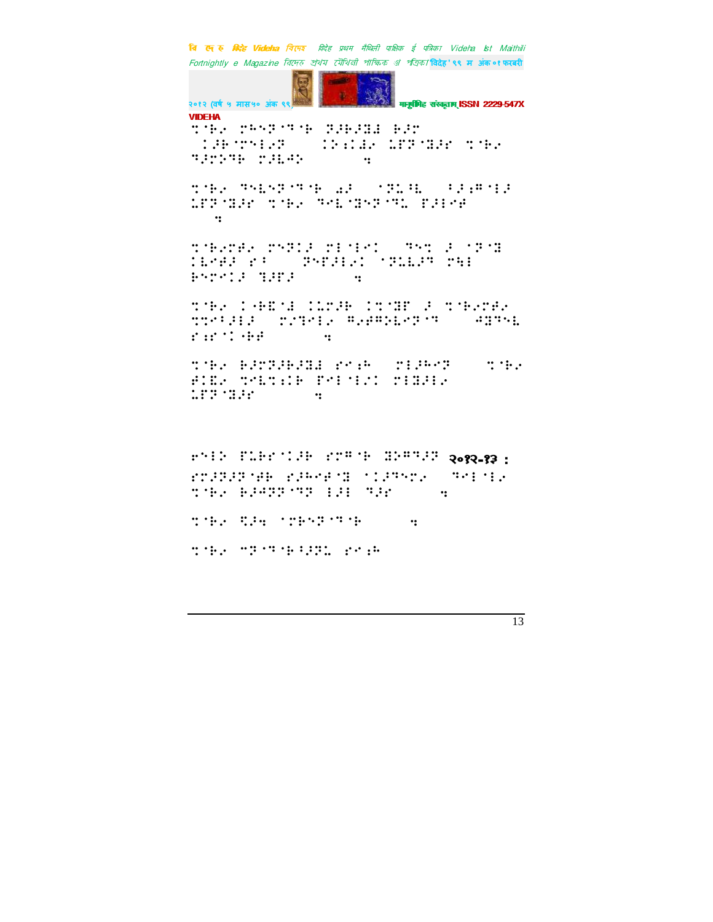

२०१२ (वर्ष ५ मास५० अंक ९९ **VIDEHA** 

the responded Head Bar <u> The Communication of the Communication of the Communication of the Communication of the Communication of the </u> <u>a di serang di sebagai sebagai sebagai sebagai sebagai sebagai sebagai sebagai sebagai sebagai sebagai sebagai</u> **SERVIT REAL**  $\dddot{\mathbf{r}}$ 

the President all them cleaned LEP MAR STORY PRESENTED EARSE  $\dddot{\mathbf{z}}$ 

TORATES TORIS TECHNI **STAR SEARCH** TEPAR PROGRESSIV PEER PAI Brendi Hill  $\cdot$ :

THE CHEME COMPOSITE STREAME. STRIPLE STORES ANALYZATI  $-4333441$ rand General  $\dddot{\bullet}$ 

the Brightham red there  $\mathbf{r}$  . The set of  $\mathbf{r}$ **BIDS TELTILE PERIOD TIBLE**  $\overline{1111}$   $\overline{1111}$  $\cdot$ :

PAIR FLECTIFF CONTROL SPACE Resear : rofificate rated described and de **THE EPPILE EPP TP**  $\dddot{\mathbf{r}}$ 

THE REPORTED SAMPLE

man and the state of the state of the state of the state of the state of the state of the state of the state o

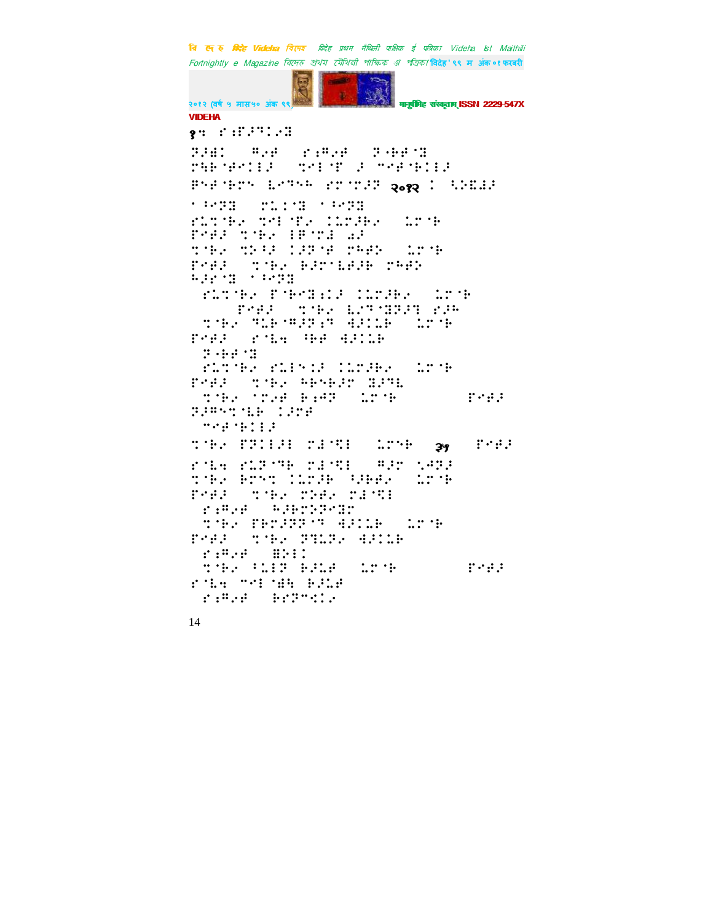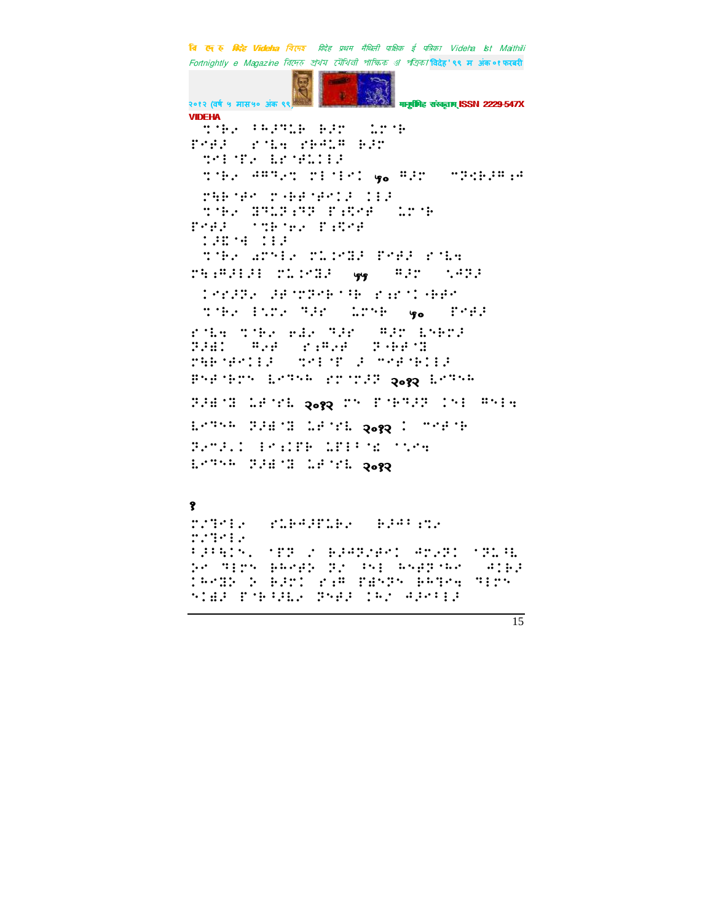**Separate** मानूबंगिह संस्कृतम् ISSN 2229-547X २०१२ (वर्ष ५ मास५० अंक ९ **VIDEHA** the BEBB BET  $\mathbb{R}^n$  :  $\mathbb{R}^n$  :  $\mathbb{R}^n$ PART (PART PRAID) BID THE REMARK TORY PROVIDENCE WORRD STREET THE NH THE NHITE III the BROSSE PHOE ATTE Peda (1961-62 Piges 19874-119 THE ATTER TO POST PRES PORT TREPARAL TICHER GG (PAT 1422) *Industry description in the Conditable* when Eure Mar (1256) you find? robe the edg far .  $-$  #32 EMBP3 *H.A. P.H.A. R.A. P.R.* **CONSTRUCT** THE GRIER CONFORM A COMPANY Breither Estate from Program that PRESENTED 2032 TO POPPER INFORMA-ESTAR PRESENTENTE 2022 INSTRUMENT Tentil Princip Million Stea ESTAR PRESENCIAL ROSS

# $\mathbf{r}$

rated rimaring packet models. PAPAIN. MED 2 BAHRYAKI AM2RI MPLAL promine parabolic and angular conduct IPAGE E BATI KAM PASPS PROS JETS STAR PORTRER SHAR THAN ARRIVE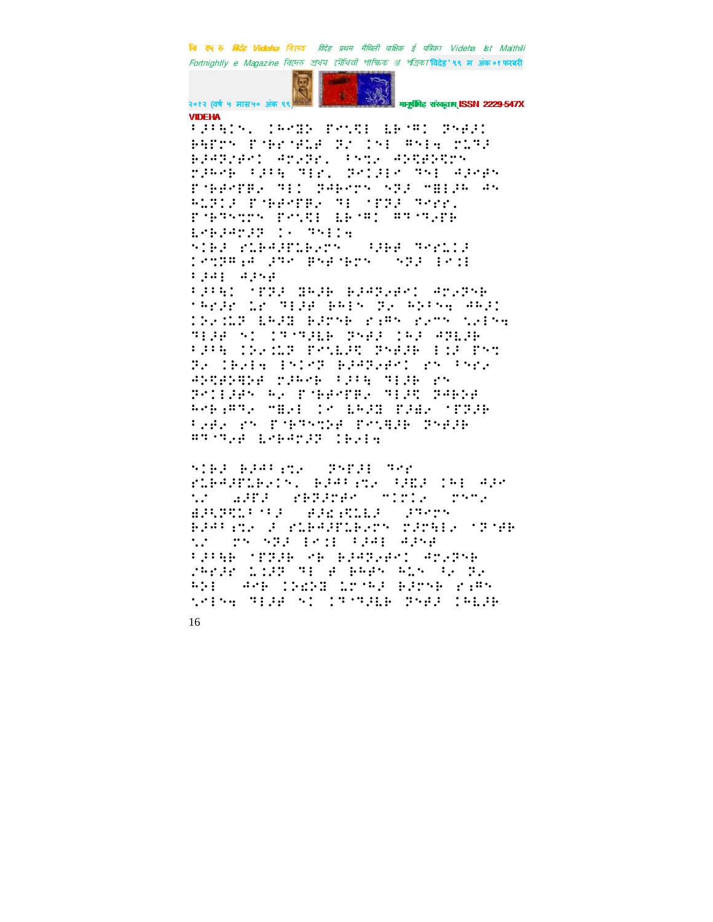

२०१२ (वर्ष ५ मास५० अंक ९९) **VIDEHA** 

मानुबंधिह संस्कृताम् ISSN 2229-547X

FRANK, NAMES POSTE LEORY PARK PAPPY PORTUGE RI INE WHEN TERP BISPIES STATE PATE SPREEDS raker face mir. Pelaie mei Aaege ropers, milleapers signess as SIS PARTER TE MISE TRA  $\ddot{\cdot}$ FORTHING PANCE EECH STATE ESPECIE IS TRIED **NIER PLEARTLESTYN (REEP RODICE** Tenggalan daer gegrepen in ego derdo 1941 4958

FRANCISTER BRAK BRAGGANI AM205B **TREE LE MIRE BRIN DE RESNA WRIT** INFIDE LAGE BOYAR FIRE FROM NRING nia y troan pyrti an ania FRANCHSCHRIEDER BYFREIDE ENT Ba Chain Encap Baggadet en Phea spreded place this mile pr Prices as presents midd paper Replace edge to began fine office Pada an Philipped Primar Phode **ANDREW LEADER CREEK** 

**NIED BOWLEY, SPECI TAP** rdegroekte egginek gro de ge NO GARA PREADER STOCK DOOR BREEL SECTION CONTROL BARANT A PLEARNIETH MAMBER 1318 tr (m 533 Per Personal Ars FROM TERM OF BRAINERS ATLENT rendr 1995 af e begynning ar AND SAME CHAND AT THE BETTE STATE tring middle of fromain road failur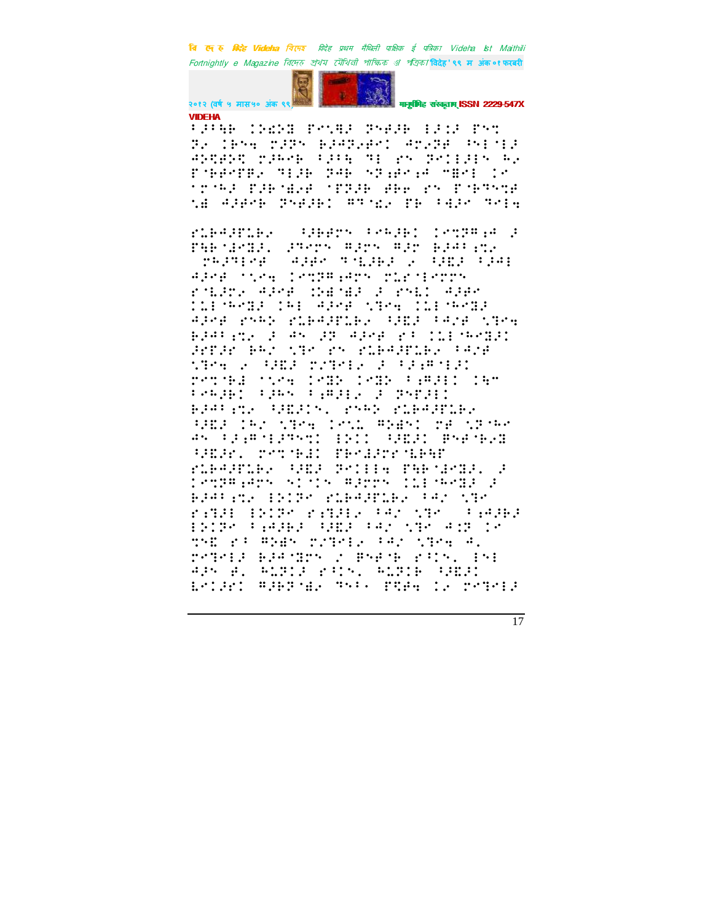

२०१२ (वर्ष ५ मास५० अंक ९९ **VIDEHA** 

मानुबंधिह संस्कृताम् ISSN 2229-547X

FRANK COOR POSES THER IFS THE B. CRS. 2285 BEARLAND A2288 PSETER ANDREW MARKET FANG ME YN DELBART AL Pobenik Milk PAR Slabod Mini  $\dddot{\phantom{1}}$ 'n'be farmar 'ffar are 'n forte ta Alene Shelle: Antal Te Felh nhis

**SUBDY PERIOD CENTRAL** ruberonder PARTNYMA, STYCH ASCH ASC RSAGENS 7529188 (8288) 931282 2003182 0241 APPE TOPE CROPERED SOM BROWN robary Aane cheola a robi Aaen COLORADE (PE) APAR STAN COLORADE APPE PRAS PORATORS AND AASE STRE Bagan and an announce and announce SMISH BRACKIE AN ALBESTIER FAND the a gust provide a gaught rstel (1956–1988) 1988–1983) (1956–1986)<br>1983: 1988–1983–1983–1987 BRANCH MEDS, PSB RIBBERS HARD CAS STRACTOSL ANGEL TE STORE An Plantern Bri HBB Bhetha WERE THING THE WINDS riberik, din stille für Din. Cropeyers sons epons claimeda a Rastina (1913) romanomas ter vor<br>Riodo (1913) riodo ter vor (tipadea 10198 FARBA SHER FAN NEW AND IS THE PROPERTY TITLE RAY STORE A. retern blacker o Brack ritr. 151 ags al angle racs. Angle Garab ESIAN WARREN THE PRAY IS NSTAIN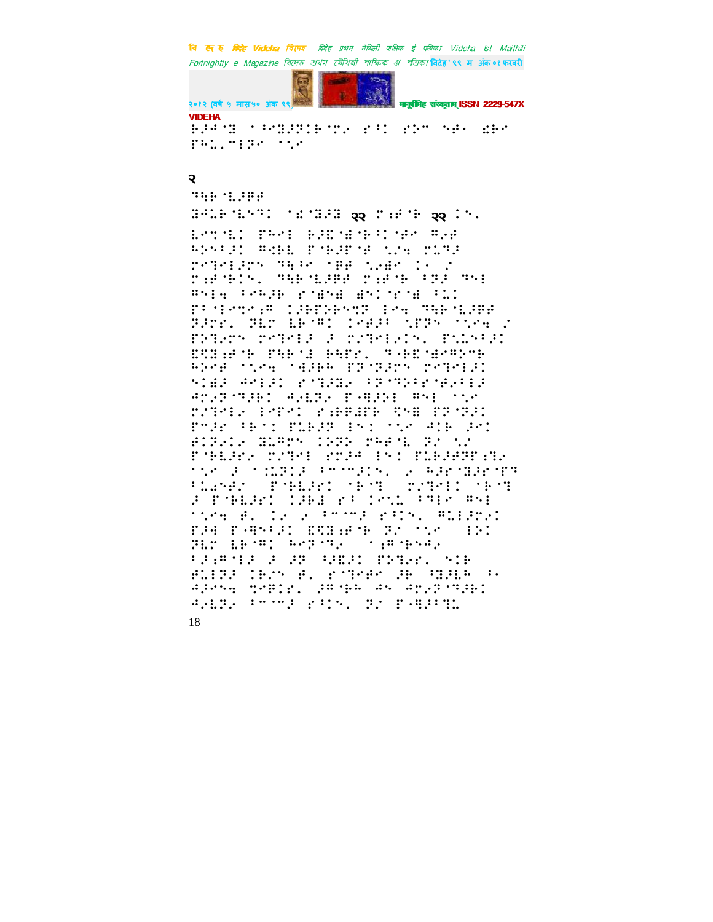

२०१२ (वर्ष ५ मास५० अंक ९९

#### **VIDEHA**

BEATH TREPEDITY FOR SAMPART ER PROGRESS SOF

# २

**THE MUSHE** 

BATE JEVAN CARDINAL SO DATE SO NA

Bronne Perl BOD'S Stiller Ref RESERT REEL PORTE STATE TIPE redefire diff (BB 1285)  $\mathbb{R}$  . rangers, mandagen range (p. 1931–1941 #Sig Predi roded delorod (1) FOODS: A CHEEF OF THE HIP BRY: BET EEST CHEF STP SSM C FRIET TERMIN A TERMINING PUDNIC ESSAY MAYS HOW THEYREN REAR TOAK THIRR PROPERTY PATALLE STAR AMERICANIER (POPPER MEMBR ANYEMEN AREA PARPE #51 MS rately left: PAPATE THE FRONT Print ferd Plein (nd the Ale 20) #INSIP HIPPY (1932) PRACE RECO POBLEM COTAT POSA TAI PLESERPIE the Formation Company of the manufacture tiske fredri regulare: 1979<br>2 maart (294 martikus agense the B. Le Partie Esta, Blievi **THE PHREAD INTERFERING**  $\cdots$ BEN ERSEY ARBITA (1980-1942) FRAMER ROBERT BERLONGE BLIBA (B25 B. PTPH5 AB SHAHA B Alena defini la de Ancarezoniei ANDRE FROM PRINT BY PARRIEL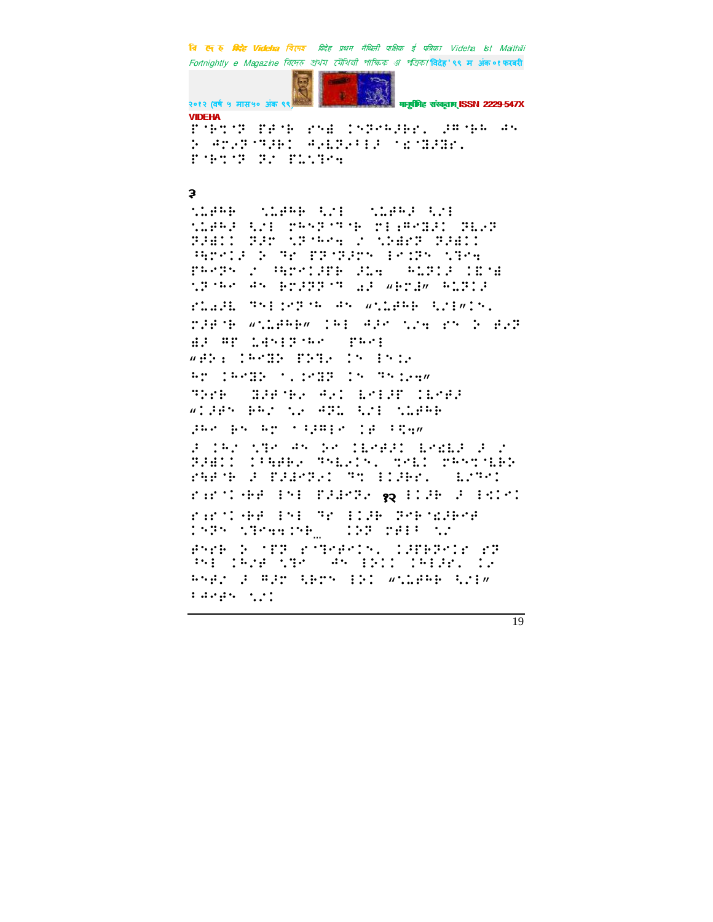

मानुबंधिह संस्कृताम् ISSN 2229-547X

#### **VIDEHA**

२०१२ (वर्ष ५ मास५० अंक ९

FORTUN PEOP 258 (5955-882) (Pope 95 S Arabertaki Alibatis (regional FOR SAINAR

# Э

tighe tighe bill tighe bil tigar and paspersportigated plan **SERVICE IN THE PROPERTY LANDAL NIME** PROPRIS HEODIFF RDA (ALPIR IESE true as ergrou al werd, encle

rdadd Mercegon as widdhe trialt. rafth wilfer (ed. 438 inn ro 2 fir group gasprose pas: wit: 1982 TPL 15 Prie Ar large tires in Sec. The Superson and Leigh Clear wides ber to during the theer part product of paper (postpay)

F TRY NTP AN DR TERRIT EREE F F 2 BREID CHARRY THERING MYED PRHMIRER rang francisk modern.  $\ldots$  and  $\ldots$ PARTICLE IN PERMIT & PIPE FORM

rantee in Truite Prenche 1575 MPHHIME (127 MHF) W

Problem the components. ISBNP-12-27 PHOTOGRAPHY WAS INTO INITY.  $\ddot{\cdot}$  . RNAD F WAT GETS IN: WILARE GOIN razgo (191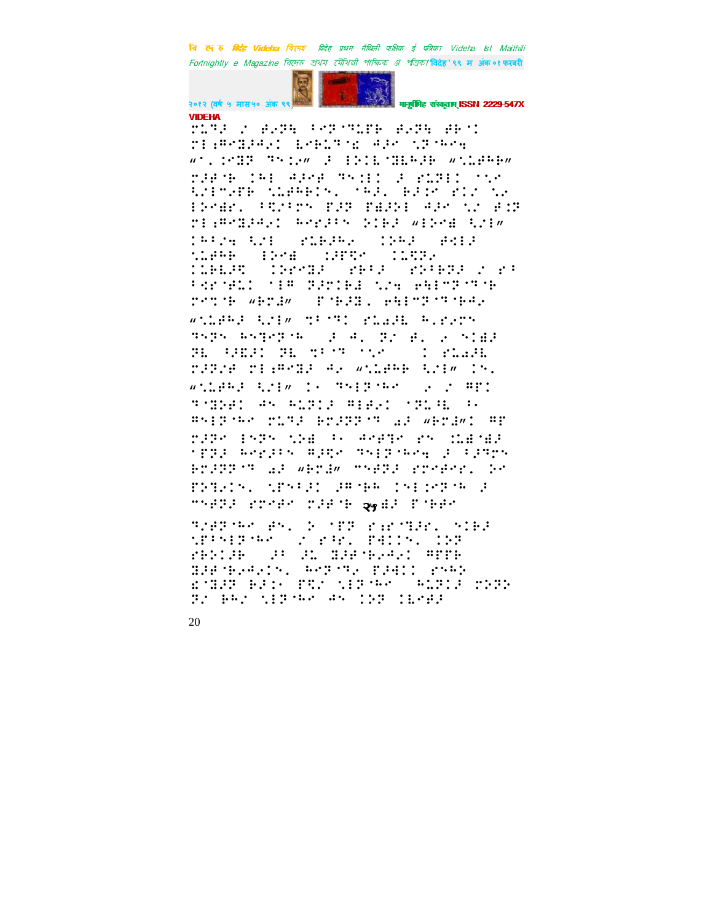

मानुबंधिह संस्कृताम् ISSN 2229-547X

### २०१२ (वर्ष ५ मास५० अंक ९९) **VIDEHA**

MIRE 2 BARB FREYNIER BARB BEY TEARCHART ECHLICA APCOLISCA wilder this Polynomia (Participal Scheeler MARCH INE APPROACHED A REPERSONA RABMARE MIGHEIN, MAG, BASK BIZ EPHAN PROPOS PAR PARRE ARM NO BIR rightHele, herdis bied wibed this IRPIN RID (PLEPER (IPR) (PRD) MARA (1954) (APR)<br>Claime (19651) (69 dem Sarte (1858)<br>(1920-18 2003) 2009-03-2020 PREMEL MIR BEECHE NOW WHIMP MAY rende wends foreil, earningered widel the stage of the finite bestern skak ekspersk (alse, av el 2008) H. WHAT HE TOTAL TEACHER TARZE TEARCHA AL WILBRE RZEW IN. wiles the resource of the second second property **THERE AN ALTER WEEKS MILES AN** Brighter with Briggers al Werdal Ar rade from the FC Aeade are medes trije berik mine majraber i kimr Bragging al werds nogga progon. Do PRINCE SPACE PROPERTYPES P TOPPE STORY TERMS Qualify Porch

STEP SHOULD TERM PAPTERS INCER SPENINGER CONSTRUCTION CONT **REVIEW OF CL SEPTEMAL WITH** BREAKERS WARTER BREET PARK EMBAR BASH PRE NIRMAN (PLRIA MERE From Barrowsky Additional Care Take Barrow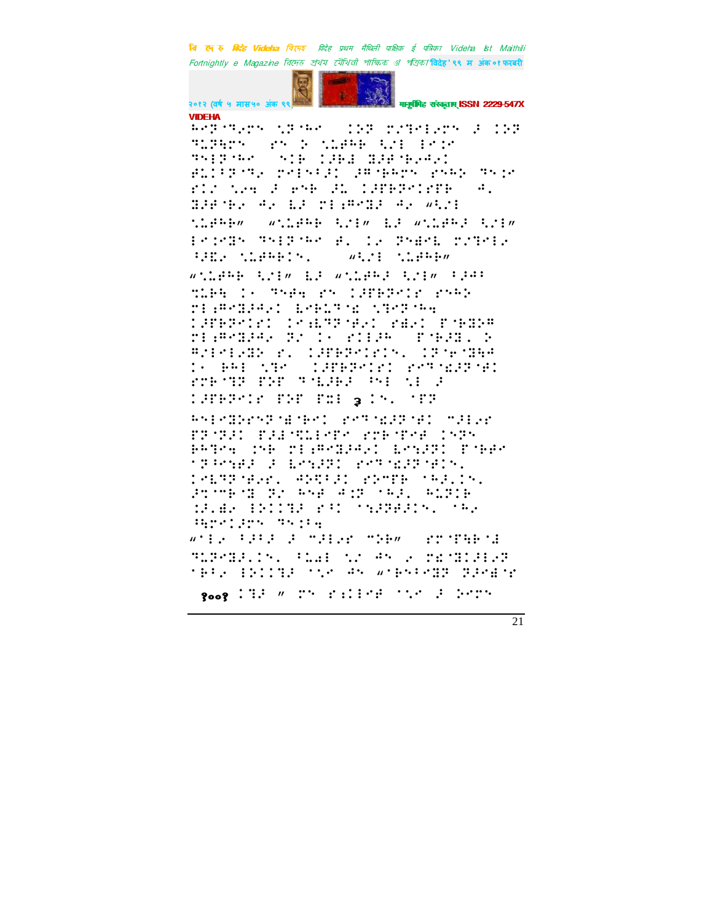

मानुबंधिह संस्कृताम् ISSN 2229-547X

### २०१२ (वर्ष ५ मास५० अंक ९ **VIDEHA**

Reporters those (198 mines and 198 SLEED YOUR NEWS AND POST THERMAN SIE LIED BIRMEARS BLIED TA COMESED ARCHAEO PORT TO DO FIS NAME AND RESIGNATION  $\mathbf{a}$ HAPPY AN EASTERNING AND WILL then when Wiley and Wiley with Programmed and the Same Southern **AND MANUFICATION**  $W: Y \longrightarrow Y \longrightarrow Y \longrightarrow Y$ wildhe trim as wildhe trim trut time Is They an ISTERSIA and rightHell Leblack (Telese) CAPARAN CRAIMS AND ABOUT MADA MARGREY BOOK FOLEN (PORTL) 8 #21/1285 P. CHPBP1P15, IBSP388  $\mathbb{R}^2$  (see )  $\mathbb{R}^2$  (see ) **CONSTRAINS CONTROL** FTECTS THE TOLIES IN SECTION THERMIN FRE FOR 3 IN. MER

ANERGENE MORAL SPROGED ME SOLD FRONT FALORISES FOR THE 1979 PROK THE PERMISSION RESUL **Similar SPRAGE FIRAGED POTAGENEDY.** CHIPPARK ARDIA PRTP (PRICH) **Strip CE St. And Act rad, ALSIE** MARK BRIDGE FROM MEDICAL MAR Breller Shift

wile famalla maler meew concumental SUPPRESSES FILM AND AND PROFILMENT tele dellag tie 45 wiestowe gehalt

8008 : H.F. W. W.M. Stilled Still 1980 100000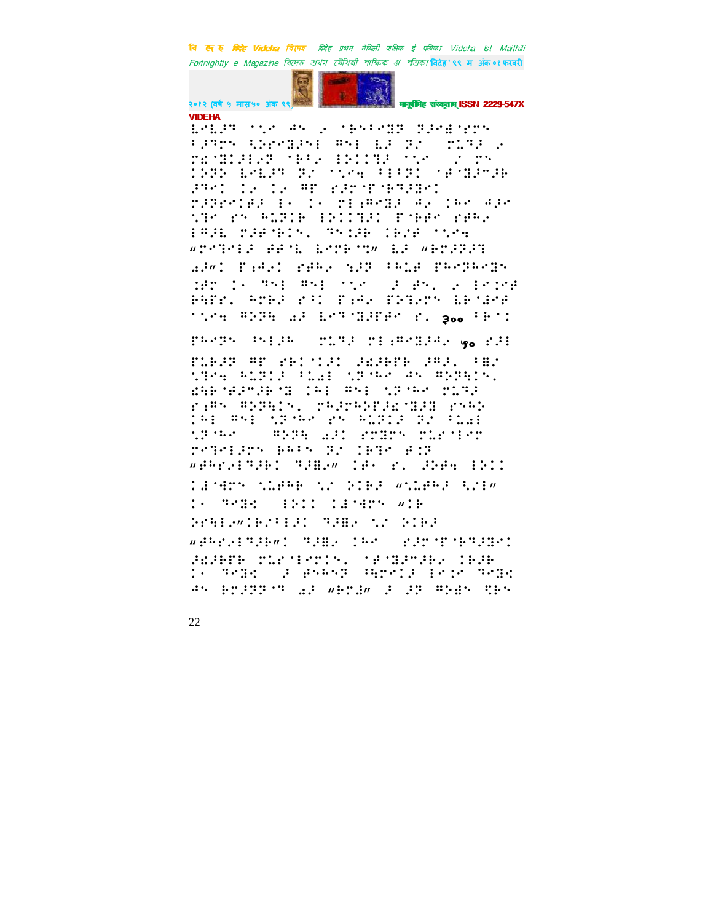मानुबंधिह संस्कृताम् ISSN 2229-547X



२०१२ (वर्ष ५ मास५० अंक ९९) **VIDEHA** 

ESERT TO AN A TENRIB BRAINTS PARTY REPORTED WHE RACIN'S TERRITO redigier des ibiide de l'en 1935 LALAR SY TYPE FEFSI TENEPAR PHILADE RESPECTED rageniaa is is rigmeda Allime Aas the recognition included former range PRED MEETERS, TRIED IEAE STAR wretell arth berking to whrough APWI PART PART NIP PALE PROPROBM 197 In The White Control of British Enterpress PATY, AMBS RAI TIAN TYTUM LENDNA **TAPA PROBLAS EPPORTER PL 300 FETI** 

PROPOSITE PLACE PLACE PERMISSING WORLD

<u>PARAM, MELIPELICAL CALMER, AMALICA</u> the RIBIS MISS the Architect. EAR MORTON CALLANT COMPARENTS Pies epigns, representate rock THE WHE SPONS PROBLEMS PROPERT  $\sigma_{\rm eff}$  and  $\sigma_{\rm eff}$ **BOOK AND STREET TATION** reneigns ands no iane air webscript THR, IP s. Den IDII TEMPS MERRY WORK WORRENT WIN  $\ddot{\phantom{a}}$  , and  $\ddot{\phantom{a}}$  , and  $\ddot{\phantom{a}}$  , and  $\ddot{\phantom{a}}$  , and  $\ddot{\phantom{a}}$  , and  $\ddot{\phantom{a}}$  , and  $\ddot{\phantom{a}}$  , and  $\ddot{\phantom{a}}$  , and  $\ddot{\phantom{a}}$  , and  $\ddot{\phantom{a}}$  , and  $\ddot{\phantom{a}}$  , and  $\ddot{\phantom{a}}$  , and  $\ddot{\$ **SPHILWIERTHIST THE NEW SIEF** website the theory of the state of the state READED TO SECTION OF THURSE INC De Medie (2 Brand Shredd Bede Medie st bragging as which a ag what got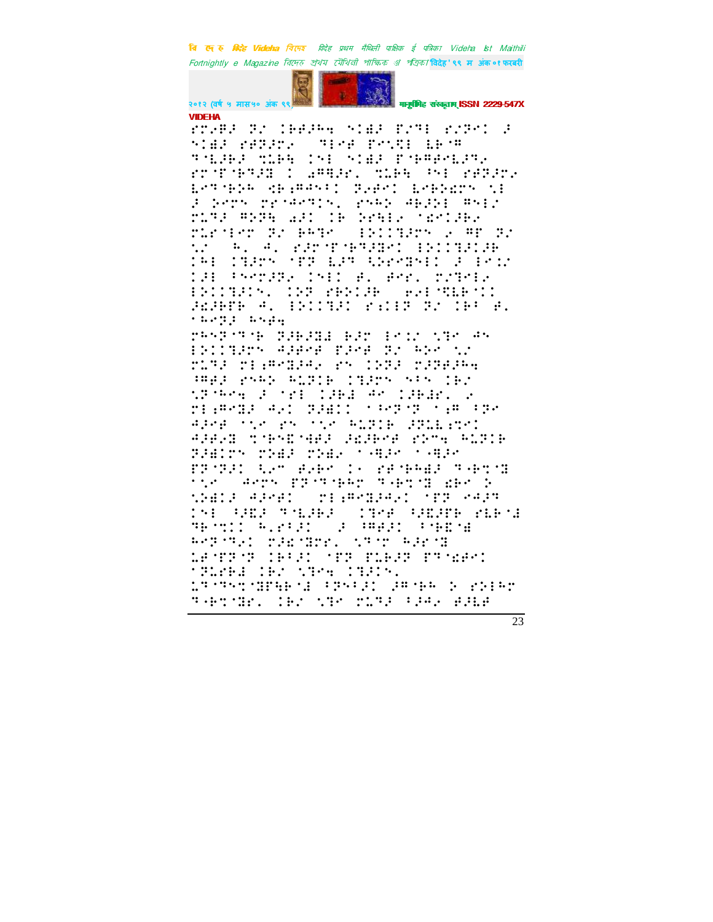

मानुबंधिह संस्कृताम् ISSN 2229-547X

### २०१२ (वर्ष ५ मास५० अंक ९९) **VIDEHA**

roves ar ceesma plas bram riago s STAR PRODUCT SPACE PRODUCE ARTS TALBA MIRE INE NIAR PARRALERY rribus Camar, mas be recor ESTARR SPERAGE PRESS ESPRESS ME ă pers reseasts, especializați<br>ruga graficati în brate castane nichten zu Begeschaften usweiser **A. A. RETEMPERED BEDGEDE** IA: IRAM MAR EP GYPENIC 2 FRI 198 Provens (red el engl videls EPITERIN, IPP PRPIPE (PRESERT) **SEPTE BABE** 

response paeama ear follower es 12:1925 A2858 P258 R2 A25 V2 ring responses an IGBS rangeme HAR PARK RITIE INFORMATION SPARA FORECHE AR CHARTY riyedi ay quit shthroig (p APA Tir Province Algia Sgilland APPAS TOPADORPS PREPAR PROVINCES FAILTY THAT THE SAMPLY SAMPY PROPER AST BSEA IN PROPERT THETOR Hellaepy process caesor are a SPACE APPROVING BANGEARY STRUCKAPH 15: GRA TSLAPA (1958) GRAPP PLP 1 Refusively a Read Pers Report the Str. Stor Reco LA TITUT (1833) (TIT TILAJI TUJEK) **TEMPE ORIGINAL INC.** STORY SHEET CONFIDENTIAL AND STEED THROWN IN MP MIT CHA BUG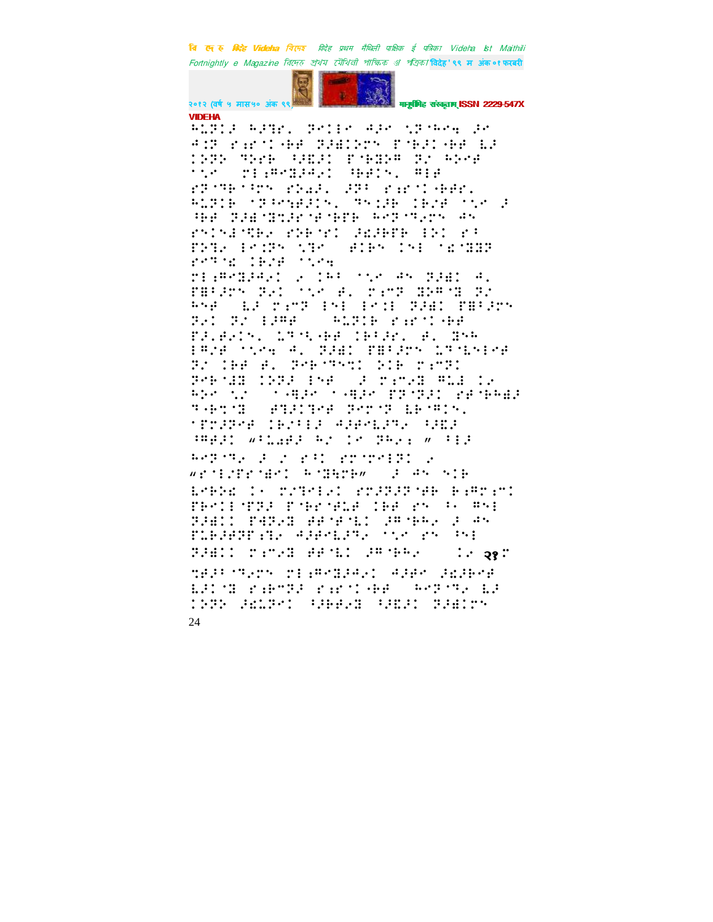

मानुबंधिह संस्कृताम् ISSN 2229-547X

## **VIDEHA**

२०१२ (वर्ष ५ मास५० अंक ९९)

RITIS RETEL TRIER AGR NT NAME GR Administration constants and constants are all 1996 Mede (GALE) Poembe Scotted **MIRTING BEN BIR** PROPERTIES PRACT CREATED PARTICULARY. RIBIN MERMERIN, TRIB IB28 MVM 2 He flating with agreement rningener rebisti Græne (21 pr FRID PROPRIATOR **WIRE INT MEMBER** retail indicates

TERPERADOR INFORMUM PRED AL FBRETS RED TO ALL TETR REACH RE RNA (12 MART 181 1831 PAAL PAPARN **Bal Br 1988 - ALSIE Partier** PALEXING GROUPE IPRAEL B. GNA PROFINSA AL PART PREPDY LANGERS Bridge al Personiale rand Presid (2003) End (3) particular (2)  $\mathbb{E}\left[\mathbb{E}\left[\mathcal{E}^{(1)}\right]\right]_{\mathbb{R}^{2}}=\mathbb{E}\left[\mathbb{E}\left[\mathcal{E}^{(1)}\right]\right]_{\mathbb{R}^{2}}$ **SANDA SANDA PROPER SEORGE** THRTH WHICH FOOTHERS. STRAPHE CENTER ARABARA (PADA **PRESS WILLES AS IM BASE WORLD** 

Reports of the South Streets: writeriot Admiral J An Sie Break () rather crafteries evening TEMINTER FORMOGLE IEE PROTHOUS agos por partir PLEASER SEAGENER STATEN  $\cdots$ PREDICTIONS AROUND PROPERTY ં∴ ૨૧ ∷

MARK MONTH PERMIT AND START AND PRO ESTERADUS KANSAR (PUPULAS 1989 SELRET GJEBAN GJEJI RJBITS  $24$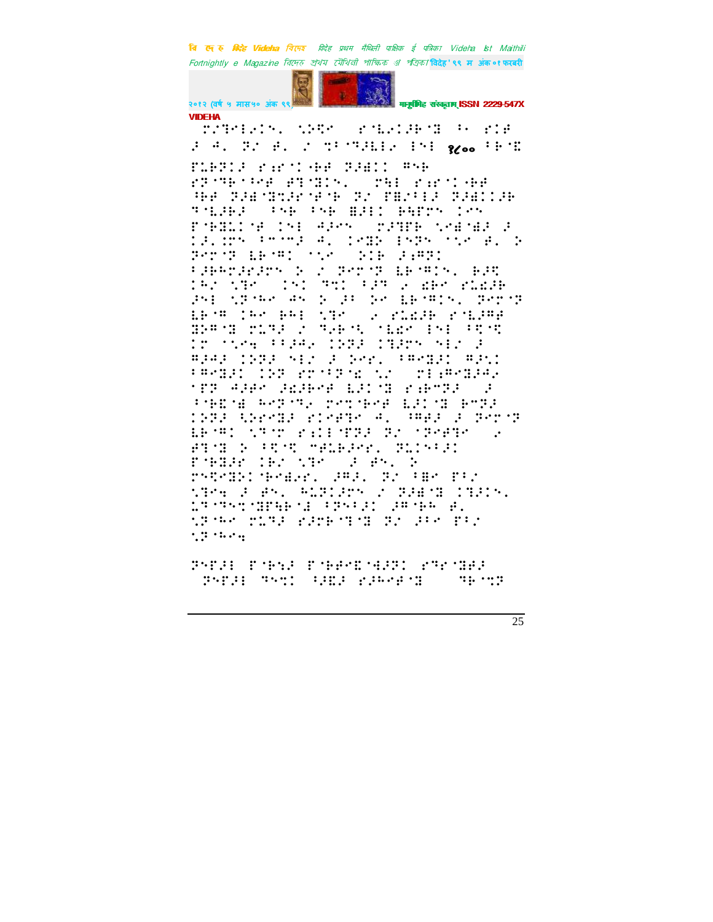

**VIDEHA** TITELEN, NERE STERLENE FORLE F. 4. F. F. F. MARTHER ENE 8/00 FEME

TLETIF FATISHE THANK #56 PROPERTIES PROBLEMS THE POPULAR He familiar and from the same THERE INFORMED EACH PRINT INV robalice infogreno prage negognala.<br>19. mnogodnjegovina ingnosnog gl **POTOR LEORI COM**  $(310, 300)$ FJARDJEJOV 2 Z BROGU 1898(K. 638 182 NBK (151 MM) P2M 2 WBK PLW2B 351 METRO AN DOUBLIN BETWEEN POTTE tronge Haak (1912–1920) elkor #242 1532 512 2 553. (#5321 #251 FARBAL 198 Profesor (2008) PERMERA 'TP Aler lalere Little rienza (f PORTH ASTOR TSTART MAY THE POIL 1983 SPECIE FICHTS A. (MAR) 2 Servy ERORD STOP PAID TERP EN OPPRES FINE & PROR MELERENT PLINES! POBBE IRANGE (F. P. D revolvined. PR. Britan Pr the Poet Albert Schule Index LT THE MERRING (FRAGE) SPORT B. SPORT PLAS REPRODUCED SERVICE  $1.3.1444$ 

PYPEL PYRSE PYRRYBYRED (TRYBER PARIS TAND SHEET PIRAPTED TEANT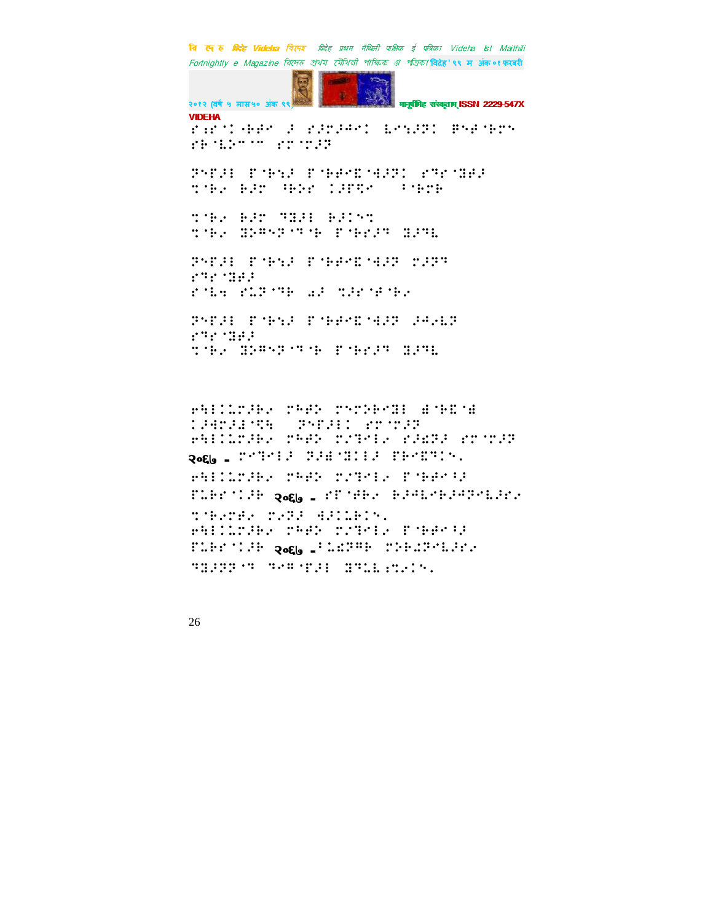

randamen Parpern LowET Preder en norm er mer

SYDE PAYS PARADARI STRAR

the BB HM 1990 - Phys

the Service Person Side

PARI PART PARADARP 227

ria richte in three

THE BET THE BEINT

26

**VIDEHA** 

 $272.7393$ 

PYDE FYRD FYRRYDYGE GARD **PARTISHE** 

there ref: 4211815.

THE BRASTER PRESS BRA

PHILLTIES TREE TRTEPHE ANEXYA

**TREPARTH PRESS WORDS** PHILDSHA THEN TATMIK PARTI PT TAT

FLETTLEE Qog@ \_ TF TEEP | EPHLPEPHPPLETP

**ANILYSE: THE TITLE INFECTS** 

**PHILIPER TREE TITEL FORECH!** FLEETIFF Qog \_ LEFTE THEAPTERS

**MODES TO THE SECOND OFFICERS**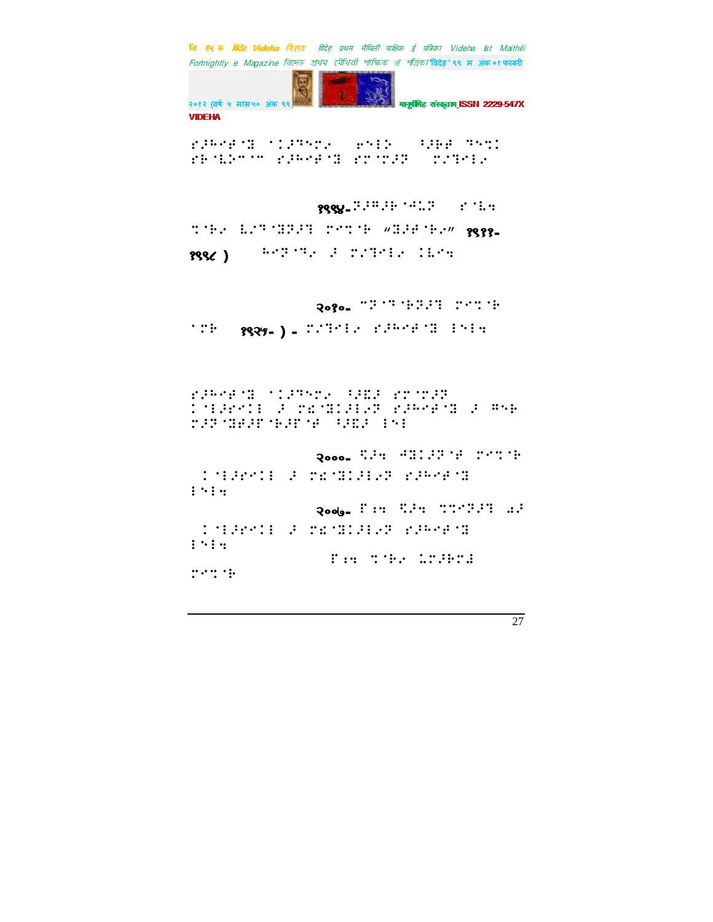

"⢼⢳⢾⣝!⢼⢹⢴!!⢶5⢵.!⢸⢼⢷⢾!⢹⣉! "⢷⣇⢵aa!"⢼⢳⢾⣝!"⢼⢽!)4⣙5⢴\*!

!!!!!!!!!!!१९९४-⢽⢼⢻⢼⢷⢺⣅⢽!)"⣇⣒!

⣉⢷⢴!⣇4⢹⣝⢽⢼⣙!⣉⢷!"⣝⢼⢾⢷⢴" १९११- 19980) - <sup>Hos</sup>Pittle Portfield (1889)

**२०१०- "** में भी भी में में में यह साथ भी से अपने का ⢷!)१९२५- ) - 4⣙5⢴!"⢼⢳⢾⣝!55⣒!

"⢼⢳⢾⣝!⢼⢹⢴!⢸⢼⣏⢼!"⢼⢽!)! 5⢼"5!⢼!⣎⣝⢼5⢴⢽!"⢼⢳⢾⣝!⢼!⢻⢷! ⢼⢽⣝⢾⢼2⢷⢼2⢾!⢸⢼⣏⢼!55\*;.!

! Rooom With Hill All All All All All All All )5⢼"5!⢼!⣎⣝⢼5⢴⢽!"⢼⢳⢾⣝!  $555<sub>1</sub>$ !!!!!!!!!!!२००७- 2⣐⣒!⣋⢼⣒!⣉⣉⢽⢼⣙!⣔⢼! )5⢼"5!⢼!⣎⣝⢼5⢴⢽!"⢼⢳⢾⣝!  $\vdots$   $\ddots$   $\vdots$ !!!!!!!!!!!!2⣐⣒!⣉⢷⢴!⣅⢼⢷⣜! ⣉⢷!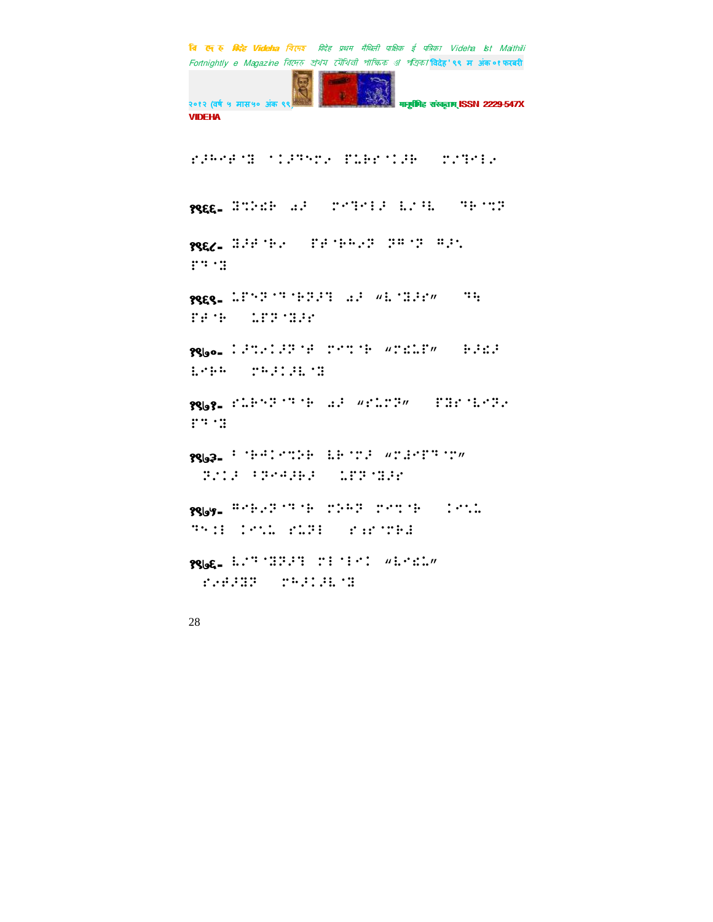

२०१२ (वर्ष ५ मास५० अंक ९९) मानुसारी मानुसार संस्कृतम् ISSN 2229-547X VIDEHA

"⢼⢳⢾⣝!⢼⢹⢴!2⣅⢷"⢼⢷.!4⣙5⢴!

**8966- BUNDE AN INVENTION IN THIS PROPER** 

१९६८- अधिकांकर अधिकांकर अधिकांकर अधिकांकर  $2^*$ 

१९६९- ⣅2⢽⢹⢷⢽⢼⣙!⣔⢼!"⣇⣝⢼""!)⢹⣓! 2⢾⢷-!⣅2⢽⣝⢼"\*!

१९७०- <u>२२९२२२२२ २०९९ घर पर पर पर पर प</u> ⣇⢷⢳-!⢳⢼⢼⣇⣝\*!

१९७१- "⣅⢷⢽⢹⢷!⣔⢼!""⣅⢽"!)2⣝"⣇⢽⢴-!  $2^*$ 

 $98\%3 \frac{1}{2}\%$   $\frac{1}{2}\%$   $\frac{1}{2}\%$   $\frac{1}{2}\%$   $\frac{1}{2}\%$   $\frac{1}{2}\%$   $\frac{1}{2}\%$   $\frac{1}{2}\%$   $\frac{1}{2}\%$   $\frac{1}{2}\%$   $\frac{1}{2}\%$   $\frac{1}{2}\%$   $\frac{1}{2}\%$   $\frac{1}{2}\%$   $\frac{1}{2}\%$   $\frac{1}{2}\%$   $\frac{1}{2}\%$   $\frac{1}{2}\%$   $\frac{1}{2}\%$   $\frac$ )⢽4⢼!⢽⢺⢼⢷⢼-!⣅2⢽⣝⢼"\*!

१९७५- Belast Property Property Property Property SHILL FOR THE STREET

१९७६- L. T. TERPE TE TERPET WERE )"⢴⢾⢼⣝⢽-!⢳⢼⢼⣇⣝\*!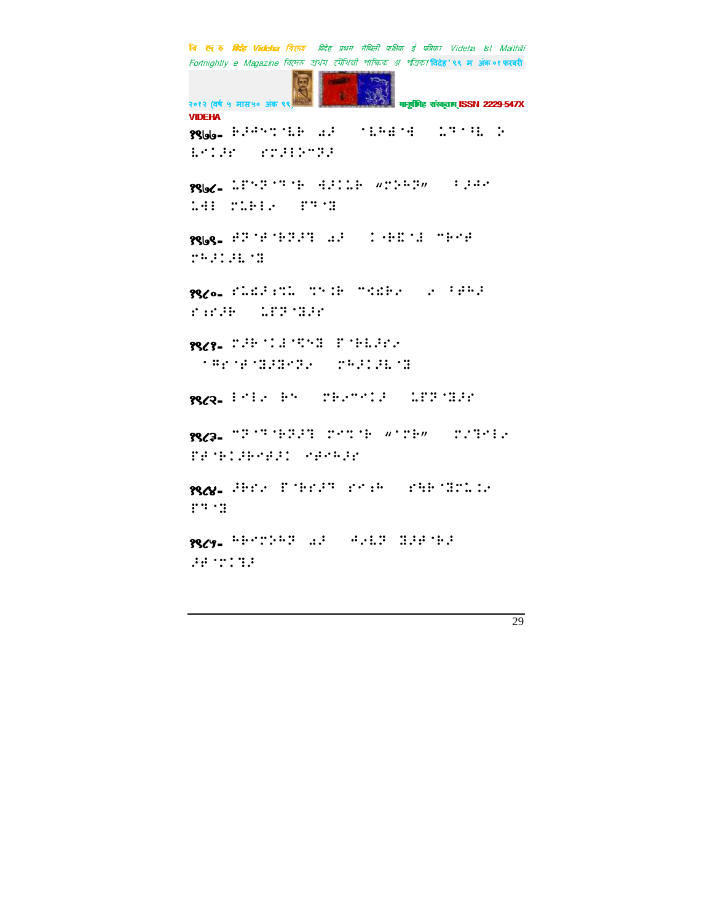२०१२ (वर्ष ५ मास५० अंक ९९) मानुसारी मानुसार संस्कृतम् ISSN 2229-547X VIDEHA १९७७- <sup>₽</sup>८न्नेपाली असे अधिकारिक अधिकारि  $\textcolor{blue}{\mathbf{5.55}}\textcolor{blue}{\mathbf{5.5}}\textcolor{blue}{\mathbf{5.5}}\textcolor{blue}{\mathbf{5.5}}\textcolor{blue}{\mathbf{5.5}}\textcolor{blue}{\mathbf{5.5}}\textcolor{blue}{\mathbf{5.5}}\textcolor{blue}{\mathbf{5.5}}\textcolor{blue}{\mathbf{5.5}}\textcolor{blue}{\mathbf{5.5}}\textcolor{blue}{\mathbf{5.5}}\textcolor{blue}{\mathbf{5.5}}\textcolor{blue}{\mathbf{5.5}}\textcolor{blue}{\mathbf{5.5}}\textcolor{blue}{\mathbf{5.5}}\textcolor{blue}{\mathbf{$ १९७८- ⣅2⢽⢹⢷!⣚⢼⣅⢷!"⢵⢳⢽"!)⢼⢺! **WEIGHT STATE** १९७९- ⢾⢽⢾⢷⢽⢼⣙!⣔⢼!)B⢷⣏⣜!a⢷⢾-! ⢳⢼⢼⣇⣝\*! १९८०- "⣅⣎⢼⣐⣉⣅!⣉⣈⢷!a⣊⣎⢷⢴!)⢴!⢾⢳⢼! "⣐"⢼⢷-!⣅2⢽⣝⢼"\*! १९८१- ⢼⢷⣜⣋⣝!2⢷⣇⢼"⢴! )⢻"⢾⣝⢼⣝⢽⢴-!⢳⢼⢼⣇⣝\*! १९८२- 55º ERN PRODUCT DEPART १९८३- a⢽⢹⢷⢽⢼⣙!⣉⢷!"⢷"!)4⣙5⢴! 2⢾⢷⢼⢷⢾⢼!⢾⢳⢼"\*! 8868- While Finance with a sheriffice 27.25 १९८७- 1997-1992 1992 1994

⢼⢾⣙⢼\*!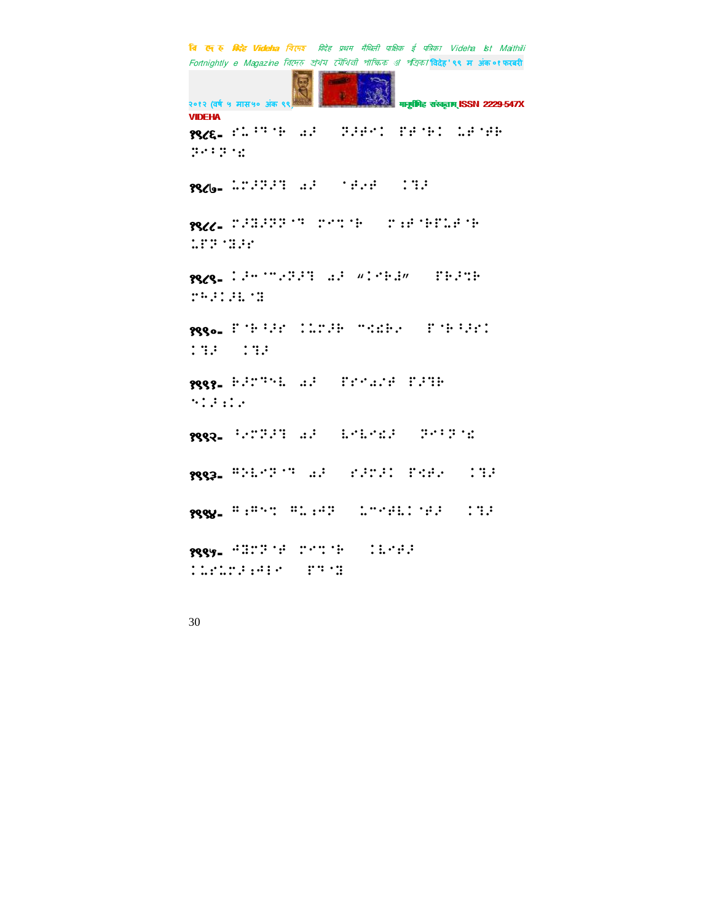Fortnightly e Magazine বিদেত প্ৰথম মৌথিনী পাক্ষিক প্ৰ' পত্ৰিকা'<mark>বিदेह' ९९ म अंक०१ फरबरी</mark> २०१२ (वर्ष ५ मास५० अंक ९९) मानुसारी मानुसार संस्कृतम् ISSN 2229-547X VIDEHA १९८६- "⣅⢸⢹⢷!⣔⢼!)⢽⢼⢾!2⢾⢷!⣅⢾⢾⢷-! ⢽⢽⣎\*! १९८७-  $\frac{17.77777}{1000}$  and  $\frac{17.777777}{1000}$  . The १९८८- ⢼⣝⢼⢽⢽⢹!⣉⢷!)⣐⢾⢷2⣅⢾⢷-! ⣅2⢽⣝⢼"\*! १९८९- ⢼⢲a⢴⢽⢼⣙!⣔⢼!"⢷⣜"!)2⢷⢼⣉⢷-! ⢳⢼⢼⣇⣝\*! 8000- POHER LIST PROPERTY POINT ⣙⢼-!⣙⢼\*! १९९१- ⢷⢼⢹⣇!⣔⢼!)2"⣔4⢾!2⢼⣙⢷-!  $\ddot{a}$   $\ddot{a}$   $\ddot{b}$   $\ddot{c}$   $\ddot{c}$   $\ddot{c}$ १९९२- ⢸⢴⢽⢼⣙!⣔⢼!)⣇⣇⣎⢼-!⢽⢽⣎\*! १९९३- <sup>81</sup>0607 <sup>29</sup> al (1992) 1996 - 199 १९९४- ⢻⣐⢻⣉!⢻⣅⣐⢺⢽!)⣅a⢾⣇⢾⢼-!⣙⢼\*! १९९७- नेप्रेसेस सम्पादन परिवर्तन CONSERVATION CONTROL

चि एत् रू मिन्हे Videha निएन्थ विदेह प्रथम मैथिली पाक्षिक ई पत्रिका Videha Ist Maithili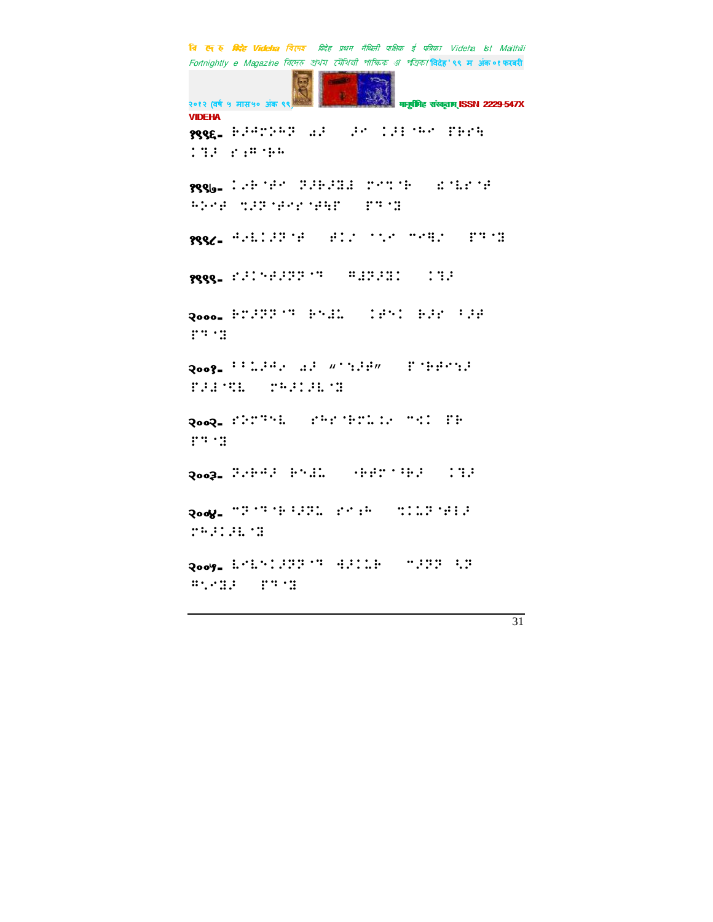२०१२ (वर्ष ५ मास५० अंक ९९) मानुषि संस्कृतिह संस्कृतम् ISSN 2229-547X VIDEHA १९९६- ⢷⢼⢺⢵⢳⢽!⣔⢼!)⢼!⢼5⢳!2⢷"⣓-! ⣙⢼!"⣐⢻⢷⢳\*! १९९७- ⢴⢷⢾!⢽⢼⢷⢼⣝⣜!⣉⢷!)⣎⣇"⢾!  $\frac{1}{2}$ १९९८- बेल्फेलेसिकेचे असेल कोट कारण करणे आसीत् १९९९- "⢼⢾⢼⢽⢽⢹!)⢻⣜⢽⢼⣝-!⣙⢼\*! २०००- ⢷⢼⢽⢽⢹!⢷⣜⣅!)⢾!⢷⢼"!⢼⢾-! 22.22 २००१- <sup>::</sup>1.2009 and within Index 2⢼⣜⣋⣇-!⢳⢼⢼⣇⣝\*! २००२- "Well" in the term in the FE  $2^{\circ}$ २००३- ⢽⢴⢷⢺⢼!⢷⣜⣅!)B⢷⢾⢸⢷⢼-!⣙⢼\*! २००४- <sup>8</sup>८८ अप्रैल का सामान करते हैं । अप्रैल का सामान करते हैं । ⢳⢼⢼⣇⣝\*! २००५- ⣇⣇⢼⢽⢽⢹!⣚⢼⣅⢷!)a⢼⢽⢽!⣃⢽! ⢻⣁⣝⢼-!2⢹⣝\*!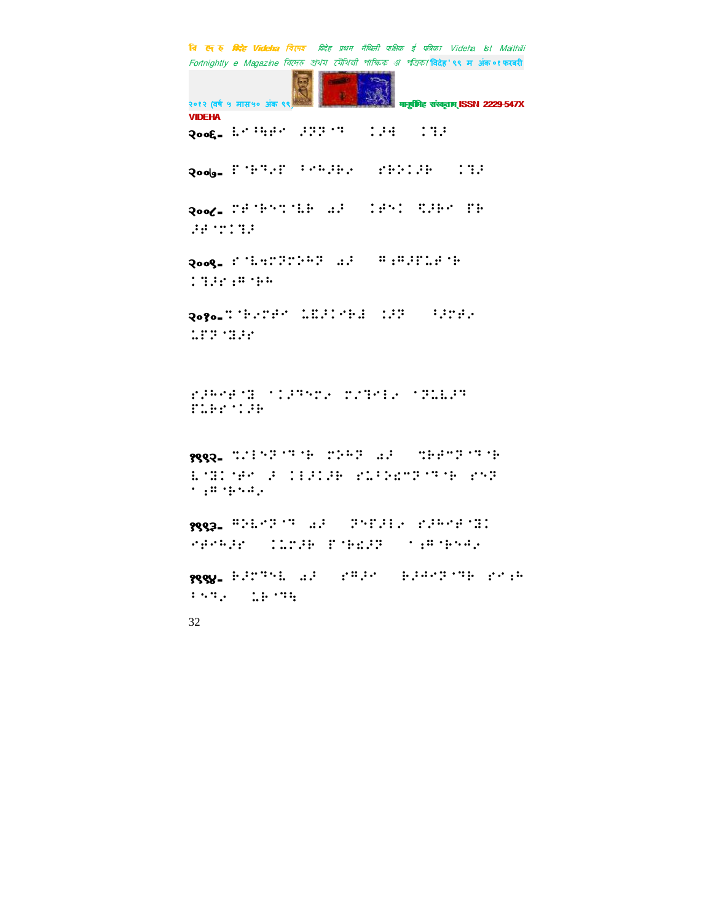Fortnightly e Magazine বিদেত প্ৰথম মৌথিনী পাক্ষিক প্ৰ' পত্ৰিকা'<mark>বিदेह' ९९ म अंक०१ फरबरी</mark> २०१२ (वर्ष ५ मास५० अंक ९९) मानुषि संस्कृतिह संस्कृतम् ISSN 2229-547X VIDEHA 32 २००६- <sup>104</sup> सिंहरू अपने 1999 - 1999 २००७- 2⢷⢹⢴2!⢳⢼⢷⢴!)"⢷⢵⢼⢷-!⣙⢼\*! २००८- <sup>29</sup> सिल्पा कि अप्रति (1961) मध्यस्य अप्र ⢼⢾⣙⢼\*! २००९<sub>-</sub> (१८८५:२२००९) अस्ति । ⣙⢼"⣐⢻⢷⢳\*! २०१०-⣉⢷⢴⢾!⣅⣏⢼⢷⣜!⣈⢼⢽!)⢸⢼⢾⢴-! ⣅2⢽⣝⢼"\*! "⢼⢳⢾⣝!⢼⢹⢴!4⣙5⢴!⢽⣅⣇⢼⢹! 2⣅⢷"⢼⢷! १९९२- ⣉45⢽⢹⢷!⢵⢳⢽!⣔⢼!)⣉⢷⢾a⢽⢹⢷! ⣇⣝⢾!⢼!5⢼⢼⢷."⣅⢵⣎a⢽⢹⢷!"⢽-! ⣐⢻⢷⢺⢴\*! १९९३- ⢻⢵⣇⢽⢹!⣔⢼!)⢽2⢼5⢴!"⢼⢳⢾⣝! ⢾⢳⢼".!⣅⢼⢷!2⢷⣎⢼⢽-!⣐⢻⢷⢺⢴\*! १९९४- ⢷⢼⢹⣇!⣔⢼!)"⢻⢼.!⢷⢼⢺⢽⢹⢷!"⣐⢳! ⢹⢴-!⣅⢷⢹⣓\*!

चि एत् रू मिन्हे Videha निएन्थ विदेह प्रथम मैथिली पाक्षिक ई पत्रिका Videha Ist Maithili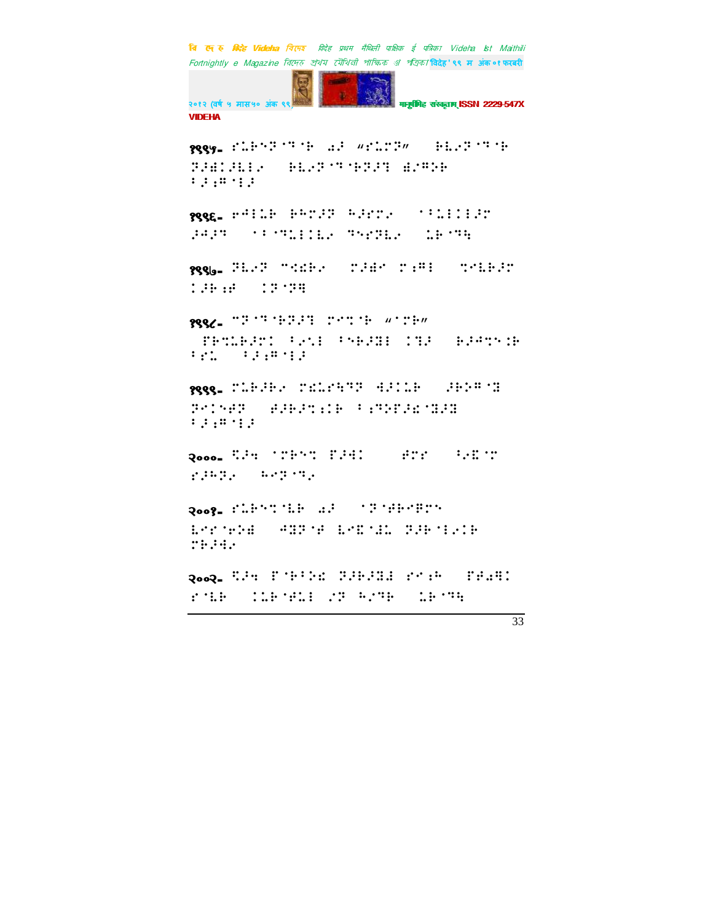

मानुबंधिह संस्कृताम् ISSN 2229-547X

२०१२ (वर्ष ५ मास५ **VIDEHA** 

ROOM\_ PLEND TRID ALE WRITTEN - BELADING TR **THE HIS SENTIFIES AND** 

888EL PHELE PROVER REPORT OFFICEDED PAPE SEMILLE TENDS OF TH

goods PERP TREER TREE THE TREERT **: :: :: : :: :: :::** 

TRINKING CALL CHAIR CONTRACTOR  $\mathbb{E}\left[\frac{1}{2}\right]_{1}^{2}=\mathbb{E}\left[\frac{1}{2}\right]_{2}^{2}=\mathbb{E}\left[\frac{1}{2}\right]_{2}^{2}$ 

ROOM WILE THE WELFARD HELLS ARE THE TH **SMORT REPORTS FREEDOMED**  $\mathbb{F}_q[\mathbb{F}_q[\mathbb{F}_q][\mathbb{F}_q[\mathbb{F}_q]]]$ 

Room With Scheen Field (1982) Promote ging, agreg

Roof Clentile ad Streeders krred anna kritik nation rada.

Rook Win Forthe Bureau rear (Frag) FOR TERMINE OF SON LEON

 $\overline{33}$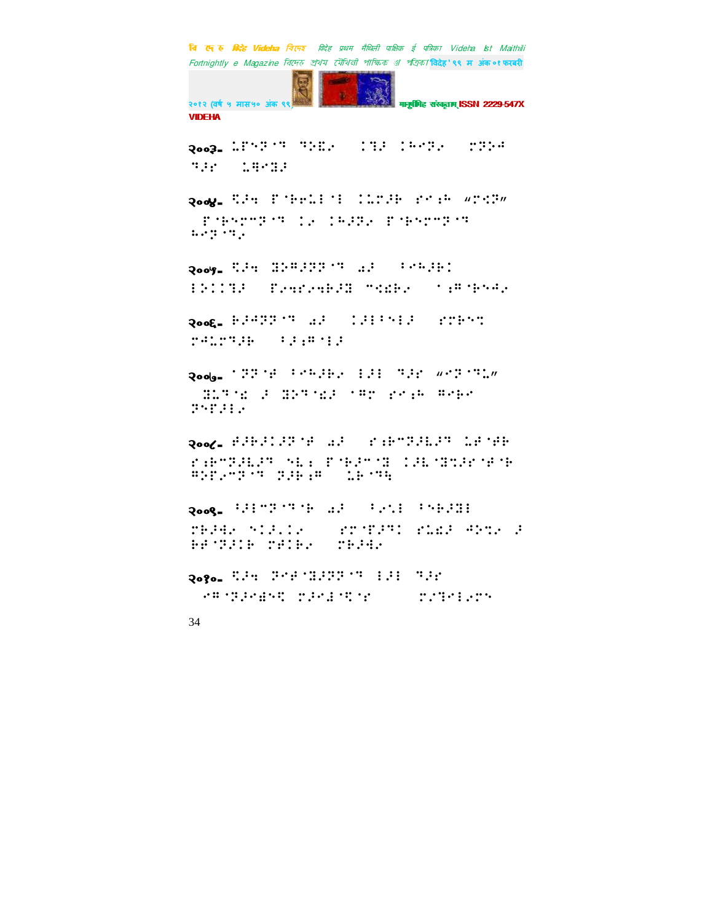

Room LENGAN SPER (1988) 1989. (2004 **THE LEADER** 

body. With Pothell the Cliffic and Window FORTHOLD IN THE FORTH  $1.73.73.7$ 

Room Win HI-BIFFIN AF POSTE! BOICE THROUGH TEN TIMES

Roof\_ P.PRESSEN AP (1999-999) PTP57 **MANUEL PROPER** 

HITTE F HETTER THE POST HOPE SSPP11

Roof PAPALAR ME ARE SCHEDULER LEAPE ramount sir parto luncorea *ASTERS THERE ARE* 

Rood. With the Management of the Second Property of the Second Property of the Second Property of the Second P read, willie ( sporan: side about a BRYSSIE MARRY MEDIC

Rofom With Write (2002) 77 (100) 700 **SPRINGER PROPERTY PRODUCTS**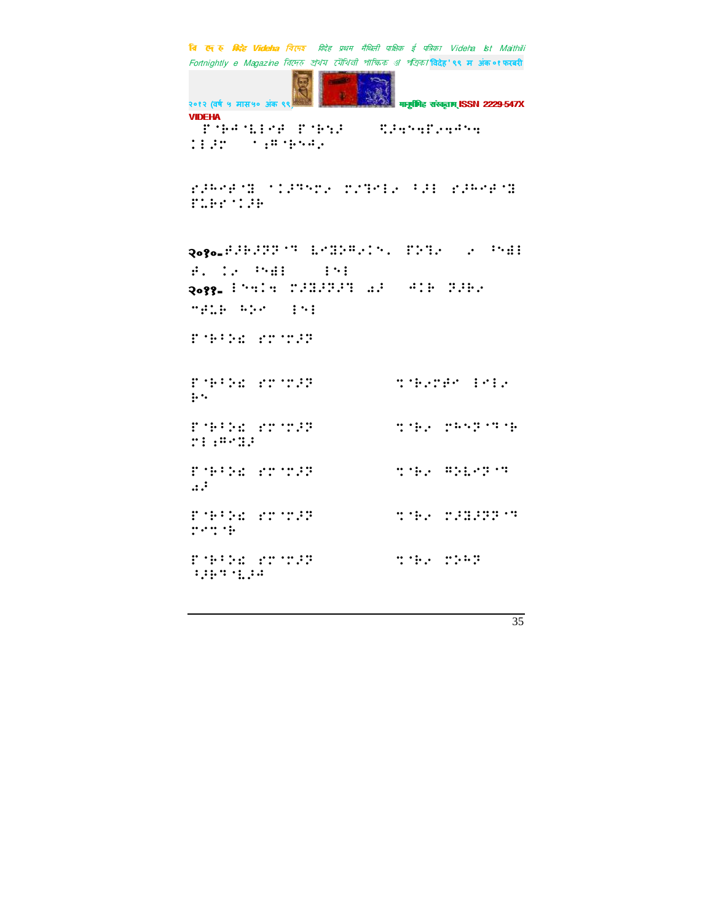```
चि एत् रू मिन्हे Videha निएन्थ विदेह प्रथम मैथिली पाक्षिक ई पत्रिका Videha Ist Maithili
Fortnightly e Magazine বিদেত প্ৰথম মৌথিনী পাক্ষিক প্ৰ' পত্ৰিকা'<mark>বিदेह' ९९ म अंक०१ फरबरी</mark>
```

```
२०१२ (वर्ष ५ मास५० अंक ९९) मानुषि संस्कृतिह संस्कृतम् ISSN 2229-547X
VIDEHA 
 #2⢷⢺⣇5⢾!2⢷⣑⢼#.!⣋⢼⣒⣒2⢴⣒⢺⣒!
5⢼-!⣐⢻⢷⢺⢴*!
"⢼⢳⢾⣝!⢼⢹⢴!4⣙5⢴!⢼5!"⢼⢳⢾⣝!
2⣅⢷"⢼⢷!
२०१०-⢾⢼⢷⢼⢽⢽⢹!⣇⣝⢵⢻⢴E!2⢵⣙⢴!#⢴!⢸⣞5!
⢾E!⢴!⢸⣞5#!!55!
२०११- 5⣒⣒!⢼⣝⢼⢽⢼⣙!⣔⢼!#⢺⢷!⢽⢼⢷⢴!
and the second second second second second second second second second second second second second second seco
2⢷⢵⣎!"⢼⢽!
2⢷⢵⣎!"⢼⢽!3115.!⣉⢷⢴⢾!55⢴!
\mathbf{L} \cdot \mathbf{L}2⢷⢵⣎!"⢼⢽!3116.!⣉⢷⢴!⢳⢽⢹⢷!
5⣐⢻⣝⢼!)2:57.!*!
2⢷⢵⣎!"⢼⢽!3117.!⣉⢷⢴!⢻⢵⣇⢽⢹!
\ddots2⢷⢵⣎!"⢼⢽!3118.!⣉⢷⢴!⢼⣝⢼⢽⢽⢹!
\cdots2⢷⢵⣎!"⢼⢽!3119.!⣉⢷⢴!⢵⢳⢽!
^{\circ} ^{\circ} ^{\circ} ^{\circ} ^{\circ} ^{\circ} ^{\circ} ^{\circ} ^{\circ} ^{\circ} ^{\circ} ^{\circ} ^{\circ} ^{\circ} ^{\circ} ^{\circ} ^{\circ} ^{\circ} ^{\circ} ^{\circ} ^{\circ} ^{\circ} ^{\circ} ^{\circ} ^{\circ} ^{\circ} ^{\circ} ^{\circ} ^{\circ} ^{\circ} ^{\circ} ^{\circ
```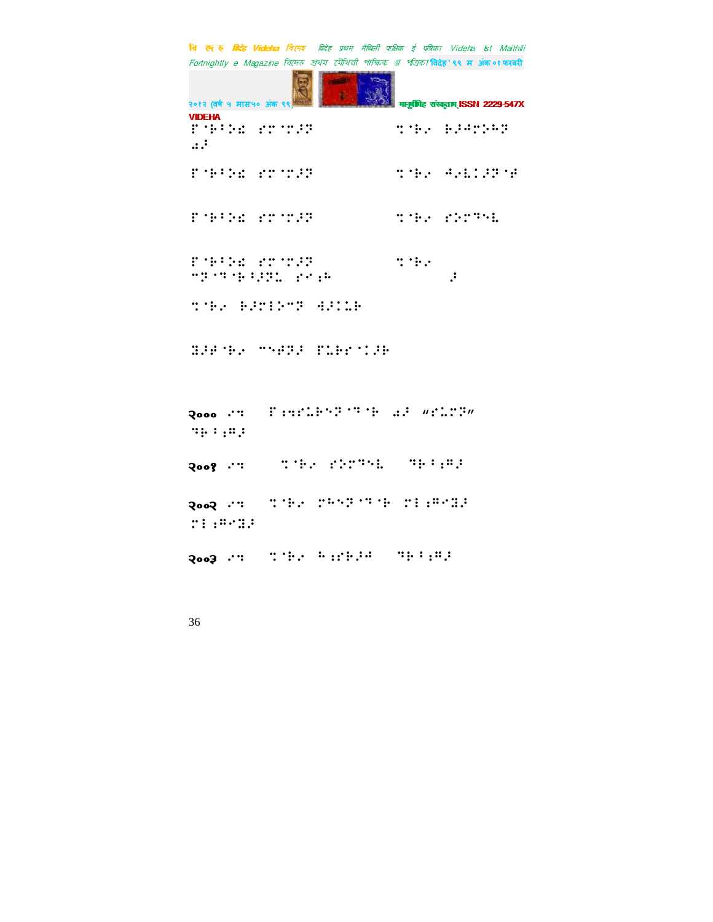**Address And Address** 

| २०१२ (वर्ष ५ मास५० अंक ९९)                                                                                                                                    | मानूबीमेह संस्कृताम् ISSN 2229-547X |
|---------------------------------------------------------------------------------------------------------------------------------------------------------------|-------------------------------------|
| <b>VIDEHA</b><br><b>POINT PRODUCT</b><br>$\ddotsc$                                                                                                            | <b>STAR BEATERS</b>                 |
| 819102 PROVINCE                                                                                                                                               | n me sellin                         |
| $\frac{1}{2}$ , $\frac{1}{2}$ , $\frac{1}{2}$ , $\frac{1}{2}$ , $\frac{1}{2}$ , $\frac{1}{2}$ , $\frac{1}{2}$ , $\frac{1}{2}$ , $\frac{1}{2}$ , $\frac{1}{2}$ | come strong                         |
| Portic Province<br><b>MONDAY CONSULTANCE</b>                                                                                                                  | n tre<br>$\cdot$                    |
| the bittet will                                                                                                                                               |                                     |
| <b>E.E.</b><br>$\ddot{\cdot}$<br>$\cdots$                                                                                                                     |                                     |

Rooo du . Penrikhtentik ad wriche ⢹⢷⢸⣐⢻⢼<! २००१ तथा जिल्ला योजना परिवार परिवार परिवार परिवार परिवार परिवार परिवार परिवार परिवार परिवार परिवार परिवार परिव<br>पुत्र प्रदेश २००२ तम । अपनित अस्ति अस्ति अस्ति । अस्ति अस्ति । अस्ति अस्ति । अस्ति अस्ति । अस्ति अस्ति । अस्ति अस्ति । अस्त 5⣐⢻⣝⢼<! २००३ तथा अधिकार सम्राट दिवा अधिकार समर्थ करते हैं।<br>राज्य दिवा समर्थ करते हैं कि समर्थ करते हैं कि समर्थ करते हैं कि समर्थ करते हैं कि समर्थ करते हैं कि समर्थ करत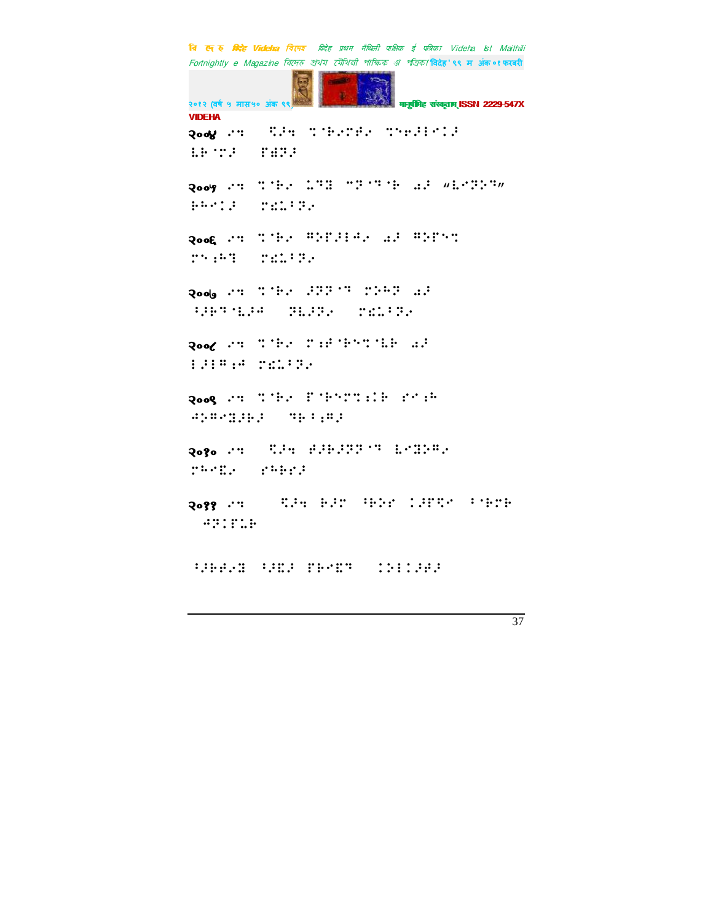चि एत् रू मिन्हे Videha निएन्थ विदेह प्रथम मैथिली पाक्षिक ई पत्रिका Videha Ist Maithili Fortnightly e Magazine বিদেত প্ৰথম মৌথিনী পাক্ষিক প্ৰ' পত্ৰিকা'<mark>বিदेह' ९९ म अंक०१ फरबरी</mark> २०१२ (वर्ष ५ मास५० अंक ९९) मानुषि संस्कृतिह संस्कृतम् ISSN 2229-547X VIDEHA २००४ ⢴⣒.!⣋⢼⣒!⣉⢷⢴⢾⢴!⣉⢶⢼5⢼! **LE TE - PAPE** २००५ ... THE 131 "I THE 11 METER. ⢷⢳⢼-!⣎⣅⢽⢴<! २००६ तथा अधिका स्थित स्थान प्राप्त ।<br>२००६ तथा अधिका स्थित स्थान प्राप्त । ⣐⢳⣙-!⣎⣅⢽⢴<! २००७ ⢴⣒.⣉⢷⢴!⢼⢽⢽⢹!⢵⢳⢽!⣔⢼-! ⢸⢼⢷⢹⣇⢼⢺-!⢽⣇⢼⢽⢴-!⣎⣅⢽⢴<! २००८ तथा अधिक अधिकारिक अधिकारिक अधिकारिक अधिकारिक अधिकारिक अधिकारिक अधिकारिक अधिकारिक अधिकारिक अधिकारिक अधिकार<br>जनसङ्ख्या 5⢼5⢻⣐⢺-⣎⣅⢽⢴! Roog en Tibe Piberrich reih ⢺⢵⢻⣝⢼⢷⢼-!⢹⢷⢸⣐⢻⢼! २०१० ८८ ऱाउँमा संस्कृतम् अपूर्ण सम्मान ⢳⣏⢴-!"⢳⢷"⢼! २०११ तपः अस्ति । स्टेष्टं स्टेटी स्टेक्ट स्टेस्टर्स स्टेक्टर्स । )⢺⢽2⣅⢷\*! ⢸⢼⢷⢾⢴⣝!⢸⢼⣏⢼!2⢷⣏⢹-!⢵5⢼⢾⢼!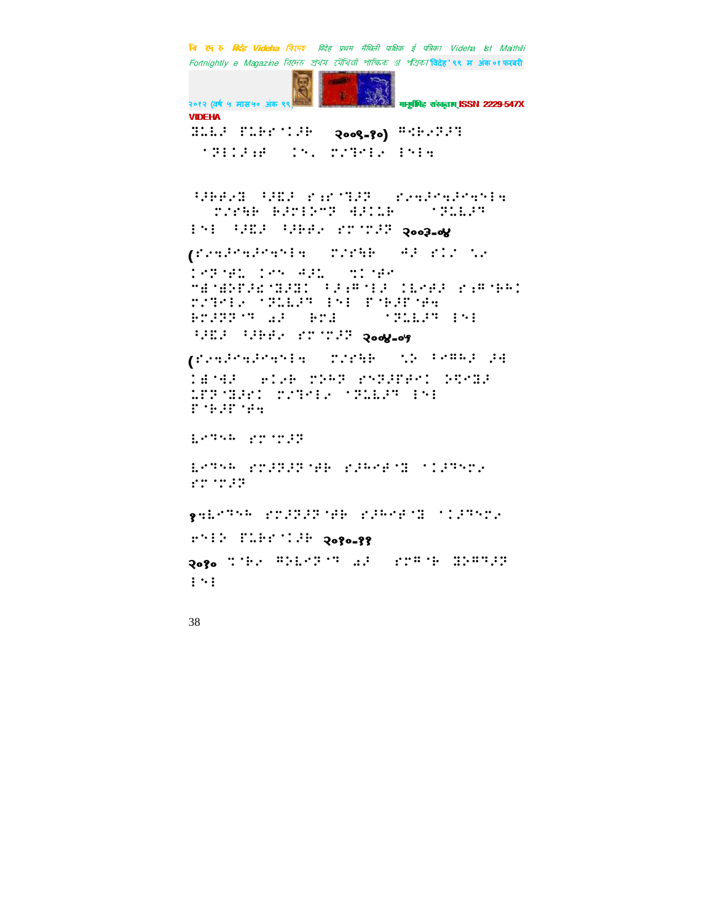

२०१२ (वर्ष ५ मास५० अंक ९९) मानुषि संस्कृतिह संस्कृतम् ISSN 2229-547X

VIDEHA ⣝⣅⣇⢼!2⣅⢷"⢼⢷!)२००९-१०) ⢻⣊⢷⢴⢽⢼⣙! )⢽5⢼⣐⢾\*!E!4⣙5⢴!55⣒!

BERGI BERGI BERGI BERGI BERGI BERGI BERGI BERGI BERGI BERGI BERGI BERGI BERGI BERGI BERGI BERGI BERGI BERGI B<br>DI SENIS BERGI BERGI BERGI BERGI BERGI BERGI BERGI BERGI BERGI BERGI BERGI BERGI BERGI BERGI BERGI BERGI BERGI -!4"⣓⢷!⢷⢼5⢵a⢽!⣚⢼⣅⢷;.!⢽⣅⣇⢼⢹! 55!⢸⢼⣏⢼.⢸⢼⢷⢾⢴!"⢼⢽!२००३-०४

("⢴⣒⢼⣒⢼⣒5⣒-!4"⣓⢷\*!⢺⢼!"4!⣁⢴-!

⢽⢾⣅!!⢺⢼⣅.!⣉⢾! a⣞⣞⢵2⢼⣎⣝⢼⣝!⢼⣐⢻5⢼!⣇⢾⢼."⣐⢻⢷⢳! 4⣙5⢴!⢽⣅⣇⢼⢹!55!2⢷⢼2⢾⣒!! ⢷⢼⢽⢽⢹!⣔⢼!(⢷⣜(;.!⢽⣅⣇⢼⢹!55!

⢸⢼⣏⢼.⢸⢼⢷⢾⢴!"⢼⢽!२००४-०५

("⢴⣒⢼⣒⢼⣒5⣒-!4"⣓⢷\*!⣁⢵!⢻⢳⢼!⢼⣚! ⣞⣚⢼.!⢶⢴⢷!⢵⢳⢽!"⢽⢼2⢾!⢵⣋⣝⢼! ⣅2⢽⣝⢼"!4⣙5⢴!⢽⣅⣇⢼⢹!55! 2⢷⢼2⢾⣒!

⣇⢹⢳!"⢼⢽!

⣇⢹⢳!"⢼⢽⢼⢽⢾⢷!"⢼⢳⢾⣝!⢼⢹⢴! ::::::

१⣒⣇⢹⢳!"⢼⢽⢼⢽⢾⢷!"⢼⢳⢾⣝!⢼⢹⢴! ⢶5⢵!2⣅⢷"⢼⢷!२०१०-११

२०१० ः निकालयात्राः अस्य अपनानाः अपनानाः  $\cdots$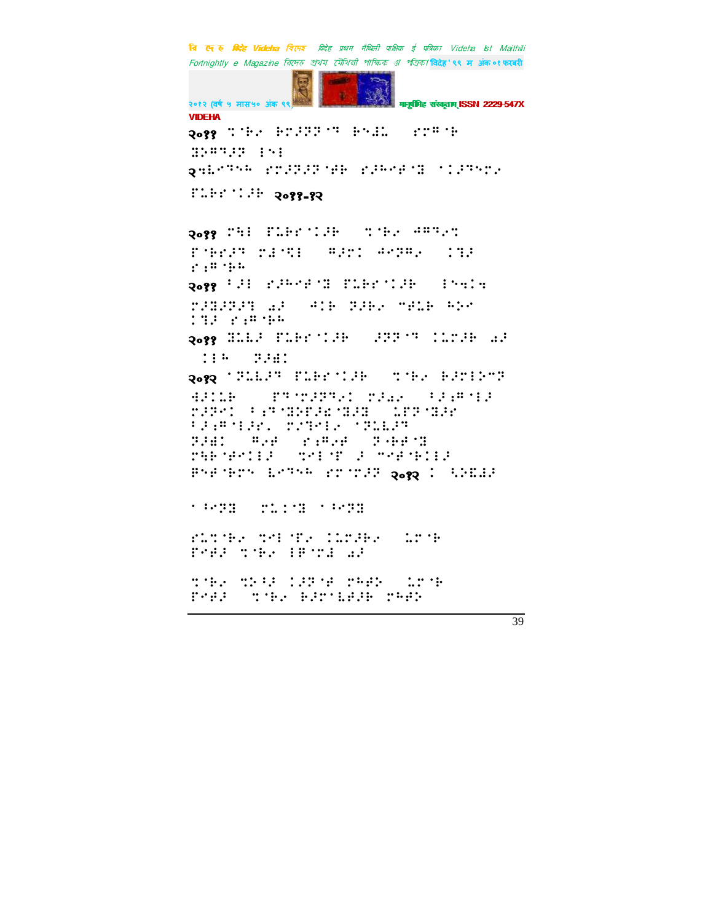मानूबंगिह संस्कृताम् ISSN 2229-547X २०१२ (वर्ष ५ मास५० अंक ९ **VIDEHA** 2088 TOES EMPRESS ENR. STRING HOWER 151 paletha craftarene caasech (1975r)  $f':':':':': \text{?} \longrightarrow \text{?}$ 2088 PHI FLEETIFE TOES SHOWN FOREST MESSE (#201 403#2 (132  $2.1433334444$ 2088 F.H. S.Herberg FLBS W.H. (19919) <u> 1999: 1999: 1999: 1999: 1999: 1999: 1999: 1999: 1999: 1999: 1999: 1999: 1999: 1999: 1999: 1999: 1999: 1999: </u> 132 r.#196 2088 HILLS FIRENCISE (SPP 78 ILDSE) ad  $\mathbb{R}$ :  $\mathbb{R}$   $\mathbb{R}$   $\mathbb{R}$   $\mathbb{R}$   $\mathbb{R}$   $\mathbb{R}$   $\mathbb{R}$   $\mathbb{R}$   $\mathbb{R}$   $\mathbb{R}$   $\mathbb{R}$   $\mathbb{R}$   $\mathbb{R}$   $\mathbb{R}$   $\mathbb{R}$   $\mathbb{R}$   $\mathbb{R}$   $\mathbb{R}$   $\mathbb{R}$   $\mathbb{R}$   $\mathbb{R}$   $\mathbb{R}$   $\mathbb{R}$   $\mathbb$ Roger (PLEP) FLEETIFF (TTEP) EPPIPTE **BOOK CONSTRUCTION CONSTRUCTION MARKET REPORTED AND MARK BEATHER STREET STARF** 330 Auf riag 3403 PARTNERS THE POST PRESENT Phenicipal Estate Schuler Ross I ADEER riche che di christiani di de POSE TORA IPOTE AP the the 1825 of the 1250 real the barieab rep

बि एक रु मिनेट Videha विएक विदेह प्रथम मैथिली पाक्षिक ई पत्रिका Videha Ist Maithili Fortnightly e Magazine রিদেত প্রথম মৌথিনী পাক্ষিক প্র পত্রিকা' বিदेह' ९९ म अंक०९ फरबरी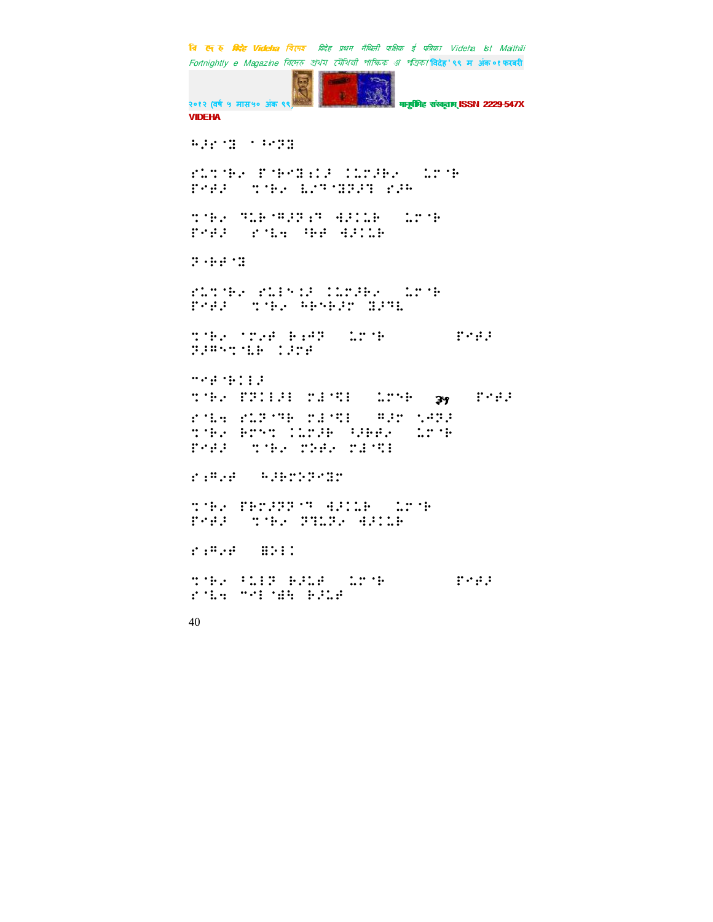बि एक रु मिनेड Videha विएक विदेह प्रथम मैथिली पाक्षिक ई पत्रिका Videha Ist Maithili Fortnightly e Magazine রিদেত প্রথম মৌথিনী পাক্ষিক প্র পত্রিকা **বিदेह' ९९ म अंक ०१ फरबरी County** २०१२ (वर्ष ५ मास५० अंक मानूबंगिह संस्कृताम् ISSN 2229-547X **VIDEHA Add 12 / 1972** FOR THE STORE OF STREET PART THE LITTERT FR THE TOP THE STATE OF THE real stag he affir  $7 - 11 - 11$ FLOTES FLENIS CLOSES (LOTE real who weeks HPS the tree easy with the feed **22852128 1228** the FPIER cante arms aw free role riform rached war tena the Bryt ClrdB GdBBe Lrob PARE THE THE TRITE rish alberten **THE PRODUCT BOOK OF THE** red to the run dist THE PLIP BRIE (LTTP) a na mata a ta shekarar wasan ƙwallon ƙafa ta ƙasar Ingila.<br>'Yan wasan ƙwallon ƙafa ta ƙasar Ingila. rim "Stimme Bank  $40$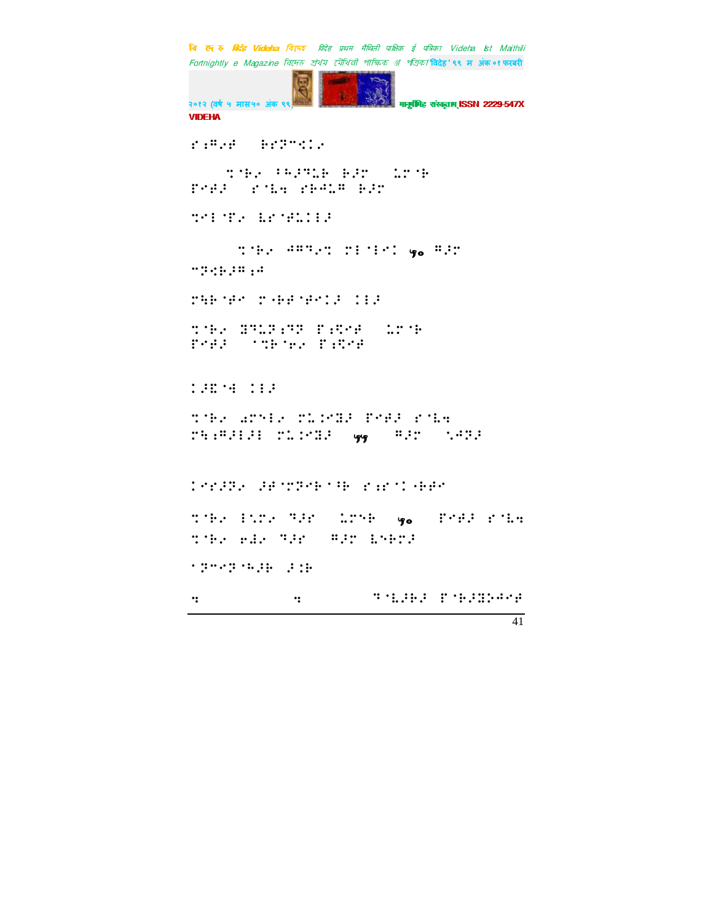```
चि एत् रू मिन्हे Videha निएन्थ विदेह प्रथम मैथिली पाक्षिक ई पत्रिका Videha Ist Maithili
Fortnightly e Magazine বিদেত প্ৰথম মৌথিনী পাক্ষিক প্ৰ' পত্ৰিকা'<mark>বিदेह' ९९ म अंक०१ फरबरी</mark>
२०१२ (वर्ष ५ मास५० अंक ९९) मानुषि संस्कृतिह संस्कृतम् ISSN 2229-547X
VIDEHA 
"⣐⢻⢴⢾!)⢷"⢽a⣊⢴*!
    !!!⣉⢷⢴!⢳⢼⢹⣅⢷!⢷⢼-!⣅⢷.!66-!
2⢾⢼.!"⣇⣒!"⢷⢺⣅⢻!⢷⢼!
⣉52⢴.⣇"⢾⣅5⢼!
      !!!!⣉⢷⢴!⢺⢻⢹⢴⣉!55-५० ⢻⢼.!
a⢽⣊⢷⢼⢻⣐⢺!
⣓⢷⢾.B⢷⢾⢾⢼!5⢼!
⣉⢷⢴!⣝⢹⣅⢽⣐⢹⢽!2⣐⣋⢾-!⣅⢷.!56-!
2⢾⢼.!⣉⢷⢶⢴!2⣐⣋⢾!
⢼⣏⣚.5⢼!
^{\prime} The article ^{\prime} Theory Free School
⣓⣐⢻⢼5⢼5!⣅⣈⣝⢼-!५५-!⢻⢼.!⣁⢺⢽⢼!
"⢼⢽⢴.⢼⢾⢽⢷⢸⢷!"⣐"B⢷⢾!
S. The Post office of the Society of the Society of the Society of the Society of the Society of the Society of
⣉⢷⢴!⢶⣜⢴!⢹⢼"-!⢻⢼!⣇⢷⢼!
⢽a⢽⢳⢼⢷!⢼⣈⢷!)!
\alpha
```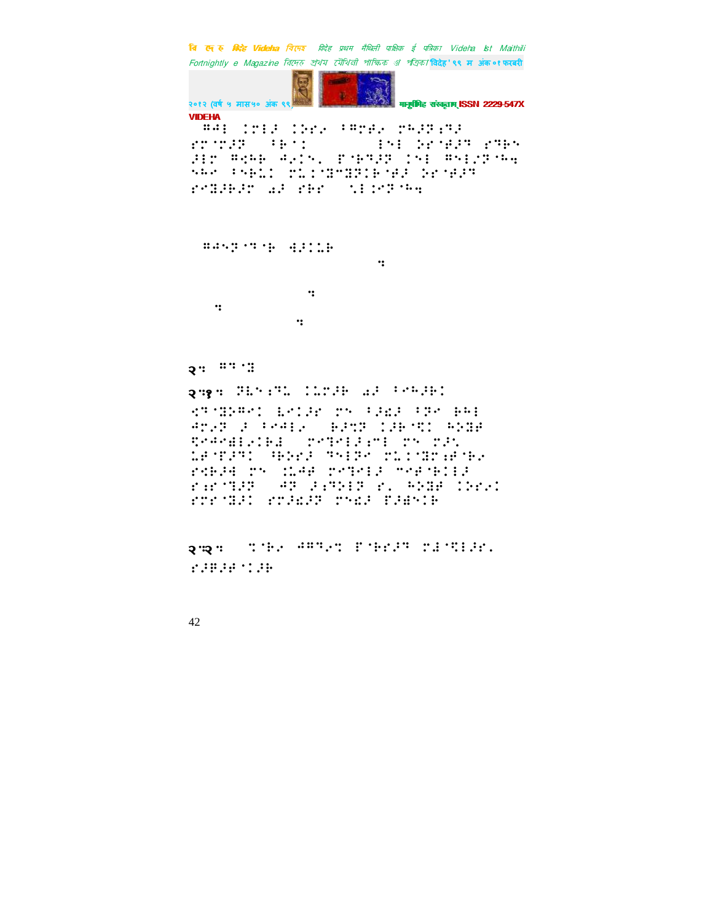

#⢻⢺5!5⢼.⢵"⢴.⢻⢾⢴.⢳⢼⢽⣐⢹⢼! "⢼⢽#!⢷⣈!3122!55!⢵"⢾⢼⢹!"⢹⢷!  $\overline{311}$   $\overline{5}$   $\overline{9}$   $\overline{9}$   $\overline{9}$   $\overline{9}$   $\overline{9}$   $\overline{9}$   $\overline{9}$   $\overline{9}$   $\overline{9}$   $\overline{9}$   $\overline{9}$   $\overline{9}$   $\overline{9}$   $\overline{9}$   $\overline{9}$   $\overline{9}$   $\overline{9}$   $\overline{9}$   $\overline{9}$   $\overline{9}$   $\overline{9}$   $\overline{9}$   $\overline$  $\frac{1}{2}$  . The state of the state of the state of the state of the state of the state of the state of the state of "⣝⢼⢷⢼!⣔⢼#"⢷"#!⣁5⣈⢽⢳⣒!

!⢻⢺⢽⢹⢷!⣚⢼⣅⢷! hekawiefiburie banden die banden van die banden van die banden van die banden van die banden van die banden va<br>Die banden van die banden van die banden van die banden van die banden van die banden van die banden van die b ius (10xxx nbjurijm) in die staatsbotte verwys van die staatsbotte verwys van die staatsbotte verwys van die s high control of the control of the control of the control of the control of the control of the control of the control of the control of the control of the control of the control of the control of the control of the control  $q_2$  and  $q_3$  if  $q_4$  if  $q_5$  if  $q_6$  if  $q_7$ 

# $2: "$   $"$   $"$

२⣒१⣒!⢽⣇⣐⢹⣅!⣅⢼⢷!⣔⢼.⢳⢼⢷!

⣊⢹⣝⢵⢻!⣇⢼"!!⢼⣎⢼!⢽!⢷⢳5! ⢺⢴⢽!⢼!⢺5⢴0!⢷⢼⣉⢽!⢼⢷⣋!⢳⢵⣝⢾! SHAND SHOW OF STATE OF STATE OF STATE OF STATE OF STATE OF STATE OF STATE OF STATE OF STATE OF STATE OF STATE O ⣅⢾2⢼⢹!⢸⢷⢵"⢼!⢹5⢽!⣅⣈⣝⣐⢾⢷⢴-! "⣊⢷⢼⣚!!⣈⣅⢺⢾!⣙5⢼!a⢾⢷5⢼! "⣐"⣙⢼⢽0!⢺⢽!⢼⣐⢹⢵5⢽!"E!⢳⢵⣝⢾!⢵"⢴! ""⣝⢼!"⢼⣎⢼⢽.⣎⢼!2⢼⣞⢷!

२⣒२⣒!!⣉⢷⢴!⢺⢻⢹⢴⣉!2⢷"⢼⢹!⣜⣋5⢼"E! "⢼⢿⢼⢾⢼⢷!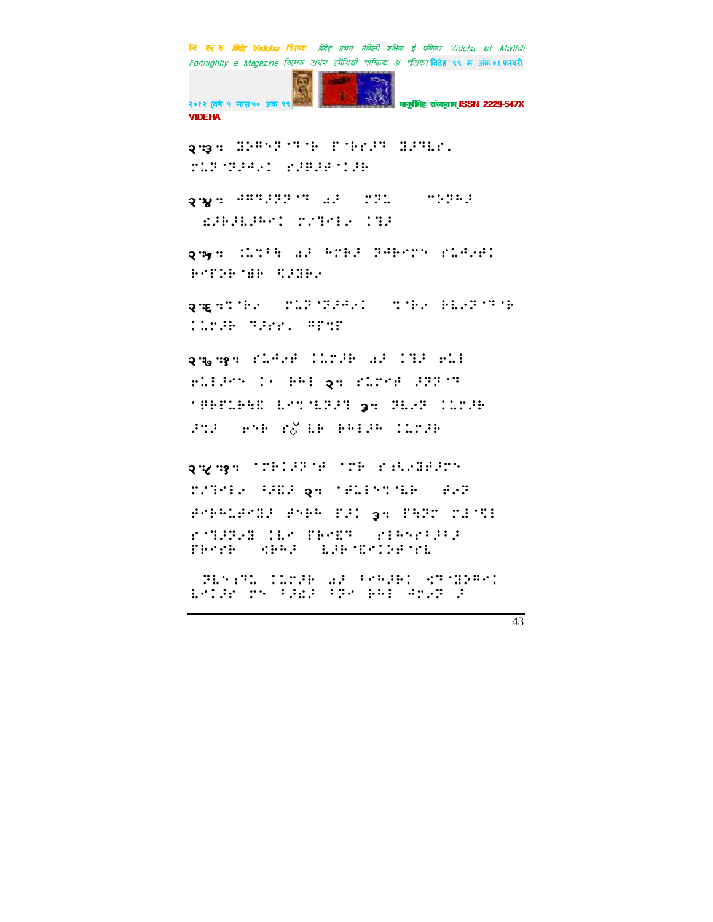

2525 HPROVER FORCE HANGE. **MINIMAL REPRODUCT** 

2329 88722277 AP 221 231 23282 EPPLPHI MARIA ITA

gege Minth al Fred Person Flere: **BOOK CONTROL** 

graduated and defend a many selection is

goment flowed flates are fire sir FLEREN I: PRE QU'ELDER REPOR

**CAMP MARY, WPSF** 

**THERE ESTATE 34 HEF COSH** FOR THE POINT PRIPE COOPER

gazage (1961-2216) the collection TURNEY WER QUOTELETIES FUR Presidente dres pel ga padr ringi ricos de cent ributio rest see and the service

TENGTL CLEAR AS PRESED RTMERED persented that the part and it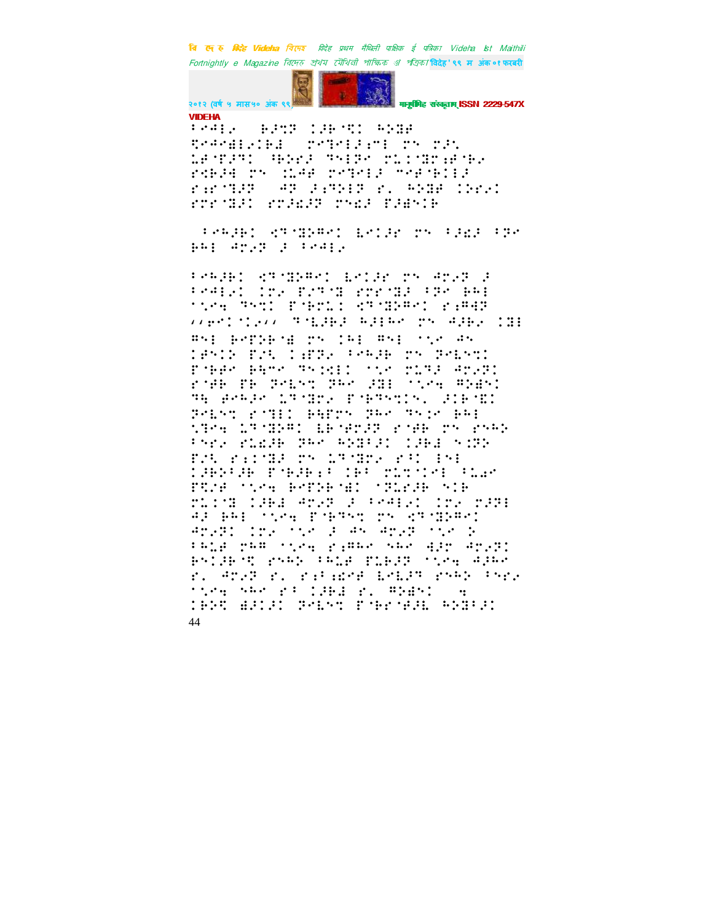

२०१२ (वर्ष ५ मास५० अंक ९९ **VIDEHA** 

मानुबंधिह संस्कृताम् ISSN 2229-547X

800 100 100 100  $1.344 \pm 0.001$ Conditional potolicity policy LANDARY APPEAL ANDRE CLIMBOSHOP rdele no dies notota moscalla rents and ship rough this FTF WALL FTAGAR THEN TABMIR

**SPARE: RTMBPP: BRIEF TY FREE FRA** par are possible

Pended Struckers Erdde by Abyl d President from the control from East **TOM THIS EMPLI RTMERT FIRE** Wentily This Side and the Side (Sid BNE BRENEYE TN IRE BNE SNR AN **TANING TILL I ATTEN PROPERTIES TO TALLARI** Pompe mass synchronic rush area: roge proportion packed in constant TH PORPOITING POPTYTING SIRCE Print rill Barry PAR Type BA: the Crocks: General Poek to Poek they shall be evaluated with FM PHIMA TH LAMARY PAI 191 **TREPAR PORTHER IN TESTING PLAY** FRIE SCAN BATTESNED STRIKE SIB rich (Sea Aran Foreia) (Ma r20) AF BRI TONA EMPROY DO STMERRO ATARI ITA TIK 3 AN ATAR TIK P PALE TAR Strap PiRAP SAR GRT ATLED BATHAR PAR WALE PLEND (NAP 414) r. Anglic, riture belig radio tara ting the produced where  $\ddot{\phantom{1}}$ **THIS ARTIST THENT POINT AND STAR**  $44$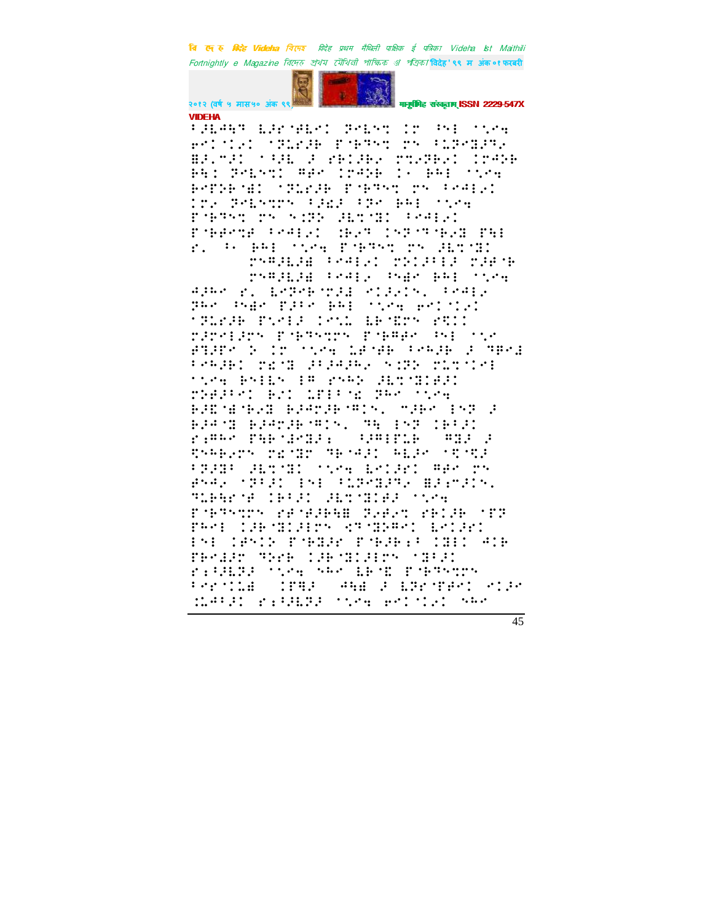

मानुबंधिह संस्कृताम् ISSN 2229-547X

#### **VIDEHA**

२०१२ (वर्ष ५ मास५० अंक ९९

FREART ERPORTS POINT IT THE TIME FOINING TERRIB POPTER OF SIPORTS BRUTAI (1986) A PRIARCHOVARCH (1992)<br>PAIL PHONIC MAR (1992) IV PAIL (1994) POTERNEL CRIME FORTST TS PORTS! Ins Persons that the PRI sich POPPY TY SORE HOUR POBLE POBROS PORTAL SEAT INFORMERS PHI r. 8 BB: 1154 F1B351 TN HE13E ryshing french rolling refer

rysgical teach symposium cien Albert E. Belekerik etleta. Peak. PRO PSAC PROC PRESSION ACTIVITY **TREAD POSES ISLE EDGES FRID** ranglang pobygny pobygg (g. 19 PROPOS IN MAR LEARN PARK 2 MORE Person red standard with ringies tice Print in root Hardfield rieleichen under der Stra BADYEYBAD BAHYABYAYN, MABY 152 A blend blenzbimin, me fræ 1652.<br>Vimer Pabrikansi (spmffib) mos 2 SMARING TENDS REMARK ALLES OR SER FRABA ABSABL SCAN BALANI ARA SA President productions are the TERRY CRIPS ARTICLES TON Pobanovné předbohu dvěvo přídě nad PROFILEMENT CROPPED ROCKS INE TANTA PARAK PARKER TRIT ATA TRIED THE CHAINERY SHIP rights the second reports Protoka (1883) And 3 Educator right MARRI PERBENT TOTE ETITLE SAT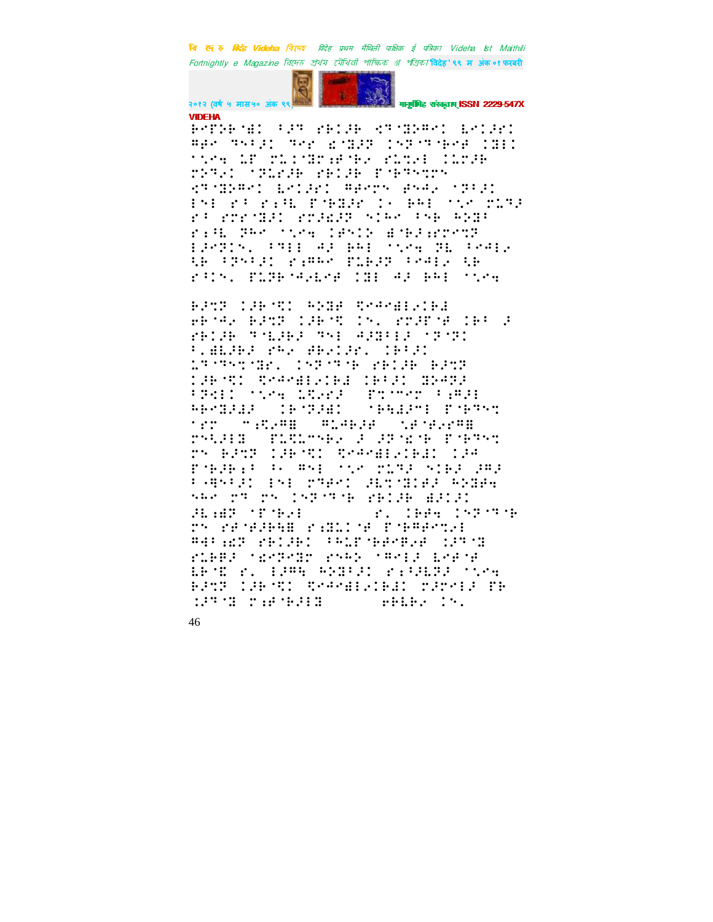

२०१२ (वर्ष ५ मास५० अंक ९९)

मानुबंधिह संस्कृताम् ISSN 2229-547X

**VIDEHA** BRIGHT FOR YELLE RINGERI BRIGHT Ben Shiel She Romer (5375-858 (MI) these are paintered the states (table TIME THAN HIM FIFTY enchronic herser waves associated INE PROPER PORTE IN PRESSURE ra rordha roadh sias ase ann. rill Per the Canda diagons EPSING PREPAR BAL SAME RECENTS

th Christ Pamer Pince Craft th rath, PLPB welch (HE AP BAE Stock

BRY CH'S WAR SAAMBADE HETAY BING CIBON IN, POINTS IBC C SECOND REAGE REPORTS TO THE SAME AND STATES F.BL/B2 PR/ BB212P. IBF2 STORY WE THE THE SELFE BRUE 196791 SPAPAL2161 16591 SPARA FRED TONE LEWIS STORY FEMI REPORTS INTER TRAINS PRESS ter manage graphe seserge rythi fither a space repy rn Bang (abin) Creedbalk (ae PORTHAIN BOOKS TO TEST SIRE PRE PARTIC ENE PAPT JETTELAJ ROBA SAR 27 28 1827738 28128 82121 B. S. T. S. S. S. **CONSTRUCTION** ry regeles rannye byeerdi ##FWS YBLAN (#WPYBPBP# 12778 ribes margraph robb ments breng ERSE P. 1285 SYBLED PIERRE SYS BROT LEFT COMMERCEE CROSS TE **AND THE TELLS** rhib. In.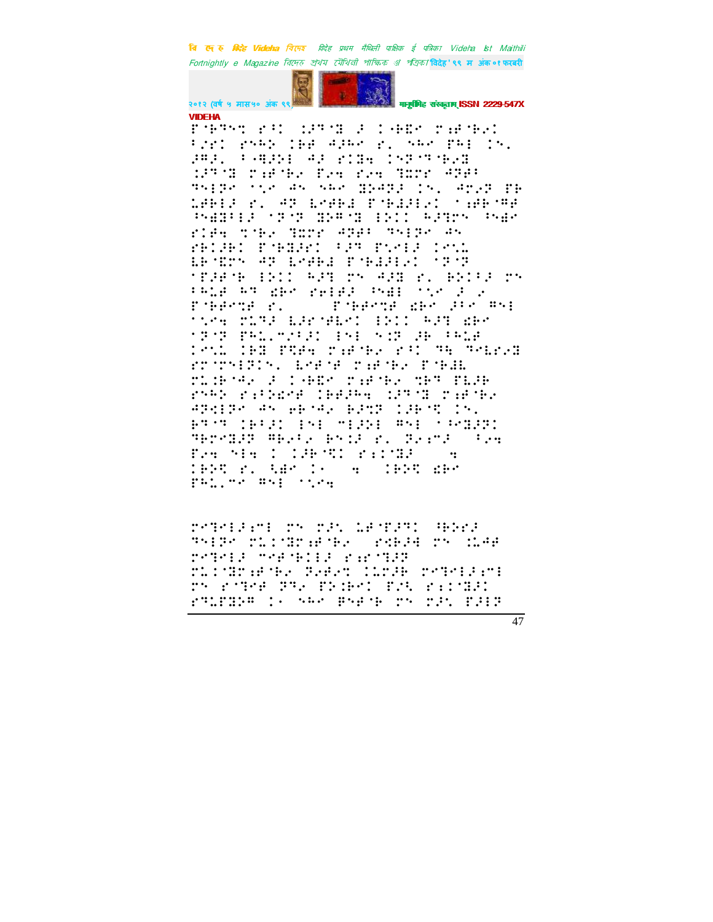

मानुबंधिह संस्कृताम् ISSN 2229-547X

#### **VIDEHA**

२०१२ (वर्ष ५ मास५० अंक ९९

PARKS FROM RESEARCHER PHONE Pred real definition runner paints. 282. FHRDE 42 PINH 15777620 SPERINGEN PARTNER TOOK APPE The project of the same graph (the same pa LARIA EL AP LEARD PORDAIXI COARONA PARTIE 'P'P REP'R (PII REP' PAR ridge the Torr Adda think an PRIJED PORIJED (PP PVBJ 1851 LE TETS AT LANEA FARING (TAT MERCH INI APP TH APP P. BNJA TH PALE AT WHO PHIER PAID TOOKS. Pobenski komunističnih postavlja ting class askigant (pit Ast Wen **MEMPERS MARKET ENERGY SERVICE** cri de foe serve et pe me rromagin, before rather form. ride was a competing the sprogram rnh rithre (BBP4 19778 riftb APAIRS AN WESAN BING COBST IN. PTOT IPPED INFOSICES: THE CONSEN METHIN MESSA BRID E. NaiTA (Sag Ter March (1889) SaidBa IBRE P. REM IX (A) IBRE BBM PRLINK #51 (129

redefined by rin Langing Gamer THIRD TO CONTROLLED SHEET TO COST 777913 77878113 FAT7133 riche and fact tire repose ry right BR. Erden EN. Fridan FALERY IS NEW BYFIE TY TEN FRIP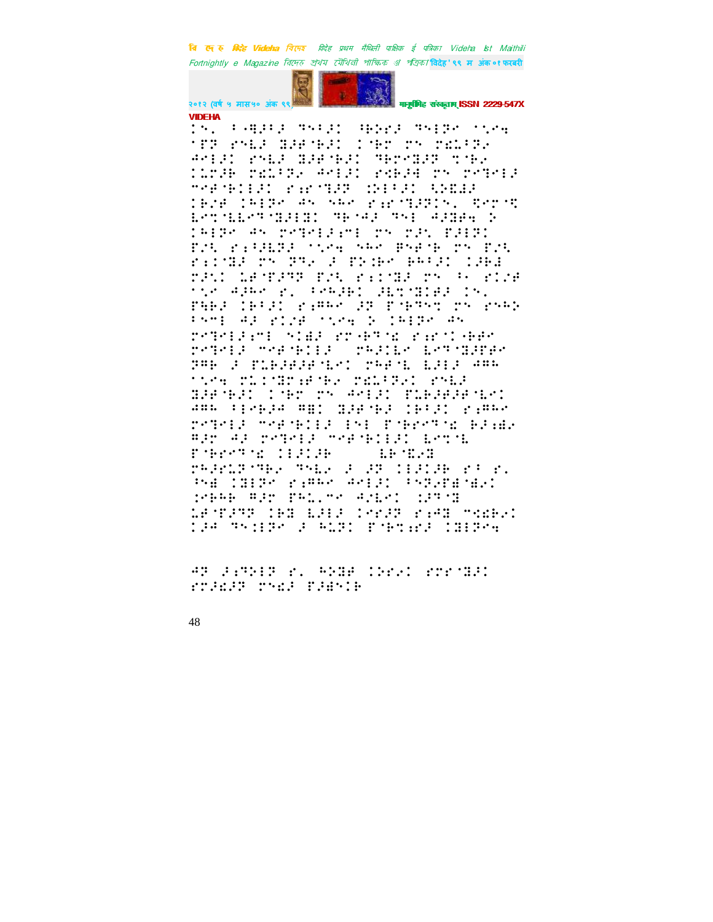

२०१२ (वर्ष ५ मास५० अंक ९९) **VIDEHA** 

मानुबंधिह संस्कृताम् ISSN 2229-547X

In, Pagera Mnrai Abbel Mnrain Sing **TEP PALE BEFREE INFORMATION** AMIS PALE BEFORE TERMIN TOEL TIMAR MAISRA AMBAI RABAH MA MATMBA medicalist papilitis (1999) states TEMP TREPA AN NAM PAPINERIN, RATIO ESTALFANDEL APSE AS SERVICE IREP AN POPIFIED TN TEN FRIB P.S. PARRIER STAR SAR PSPECIE PS P.S. FILMS THAT SATISFIES THIS CONF MANI LESPARA PAR PARTIR MA ARTICH the Albertal Peblic Showman In. PARE CRISS FIRM AT PORTST TO PORT PAME AP RICH STRAUD INFORMAN POPOLETE SIAR PROPER PARTICUMES POPOLE TOP RILE ( PREILO LOTORERO PRE 3 PLEADAR NET PREMI LOLP ARE niche stichterafite statifiel ander<br>definel inter snowniel stielfelendel amb field mo diding this rambe retena medianna non riageric agus. **Add Ad provide mrembildi lromi** POSSED INTE **ALL TEAM** PREPARTNED NYED I SPOIFFIED PROP. The Cooper Pippe Anost Prospectus SPEED WED PROUDS WORKING OFFICE LA TITTE (160 LIFE (2013) P.AG TREES tag mengan atau pinang natang pe

AP JERED E. ANDE INGLISTEN FTERF THE TERMIN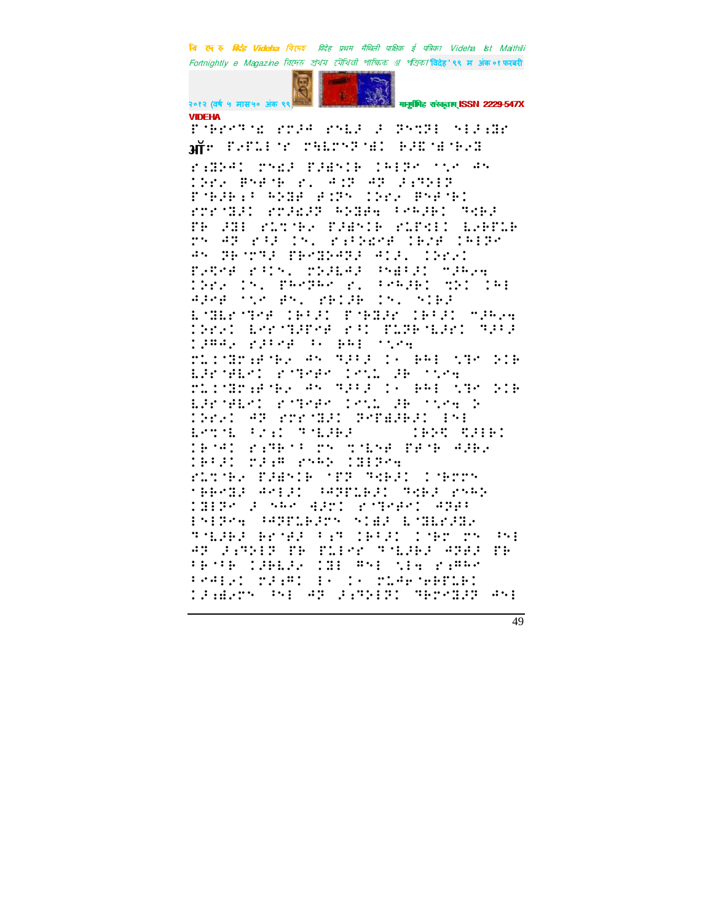ramen ran famik (Alpo to as <u> 1910 prese di Adrian alterna</u> PORTHING AND ANYWAY PRESEN rrethal erach synes (esemer mema FR PHI PLTTRY FRAMIN PLFMII APRILR <u>The Allegean Company of The Company of the Company of The Company of The Company of The Company of The Company of The Company of The Company of The Company of The Company of The Company of The Company of The Company of Th</u>  $14124$ as despoi desdrada ana (non) PARKE PAIN, PRAWAR PHELED MARINE There in, PREPRE e. Person which in APPE TO BR. PRIPE IN SIRE L'HATTER (BIJ) P'BHAT (BIJ) MARA Geri bergunen ru nomenari <sup>g</sup>u<sup>i</sup>j 19842 PROF B. BRE Stra AZTIKA EZITEN ILETEA ALTEA<br>INGILIARIAKO ANTIKAKO IKUBAETAIKUAIK ERSTREAM BOTHER CROL RECOVER richereng an mag is earling bie EACHERI KOTEAN ISLE AR ONG D toret av hrhund vänliket isk ESTAL PRED PALERE (Prac Pigera ny nyina pana agay 19531 23:8 2552 188254 riche Basik (Broadlichers 'PROSE AMISI (ASTIBUS SARD 25A) THING I SAR AND STRAKT AND D PSPM WPDBPM SIN BJB200 TALBA BEAR FROM CREEK CAR THOUGH AN SANIN MARINE NAME AND TH PROP LANDA INFORM SERVICE Predict diaget de la diversier mediaet 13.A.Th (h) 45 3.92131 9674135 451

मानूबंगिह संस्कृताम् ISSN 2229-547X **VIDEHA** Poheemon role roll 3 Mondi officir Wr. Permane rangered all almost





बि एक रु मिनेट Videha विएक विदेह प्रथम मैथिली पाक्षिक ई पत्रिका Videha Ist Maithili Fortnightly e Magazine রিদেত প্রথম মৌথিনী পাক্ষিক প্র পত্রিকা **বিदेह' ९९ म अंक ०१ फरबरी**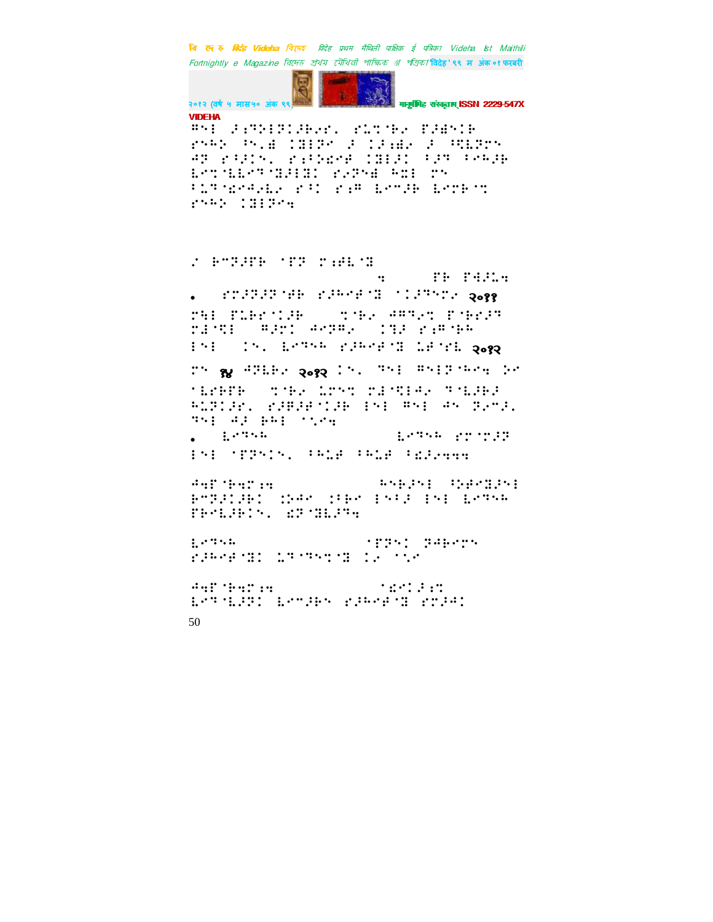

मानूबंगिह संस्कृताम् ISSN 2229-547X

#### **VIDEHA**

#51 FRYINIANA MATAN PARTE ryky (s.e. 1832) 2 lieb 2 (SB22) AP PARTS, PAPERNA INFRI PROPER ESTALSTARIE SPREAME TY PLT median (2011) 2018 Edmond Edmont rysp 13:304

## **THORSE YES THE T THERE**  $\dddot{\mathbf{r}}$ . 2007-00-00 2009-00 100000 2000 **THE TIME TIME STATE STATES SERVIT** richi "Alri Avra, "Ini Piacea The Estate Pleasent Lend gogs  $\mathbf{1} \cdot \mathbf{1}$ The syndhim respective that distribute the **TEPHPH TORY CONT CENTER TOERS** PLEIBS KARAFIAE ESE PSE PS PAMA.  $T^*$  :  $T^*$  :  $T^*$  :  $T^*$  :  $T^*$  :  $T^*$  :  $T^*$  :  $T^*$  :  $T^*$  :  $T^*$  :  $T^*$  :  $T^*$  :  $T^*$  :  $T^*$  :  $T^*$  :  $T^*$  :  $T^*$  :  $T^*$  :  $T^*$  :  $T^*$  :  $T^*$  :  $T^*$  :  $T^*$  :  $T^*$  :  $T^*$  :  $T^*$  :  $T^*$  :  $T^*$  $\mathbb{R}^{2n}$  in the figure ESTAR PROPER  $\bullet$ PH TERMS, PALE PALE PERSON **Auf** Thurse Seeking Specific BMPALARI (1540) 1960 1993 1913 1913 A PERSENT STREET **MIPME PARADY**  $\mathbb{R}^{2n}$  is the set of  $\mathbb{R}^{2n}$

Parango ing provinsi Sang

 $442.494244$  $\mathcal{L}$  :  $\mathcal{L}$  :  $\mathcal{L}$  :  $\mathcal{L}$  :  $\mathcal{L}$ ESTALITO ESTIPA VIPAPANE VOIAD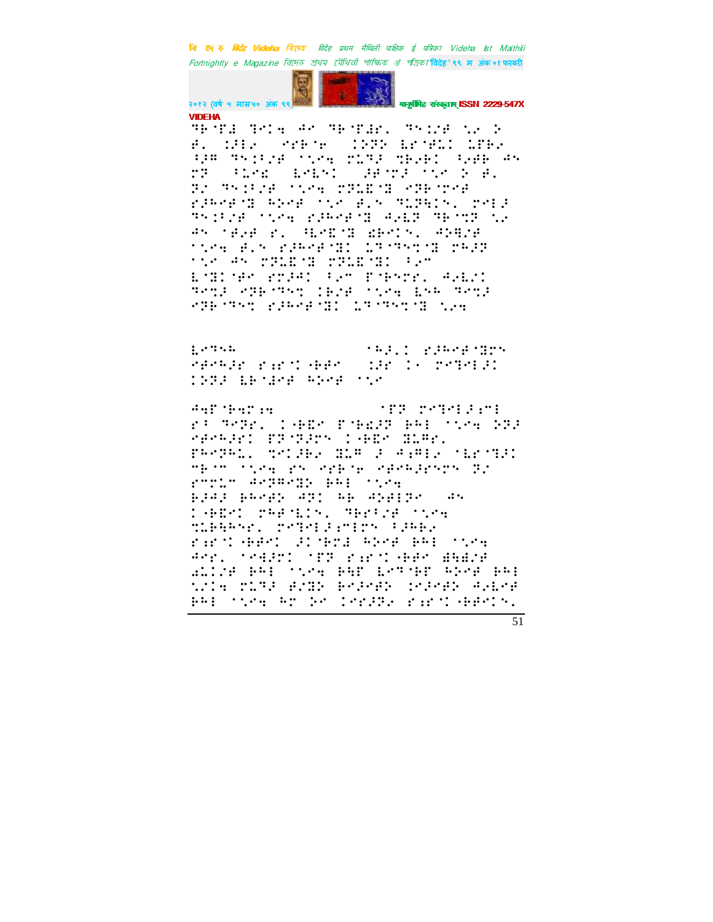

२०१२ (वर्ष ५ मास५० अंक ९९)

मानूबंगिह संस्कृताम् ISSN 2229-547X

#### **VIDEHA**

HETERNIA AM HETER, PRIME NA S F. 1912 (School 1985 Erofil LTB2 BE TRIED MAN TITE TEAP BANK AN **SALES LEADS SHOPP TO PART**  $:::$ BY THING TIME FRIEND WORTHAM FRAGAN ANG TOT BIN MURIN, MGB Things the parent fair Truth to An idea r. Archimedin, Avard tice B.S place di 13 dans di pale the secretary reards the ESHISHS RTAAL FOR PSPORT ANEXI TON OFFICIAL IRAP CASE ENR TON **PERMIT PERMIT STORY STORY SAM** 

 $15211.225993325$  $\mathbb{R}^{2n}$  in the field of  $\mathbb{R}^{2n}$ rente rancher (dr.1) regele: 1933 MB MPA ASPA TOP

**THE PERMIT OF**  $442.2442...$ ra angri l'Ambrighmedge Bellining 1993 PAPPART TRONGER IGHER HIPPI PROPRI TOIRE HAR FRAMES CAPTED me the times and easily easily approach dir FULL SEPRED BRI 1504 8242 BRABY 421 RB 458128 (45 Samban dagan sebagai dan sebagai dan menjadi sebagai dan menjadi sebagai dalam sebagai dalam selasai dalam seb tibber: reprisenter tamp. ranteen Schriebergebergen Argent Stagen: **STORY SECTION SERVE** alize by: the bur lefter when pay tria riggi erdi espegi pspegi guere PRESSURE ROSE CREEK PART REMOVA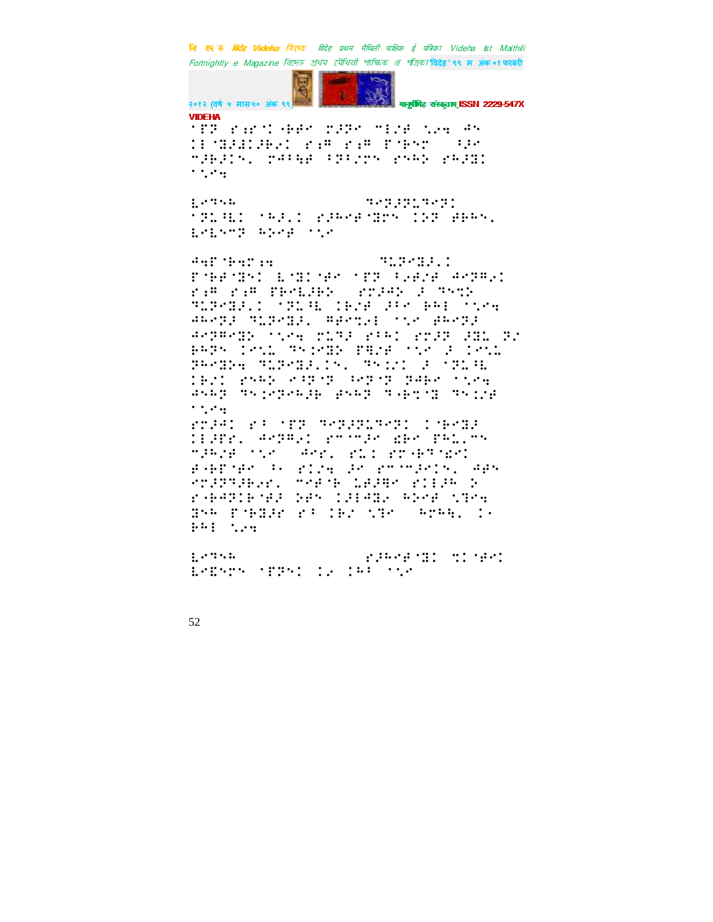

मानुबंधिह संस्कृताम् ISSN 2229-547X

#### **VIDEHA**

२०१२ (वर्ष ५ मास५० अंक ९९

TER PARTIGHER PRES MICH NAW AN **IS MARINES YOU YOU FANY SAM** manath. refer freem root road  $\gamma$  ,  $\gamma$  ,  $\gamma$ 

 $L$  and the set of  $L$ 3-33313-31 **TRUBE TREE PERMETER INF BRANC** Especial apertures

 $447.1447.14$ PORTUGAL ESTIMATORS PARAR ANTEAL rif rif Tenger (rrag a type SLEMBER MELH, DEMELHAN BRENNING ARRIE SLIPER, SARRIE STR ARRIE akomkons (1924) otoga eras (eolog lood ook<br>1885 : Poli (55 pedis 1962) onte la 1991<br>1890: Albertalists, costitucal control 1821 rek kandina ang napis ting.<br>Ang anggang pengunang angga  $\mathcal{L}^{\text{max}}$  ,  $\mathcal{L}^{\text{max}}$ 

FTPH FF THE PERRIPENT INFER DESERV ARTAGO ROOMSK WER PALION making the same, which researched BARTAR POSTIN DR EMIMININ, APP POSTABLE TREAD LEARN FILAR D r (64216-52) 585 (13140) 5588 (1386 BAR PARRE PROTECTOR (APARL 1)  $1.41 \div 1.41$ 

 $\mathbf{g}_1$  , and the  $\mathbf{g}_2$ **ROBERT STORE** ESERGY SPRYD IS INFORM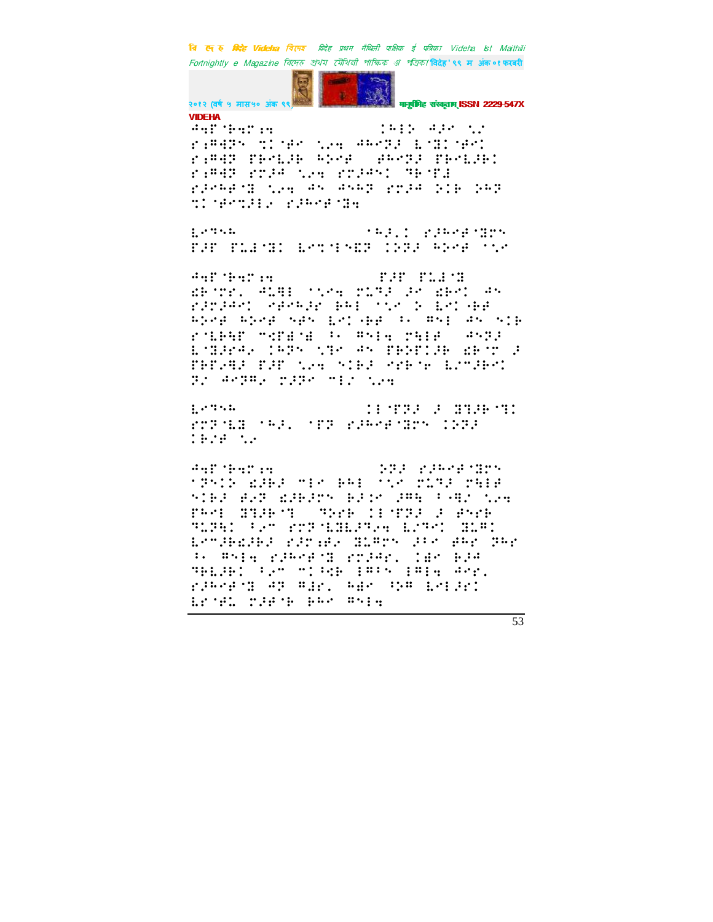

२०१२ (वर्ष ५ मास५० अंक **VIDEHA** 

मानुबंधिह संस्कृताम् ISSN 2229-547X

 $441.141.141.14$ 1912 APP 12 ramage of you was specificated and ramar ferdig sore, asrra ferdigi raman rolm tha rolms: media richers the second response to the 197 ti detill ribedith

 $L$  and  $L$ **SALL PRAFTICE** FAP PLEMI ESTMAND INDE BROW MAS

 $442.442.44$ THE TEAM ERSTEL ALBE STRAG TITE IR ERST AN ranaet eachar Bhilline Scheller 8008 8008 585 101-88 30 851 35 518 riber schede ( #sig rele #spr ESBARA (APROSE ARCHAELIA ERSECA PRESNA PAR NOW SIRA SPRING ESTARC Br Anda, padn mir tam

 $\mathbf{L}$  and  $\mathbf{L}$  and  $\mathbf{L}$ **:::::::::::::::::** FTF 113 (1931) 1978 FJ9641375 (1973) TESP NA

Auf Gufin **SOURCE SERVE SERVE TRYIN BREAKTER BREAKS TO TOPA THER** SIER BAR WARRY BRIM APR FARM WA PROF BRAKER SPACE IFORD A BRAK RIPEL FOR STRAINEROW ENRY  $\mathbb{R}^n$ ESTABAGES PARTNER HUARTS ARE ARP TRE To White riberton roller, lar bid HELPET COM MICHE BROW BRIG ANY. runger ar mir, nas com isile: Ending with the state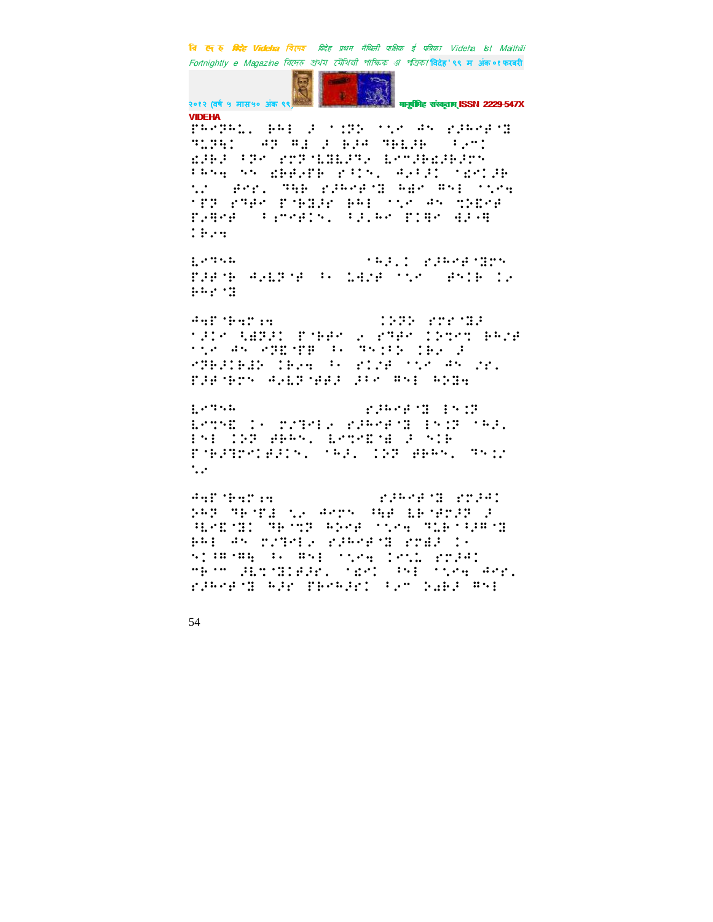

मानूबंगिह संस्कृताम् ISSN 2229-547X

#### **VIDEHA**

२०१२ (वर्ष ५ मास५० अंक ९९

PROPRIS BREAK ON TREATMONT PLEASEOR TORE AN HE PARA THERE IST EARS TRANSTORERS ENTARGERY PRSA SS ERRATE PRIS, AVRIL SESIPE tro Berl Mak rakers and War ties TER PRES ESHIER BAILING AN MOBSE PARAM (Paradis, Palen Pira Adar  $: 0.001$ 

 $\begin{minipage}{.4\linewidth} \begin{tabular}{l} \hline \multicolumn{1}{l}{} & \multicolumn{1}{l}{} & \multicolumn{1}{l}{} \\ \multicolumn{1}{l}{} & \multicolumn{1}{l}{} & \multicolumn{1}{l}{} \\ \hline \multicolumn{1}{l}{} & \multicolumn{1}{l}{} & \multicolumn{1}{l}{} \\ \hline \multicolumn{1}{l}{} & \multicolumn{1}{l}{} & \multicolumn{1}{l}{} \\ \hline \multicolumn{1}{l}{} & \multicolumn{1}{l}{} \\ \hline \multicolumn{1}{l}{} & \multicolumn{1}{l}{} \\ \hline \multicolumn{1$  $\mathbf{1},\mathbf{2},\mathbf{3},\mathbf{4},\mathbf{5}$ FARME AVERAGE POSSERED MAY SERVED DY  $1.4.4.4$ 

**Auf** thur in **CONTRACTOR** 1918 ABRAL ESBAN 2 27AN 19757 BAZA<br>1920 AN 2002DE POSTAGES 1B2 9 PRESENCIES (P. P. PINE TO AN IN. FRAMES ARESARE DISTURY AND

 $\mathbf{L}$  and the function of  $\mathbf{L}$ FIRME IN 15 17 ESTAR IS TITULA PRAGHAR PART SAR. PRESENTED BANK COMMENT CONTROL PORTECIALLY ONE INFORMATION  $\dddot{\phantom{0}}$ 

 $442.2442.44$ **Separate Section** PAR SEMILLER ARTS SAFEKER AND HERBYST TEMPS ANGEL MORE TEEMISENS PRI AN MINER RAPPANE RMEA IS sidene, do esi cine l'hil prael<br>mech alcollage, cant chi cine enp. rdaring adr paradri tem buad mem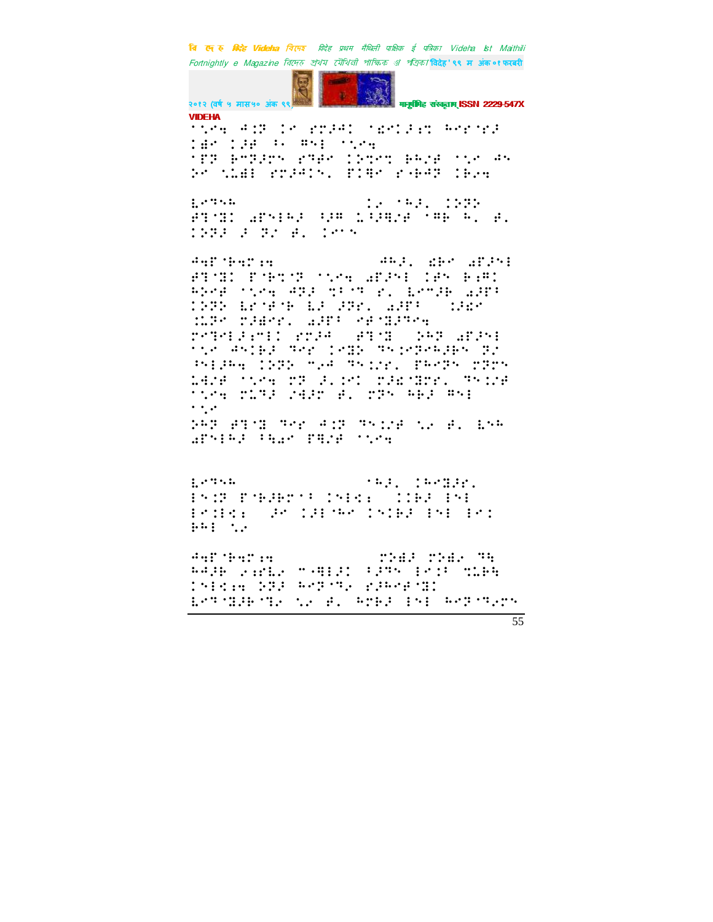

२०१२ (वर्ष ५ मास५० अंक ९९ **VIDEHA** 

मानूबंगिह संस्कृताम् ISSN 2229-547X

Time Add in profession (Additional 188 188 P. #51 1584 TER BORGON ENGO CROOS BRIGHTS AN So that grade. Figs goods ince

 $\mathbb{R}^{10}$  . The set of  $\mathbb{R}^{10}$ 12 MART 1998 FINISHE UP SUBSCRIPTION 1933 3 32 8. 1875

**AAP SHOWER** Abl. dbr dift: FINI PATT MAR ARPH 185 BAN Rode tidle Add not have bende ward 1989 ar Gobla Ger, Gefr  $\mathbb{R}^2$  . The set of  $\mathbb{R}^2$ **MORE STARK WAS SERVED** ngara anti Sona (Satua (San Sanay)<br>Siyo ayika dep Temp dy'papagky ng Prices 1935 mas Trick, Perfr 2325 1428 Yung of S.W. olerand, Shire <u>Tirk sind heddiel som epilese</u>  $\cdots$ PRESERVE THE FIRST PAINE NASH. ENR APSIAN PARK PRINT TIME

 $\mathbf{L}$  and the function of  $\mathbf{L}$ **TRACTIFICATION** 

PAS PASSAN DARL TIEL PA Professor de constant include and dec  $1.41 - 1.4$ 

**Auf** Thurse **MARK MARK 75** RAPP SAMES MARIAL FRAME ROLL MIRR This Was Statement Statement ESTABLE TRANSPORT PER PARTNERS TRANS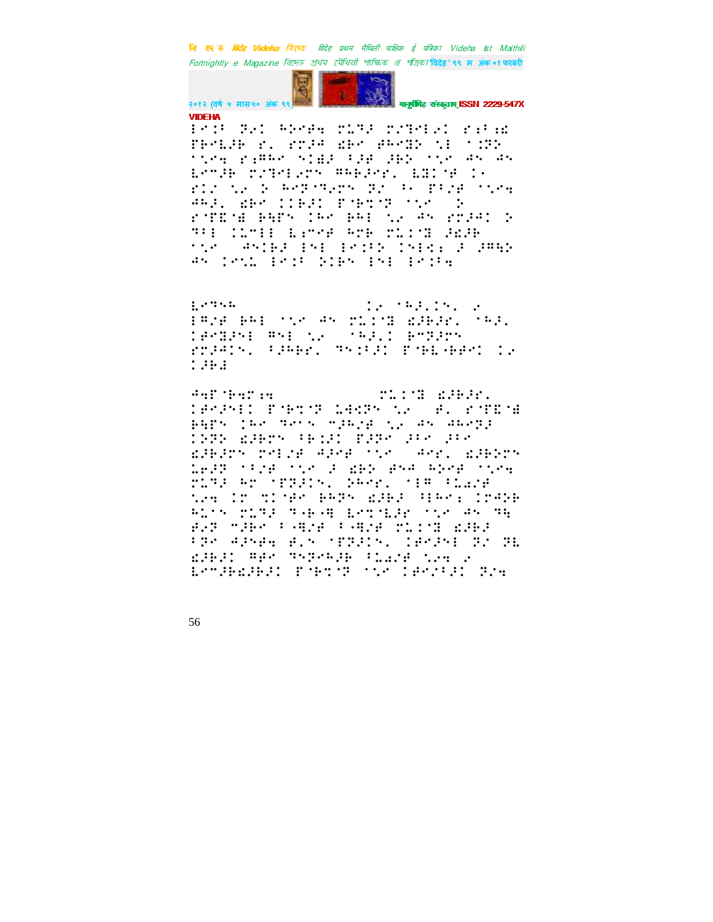

मानुबंधिह संस्कृताम् ISSN 2229-547X

### **VIDEHA**

२०१२ (वर्ष ५ मास५० अंक ९९

Prim Bal Abrew MiRA Middled Ratar PROLEKT POSTAGE ARCHITECT OF TIPE tion rame sign the mb tio ds ds ESTAR TITELITY WHERE EXISTE IS FILM AND REPORTED TO THE PICE SAFE #REV WHO ISBAN PORTON ON CON rowned BATA (Be BAI to An role) ? HE INTERNATIVE PDF DIICH SASE the Animal End Endis Index a away 45 1911 1918 5185 151 1918.

# $\mathbf{L} \cdot \mathbf{R} \cdot \mathbf{R}$

 $\label{eq:1} \begin{array}{ll} \mathbb{E}[\mathcal{L}_{\mathcal{F}}] & \mathbb{E}[\mathcal{L}_{\mathcal{F}}] & \mathbb{E}[\mathcal{L}_{\mathcal{F}}] & \mathbb{E}[\mathcal{L}_{\mathcal{F}}] \\ \mathbb{E}[\mathcal{L}_{\mathcal{F}}] & \mathbb{E}[\mathcal{L}_{\mathcal{F}}] & \mathbb{E}[\mathcal{L}_{\mathcal{F}}] & \mathbb{E}[\mathcal{L}_{\mathcal{F}}] \end{array}$ PROFINE TO AN TEST EPHPE TABL TERBERG RNE NA UTREVO EMPERA roads, tame, sydal pomiment to  $: 44.4$ 

**Auf** Thur in rt: T diffir. DESPECTED TO LESP NO TEL 2000'S BATS THE NEW SPACE OF AN ANGLE 1939 ASBAN FRIST BSP (BR 3PK EPRIM MALDE APARTMENT ARE, EPRIM Left that the field which the stage of MIRE AM STREIN, SAMM, SIR FLANK the Institute Page EARS Harristrate When physical speed herein the second BAR MARK FORMA FORMA MILIME WARR FRA APAR BIN TERRIN, IBMPH RI PE dibit men Thurbib (Laze the 2) ESTABEARD PORTS TO CASTAL PDA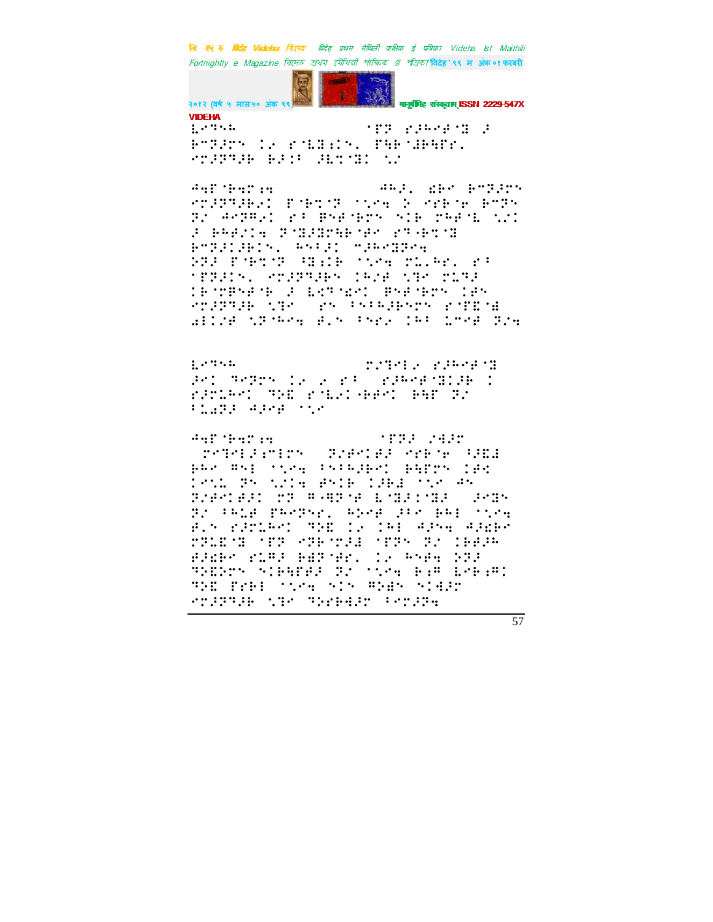

२०१२ (वर्ष ५ मास५० ३ **VIDEHA** 

मानुबंधिह संस्कृताम् ISSN 2229-547X

 $1.43344$ **TEP PIREST PROPERTY** PORTS IN PORTION THEORETY. **RESPONDED AND SECTIONS** 

**Report Follows** Abj. die Beller PERFINAL EMPLOY TOMA & PERMA BOYS Br Andwell ra Brenern nie regard ni F PRESIN FORESENE PROPERTS BTB313B15, RSP31 T3RTBP4 STA PORTS SEARCHTEACH PLAN 23 SPRAIN, STARBARN IRIE NHS TURA IP TENEME OF LATINAT (ENFIRM (188 STIPPIE MIS (SS PAPEIRATA SMILME WEIGH SPORTS BIN FNEW IRF LOOP PIN

TIME STATES  $L$  and  $L$ PO PORT IS SAN STRONGER I rances: Mac role: Amer. BAP Ro **TEST SPACE TEM** 

**Auf** Thuf in **TERRORISM** SPORTAGOIS SAGARA PRESENTADA par was strag catagori parra 198 Chi Provin Arib 1961 (nr. 45 BMPM PAINT REPORT EMBINIES (PMB) BY PALE PROPORT ROOF FROM BREAKING B.S. PROGRAM TOO DA CRE ARSA AREA **MARYS YS YREYNG YER SY SHAR** RANDA MIRA BARANG LI PARA DIN BREEK SIMPLE BY TYPE FIR LOFIN THE Press time with When Sidney studium the Theman Perupa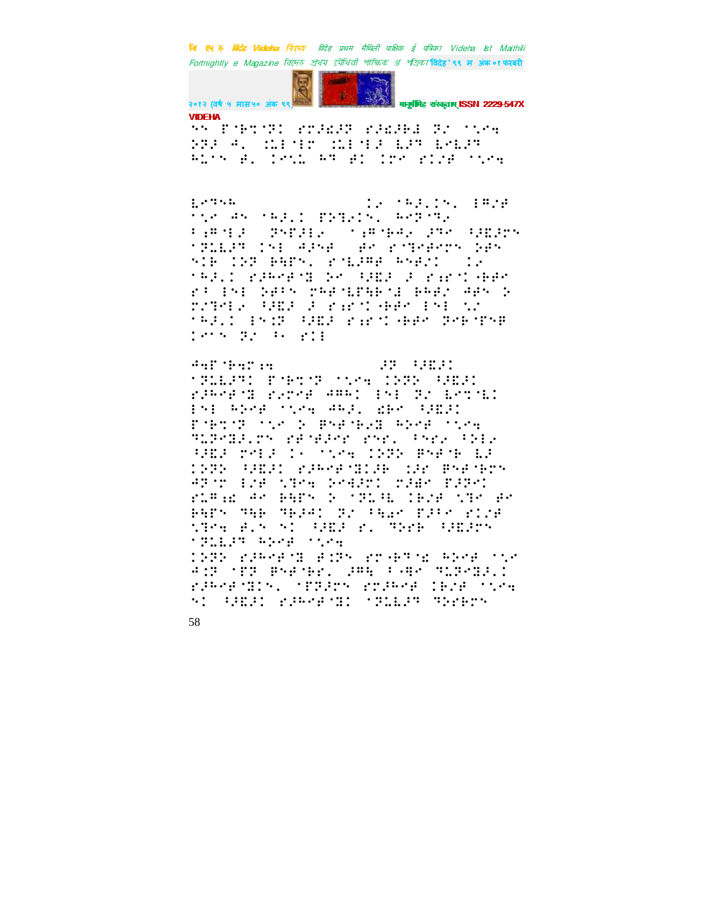

२०१२ (वर्ष ५ मास५० अंक ९९

मानुबंधिह संस्कृताम् ISSN 2229-547X

**VIDEHA** 

SS PORTUG PTABA PABARA PA TVS PRESS, MESET MESER EPHPE RETAILE, CANEL AR BE COMPOSSED TOMB

 $L^{10000}$  $\begin{minipage}{.4\linewidth} \begin{tabular}{l} \multicolumn{2}{c}{\textbf{\emph{1}}}\\ \multicolumn{2}{c}{\textbf{\emph{2}}}\\ \multicolumn{2}{c}{\textbf{\emph{3}}}\\ \multicolumn{2}{c}{\textbf{\emph{4}}}\\ \multicolumn{2}{c}{\textbf{\emph{5}}} \end{tabular} \end{minipage} \begin{minipage}{.4\linewidth} \begin{tabular}{l} \multicolumn{2}{c}{\textbf{\emph{2}}}\\ \multicolumn{2}{c}{\textbf{\emph{4}}}\\ \multicolumn{2}{c}{\textbf{\emph{5}}} \end{tabular} \end{minipage} \begin{min$ the An TRAVE EPRICAL AMPORA FARMER (PAPALE ) SARMHAR 255 PARADA témés féljése sététesek az SIE INF BAPS, POLPHE RSANI (  $\ddot{\cdot}$  . 1931 PAPAR DON SAL PARA SERIO ARP ri (n) den refigierend een geno DZEMEK PARA A BERGIHAM ENERGY **TRACK ENTRY RADA PAPT GRAN REPORT**  $\begin{minipage}{0.9\linewidth} \begin{tabular}{l} \multicolumn{2}{c}{\textbf{\emph{1}}} & \multicolumn{2}{c}{\textbf{\emph{2}}} & \multicolumn{2}{c}{\textbf{\emph{3}}} & \multicolumn{2}{c}{\textbf{\emph{4}}} & \multicolumn{2}{c}{\textbf{\emph{5}}} & \multicolumn{2}{c}{\textbf{\emph{6}}} & \multicolumn{2}{c}{\textbf{\emph{7}}} & \multicolumn{2}{c}{\textbf{\emph{7}}} & \multicolumn{2}{c}{\textbf{\emph{8}}} & \multicolumn{2}{c}{\textbf{\emph{7}}} & \multicolumn{2}{c}{$ 

 $\mathbb{R}^n$  :  $\mathbb{R}^n$  $4.41$   $1.41$   $1.41$ **TRIEFS PORTS TOGE INFO BEES** rancens report anni 151 de Econi 151 AD28 M124 AR3, BB2 33B31 PORTON TEACHER WAR ARE TEAM SLEPHELTY PROBLEM: PYP. PYP. PPE. BEE MALE IN MINH INEN BRACH LI 1985 HADAL KAPYA MILAR (186 BSA 1905 APAM EZA NTEG Gegart rage Baret rlage an ears of the Cene through<br>Ears dae degat di falk fighn ring the R.S S. HAR P. Thir HARPY **TELLET BEFF TIME** 1985 rikera di Rich (rroband Aber 195 AN YES BYFYEL 285 FAR SURVER. rawership, craams reawe ince cone **MI WEST PROPERTY TELEN TERRY**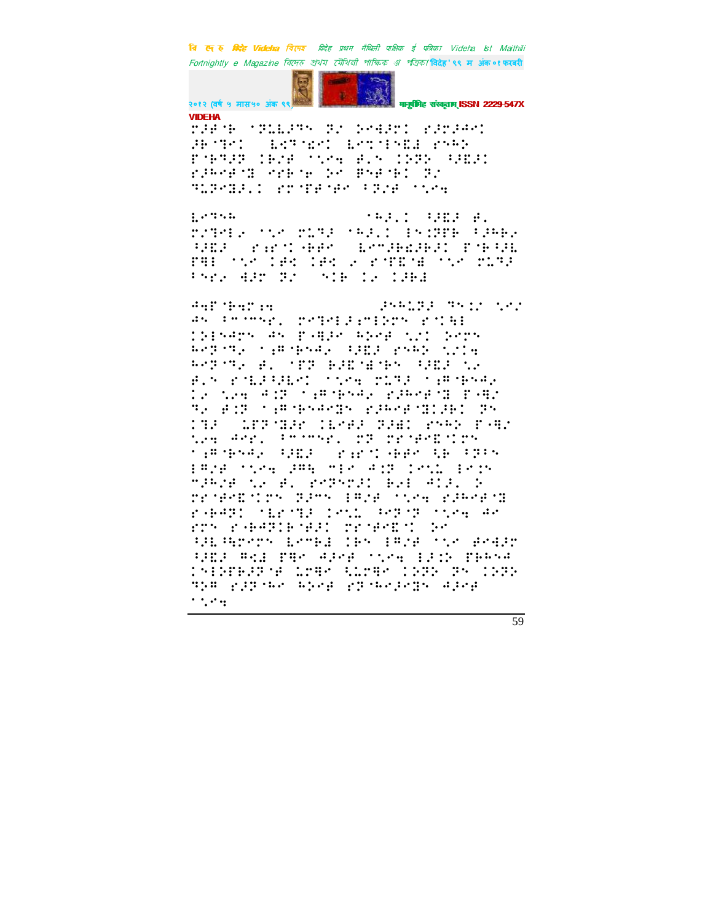

मानुबंधिह संस्कृताम् ISSN 2229-547X

#### **VIDEHA**

२०१२ (वर्ष ५ मास५० अंक ९९)

raen (Thians In Seaan) ranaen  $39.3941$ LETTER LATTERED PRPP POPTER CROB STOCK BLOCKERS SERRI ramers order bo Bradel St SLEPHALI PTOPAGA (PTOR STRA

 $L$  and the  $L$ **THE CONSTRUCTION** DZIMER TAK DIJA TAJIL ENIGER AJARR SHEP FROM HER LOCALISHED PORSH FAR THE LAR LAR & POTECH THE TERR Pres Add Br (rib is 1964

SHEER THIS AND **HAP THAT IN** An aming presidenter riter 1915455 45 Pape Aber 121 Derr 803732 19878542 3383 2582 12 ∵. .. REPORT BY THE BUILDEN SUILS TO B.S. POLESHER CONSECTING COMPASS 12 New Add overseas placed by Pap SA RIS TARGENGEN PARKENBIAI SP 193 (1997932 (1293-938) 2552 P-92 the Anglo Promoglo 22 canded ton SPORTS ONLY SERVICES OF THE PROF SCAR PRACHE AND CACL PAIN MARIN NE RU PARAMAI BEL AIA, D renes viry directified investigated rakar menga tempah nyaya an rns regenteert nregent le SALARENTS LETEL IPS IPSE TIP PRESE SHE WAS THE WARD STEAD BACK THREE INTERPORTE ANNO RANGE ISBN 28 1928 Springing the speaking the peper speak  $\mathcal{C}(\mathcal{C},\mathcal{C})$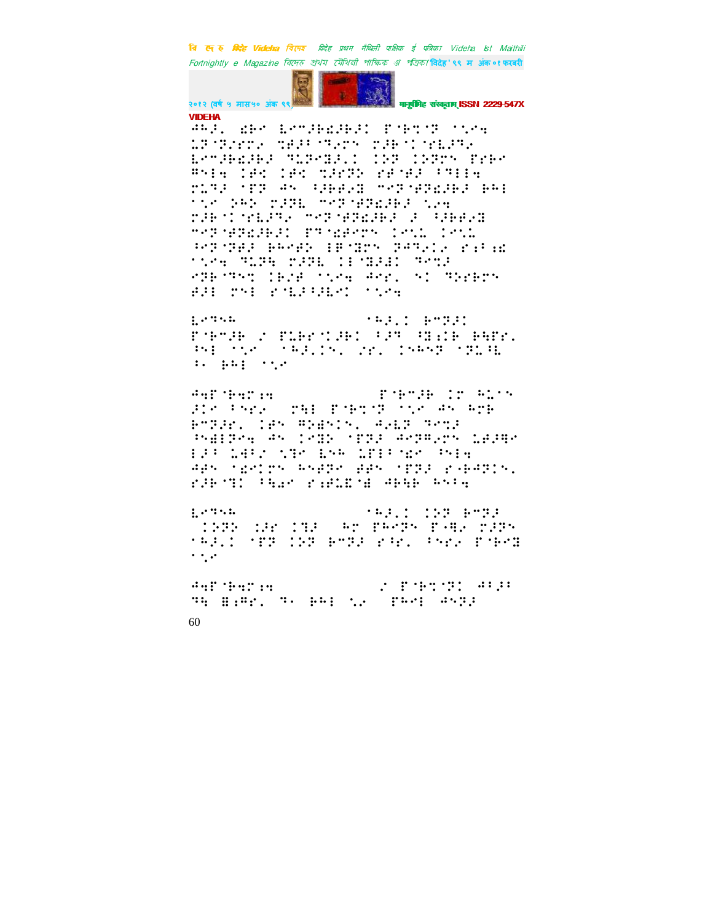

मानूबंगिह संस्कृताम् ISSN 2229-547X

**VIDEHA** 

२०१२ (वर्ष ५ मास५० अंक ९९

ARE, WHO ESTIMATED FORTS TOSH **MORTHS MERCYCLY MARKING.** ESTARAARA TURSTAALI 198 1985 FERS #SIA 180 180 MB2D 28782 PAIR ring off as gapage worldfrigg and MAY PRESTRIE MARINERER SPA rabotomana menoaraana a aangan MAR MERGEEN (PROBENT (2011) 1911 server been drume bell. Film **MARK TERRITORIES INTERNATIONAL** SPECTOS IRIE CISA ASE, OI TREPO FRE THE POLESHER COMP.

 $\mathbf{L}$  and the final set of the set of  $\mathbf{L}$ 19911 BMP21 Portak z Planovani (at Spania Auro)<br>Sti odzi ostalici zr. 1565-2021.  $\mathbb{E}[\mathbf{z}]=\mathbf{p}(\mathbf{z},\mathbf{z})=\mathbf{p}(\mathbf{z},\mathbf{z})$ 

Haff that in FORTH IN BLOW FOR PAPEL THE POPTIES ON AN ATE énsar, les Agests, àges angl.<br>Joelsne as trop (ps) ansarro 1939. EPP LARY NEW ENR LEEPING PHA Aps Parlor began aps crop reports. raboth than radicide sphe both

 $\mathbf{L}$  and  $\mathbf{L}$ \*\*\*:: 122 B\*22 <u> 1989 isr 1930 ar padro Págó rísh</u> TRACK TER COR BOAR PART TOPS EMPOR  $\cdot$  .  $\cdot$ 

 $\therefore$  resear and **Auf** Thurse He BiHr. H. BAI to The Andt 60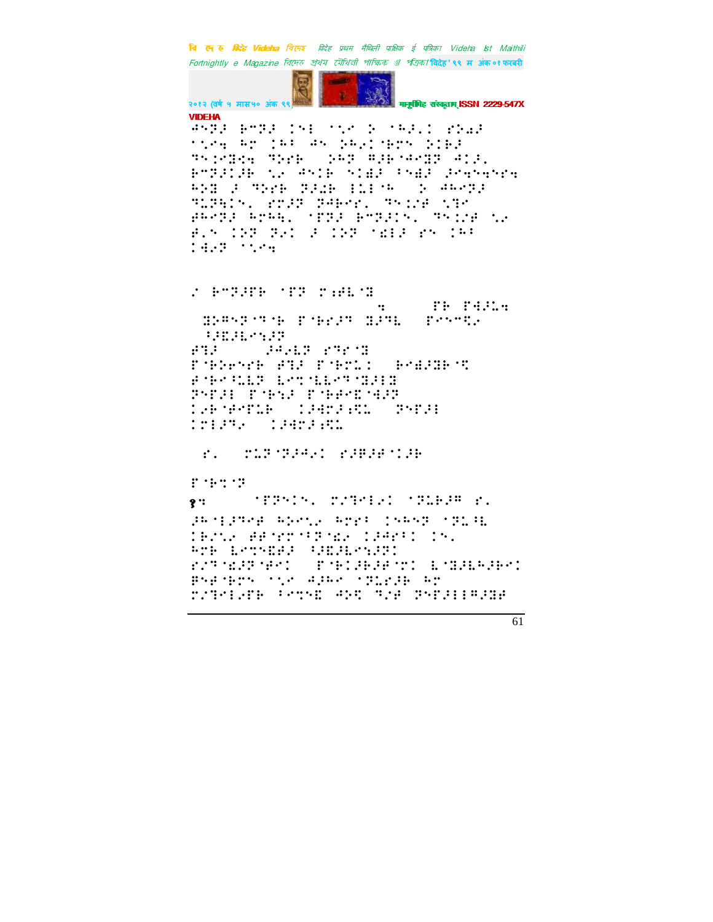

मानुबंधिह संस्कृताम् ISSN 2229-547X

#### २०१२ (वर्ष ५ मास५० अंक ९९ **VIDEHA**

ANTE BMTE INE MIK DOMEELIGENE they be put on political plan Things, This (1982) Williams All. BMPALAB NG ANIB NIGA PNGA AMBANGA AND J MNER BREE HELPS (N 4828) SLEED, STEE PAPAS, SYSSE NEW BRATE RORAL STOR BATEIN, TRINE NA B.S. 198 Bel & 198 MEER PN 198 1422 1534

**A POSSE MED MARITY TH PARLS**  $\dddot{\bullet}$ BRANCH PORT BELL POST  $11111111111111$  $33.3 - 12.3$ Pobere and Pobel: Bradney **PORTLEY LOTEROTORIE** PHIL PASE PARKENER **CAPARTIA CARLEY STAI** :::::. ::::::::

**F. THEORGE PRESENCE** 

 $P = P + P + P$ 

**STEP ON STREET STARF PL**  $\gamma$  : jangjung abenyo apri teaed nding **CROSS BENCHALLES CORPORATION** Arb Estyled Webserter **THIRRY EMBRES** EST MARTHET Present the Albe spline by represent from AGC 728 PMP3118388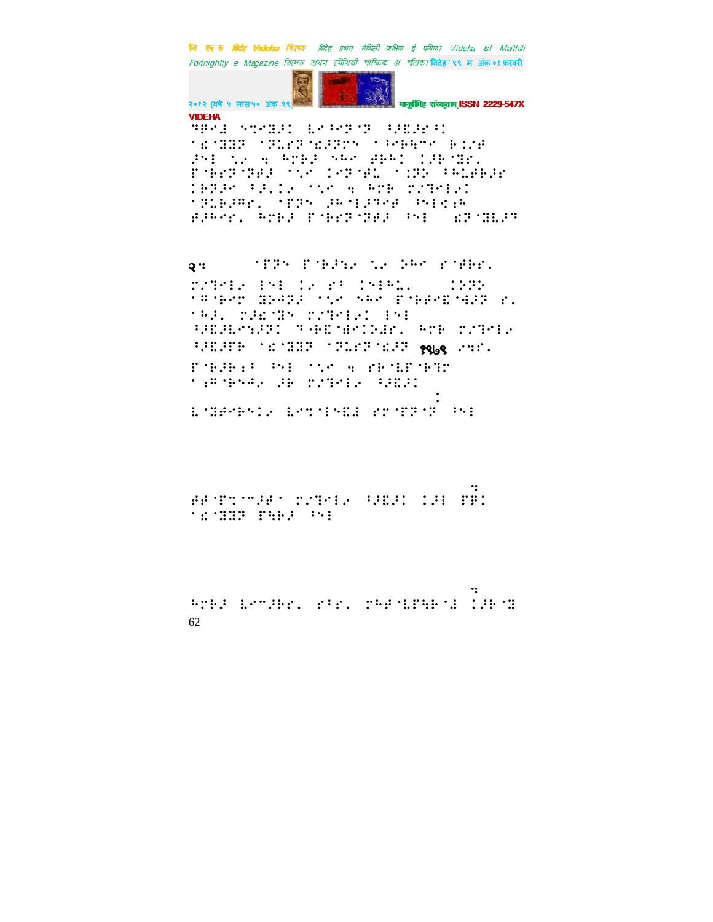

⢹⢿⣜.⣉⣝⢼!⣇⢸⢽⢽!⢸⢼⣏⢼"⢸! ⣎⣝⣝⢽.⢽⣅"⢽⣎⢼⢽!⢸⢷⣓a!⢷⣈4⢾! ⢼5!⣁⢴!⣒!⢳⢷⢼!⢳!⢾⢷⢳!⢼⢷⣝"E! Population of the second property of the second political control of the second political control of the second of the second political control of the second political control of the second political control of the second ⢷⢽⢼!⢼E⢴!⣁!⣒!⢳⢷!4⣙5⢴! ⢽⣅⢷⢼⢻"E!2⢽!⢼⢳5⢼⢹⢾!⢸5⣊⣐⢳! ⢾⢼⢳"E!⢳⢷⢼!2⢷"⢽⢽⢾⢼!⢸5<!⣎⢽⣝⣇⢼⢹!

२º | 250 PPP ECHAN AN PROVINCE

4⣙5⢴!55!⢴!"!5⢳⣅E!@!⢵⢽⢵! ⢻⢷!⣝⢵⢺⢽⢼!⣁!⢳!2⢷⢾⣏⣚⢼⢽!"E! ⢳⢼E!⢼⣎⣝!4⣙5⢴!55!@! ⢸⢼⣏⢼⣇⣑⢼⢽!⢹B⢷⣏⣞⢵⣜"E!⢳⢷!4⣙5⢴! ⢸⢼⣏⢼2⢷!⣎⣝⣝⢽.⢽⣅"⢽⣎⢼⢽!१९७९ ⢴⣒"E! 2⢷⢼⢷⣐⢸!⢸5!⣁!⣒!"⢷⣇2⢷⣙! ⣐⢻⢷⢺⢴!⢼⢷!4⣙5⢴!⢸⢼⣏⢼!

gsjondigsjondigsjondigsjondigsjondigsjondigsjondigsjondigsjondigsjondigsjondigsjondigsjondigsjondigsjondigsjon LOBER SON RESERVES TO THE SERVE SERVES TO THE SERVE SERVES TO THE SERVE SERVES TO THE SERVES TO THE SERVES TO

 $G$ 

€€ 10 12€ 25€ 1.59 PM ⣎⣝⣝⢽!2⣓⢷⢼!⢸5!)Ufotf.Btqfdu!

62  $G$ ⢳⢷⢼!⣇a⢼⢷"E!""E!⢳⢾⣇2⣓⢷⣜!⢼⢷⣝!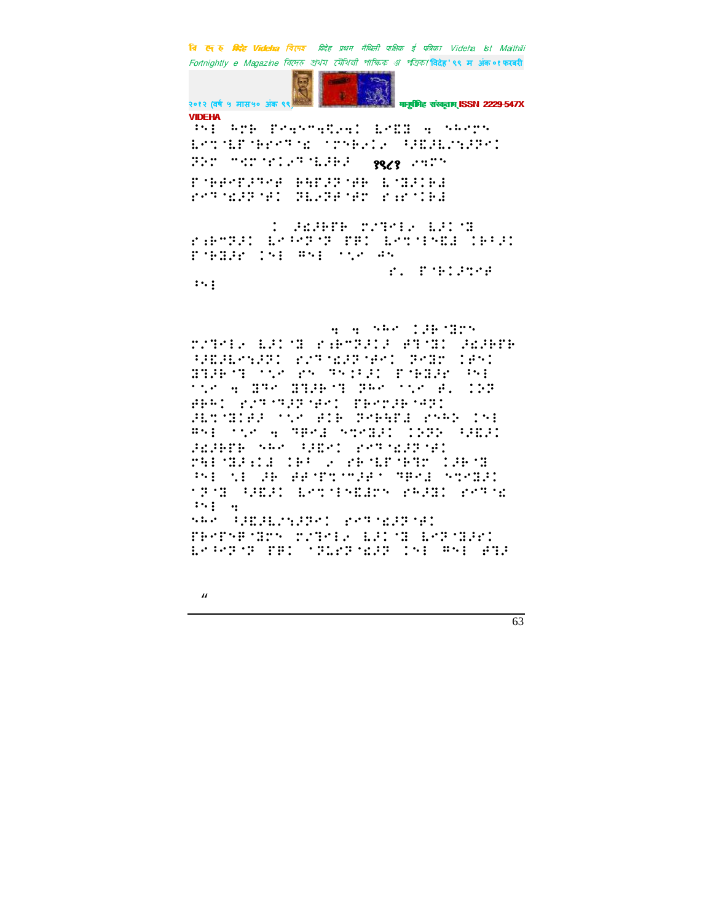

VIDEHA  $^{\text{+}}$   $^{\text{+}}$   $^{\text{+}}$   $^{\text{+}}$   $^{\text{+}}$   $^{\text{+}}$   $^{\text{+}}$   $^{\text{+}}$   $^{\text{+}}$   $^{\text{+}}$   $^{\text{+}}$   $^{\text{+}}$   $^{\text{+}}$   $^{\text{+}}$   $^{\text{+}}$   $^{\text{+}}$   $^{\text{+}}$   $^{\text{+}}$   $^{\text{+}}$   $^{\text{+}}$   $^{\text{+}}$   $^{\text{+}}$   $^{\text{+}}$   $^{\text{+}}$   $^{\text{+$ ⣇⣉⣇2⢷"⢹⣎!⢷⢴⢴!⢸⢼⣏⢼⣇4⣑⢼⢽! ⢽⢵!a⣊"⢴⢹⣇⢼⢷⢼!!१९८१ ⢴⣒! 2⢷⢾2⢼⢹⢾!⢷⣓2⢼⢽⢾⢷!⣇⣝⢼⢷⣜!

Uiffs $U$  /  $\mathcal{U}$  /  $\mathcal{U}$  /  $\mathcal{U}$  /  $\mathcal{U}$  /  $\mathcal{U}$  /  $\mathcal{U}$  /  $\mathcal{U}$  /  $\mathcal{U}$  /  $\mathcal{U}$  /  $\mathcal{U}$  /  $\mathcal{U}$  /  $\mathcal{U}$  /  $\mathcal{U}$  /  $\mathcal{U}$  /  $\mathcal{U}$  /  $\mathcal{U}$  /  $\mathcal{U}$  /  $\mathcal{U}$  /  $\mathcal{U}$  /  $\$ "⣐⢷a⢽⢼!⣇⢸⢽⢽!2⢿!⣇⣉5⣏⣜!⢷⢼!

"⢹⣎⢼⢽⢾!⢽⣇⢴⢽⢾⢾!"⣐"⢷⣜!

2⢷⣝⢼"!5!⢻5!⣁!⢺!!Mjodpn!  $\mathcal{F}_\mathbf{A} = \mathbf{F}^T \mathbf{B} \mathbf{I}$  . The sum of the sum of the sum of the sum of the sum of the sum of the sum of the sum of the sum of the sum of the sum of the sum of the sum of the sum of the sum of the sum of the sum

⢸5!)Jttvft!jo!Nbjuijmj!

 $\mathbf{F}_1$  and  $\mathbf{F}_2$  the definition of  $\mathbf{F}_2$ 4⣙5⢴!⣇⢼⣝."⣐⢷a⢽⢼⢼!⢾⣙⣝!⢼⣎⢼⢷2⢷! ⢸⢼⣏⢼⣇⣑⢼⢽!"4⢹⣎⢼⢽⢾!⢽⣝!⢾! ⣝⣙⢼⢷⣙!⣁!"!⢹⣈⢼!2⢷⣝⢼"!⢸5!  $^{\prime}$   $^{\prime}$   $^{\prime}$   $^{\prime}$   $^{\prime}$   $^{\prime}$   $^{\prime}$   $^{\prime}$   $^{\prime}$   $^{\prime}$   $^{\prime}$   $^{\prime}$   $^{\prime}$   $^{\prime}$   $^{\prime}$   $^{\prime}$   $^{\prime}$   $^{\prime}$   $^{\prime}$   $^{\prime}$   $^{\prime}$   $^{\prime}$   $^{\prime}$   $^{\prime}$   $^{\prime}$   $^{\prime}$   $^{\prime}$   $^{\prime}$   $^{\prime}$   $^{\prime}$   $^{\prime}$   $^{\prime}$ ⢾⢷⢳!"4⢹⢹⢼⢽⢾!2⢷⢼⢷⢺⢽! AUTHER THE PERSONS ON ⢻5!⣁!⣒!⢹⢿⣜!⣉⣝⢼!⢵⢽⢵!⢸⢼⣏⢼! ⢼⣎⢼⢷2⢷!⢳!⢸⢼⣏!"⢹⣎⢼⢽⢾! ⣓5⣝⢼⣐⣜!⢷!⢴!"⢷⣇2⢷⣙!⢼⢷⣝! **B**is Si a a arrows the the strain ⢽⣝!⢸⢼⣏⢼!⣇⣉5⣏⣜!"⢳⢼⣝!"⢹⣎!  $5 \cdot 5 \cdot 5$ ⢳!⢸⢼⣏⢼⣇4⣑⢼⢽!"⢹⣎⢼⢽⢾! PHOPSE MESS POSSESS REPORTS ⣇⢸⢽⢽!2⢿!⢽⣅"⢽⣎⢼⢽!5!⢻5!⢾⣙⢼!

 $\mathbf{u}$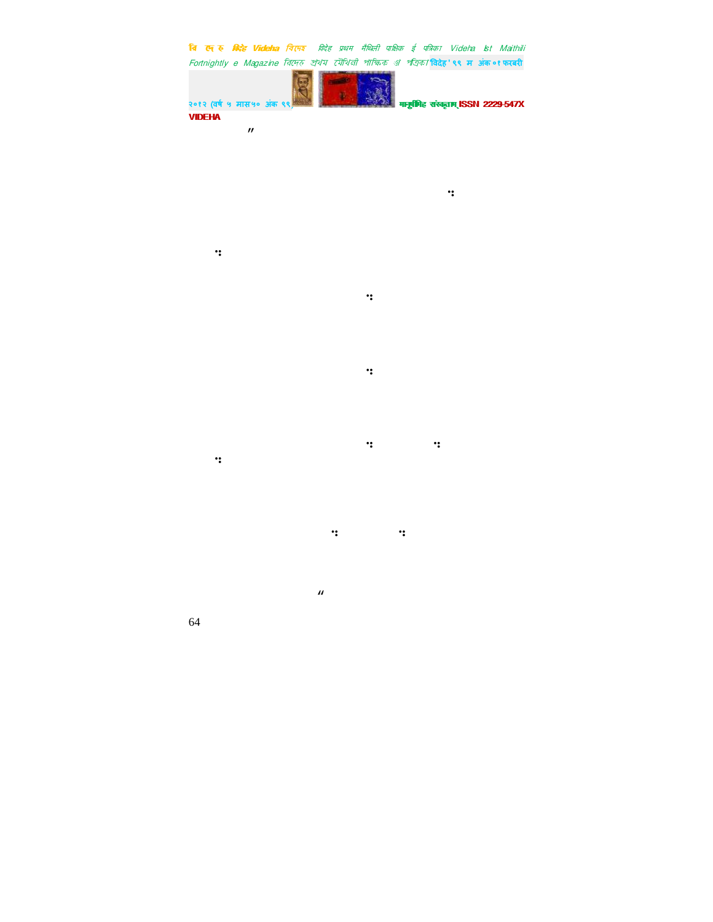गानुष्टीिह संस्कृतम् ISSN 2229-547X २०१२ (वर्ष ५ मास५० अं<br><mark>VIDEHA</mark>

 $\overline{\mathcal{U}}$ cjoejoh!Dpoejujpot#!

 $54.39-2.9$ 

 $N_{\rm c}$ 

Bqqspbdi # 23 Quarter # 23 Quarter # 23

Wfsc! Bhsffnfou# South Property South Property South Property South Property South Property fers a state of the state of the state of the state of the state of the state of the state of the state of the state of the state of the state of the state of the state of the state of the state of the state of the state

Dpotus by the state  $\mathcal{H}$  and  $\mathcal{H}$  and  $\mathcal{H}$ 

64  $\mathbf{w}$  and  $\mathbf{w}$  is a contract of  $\mathbf{w}$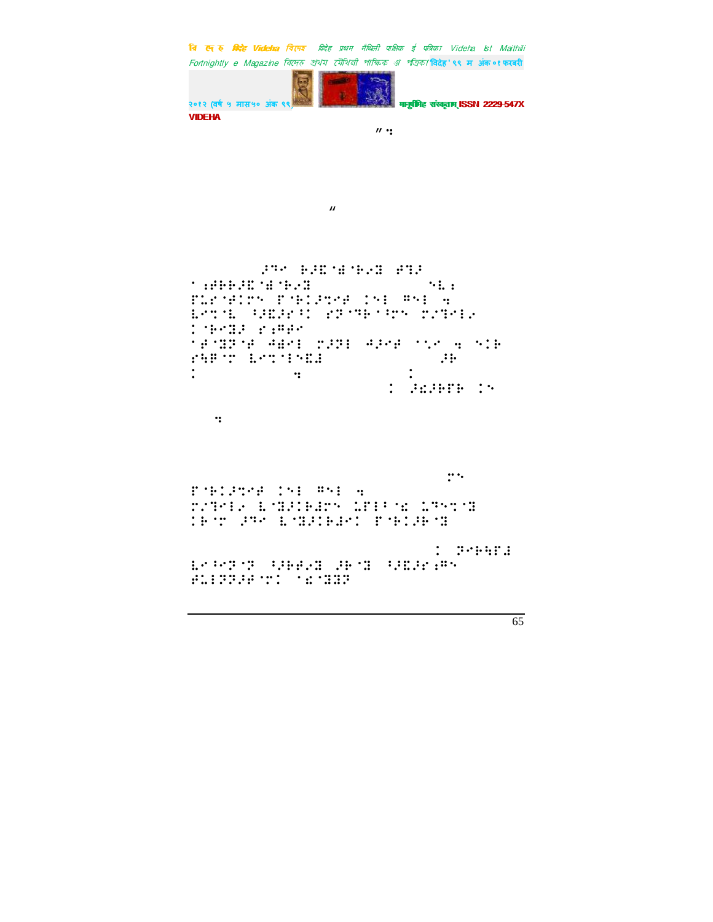

 $\mathcal{U} \overset{\bullet \bullet}{\bullet}$ 

mbohvbhtt!) "Bobytanica" Bobytanica (Bobytanica (Bobytanica (Bobytanica (Bobytanica (Bobytanica (Bobytanica (Bobytanica (Bobytanica (Bobytanica (Bobytanica (Bobytanica (Bobytanica (Bobytanica (Bobytanica (Bobytanica (Bobyt

3118\*!⢼⢹!⢷⢼⣏⣞⢷⢴⣝!⢾⣙⢼! ⣐⢾⢷⢷⢼⣏⣞⢷⢴⣝!Kpvsobmt!⣇⣐! PLE MEINS PORTFOLOGY INFORMATION LATE CONSERVATION OF THE CONSERVATION OF THE CONSERVATION OF THE CONSERVATION OF THE CONSERVATION OF THE CONSERVATION OF THE CONSERVATION OF THE CONSERVATION OF THE CONSERVATION OF THE CONSERVATION OF THE CONSERVATION OF T ⢷⣝⢼!"⣐⢻⢾!)Wfsc!Bhsffnfou\*! ⢾⣝⢽⢾!⢺⣞5!⢼⢽5!⢺⢼⢾!⣁!⣒!⢷! "⣓⢿!⣇⣉5⣏⣜!Mfwjotpo!⢼⢷!Lvop!  $\ddot{E}$  $\ddot{\phantom{2}}$ 

 $\frac{1}{2}$ 

VIDEHA

 $X \in \mathbb{R}^n$  and  $X \in \mathbb{R}^n$  and  $X \in \mathbb{R}^n$  and  $X \in \mathbb{R}^n$ 

2⢷⢼⣉⢾!5!⢻5!⣒! 4⣙5⢴!⣇⣝⢼⢷⣜!⣅25⣎!⣅⢹⣉⣝-! ⢷!⢼⢹!⣇⣝⢼⢷⣜!2⢷⢼⢷⣝!

sfmburgodu ⣇⢸⢽⢽!⢸⢼⢷⢾⢴⣝.⢼⢷⣝!⢸⢼⣏⢼"⣐⢻! ⢾⣅5⢽⢽⢼⢾!⣎⣝⣝⢽!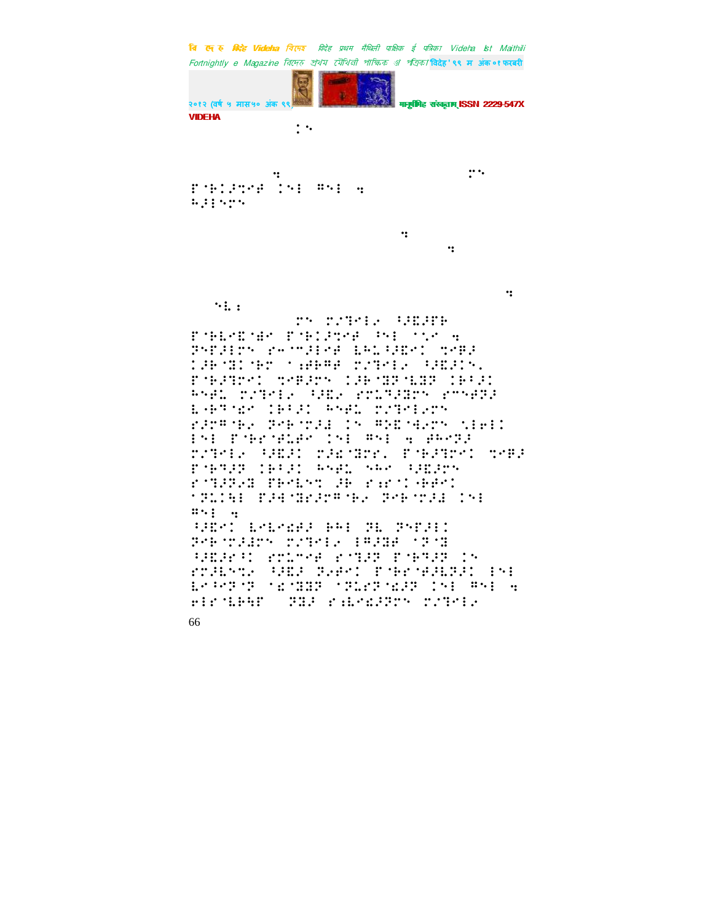२०१२ (वर्ष ५ मास५० अंक ९९) मानुषि संस्कृतिह संस्कृतम् ISSN 2229-547X VIDEHA tuvejft: "Mjohvb" (1999) = "Mjohvb" (1999) = "Mjohvb" (1999) = "Mjohvb" (1999) = "Mjohvb" (1999) = "Mjohvb" (1

 $\mathcal{L}^{\mathcal{L}}$  ) and  $\mathcal{L}^{\mathcal{L}}$  (i.e.  $\mathcal{L}^{\mathcal{L}}$  ). The contract of  $\mathcal{L}^{\mathcal{L}}$ 2⢷⢼⣉⢾!5!⢻5!⣒!  $\ldots$ Nbjurje i Mbohvbha u Barati i Mbohvbha u Barati i Mbohvbha u Barati i Mbohvbha u Barati i Mbohvbha u Barati i

 $\mathcal{L}_{\mathcal{D}}$ 

Jotujuvuf i patematika patematika patematika patematika patematika patematika patematika patematika patematika

\*!⣇⣐!Mbohvbhft!pg!uif!Xpsme!

**MADE REPORTS** 2⢷⣇⣏⣞!2⢷⢼⣉⢾!⢸5!⣁!⣒!! ⢽2⢼5!"⢲a⢼5⢾!⣇⢳⣅⢸⢼⣏!⣉⢿⢼! ⢼⢷⣝⢷!⣐⢾⢷⢻⢾!4⣙5⢴!⢸⢼⣏⢼E! 2⢷⢼⣙!⣉⢿⢼!⢼⢷⣝⢽⣇⣝⢽!⢷⢼! ⢳⢾⣅!4⣙5⢴!⢸⢼⣏⢴!"⣅⢹⢼⣝!"a⢾⢽⢼! ⣇B⢷⢹⣎!⢷⢼!⢳⢾⣅!4⣙5⢴! "⢼⢻⢷⢴!⢽⢷⢼⣜!!⢻⢵⣏⣚⢴!⣁5⢶5! 55!2⢷"⢾⣅⢾!5!⢻5!⣒!⢾⢳⢽⢼-! 4⣙5⢴!⢸⢼⣏⢼!⢼⣎⣝"E!2⢷⢼⣙!⣉⢿⢼! 2⢷⢹⢼⢽!⢷⢼!⢳⢾⣅!⢳!⢸⢼⣏⢼! "⣙⢼⢽⢴⣝!2⢷⣇⣉!⢼⢷!"⣐"B⢷⢾! ⢽⣅⣓5!2⢼⣚⣝"⢼⢻⢷⢴!⢽⢷⢼⣜!5!  $5 \cdot 5 \cdot 5$ ⢸⢼⣏!⣇⣇⣎⢾⢼!⢷⢳5!⢽⣇!⢽2⢼5! ⢽⢷⢼⣜!4⣙5⢴!5⢻⢼⣝⢾!⢽⣝! ⢸⢼⣏⢼"⢸!"⣅a⢾!"⣙⢼⢽!2⢷⢹⢼⢽!! "⢼⣇⣉⢴!⢸⢼⣏⢼!⢽⢴⢾!2⢷"⢾⢼⣇⢽⢼!55! ⣇⢸⢽⢽!⣎⣝⣝⢽.⢽⣅"⢽⣎⢼⢽!5!⢻5!⣒!

⢶5"⣇⢷⣓2-!⢽⣝⢼!"⣐⣇⣎⢼⢽!4⣙5⢴!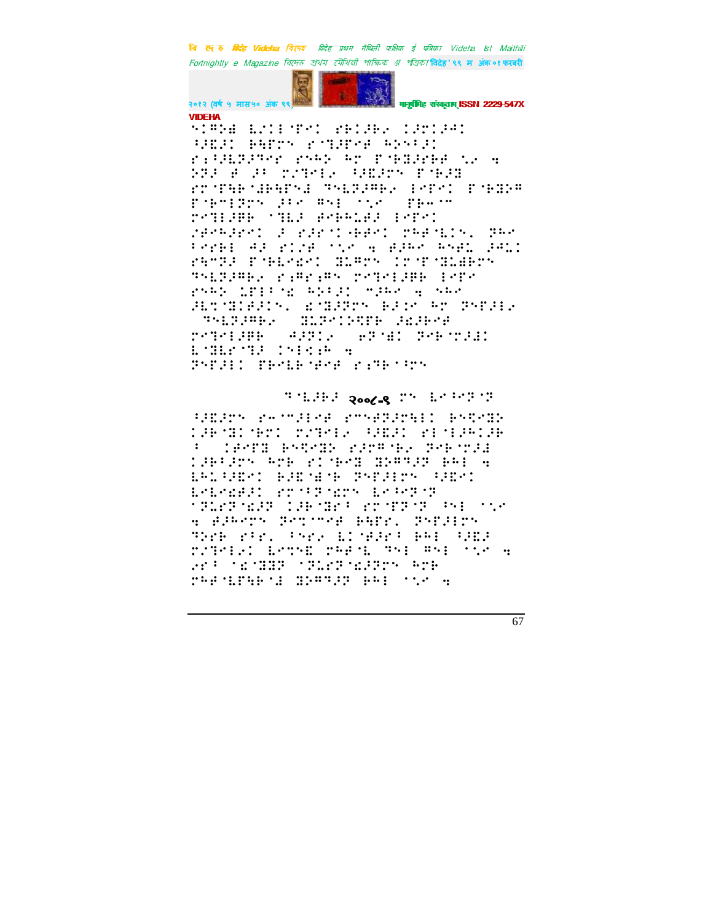

मानुबंधिह संस्कृताम् ISSN 2229-547X

**VIDEHA** 

२०१२ (वर्ष ५ मास५० अंक ९९

SIRG EMISTS SELAR CAMPAI BREE BHTT STREET BREE righters reported there we a **STAGE AND STAGES AND THE SECTION** rrothenservs tympede, express policies Portizes are mal over the m remine ema service fere: Mender: Pordent-Bentorhenbox dhe Problems office that a gumb mode small FATER PORLEGED HIRDS ID TO THINKS THIRPHE PARTNER PATAIRE INTO robe influence below the second section HrtERD STREET BIR 57 FREE. **THIRDE HISTORIE SERVE MANAGEMENT** 1999 - 1999 - 1999 - 1999 - 1999 - 1999 - 1999 - 1999 - 1999 - 1999 - 1999 - 1999 - 1999 - 1999 - 1999 - 1999

EMHEMH INFER 4 PHILL BENGENED PATENTYN

# $\begin{minipage}{.4\linewidth} \begin{tabular}{l} \multicolumn{1}{l} {\bf 1} & {\bf 2} & {\bf 3} & {\bf 4} & {\bf 5} & {\bf 6} & {\bf 7} & {\bf 8} & {\bf 9} \\ \multicolumn{1}{l} {\bf 1} & {\bf 1} & {\bf 1} & {\bf 1} & {\bf 1} & {\bf 1} & {\bf 1} & {\bf 1} & {\bf 1} & {\bf 1} \\ \end{tabular} \end{minipage} \begin{minipage}{.4\linewidth} \begin{tabular}{l} \multicolumn{1}{l}{} & \multicolumn{1}{l}{} & \multicolumn{1}{l}{} & \mult$

BEETS PAINTERS POSTEDED BSTREE <u> 1967817651 STREET GOOD SERFIGHTO</u> TAMPE BREMEN FATAMEN PMB 1734  $\mathbf{E}$ BALGERY BOOKSTER SATISFY CONT ESESERI KONFEREN ESPORT **TREPART CHORE POTPER PHOTO** a Blendy Broomer Baff, Byflicy Ther stal than bineset ref (SES) rateled beneficies in Tel Pelosian a SPACE TRANSPORTED THE SERVICE SERVICE refugee descript en stra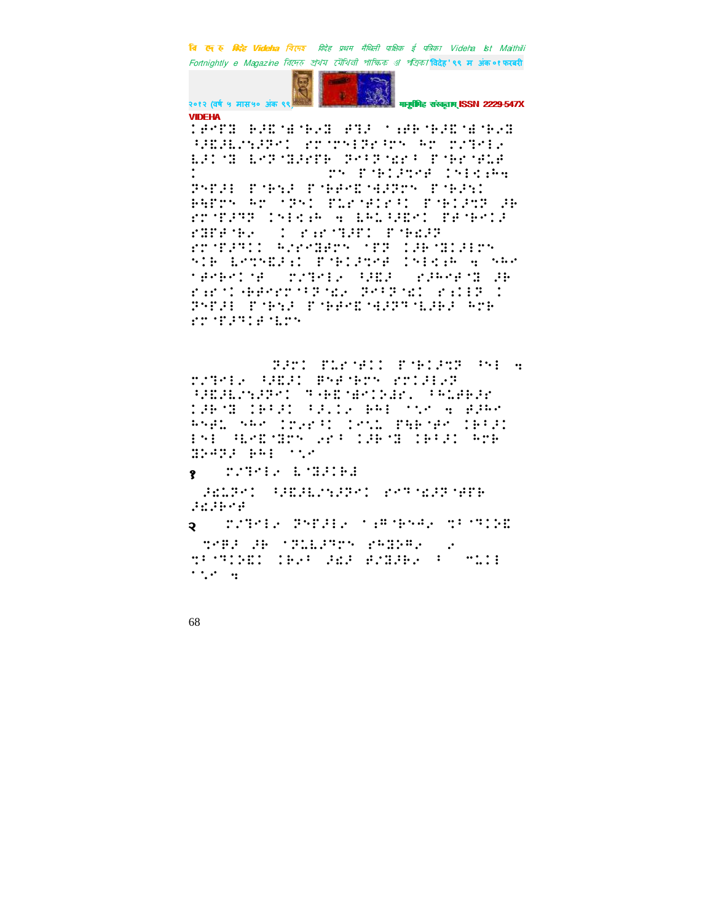मानुबंधिह संस्कृताम् ISSN 2229-547X



२०१२ (वर्ष ५ मास५० अंक ९९ **VIDEHA** 

**CAMPS BACKERSE AND MARKETERS** BEER SHEET STOPHER HT PATHER EPITE ESPIERATE PSPINANT FIENIGE<br>PS PIERRE PSPINANT

PARIS PARIS PARADARINA PARAI BAPTY AT MPYL PLEMBIRT PMBIRT JB POSTAGE INFRAME A BALARDAI PROPOLE FOR THE CONSTRUCTION OF THE PROPERTY POTERIO ACPERDA (TROLERING SIE EKTSELE POBLITKE ISEKEN AUSBA SPEED BOOKBER SHIP CRPER SP ranteerngelergen als rate PHIL FORE PORTHERS WHE ATE PERMITTED STATES

BED BANKI PALES ME 4 rately their Brenery pricess WEAL-SART TANCARD PROPER 19678 (699) 99112 696 (525 A.BAR RNAL NRP (MARS) IPAL PARTAR (RSA) PHORECOM WE CHOIDER WH Heapy par the

**8 CONSISTERING** 

**JEAP CONDITIONS INC. SEP NUT SEEK SESSING** 

Q - MATHIA PHEATA SAPANGAN MESHINE

**MOBE EN STALFTY PARAGE** TRITING CHAR HER HIGHER ROOMS  $\mathcal{L}(\mathcal{L},\mathcal{L})$  and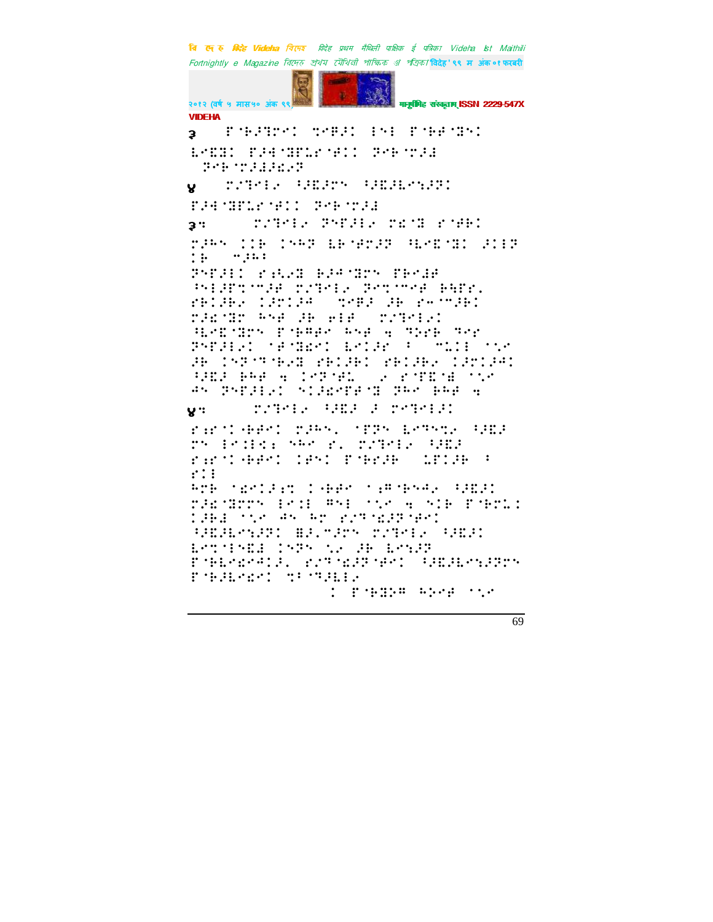

Q.

rachr by ab each criptic HADMES POPPER RNE 4 THE TAB PHILL SEMENT ESTAS POSTE STA AR 19879968 RRIAN RRIAG 187181 SHE PRESS IST SERVED AND THE STATE an dhessiel nisaneend dan Bag A rathe HEE Pather  $\mathbf{v}$  : randaken pas. Mars bereda aan

ry Escher yas ru rether which rantement (ps: program (prige )

 $: : :$ Ana (setlan tama) (at makay aluti racurry four manuform fields THE TOT AN AP STRIKERIAN **BEERSTED BEPREY TERRITORY** 

ESTMERI INFN 12 JE ESTJE

POSSESSI TEMPERE

Pohlededla, conocarone archeolare

**COMMEDIATION**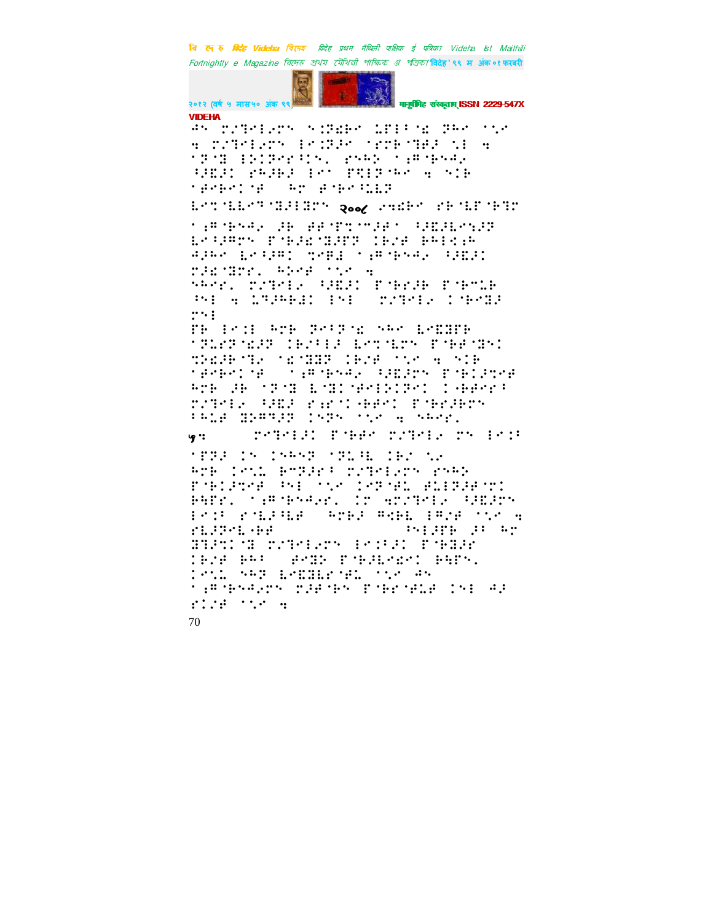**CONTRACTOR** ×, २०१२ (वर्ष ५ मास५० अंक ९९)

**SPORTS OF PORTS** 

raren apertite a

**Sydney Channel (Sydney** 

**CONTRACT CONTROL** 

**VIDEHA** 

 $\cdots$ 

 $\mathbf{y}$  :



An outsiden notebrieffication and the a primiers indige spreshed ti a **TRIB ENDRETTY, PHP THRIBHAR** SHIP SARE IS THIRD A SIR

ESTALLSTALLED Roof Stalled PEALDARD **THEORY OF BETTY TOP COOLERS** ESPRES PORTERTE CROB PRISON APROVED THE SOFE SEPTEMBER PRESS

SAMPL PUTMER FUELD FORCH FORMLE

reteil: Pobec reteil re is d

M. Pri Wi Still San San Brown **MELPERE CRAFTS LATERY FERMIND** TREAD TE SECRET CROB STATE SIDE Seeking Stephene Gamann mobilishe Are de tria literature: Coepyr rather age randamed forcers PALA BRAGGA 1939 (Strong Sarr)

**MERPORT INFORMATION CELLS** RTE CAND BOTHER TITALETY PARK ESPIRAN PHOTOS CORTEL REFRACTI PRINT (1981-1942) (1981-1991-1991-1982-1991 

STATISE TITELET ERIE STESE TEZA BRITTANIN IMBILING'I BETY.

tienesers plenk precipe (s) el

Connected Boundaries (not as

मानुबंधिह संस्कृताम् ISSN 2229-547X

70

stage that a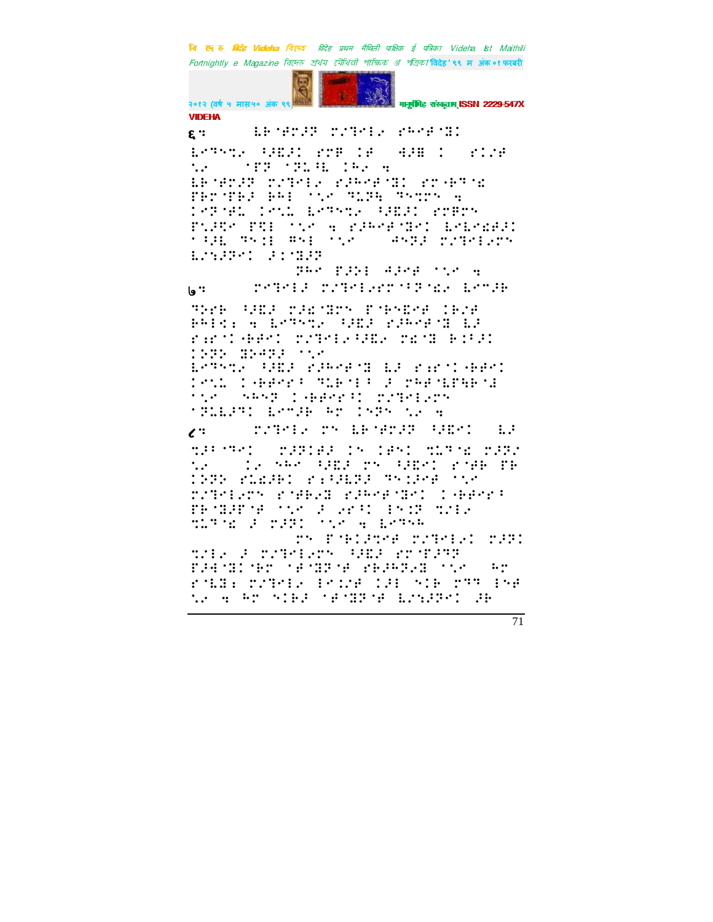**Service** × २०१२ (वर्ष ५ मास५० अंक ९९

Branch Holl rom in Adolf Side

LE MOVIE CONTRIGUIANTE DE CONTRACTO recores del Sic Judy Jedre 4 DEPERSONAL ESTATE PREPL'ETETA PURP PRESSOR ROBERT BOLSERI

The WE THINT TO PARA IN PRINT A LATHER PRINT AND IN ranteen producer progette

tic service reports within **TRIERS EPORE AT 1585 NEWS** 

1989 rumae: riaana sellek bie TITELEN POBLE PARABOIKI LABREA

ERSERING SOM FOR ENERGYPER<br>SEPTE FORFELLING ALEXAN

THE PUTTERY HE STIPP

FRENCHEN MENSEN BERBRAS MAR (AP rowal reports from 191 Sim roo 159 the action of Education (Education (FR)

Entropolitable pathners also papel (Bend Tend (Seemer Miberra) a checiare na

**TITLE THE ENGINEER** SHEET

**TERMED IN DEST TETTE TERM** To the HER 2th HERT STAR TR

rn Poblashe rathisl rati

**THE THE HEATHER** 



**VIDEHA** 

 $\epsilon$  :

∷ وا

 $\mathcal{C}$ 

 $\dddot{\phantom{0}}$ 

market start

 $\ddotsc$ 

THA TINE APAR TO A POPER POTOLERY SPOKE LOOP

मानुबंधिह संस्कृताम् ISSN 2229-547X

**ALLASHER STATES STATESTIC** 

tim sti et col

LOURNI SIGNE

**SAMPLE PERMITTE** 

71

 $\ddot{a}$ :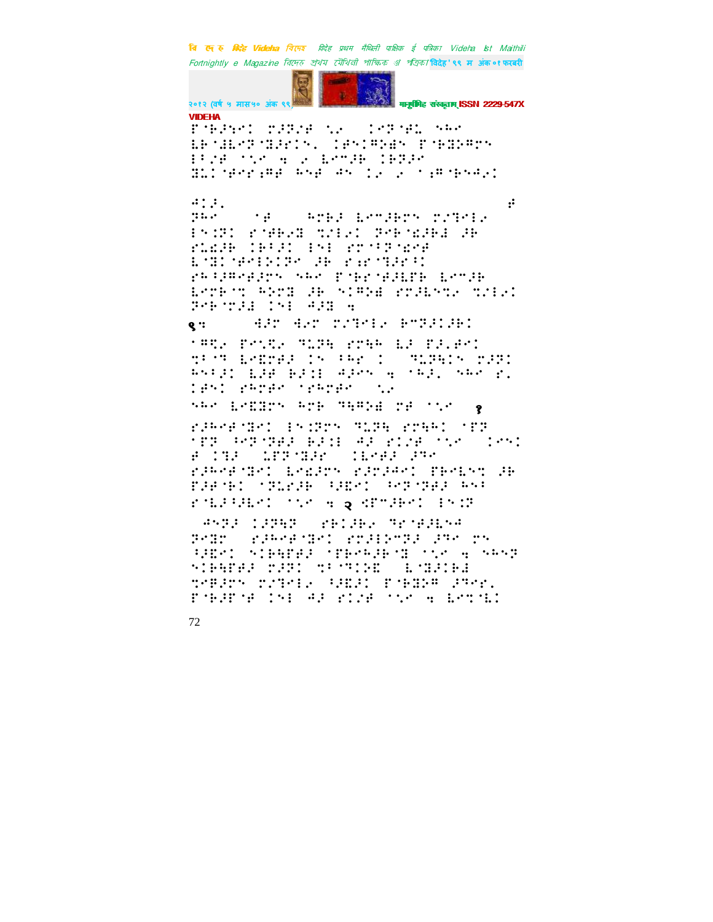

२०१२ (वर्ष ५ मास५० अंक ९९

मानुबंधिह संस्कृताम् ISSN 2229-547X

**VIDEHA** 

Poblect place to ligging she BENBERGHING (BN)#NBN PARNARY Pice that a 2 bande 1970s Hildershe Rue an 12 2 namenazi

 $41.31$  $\cdot$  $\mathbb{R}^{n \times n}$  $\mathbf{r}$ ATES Lensbry rules. ESIRD KOREZE SVEZI ROBOGJEG JE runge (etg: 151 kriterer EMINERIES A ARTISTI Petingsproves represent to th Benken Abno de Sigua Endorma nico Persona (51 422 4

ART ART TITER BYDDING  $\mathbf{Q}$  :

**TARY PRODUCTION STAR LE PELARD** SPORT EMERGED IN THE INTERNATIONAL PRES And Pick Bar (Baris Calendor) (1942) (1940) Pic TANI PROPER SPROBE

aka banna kan shekh an aya  $\mathbf{P}$ 

ramershi inden Supe rremi (PP

rakefole: Lendry rarake: PRelyn aR THE WITCH HEAT RESEARCH

**ANTE CERT (PECH) TEMPERA**  $2422$ **SEPPREMENT PREPARED STATES** SPERI SIBBERF STRANDROB STACK BOARST STRATED MORE MONEYARD ADMINISTRATIVE teBary rate: (BBA) PibB2# ater. PORTOR INFORMATION ON A ESTORI

nga Pranagea Badi (42 piloe nikr) (1951)<br>Guida (Cogandar) (1699-1799) POLESHERD TO A SCRIBE STATE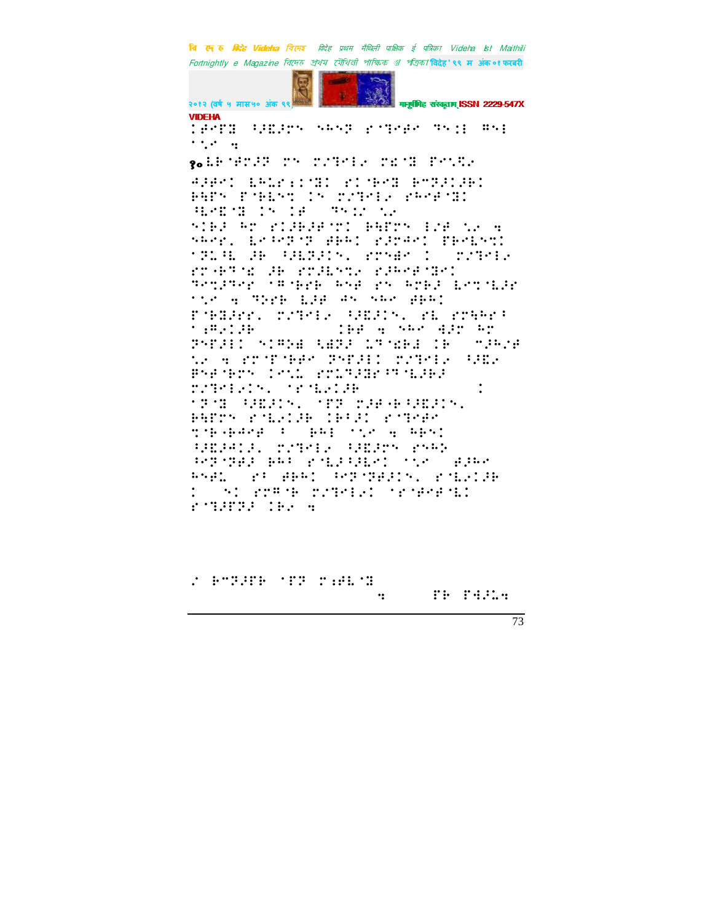

मानुबंधिह संस्कृताम् ISSN 2229-547X

**VIDEHA** TARTE SPERIN NAND POTPAR THIS RNI  $\mathbf{1}$  ,  $\mathbf{1}$  ,  $\mathbf{1}$  ,  $\mathbf{1}$ 

pollenterar proporter pand forth.

APPROVEMENT IN SCHARAGE PARTIENT PAPY PORTY IN PUBLIC PACKER HERM IN DE TRIP OF nieg ar plgegenri egron foe no a<br>navpl brardno geal plorari renbno: **TELES BESIDENTS STARTS**  $\mathbb{R}^n$ rogene de rodiera raecenzat Tengrang (ST) mengangkan pendangkan mengangkan the 4 There has an new grap POBBER, TZTMER BREIN, EL PTBBER The government by  $\cdot$  ,  $\cdot$  ,  $\cdot$  ,  $\cdot$  ,  $\cdot$ PYPIE: YORNE REPP LPYERE OR 19828 tros profonso repair reteirosano Perfers tell rollager walks **MARINE SERVICE 1918 HEART IS THEFREAD** PAPPY POLYCAR CRASS POTPER n ng siyashi kata ta ta tara na sa masa na masa na masa na masa na masa na masa na masa na masa na masa na mas WEBSITE TITLE WEBTH PHP PORTHE BRI POLICIAL COMPOSITION RNAL (ST ARR) POSTSAILLY POLICIA  $\sim 2.1$ **SEPPLE CONFIDENT CENTERS FULLER CREATE** 

**TH PAPLE**  $\dddot{\cdot}$ 

 $\overline{73}$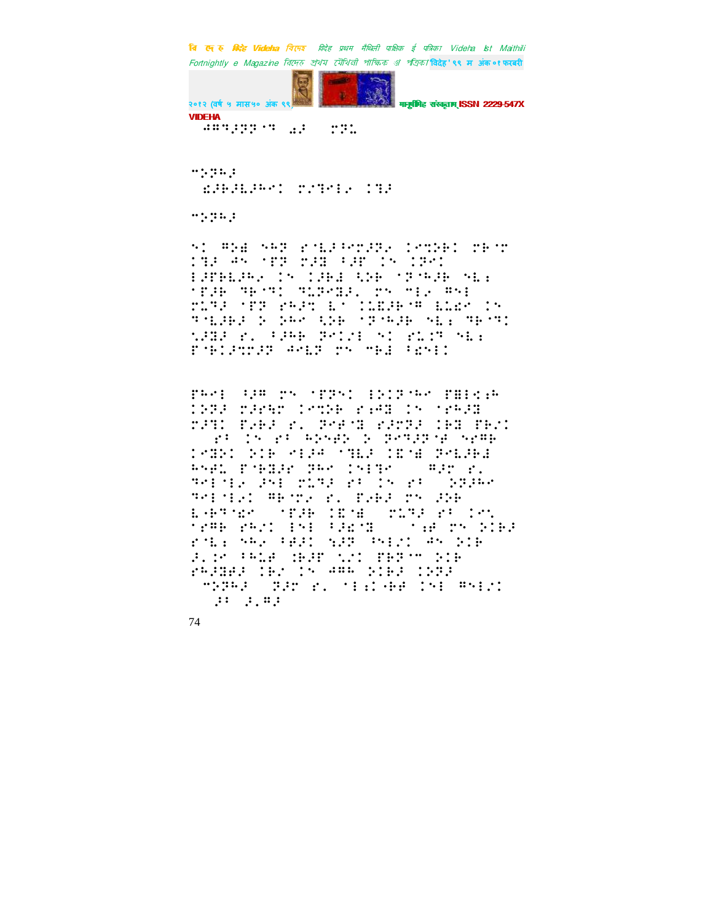**Service** ø, मानुबंधिह संस्कृतम् ISSN 2229-547X २०१२ (वर्ष ५ मास५० अंक ९९ **VIDEHA** 

 $\ldots$   $\ldots$   $\ldots$  $\mathbb{R}^n$ 

 $11.3443$ **ROBOTHER STREET STREET** 

 $0.1233333$ 

SI ARE SAR POLESCIPE CONSECTENT 132 45 582 828 928 15 15 1851 ESPECIAL IN TSEL AND MEMORIAL HIS REST SLEEP, TO TEACHER clar (project) by time and bighten.<br>There is new the cracker sports MARE PLOTPHE PRIZE SIGNAL SERVICE. POBLETER ANDR TH THE RENE

PROF SPRING STRATE ENTROPS FEECH 1933 MARAM CROSB RAHE CH TRAGE MANI BARA K. PYANG KAMPA IRO PRZI and the and Almain in Benjings many **THIS SID MIDD THE INTERFERIES** RNAL POBLAK TRA INERA (1932-20) THE MESSING TO THE SAME OF THE STATE OF THE STATE OF THE STATE OF THE STATE OF THE STATE OF THE STATE OF THE S THE MEAN THAT AN INCOME TO START ESPIRE TEMPORE TEMPERATURE free her in thris Componies role SAR FRAME SAR PSIZI AS DIR F. St FRIE (BJP NOI PRF)" NIR PASSA TER 15 AAR 2163 1283 MARAGE RAM RI SERIANA (NE RNEM)  $(11 - 1, 0.01)$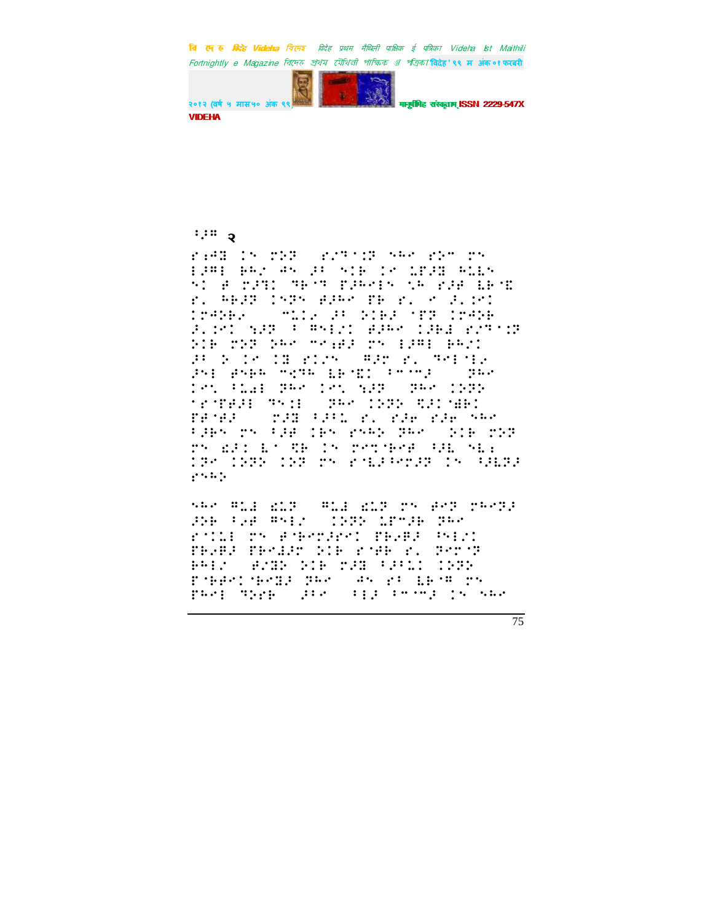

मानुबंधिह संस्कृतम् ISSN 2229-547X

**VIDEHA** 

# $\therefore$   $\mathbb{R}$  2

real in the critical new rin th EPROPER AN PUNCH OF SPPROBLEM SI POSTI TEMPERATA NA PIPOLENE r. ABJE 1525 BJAR PB r. 8 J. 201 **STAIL ARE SIER TER IPASÉ Trabbe** A. P. SAR F WARD ARE CAN PARTIE BIB MPF PRO TO BE MO IPRI BRAI PUR TRITE PICK (FROM SUPPLYER gs: gspa egga hpont (escepto gar Int Plat BRA Int APP (BRA IND) trings will gar complicate nede variation ne ne se time as the the associated that the ant rn dai bi Se (n rether GA nb. tre tien is a falledge is Amer  $\cdot \cdot \cdot \cdot$ 

say which his which his recognized range BR BA WHY THE STAR BR roll by Pobert There hill PRARA PROLAT DIR KOHR K. POTOR German Mangaland (1915)  $1.111$ POHENIMENT PROVINCI EN 18 MEJOR 15 PROF SPEED PRO STEP Phone In SAC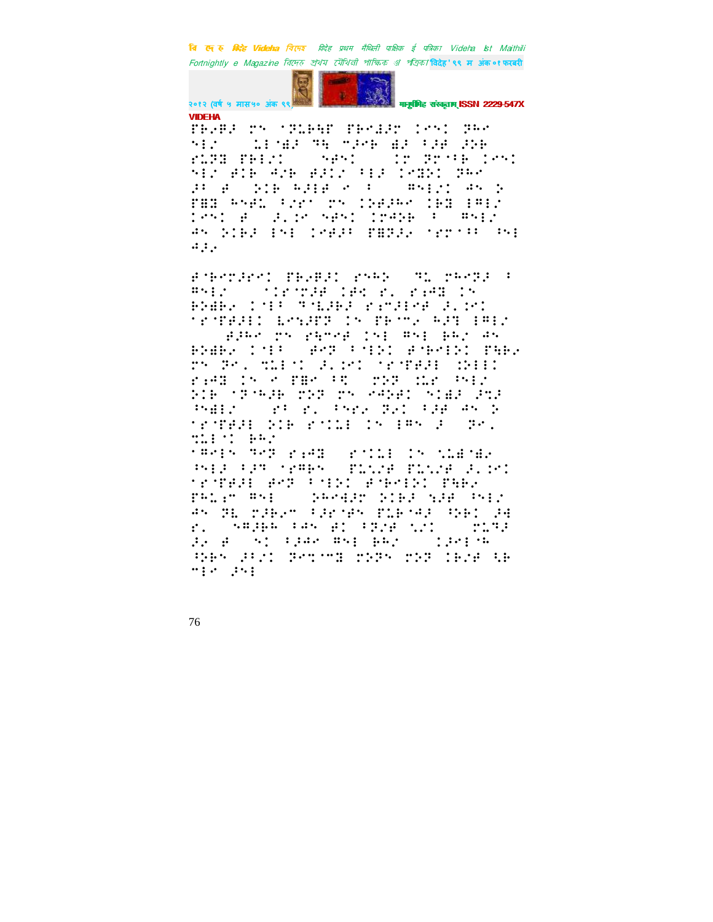

मानुबंधिह संस्कृताम् ISSN 2229-547X

### **VIDEHA**

TRANK THE MILLER TRAINT (201 THA MEN CONTROLL THOMPHONE ARTICLE CON FLPH FRENCH (SAS) (100 Professor) niz ele Aze estz (is lembl dan) 35 B 216 5318 P 3 - #5121 AS 2 PAS ANAL FORT ON INFIANCIAS EALD Dent B. J.M nent Crape F. Where AN SIER ENE CHERP PHREE SPOSTS INE  $4.34$ 

FORMULAN'S PROPER SOME SURVIVERS OF Bris (1980-1980) (Bris 2008) (1980) BYARA (MIR THLARA PAMARKA ALAM) **TRIPAGE EMBRES IN THIMA ART EALY** 

Gibbs and Shown (night) and the direct Brank (Sir Gérérin) administrance ry Pri mini Albert Schell (SHI) read to comme at one throught biel (2008) for the Age: limes lime PABLE (2) PROPER SPECIFIED AND R SPORFER PORT POINT IN 1880 FOURTH THE TERMINE

teris are red critic is the de-PHILLIP SPRESS TOOR TOOR FILM **MATHAI AMP PAINT ANNING THEA** PALEN RNE - SAMARY SIER NRE PNEZ AN PE MARYM FARMAN PLR MAR PART AR a. (Amperikan asl program son (Cango<br>do a controper mna emotio treform SPAN SPOIL PATIME TRPN TRP IBOB AB  $\cdots \cdots \cdots$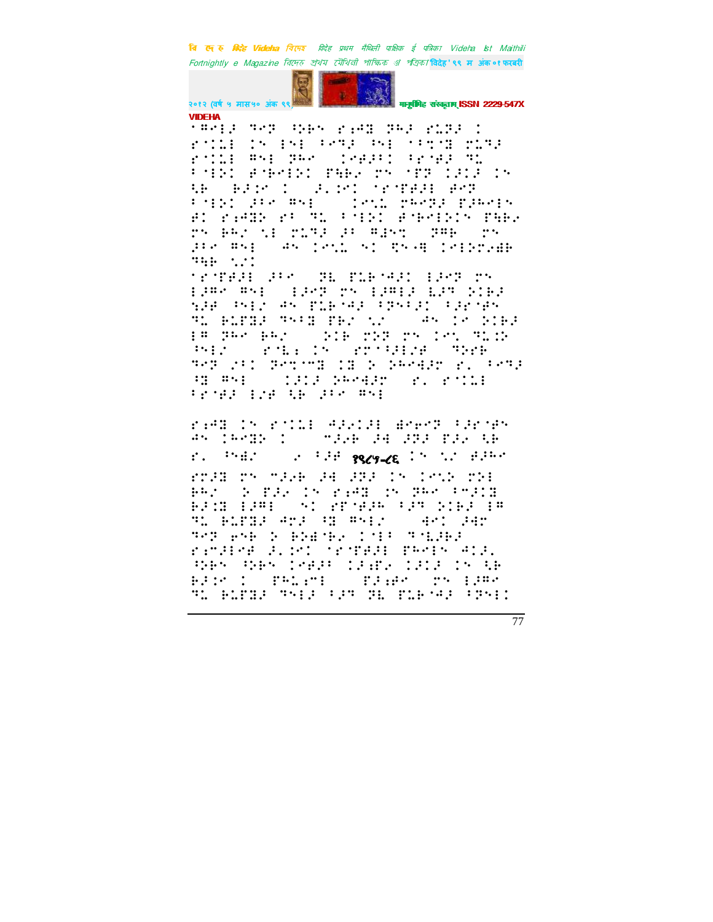

मानुबंधिह संस्कृताम् ISSN 2229-547X

#### **VIDEHA**

**TRANS RAN SERVICES NAS RONA (** FOIL IN ENE PARK PNE SPOOR TIME roll may part (regard aroug mi Polit adedit making ombitati AR PROVIDENCY CONFERENCE POINT PROTHECO INTERPRETENTS BI PAND PROVINCE BORDERS THE rn BRI ni rigi sh gann (gge cro **SAN DELL NO SNAB CEIDEAB**  $\left(11.2 \pm 0.001\right)$  $m_{\rm H}$   $\sim$ 

SECRET PRO PE PLESHAL LPSP TS 1988 851 (1983 25 1981) 693 2163 SAR PREZ AN BIBOAR PRAPAI PRESEN TE BETHE THE TRE TE WAS THE STRE PROPER BEN O SIB MSP MS INN PLIC PHIL STEELER STORING THE THE 231 PHOTOS IS & SAMED BY SHOP an wall then preason all attic trus be Wiek mi

rado (n rico) divido anano finink<br>An Canob (1999) mina lab'adi pin ta T. PHEN OF THE BROKE IN THE BIRD

FTEE TY TEST EN ERE IN ITS TYPE PRO DORA IN PARTIN PROTECT BJ18 1381 - 51 285836 139 1162 18 <u> T. Billi Ari II Avis </u> 401 242 THE PHONOGRAPH CONTINUES. randing duant cropped profo Ald. SPER SPER TREP TRIER TRIP IN AB Base I (PRIGHT) (Pages (Profame TE BETH THIS COT HE TERMS CIME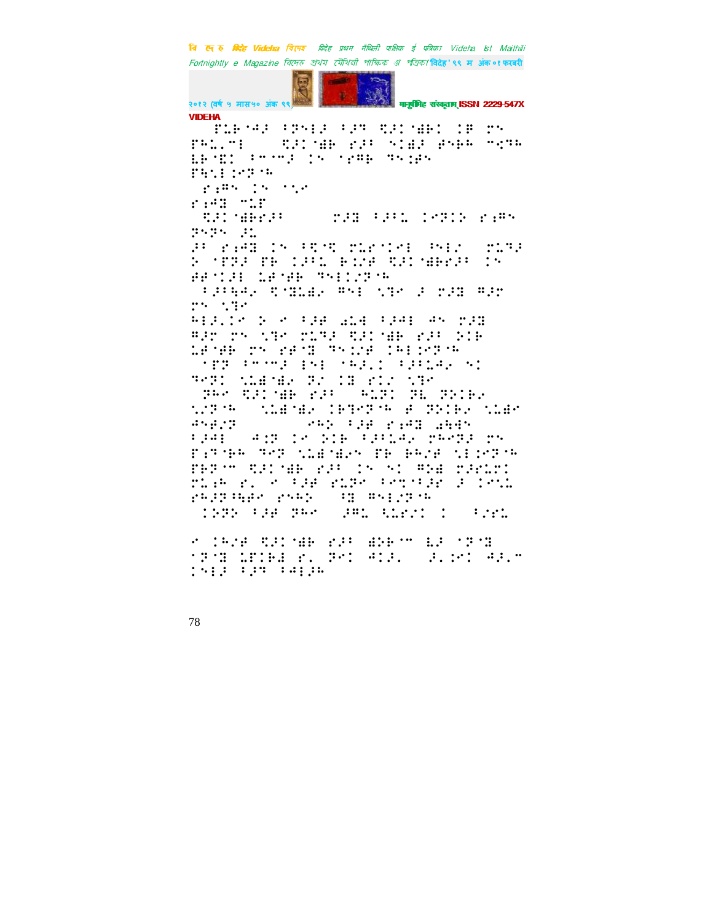

**VIDEHA** 

मानुबंधिह संस्कृतम् ISSN 2229-547X TERMINIPARING PARAMETER SPORT

PROSTE STRINGE PARTNIER PAPE MATE ERMIT FOOTE IN STREAMSTER PHOE 18274 **See Brooklyn Street** 

r:40 min

**SOURCE SERVICE THE SIL INDIA PROVIDE** 2525 21

**PURIME IN FER MINIME PHY TEST** S MPRE PROGRESS REPORT OF BROOK LENE THISPY

**START ROBER AND NORTH PASSARD**  $\mathbb{R}^{n}$  :  $\mathbb{R}^{n}$ 

REFLEX SOMETHE WIND FIRE AN USE BED DY NORTHERLY NEWSFILM 1878 ry 2878 syne (Alves)  $\begin{minipage}{.4\linewidth} \begin{tabular}{l} \hline \multicolumn{3}{c}{\textbf{0.1}} \end{tabular} \begin{tabular}{l} \hline \multicolumn{3}{c}{\textbf{0.1}} \end{tabular} \end{minipage} \begin{minipage}{.4\linewidth} \begin{tabular}{l} \hline \multicolumn{3}{c}{\textbf{0.1}} \end{tabular} \end{minipage} \begin{minipage}{.4\linewidth} \begin{tabular}{l} \hline \multicolumn{3}{c}{\textbf{0.1}} \end{tabular} \end{minipage} \begin{minipage}{.4\linewidth} \begin{tabular}{l} \hline \multicolumn$ 

PARI NIMENA RI CROSTI NEM<br>OPPA RILNAR SIPO PIRL PEOPLES wrom (wanak letorom a dilek wak  $45.873$ FRANCO AND THOSE FIREDAL CAPRA CH First Ter that are the bridged to the TERM RAINER RAN IN NI ADE TARLTI mas all clients and annual direct PRIPRIES PARK (RESERVENT

first class past confident to  $\mathcal{L}$  . The set of  $\mathcal{L}$  is the set of  $\mathcal{L}$ 

r (Aje Silma filmarko 1: 173 **TRIB LEIGHT R. RED AIR.** (P. 181-42.5 page også begge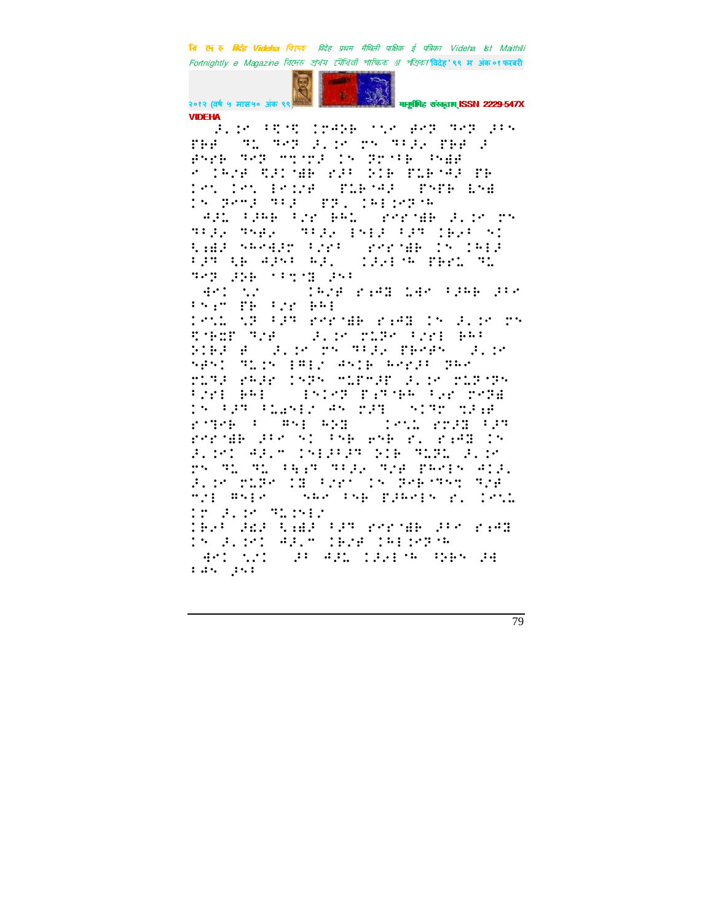

मानुबंधिह संस्कृताम् ISSN 2229-547X

## **VIDEHA**

**CENTRAL CHAPE TO BAT TAT PER** THE TI TELL AND COMPACTANCE THE S Prekings model in Bonk Pres K TRIE RICHE KIR DIE PLENKE PE Ten Ten Beard (FLB)43 (FrFB 154 (s perponyo pp. 16110276

**APL PARE FOR BRL SPRINGE ALON TH** BEAR BARR COMPARED EMPLOYER (BRECH) tal segr bri reak (s'og)<br>19 de est el 1928 en Mel S 382 BB 53558 BS

 $\ddot{a}$ .  $\mathcal{L}$  ,  $\mathcal{L}$ **TEACHER OF BULLET Prim BB Pir BBD** 

TRILL SPORTED PRESENTED THE CAUSE OF STECK THE COUNTY CAPE OF FILE RIET BOOK IN THE TENN ORDE SPSI RID (18) ASIR Replace Res MIRA PAJE 1575 MIRMAR JUGO MIRMOS Frei BRI (1918) Parche for rend IS PROPERTY AN WRIGHT WIRE r 795 (1) 851 552 rende ato si the ene nu radi in F. St. AF. M. DAERER SIR RURL F. SK rs an an east deployed response. Alim Miles Il Front In Persons Sre mr: Brief (1948) Created Banding St. 1971 **CONSTRUCTION** 

TEST SER CHAR TOT PREMIE OTR PIAN In Buch ABun (Bre 1981)27974 3: 421 1321 5:50 3265 34  $-4$   $+1$   $-1$   $+1$   $-1$ ran gur

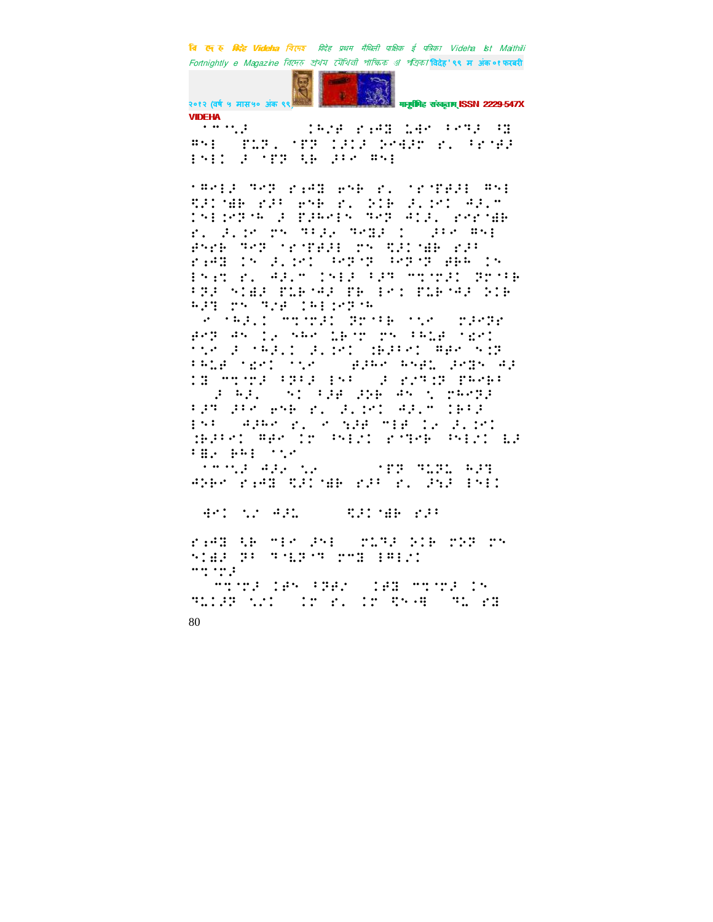

२०१२ (वर्ष ५ मास५० अंक ९९ **VIDEHA** 

मानुबंधिह संस्कृताम् ISSN 2229-547X

 $\dddotsc$  : **STATE PARE LAR PROFINE** #5: FLF. TEF LELE START P. Prime 1511 2 TEE 58 218 851

terna strandard et al. 1999. In the sea SALMER KAR (PMP) K. GIB A. DO 194.5<br>194.02.9 (A BARK)9 992 413. Kekkab r. a.sk ny makondais lankani Prek 703 'estadi en 2017AR ed: rag is alon beig been aber a 1535 P. AR.M 1512 P.P. MOVIE DEMA **THE SIGN TIME MAN THE LETTER SIMPLE SIMPLE** 839 25 328 1811-2316

Southern Months Street (1980) Started Bet an is new lett the Feld open Porta (Aluma, Polisiako Gartzia PALE MEMI MNA ( BIRA RABL IMBN 82 is mind for part of provide para a kali shi nde ase da ciadoad FRANCH PHONE ROOM ARCH IBER psi capan guch adecede de dubr HARRY WAR IN PAINT ROTHER PAINT LA the paper the

 $\label{eq:3} \begin{array}{lllllllllllll} \mathbf{1} & \mathbf{1} & \mathbf{1} & \mathbf{1} & \mathbf{1} & \mathbf{1} & \mathbf{1} & \mathbf{1} & \mathbf{1} & \mathbf{1} & \mathbf{1} & \mathbf{1} & \mathbf{1} & \mathbf{1} & \mathbf{1} & \mathbf{1} & \mathbf{1} & \mathbf{1} & \mathbf{1} & \mathbf{1} & \mathbf{1} & \mathbf{1} & \mathbf{1} & \mathbf{1} & \mathbf{1} & \mathbf{1} & \mathbf{1} & \mathbf{1} & \mathbf{$ ANDA YAHU KALMUD YAN YI ANA INDI

Get the Add ( ) will have have

rag those and constant on the STAR PROTHECK 201 INEST  $\cdots \cdots \cdots$ 

**MINISTER PRESS CHECKER IN** TOOT AND ON BUILDING TO TO BE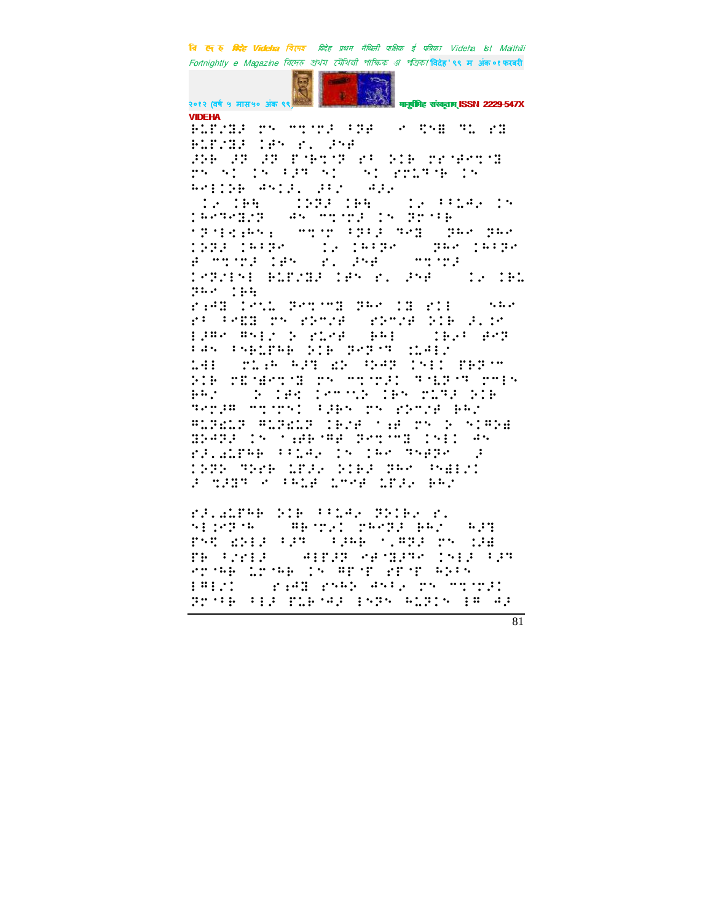मानुबंधिह संस्कृताम् ISSN 2229-547X



२०१२ (वर्ष ५ मास५० अंक ९९) **VIDEHA** 

BITTER TY TTITE FRE OF THE TI CH BOOK CONTROL COMP

BR BR BR ENEMIR EN DIE MENEMIN 150 SI (STA) (1960 SI) (SI (1961 SA (1961)<br>Analiza (Anilal (1962) (1962)

(1981) 1942 - (1989) 1942 - (1983-1989) 19<br>1999-1992 - An Scott (1982-1989) ilena aki shine alago she gan gan (1992) (bijek - 1992) (bijek - 1992) (bijek<br>Shonovski (Shonovski - 2008) - onovski **CONTROL BARYAR CAN AVENUE CONTROL**  $344 + 144$ 

ragged to get the gas (description  $\cdots$ FROM PERSON (PERSONAL PERSONAL PROPERTY) PARK RNEW S PLAR (PRE) (PLACERS ias cselbek blejperen malb 1918 - PILAR RAT AD SDAR (MIL PRAST)<br>1918 - PESAND I PROTOCAL ASEAS (PSA S 182 18772 MBS 2272 STB  $144.2$ Terge street fakt rt character PLEASE PLEASE IRSE the ry 2 MIPSA BRANK IN THE THE PAYTON INEIGHT ralande (Charlie de Servege) a **TOO THE OIL NIE TEA PAIL!** Fries Formal Creekers.

riument die Boge Stief r. **NEWS THE SERVE PROPERTY RATE** PST WHIP FIRE (FIRE 1.823 PS 128 TE PARTE : ATTACH REMOVEMENT PAR STORE LTORE IN RESEARCH RESEA **SEPTED PARK AND PROMISED**  $\frac{1}{2}$   $\frac{1}{2}$   $\frac{1}{2}$   $\frac{1}{2}$   $\frac{1}{2}$ Brown His Places 1989 ALBIS 18 AS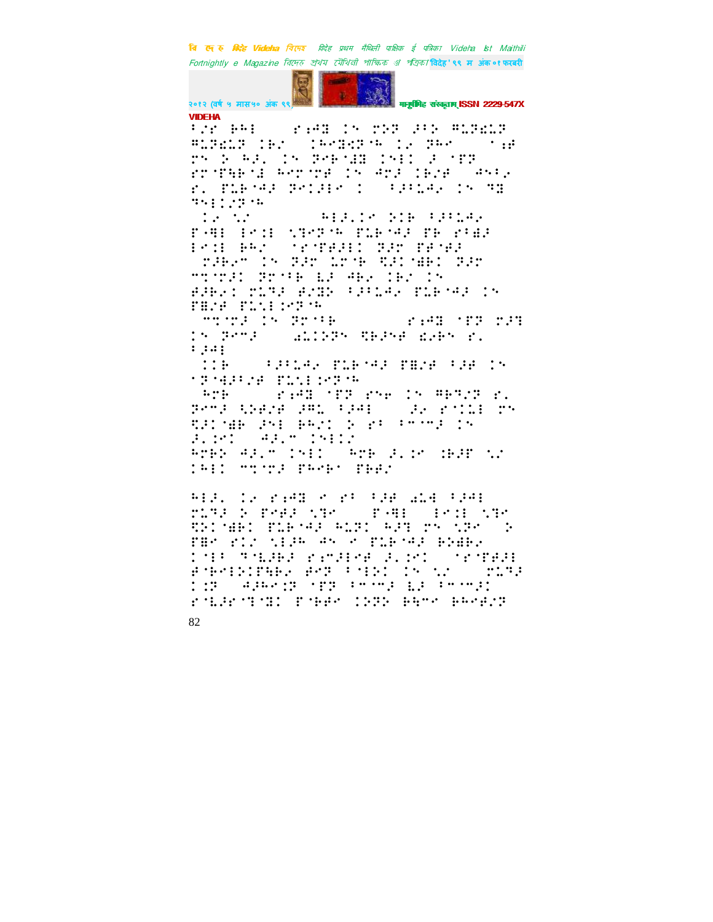

२०१२ (वर्ष ५ मास५० अंक ९९) **VIDEHA** 

**Participal** RIPELP (B) (Proporte (2008) (198 PROPOSE IN PERMIS INED A MEP krybeni Arrysi Charlithe Casty r. Places Sergie (1990) 1982 1993  $114177114$ 

 $\mathbb{R}^n$  .  $\mathbb{R}^n$ BIRIN NIE FRIEGE PART PORT STORY TIME ARE THE CHAR **MONDAY SECTION**  $\{\mathcal{P}^{\mathcal{A}}\}_{\mathcal{A}}^{\mathcal{A}}=\{\mathcal{P}^{\mathcal{A}}\}_{\mathcal{A}}^{\mathcal{A}}$ raben in dar ir med mai dai dar TITLE BOTH AF HE CHOCK BREAK TITE BYIN COORD TIPSON IS TENNING TO STATE

**SEPTED 1989-10 AND AND AND AND ADDRESS** (ANDRE SPRED ARPE P.  $\mathbb{R}^{n}$  . Then  $\mathbb{R}^{n}$  $1, 1, 1, 1$ 

 $\mathbb{R}^2$ **SOCKER PLEASE PHASE SOME IN SPREDGE PLAINTER** 

**Crist STP res In APPROVICE**  $\mathbf{a}$ Professor PR (PR) (Professor Pro SPINE PHOENIX POST POWERTY 3.161 (43.5 1911) ROBE ARIS INED CROB RICK IBRE NO THIS TOTH PROPE PRAC

REAL IS REAL PORT FAR WIR FAAR MIRE & PARE MAY ( PARE ) PAIR MAY SPINBED PLENGE RLPD RPP 25 MPM FBP PIC SEPRODNOP FIRMAD PREP. **CHA PAUGE PROGRESS DE CONTRAD** a mendermake aego i dideloliso de Selgia THE APPAIR TER FOOTE LE FOOTE right that fines then best product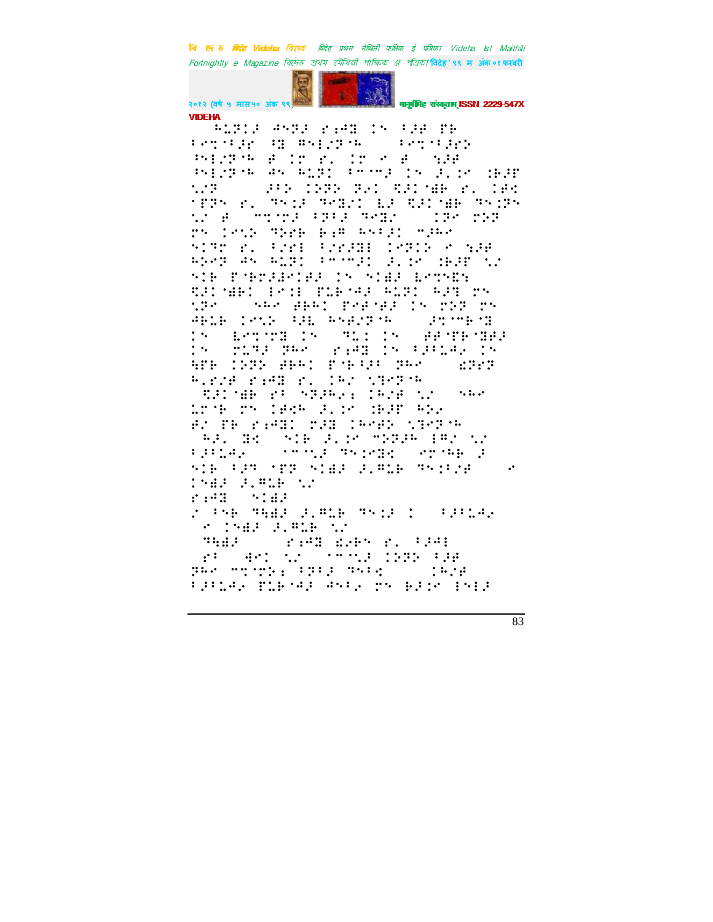मानुबंधिह संस्कृताम् ISSN 2229-547X



२०१२ (वर्ष ५ मास५० अंक ९९)

**VIDEHA ALTIFATE PARE IT THEFT** Franke H #SE2P16 (Franke) Stippen android dromatic apart<br>Stippen at ALBI Story In Stip (BSP)  $5.33<sub>1</sub>$ 312 1232 S.C. S.C. MB R. 180 TERN PLOTNIE THEIL BE SELMED TNIEN w B - Mini (PP) PARK - 195 CD rn 1812 Three east and for the SINT P. P.NE PRESH ISTOR S NEW REPROAM REPROAMING SERVICE PLAY SIE POPTABOLEA IS SIER ESTSEN SALMARI PAID PLETAR ALTI ART TY is a second report of the second ARLE TRUP AND ASACREE ( 888 1222 8841 87838 968 1 a a de de desta de la proporción del proporcione de la proporciona de la proporciona de la proporciona de la p RIPOR PARE PLOIRE STREET STATISHE PROSPERED IRIN SINO SPA LTOR THAN A DO HAP ANY BY TH RAMIN MUS (PREP STREET (Advance Sir Evik Sirak Prose **Service Service Service P**  $1.3312424$ SIE FRANCHE SIER RUBEN ASIEREN  $\ddot{\phantom{0}}$ **TANK P.M.P W.** r:43 5182 2015 THE FIRE RESEARCH CONTROL  $\triangle$  (MH) (  $\triangle$  (MH) (  $\triangle$ The Schule Pris This Constant PROGRESS PLEASED WHILE THE ERIC INFO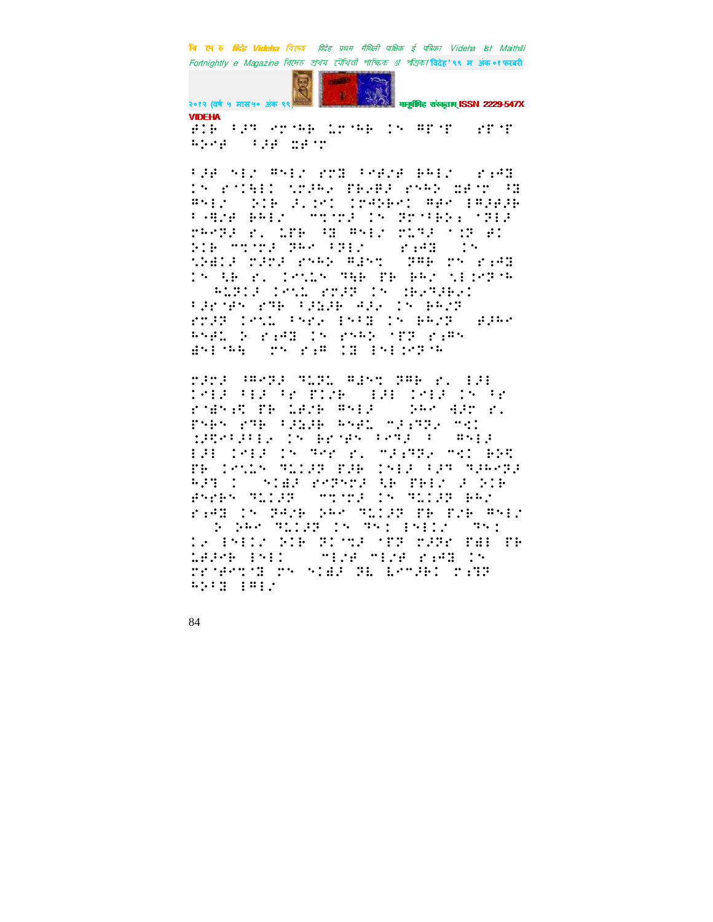

२०१२ (वर्ष ५ मास५० अंक ९९)

मानूबंगिह संस्कृताम् ISSN 2229-547X

**VIDEHA** ED UP STOR ITE ON BIS  $\cdot$  : : : : Aber 1980 March

FAR NEW WHEN YOU FRAME BREET  $\ldots$ In right wiffy Thema rubb macrosco #SEN SIE ALON IMAGES ##8 F#ARAF FARZE BRIZ ( MOSTE IN PESSED SPIE regard, when a service was the gl **SIB MATHS SHAP FREE**  $\mathbf{r}^{\prime}$  and  $\mathbf{r}^{\prime}$  and  $\mathbf{r}^{\prime}$  $\cdot \cdot$ their close rank what one room rank In the resolution when the back of prove **BIBIC INT REFE IN HATHAI** FRENCH PROTREAGE TO BRIT FTPP CHILDREN ENR CN BASE  $\mathcal{L}^{\text{in}}$ RNAL I PAR IN PNRP MER PARK 85198 25 FR 18 18 151978

2323 HP23 MLPL H352 PHP 21 131 Geboorte Ble Job Goboy'e roman from the Sanday Company of Pres 276 FRAGE And. 73.272. 731 ditering the Broad Peters Post EPE CHIP ON THE BUSINESS MAC BOOK FR CROSS MODERN FER CHIP (PP) MERRIE APPOINTMENT PROVIDED A DIA PAPER SLOPE (STORE IN SLOPE PA) rad is para particular packed asir 5 548 MILLER IN MNI ENELY (MNI De Britz bie Binda (PP 2282 PAI PP LAPP INIT ( MINA MINA PART IN) renewid by Siak RL Lemand rath **SPECIFIC**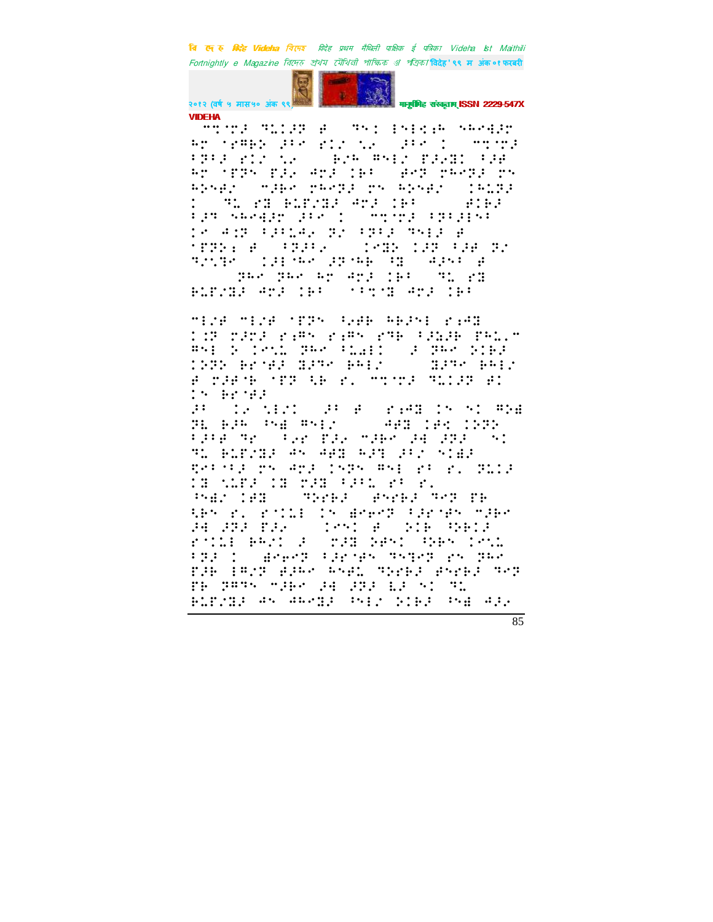

मानुबंधिह संस्कृताम् ISSN 2229-547X

#### **VIDEHA**

**TEACH TELP FOOTS: PRICEDE SEARC** RESPERD PROVIDED PROTOCOMER ting places of Banchmar Page (1980)<br>Apochran Page (1980) (1980) prezident ROSES (MERS PROPE PS ROSES) (PROPE **TERRITORY AND SERVICE SERVICES**  $\ddot{\cdot}$ 195 SAMER 318 I STORE 1913151 in Adelbergen er feft skild af.<br>1895: All Felfin i 1895-199 fjaller alilah (1919ki 1994k) dan sebagai par par ar eng pas c'ha ri BIDSE AMP THE SEMINARY THE

MICH MICH MITH SPAR ARINE PART DIR MAMA KAPS KAPS KRE FAGAR PROJH BAL 2 Test des Plant ( 2 des 2162 **COOP BEACH HOME BAIL**  $\mathbb{R}^2$  . The set of  $\mathbb{R}^2$  is the set of  $\mathbb{R}^2$ F MHTH TER AR Y. TOTH TOLER AT  $\mathcal{F} = \frac{1}{2} \mathcal{F} \mathcal{F} \mathcal{F}$ 

an constant an excellent show when BL BJR SNA RNIZ (1988-1881-1988) FARE TO CREATED TABLE AN ATACCE TE BENING AN ARE ANT NAM NIEM ESP ME TH ATE 1575 ASE TH TE TELES da tirk da bisa kiku bi bi PARTIES TRIB PRINT TO DE ARS P. POIL IS BOARD FROM THE ja da bajil leg yi sib hacil<br>bill ako s com san hak lel FRAUD Grenz Farmen Shqinz en Ber rje (syr ejsk skel merej ekref mkr FR SANK WIRE IN JEF EF ST NE BICHA AN AGNES THE COBA THE AIR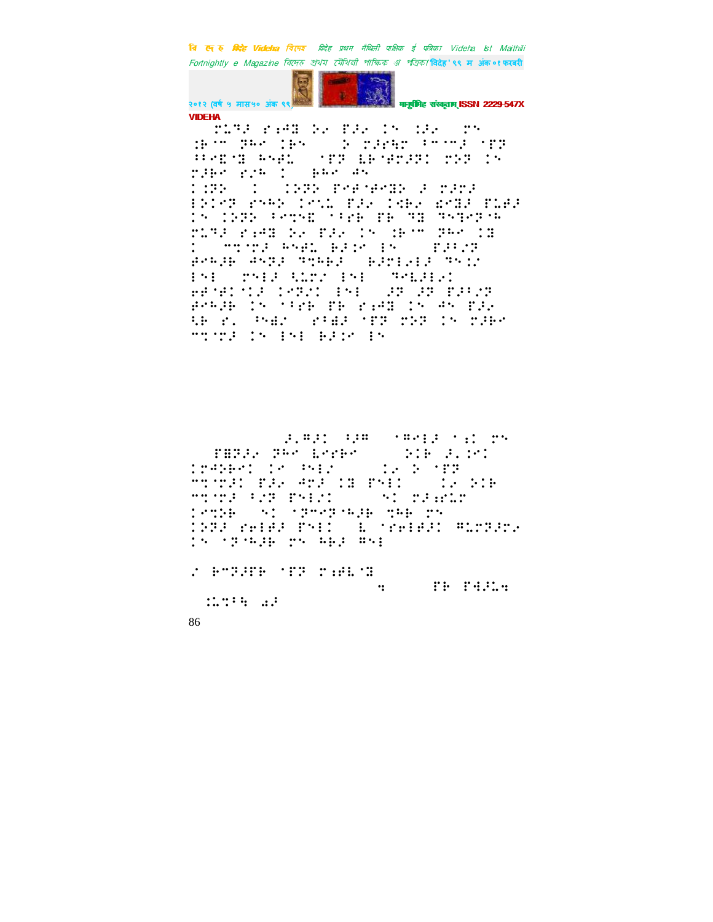

मानुबंधिह संस्कृताम् ISSN 2229-547X

#### **VIDEHA**

**CONTRACTOR PROPERTY OF STATES** denn der 1950 i de barer annhalted spromest off freeze profil 2382 239 1 892 45

MORE I THE PAPARE FORD 19187 robe 1811 fel 1962 role flee<br>18 1970 force ofre fe di doppor MIRE PARK IS THE IN THIM THAN IN <u> Antonio Antibode (Alexandro Antonio Antonio Antonio Antonio Antibode (Alexandro Antibode (Alexandro Antonio A</u> Brada Ango Shako (Barixid Ship isi balkan isi selari REMEMBER 18721 (1918) 27 27 325 27 arran (r. 1926) en Guad (r. 47 e.C.<br>Ancor, craz costaz (ez 222 (r. 226 **MINERAL IN 1941 BASE IN** 

THREE RAN LOOKS ( ) DIR E.DO Inspektive Syer (1202-1318)<br>Sponso Park Space (1802-1318) (1202-1318) mus or mid: " A make Templo ST (preprojecto modeling 1983 Peles Pril (A Treies) Aurasy **IN MEMALE 28 REF RNE** 

**A MONDER PROVIDED** 

 $11.114...11$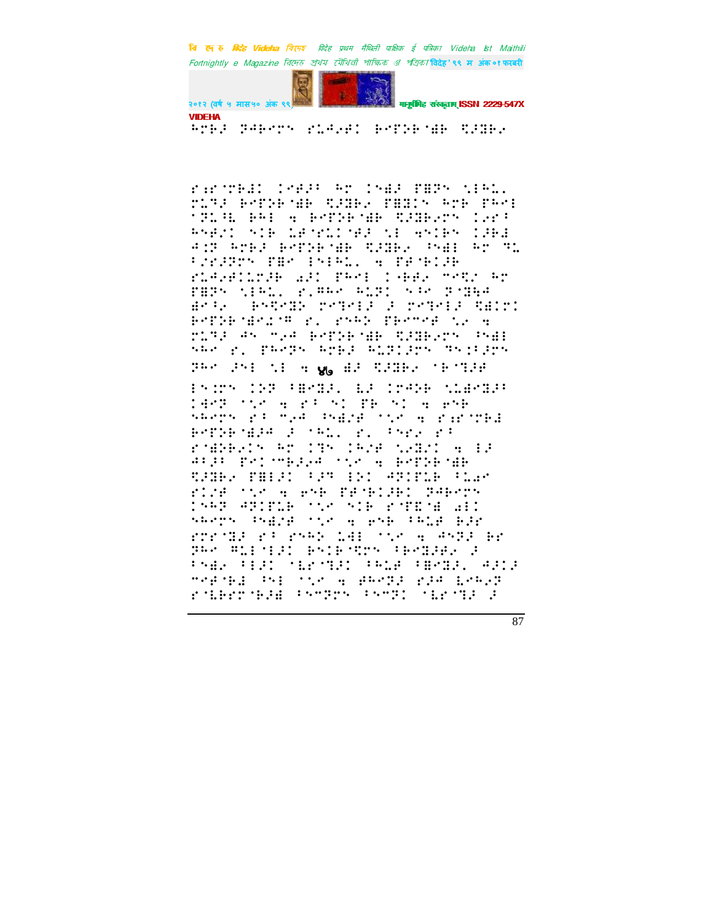

**VIDEHA** Arbe Papers riage: benchmab Redby

rangel (2000 an 1500 PHP (1951) risk byfibjeb skep, festig bre fyd PART AIR LEATLINE AL ANIPA LEED Adm Area Battlende Sade, Mai Ar Mu **Professor PHP (English Completed)** rieveninge af fekt neev meth en FERS MIRL (1968) RLPD SPO PARK Braz (Brande profila a profila abibi Porterdorm al angle record to a ring as mua portbrom clomerate SAR P. PARTS AMER ALTIPS TSIEMS PROVINE NEW YORK RESERVATION Provinsi Hema, as cream numera SAMP TO SAMPLE SIDE OF STARTING Abert Planet Webst the Bornstell PAPPENGAN A SALL PL PAPP PR roderin ar 198 1928 neder a 12 ACAC Prices A circumstances rice the a pre-fereige: Peers 1565 ASIELE MIK SIE KATENE WIL SARPS PHINE TOO A PSP PALE BIR rnroll racert 141 our 4 4522 Br PRO RIEMEN ESIEMPS (PROBRE) P PABE FEAT TERMIN PAGE PERSA. AADA mented the size a deeplogue beaup rolernele (Sofro (Sofr) decha a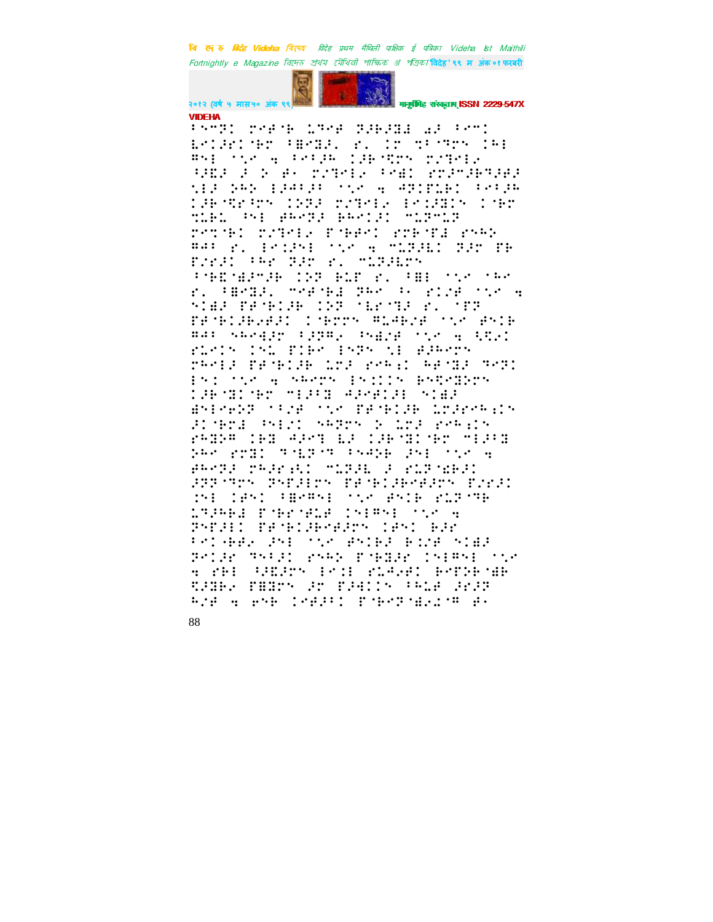

२०१२ (वर्ष ५ मास५० अंक ९९ **VIDEHA** 

मानुबंधिह संस्कृताम् ISSN 2229-547X

PATRI PARTE LTAR RABARE AR PATI ESCRIPTOR PESER (2001) TECHNOLOGY #51 TVS A PSPIE CIESTIN DZTS12 and for a credit who releases the bab health strong approach respa CARTERIOS (1983) ovirile in 1982 soldier the mighting provincing the state POSTED SWIPER PORFOL PORTER PORT ##: p. frust thr & middle dir DB FORD PAR PRO F. MIRREN PORTHERNE INFORM PLOTED TO THE r. (Brog. menda der Gordze in ein **MARTHYRIGH IST METER EL MET** responsed: csprry mighte<sup>2</sup>rie<sup>2</sup>eyop ##: SWREED FERRY PSENE TOO & READ FLOTS ISL FIRS 1878 ME FRACTS TRAIN TEMPLER WIE PARIS REMIN RATI Printer a Sacre Printer Benedict **THE TECHT MEPH APPRILE SINE** Brington (Freundam Beneize Scharnein Merg (Sizi Segra 2 1rg 2063)  $\mathcal{L}$ PAGEA (PO APPO LP 198701785 MIPPO 568 PTH: FMERM PAPE 251 MIN 4 PROTE TREESLY TITLE F FITTERS 333 MPS PSESIPS PROPISEMENTS POPS THE CHAI FERRAL SIZE HAIR PLESTER 1934F1 Pobrogle (Sims) the 4 PSTALL TAMPLARSADS (ASC AND Pright and the Brief Bire night Print Thill rhad Pobler Infant the 4 PHI WEDN PRIP PLANE PRESPORT there fears ar faatis (618 and And a problement former medium de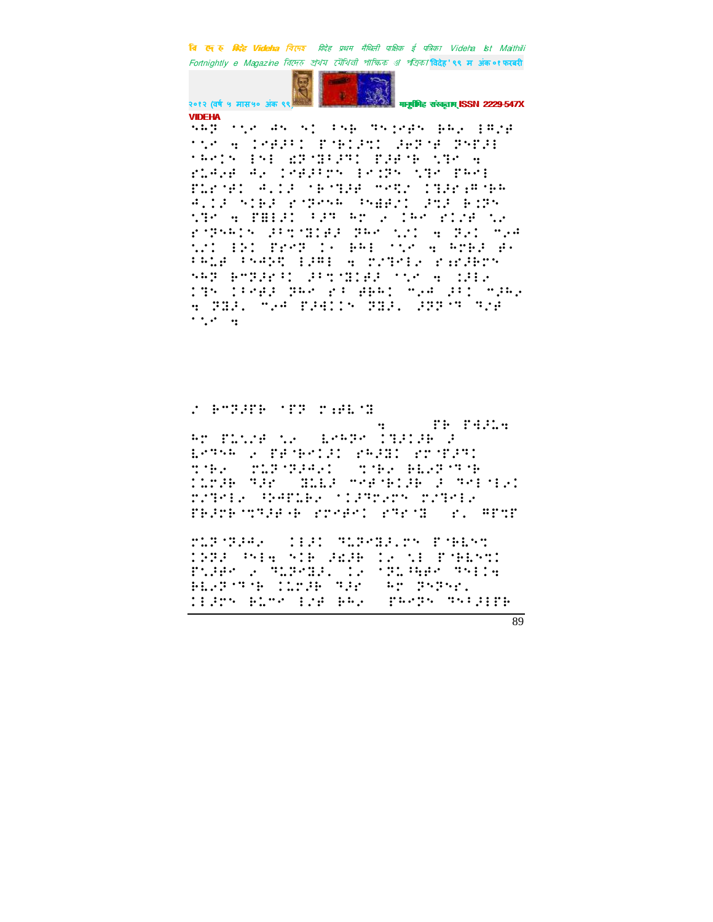

२०१२ (वर्ष ५ मास५० अंक ९९ **VIDEHA** 

मानुबंधिह संस्कृताम् ISSN 2229-547X

542 (1) 45 (5) (15) 75 (2) 45 (4) 2010 the a legged poblach agree repar **SPOIN ENE APMERIE BREME NTM 4** riene en creatry from the fer FLEND ALLE SPORT SACT THE POPP A.C.P.NIER KYRYA (MERZI 258 BIRN VER A PEERD FRAGE A CAR BIZE NA ropens andonies per will be pai mak (PRI Pres le BAP (Se a Arbs A)  $\ddots$  : PALE PSAND BUMB A MINERER RANDEM SAR PORPOR PRODUCTS SAN ALIGED 195 1938 953 29 WEEK SAM 291 SAA a post mus plains bol. Dopla'nyé  $\cdots$  .  $\cdots$ 

**TH PAPLE** Ar Plice to arter Chaide P ESTAR 2 PROPOSI PAPOS PROPINS  $\mathbb{C}^{\text{op}}(\mathbb{C}^{\text{op}})$  $(21.3, 23.4, 1)$ **THE BLOCKS** CLMAR MAR ( BLEAD MARCHICAR ) MARCHIEL DZIPLA PARINA SIRPDADY DZIPLA PROSPECTORAGE POMBAL PROCHE (P. APTOR

**MARKET MARKET MARKET MARKET MARKET MARKET MARKET MARKET MARKET MARKET MARKET MARKET MARKET MARKET MARKET MARKET** CARA PHA SIR AWAR CA NA BYREST PUBR 2 MURTIN IS TRIBER MAILS HAPTE COSH TH **Same Brother** HATH BLOW HAR BRA **TEST TELLIE**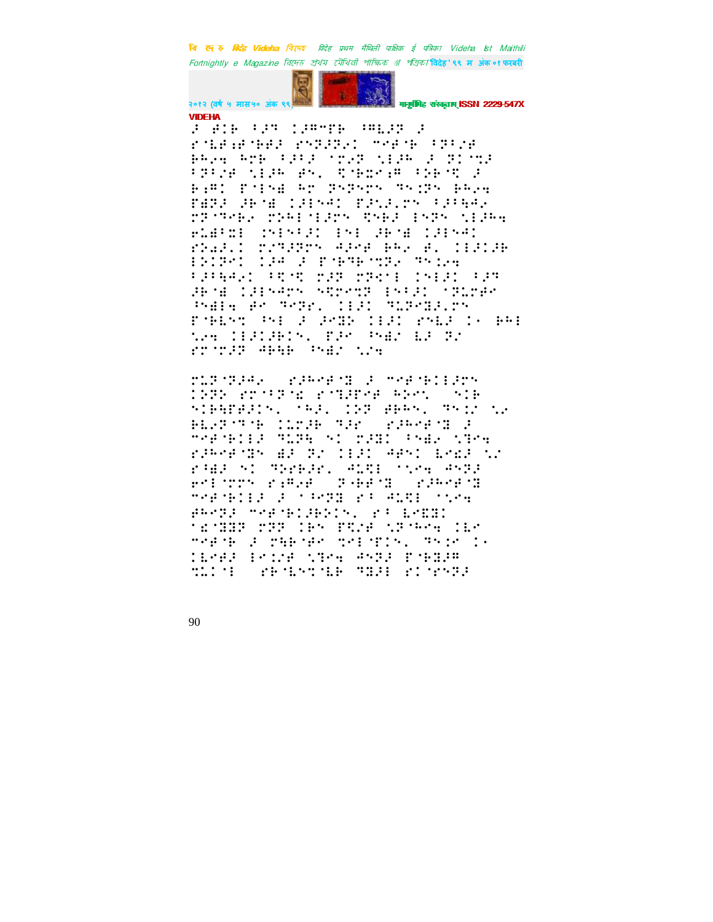

२०१२ (वर्ष ५ मास५० अंक ९९) **VIDEHA** 

मानुबंधिह संस्कृताम् ISSN 2229-547X

FACE CAN CAPTE HEAT A POLE HOBBER PARRELL SHECK CROPE enya nde fara sova silan aldistria.<br>Faran silan es: trabolar faest a pics read by pures sugar para TATE OF A COINCE TO CONSIDER. MESTER MARINERS TARE ESTS MERG Alatol (Slota) 151 aboa (alsa)<br>2043: Craages Agentaus A. (1919)<br>1019: 194 a Pobabody asiya FRANK FOR 222 2221 (2512) FRT SPORTSPRAYS STRATH ESPECTORING PABA AS PSPEL IBR PLPSBARY PORTS PHOROGER CERT PALE IS RAD the CEPLOBIAL TOM SMEN ES TV **STATE APARTMENTS** 

TERMINAL PERSONAL PROPERTY 1935 ETSTA ESTRAR ROS (SIR SIBBBEDS, TRE, INF BBBS, TSIM NA BLARTE COMB THE SARAFTER MARTELLE MASS NO MESS PRES NOME ramering al di llai grei bera si rad St Theba, Alth Mine ASTA enicos ragado galendo ragando mentis sonora e mai che BRANK MARKETING STATES **TENNIS THE INTERNATIONAL INC.** meens a passer persprise modellis TERRE ERICH STRAG ANTE FORBER TECH PRODUCE THAT PURPER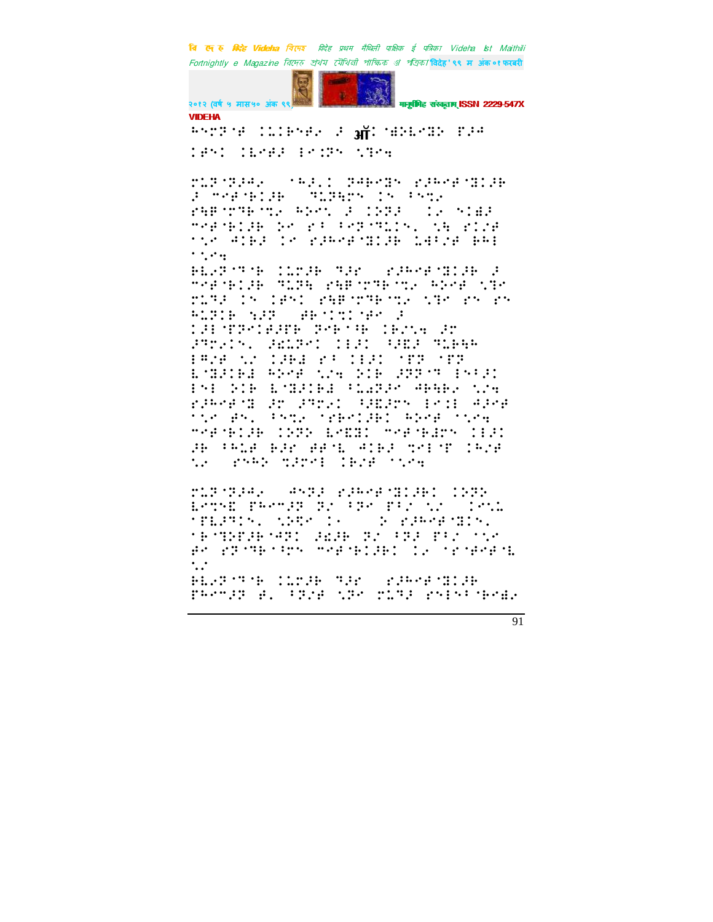

मानूबंगिह संस्कृताम् ISSN 2229-547X

**VIDEHA** 

२०१२ (वर्ष ५ मास५० अंक ९९

Andrew Colenel J. W. Marker Bre TANI TERAP PRIPROTER

richter, 'neil ceers ferretch F THE BIJE - TUPEDY IN PATE PARTNER MACHINE (1972) (1975-1974) MARCHINE SACRA PARAMETRICAL CHORIOG tir Alex in parature 14578 ers  $\mathcal{L}^{\bullet}$  ,  $\mathcal{L}^{\bullet}$  as

BLARYTH CLOSE THAN WHATELER F THE SECOND TIPE CONFIDENCE AND COMP MIRE IN 1851 PARTNER ME 135 PN PN BIBI SH SHITTING F DAPTERIAARE POETE IEZNA AD annach, ambailtean Geologiae PROFINE CHARGE COLLECTION TO THE L'HATED WERE NON TOE APP'T PRIAT INE DIE EMISIEE FLARPM ARGED NYE rameri ar agred (arare fed gaer tie as, the creater speaking mediatas 1939 esta: mediatro 1931 HE PALE BAY ARML ATES THIN IRVE tro reed three leve them

rifyre. Well several states ESTAD PROMIN ROCKER PROCESS CONS STEPTY, APROVIS OF PRESPORTS. termanaktan dede no (nd nool) (o Broad MESTIN SheetED BD Contracted  $\dddot{\phantom{0}}$ 

PEARTH COMPATED SPACE SECTION PROSE B. PROF STO MITE POINT MARK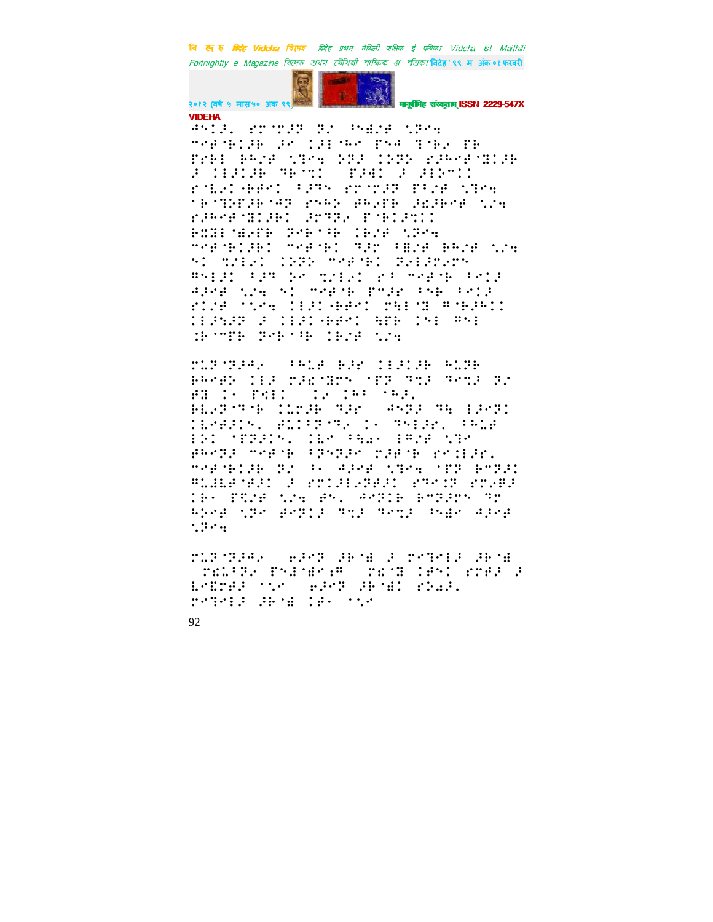

२०१२ (वर्ष ५ मास५० अंक ९९) **VIDEHA** 

मानुबंधिह संस्कृताम् ISSN 2229-547X

ANDEL STOTIF FLORIDE NFAN MARTELIE IM 193 MAC PAR TOEK PE Frei ekze (1964–1918–1191) rukoromiue FIRED TEST THIS FURNIS rian Gerald (1985) rooms first time **TEMPERHME PART PRATE REPART ON** ramentari arte futanti FORECASE PORTE INSPIRED MARTEIZEI MARTEI SZE FEJR PRJP NJA NI TELEVISION TERMINI PALETATN BALL FROM THE STORES FRIE apertype of merginal properties terra. size (104 ingleder) shruptaregër: 112522 2 1121-6351 APP 151 #51 SPOTE TOPORE CROB NOW

BRARY ILA MARCHER CER POA PAOA DA<br>BH 18 EALL - 18 186 CRA. BLARTE CLEAR TAY (4532-TH 1353) CEPARTS, ALIPPORA IS MSIRE, PALA EDI MERRIN, TER PRAY ERNE NTM BRANK MARCH (PRONE) MIROR BAILIE. mediation as a serve the than brast PLALAMENT DO PRIDEDERENT PROTECTIVES IP TEM WATER AND PORTH AND apeg nge gegig seja seng sege apeg  $1.334<sub>1</sub>$ 

rifere. Wet had feeld hed TELPROTHERS TEST CRYP FERR P EMERGE THAN WEST CHANNEL PRESS retell deng tak non

 $92<sub>1</sub>$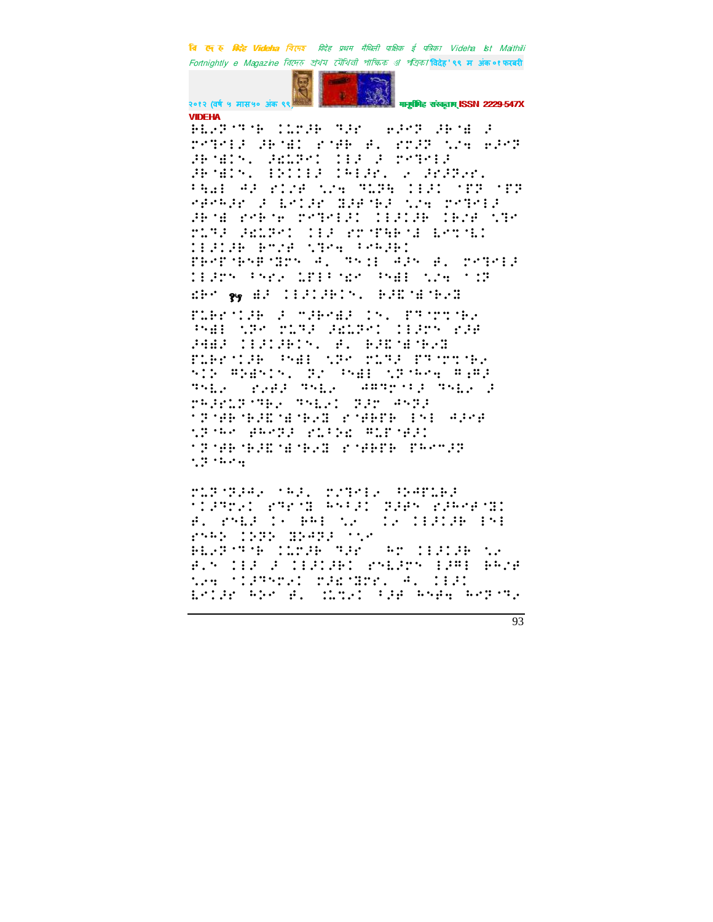

मानुबंधिह संस्कृताम् ISSN 2229-547X

## **VIDEHA**

२०१२ (वर्ष ५ मास५० अंक ९९

HATTE COOR THE SPECIFIES PATALE SEARCH PARE RU POST NOW WEAP abjelo, aplant (1979) problem.<br>Abjelo, 191119-19192, 20080922. PAID AF RINE NNA MORA IEFL MER MER SASER FISCH BACEFORD SAN PSTSLE ARTE KARTA MATALIKI ILILIR IRZA NTA ring gelect (B) erchech borcht **CERTA Profit CREW Person** PROPORTED MANUFACTURER RESIDENCE Harr Pres 1883 me Pres 124 (18 der ge da lialaeth. Babrechad

FLEETIE FOTEPER IN FRONTE PAB ARA PLAR RELEAT TERMA KRE PART CONCRONATION BEDMONDE FLEETIE PAR TRACTLER FETTIER SIN WHENING TO PARE STORY WERE THEY STARP THEY SARTED FOR THE P TREED THE TREED TEN ANTE **TORRITAGE STARR IN APA** true aver clips wireless **MINE SHEMBER PRODUCTS**  $\gamma$  (1)  $\gamma$  (1),  $\gamma$  (1),  $\gamma$ 

MINTHS SEE MINIS REMIES tianna: energ byta: papy eawers: B. PALE IS BAINGEN IS INFIDENTAL ryer 1989 Belle Tir BLARYTH CLOSE THE SAM CENTS OF B.S. TEA A TEATART PREADS EARL BROB the fluorit planer. A. III. ESTER ANS B. MINISTER ANDERSON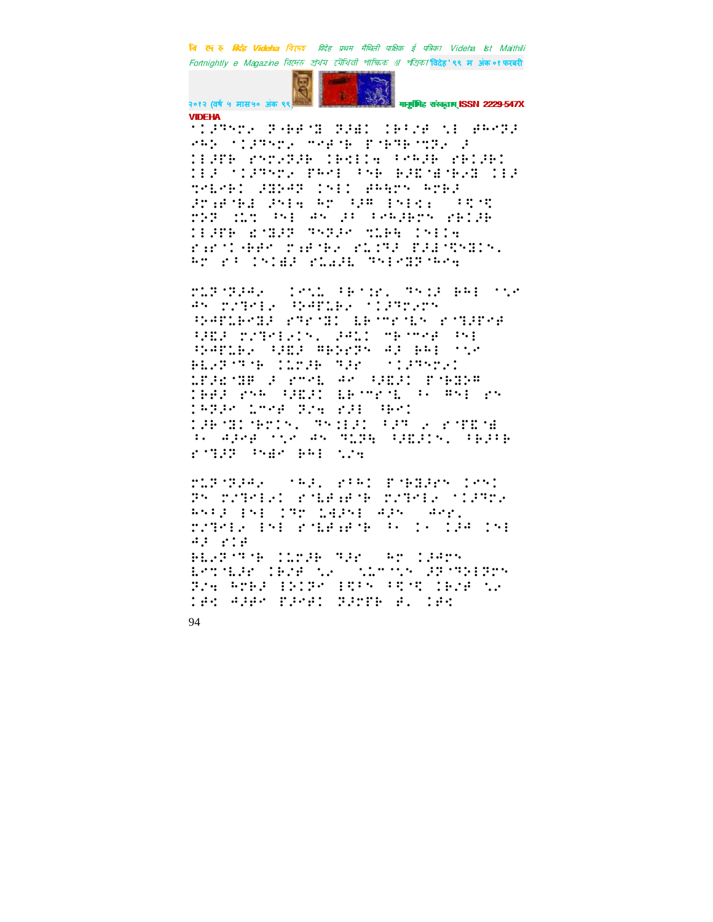

मानुबंधिह संस्कृताम् ISSN 2229-547X

#### **VIDEHA**

MIPPER PARTS PART IRINE NI PROPE **PRESIDENTS TREE PORTED EDGE TEATH PROVIDE TEATLE FRAGE PEICHI** 113 MIRTIN PROFISH BUDGEDAD 113 SPECK SHEET INTI BRASS ROLL Profile Pilote Rr (PRO1918) (PROD MAR MAY PAI AS JP PARABOS MBIAR **TEATH RIGHTS SERIE CONFERENCE** ranteer rathe rifts flictrons Program Industrial Sections (Program)

PLEARANT PACK RESEARCH PROPERTY AND Windows Barner (1981) SPARLEMENT PROTECTIBLY THAT POTERING SHE STREETS, PALL MESSAGE SAE speries same embrac ea per cob BLATTE CLOSE TER SCOTTERED LEVENIE V STAL AA (VEV) ENERA<br>1992 SNA (VEV) LENTSNA (VORN) SN 1932 1776 324 231 950 iskuisenis, skiisi (se paanna)<br>johtase ova esimple (sesiv, jeste ring mar PH: 124

rungser (\* e. 2008) render (\* 1 Production and and conditional 8813 | 191 | 192 | 1929| | 438 | | 489| PARTIE IN POLEHOP POINT DE LA  $\begin{array}{ccccc}\n\cdots & \cdots & \cdots\n\end{array}$ BLATTE CLTB THE AT CATS Estable Head to Colomby AP 79-1955 Bre Anal (1918) (Bre Christ Card Cr *ter Aler Bleet Blogge e. ter*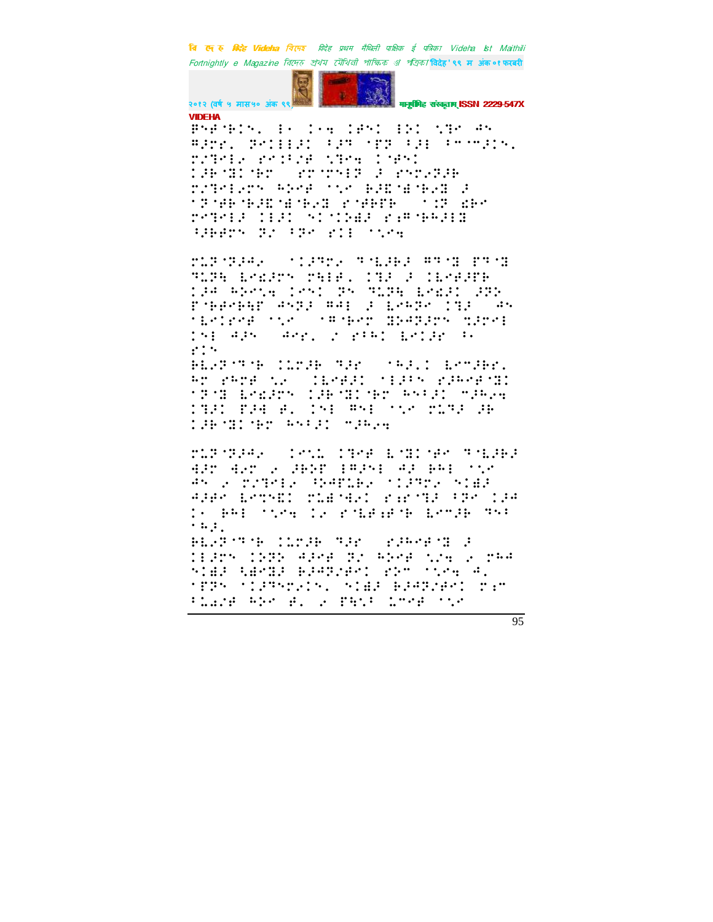

मानुबंधिह संस्कृताम् ISSN 2229-547X

## **VIDEHA**

२०१२ (वर्ष ५ मास५० अंक ९९

Bradens, Exchanger, EPI SBR 45 BREE POILER FRONT FROM POURS. DZIPLA PRIPZE NIPH LOBAL **CONSTRUCTIONS OF PROPER** rothership and the root restablished of **MINE SEARCH SEARCH AND STURE** rement (191 SIC) HE FOR THE 1 HHET IN PROVISIONS

rifras (1980) (1981) and the same of the state of the state of the state of the state of the state of the state of the state of the state of the state of the state of the state of the state of the state of the state of the TERN EMERGY CREE, ITS SPOEDER 194 Abrue 1951 BS SLBB Ermal 286 Pobenber angelsaap in broge (gir an TERING TOROTOM TERM HEADDEN MODEL 158 Albert Anglick gibt brilgt in  $\mathbf{r}$  :  $\mathbf{r}$ 

BLARTE CLOSE THE STARL LETTER. Ar rang to closely sides ruangers **TRIN EPARTY CREIGE BY ANGEL MARYA** IND THE B. INE WAS TOT TURN OR **THEORY WALL STATE** 

rifrage (1911-1958 Ending Thiles APP APP 2 SHOP 18251 AP PAI TO 45 2 MINES DATED TIPM SIEP APPO ESTADI TLETARI PAPTIR FRO 194 18 BRE STRAK IS ROBERTH BROWN THAT  $\cdot$  :  $\cdot$ 

BROTH CONFIDENT POWER D 11355 1232 4368 32 4268 526 2 544 STAR RAPAR BRAGGAN PDM (1984-4) tras tiansplis, sida baarnasi per Place RDM B. S TRUP LTMB TOM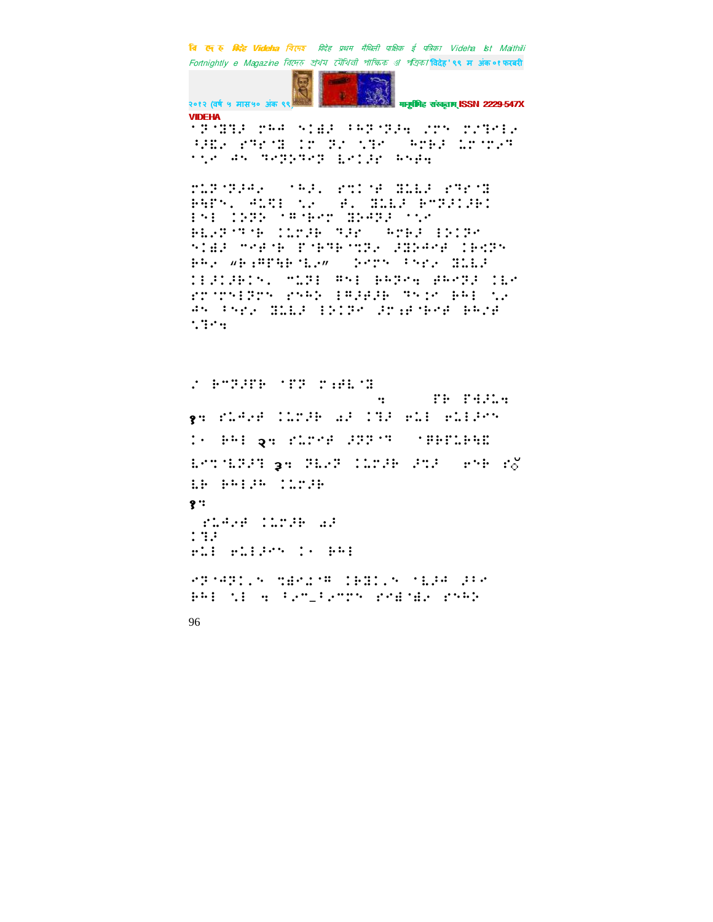

मानुबंधिह संस्कृताम् ISSN 2229-547X

## **VIDEHA**

२०१२ (वर्ष ५ मास५० अंक ९

**TRINGER WAR SIGN FARINGE WOR WORKER RABY PRESS IS RESIDENT REPARTMENT** the An Sepport Leigh Angel

TERMINAL SALE FOLSE BEEF FREMB PAPY, ALSE NA VALUED PORTIAN **INE INTERNATIONAL INFORMATION** BLATTE CLTDE TO STORE INCT SIEP TRETE ETEMPTICE POSTARE CERTS BRA WEIBPHETERWOODSTYN FRED HILL ::::::\ miB: #n: pAPPA #APP! :&r rounders raad (#2020 #510 000 12 as tsel dible from draggaged page  $2.324$ 

**TAPACH STRATEGIC**  $\dddot{\mathbf{r}}$ pe right lings af 193 eil eilder In BRI on Minha 233.78 (19881BRE) Brought as HER CLOPE FOR THE 20  $\mathbf{P}$ : **SEARCH CONFIRMAN**  $: 331$ ri: ri:Pow I, PA: **PROBLEM MERIOR IBBILS SEPROPER** PRESSENT PRODUCTS PORTHLY PORT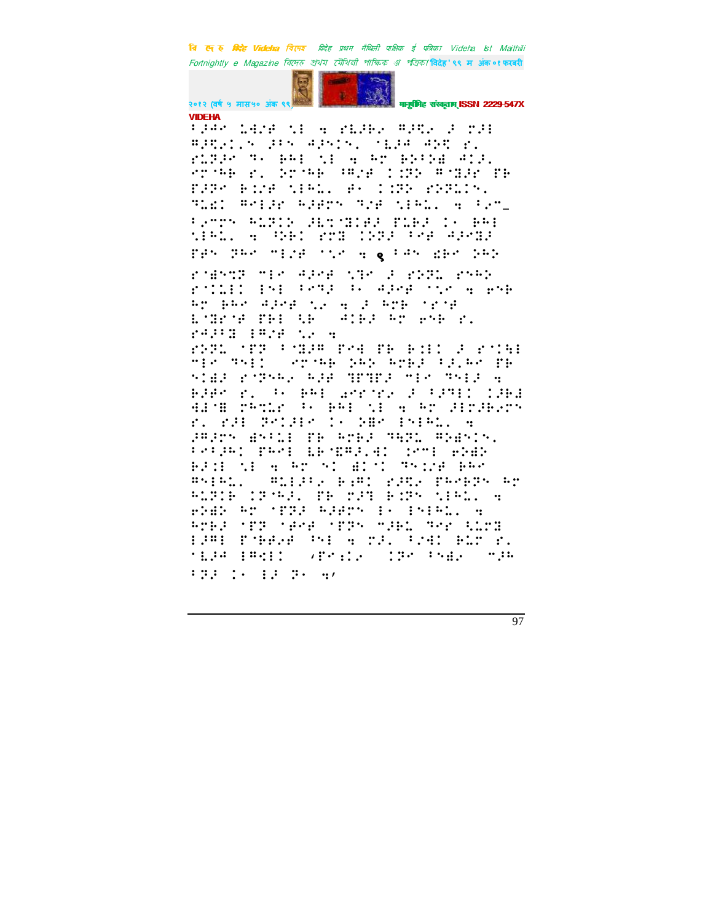

### २०१२ (वर्ष ५ मास५० अंक ९९ **VIDEHA**

मानुबंधिह संस्कृताम् ISSN 2229-547X

FRAK 1928 ME A VEREZ BREV 2 MRE **BARALLY ARY BAYING MEAN BEE PL** ringe as being a er broke ett spoke r. Spoke (Arie 1928 Andre Pe FARM ROOM NIRE. WHO ISBN 208119. REED RAFIE RIPORTIA CIRE SERVICE PARL From ANCON HAVENED CORP. 1991 this a this something and a FBS PRO MICH CAO A QUART ERO PRE

right the specific propriety rolled the compact sporting and 유민 유민이 공문에게 있네. 노스의 문화가는 기업기로 L'Hrit THE AB (Alba Ar enb r. **PAPE IRA NE H** PRESSURE FOR THE FILE FOR POST mic dell' chemic pap ambienti al most SIER KOTSEK REF HINDE MES TSEE A EPP P. P. BRI anning P.P.H. CPH HANB TRINK IN BREAKE A RT SETSBOTT r. rat Priatrock Smr 19181. 4 PRIMA BARLE TH AMBI MATL MIGHTS. Prijaj pari ishopi, di irmi eldi BASE NE A PO NO BONO TROVE BRA<br>PREPOL - POEARA BARO VARA TRABTROPO ALBIB ISABIL PROBLEM BIBY NIALLOW PREP AS MERR ARREN EN ENEALL 4 ATES TER TAPA TERM TAEL REF RICH 1981 Prese Price May 1981 Birch. tiga (Phil (Phile (DR) Phil (M26  $133 \cdot 143 \cdot 143 \cdot 147$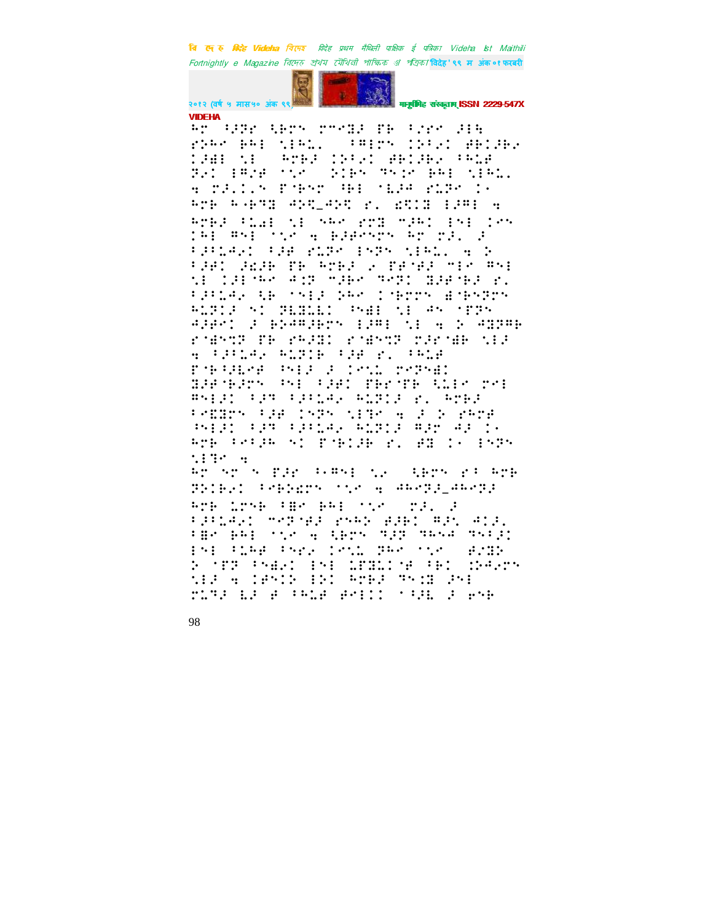

मानुबंधिह संस्कृताम् ISSN 2229-547X

## २०१२ (वर्ष ५ मास५० अंक ९९ **VIDEHA**

An APPE ARTS TOWER TROADER PER PRAK BAI NIAD. (FAIRS IREA) BB18B2 1988 NE (ROBA 1959) BRIARY (RNB)<br>AVI ERVE SNK (VIEN ANIK BRE NERN) HOTELIA PART HE MERCEDE IN 876 8483 831433 3 3313 1381 9 ROBE FILM NE SAM POR MERICINE LOS IAE ANE MIR A BJEMNIN AI IS. J PRODUCT PRESERVED PROVIDED AT N FJAD JEJE PE POBJ 2 PANAJ MIK ANI ME CALMAR AND MARK PART BARNER R. PROGRAM DE STAR DE L'ARRET BIBTER WIRTH ST PERMIT PARE ARE SPRAY 43851 3 BS4#3Brs 13#1 51 4 3 432#B right? TR regii right? TGride tip 4 FRIAR RITH THE R. TRIE Parker will conference HARTHAUS SMITTED THROTH RIPS 201 #5121 F29 F2F142 R1212 P. RTB2 Product Park 1505 (1995) and Discharge PRESS FRAGILIAN ROBER RESOURCE ROB PRISE NO POBLEM 21 BB 13 1575  $1131 - 4$ 

RESAR SUPPLY FORMS NATUREPROPERED SPIERI PRESENT TO A ARRELANCER Arb Lrnb (Br BA) tir  $\mathbb{R}^2$  .  $\mathbb{R}^2$ titler som et al. 2002 eller sig artik.<br>The BAI sire a three sig speak setif PRESENTED PROVIDED PROVIDE SECRE S Pro Papel 1st Croine (Bi 15425) ME A CENIN END AMBEL TNIM 2NE ring is a seig andis rou d'ana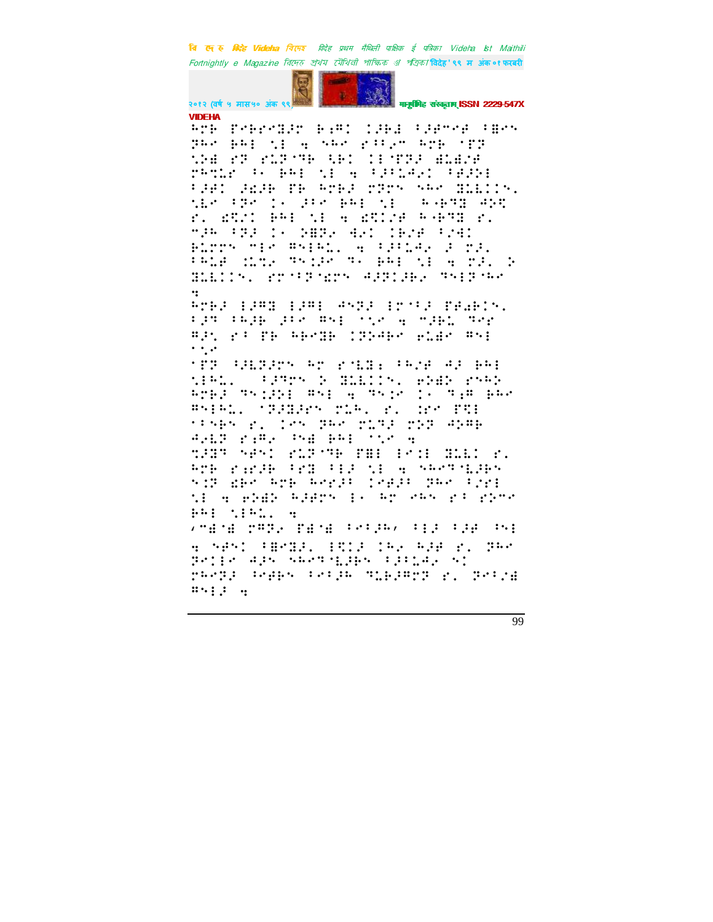

#### २०१२ (वर्ष ५ मास५० अंक ९९ **VIDEHA**

मानुबंधिह संस्कृताम् ISSN 2229-547X

RTE Presrikt eie: 1961 (Serve (Ber PRO BRI NI A SRO KRYM RMB MPP SPA 27 25779 SPI 11787 ALAMA<br>29562 SPA 54 SPI 9755921 SPPH FRANCISCH THORPHE TRTS SAR HILLIS. MES FRS 19 PPS PRESSES ROBERT AND r. Ethi PH SI a Ethi PATE r. MARCERA DE GODA AVI IRVA FVAI Bloom with Whitel, a future dood.<br>Felip with Though Thomas (1988) a class HALLY, STORYGEN ARRIBLE THEROWS  $\ddot{\bullet}$ 

ROBE EERS EERS ANDE ENTER PRAKIN. FIR PAIR IPS WAY TO A MIRL THE APS PO TR ARMIE (TRARK RINK AND  $\cdot$  .

'TT HATHER AT POLIC PATE AF BA! tien. (Providential and the South Park)<br>Analysis (Paint And Analysis ) (Providential BRIGG (THIRD TIE, P. MO TTI time room as placed when he SHIP (SE) PH PH (SA) 9 tHP SPS FLP TR FHE POIL HALL F.

ana randa fro fid si a sastronoms<br>Sof des ana asrdi (sedi das froi the edga agencie an easy na gar **PHI MINE. 4** 

**VMEME PARY PEME FRIGHA FER FRE PNE** a neni (Brogli Esia ing Age 2. Shr propried processed models of propried ch racy: Gegas Colla Shagarry P. Telen  $\mathbf{m} \cdot \mathbf{r}$  :  $\mathbf{r} \cdot \mathbf{r}$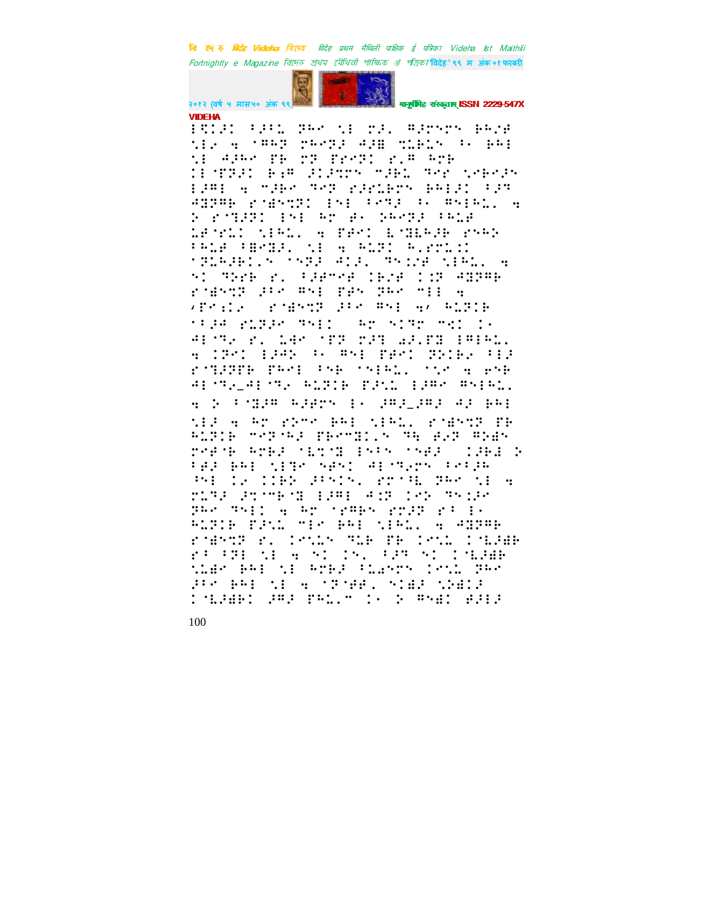

मानुबंधिह संस्कृताम् ISSN 2229-547X

### २०१२ (वर्ष ५ मास५० अंक ९९) **VIDEHA**

ESIED FRED BAK NE MRI ARMMA BANG the a swap rache went then a par ME APPA TR TP TEATL F.P PTP Horder Blackford walk and weeks EPRE A MPRE THR SPELED BREAK FPT ANDRE PONSCHE 191 PROF PO RUPLE, A F P THE 191 AT 80 DAMES (ALP LEARLY MERLY A FERD EARLER ROOM **FALE FORCE: 10 H. ALTI A. 20121 MELRIELS MARE RIEL PAINE NIRD. A** SI THE P. FREEM INSERIES ANDER right are wellight the silence **VPELE PORTUGAL AND AVAILABLE** \*F24 PLB20 RSE1 (RP S1RP 801 1) HETA P. LEO MER MAT ARITH IMEN. A CRYD BRAS AN WAB BAYD RECENTABLE POISER PACE PARTOGRAM CAUSE PAR APPROAP TO ROSE PROVINCE RAPOL a portmanages is gegger ar par the a Ar stre BA: the Soundard TB RITIE MATHE TEAMING THORP PRES reformation of the second complete that is PAR BRI NITE SAST ALSTATS PRIDE THE PERSON FROM PROVIDU  $\mathcal{D}(\mathcal{C}) = \mathcal{D}(\mathcal{C})$ TITE STORES ESTIMATE CAN TAISE PRO PAIL A RE CERRA EDIR ER IR RIFIE FRIDAY MAY BREAKERS AND MERRE FORMUR P. CHAIN TER PRODUCT NEAR RATHA NA ART 19. AN NA TAIRE ther each to aces sharps fri. Ter PROPHECIE A CEMPEL SIBROSPELP **THEADY ARE PROVE IN SURGE ARE**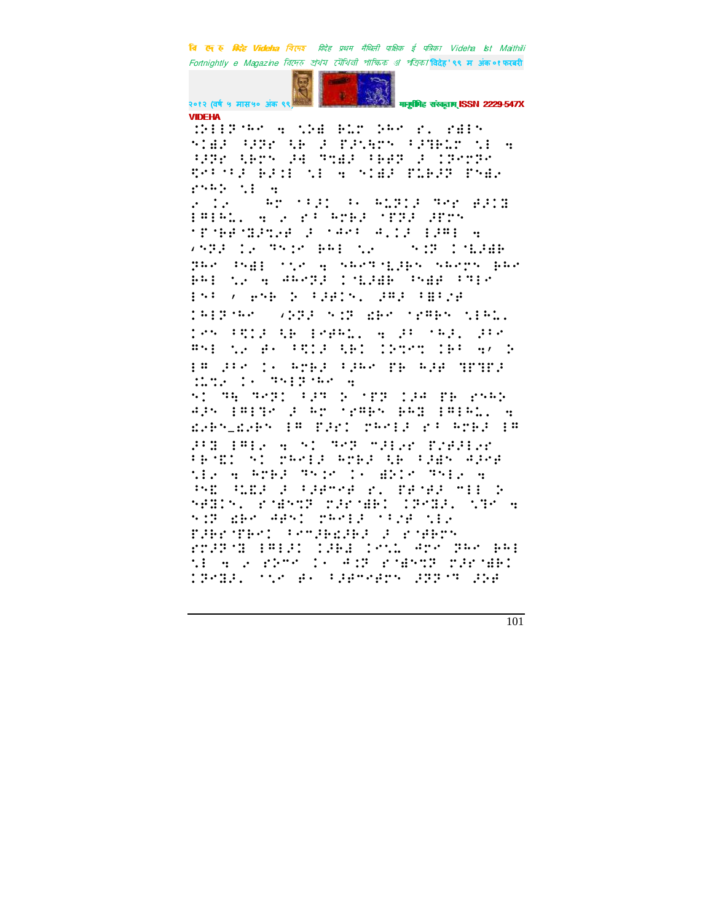

मानुबंधिह संस्कृताम् ISSN 2229-547X

## **VIDEHA**

२०१२ (वर्ष ५ मास५० अंक ९९

SHIPSHOW SEARCHER PHONE SHIP SIER APPE AB 2 PINAMA APRAIN NE 4 SPR SETY ON THE SEAR OF IPPTP THING BASE NEW YORK TOBAT TYPE  $\mathcal{C}^{n+1}$  ,  $\mathcal{C}^{n+1}$  ,  $\mathcal{C}^{n+1}$  ,  $\mathcal{C}^{n+1}$ 

An otel to ALTIP The BRID  $\mathcal{L} = \mathcal{L} \mathcal{L}$ PRALL A 2 PT APAR TER REP rpressence a resoluta age, 4 **ANGELIA NAIS BRITAIN SAME STATE** PRO PABL SANCH SPORTSERS SPORT PRO PHE NA A ARMIE INLAAR PAAR PRIM ps: , psp p (pg)s, pmp (mich)

IREPORT (VERPORTE ERS SYMPAS VERL) tes friedrich begannte de east die British British (British State State British) program (a serve construct de decenic hil : Shiphe A

**SI NE NORT FIN D YER IIA EE SSAD** 425 FRIT- F AT STRES EAR IRIAL & debridger (# 2221 partl pf apel (#

FUE EALS A ST APP MILE PREIDE PRODUCT THAT PTER TROUBLE APAR the a Arbe Show is differently a PE SUD J FAPPE PL PENA MIL SPOIN, POBSON PROBLE  $139331.13999$ SIP REPORTS TRAIN SIZE SIN FJERNIERS (PROFESER J. ROBER) POST OF PUSH THE TOOL AND THE BAL NE A 2 PROS IS AND PORTE DEPORT 1983. TV AV PARAGUS 2007 200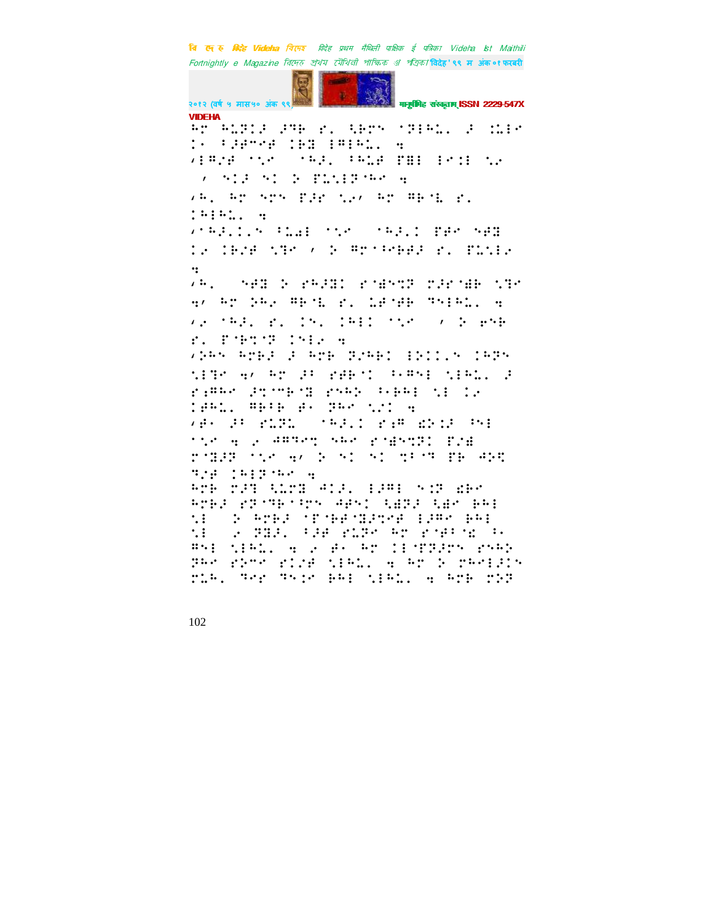

**VIDEHA** An ALBIB PRESS RENS SPIRE, POSSES **VERDE TOP (TRED FROM THE EPIE OF**  $\mathcal{A}$  , while we have interesting the case of CRITES STRIPED NAVIGS RECEIVED  $14141...$ **VIRGIN PLAT TO THEIR THANNED** TV TEMP NTP / 2 PM PREPRE FL PINER  $\bullet\bullet$ **VALUE AND DESCRIPTIONS AND LOCAL CONTRACTOR** g, ar bas medi r. 18 de maial, g  $\chi(\rho) = \mathbb{E}[\mathbf{E}(\rho) - \mathbf{E}(\rho)] = \mathbb{E}[\mathbf{E}(\rho) - \mathbf{E}(\mathbf{E}(\rho)) - \mathbf{E}(\rho)] = \mathbb{E}[\mathbf{E}(\rho)] \mathbf{E}(\rho)$ r. Punu lil. . CHA AMBRID A AMB BRABI ENILLY TABY MERCHA PE PROPERTY PERMITNEND P rime another responses to the 1981, WHIP 86 288 121 9 VERSER PORCHARDED PER BRIDGE PH the government specification and PORTS TO ALCOHOL: YOU ALL TO THE WORLD një japine q 526 229 5128 512. 1291 538 665 RTES PTITEIRY APSI RETS REP PRE ME DE AMBEL MEMBEMENTE EPRODAE STEEL PAR RIPS AT PAPPR PH  $\ddots$ #SE SEAL A 2 # (Ar CENTRATS PSA) PRO ERSON ELER SIRL, A RES ROBERIERS ria, and and said time, a are row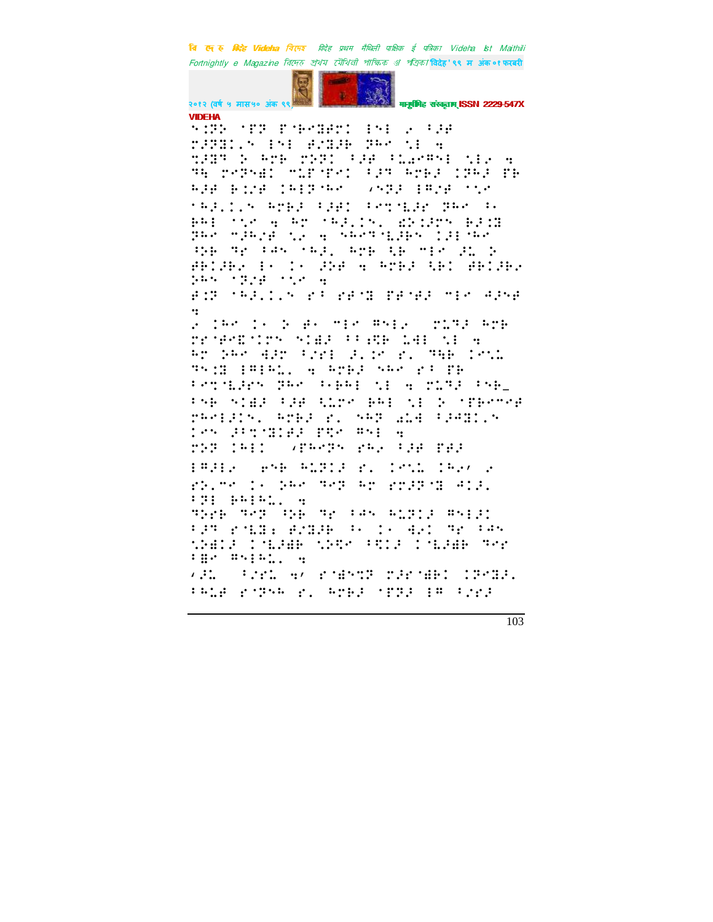

२०१२ (वर्ष ५ मास५० अंक ९९

मानूबंगिह संस्कृताम् ISSN 2229-547X

**VIDEHA** SIRE THE POPERTY INE 2002 THE S IND BIBB THAN I A tHT 2 ATE TIM, MIR MURTHE MEASE TH PRIMAR MIRRIER FIT AMBI 13AI IB **APP BINE INFRAME**  $\mathcal{A}^{\mathcal{A}}\left( \mathcal{C}^{\mathcal{A}}_{\mathcal{A}}\right) =\mathcal{C}^{\mathcal{A}}_{\mathcal{A}}\left( \mathcal{C}^{\mathcal{A}}_{\mathcal{A}}\right) =\mathcal{C}^{\mathcal{A}}_{\mathcal{A}}\left( \mathcal{C}^{\mathcal{A}}_{\mathcal{A}}\right) =\mathcal{C}^{\mathcal{A}}_{\mathcal{A}}\left( \mathcal{C}^{\mathcal{A}}_{\mathcal{A}}\right)$ ragilar amag (gal (gronigh dar) (g PRESSURE RESTRACTS, WASHER PAIN PRO SPRING NEWS SPONSORES INC. spectrum and sales are the mediate to ANCORE IN THE ANN A AMAZ AND ANCORE 1988 - 1976 - 1988 A BOR SARLILS PROPERTIES TROPICARSE  $\mathcal{P} = \left\{ \begin{array}{ll} 16 \times 10^{-4} \, \mathrm{GeV} & \mathrm{MeV} & \mathrm{MeV} \\ 0 & 0 & 0 & 0 \\ 0 & 0 & 0 & 0 \\ \mathrm{GeV} & \mathrm{GeV} & \mathrm{GeV} \end{array} \right. \quad \mathrm{MSE} = \left\{ \begin{array}{ll} 16 \times 10^{-4} \, \mathrm{GeV} & \mathrm{MeV} \\ 0 & 0 & 0 \\ 0 & 0 & 0 \\ \mathrm{GeV} & \mathrm{GeV} \end{array} \right. \quad \mathrm{MSE} = \left\{ \begin{array}{ll} 16 \times 10^{-4} \, \mathrm{GeV$ Program the stage couple is the second second

An SAR APP Frei Plin e. MAR 1851 This inity a breaking of Te Provides BRP President and control the PSE STEP PPR RITH BRE NE D STBATER TRAINING RTEACTOR NEW WIRE FARILY tes discutado pre msi 4 THE INIT (MAPS PAR THE THE

PREP AND BLEED PL IMILIBRA P right is had men ar rright will **THE BRIDGE STATE** 

The Ter Old Te Cas Wille Tsil PAR POLIS BOILE POST PRIOR PROP their company that the company wor the maint, a

VAL (Frel 4) endror parnael (Pros. PALE POPOR P. AMER OFFICER PIPE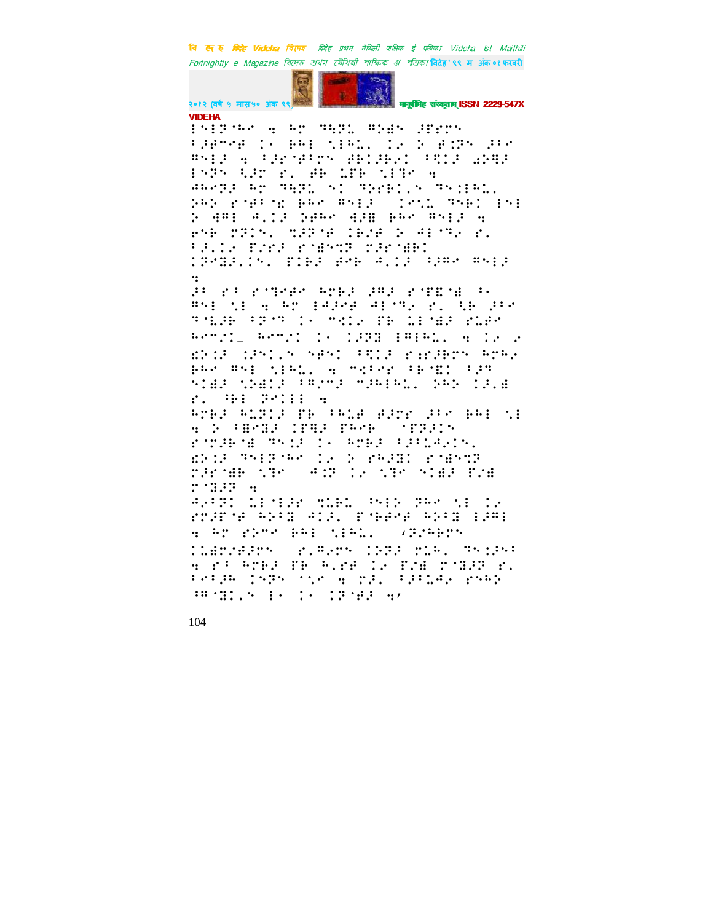

मानुबंधिह संस्कृताम् ISSN 2229-547X

२०१२ (वर्ष ५ मास५० अंक ९९ **VIDEHA** 

Prince a Ar MARL What Arrow Partner () BRE SERG, CA D'ASTR (Pr #512 a førnefos eklægt f¢l2 ap#2<br>1525 typ al ek lom nige a #Replace MARL SI MEERLS MS:BRL. pap grapha amerikan liku sékilin S ARE ALLE SANK AND BNK RNED A FRE TRING TRINE IEZE 2008 MICH. **FILL FIRE RIBBS SECRET TRABALLY, PIER AND ALIS SURPLANSE**  $\dddot{\bullet}$ 

a ya yigay shekara ya yihin a British a Arciagor array rush gir stighters in this records him Renolm Renol (2001) 1918 (PERL) a los 2 ERSPORTS SPACE FOR PERPETT par sal than a move then the STAR SPACE FROM MERIND, DRD CRIA r. 981 97111 m

ROBE ROOFF OR TROP BED ATA BREAK S PRESIDENT PRESIDENT ronakom menaj de arba alaguarde. arik sepasa trondekan raesar<br>1919an 1920 eta trondekan fra 

APPENDING THE TIME SAID TAKEN IN TH rranse astal ala. Iseder astallidei A ROSEN BREATHE (PORPO

CLETZERTY (P.B.TY CORP. TIP. TYCH) 4 PROPER PROPINS THORNEY PO Prija (575 jiel 4 př. Přída, road **BESINE EXECUTIVES**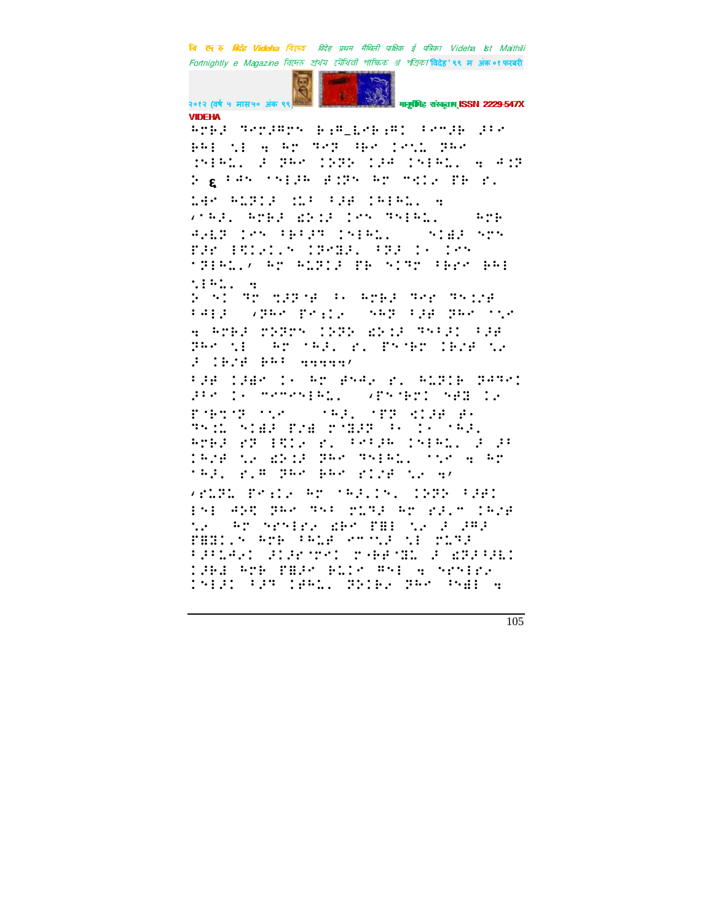

२०१२ (वर्ष ५ मास५० अंक ९९

मानुबंधिह संस्कृताम् ISSN 2229-547X

**VIDEHA** Anal Sendare alamina (Cenda die PRI SI A RE THE TRA INSI TRA real for the choice cease is a sp b g fan 'nije gijn ar meis fa e.

148 A1213 11: 118 14:41, 4  $\mathcal{N}^{\text{H}}(\mathbb{R},\mathbb{R})=\mathbb{R}^{\text{H}}(\mathbb{R},\mathbb{R})\oplus\mathbb{R}^{\text{H}}(\mathbb{R},\mathbb{R})\oplus\mathbb{R}^{\text{H}}(\mathbb{R},\mathbb{R})\oplus\mathbb{R}^{\text{H}}(\mathbb{R},\mathbb{R})$  $\cdots$ ARLE TRY FREED INEAL. THILE NON FAR BRIGINA IPABAL PRA IN IPA **TRIAL, AT ALRIE PROSTED FROM BAI** 

 $1141.74$ S SI RE SPECH PHOREFORME RELEA FALL (SPECTRILL SEP FRESHMAN) 4 PMPA MARMA INSN ANIA MARAI PAR PROVIS AT TRE, P. Probable that th : : : : : : : : : : : : : : : : /

the char is an essay by addis dame: PROTECTOMONERS, APROPED NEEDLA  $\begin{minipage}{.4\linewidth} \begin{tabular}{l} \hline \multicolumn{1}{c}{\textbf{0.1}} \end{tabular} \begin{tabular}{l} \multicolumn{1}{c}{\textbf{0.1}} \end{tabular} \begin{tabular}{l} \hline \multicolumn{1}{c}{\textbf{0.1}} \end{tabular} \begin{tabular}{l} \hline \multicolumn{1}{c}{\textbf{0.1}} \end{tabular} \end{minipage} \begin{tabular}{l} \hline \multicolumn{1}{c}{\textbf{0.1}} \end{tabular} \begin{tabular}{l} \hline \multicolumn{1}{c}{\textbf{0.1}} \end{tabular}$ rent te TO MARKET MARKET STATES ATES YR ERIS Y. PROPE INEAL S SP

IRSE NA WRIE BRA MAERIN (NA A RO tel, rim Ben Ben rich tin av

vrdi Pris Ar (Alisa 1982-1981 ESE AND BAS NSP MINE AM WELM IRME the Archaeolase absorber of the FEEL 5 AMP PALE STOLE SE MITE **FRIGHT RIPORT THENE P WEREL THE ATE THIM BLIM AND A NEMBER** SHIR PIR DARI, BRIEK BRA PABE 4

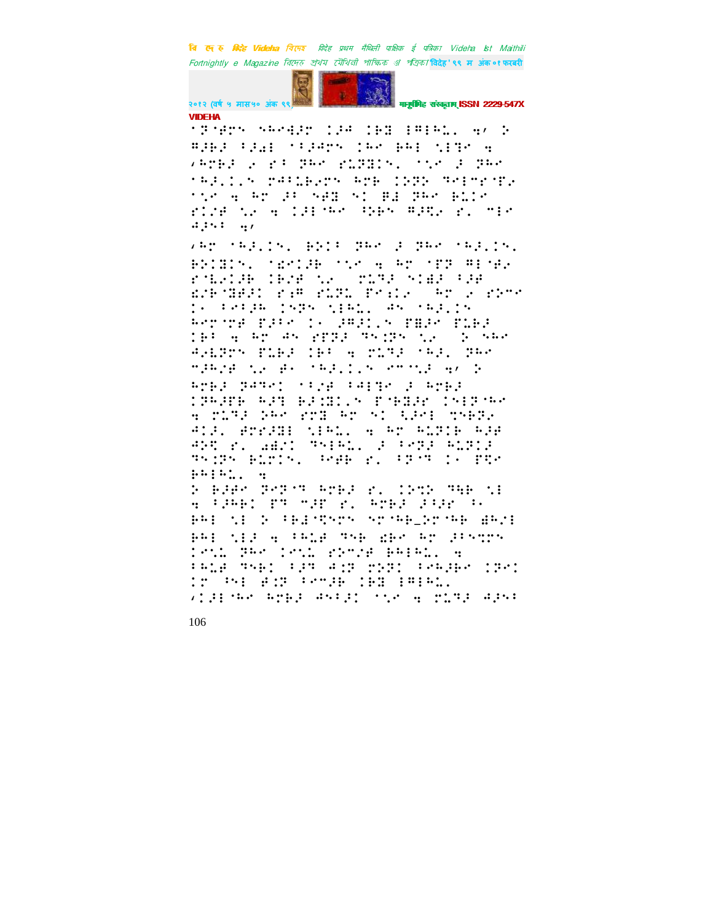

मानुबंधिह संस्कृताम् ISSN 2229-547X

#### **VIDEHA**

२०१२ (वर्ष ५ मास५० अंक ९९

**TRIANGER CA CHE EREL 47 2** BREAKING MARK THANHEI SITE A **VAPACH PORT PROVISIONS CONCRETED** radio e partecen apa codo delebrac the Academy Party Research Park Base ride to a lefter the #PRO ride  $\ldots$  :  $\ldots$ 

VAP (PARIOS) BOIR BAR 2 BAR (PARIOS) BRIBING MEMIRE MOMENT BESTER BENEW robelek 1828 de Congre Sige Fle àrPdA: VA Aze Menseri (Pro Report files () (Bally THIP TIDE THE AUROR PERPENDANCE OF SPO ARLEYS PLES IRS & TLES TAS, TAR making the decompation control as a agai paser siya iaige i agai **TRAPE ART BRIDGE FYBOR INSPYAR** 4 TIME SAM FTI AT AL LEME TARES 413. Arradi (191. a 9r 91318 938 AND PLOWERS THERE IS FREE ROBER Third Black, Greene, Crain is fre  $P^1$ :  $P^2$   $P^2$   $P^2$ 

PRI SI N PRISTEN STORE NTORP BROT par tre a same was not be progress leni der leni römze eelei. 4<br>Pela meel Plan Add rodi Peelae (dei IT WE FOR PROBE INS ENERGY VISENHO HONG ANGGI TIO A SIDIG AGNG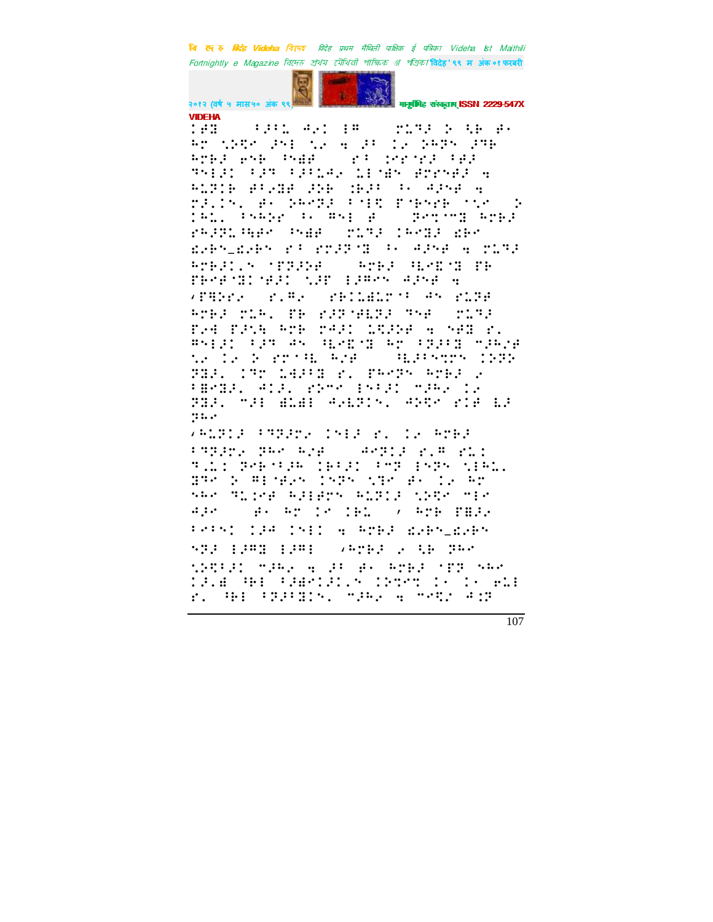

मानुबंधिह संस्कृताम् ISSN 2229-547X

# **VIDEHA SEPARANTE SERVICE EN 1889**  $: 43$ RESIDENT PRESSURE PROTECTIVE PRESSURE Bred esk Padd **SEPTER REP** skild (profiles 1878) Arryay a ALTIB BISHB JOB (BJ) (6 AJSB 4 TALING BY NAMPA FOIR PORNER ONE *f*and competed well go **SPACE SERVICE** PRODUCERS SHEET PLAY IPSEL WHS debridger at angular general and **ATESIA STREET SERVICE SECTION** PROPORTIER NAM FRANK ARSENE **VINGER PRODUCT SECONDITION PRODUCT** RTEE TIR. TE SUISBURG THE TITE DAN DAYA AMA MAJI 1912-A A ARI K. #SEAT FROM AS HERE'S AT FRAFE MARIE tria presumer and departments FILL THE LAPPI F. PROPE REAL 2 FBPB2, ADAL STOP (PREF) MARY DA SS: 78 WAR 48SY, 4557 MS W  $\mathfrak{B}$  ...

**VALUE FURNA INFRASTATION AND** FREEDS BAS AND CONSTITUTION SIL TELL PORTLE IRIDI FOR 1575 MIRL. planens lege the assign ar  $\mathbb{R}^{n+1}$ saw mijer alises airle three mis **B. Ar Is IBL / Arb PHAS**  $\mathcal{L}(\mathcal{E},\mathcal{E})$ PRINT TEACTMET A PORT EPROLEPH 593 1388 1381 (5763 2 18 958 1259131 MJA2 4 JP 8- AMB3 MTT NAM 19.8 HH FRANCHIS CRONO IS IS WELL r. Af Steans, mar a mar and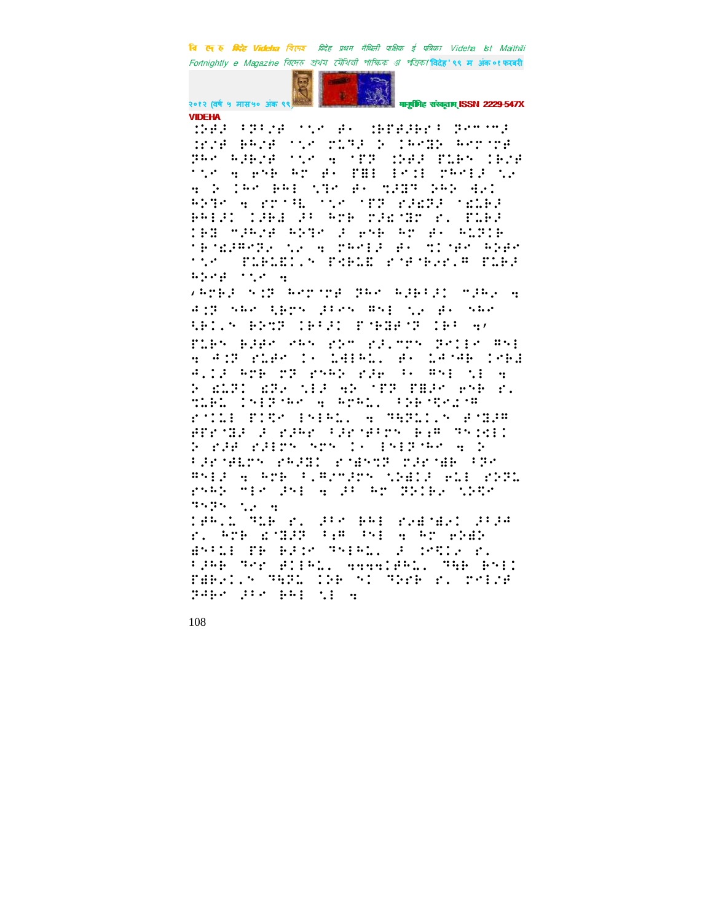

२०१२ (वर्ष ५ मास५० अंक ९९) **VIDEHA** 

मानुबंधिह संस्कृताम् ISSN 2229-547X

SHA FRISE TO BE SHIPPER RemovA WIE BRIE TOM MISS & CRMID RAMINE PROGRAM TOO A TEP WAR FIRE TRIP the academy as possible particular 4 2 156 BB: 176 B- 1787 162 BC PRIM A POSSE STATISTIC PRESS SEARC 00101 **THE WORDER THE TEAMER** 188 mjerje edga je pre er ek edigio tenbasers to a peris as dinamikan TAR (FLELEDIA PRELE) PAPARING PLES  $\mathbb{E}\left\{ \mathcal{L}^{\alpha} \right\} = \mathbb{E}\left\{ \mathcal{L}^{\alpha} \right\} \Rightarrow$ 

varil sin arrive par allegi mial a dig and then did miss and the same WELLY BRYP CHICK FORBERT CHI AV FLEN BJEN MAN ROM RJ.MMN BMIEM ANE 4 ANT RIAM IN 14141, AN 14746 1761 **A. T.P. A.M.R. (M. P. 2004) (2004)** (4) (4) (4) (4) (4) S ALFI ARY MIS AR MER FORM AND BY SPIRING A POPL. PRESPONSE  $\mathbb{R}^2$  . The  $\mathbb{R}^2$ FOLD FIRE PHALL A PARLICE FORM APPARE A PLAY FAPARTY BAN SYSTEM Porte refra ara la faffina di Po FJENBURG ERJOI ENBRUT DJENBE FJE Bright Anders (Runder (1981) All Sprin rneb min ani a af er drier wrth **3535 No. 4** 

1951, TIBOR, 255 BSI KABYBA1 2524<br>K. Shkokulli 395 SSI 405 BN BAD BRAND TR RACK TRIAL (A CHILL C. time for Allei, Adaptami, The Boll FARSIS MARL INFOST MNSR F. TELNE 3468 318 661 51 9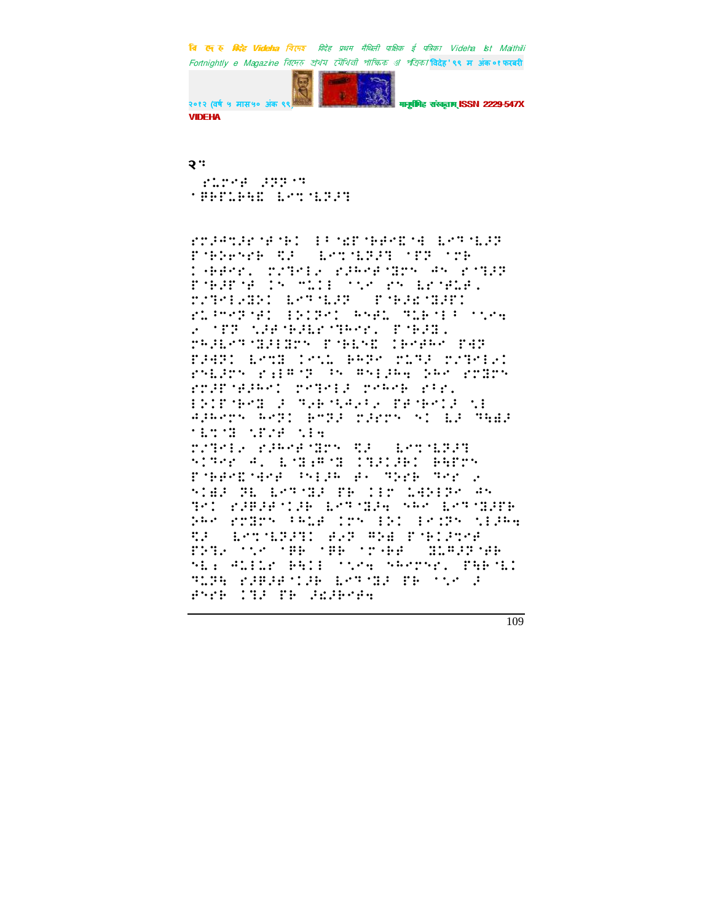

मानुबंधिह संस्कृताम् ISSN 2229-547X २०१२ (वर्ष ५ मास५० अं **VIDEHA** 

 $\ddot{\mathbf{z}}$  $\frac{1}{2}$  ,  $\frac{1}{2}$  ,  $\frac{1}{2}$  ,  $\frac{1}{2}$  ,  $\frac{1}{2}$  ,  $\frac{1}{2}$  ,  $\frac{1}{2}$  ,  $\frac{1}{2}$  ,  $\frac{1}{2}$ 

roledle detail all der der die article FOREST CONSTRUCTS OF Deber, comety rangement and remar POSSES IN MILL TO BY BENEL **MARIARY LATER (FOREST)** rings and drips: Angl Sienes (new **A MED MARGAZING TEACHER** PREPROBEEN POBLYE IPSPRO PER FAARI EPSE LPSE BARP SEMA SIMPLEI PALES PRINCE IN WHIPE DAY POIDS rrandakon regela rekek rir. INTERI A TAPARAN TEMPIR M spaces act: Pote clerk at Ll mags **TERME SEMPLOIN** nathle rather dry ta ( bendlagt SIRE AL EMERGE ISSUED BENS fjerninger bije ek byer ber 2 STAR PL LETTER FR TIP LADIPE AS WO MARING AN WAR SAN WATERP PRO POGON PRIE CON EPI ESCOR NEZRA SI BOYSBIN BO WHETHING CONTROLLER TELEVISION CONTROL ME: ALBER BAIB Stra SArror, PARCEI TIN PHIRTIP LETTE NE TA 2 Prin 192 Th Silbrea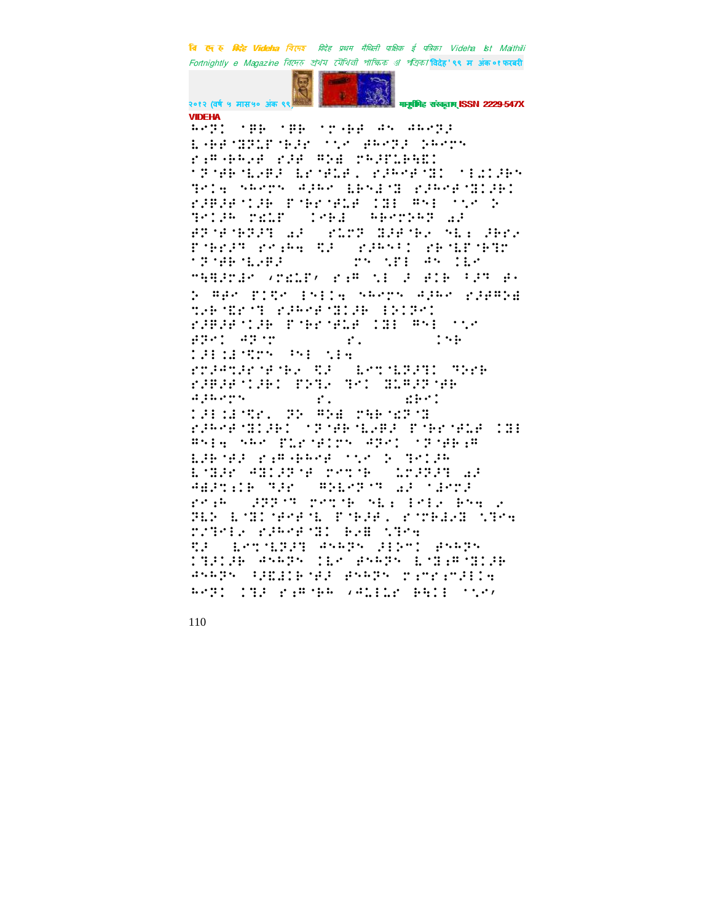

२०१२ (वर्ष ५ मास५० अंक ९९ **VIDEHA** 

मानुबंधिह संस्कृताम् ISSN 2229-547X

Red: (BB (BB (p.88 AS ARed) LARPORTHE TV PROTECTS r: Albert rid Wid Thillicil 1318611282 1218128. 2357818. 1131365 9014 SPORT APPO BRSEND RIPORTHIER EPPRESIDE PORTUGE INFORMACIO 9018 MAID 1061 AB0MAD AD BROBORNE AR (PLPR BROGE SE: REV) Pobrag reaka da "raksad reobrago **SPORTS START STEP AND TEM** MARAZIM STALES PARTNERS AND PARTNER p Apr Plar Endia navrn Agar riganis THE TEST E STATE TELER IN ENCYCL PREPORTED FOR YEAR ONE AND SOM #PP1 #PPP  $\mathbb{R}^{n}$  $\mathbf{f}$ **MAGAZY** WE ME Priestere en si les spin son **FOREST ON THE SECOND REPORT** agnagh i  $\mathbf{f}$ .  $\mathbb{R}^{n \times n}$ **CALLERY, SP SPA PHP MS ME** rakordiak (Sjerman pjerjela 19 Bright and first High Adam (1978-28) ERPORT PARABAGE TO DESCRIPT L'ARE ABLARIE CESTE 122223 42 ABSTRIE THE SPEEDT AF SPORT real during restainable televisea a san adameera Pong, romana toka TITEL FIRETH BAN (The 53 LetilP21 45675 21251 25675 THILE ASAPS TEM PSAPS ESHIPSHIP ANADN (FRAID-MED) BNADN Cancandiia Repr. 193 Fig. 48 VALILE BAIL STR.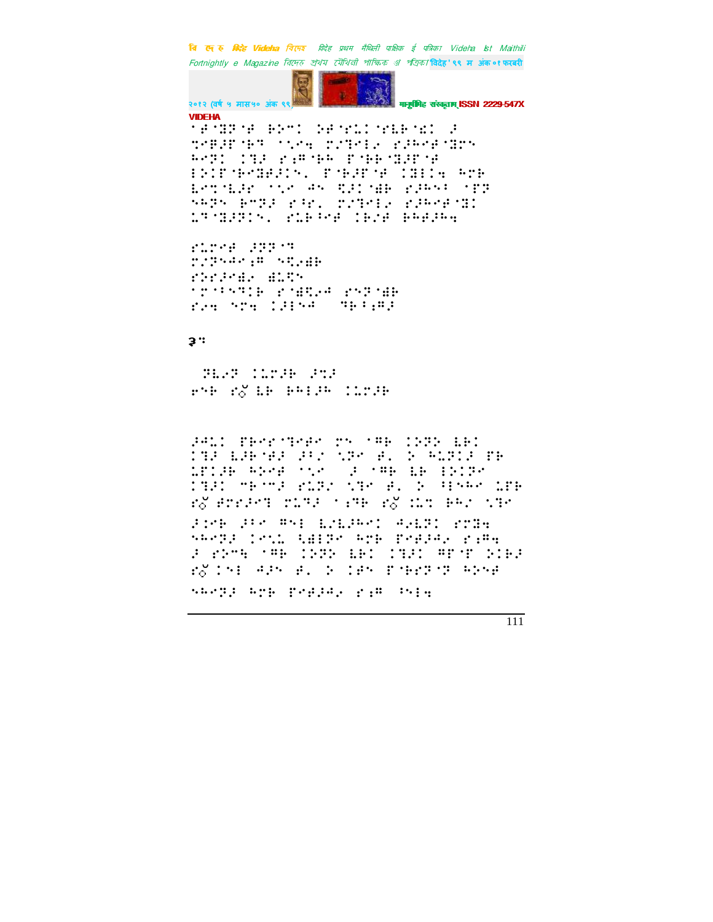मानुबंधिह संस्कृतम् ISSN 2229-547X

**Separate** ×,

**VIDEHA MEMBERSHIPH SEMILIMENT P** THEFT THE TITLE AFRICATION **ACTIVITY PARTS POINTS INTERNATIVE THAT AND AND** Estile the skilled electronic th SAPS EMPERING NUCLEAR PLANE ME LT MESSAGE SLEEPE (B22 BRE2R4

repose in spigh rhrisdir dinn **TORREST PARAGEMENT** f.m 524 12154 (BB) #2

rings SPP (7)

**SEAR CEMPE STA** rnb fo ab bhish (1273b

# $3$  :

२०१२ (वर्ष ५ मास५० अंक ९९

3411 PRESTREA 25 THE 1939 BB1 COMMENT CONTROL STREET MISH REAR TO SAFE WHO WEST THE MEMOR PLAY NORTH AND ROSES LOR rå erregt rige mage få driver var Free PPK #SE EMEPHAT AVERT MODE SARTE CROL BEETS AND PREJUDE RIME E MAR PROGRES BE THE RETORN

# 111

POINT ARM B. D IBM PAPPAR ADMA stepp the pepping rin 1514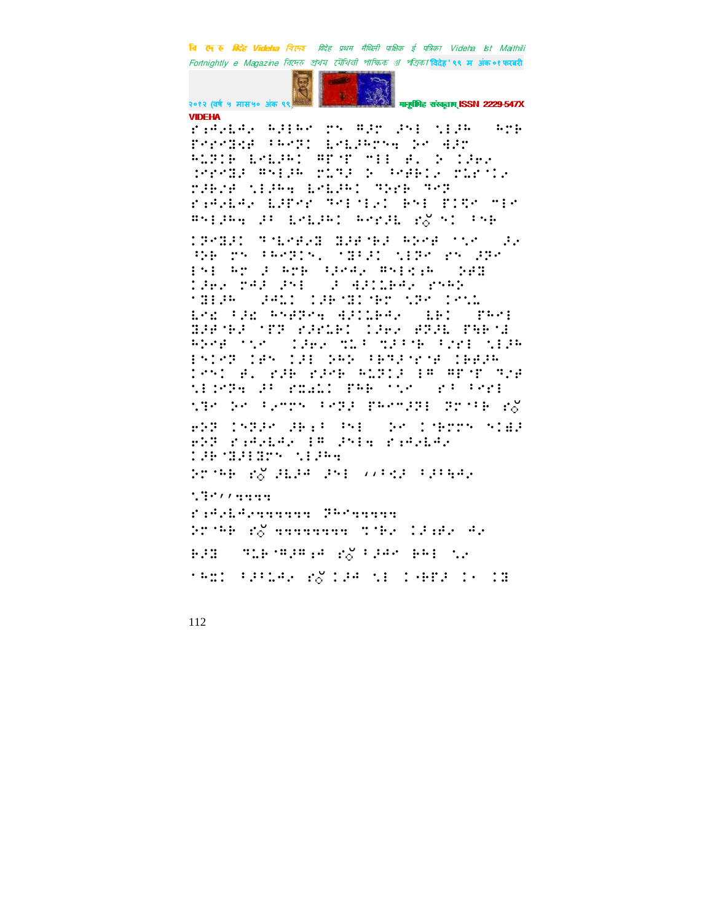

२०१२ (वर्ष ५ मास५० अंक ९९ **VIDEHA** 

मानुबंधिह संस्कृताम् ISSN 2229-547X

righter added by Wdb dyd (1986)  $\mathbb{R}^n$  is the set of  $\mathbb{R}^n$ . Porcher (Pedi, Lollere, 20 42r PLEIP LALING WEAT MILLE. DOCUMA SPERBARANGER DER SCHREIB SCHEIDE rabie viewe bebawi Thib Ter ragadge baren ferdiel ber floe mie Bergham di Estand assemblag schen ing

**TRABEL RALARAS BERARD ASAR MUSIC**  $\ddotsc$ SPECTA PROPINS CORPORATION ARO 151 Ap 2 Apr (2042-851618)  $1.43$ The ref PSI (F ANITAR) reed **MELPHON PRINT CORPORATION CONSUMING** End the Presnal Antipart (EBI) (PRN) BARTEA TIR BARLEI (ARV BRAW PHETA) day we see the New  $\mathbb{E}[\mathbb{P}^1 \mathbb{P}^1] \cong \mathbb{E}[\mathbb{P}^1 \mathbb{P}^1]$ Print (an 131 ba) (and hine (1633) 1951 A. R.A. RASE ALTIA IM APSPORTA MISSTA PROPERTY THE SAME OF PROPERTY the best compositedly paching in the so

BR CARRO HEER PAIN DO COBTTA ACHR FDF Picker IR Dyle Picker Prome rolling and well also cannot

film Server Server Briek do sassana tike link de 838 TEPRAH 201348 BRI 52 1981 FRIGH BÖSIG NE DARR IN DR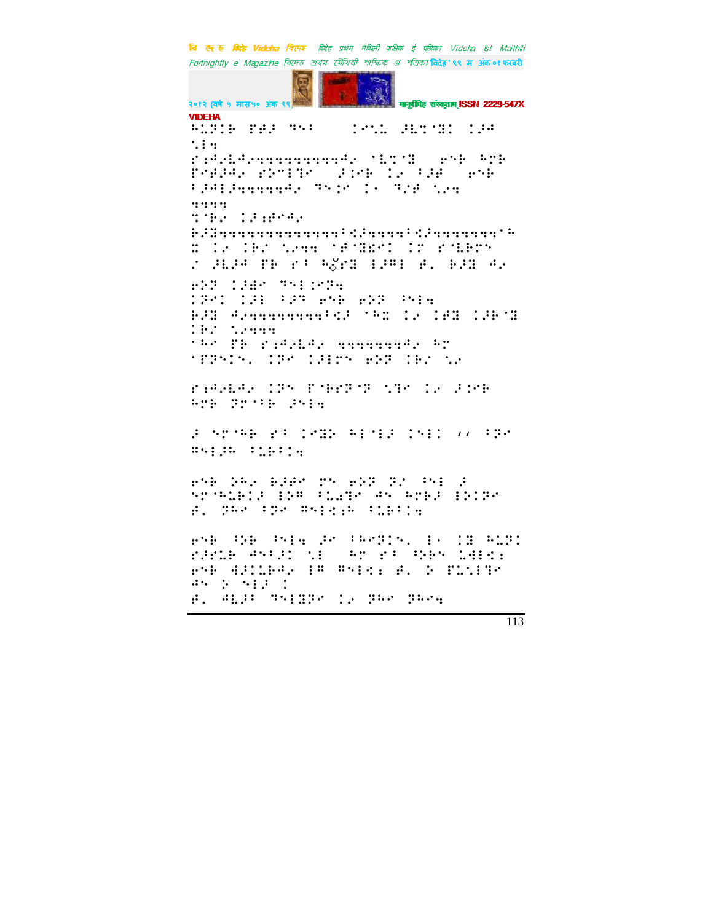**County** २०१२ (वर्ष ५ मास५० अंक ९९ मानुबंधिह संस्कृताम् ISSN 2229-547X **VIDEHA WITH THE TWO 1990 - Paris Parties Additional Parties Additional Parties Additional Parties Additional Parties Additional P**  $\ddots$ rateliterromaningte (18978) and Ard<br>Peddie romane (dang 1989) Platingganger Third In The Sin  $1111111$ the Digital n le lés temp téthet li riger r anse ne es ezer famt el ear er **FIR 1385 7511-776** 1981 131 137 ene eng (nie SPS Sanne the PE rididle, announce by TERNING IRM ISBN 898-182-12 ragion (Proprietor (Processo) **ATE BESE SHIE** a shift ha chan fails chic (see stips their 858 182 8385 25 812 72 351 3 STORIBLE ENR PLATE AN ATER ENLER E. The the Belgih tillig PH SH SHE PO SEMINA BE IN SIN Paris Asiat (1988) ar Pilipes March PHP RECORDS IN MATRICK R. D POSITS

 $\mathbf{a}$  .

 $\mathbb{R}^n \cong \mathbb{R}^n$  .

#, #12: Things () gas gas,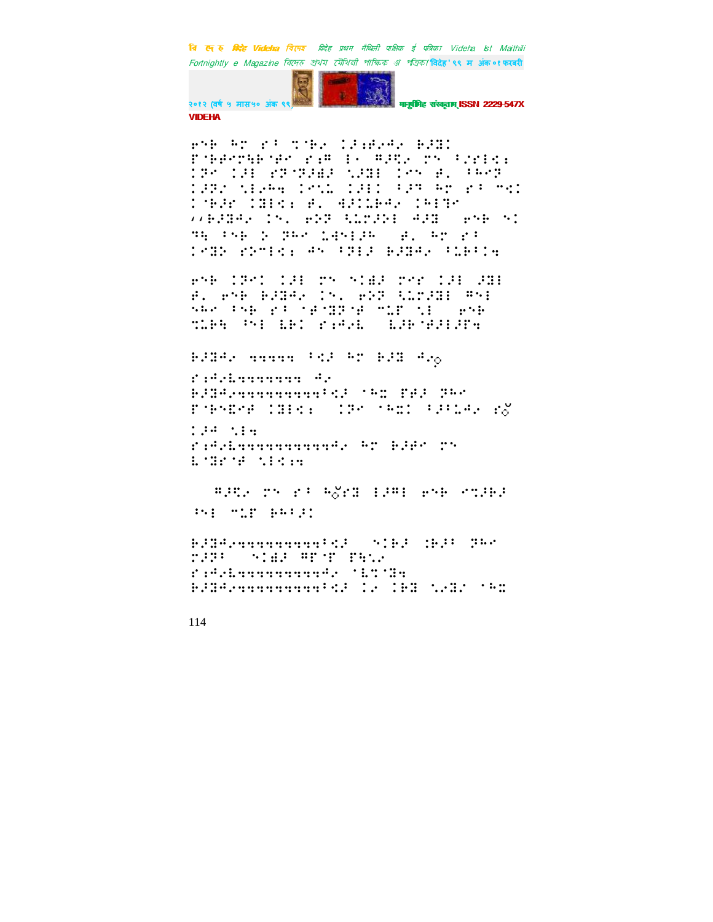respective to the senior contents 1940-114 films and the property of the state and the state of the state of the state of the state of the state of the s L'Hrid (1919) WEEK TO PE ROTE EFRI POR STER Bi Sir Batit BJBR. ANNOUNCEMENT STAR (BJF BR) **THE STAR WEST PRIM** filmssensensk trin 

114

२०१२ (वर्ष ५ मास५० ३ मानुबंधिह संस्कृताम् ISSN 2229-547X **VIDEHA** 

Porrente de crimons many construirs. 198 191 2939949 5931 185 8. PRAP 1982 MEARA (PND 1981) FPP Ar all mai

**WEBSTANDERS WINDS AND PARTY!** 

rh ar ri njel ligeel BSS.

17826 (BER: B. APOLBAR 19196

82342 Annon 192 AM 823 A.

BJBA2444444444413142 PRP PRP

ristingen s

THE PARTY THAN LENGTH CORPORATION Tempo energie and rural mamale rumrig

PRESIDENT IS TO STAR THE IS SID #. end BJB42 In. end through #n: SAR PSE PROSPERSE MIT SECOND the billier rack the control

बि एक रु मिनेट Videha विएक विदेह प्रथम मैथिली पाक्षिक ई पत्रिका Videha Ist Maithili Fortnightly e Magazine রিদেত প্রথম মৌথিনী পাক্ষিক প্র পত্রিকা **বিदेह' ९९ म अंक ०१ फरबरी**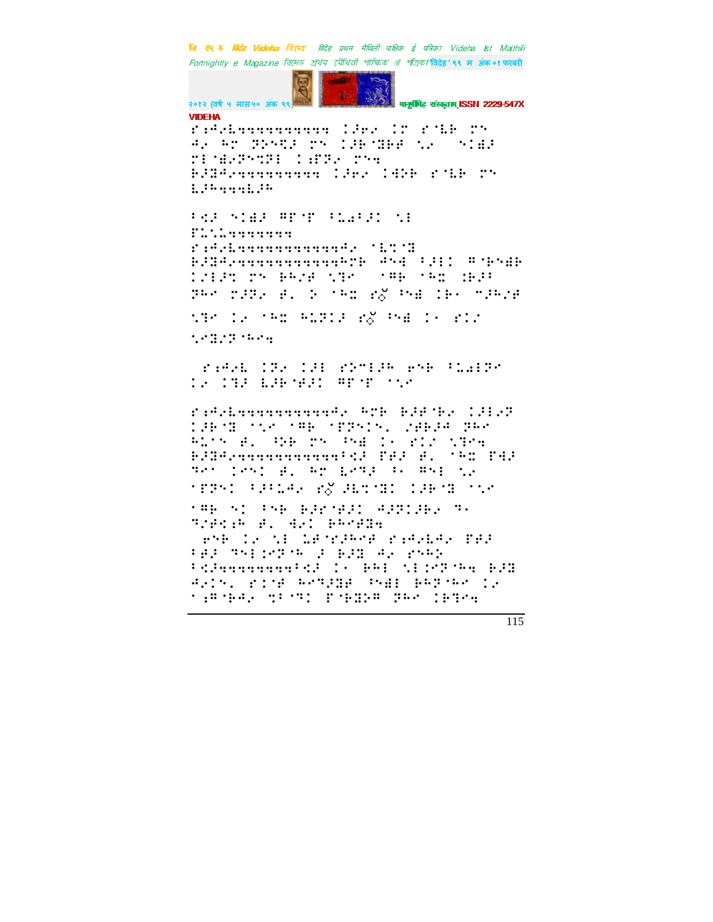

```
मानुबंधिह संस्कृताम् ISSN 2229-547X
```
## **VIDEHA**

ridinghangan like IT rik TV Al Ar Shack ra Cleaner to Star ring.Phone (HT) rhe  $1.3444441114$ 

**PARTNERS PENE PERSONAL Millionsherr References Constants** BJB4.444444444444515 454 FJB1 #7B5dB ISBAN NS BASE SAR (1986-1980) BAR THA TITLE BY A CHO RO PHOTO COMPANY

the contemporary of the condition

# $1.93232244$

Sheed IR, IR Sheeds and Claire **CONTROLLED MAY ARREST COM** 

ridamentented by HATE (1823 19678 MSK MAR (PRS15) 28694 RAK RICK B. RESTAURANCE CONTRA Ter (en) B. An Eeth G. Which, TERNI PAPLAR PS ALTURA LABUR TUT

tsp sp rsp pjrtelp albije. Sv

SZPOR P. RZ PRZPOR SPREAD AT LEAST-PESCHIEF TEA FBF 75115778 2 BJB 82 2582 Pelangangnatel () philosophe blo APING PINE RESERVING PRESSURE IS **SARAWAY STATE PARAWAY SARAWAY**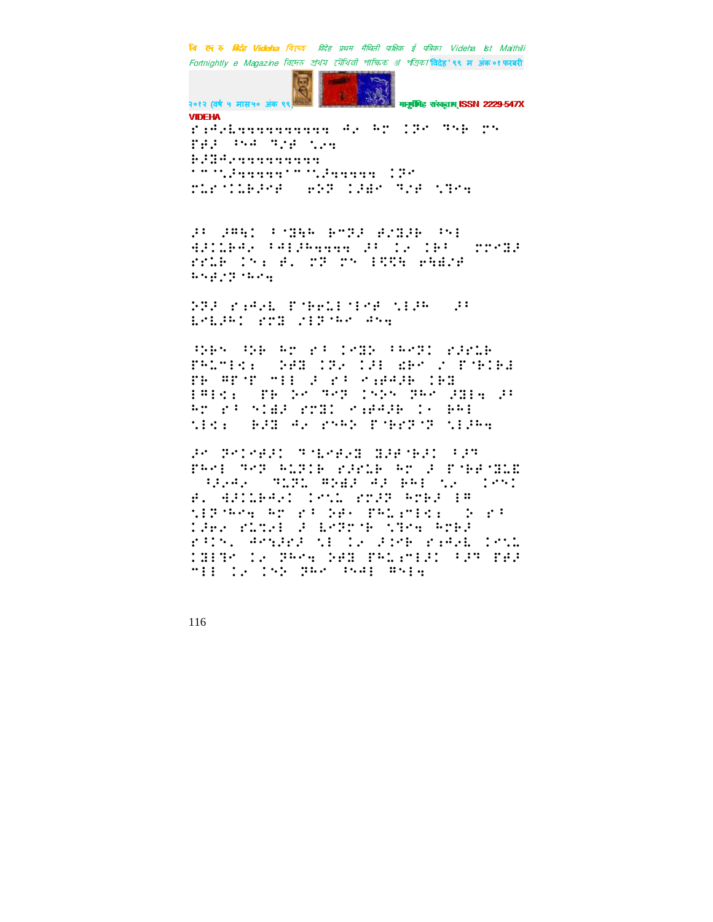

**VIDEHA** 

२०१२ (वर्ष ५ मास५० अंक ९९ मानूबंगिह संस्कृताम् ISSN 2229-547X finisherserverse for the 196 356 gs

THE PARTICLE TOWN **BOSHOP BOSHOP** \*\*\*\*\*\*\*\*\*\*\*\*\*\*\*\*\*\*\*\*\*\*\*\*\*\*\*\*\*\*\* rundiakan sepanjan traditan

**BOOTH: POND PORT ROBER PM** 4211642 (41264444 20 12 16) 22322 rrub (n: A. 23 25 1996 PAANA  $4.442333444$ 

SIS KARA PYRGININE SISH (SP ESEPH STE SEPTER AND

Sheroche ar es lega saeri edele PRIMER: DAN CRASSE WAR IN PORCHA PROMISSION PROVINCING INC. imel (problement populare) dans un Ar ri Side rro: Sakelb 16 BA: MECH PAR AF PARK PORTE MEANS

ar dringai mheagadh daoine agu part why album rights are a prestoral  $\left\langle \left( \mathbf{1}_{\mathbf{2}}^{1},\mathbf{1}_{\mathbf{2}}^{1},\cdots,\left( \mathbf{1}_{\mathbf{2}}^{n},\mathbf{1}_{\mathbf{2}}^{n}\right) \right\rangle \right\rangle =\left\langle \left( \mathbf{1}_{\mathbf{2}}^{1},\mathbf{1}_{\mathbf{2}}^{1},\cdots,\left( \mathbf{1}_{\mathbf{2}}^{n},\mathbf{1}_{\mathbf{2}}^{n}\right) \right\rangle \right\rangle +\left\langle \left( \mathbf{1}_{\mathbf{2}}^{1},\cdots,\left( \mathbf{1}_{\mathbf{2}}^{n},\mathbf{1}_{\mathbf$  $\cdots$  : #. #POLEMAI IPOL PTPP PTEP FM tifing an electronic parameter in el The first Flerry (The Aref rans, esperador la reformada cont 18198 12 PRAY 200 PRIYMIDI FAR BOX "HE IS IND HAS PARE HATE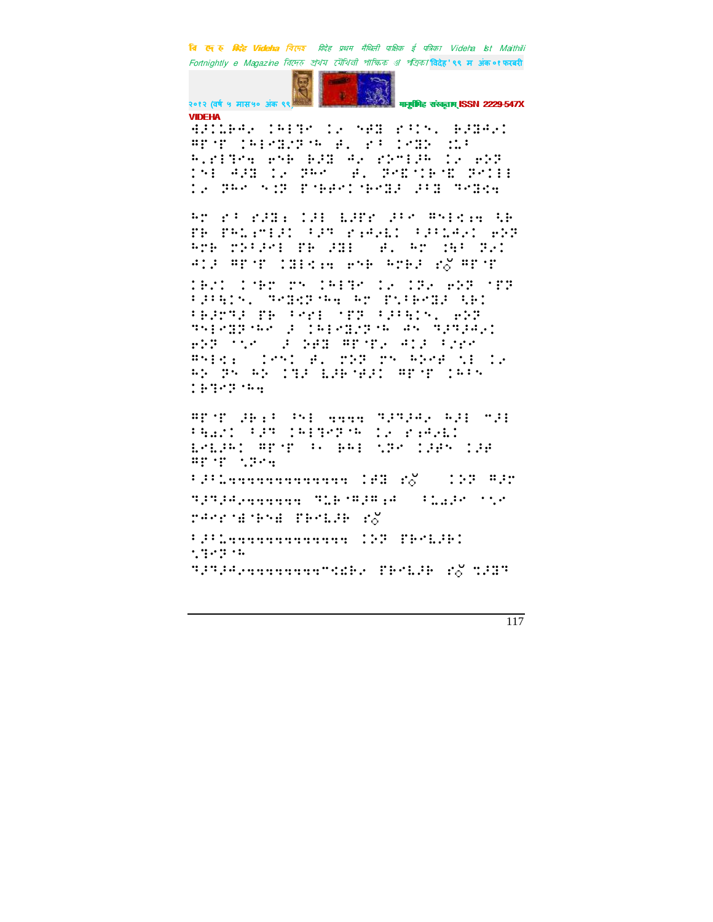

२०१२ (वर्ष ५ मास५० अंक ९९ **VIDEHA** 

मानुबंधिह संस्कृताम् ISSN 2229-547X

ARIGAN IATRA IN NAM RAIN, BRWAI WENT INFORMATION (PRODUCT) Richten enkokalogischen Cioera<br>181 galotischer Seispelberg britt 12 PAC SIP PORPOSECR PROGRAM

An raining in Lund and White AF TR TRIPTING SPR PARALO SPORTING WAR RTH TOGAL TH SHE WAS RT THE TOO AND APAP NORRH AND AND AN APAP

TRID INRT TH IRED IN ITA ANT MIT FREEDS, SPEEDSHAP AT PURPHER RAD FRAME TROPPED MTP PAPRING RDP Theory (A) (FireSyracus (Teacher) arr (1988) a rad Anghra Alasaran<br>Anggal (2001) ay nin no Arna (1982) WE SAME THE LIBRARY SPACE INC. **CERMINA** 

WPERMINE ME AAAA NUNGA RUE MU PRACT PAR INTERNATIONALI BREAK WEST PO BREAKER CORPORATION **BEAT ATAS** PAPLAARARARARARA 193 KQ | 193 HAY SPRAGAAAAA SIBMAAA (SIGRA SI ranning femilie nõ  $1, 3, 6, 7, 6, 6$ "Prepagananter Trebe ("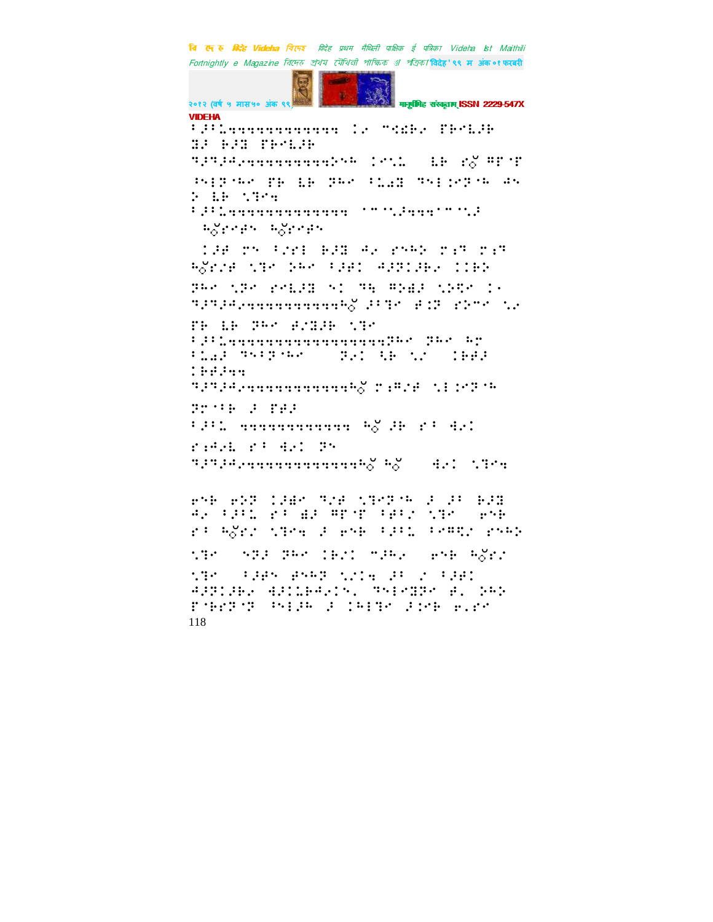

२०१२ (वर्ष ५ मास५० अंक

**VIDEHA FILARARARARARA IS "SEES TRALIB** TPRAPARAMANAN' PI BRIOTH SMITHM TR AR THA SAW THEREST WAS 3 AB 1304 **ASPART ASPART** THE TREPT FHE 42 TRAP TIT TIT AZIVE STR SAR FIED AFFIED IIDS THE STEEL PEACH AT THE FINAL SIER IN 33334.gggggggggg6% 336 at2 at2 t2 M DR MA BINA (M) **COLORATIONS CONTROLLED AND SERVICE** Play September 2013 AB 52 (1992) **TERPRE** 32716 2 TH2 FARL ANNAHANANAN WORK ST ARD radi ri dal 35 TPRAPARARARARARA MARI ART 1974 PH PSP 1988 728 538378 3 3 3 833 Al CHI PR AR APAP CACE SAN AND r: Wörd wire doese this trapp read the springer for secondary week after 136 (FRA) 8563 1214 35 2008 1 APPLEMA APILMARIN, TNIPERTA AL DAD ESPERT PHIP I CRITE FOR PLEA 118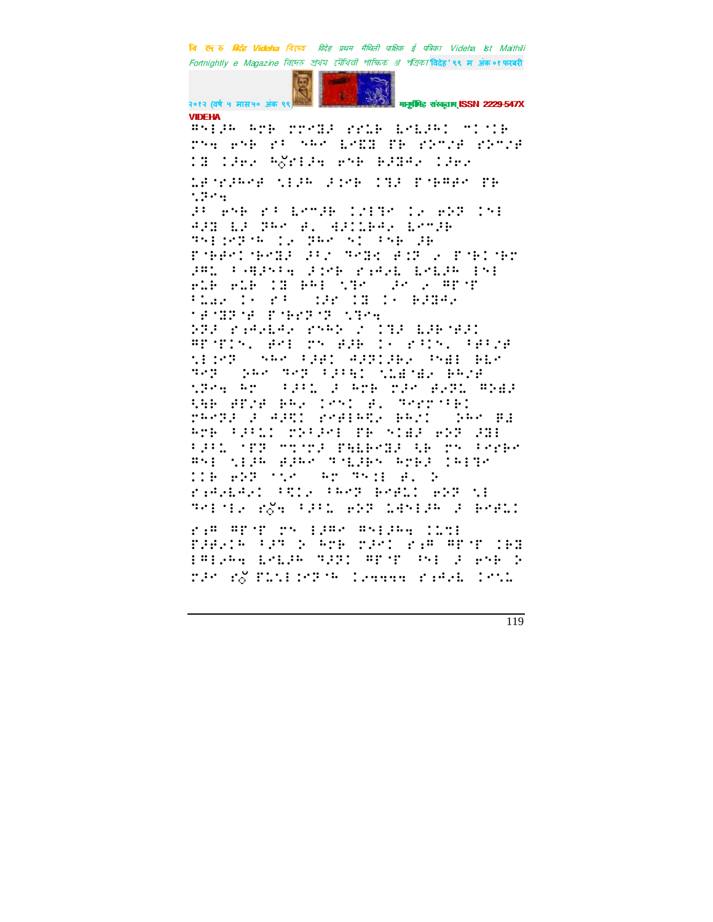

२०१२ (वर्ष ५ मास५० अंक ९९ **VIDEHA** 

मानुबंधिह संस्कृताम् ISSN 2229-547X

#5:26 Are credit rrie isile: "I'll The end of non ledged and chood chood 18 1962 Wälch enb Ba842 1962 Lennikhe (194 June 193 Pnemer Pe  $1.344$ PROPHECE ESSERVICE PRESS APR LE PRE AL APPLEAD LETTE 35110336 12 366 51 356 36 Pobenisheda atz dhos exploratoriza PC PARTE FRE PAGE ESER ISE ES ES CRANI VI VA PROVINCI Play 19 FR (19 18 18 19 BRBA) **MANISH PORTH STAR** BRI KARARA KYAN I CHA BARYARI PENDANG PALONG PARTICULARING PRIZE tices she sper gustome shar mar THE SAM THE FARM NOW MAY BRIDE SPAR RE CRARE A REPORTAGINAL MENA the ATMA BAS (SM) A. Throntel recept of Adapt readingly bend o peer ma RTE FIRIN TREPH TE SIER WRT 201 FPL TP TOTA PHERIP BE THEFT #5: 5:36 BJRK #51385 RMB3 IR:36 DIE ERRITOS (AM PROFIS) rather for the beach who si TAINER WAS TITLE AND LANITH IN BAGLI rim writ re fine weight this

FAGIN FAT 2 AMB MAC F.M. MESE 183 iniyay bebas saat mene syf a per p nas rõimulist mailamme rekk levu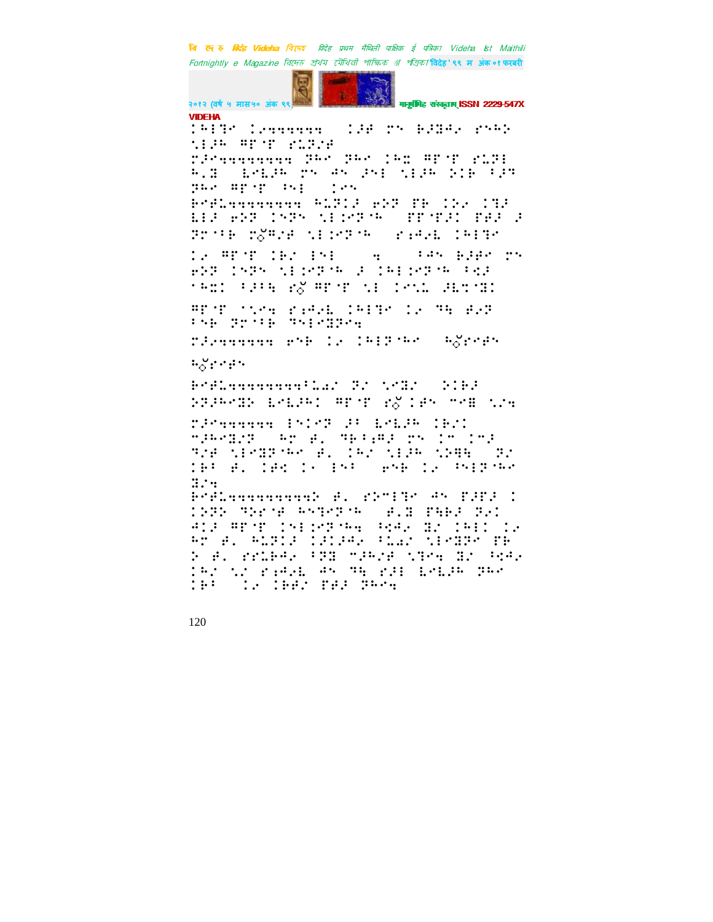

२०१२ (वर्ष ५ मास५० अंक ९९ **VIDEHA** 

IPERS Lemman (128 PS E208) PSPE tisk Apop (1918) rangggagaga ang ang institutional at ang managalang ang managalang ang managalang ang managalang ang manggaga<br>Ang managalang ang manggagan ang managalang ang managalang ang managalang ang managalang ang managalang ang ma part op en skilde  $\mathbf{r}$  .  $\mathbf{r}$ Bralannannan Algia ASG TB (S. 193 BIJ 200 1905 SLOVEN (TRYPI TEJ J Brown römze vierre (Freed Chime atan Bibe ch **MONEY CONSIST**  $\mathbf{H}$ PPE INPRINED PRIME 2018 DOPE PRO 'Add (FR) Mo WE'T NE IPOL RETOR WP-T TOM FRAME CRITE CO MA RAT **TAR STAR SAINSTAR** TJ.HARAAA PSB 12 1917'97' AZYAR  $\ddot{v}_0 \ddot{v}_1 \dot{v}_2 \dot{v}_1$ BROWNER EMELORI PENT : SO DON MMB NOW

TPSeemen ESISP PP LSLPH IBS MIRMENT POST B. MESSER ON IM IMP THE MEMBERSHALL CRITICALLE SIME CONT TER B. TEC IV ENR ( PNE IS SNEP) NA  $\mathbb{R}$  :  $\mathbb{R}$ Frelessesseschung als Karlier am Baba ( **THE THIS REPORT BIB THE TAL** AND RESEARCHERSHALL READ BY INEXT  $\ddots$ AP B. ALBIB TRIPAS PLAZ NEPHPP PR 3 A. Kriba, 198 mjera 1904 Br 1942

Ter or radio as me recorded par

**THE IS THAT THE THEA**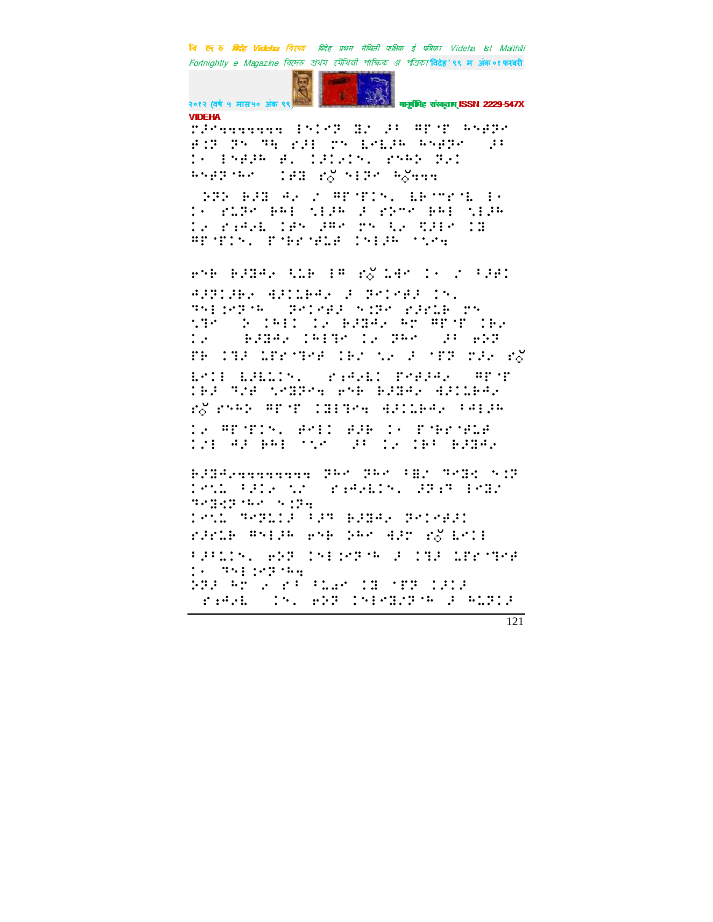PH BURG WE IM 2018 IS 20081 APPIRES APPLEAS & POINBRILY. The provincial decompany in concern and the NTR (1881-1881) 12 B2182 AM AM MESE (182)<br>12 | B2182 18178 12 JAPA (1881-288) TR THE LEATER TRACKS ACTED MAY 10 ESTE ERENTS, CRIPPEN PORPRY CREST <u> 161 MAR NYONYA AMB BIOGA AITORIA</u>

rå ryke spor filme allika. Dalle De Aprovis Artical Albert Cremental 121 42 841 518 (2001) 12 380 82042

BJB4244444444 PRO PRO FB2 POB5 51P Tend Fall no cramath. Afar Pedr

PARING WAR INFORMATION IN INCOME

IN PRESENTED ROBERT

**Tend Medici Prish Bridge Schering** ranik #siak esk bks 4ar nõikti

533 Ar 2 23 Star 18 (83 SSS)

SPP ERBORY PENDAL BETTEN ER 19 PLP- BRE SEPROF POTT BRE SEPR te raggi tas den ms te tale to **AP TERM PORTHER INER TOTAL** 

**VIDEHA** ranggagen 15137 %: 31 WP-T-R5898 FOR THE PHOTO LOLEN RAPPO (F) In Endia al Idiain, pray Bal 8583588 183 200130 8099

२०१२ (वर्ष ५ मास५० अंक ९९

**Seneral Service** 

positive particular

 $\mathbf{r}$  :  $\mathbf{r}$  .

बि एक रु मिनेट Videha विएक विदेह प्रथम मैथिली पाक्षिक ई पत्रिका Videha Ist Maithili Fortnightly e Magazine রিদেত প্রথম মৌথিনী পাক্ষিক প্র পত্রিকা **বিदेह' ९९ म अंक ०१ फरबरी** 

मानूबंगिह संस्कृताम् ISSN 2229-547X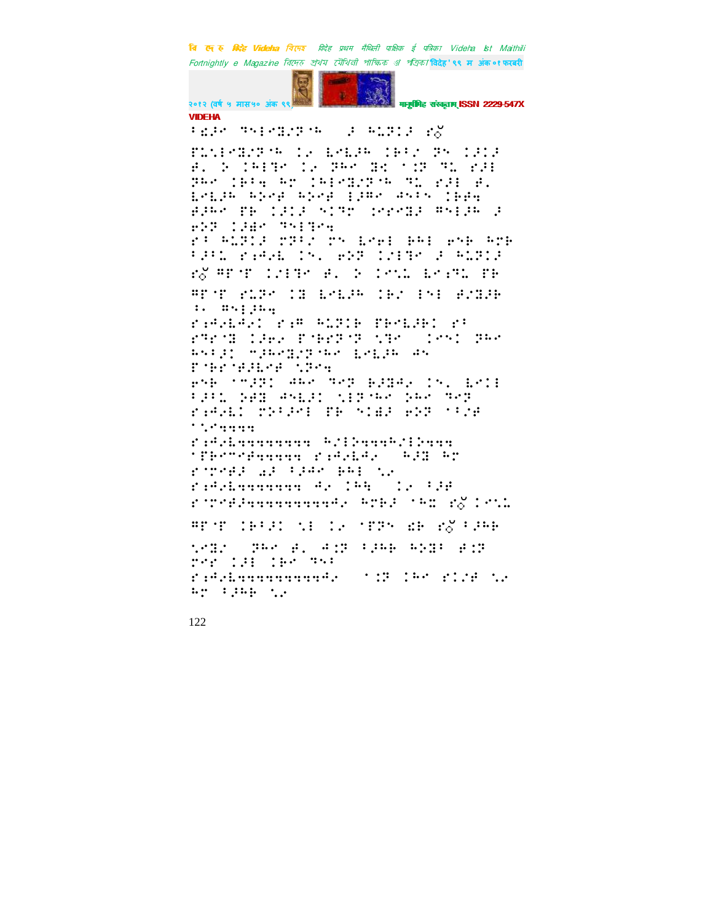

मानुबंधिह संस्कृताम् ISSN 2229-547X

**VIDEHA** PERSONALISM DE REPORTS

२०१२ (वर्ष ५ मास५० अंक ९९

PLYDRICH IS DRUGH THIS TRUCK! #. 5 19:36 16 396 36 133 31 32: PRO TERR RO TRECHTSTROM STE 2 Length there there igne and there BRAK TE 1818 SINT SMYMIE ASIRA R **FDP 1385 751356** PT ALBIA 2012 25 EPAI PAI 25P ATP PARE PARK IN WHAT INTERNATIONAL ROTT DIT ALL DINA BATA PR WE'T KIR IS DADH IN 191 RYSH  $\mathbf{1}$ .  $\mathbf{2}$  ,  $\mathbf{3}$  ,  $\mathbf{4}$ ragari ra auna ngancin d rario lake pikraja var (1891 avr ASIAN SARAGENTUR GREEK AS Forester SPe PHP (1933) ARR 383 B3382 IN. 1811 FROM NEW ANERI MIRORE NAM MAR rathly refer the side ast stra  $\mathcal{L}^{\text{in}}\left( \mathcal{L}^{\text{in}}\left( \mathcal{L}^{\text{in}}\right) \right) =\mathcal{L}^{\text{in}}\left( \mathcal{L}^{\text{in}}\right)$ finiterrence WilterPlicer t:Pronchamage facile, ASS Ar ronel al Clergel th richeeses 4, 166 (170 188 rondiggerergere boblo br. 2010 WE'T THIS ME IS TERM AR AN IGH 1882 - 288 A. A.S. (288 AND) A.S Ter 121 165 757 rathannongonet (18 De rich tr  $4.27 - 1.244 + 0.24$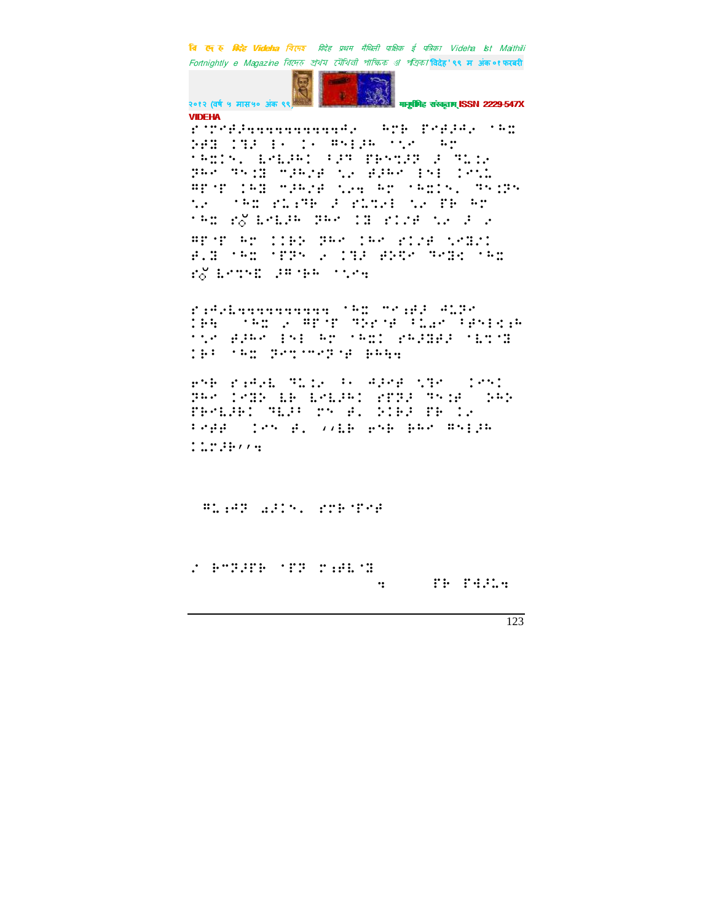

## २०१२ (वर्ष ५ मास५० अंक ९ **VIDEHA**

मानुबंधिह संस्कृताम् ISSN 2229-547X

rordingengengen bre Polis (192 191 193 18 18 20 2013 112 212 22 TROOP. BREAK FAR PROOF A RULE PRO TRIBUTARIA NA APROVINCIONI BESE CRESTRATE NEW RESTRICTS, PRICE World Martin Patter World World tem eg broge ger timethe to grup

WE'RE AT TIER TAK TAK FILE SKEPI B.B. MAR (FPM) 2018 BMP (PMB) (PA MORETTE PROPERTY OF

finiterrerrere 'ES "call diS' CPA (1955), ATTOR SPECIE FILES FRATERIN the Black End ar (and PallBel (End) THE SAM NEWSTOP SEARCH

PRESENTED RICH AND STRONGERS THA 18TH AR ARABAI STIP THAN 1962 PERLAND ALA PROVINCIA PERSONAL Pres (rn e. vie en Bar #ngla  $11.11477774$ 

**BLAP ARTS, STRIPPE** 

**A POSSE MER CHEME**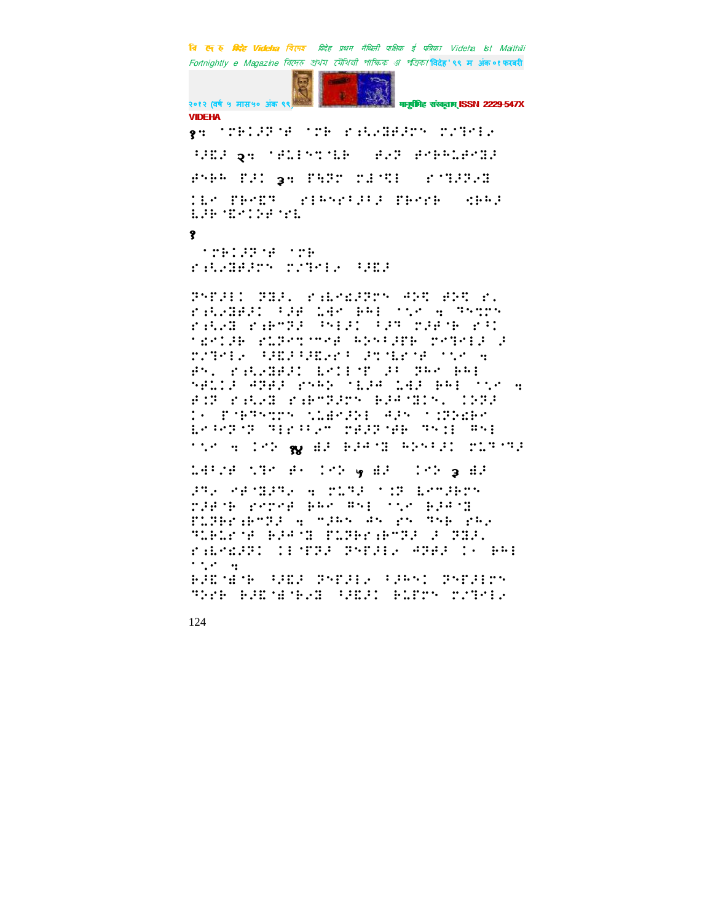

मानुबंधिह संस्कृताम् ISSN 2229-547X २०१२ (वर्ष ५ मास५० अंक ९९ **VIDEHA** pe 'PRISP'S 'PR' PALABERS PARTS SPEP QR (MELESTRE) PER PREPLEMEN PAPP PAI ga PAPP PENTI (PITRAPAR TER PRADH (PIRAPIPIP PRAPR) REAP **LEETHING TEL** 

 $\mathbf{r}$ 

ravagers reter (200

PHILL BUL FARABEN AND BULF. rached the 145 PHP (155 A Three rales raego Gaul (un rue e ru terlak rusktivek somaare redeba a rately HERBEAT Probact the a PS, PHOGHED EMICY ST SHOWER SALIP APAI SSAN SLIA 142 BAI SSA A BIR KALAM KAPTREN BRATIS, 1978 **IF PARSON MERRI ARS CORER** ESPERINTENT PERPORT NOT WAT the acter would electronic change

LAPINE NIM BROOKING BE CONSIGNED

PROGRESS PORT OF BURGLING rdenk rered kan wall non kdand MIRER (BMR) A SMIRA SA SA SAN SAY SLELPYE EJAYO PLSEPHENSI J ( **WEB**. rakener (førs pyrg) approch eg  $\mathcal{C}(\mathcal{C},\mathcal{C})$  , and BJD-MOB (FJDJ) PSPJER (FJBS) PSPJERS

THE BUILDEN SUIT BITY TYPE.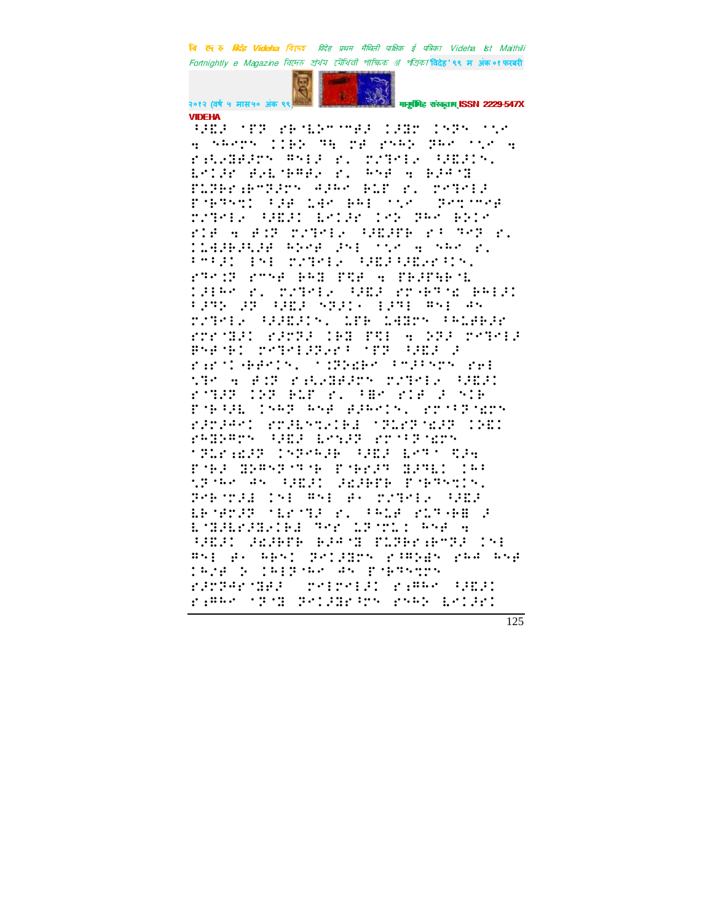

मानुमिह संस्कृतम् ISSN 2229-547X

### २०१२ (वर्ष ५ मास५० अंक ९९ **VIDEHA**

HER THE PROBLEM IN STREET IN THE a Sends libb 34 de reep 365 die oor raleHarry #Sia r. refeie (AHair. ESTAR BALMERA PLOTENEOR BARME FLIER (PTICH SAINT BLE S. CATAL) POPTED FRESHE PHESIVE SPECTOR PARTIE SARAI LEIGE LED PRE BOLE rif 4 fiz roth. GREEK rooter r. LAPPAGE REMP PAI TO A SAM P. POSS INFORMER BEFORE TO rance roof 642 FCF + TERCHING CAIRM B. MITHIGH FABA BOARTA BRIAD 1972 ST 1982 STORY 1971 #51 #5 rotely difficult the temps (bigged) rorige rede de og eg vel dyne.<br>Premi dyneser in een eg ranteers, character (2010) th e for rachers robe. And FULLE INFORMATION CONTROL STATE PORTH INNE RNA AGRAIN, PROTESCO egrado erabordida (guergado 1981<br>egundo ado boxa erabordo **TRIPANE INFORM WERE ESTA THE** FOR BESTON FOR BRUIT IN tres as drive arrep reports. Presnag (SI ASI A) number ago LE MOSPO MEMBER 21 PRIN 217 MEMBER EMBRESHEIM THE LETTLE THE 4 SURFI GRAFIE BARYN FLARYARYA (MI #5: P. WEST BRIEDS PARER PAR ASP paga popagpian as pipesngs rangerige neinebilderer abba rime (1978-90138rime reed bolan)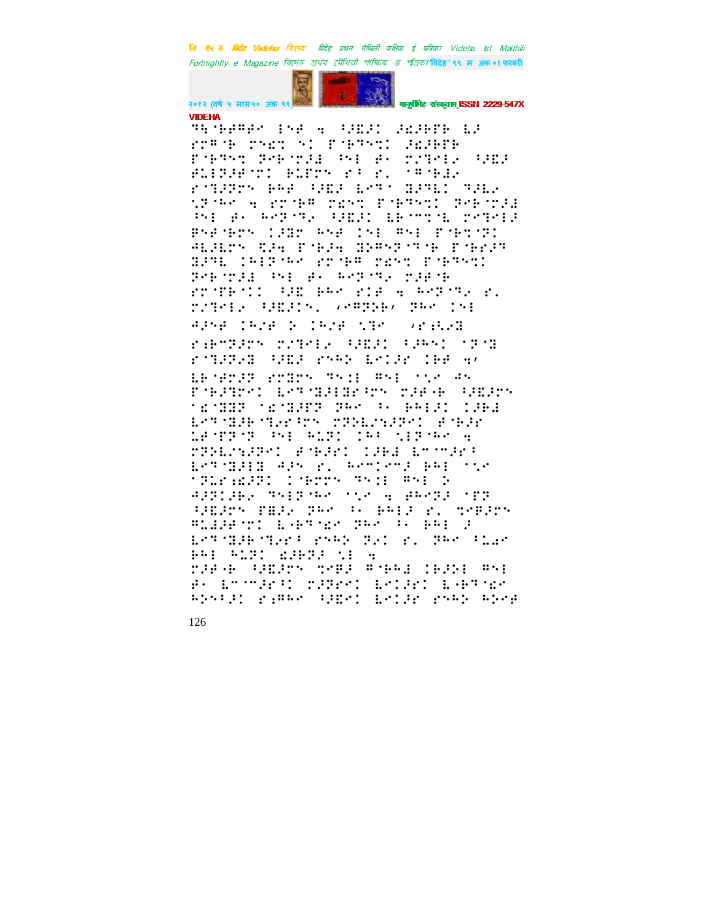

मानुबंधिह संस्कृताम् ISSN 2229-547X

# **VIDEHA**

"Bjens is a URD AND A FTRON TART AL PONTATI SESNIN POPTS PORTHE TO BE PUTTING THE BLIDGETTI BLETT ST SLOTETBER ringser and departed beneficially SPORT A STORE TEST PORTTLEFF TER PHOROGRAPHY HEAD LETTER STREET Premers (200 Are 151 Are Presm) ALSEN CA PASA DRAMATA PARST BPB IRIP'RE PO'RR CENT F'R'NYI Preside the Booking the peer POSTESSI PRE ERR PIE A RRTSTA P. retels there. (PAPPER THE INE

APSE IRIE D'IRIE NTM (VESDA raFMRADN DINASA (AARI (AANI (AR)N roughed this read intir the av

ERSENER POWER SENE BEE SOM AN PORTHOL RESIDENTS THE SHIPS TEMBER TEMBER PAR AN BALAI CARE ESTABLISHER MARKETED FALL Despris Picker (Parciamental MPRESSARES ESPARI CARA EMIMANA ESTARRE APS P. Renteng BRE Mis Progledno barra avir Avich APPIER THERMAN SAN A BANGE SPP SPERIN TERR THAN SPARED PLATFORM BLINKT LATTER THAT WELFALL ESTABLE STOP POSSESSION CONSTRUCTION F-1 FLP: 2002-01 G rdea Gundry rega gama (1919) gyf Britannier (1986) tenne ander tenne apsign remain (gren render read aper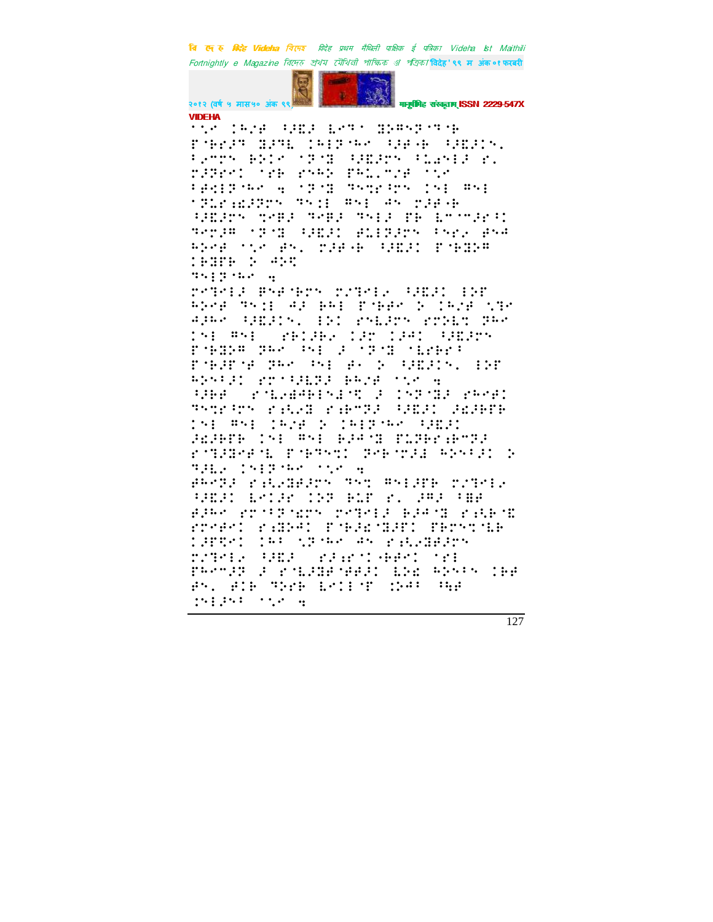

मानुबंधिह संस्कृताम् ISSN 2229-547X

### २०१२ (वर्ष ५ मास५० अंक ९९ **VIDEHA**

the large ship issue inactively rder mam (Sirde Gege Gunt). Penny BRIS (1979) PREPROPERENT ST THREE TER PARK PRIITIE TIE FREDRICK AUSTRALIANS EN 1941 AND **TREADPENTHENT #51 45 PRESE** BERTH THE THE THE BEATH OF Serge (Frame) (BES) BLISSEN (Personne Aber the RS, which sharp reads **THIP 3 435**  $35.13.243...$ PATALE BREAKING PATALL (PERSONARY RNA SVIL AF PRI POPP I TRAČNO APAK REEPING BOI PNEPDN POORS PAK 191 Ani (261262 122 1241 123226)<br>Pobaba per 191 2 opom okrest<br>Pobabor per 191 80 b 128215. 158 RESERT PROFILED BROB ONCE SPEED POLEHHENENE POINT ME PROFI Thirth rays ration (SEI) Seath 151 #51 1624 2 1618.565 (PEP) READED IN: AND BRAIN CONFERENCE riggera firest perius processo THE INDIAN TEACH PROTE PALABRAYA TAN FALAPE MUNICIP SHERE EXIST INT FOR YOUR SHERE BINK POSTESON ORTHOLOGICAL PALENE rrefel radiel Pobleogly Thresda 1985) 193 (Pres as Palagars TATMEN AREA (SERCIFIENT ASE PACCH I POLIBEMENT LER ANDES THE BS, BIB MEER ESIPT TEACH MAR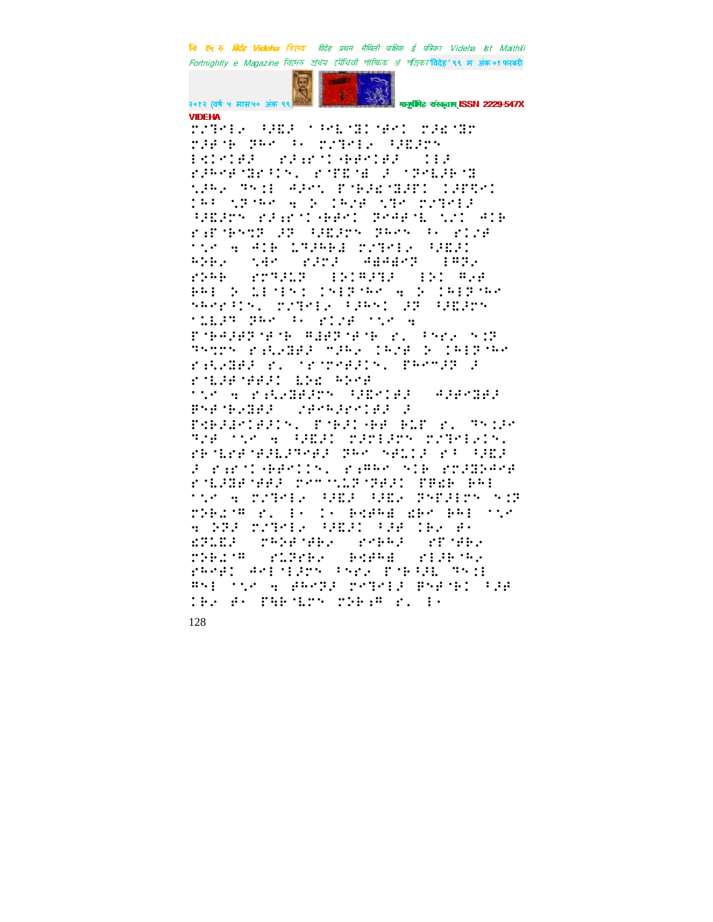मानुबंधिह संस्कृताम् ISSN 2229-547X



२०१२ (वर्ष ५ मास५० अंक ९९)

**VIDEHA** retell (1983) tieled the condition race per lo rrace daler EXIMIBUS VIEWS (BBMIBUS SID rabertheim, rithing a cambre SPA TYD APM PORROWED CREWS IAF NEMAR A D'IAZA NEM MIRED REPORTED MARKET PARENT NOT ALB randed an aarand peed al rive the academinates computer and **AND YOU MIND ABABYT 1872** PRAF PUTALE ENTRAN 181 RAF PRESS LENES COMPOSE A CASTREPORT Servents, remember 1965; 98 (1969) time particulated the G PORTER OF START SECRETARY AND STR shoph radiale same chief polingene ratedar russements, perman a rollecest lyrophes tir a raladare agrega (gardag Presenta desentados p PARABOIRDS, PORAL AR BAP 21 SSAM The time a GHEAD partary probably. rendranged av Secret de 2 randakenis, ra<sup>man</sup> sik rr*i*mane richers reconded fee es the augustics (GEA) GEA PARAIDS SIR TYPE TRIANGER IN POPPH WHO PRESSURE A SOF MATHER SHOPS SERVICE  $\mathbf{1}: \mathbb{Z} \times \mathbb{Z} \times \mathbb{Z}$ **START SERVICE START START SERVICE** rPEI'W PLEED BAPA (PIPPY) PROFILED THAT PROPERTY Bri tir e darpi provis Brank: Cid **COMPANY PHONES TO POINT PLANT**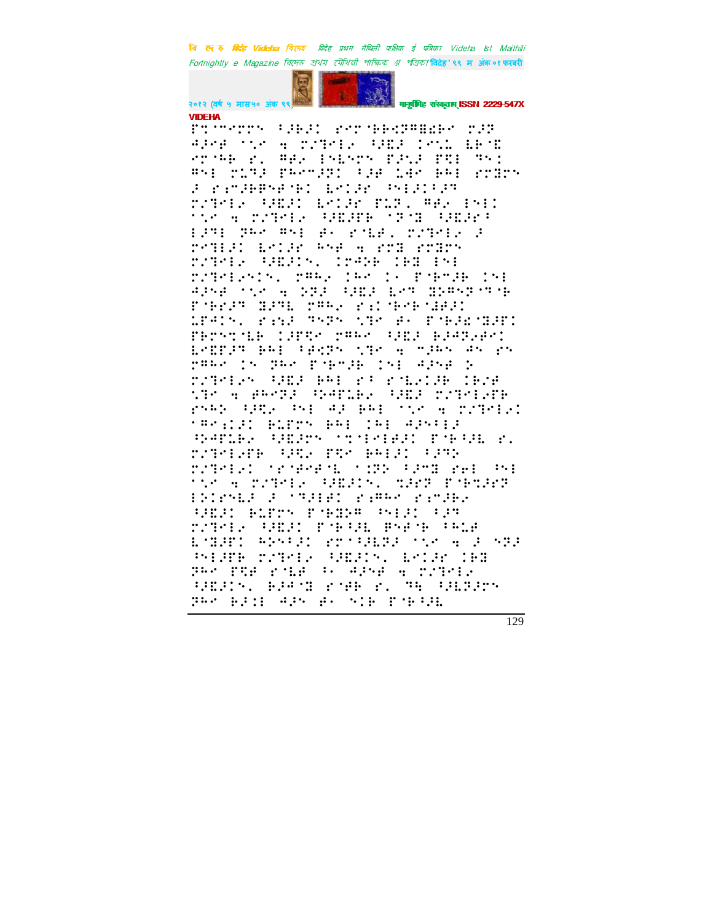

२०१२ (वर्ष ५ मास५० अंक ९९

**VIDEHA** Formation (1963) Sarried-Seemer 20 APAR TO A TURNEY PRES CAND LEAD STORE P. REF ENENTS FRUE FRE RND #5: 2173 PROSS: 338 140 PRE 22325 2 ringeryete: bylgr (migligh MORTER PRESS ESTAR PLP. MAR 1911 MA A MARIA BEARD MEMB BADAR EPRESTRY RAL BY POLE, PARTIE F redict isled by a grown rrows ratele Guilly, Creek 188 191 rzdelecty, rma (166 16 Parade 151 APSE TO A DRESSING EST BOTSPOOR PORTE BANK MARK PAINFORMANI MPATS, PART TSTS AND BY PORTRETT FRONTH CHOO CAR THE RISCHO ESTEP PRE PROPRINTS A MPROVAMING rang is pag repriedise apse p rateles will be at a maile cha Vič 4 prost sporta. Sportskih pr PRAY RRY RNE AF BAE TON A TITMER **TRAVEL BITTS BAL INE APSILE** SPARLER SPERIN STORYERS FOR SHEAR reprison the movement the rzhebzi nanana mizh faro aab (54 tic a report sensity week populer ESIMAR 2 STREET PARRY PATRER WEST BLETT PORCH WEST FUT TATMEN REED FOR HE PAPER RADE EMBRI ASSER FRIEDE MA A F STE PHINE TITME AND NEWS BRIEF IBS par pre ring a great a ringer BERG PROTECTED A SACTO PRO BESE APS AN SIB POBSER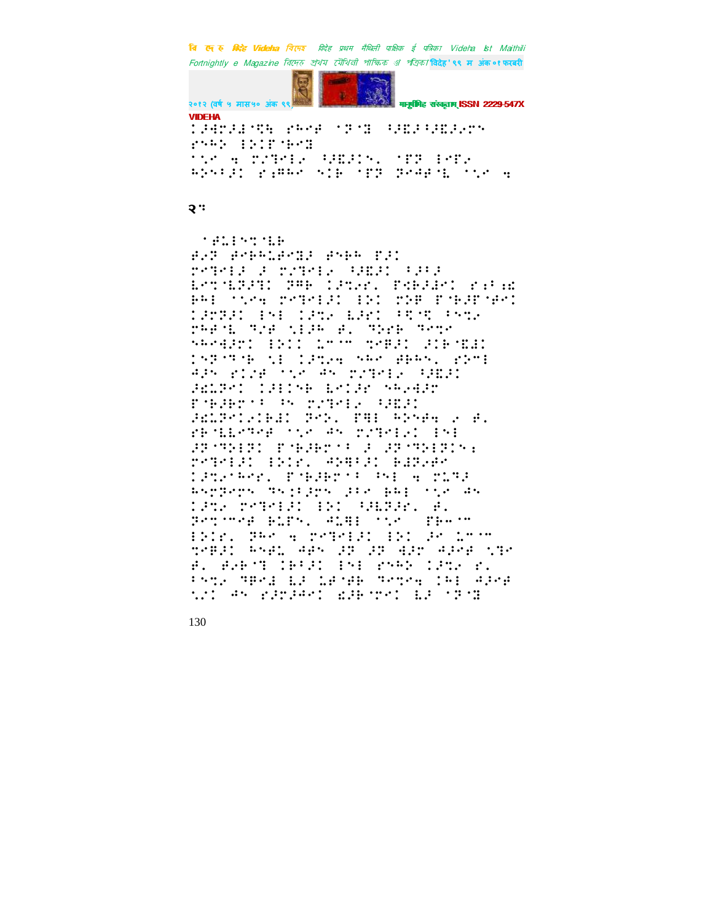

**VIDEHA** 

मानुबंधिह संस्कृताम् ISSN 2229-547X

**TRANSPORTAGE MOVE SPERSONS** ry40 101F101E the authors (ABA) (TP Pers RESERVING BRACKER STRUCKHESS STARTE

# $\mathbf{p}$ :

S. S. Andrichte Andricht POPER R PATOLA PREPL'ERER ESTINATI PRE IPLAN POBJECT PETER PRI TOME MATALED IN THE PORTORO DEPERT IN THE EARL FROM PNS reful the diff fo this teny SARGED BEILDET TREE FERTHE ISPORT CE LEDGE SAM BRAS, PDME APS RICH TO AS TOTALL BEEN **ACCESS CONTINE ESTABLAGENER** PORTHOL IN TITLE STORE RESPONSED PART THE REAR STATE PROBECTOR CONTRACTORMENT PROPERTY EORPHACE PLANORERING retell Dir. ANDIS BERAR Cameronic Poblacci (Pilos play sappapa da pippa pre pap sale da **TREATERING IN THERE B.** Proche Biby, 4186 (nr. 864) EDIR, PRO A MOTORER EDI 20 LOCT 53821 PSBL 885 28 28 825 8288 538 B. BARTH IRRAINING PARK ISSN P. Provinsed by Lense Room, 191 Adde WILSE PROPERTY REPORT RESTRICT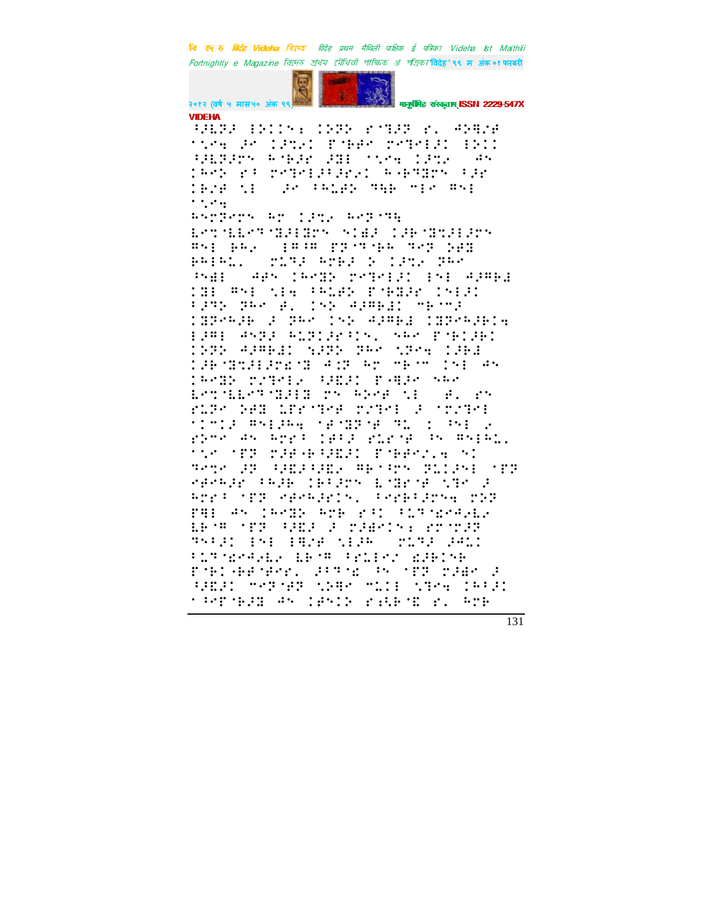

मानूबंगिह संस्कृताम् ISSN 2229-547X

# **VIDEHA**

२०१२ (वर्ष ५ मास५० अंक ९९)

HARA BRIDGE INFR BOTHE BY ANNIH tive de langu prese rendal (ESC) BREAK ROBER SHE STAR CATA  $\mathbf{a}$ . STARTITUS SETELITAIS SUOMEN 1970<br>1971–1972 provincialista (1970–1970) CRIB 1: GM PALER MAR MIR WAT  $\mathcal{L}^{\text{max}}$  ,  $\mathcal{L}^{\text{max}}$ 

Bargera Br (Sh) BegenB EST SERS SERIES (STAR IPP) 1981<br>RSI (BR) (TIPP) 1993 SPR (PR) BAIAN, STORE ATER A LRTP PAR PAB (APS IRSE) 2515121 151 APPER THE WALL SEE FALAR FOREST INEST FRANCISCO BLOCKS ARREST METHR COPPAGE OF BAR 195 AGABA COPPAGEIN 1981 ANTE ALTIERIN, NAM BYBIED (202 gambar 5202 dhe soeg 126a takodrafarendi Audi Ar Selom (sil 45 SARBA MINERA (GBD) PABOR SAR ESTALPANERE TY PESE ME (B. TY FLOW DEEMIFFYOR TAORI S YTAGRI finia msiawa nangang mbolong 2 ring an arrived rate rirer and angel. tic TPP SHERRING POHECIA SI Rene ST GODFORE RESTRATIONS STR recker (Ade Celery Engrie Strog Anna (PP Persents, arneadnse nýr FAILAN CRABS AME FAILANT MENAGER BETWEET SHIP I THRITE FTITH? THERE IN THE SIDE CONTROLLED SITYRMALE ERST SKIPS RARINE presidentem (affirmadam inplanenta SPERI TRETHE SPERITSING SERVICE **TREAD AN IBNIN PARTS P. ATE**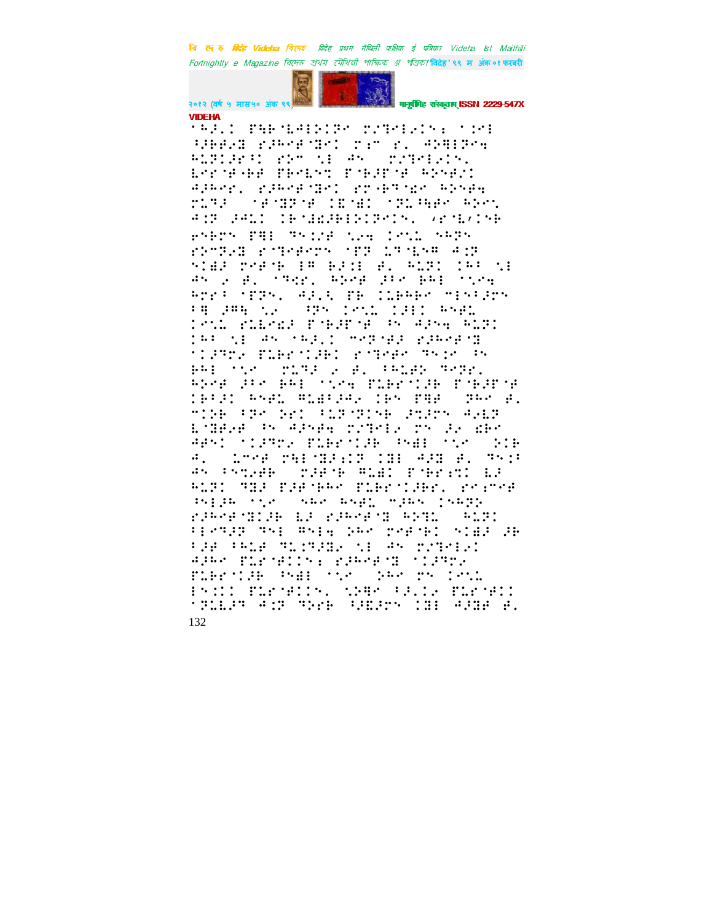

## २०१२ (वर्ष ५ मास५० अंक ९९) **VIDEHA**

मानुबंधिह संस्कृताम् ISSN 2229-547X

**TRACK PHP NATIONAL PITPERING COMP** SPEAR RINGEMENT WITH R. STREET RUBINER EN SI AN CENTRIAIN. Enrique Tentri Piedrichener Albert Scheeledel Schabter Alega ring (nemmer im man new spor **ANT SALE IBMEDIATE TEACHER** PRESS FEE TRIPE NEW LENG SATE rotar russers off 1980-1980 STAR THE BUILDING ALL ALTICARE SE An e B. (Ther. Abob Blo BAE (1964) Rock (PDS, AP.R. PR (19848) MISPROS FROM HE SAN STRATEGIST PRED ist sins per per IRF NE AN YRELI MYRYBE PERYBYR **MIRTY PLEATIFICATEMENT REPORT** PRI TOT TERP 2 B. PREBY ROBE. ANGELIER BAILINGS TIBENISE TIBETIE TRAPE ASAL ALBARAY TRS PAR (PAR B) MINE FRA DEI FLEMEINE FRAMM AVER L'BRAR (P. Albea 22301) 25 la dec APSI SIPPLE PLECTIFE PART STOCKER 4. Cree refolkate the 420 e. That An Philade, 2004 B. Aldi Philadi La RIB: MB2 P28(BRK PIBE)(1881) Primer  $\{ \mathcal{H}_1 \} \mathcal{H}_1 \cup \{ \mathcal{H}_2 \} = \{ \mathcal{H}_2 \} \cup \{ \mathcal{H}_2 \} \cup \{ \mathcal{H}_1 \} \cup \{ \mathcal{H}_2 \} \}$ rameratam ba ramera medi (mid: FERMAN MAE MAEH DAR MREMED ADER JR **THE PAGE RICHING NE AN CITERES** APPA PLEADING PRPARTS SIRRE PLESSIE PART STATISTICS INTO ESCO PLEGELIS, SPROGRADE PLEGELI **TRIER FOR THE BRIDY COLLARDE B.** 132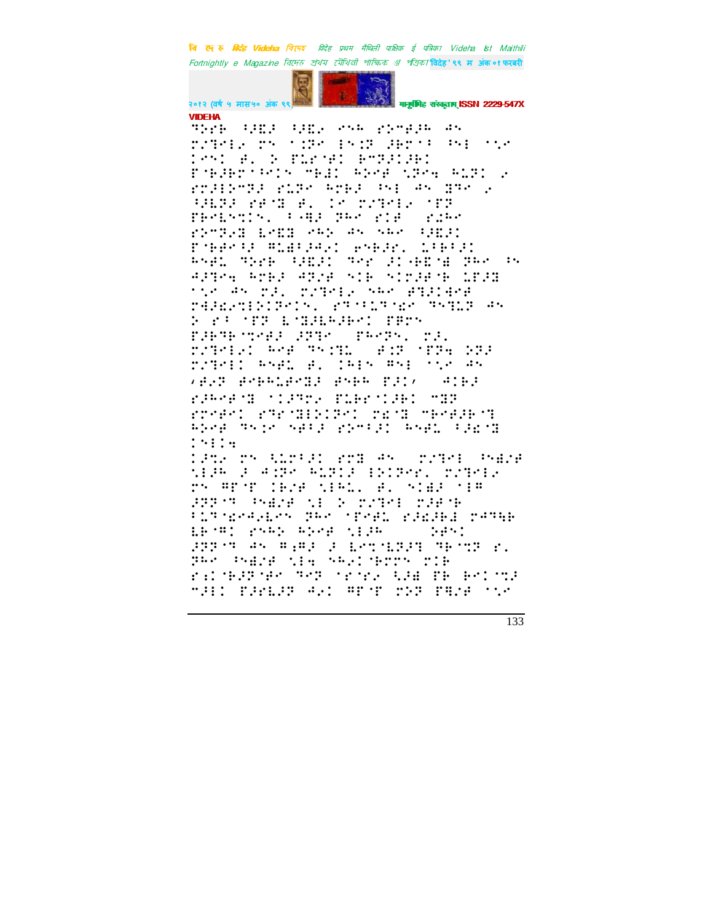

मानुबंधिह संस्कृताम् ISSN 2229-547X

२०१२ (वर्ष ५ मास५० अंक ९९ **VIDEHA** 

There were were completed an DIRECTS THE STAR PROFILED TO THE STAR Chi A. G Pirnel Bragler PORTHOLOGY MEAD ADVENTURE ALTICA roffered rich and sales an one p SALES PRINT R. DY PATPIR TER PRODUCT COMPANY STR FROM LEN SAR AN NAS HING rnerg machet energiett RNAL STAR SALE: The Starte BRK IN APTER ROBE ATOM SIR SIDER TO LEPT the An official Same Addition releativings, rusings using as **NORTHWEIGHT SERVICE** EJETEMBRI JITK (ERMIR, 22.)<br>2018:10: RMB TRITL (BIJ MIJA 22.) rrand well all caps well the as-**VEST POPRIESES POPR TILL**  $\frac{1}{2}$  .  $\frac{1}{2}$  .  $\frac{1}{2}$  .  $\frac{1}{2}$ rament flater fibrile:  $\cdots$  : : : : roment remodeling of the second served by Aber Mein erfor som al Aeru floch  $1.4114$ 1352 gr Alptal 201 Ar (p.101 Prese tijk a gje eleja injen, pjena

rn Andriche Maar, al nima dia FRIT PACE NE & TITEL THER ilingsayley pes creal radaka range 1978) Pres esca dige (1980)  $\mathbb{R}^n$ appendence per la secosidat de compa. PRO PARTE MEA SPAINETTS TIP ralmed me med sring and de exist MARI PANLAR ANI APAR MAR PANA MIN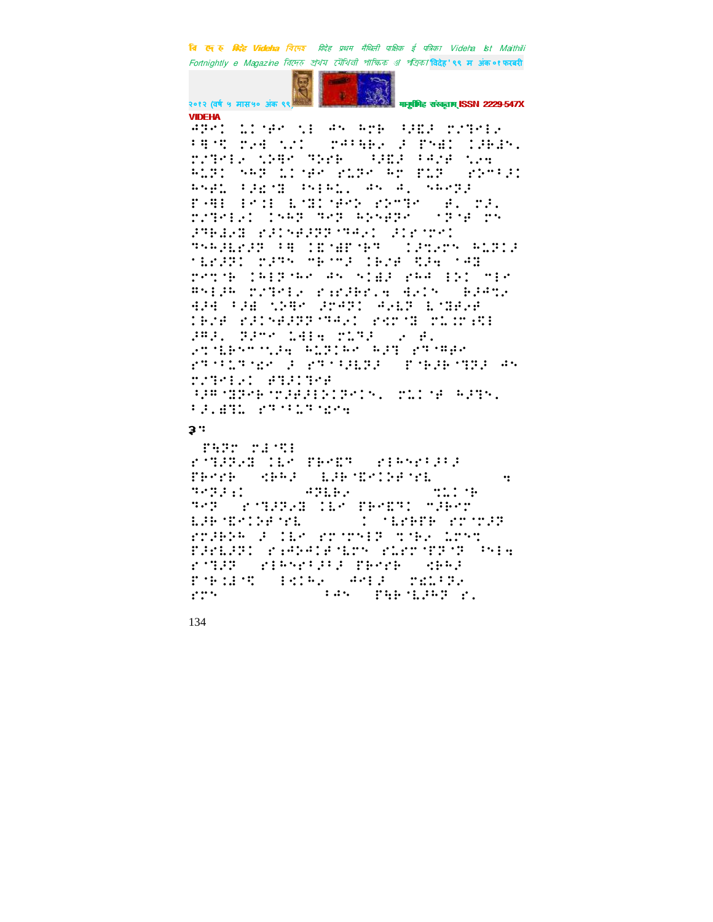

### २०१२ (वर्ष ५ मास५० अंक ९९) **VIDEHA**

मानुबंधिह संस्कृताम् ISSN 2229-547X

APPI LIMAR NE AN AMB SHER MATRES FROM THE NILL THERE FOR THE LIBEN. right was the cumplement ALPE SAP LISAR PLPM AT PLP (PSMA) RNAL FRENZ PNIRL, AN A. NAPPR ran folkstrander bronk (f. 22.<br>2010: San Ser Ser Brenk (f. 23 **PRESS REPRESENTED BENCH** THREEST FROIDAINT CITETY RUTIS MERINT MARK MESMA (BIR SIR SAD rende (Albert as sign rad lift mir #SEAR TORRES FACARDON ASIS (RAAMS 424 F28 NSBK 20431 4213 173828 **TEMP RECHERP MARI STORE PLICES** PRI SPY WHATER STA 25518555194 813182 823 235882 PRODUCED A PROGRESS CONFIDENCIAL rrans surre SPROBRECTABLES IRON ( TELOGRAPHY) **BEATH START START** 

# $3$  ::

THET TEST round ne nem sierri PRODUCERS LEGISLATION  $\dddot{\phantom{1}}$  $\frac{1}{2}$  . The set of  $\frac{1}{2}$  $\ldots$  $3433331$ **THE STRIPLE CONTRACTS THEMS** LANDING MANUSCRIPT CONTROL FTABLE A CAR STOPHE TOBE LTMT FACEARD COMPANY MEDICATION IN ENERGY roug rimeiger men der redro Bome And School **TAN THE LINT C.**  $\mathbf{r}$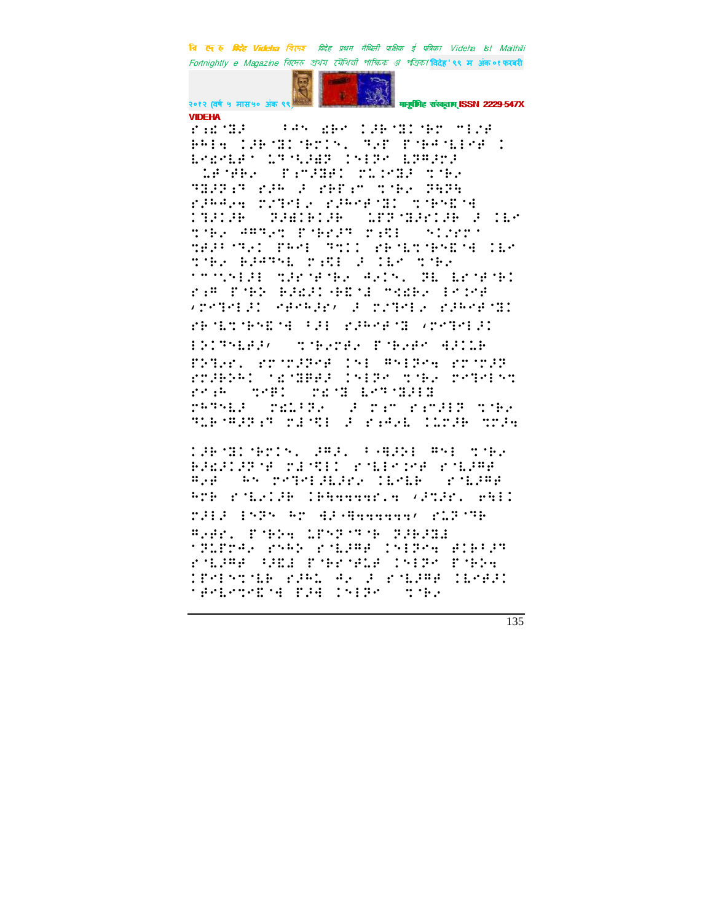

मानुबंधिह संस्कृताम् ISSN 2229-547X

# **VIDEHA**

२०१२ (वर्ष ५ मास५० अंक ९९

**CONSIGN CONSIDER TEN**  $\mathcal{L}$  and  $\mathcal{L}$  and  $\mathcal{L}$ PHA CHEMISHING THE POPULER I Learles 1975, 2007 (1982) L'Albert<br>Classer (1983-1981) dictata (1982) THERE FAR A FRIET TORE PARK raway reteaseaware the term **MORE THIRGE APPROXIME PILE** the <sup>ammon</sup> Pobel<sup>s</sup> riff (Slorr) MARK MAIL PROF. MMII. SE MAMMARYA (160 the BRPH rid 3 let the **TOONER ORIGINAL ARIS, TE ENGINE** rif fjer bled Gerne meder brog **VISTSER SERVER A TITLE PROPERTY** PRODUCES EN PORT PRESS PROPERTY BECTMEN STORES EMPRESS HILLE FRIANC POSTERER INFORMERY POSTER rofered transpersed the problem of the second that role web man boyded resear reduce a remarked the THE THINGS IN THE TEACHER IN THE TIME OF THE SERVE TO A SERVE THE TIME OF THE TIME OF THE TIME OF THE TIME OF 1967B176515. 9R9. FHB261 R56 M762

EPAPILEMENT COMMITTEE CONTROL #20 AS MST0101222 INSER 2710#0 Pre rolate Cebungate (Publ. eB) THE PSP AT HEMPROPER THRUS RARE PORT OPENED BARAGE **TRIPPAS PRAG PREJAR CREDAR RIBAJA** rage and racane inge rade TP-Production and a solution of the **MARKET SERVICES**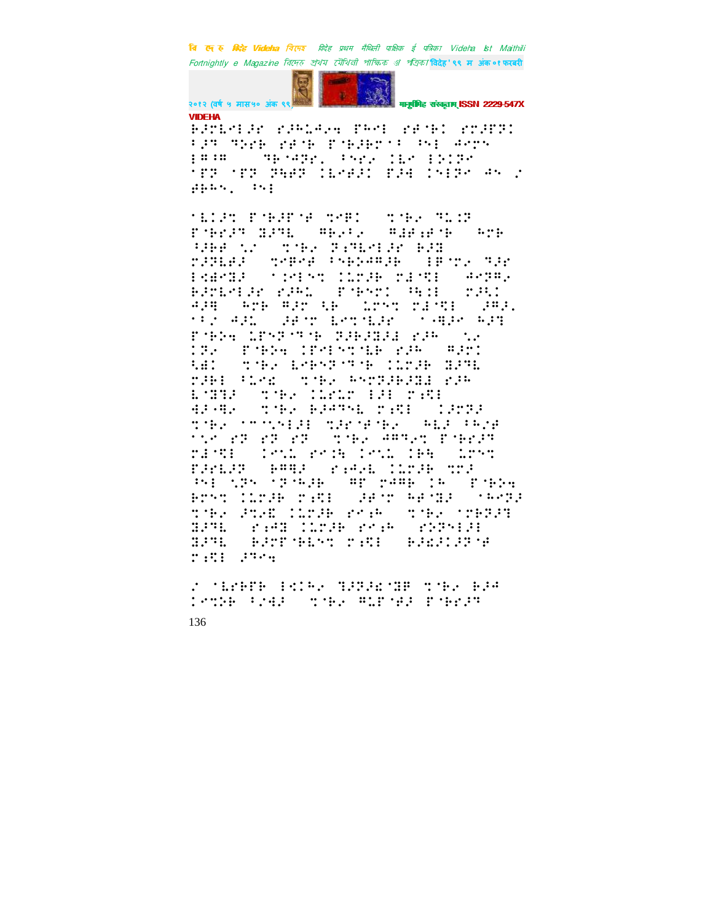

२०१२ (वर्ष ५ मास५० अंक ९९) **VIDEHA** 

मानुबंधिह संस्कृताम् ISSN 2229-547X

BETERLEY STALARA TARE SERGE STEPS FPS SPEE PENE PORPERTS SAL ARTS PROB (2019) 54221 (1522-1531) 121225 **THE THE HANDLER CHARGE OF START AND START AND START AND START AND START AND START AND START AND START AND START**  $\mu\mu\mu\mu$  , and  $\mu\mu\mu$ 

**MILES EMPREYE SHELL STRAINERS** rner mam spell sheet when HH W THATHAIR BH ragial creed theydolf increase PREMIUL SCHOOLICH METHOD AMPRE BETEMENT PARL (FORMO) HILL  $\mathbb{R}^n$ APRO AME APM ABOUTIME MINE (PAP) **SERVICE SERVICES** FORM OPSTON BOOKSELL KAR TH IPA (Pobel IPolovoke 225) #221 **THE LEFT TH LITH BILL**  $\ddot{\cdot}$  .: rabi (tre step byradiana rab L'ESPO TEN CLELE ESPONE HARD THE BARME MED (1873) THE CONSTAL TACHER CALL PRE TO PERMIT PERMITTED ARTIST PORCH risch (bullerdelburg) (bbs<br>Family (byd) redaktions on:<br>Service (byd) (byd) (byd) (byd)<br>Prys (brak rack) (and bydd) (bbs); the Pier Cliff reak (the Circumsta BPD FRONTH PORT CONDU BRA BRY BRY THE BREEK  $1.411 - 1.774$ 

r (Brene folke dudurde the edg COMPARING TORP WITHER PORCH 136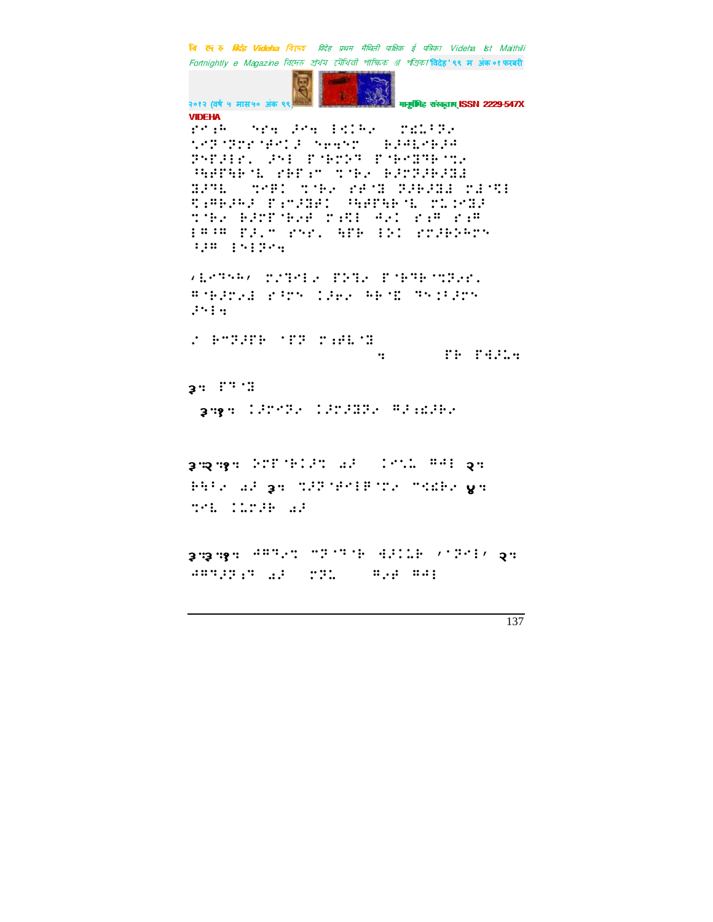चि एत् रू मिन्हे Videha निएन्थ विदेह प्रथम मैथिली पाक्षिक ई पत्रिका Videha Ist Maithili Fortnightly e Magazine বিদেত প্ৰথম মৌথিনী পাক্ষিক প্ৰ' পত্ৰিকা'<mark>বিदेह' ९९ म अंक०१ फरबरी</mark>



२०१२ (वर्ष ५ मास५० अंक ९९) मानुषि संस्कृतिह संस्कृतम् ISSN 2229-547X

VIDEHA "⣐⢳-!"⣒!⢼⣒!5⣊⢳⢴-!⣎⣅⢽⢴-! ⣁⢽⢽"⢾⢼!⢶⣒-!⢷⢼⢺⣇⢷⢼⢺-! ⢽2⢼5"E!⢼5!2⢷⢵⢹!2⢷⣝⢹⢷⣉⢴-! ⢸⣓⢾2⣓⢷⣇!"⢷2⣐a!⣉⢷⢴!⢷⢼⢽⢼⢷⢼⣝⣜! ⣝⢼⢹⣇-!⣉⢿!⣉⢷⢴!"⢾⣝!⢽⢼⢷⢼⣝⣜!⣜⣋5-! ⣋⣐⢻⢷⢼⢳⢼!2⣐a⢼⣝⢾!⢸⣓⢾2⣓⢷⣇!⣅⣈⣝⢼! ⣉⢷⢴!⢷⢼2⢷⢴⢾!⣐⣋5!⢺⢴!"⣐⢻."⣐⢻! 5⢻⢸⢻!2⢼Ea!""E!⣓2⢷!5⢵!"⢼⢷⢵⢳! ⢸⢼⢻!55⢽⣒!

'⣇⢹⢳'!4⣙5⢴!2⢵⣙⢴!2⢷⢹⢷⣉⢽⢴"E! ⢻⢷⢼⢴⣜!"⢸!⢼⢶⢴!⢳⢷⣏!⢹⣈⢼!  $5 + 1 + 1$ 

4!⢷a⢽⢼2⢷!2⢽!⣐⢾⣇⣝! hhbkfoesbAwjefib⣒dpn!!2⢷!2⣚⢼⣅⣒!!

 $3: "$ 

३⣒१⣒!⢼⢽⢴!⢼⢼⣝⢽⢴.⢻⢼⣐⣎⢼⢷⢴!

३⣒२⣒१⣒!⢵2⢷⢼⣉!⣔⢼.!⣁⣅!⢻⢺5!२⣒! ⢷⣓⢴!⣔⢼!३⣒!⣉⢼⢽⢾5⢿⢴!a⣊⣎⢷⢴!४⣒!! ⣉⣇!⣅⢼⢷!⣔⢼!

३⣒३⣒१⣒!⢺⢻⢹⢴⣉!a⢽⢹⢷!⣚⢼⣅⢷!'⢽5' २⣒! ⢺⢻⢹⢼⢽⣐⢹!⣔⢼!(⢽⣅(!.⢻⢴⢾.⢻⢺5!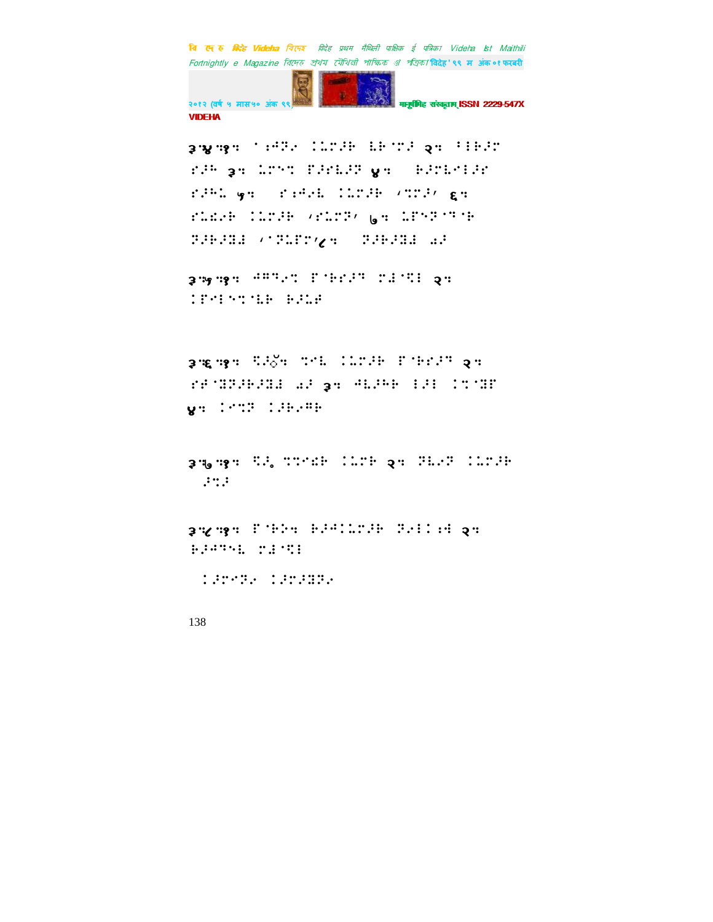चि एत् रू मिन्हे Videha निएन्थ विदेह प्रथम मैथिली पाक्षिक ई पत्रिका Videha Ist Maithili Fortnightly e Magazine বিদেত প্ৰথম মৌথিনী পাক্ষিক প্ৰ' পত্ৰিকা'<mark>বিदेह' ९९ म अंक०१ फरबरी</mark>



२०१२ (वर्ष ५ मास५० अंक ९९) मान्य मान्य कर्मक्री मानुसमित संस्कृतम् ISSN 2229-547X VIDEHA

३⣒४⣒१⣒!⣐⢺⢽⢴!⣅⢼⢷!⣇⢷⢼!२⣒!5⢷⢼! "⢼⢳!३⣒!⣅⣉!2⢼"⣇⢼⢽!४⣒!!⢷⢼⣇5⢼"! "⢼⢳⣅!५⣒!!"⣐⢺⢴⣇!⣅⢼⢷!'⣉⢼' ६⣒!! "⣅⣎⢴⢷!⣅⢼⢷!'"⣅⢽' ७⣒!⣅2⢽⢹⢷! ⢽⢼⢷⢼⣝⣜!'⢽⣅2'८⣒!!⢽⢼⢷⢼⣝⣜!⣔⢼!

३⣒५⣒१⣒!⢺⢻⢹⢴⣉!2⢷"⢼⢹!⣜⣋5!२⣒! 25⣉⣇⢷!⢷⢼⣅⢾!!

३⣒६⣒१⣒!⣋⢼◌ॅ⣒!⣉⣇!⣅⢼⢷!2⢷"⢼⢹!२⣒! "⢾⣝⢽⢼⢷⢼⣝⣜!⣔⢼!३⣒!⢺⣇⢼⢳⢷!5⢼5!⣉⣝2! ४⣒!⣉⢽!⢼⢷⢴⢻⢷!

३⣒७⣒१⣒!⣋⢼॰ ⣉⣉⣎⢷!⣅⢷!२⣒!⢽⣇⢴⢽!⣅⢼⢷!  $\therefore$ 

३⣒८⣒१⣒!2⢷⢵⣒!⢷⢼⢺⣅⢼⢷!⢽⢴5⣐⣚!२⣒! ⢷⢼⢺⢹⣇!⣜⣋5!

!⢼⢽⢴!⢼⢼⣝⢽⢴!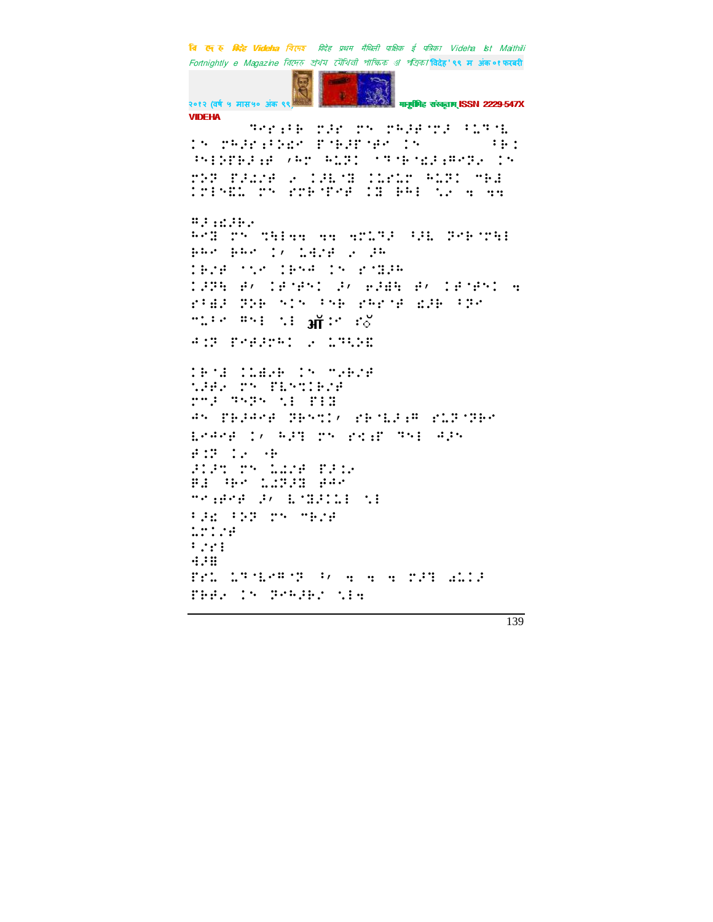

Terath war wh what was think In the Star Post and In  $\cdots$  :  $\cdots$ Principal Art Will from Schedule 

Windie. Pri ry thing no griff (Al Presid: PRO PRO 12 LAZE 2028 TEMP TO TESP IS PORP 1996 #/ 187851 \$/ e385 #/ 187851 \$ rida dhe sis tse rerodore dae tas  $\mathbb{P} L^{\frac{1}{2}}\mathbb{P}^{1}\otimes\mathbb{P}^{2}\mathbb{P}^{1}\oplus\mathbb{P}^{1}\otimes\mathbb{P}^{1}\oplus\mathbb{P}^{2}\oplus\mathbb{P}^{2}\oplus\mathbb{P}^{2}\oplus\mathbb{P}^{2}\oplus\mathbb{P}^{2}\oplus\mathbb{P}^{2}\oplus\mathbb{P}^{2}\oplus\mathbb{P}^{2}\oplus\mathbb{P}^{2}\oplus\mathbb{P}^{2}\oplus\mathbb{P}^{2}\oplus\mathbb{P}^{2}\oplus\mathbb{P}^{2}\oplus\mathbb{P}^{2}\opl$ 

**ASP PREPRIE & LAGE** 

**VIDEHA** 

**CENECAGE IN MARINE** WHA TY TESTIFIE **PMS 7525 11 FIN** An Pelane Bend, Sendae Supreer Esdag () with the real the dire #12 12 H BIBS ST LEAR FAIR 81 92 1288 248 menter de l'addicional F.E. F.F. 75 7628  $1.21774$  $\mathbb{R}^2$  :  $\mathbb{R}^2$  : 4.88 Printed the state of the state of the state of the state of the state of the state of the state of the state of This In Beach, Min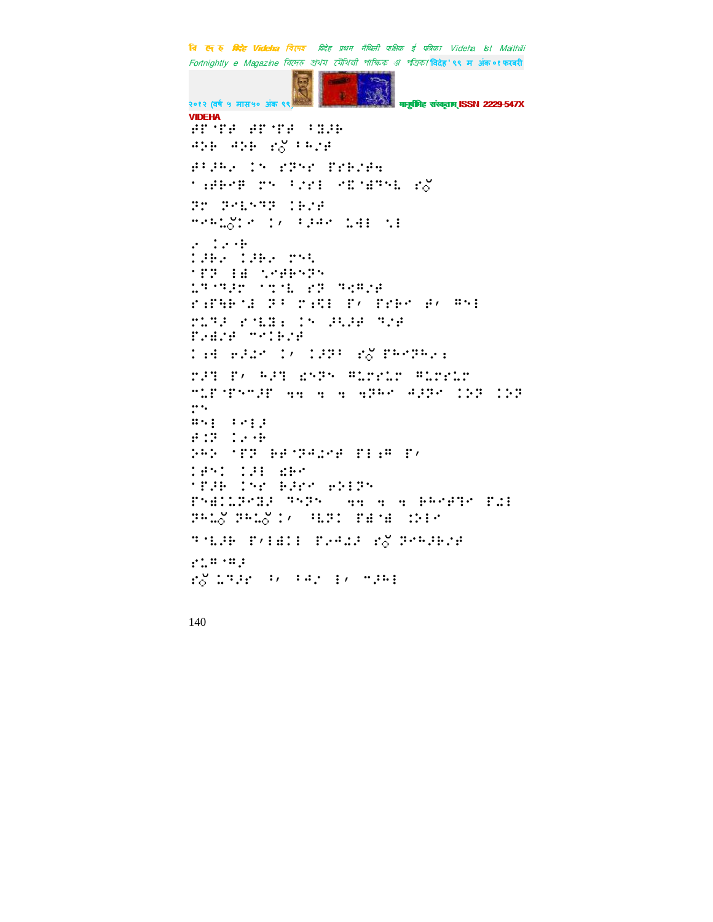```
२०१२ (वर्ष ५ मास५० अंक ९
                                  मानुबंधिह संस्कृतम् ISSN 2229-547X
VIDEHA
Alb Alb 20 :Alb
Plane in Sand Presen
tamer on the scheme ag
Br Benson Ther
meallows is class 1988 to:
1982 1982 256
TIP IN SPERSON
17 THE TEM ST TERM
ranged by range from a way
TIME PAIRS IN HIM MIN
Padre matere
lad eldn 17 1225 ağ Penzela
THE PACEHE AND SEATLY SERVICE
minghmar as a share agos the the
\mathbf{H}\mathfrak{m}_{\mathbb{Z}} : \mathfrak{m}_{\mathbb{Z}}#12 1298
SAS YER BENSALE ELEM S/
TANT TAI WHA
MEAN INFORMATION
PHILIPER THR (AR A A PREP) PAD
PROSPEORATE RETENDING
THE PAINT PANE PS POSSES
21.8 - 8.3\frac{1}{20} \frac{1}{20} \frac{1}{20} \frac{1}{20} \frac{1}{20} \frac{1}{20} \frac{1}{20} \frac{1}{20} \frac{1}{20} \frac{1}{20} \frac{1}{20} \frac{1}{20} \frac{1}{20} \frac{1}{20} \frac{1}{20} \frac{1}{20} \frac{1}{20} \frac{1}{20} \frac{1}{20} \frac{1}{20}
```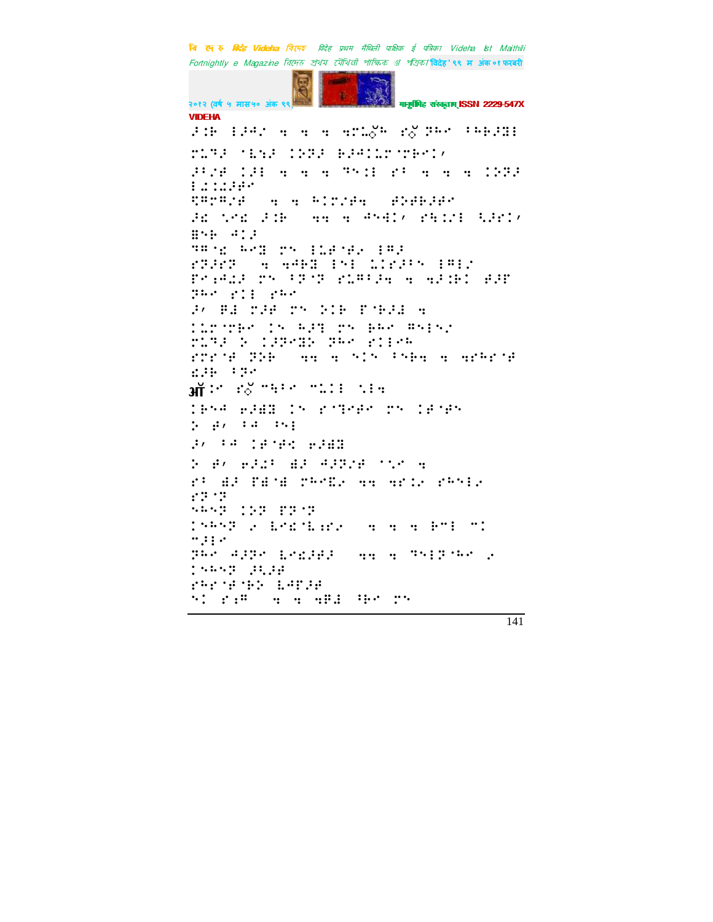

२०१२ (वर्ष ५ मास५० अंक ९ मानूबंगिह संस्कृताम् ISSN 2229-547X **VIDEHA** FOR 1982 A A A ANGGA 2018 (PRESS) ring (Eng 1983 Basilroped) *Bire (B) a a a "bil f) a a a 1982* Edicater tarang sistema ang pangan an the add (see a Angly Paint tari) H-8 413 THIS WILL THE WALLER PRACE A APRESENT LIPPS INTO Prince an Open Finding A Alder Aur  $\begin{tabular}{ll} \bf 15.7 & \bf 17.7 & \bf 17.7 & \bf 17.7 \\ \bf 18.7 & \bf 17.7 & \bf 17.7 & \bf 17.7 \\ \bf 19.7 & \bf 19.7 & \bf 17.7 & \bf 17.7 \\ \bf 19.7 & \bf 19.7 & \bf 19.7 & \bf 17.7 \\ \bf 19.7 & \bf 19.7 & \bf 19.7 & \bf 17.7 & \bf 17.7 \\ \bf 19.7 & \bf 19.7 & \bf 19.7 & \bf 19.7 & \bf 19.7 & \bf 1$ S HA THE TY NIE PYEAR A Thromas is ago resades welly ring i ligeme par rijea **Same Side Prince and Ca** STEAM THE 2009-002-002 **AU SECTION CONTROLLER** IPSA PANI IS POTOR TS IPSA  $(1 - \frac{1}{2})$  ,  $(1 + \frac{1}{2})$  and  $(1 + \frac{1}{2})$ *System Candre wide* d B, Bddf Ad Addie the A r: Al Pana rent, as arts rent,  $(12.12)$ **SESP 122 PRID** 15852 2 England (Alm Alena Polici  $\cdots$  : : . par approarable and a stilling is 15452 2528 rhridith Lands n: rim (n n nH1 He rh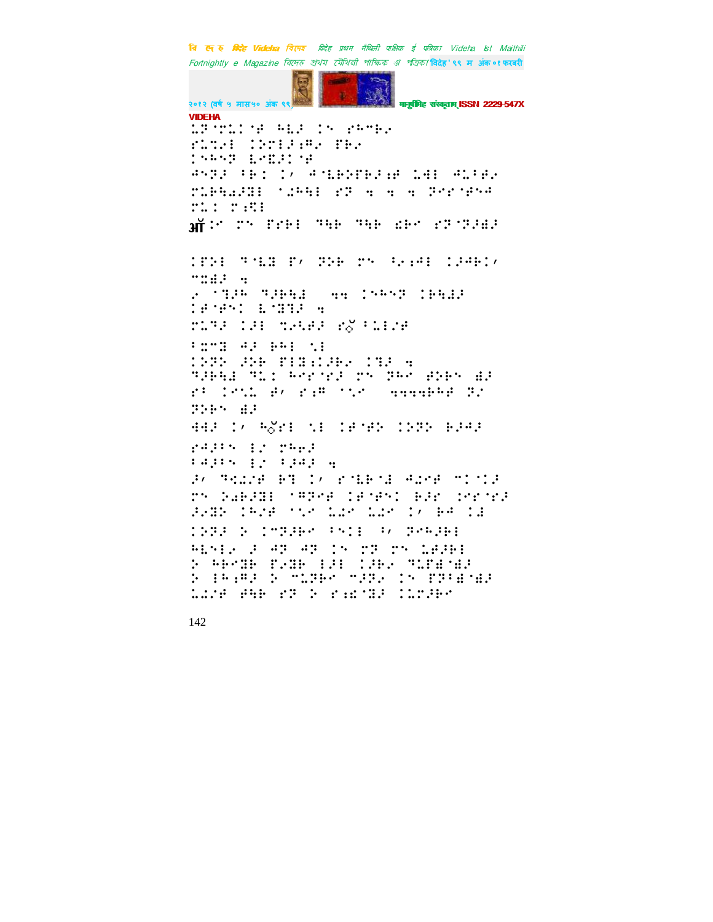

**VIDEHA** MONTH WE THE STRIP rite: Chrises The **SAND EMERINE** ANGLE PER IS ARGENTEREN 181 ALIKA ribash (2001-23 a a a 30r go  $T111T1111$ which conditions were the above choosed **ITAL TALE T/ THE TY REAR ISARI** mmad a **A MIN THREE HE INNY IBER** 187851 E SSE 8 ring the makes rødeline **FINISH ALL AND STATE** SARA SI: Renewal no BRO 8580 AR rt lend dy rat the Sammand Br Ther al 442 I/ WS:1 NE CENER IRRN BJAR ragis ir raeg **PAPER BY PEAR A** ay media amount analysis adda minia rn Sabadi (Azer lanen) bar inrira BANK CROB STAR DOWN DOWN BANKER RESEAR AN AN IS NN NA LAIRE **S ARRIE TANK DIE CORA TUTEREN** S BAGG S MIGHT MORE IN PREGRA Life Aub 23 2 2 21 22 112 222 Av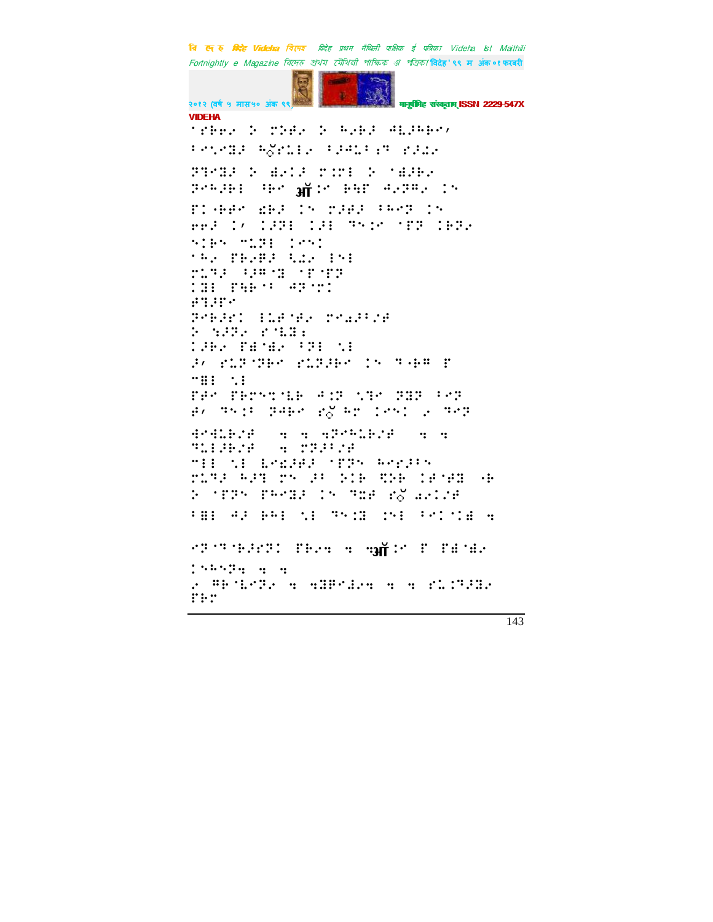```
बि एक रु मिनेट Videha विएक विदेह प्रथम मैथिली पाक्षिक ई पत्रिका Videha Ist Maithili
Fortnightly e Magazine রিদেত প্রথম মৌথিনী পাক্ষিক প্র পত্রিকা' বিदेह' ९९ म अंक०९ फरबरी
२०१२ (वर्ष ५ मास५० अंक
                           मानुबंधिह संस्कृतम् ISSN 2229-547X
VIDEHA
tres l'ober l'arel Allaer,
Peremain Agricultura (Partine Partin
FROM D WALK SOME DOORRA
POSTED HE AT CORRECTS
Element del 15 capa (1882)
                               ∵.
### 1/ 1281 121 7516 188 1882
SIES MINE ISSI
TRACHARD CAR INE
PLAS MARKET PERSON
THE WALES AND SET
PRODUCT
Peblet lights realist
3 APR FAIR:
DER TEMP PRESE
37 PLEATH PLEAD IN THE P
"iii' ':
THE TETERING AND STE THE PET
a, men pape egae pesi pomp
drdibid (d. 600-1941)<br>Alfabid (d. 79a)
THE ME EPAINT TEPH BEFIRE
MINE REPORT OF SIR NER CROBB OR
S STER TRONG IN THE SAME LIST
FB: 42 BA: 51 TREE IN: FRITE 4
SPORTERS FRAGILING TO FEMALE
lahang google
a sendara Adenda A Alcred
FEC
```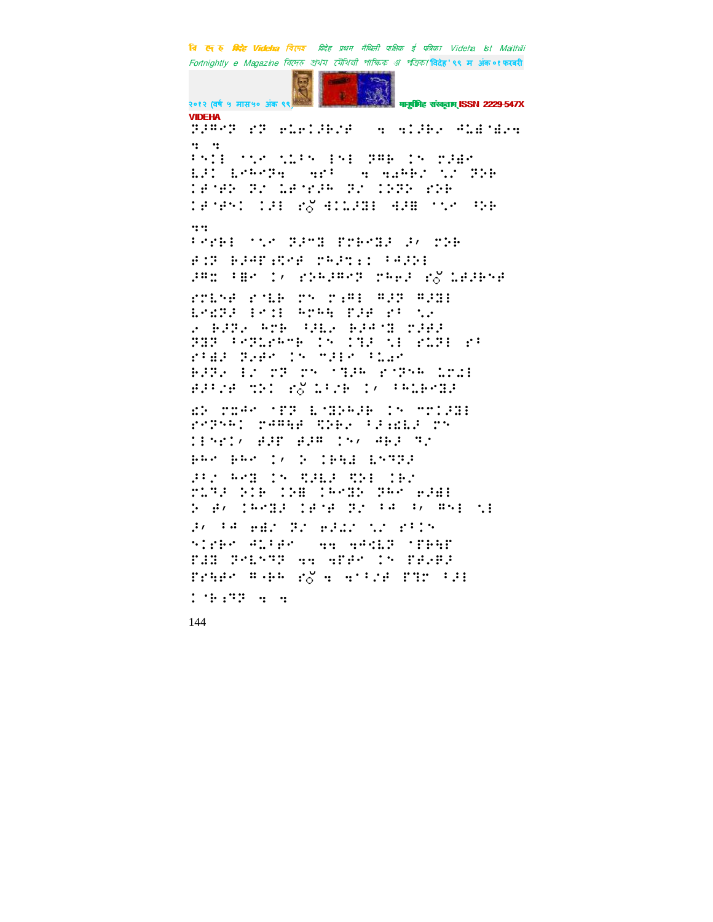

```
मानुबंधिह संस्कृताम् ISSN 2229-547X
```
THRT IT FLEIDED - RIDE RIBING  $\ddots$   $\ddots$ PAID TOP NEED INT PRESIDENT PRES **ASSESSMENT Second Control Control** 

CAMER TO LAMORE TO CRTP STR TEMPI IS ROBINS AND MACHINE

 $\cdot$ : Presidence SPMS friedli S/ res FOR BRADING CREATED FARRI PRO PER 17 STRPHPP TRAP SQ LEPRA

**POINT POINT 25 2.81 8.82 8.81:** Brill Pri ArAh Mid ri tr a Bara Arb (Cham Bagging rada FOR PROGRESS IN THE NEWSFILM rial Been in maje side BERG EN ME MA STER SSTAR LOCE BROS TRI MODERNE IS PRIEMBR

#2 THAT TER LINEAR IN TEIRN report remain that (finit ro DESELV BUD BUR 157 ABU 32

**BAR BAR (2) 3 (BAR LANDS Bir Welling Theory Theory** PLAR SIR ISB IRMEN BRATHER 5 B, 18818 1888 72 FA F, 881 51 3, PA PER TROPPER NR PPIN STREE ALIAS (AN AANLY STEEP) TH POPS AN ANDS IN TRANK Prack what row and resource the

144

**VIDEHA**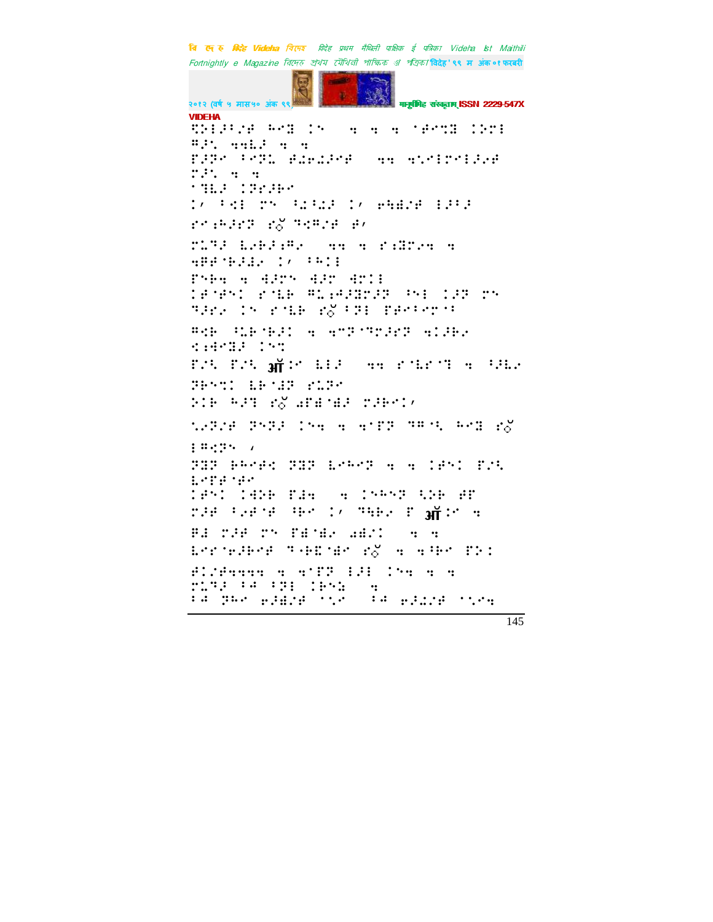

२०१२ (वर्ष ५ मास५० अंक मानुबंधिह संस्कृताम् ISSN 2229-547X **VIDEHA** SPERING ROBERTS (Second Second 1901 W.P. and a m TATE FETT RIPLEMA (99 9181781786 221 m m **THE CREAM** Do tel ny titil Do Phile 19ta reakir no membra MIRA LARASAN (AA A BAGDAN A **APP 1932 (27 PRIS** rum a agru agr arti TRIANG PIR ALARGAN AN INS TH SPECIE PARK PARK PROPERTY Beb Sibybil a and noise allow 494412 191 F.S. F.S. When Elle and collection of the West Brun Cor BIB RPT BS APENED WORKLY terna rena tea a anno ment wer ag  $1.9439...$ SSS PROPO SSS LOROS A A 1951 SSS Letterer 1851 1926 Fig. 4 15658 526 88 THE PARTE HER IN THEN I AND TH Bi në ny finit diti nje Lorophof Schrub (2 g gubo 20) #12#gggg g g'PP 1#1 15g g g **MINE PA PRI IPMI**  $\dddot{\bullet}$ ta par elere nor **SA RAZZA STAR**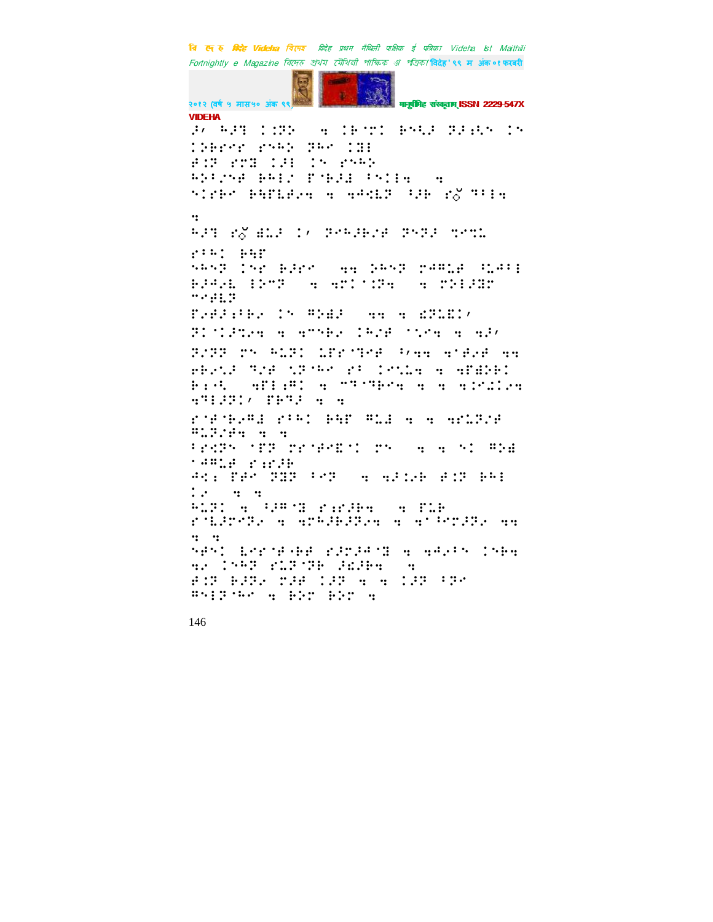

**VIDEHA** 37 RPE LIPE (A IPAC PROFESSION) **CONTROL STATE SHOW (SS)** FIR PPR THE TA PARK AND THE BAIL POBLE PAIR.  $\dddot{\mathbf{r}}$ SIMPS PATERSA A APALE SUP 20 TEE  $\ddot{\cdot}$ AFT PA MAR IS PEAPHON PATE TETL  $f(H)$  but 5553 (56 BBP) 99 (5553 PARLE R.A.)  $.........$ BIOLENSA ASAMES IPSE MARK ASAM BMB 25 RMB MBC1968 P/ss steel ss HERSE TRE STORY FRONTIER A ATERED Bid, WHIP, A TROPE A A AMILA 471231/ PERP 4 4 roporate real rat and a a anithe **William Home** Professor for the mediator of the computation of the mediator of the mediator of the mediator of the **SARLE PARTH** Add BA SHE FOR THE WILLE ASS AND  $\mathbb{R}$  .  $\cdots$ PLP: 4 FPPM rander or FLP ristrik a athibita a athtib aa  $\ddot{\mathbf{r}}$   $\ddot{\mathbf{r}}$ SPSI ESPIRARE PROFESE A ARABS ISRA AP 1582 MIDSH SEPR  $\dddot{\mathbf{r}}$ BOR BOR THE CONTROL CONTROL Bright 4 Bir Bir 4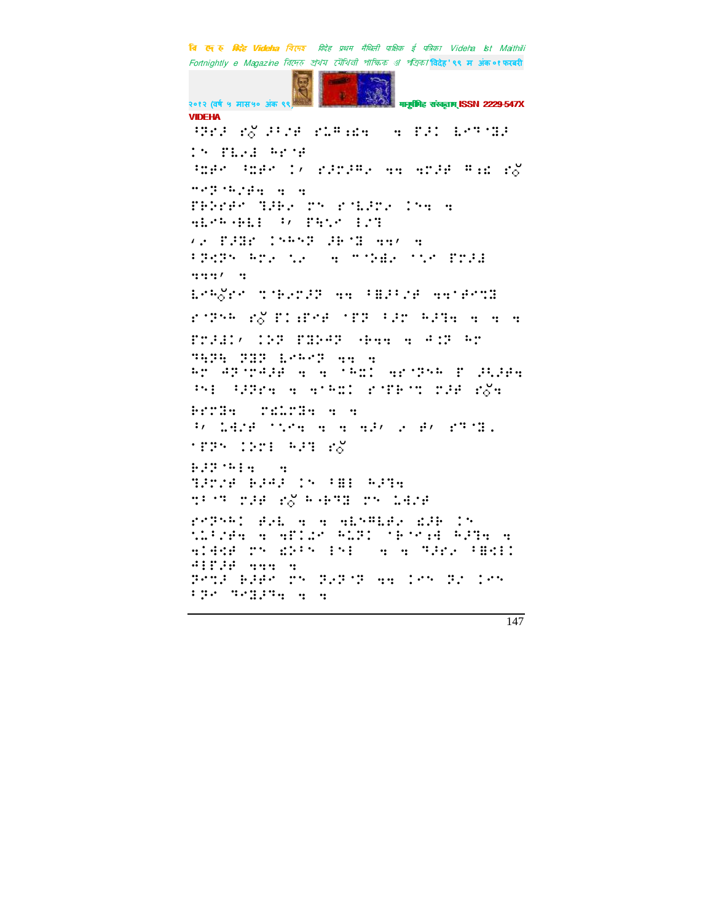२०१२ (वर्ष ५ मास५० अंक मानुबंधिह संस्कृताम् ISSN 2229-547X **VIDEHA** SPEE AN ARCH PLANES CONTRACTOR TH PEAR Are and and the range we will give to medical design and man TEGGE THE TY FIETH ING 4 ALSHALL B, PHIS 127 **WEIGHT INDER SETE AND A** PROPORTY OF SACTORE TO FINE  $11117 - 11$ L'hör tjerd? en FBD:d enjert? rone rolliere off far ears a a a rrang the room (Page 4.02.52 **THE THE REAL PROPERTY OF A 200** RE APAPARE A A TROL APAPAR P RURA PH WERE BOSTED FOR THE COST Bruis unicia a a ch large time a acadh le gh 2778. 1835 1931 533 18 8327514 4 three bids in the with the the real of the state of the large relations and the second state of the second state of the second state of the second state of the second state of the second state of the second state of the second state of the second state of the second state of the seco midde re different **A. A. T.P. (1841)** Bend Blue na Baban ag lea Br lea **PER SERVE SERVE**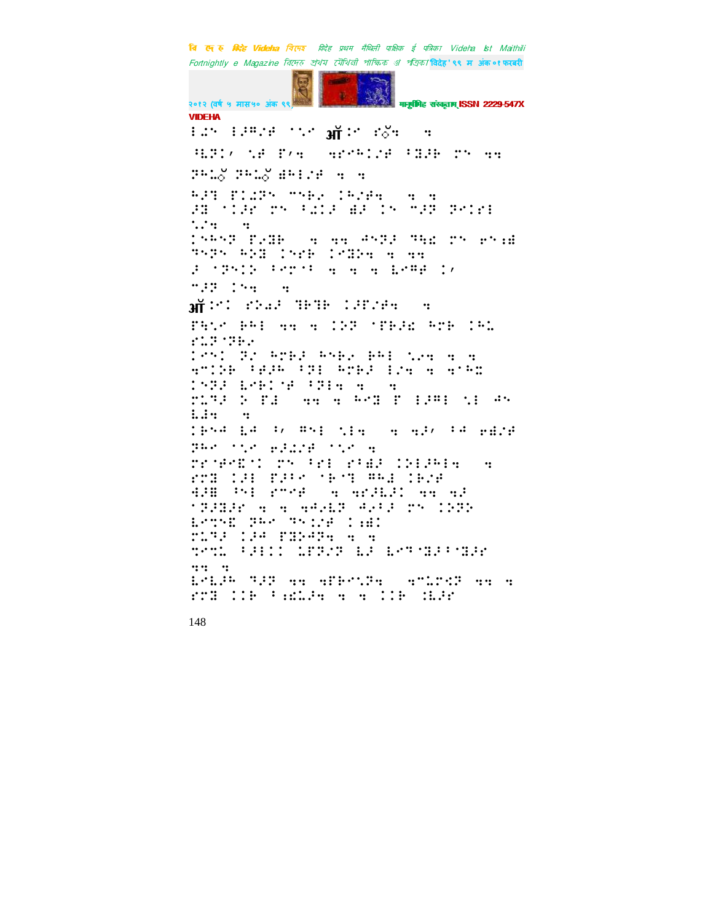

API PINTS THE CAPAC PECTIFY THORAGE EROTH TER PHIPE  $\ddots$ ISASE EVIR (A AN ASEA THE CS PSIN ren in the sense of the sense of the F MENIN PROMI A A A LRPE IV **1999 1999 1999** 

**ATOM SEAR THIS LAPPER**  $\ddot{\phantom{1}}$ 

FALK AND HE HOUSE TEEK AND ING **PARTIEL** 1851 BY ROBE RSBY BRE NYB B B 47156 FEJR FTE RTEJ EJ4 4 4181 1532 Leb178 (2314 A) **MARK & TECHNIC # # # # # TO FARE NE #5**  $i.i.$  $\bullet$ TESA EA () #SE MER ( e el) () # edze PRO TECHNICA TECHNICA renewal restart etag (Sigmia)  $\ddot{\phantom{1}}$ FTB 198 FPP 'B'T WAS 1828 AND THE POST OF WEALTH WE WA 192826 a a afric from 201 1292 ESTER PROTECTIBLE teti (SALI) 1832 BS Eestischik  $\mathbf{u}$ Brigh Mar as affective anticol and a rra (16 Femile e e lle difr

148

**VIDEHA**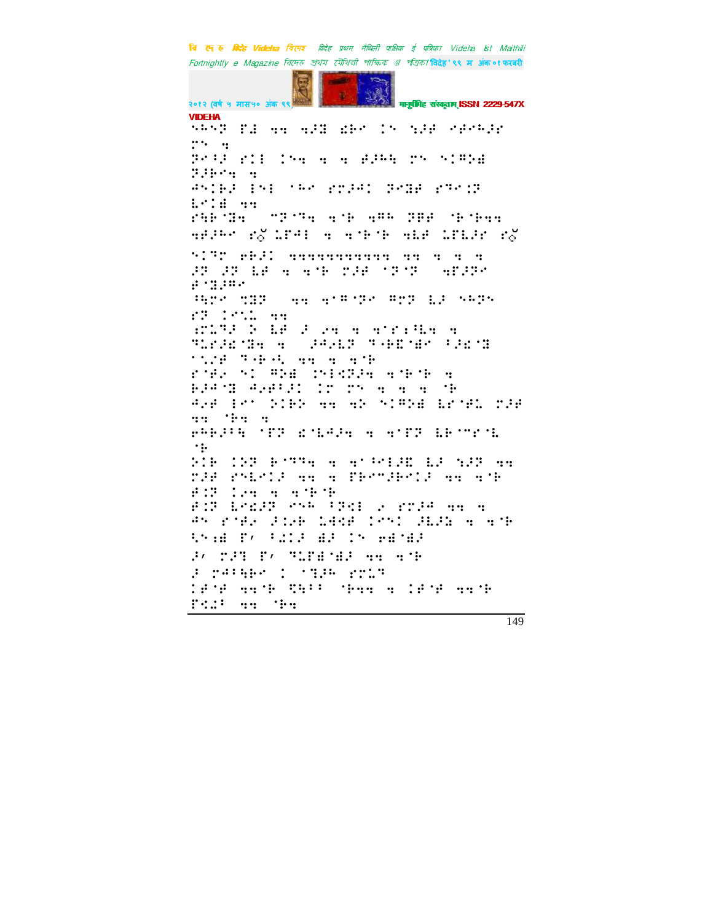

२०१२ (वर्ष ५ मास५० अंक मानुबंधिह संस्कृताम् ISSN 2229-547X **VIDEHA** SAST TI AA AJI KEM IS SIE MEMAJK  $\mathbb{R}^{n}$   $\mathbb{R}^{n}$ Pris 201 (no o o diffo nn night Fiber 4 angal pnp sar engag prop energ  $i$   $i$   $j$   $k$   $k$   $k$   $k$ PHENIC TRUST AND AND THE NETHAN APPROVISED A ANDRE ALP LELEN CO 5172 eBJ1 soconomican on a s'o 22 23 12 4 4 4 2 226 1312 - 40231  $8.12344$ They see an an airson were no says FF 1951 99 BOLFA IS LESS A SA A AMBASHA A **PARK THEMP FREM** Wheels May an **TIME THERE AND THE** rigo yn Alena cyferia achob a 8341 43831 12 25 4 4 4 16 426 EST DIED AA AD SIMDE EETAL CIA  $\ddot{u}$   $\ddot{u}$   $\ddot{u}$   $\ddot{u}$   $\ddot{u}$ PRESSE THE ETERSE A ATTE EFTETE  $\cdot$  : Mi 1959 B'TTA A A' MIND BE 1957 AA rae roleta es a frenarca es anr  $\mathbb{R}^2$ The scott that FOR LARGE AND FRAME A POST AN A An right-dime 14df (2011-2121 a air than fortall and in earnst *MARIT C, THERMAN ATH* F rather I film rrit cana aank gall naaa a cana aank Political Char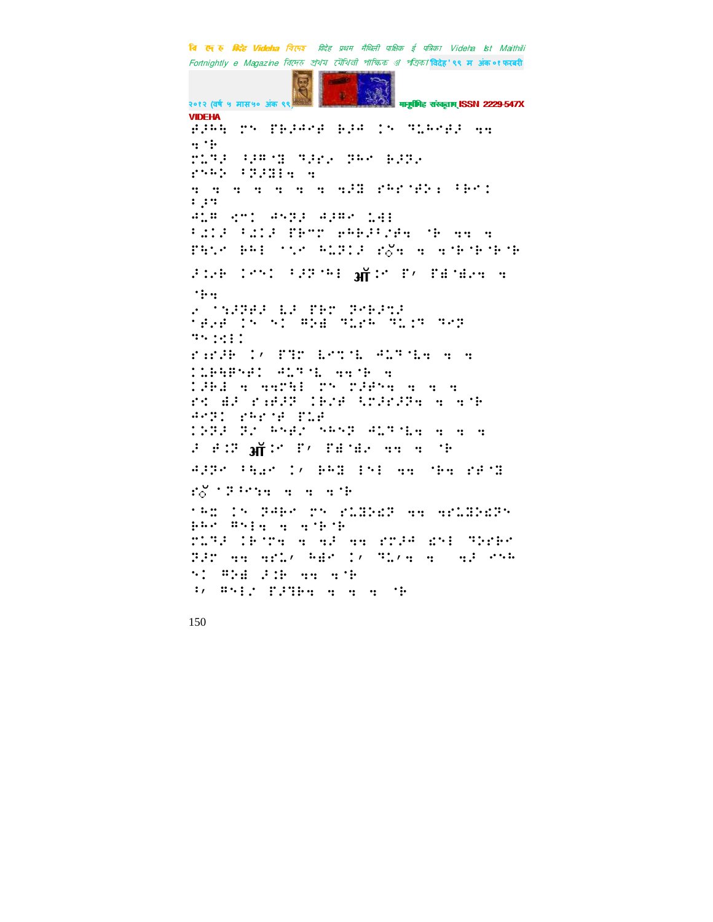

२०१२ (वर्ष ५ मास५० अंक ९९ **VIDEHA** BRAG TH PERSON BRACTH STANDED AN  $\ddot{r}$  .  $\ddot{r}$ **MARY CHANNEL REPAIRS BEEN Philip Contract Contract Contract Contract Contract Contract Contract Contract Contract Contract Contract Contract Contract Contract Contract Contract Contract Contract Contract Contract Contract Contract Contract Contrac** a a a a a a a all chridis fer:  $: \mathbb{R}^n$ ALB RMI ANDI APROVINI FALE FALE TEST PREFECTS (F AN A Pair PRESSINGER ROW WATERFET FOR THAT FERMI WHEN THE MAN A  $\mathbf{r}$  : **A MARRA LA PET PERPIP** teachers to make the most man  $35.141$ rade to MM boyd All'de e e **CONSERVATOR** SALL SECTION 1961 a anchi ch cubha a a a rd Al rafff (Bre tranffe a and Arti Phris Dis 1973 72 8542 5857 813 114 3 3 4 FOR STORY EXPERIENCE STORY 4228 (Ran 1) 953 (5) 99 (99 (99 28)3  $\frac{1}{20}$  (FRM a control of the set of  $\frac{1}{20}$ 'An 18 BAR TH PIBER AN ARIBED par sale e enpre MIRA IBANG GUGA GGU KNAGUNEU REKBA BEN AA ARL/ REM 17 MI/A A SAE SAR **NI What File and a the WARE THE SACT**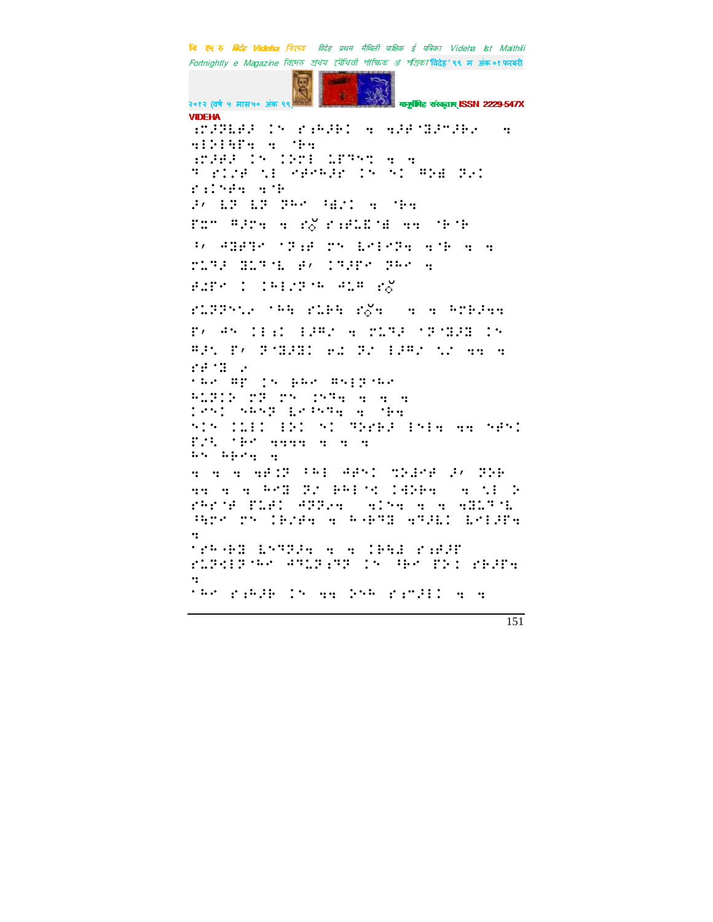

२०१२ (वर्ष ५ मास५० अंक ९ मानूबंगिह संस्कृताम् ISSN 2229-547X **VIDEHA** STIRNED IN STRIKE A ANGSTRYNG (A **ALLES AND ALL PROPERTY** BOWER IN INTE APPNE A A T PICE SE PEPPER IN NI PRE PAI rather and 37 12 12 254 3121 4 354 for Ware a concentration ded  $\ell_2$  (Addition of Herman Lorentzian and Artist ring mind a, there may a BAPP I TREPERS WEB 22 rugger, she rubb fåt "e e brbjee F. AN IEAD EPRO A PLAP SPORT IN **RPL E/ FMERED FACES EPRIMATION (R)**  $\mathbb{R}^n \times \mathbb{R}^n \times \mathbb{R}^n$ the mp je par meppear 81312 23 25 2534 4 4 4 1951 skop proses a dea MIN CLED EDI NI TREBJ ENEW HH NAND ESU THOMASH SHOW an apropos a a a af:P (A) 4PV TV10P 2, TVB es e e bro di Bander (Albes e ti S PROFILED ATTAC ATOM A ACADEMY Herr on leves a baby and levely treakd bythe a a lead rader FLIGHT WAS WILLETTED TO SEARCH TO CHANGE  $\dddot{\mathbf{r}}$ the rings in ad how rings: a d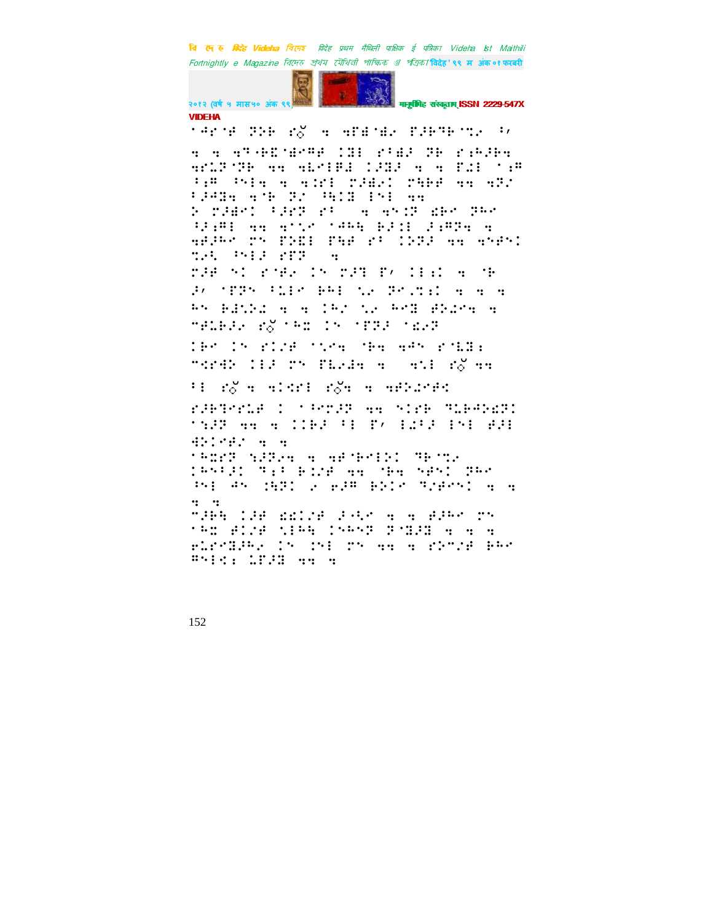

२०१२ (वर्ष ५ मास५० अंक

मानुबंधिह संस्कृताम् ISSN 2229-547X

**VIDEHA** *tarie The 20 a affine fibreira ()* 

**A A ATABLEME COL PART OF PARTS** which we wanted that you can have THE PEACH AND MINISTRAR AROUND FRAGA AND PROVIDED BY AN S THEN FRONT STATES THE THE 32:81 AN ATTP TANK B211 2:82N A akima sa papi ng kiliyal an ayean the start for the  $\dddot{\mathbf{z}}$ THE SI PORT IS THE FACILLY A OR FOURTH PLEADERS NATURAL BOARD An Binha momentar na And Bhann m

MELBER 20 TRE IN MERE MERE TER IN STOR TORE THE ARM STEEL

mered lif my firsk a catl foods

H nő mindi nőm mindere

rabserbe : ''erras ee virb sibebesi TAPP AN A CORP OF TV ENCEMENT APP 421782 H H

**TROP SPRAY A APTEMBER TEMPER** IPSERD TEE BINE AN TEN SESI TEE PHORN HEL 2 FRA FRIS STRENG 4 H  $\ddot{u}$   $\ddot{u}$ 

MARA CAR BELOR ANNO 4 4 BARM DY the give that inang group a goa FLENDARY IN THE TN AA A FRYSH BAN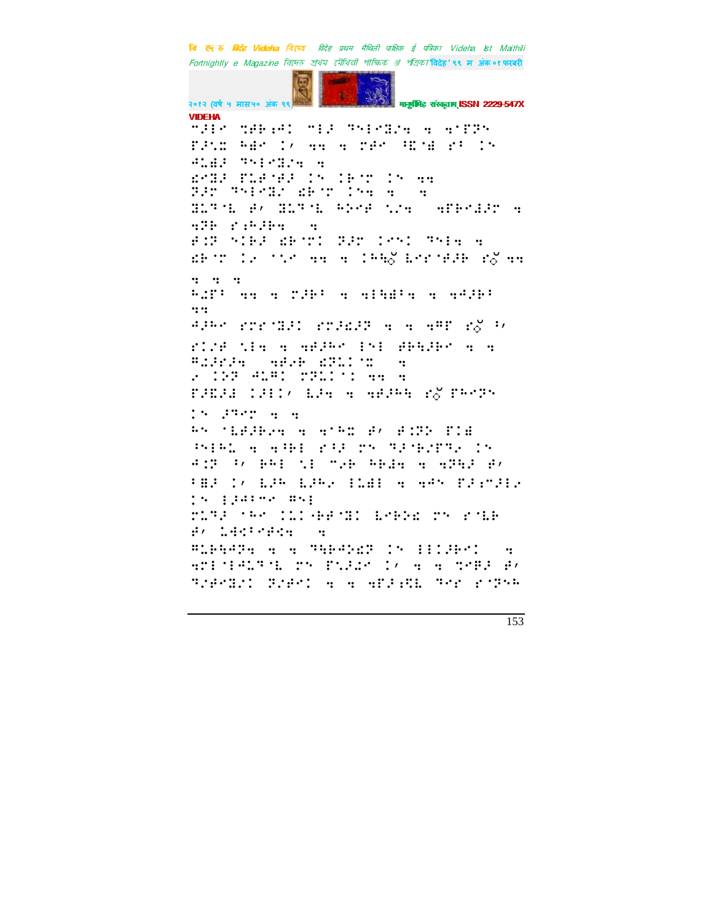

**VIDEHA** mark market mid shikory a andsh FRID RES IV AN A TES SEMA PROTE While Myledyne a BMBP PLEASE IN IRAT IN HH HAT THEFALL ARCT ING A CAP HITTE A, HITTE ANTE NIN (APPRESS) A alb rible a FOR SIER ERST FRO ISSI TSIR R ERST IS TO AR A IPENDENTAL RUNA  $\ddot{u}$   $\ddot{u}$   $\ddot{u}$ PAPE AN A MJEE A Alholy A APJEE  $\cdots$ ager for GSI fogegy a a ago försk rich the eserbe by Abbay est Bilitin will dill'u  $\ddot{\bullet}$ THE WILL WAR A ARPA 20 TEMP  $15.3992.999$ An tisking a athroad sine rid PHPL A APRIL KREAT TRIPPETR IN Add to BRI the made Redactor Additional for the many charge and critic  $15.124192.051$ ring over the German Leepe room ends B. MARINERS  $\dddot{\mathbf{r}}$ AND MALTER ON PORCH IV A A SHER AV STRAGGIO START A A APPARE SPECIFIER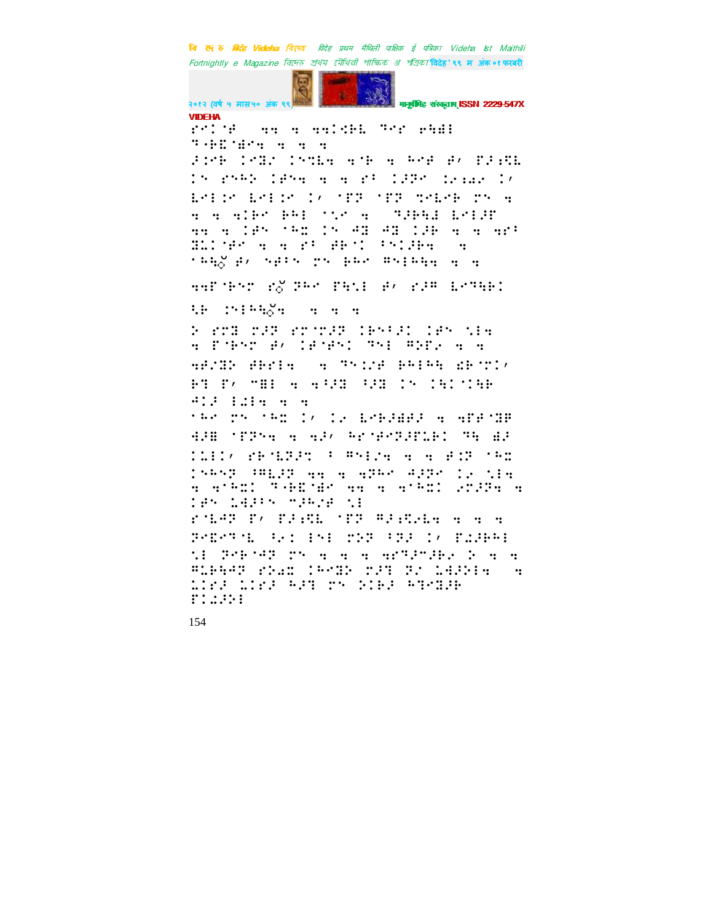

मानुमित संस्कृतम् ISSN 2229-547X २०१२ (वर्ष ५ मास५० अंक **VIDEHA** 

roling and a anight for east FOR THE INTERNATE A RHORY FRAME In rher lang a statistic base is ESPECTATION IN THE THE TOLOR DY A a a albo belongo a "Beag bolg 44 4 195 542 15 48 48 196 4 4 425 Hilders and Halley (Stille)  $\dddot{\mathbf{r}}$ tag e, sers po pas soleno que HAP TEND YOU HAN FAND YA YAR LETARD

the stillenger of the state S PTE THE PTOTHE IBM AT IBM NEW a Pobor B, 180851 751 8222 a a ARIS ARIA A TRIS PRIPR SPOTA

89 F/ MH: 4 4328 328 15 1917198  $\frac{1}{2}$   $\frac{1}{2}$   $\frac{1}{2}$   $\frac{1}{2}$   $\frac{1}{2}$   $\frac{1}{2}$   $\frac{1}{2}$   $\frac{1}{2}$   $\frac{1}{2}$   $\frac{1}{2}$   $\frac{1}{2}$   $\frac{1}{2}$   $\frac{1}{2}$   $\frac{1}{2}$   $\frac{1}{2}$   $\frac{1}{2}$   $\frac{1}{2}$   $\frac{1}{2}$   $\frac{1}{2}$   $\frac{1}{2}$   $\frac{1}{2}$   $\frac{1}{2}$  the prothose is lessenging a and de-428 (PPS) 4 427 RESPONDED TH AP TEED PROBES FOR PAIDS A ROOM OF 15652 HEAR AN A ARGE ARRE 12 MA a ankol makonan aa a ankol 2020a a TER LESSE MIRTE NI Perend this is the state of finish the Benedict process of a cardiography of a car #1849 Sham (803) M23 S2 182014 (A

MIRA MIRA RAT TRONGGIA RTRIA

154

**FILIPE**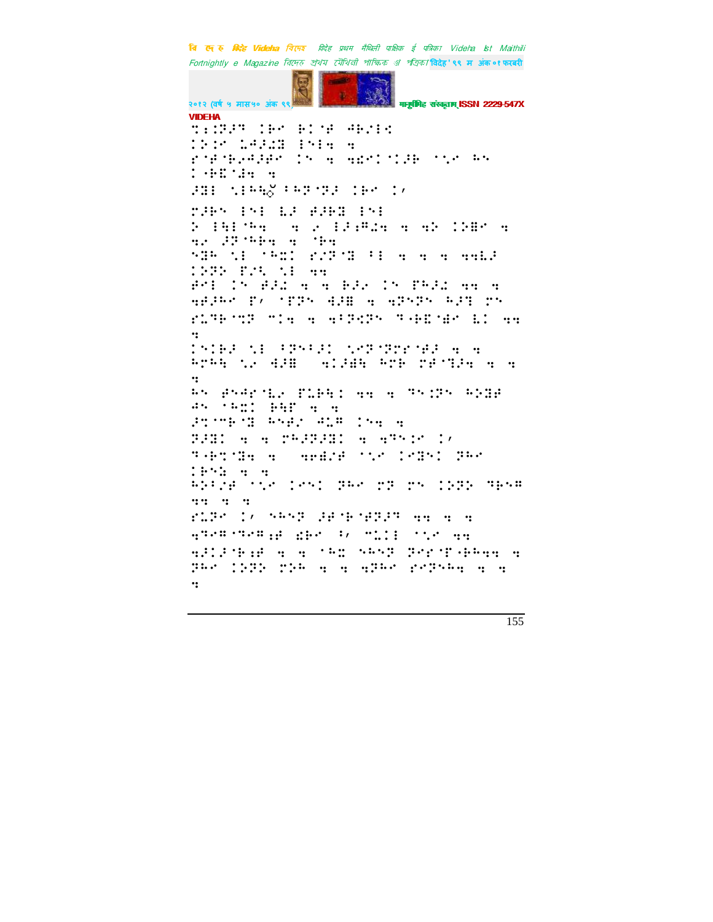

मानूबंगिह संस्कृताम् ISSN 2229-547X

२०१२ (वर्ष ५ मास५० अंक ९ **VIDEHA** THEF OF BINE WHIP *lite 14312 inte* a reference in and the stream  $1 + 111 + 111 + 11$ HB 5185 (82.72 188.1) THE ISE AF BURG ISE b Berger a politika a ab 1988 a a. Schen a tha SH SE SANT RIPS OF A 4 A AND **1990 S.M. 11 HH** POINTS PROVIDE PROVIDE PRRO ANCHO HERM IN YERS HAR HUNDARD RATURE ringern nie e effort naarde al ee  $\dddot{\bullet}$ INTER NE FRAGI NARATRYAR A A ArAG NG ASB (ATSAG ArB rainse a a  $\ddot{\cdot}$ PS PSPECIAL PLPB 1 HH H 75-125 PAIR **25 (62) SAP 9 9** 3575678 RSB2 818 154 9 THIS REPAIRING READS IN THETCH A SHERB TO CHECK THAT lith a a apiga tie jesi pae ep es jigh nasa  $\cdots \cdots \cdots$ rich () sasc demonder as a a gressiones gradual and the gr APIPALA A A MAD SAST POSTAGAA A PRO 1989 MPR A A APRO POPORA A A  $\dddot{\cdot}$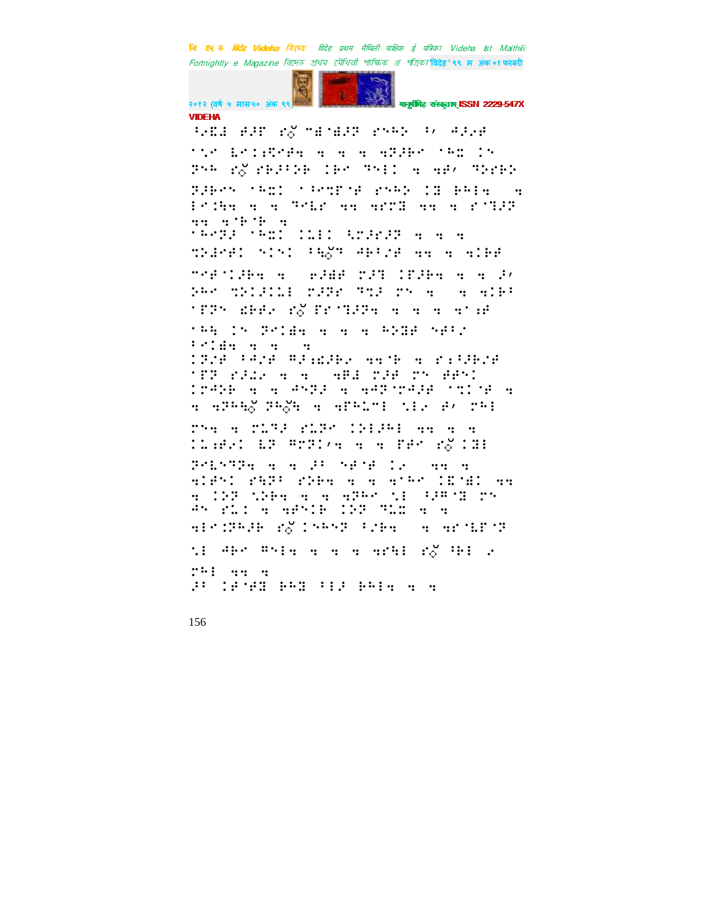मानुमित संस्कृतम् ISSN 2229-547X



THE BUT TO TEMPER PARK IN SPAR the besides a a added the Cr 356 PÅ PRIPER TRA 3511 A ARA 30280 FJERN MANI MARTIN PARK IS EATH (A Probe a a Trip as and as a rough **AM AND THE A SAMPLE SAMPLE IN STREET BEET** thing: 5151 (50" About as a albe menture a couplet must filled a a do PRO MAISING MARK TMS MOOR ON WINDS 'FPS deer to FriTPs a a a aid the in Bridge and a hidden name  $5.414$   $\pm$   $\pm$  $\dddot{\mathbf{r}}$ TRYA PAYA ASTRONOMIYA A PITRAP 187 rade a a capa par profeso ITAGE A A ANGU A AAGSTAGE TITA A a areging to a areles the source rne e rich fich (bijni ee e e TLARI AP PPPIZA A A PRO 28 IBB POLSTER ROAD AFORMATIC COMMON alend razt robe a a anton IBnBl aa a 193 toda a a agne ti gordi pe An ele a afnik 193 Min a a HERITAGE POINTS AND ALTER CHARGE TO th Abr Anda a a a and: 23 Abr 2

an tenggal bagi nia baik ki k

156

 $144 - 44 - 4$ 

**VIDEHA**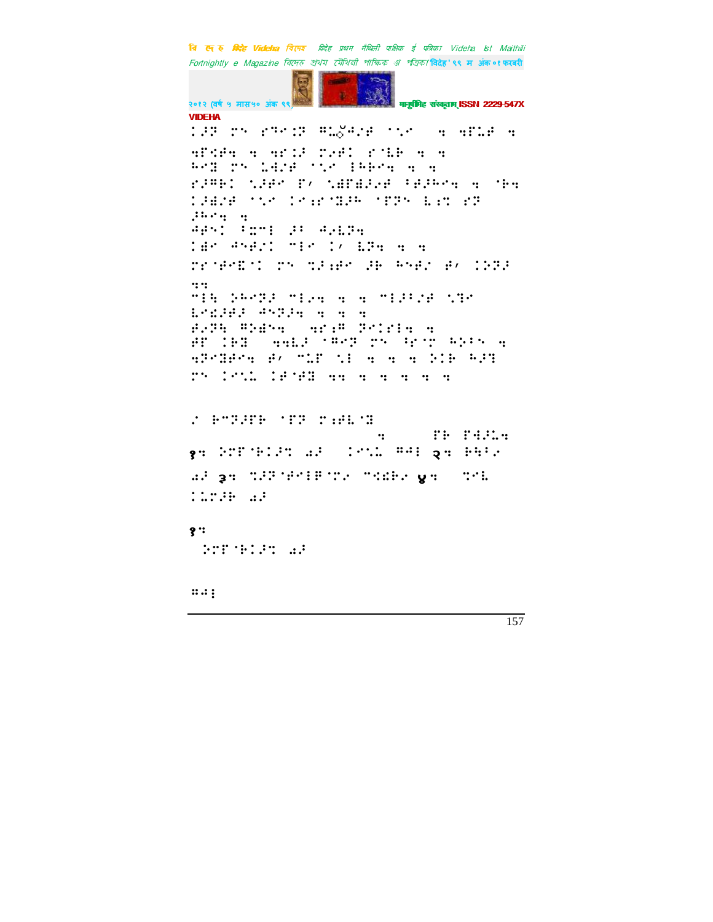मानूसीमेह संस्कृताम् ISSN 2229-547X २०१२ (वर्ष ५ मास५० अंक **VIDEHA** THE TROTHER WAYS TO CONTROLLED afse a and refl rim a a Red on Lard the ERBeach a rame: Same By Samalon (Allege A Sha DADA YOK DEBIRIN YER EBS BE  $\mathbb{P}^{111111}$  . If Apsi Port Products THE ANALY MIR IS ERA A A renderings might in when a time  $\cdots$ MIR DRAGU MISK A A MIGHTE NGA Bull Sharp and Prince a BT IBS (AALP TRAP 25 BET REP) A 42/32/4 27 MS 11 4 4 4 516 521 **MAGNETIAN COMMENTATION** *.* BTRAND 197 200 20 TP PASLS •: ge bridelst as conducted general ad ga madheeds would be gainered :12738 a3  $\ddot{\mathbf{3}}$  :: **SAMILY ARE**  $\ldots$ :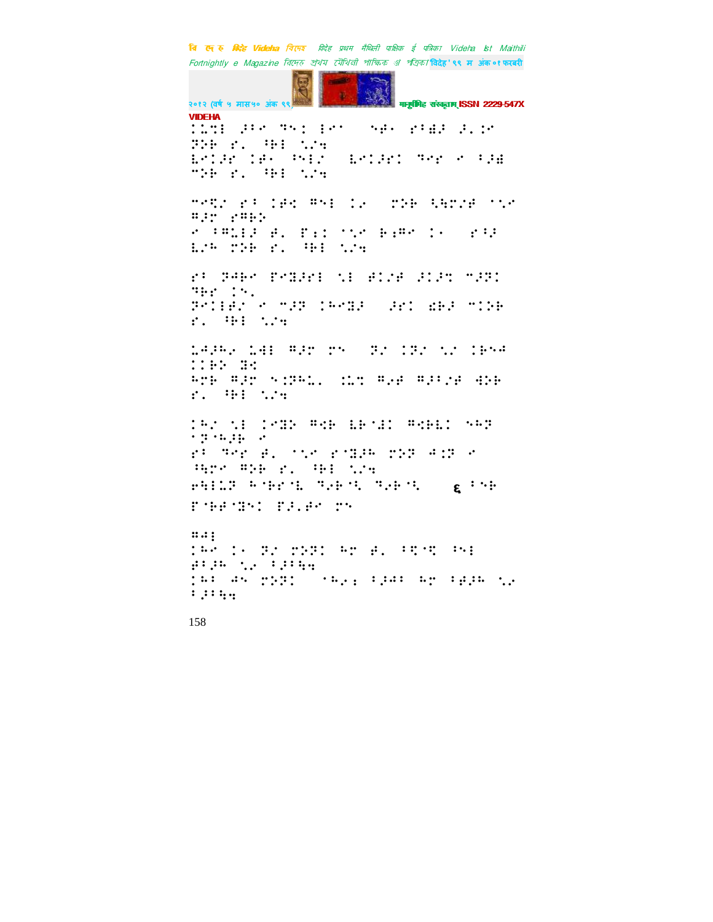

२०१२ (वर्ष ५ मास५० अंक ९९) **VIDEHA** 

TIME SPACENT EARLY NEW PREP SIDE COM :. OH WOR Bride the Said (Bright The Poste "HE F. WH NOW

metro pacific metric. Contra Abrie chr Bir rBBP PORTLEY BY THE TAP BERS IN CASE ESP 256 21 901 129

rt Peer Progri ti else glan magi The Ch. Polish o mar leoga (and del mine  $f_1$  (  $f_2$  )  $f_3$  (  $f_4$  )

14352 141 935 55 (P2 192 12 1954 **MARK 2012** Arb War Sidam, mr Whe Waard Was  $\mathbf{r}$ ,  $\mathbf{r}$  and  $\mathbf{r}$  and  $\mathbf{r}$ 

TRY NE TREP REP ERMIT REPET NAP  $\gamma$  parallel and  $\gamma$ rt der B. Mie roman mit Auf e Hero Will all Mill Now PRILE ROBEON SPECIAL SPECIAL CONTROL

Poheomol Plier po

 $\ldots$ 188 16 B2 2281 82 81 FEMP PH  $\mu$  :  $\mu$  :  $\mu$  :  $\mu$  :  $\mu$  :  $\mu$  :  $\mu$  :  $\mu$  :  $\mu$  :  $\mu$  :  $\mu$  :  $\mu$  :  $\mu$  :  $\mu$  :  $\mu$  :  $\mu$  :  $\mu$  :  $\mu$  :  $\mu$  :  $\mu$  :  $\mu$  :  $\mu$  :  $\mu$  :  $\mu$  :  $\mu$  :  $\mu$  :  $\mu$  :  $\mu$  :  $\mu$  :  $\mu$  :  $\mu$  :  $\mu$ THE AN PRODUCTIVE FOAR AP FEAR NA  $1, 11, 11, 11$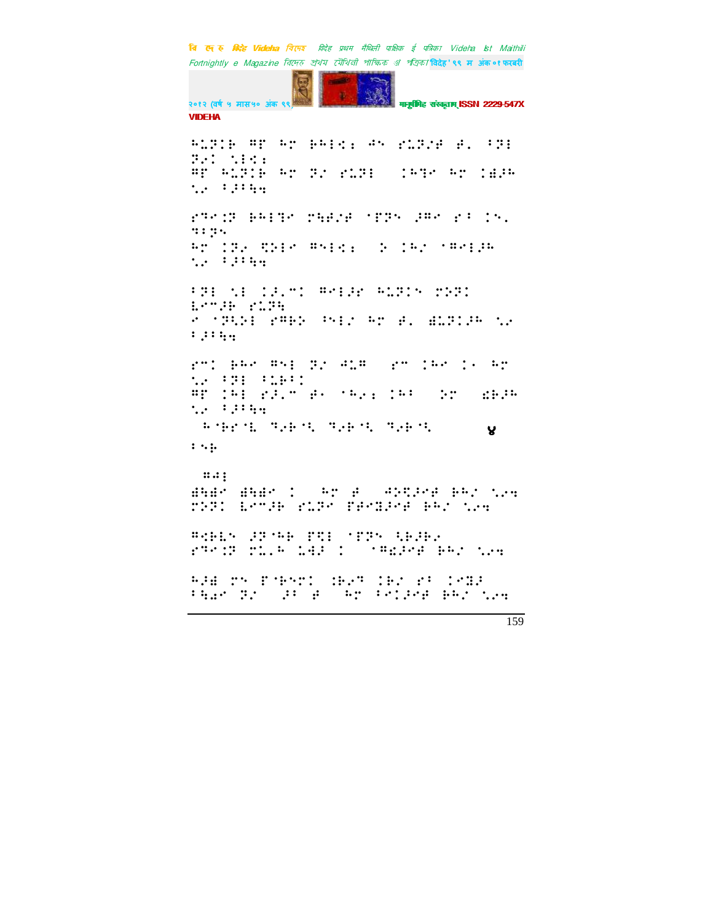

मानुबंधिह संस्कृताम् ISSN 2229-547X २०१२ (वर्ष ५ मास५० अंक **VIDEHA** 

RINIE AP PRIESE AN FINANCE PL Pat Mide #P RLPIB RT P. SLPH (1996 RT 1838  $1.3334$ randa ekian reformada den radio.  $\mathfrak{m}$  :  $\mathfrak{m}$  . RESIRA REPORTED A CRESTRIA  $1.243344$ FREE CENTS WHERE WIRDS TOOL Length study POSTED PRESS PHIS AT B. BLEIPH SP  $1.114$ rmi Bak Ani di Alas (rm 1960-1960)  $\mathbf{L} \cdot \mathbf{H} = \mathbf{H} \cdot \mathbf{H}$ #P 14: 23.5 #6 542: 14: 22 22.4634  $\mathcal{L}_{\mathcal{L}} = \mathcal{L}_{\mathcal{L}} \mathcal{L}_{\mathcal{L}} \mathcal{L}_{\mathcal{L}}$ **SAME THAN THAN THAN** ¥  $: \cdot \cdot$  : . . . . . dhdr dhdr (1994) e shqipta bhoshla<br>2021 Lengborgham Pargara bhoshla BARD STAR TO MTP GROEP rings fire idea to beging ber whe RAB TH POBNY, GRAN CB2 PROGRES Fair di (Programa de Programa apicolog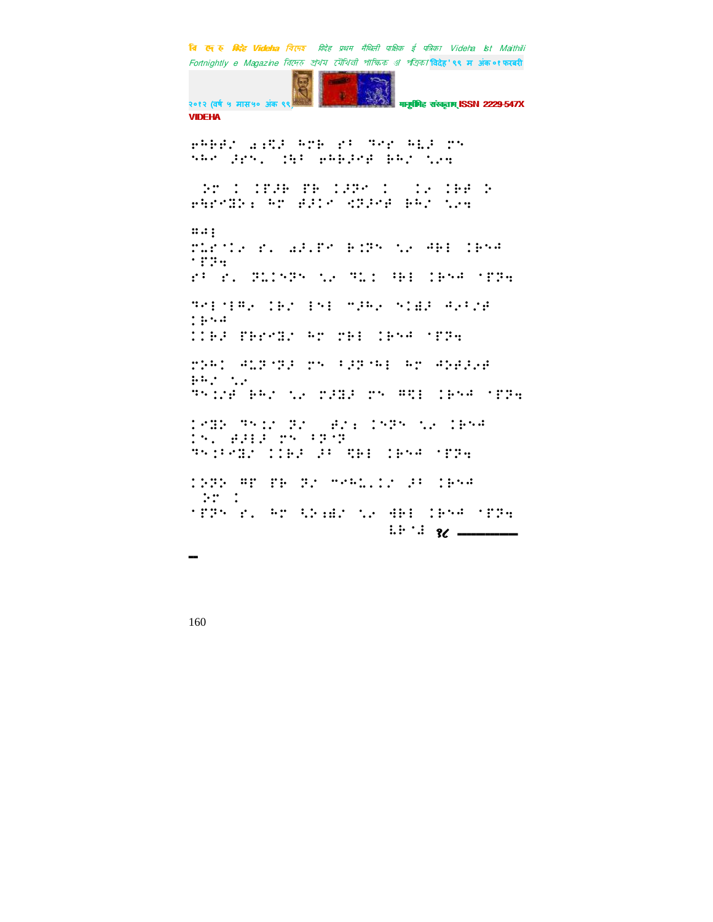२०१२ (वर्ष ५ मास५० अंक मानुबंधिह संस्कृताम् ISSN 2229-547X **VIDEHA** PRESS WERE ROBERT TOO REFER nder den, dat engeles bezichen ST I CHAR TH 1995 I CONSIDER PHOTO: PO BRIC STROP BRICKER  $\ldots$ The Communication Robert Communication  $1334$ FROM PLINEN NACRET HE IBNA MEER THE MUSIC IN THE TIME STAR SERIES  $14.44$ DIES PHOSED AN MEETING STRA TERS ALTER THE PRESENT AT APPRENT  $H^1$  :  $H^1$ Rend Person can be compared the street 1982 Third Roomers 1989 Newleave<br>1920 Baia on Frank There: Mike at the 1954 (TTH **THE WAY TO BE THE MOVED IN THE TENNIS**  $\ddot{\cdot}$  : track of artistant to and these trac  $\frac{1}{2}$  :  $\frac{1}{2}$  :  $\frac{1}{2}$  :  $\frac{1}{2}$  :  $\frac{1}{2}$  :  $\frac{1}{2}$  :  $\frac{1}{2}$  :  $\frac{1}{2}$  :  $\frac{1}{2}$  :  $\frac{1}{2}$  :  $\frac{1}{2}$  :  $\frac{1}{2}$  :  $\frac{1}{2}$  :  $\frac{1}{2}$  :  $\frac{1}{2}$  :  $\frac{1}{2}$  :  $\frac{1}{2}$  :  $\frac{1}{2}$  :  $\frac{1$ 

बि एक रु मिनेट Videha विएक विदेह प्रथम मैथिली पाक्षिक ई पत्रिका Videha Ist Maithili Fortnightly e Magazine রিদেত প্রথম মৌথিনী পাক্ষিক প্র পত্রিকা' বিदेह' ९९ म अंक०९ फरबरी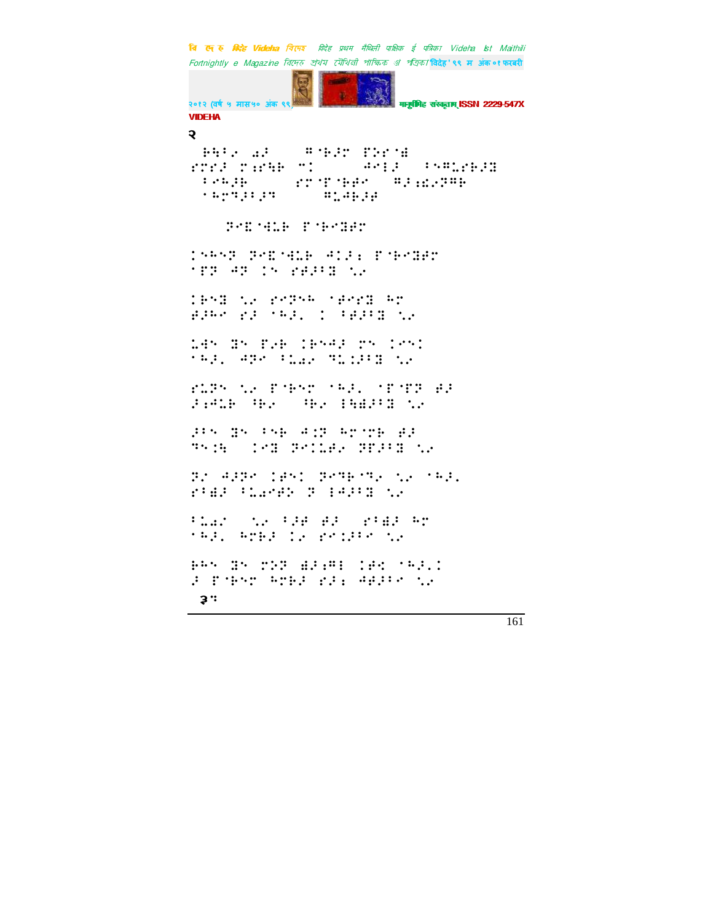

२०१२ (वर्ष ५ मास५० ३ मानूबंगिह संस्कृताम् ISSN 2229-547X **VIDEHA** , Baro ad () #obdz forom<br>strd zarab mi () +eld ()+elebda

 $\begin{array}{lll} \mathcal{L} \mathcal{L} \mathcal{L} \mathcal{L} \mathcal{L} \mathcal{L} \mathcal{L} \mathcal{L} \mathcal{L} & = & \mathbb{P} \mathcal{L} \left( \mathcal{L} \mathcal{L} \mathcal{L} \mathcal{L} \right) \\ & = & \mathbb{P} \mathcal{L} \left( \mathcal{L} \mathcal{L} \mathcal{L} \mathcal{L} \right) \end{array}$  $\mathbf{1}$  ,  $\mathbf{1}$  ,  $\mathbf{1}$  ,  $\mathbf{1}$  ,  $\mathbf{1}$  $\left\langle \mathcal{L}_{\mathcal{D}}\mathcal{L}_{\mathcal{D}}\mathcal{L}_{\mathcal{D}}\mathcal{L}_{\mathcal{D}}\mathcal{L}_{\mathcal{D}}\mathcal{L}_{\mathcal{D}}\mathcal{L}_{\mathcal{D}}\right\rangle$ 

Penember (1999)

 $\mathbf{S}$ 

**CAAS PENGE AND PARAT** \*FF #F 15 #### %

**TESH NA PRISH SHORE AT** BRACK STORES IN BRACK

Les de Pie (Peel pe 1851 tag, aproduce middle to

FLIN A FORMY ORL OF THE RE **FOR H. H. H. HAIR ..** 

gram ga shekar digir berenga gun This Chi Bright Bratis to

Browner (BR) Benedicts (South) rial three Fouring tr

Flack the FPP BP (star Rr tel, energy productions

885 HS MST WEIGHT 185 SAEL1 F Pober Arbi 21: ABIP NA  $3$  :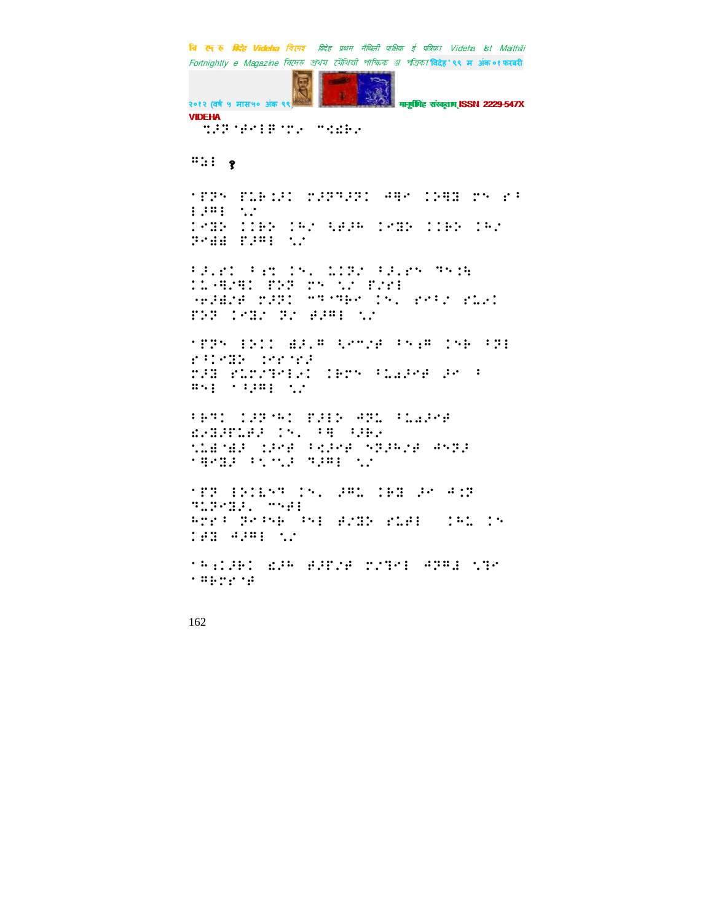```
चि एत् रू मिन्हे Videha निएन्थ विदेह प्रथम मैथिली पाक्षिक ई पत्रिका Videha Ist Maithili
Fortnightly e Magazine বিদেত প্ৰথম মৌথিনী পাক্ষিক প্ৰ' পত্ৰিকা'<mark>বিदेह' ९९ म अंक०१ फरबरी</mark>
                   Service
२०१२ (वष ५ मास५० अंक ९९) मानुषीिमह संकृताम्ISSN 2229-547X 
VIDEHA 
!⣉⢼⢽⢾5⢿⢴!a⣊⣎⢷⢴!
::: \bullet2⢽!2⣅⢷⣈⢼!⢼⢽⢹⢼⢽!⢺⣛!⢵⣛⣝!!"⢸!
5,385 (A)
⣝⢵!⢷⢵!⢳4!⣃⢾⢼⢳!⣝⢵!⢷⢵!⢳4!
SMAR STAR STAR
F.E. ET : F. C. C. C. E. F. E. C. T. E.
1L48:4: IDB 19 12 12 12 13
B⢶⢼⣞4⢾!⢼⢽!a⢹⢹⢷!E!"4!"⣅⢴!
2⢵⢽!⣝4!⢽4!⢾⢼⢻5!⣁4!
1º 10 10 11: 10 11: 10 11: 10 11: 10 11: 10 11: 10 11: 10 11: 10 11: 10 11: 10 11: 10 11: 10 11: 10 11: 10 11:
"⢸⣝⢵!⣈""⢼!
T43 : The state of the state \mathcal{F}B<sup>5</sup>: 1999
⢷⢹!⢼⢽⢳!2⢼5⢵!⢺⢽⣅!⣅⣔⢼⢾!
⣎⢴⣝⢼2⣅⢾⢼!E!⣛!⢸⢼⢷⢴!
⣁⣅⣞⣞⢼!⣈⢼⢾!⣊⢼⢾!⢽⢼⢳4⢾!⢺⢽⢼!
⣛⣝⢼!⣁⣁⢼!⢹⢼⢻5!⣁4!
2⢽!5⢵⣇⢹!E!⢼⢻⣅!⢷⣝!⢼!⢺⣈⢽!
⢹⣅⢽⣝⢼E!a⢾5!
⢳"⢸!⢽⢸⢷!⢸5!⢾4⣝⢵!"⣅⢾5-!⢳⣅!!
∷∷ ∷∷ ∴
⢳⣐⢼⢷!⣎⢼⢳!⢾⢼24⢾!4⣙5!⢺⢽⢻⣜!⣁⣙!
⢻⢷"⢾!
```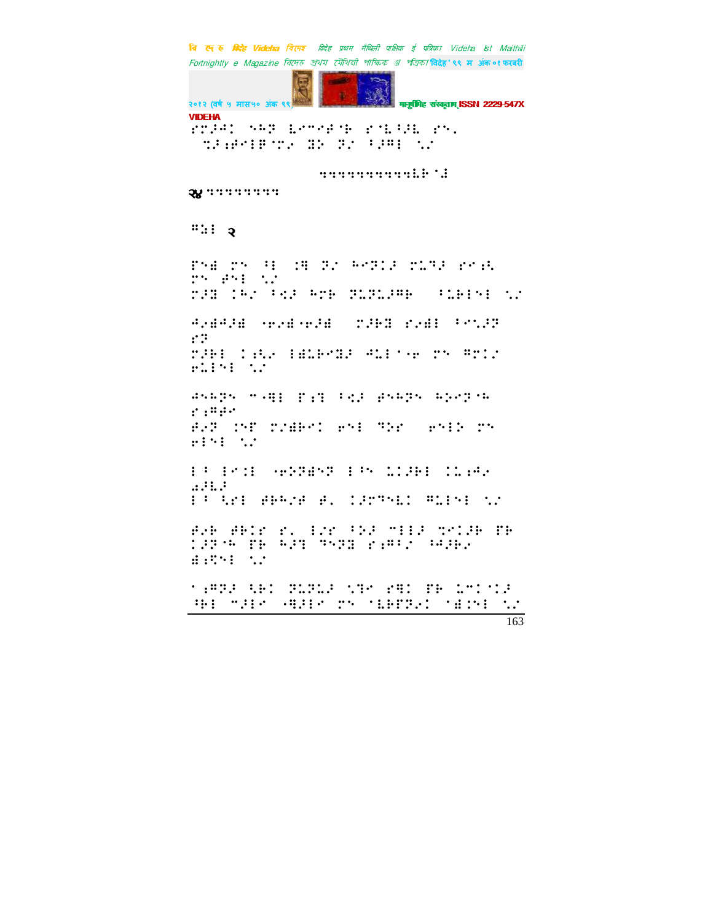चि एत् रू मिन्हे Videha निएन्थ विदेह प्रथम मैथिली पाक्षिक ई पत्रिका Videha Ist Maithili Fortnightly e Magazine বিদেত প্ৰথম মৌথিনী পাক্ষিক প্ৰ' পত্ৰিকা'<mark>বিदेह' ९९ म अंक०१ फरबरी</mark> २०१२ (वर्ष ५ मास५० अंक ९९) मानुषि संस्कृतिह संस्कृतम् ISSN 2229-547X

"collect when the collect of the collect of the collect of the collect of the collect of the collect of the collect of the collect of the collect of the collect of the collect of the collect of the collect of the collect o

163

254 25 H 24 25 26 26 27 28 29 20 20 20

⢺⢴⣞⢺⢼⣞!B⢶⢴⣞B⢶⢼⣞-!⢼⢷⣝!"⢴⣞5!⣁⢼⢽!

⢼⢷5!⣐⣃⢴!5⣞⣅⢷⣝⢼!⢺⣅5B⢶!!⢻4!

⢺⢳⢽!aB⣛5!2⣐⣙!⣊⢼!⢾⢳⢽!⢳⢵⢽⢳!

 $\#$ 22 192 21:50 22:50 23:50 23:50 23:50 23:50 23:50 23:50 23:50 23:50 23:50 23:50 23:50 23:50 23:50 23:50 23:

 $5$  : 50  $5$  50  $5$  50  $5$  50  $5$  50  $5$  50  $5$  50  $5$  50  $5$  50  $5$ 

5⢸!⣃"5!⢾⢷⢳4⢾!⢾E!⢼⢹⣇!⢻⣅55!⣁4!!

 $H$ . Hence  $H$  is the state  $H$  is the state  $H$ 

⣐⢻⢽⢼!⣃⢷!⢽⣅⢽⣅⢼!⣁⣙!"⣛!2⢷!⣅a⢼!! **GBI MARK GRAIN STREET STREET** 

⢼⢽⢳!2⢷!⢳⢼⣙!⢹⢽⣝!"⣐⢻4!⢸⢺⢼⢷⢴!

 $^{\prime}$   $^{\prime}$   $^{\prime}$   $^{\prime}$   $^{\prime}$   $^{\prime}$   $^{\prime}$   $^{\prime}$   $^{\prime}$   $^{\prime}$   $^{\prime}$   $^{\prime}$   $^{\prime}$   $^{\prime}$   $^{\prime}$   $^{\prime}$   $^{\prime}$   $^{\prime}$   $^{\prime}$   $^{\prime}$   $^{\prime}$   $^{\prime}$   $^{\prime}$   $^{\prime}$   $^{\prime}$   $^{\prime}$   $^{\prime}$   $^{\prime}$   $^{\prime}$   $^{\prime}$   $^{\prime}$   $^{\prime}$ 

#⣉⢼⣐⢾5⢿⢴#⣝⢵!⢽4!⢼⢻5!⣁4!

VIDEHA

२४⣒⣒⣒⣒⣒⣒⣒⣒!

!⢾5!⣁4!!

⢶⣅55!⣁4!!

 $\mathcal{L}$  . The set of  $\mathcal{L}$ 

 $...$ 

:55 : 55

⣞⣐⣋5!⣁4!!

 $"$ ::::  $\theta$ 

 $\cdot$   $\cdot$   $\cdot$ 

!!!!!!!!!!!⣒⣒⣒⣒⣒⣒⣒⣒⣒⣒⣇⢷⣜!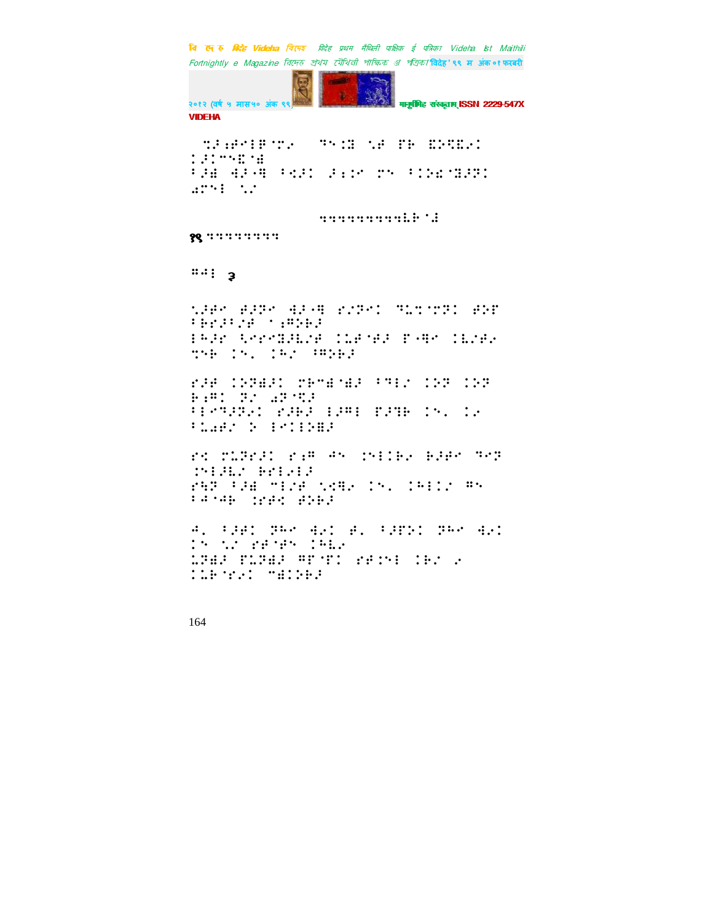

## **VIDEHA**

STREETED THE SETE ERECT **CADIMENT THE BEAR PART FILM THE STATERY**  $\mathbb{R}^{n+1}$  and  $\mathbb{R}^{n}$ 

\*\*\*\*\*\*\*\*\*\*\*\*\*\*

?? \*\*\*\*\*\*\*\*\*

## $\cdots$ ; 3

MARK BATK APPROXIMATION OF BRI PROPERTY TEMPER PAR SPECIALLE CLAIMA PART CLIPS THE IN 182 HEEP

rue condit respuedi con con con RAMI ROGARINA<br>FERNAND BARA EAME BANK ING IS *Product to Product 2020* 

rd TLERK rif an Inflag age and THERE BEENED PAR PAR MEZA NARA ING IAELA AN *tan*g grecieve

**A. (201) The A.1 0. (2011) The A.1** The Simple Partners (1912) LPAR PLPAR PENEL PRIME IRA 2 **TERMIT MEDIAN**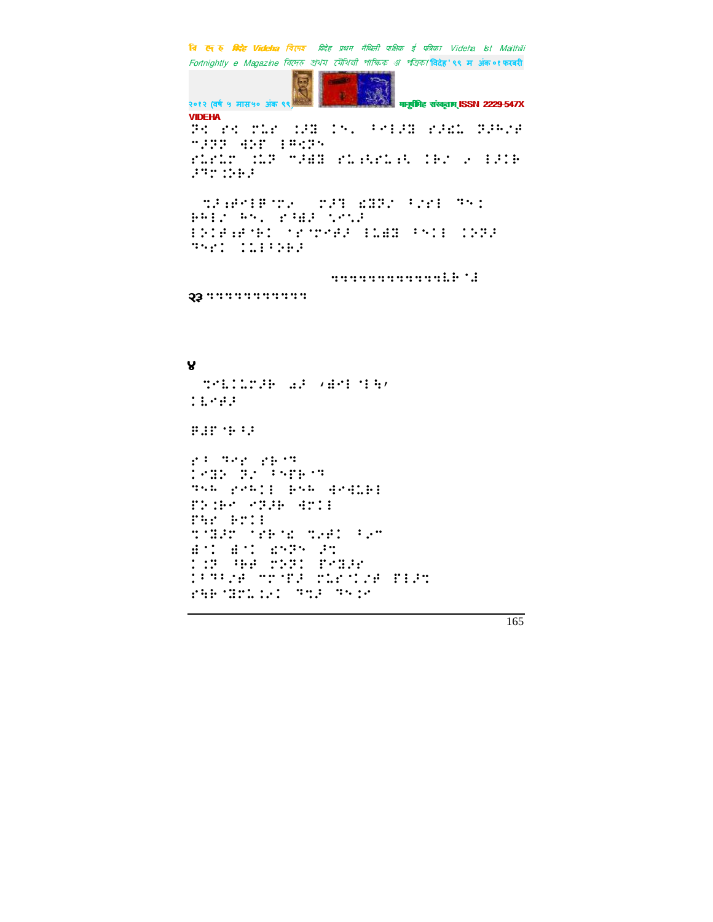चि एत् रू मिन्हे Videha निएन्थ विदेह प्रथम मैथिली पाक्षिक ई पत्रिका Videha Ist Maithili Fortnightly e Magazine বিদেত প্ৰথম মৌথিনী পাক্ষিক প্ৰ' পত্ৰিকা'<mark>বিदेह' ९९ म अंक०१ फरबरी</mark>



```
VIDEHA
```
Be re thr 198 (b. 99198 r961 B9928 a⢼⢽⢽!⣚⢵2!5⢻⣊⢽!! THE THE THE TELL CONTROL IS THE ⢼⢹⣈⢵⢷⢼!!

 $+$  13  $\pm$  14  $\pm$  15  $\pm$  15  $\pm$  15  $\pm$  15  $\pm$  15  $\pm$  15  $\pm$  15  $\pm$  15  $\pm$  15  $\pm$ BA:2'B%, rHAP \2^\2' 5⢵⢾⣐⢾⢷!"⢾⢼!5⣅⣞⣝!5!⢵⢽⢼! THE STREET

!!!!!!!!!!!!⣒⣒⣒⣒⣒⣒⣒⣒⣒⣒⣒⣒⣇⢷⣜!

```
२३⣒⣒⣒⣒⣒⣒⣒⣒⣒⣒⣒!
```

```
४
```
!⣉⣇⣅⢼⢷!⣔⢼!'⣞55⣓' ⣇⢾⢼.!

₽.HP 10 02

```
"⢸!⢹"!"⢷⢹!
CONDUCTS 2012-2012
THE PHILE BEE HERRI
2⢵⣈⢷.⢽⢼⢷!⣚5!
PAP BOIL
⣉⣝⢼!"⢷⣎!⣉⢴⢾!⢴a!
W.
⣈⢽!⢸⢷⢾!⢵⢽!2⣝⢼"!
⢹4⢾!a2⢼!⣅"4⢾!25⢼⣉!
"⣓⢷⣝⣅⣈⢴!⢹⣉⢼!⢹⣈!
```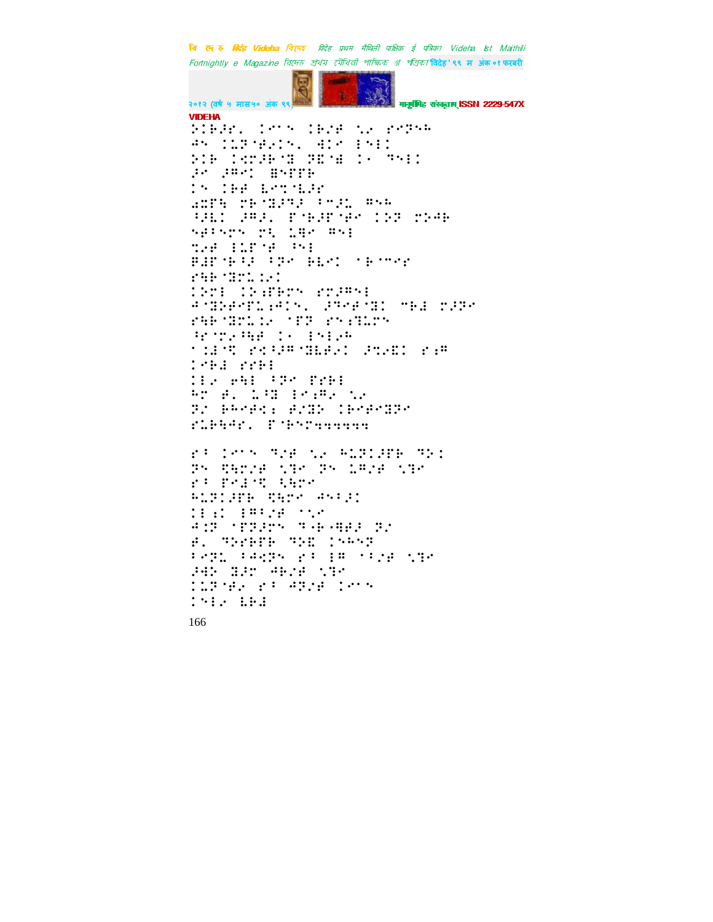

२०१२ (वर्ष ५ मास५० अंक ९९

मानुबंधिह संस्कृताम् ISSN 2229-547X

**VIDEHA** BIBBY, ISSN (Brd Ne repor #6 ILBANIS, HIS ESEI **CONTROLLER CONTROL** Se Smet Hefffe IN THE LATTLEY SHIP SEMINI PARTY ROLL ROLL **BALL AND STRAINER TO SHOW** 581525 25 186 851 te many was BAP (BAP) APP (BEPI) (Bonner rib dri m ISTE ISBNS 202051 A MOVEMORIAL COMPANIES THE COOPY FREMING THE FRILL Britished Is 15126 **THE REPUBLES STATES** Tera crrr: **TER PAI PER TREE** Ar al Lam Beamlett B: PROPOS BIB (POPOBRO flitte, firrannen

FRONTH THE 12 RUBBER TED 35 SAMMA SAM 35 LAMA SAM FRIDE SHOP **ALTIFE THIS ANDI II: I : I : 221 222 2222 AND STREET REAGES IN** # THER THE INDE PRINT PARTS (PRINT PRINT SIM PAR BRY ARTH STR **TIPARE PROPERTY** This abd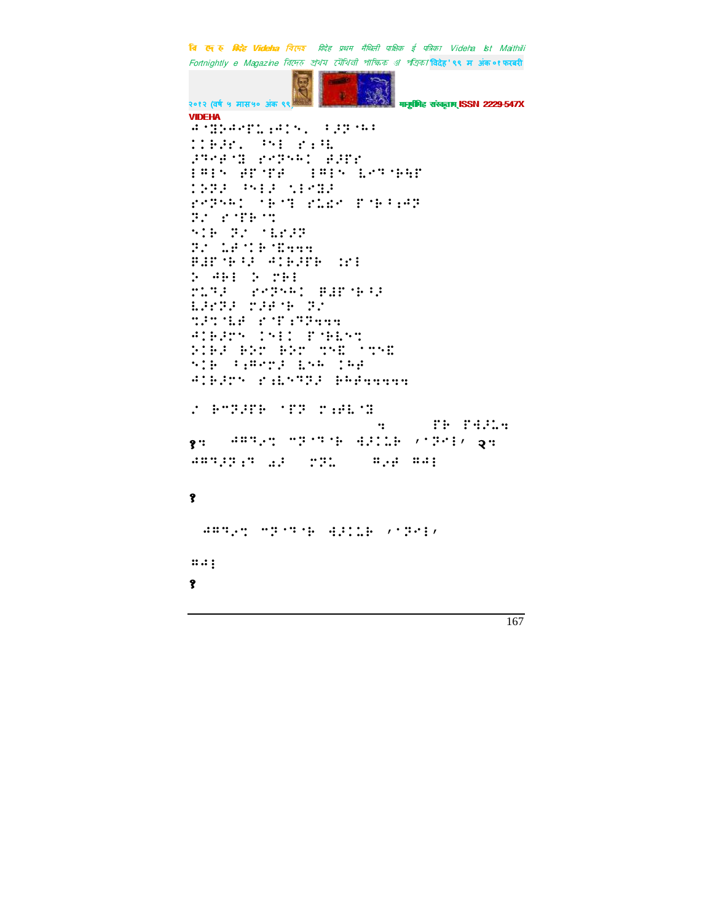चि एत् रू मिन्हे Videha निएन्थ विदेह प्रथम मैथिली पाक्षिक ई पत्रिका Videha Ist Maithili Fortnightly e Magazine বিদেত প্ৰথম মৌথিনী পাক্ষিক প্ৰ' পত্ৰিকা'<mark>বিदेह' ९९ म अंक०१ फरबरी</mark>



VIDEHA ⢺⣝⢵⢺2⣅⣐⢺E!⢼⢽⢳! ⢷⢼"E!⢸5!"⣐⢸⣇@! ⢼⢹⢾⣝!"⢽⢳!⢾⢼2"! 5005 SERVICE CONTROL ⢵⢽⢼!⢸5⢼!⣁5⣝⢼@! PRINT THAT THE STREET EN POSTE TO  $^{\prime}$  +1:  $^{\prime}$  +1:  $^{\prime}$  +1:  $^{\prime}$  +1:  $^{\prime}$  +1:  $^{\prime}$  $T$  . The set of  $T$ ⢿⣜2⢷⢸⢼!⢺⢷⢼2⢷!⣈"5!  $\frac{1}{2}$  (491  $\frac{1}{2}$  ) (591  $\frac{1}{2}$ ⣅⢹⢼"!"⢽⢳!⢿⣜2⢷⢸⢼! LANS THE TANK ⣉⢼⣉⣇⢾!"2⣐⢹⢽⣒⣒⣒! **SUBJEY INE: FIRMS**  $\overline{C}$  $^{\prime}$   $^{\prime}$   $^{\prime}$   $^{\prime}$   $^{\prime}$   $^{\prime}$   $^{\prime}$   $^{\prime}$   $^{\prime}$   $^{\prime}$   $^{\prime}$   $^{\prime}$   $^{\prime}$   $^{\prime}$   $^{\prime}$   $^{\prime}$   $^{\prime}$   $^{\prime}$   $^{\prime}$   $^{\prime}$   $^{\prime}$   $^{\prime}$   $^{\prime}$   $^{\prime}$   $^{\prime}$   $^{\prime}$   $^{\prime}$   $^{\prime}$   $^{\prime}$   $^{\prime}$   $^{\prime}$   $^{\prime}$ ⢺⢷⢼!"⣐⣇⢹⢽⢼!⢷⢳⢾⣒⣒⣒⣒⣒!! 4!⢷a⢽⢼2⢷!2⢽!⣐⢾⣇⣝! hhbkfoesbAwjefib⣒dpn!2⢷!2⣚⢼⣅⣒!! १⣒!!⢺⢻⢹⢴⣉!a⢽⢹⢷!⣚⢼⣅⢷!'⢽5' २⣒! ⢺⢻⢹⢼⢽⣐⢹!⣔⢼!(⢽⣅(!.⢻⢴⢾.⢻⢺5! १ !⢺⢻⢹⢴⣉!a⢽⢹⢷!⣚⢼⣅⢷!'⢽5'  $\ldots;$ १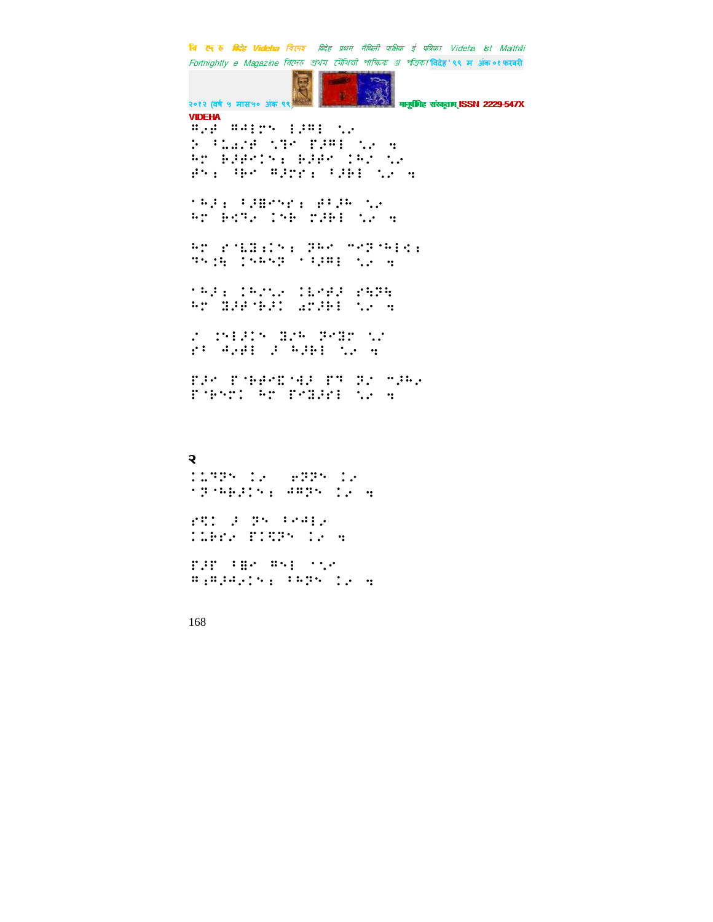चि एत् रू मिन्हे Videha निएन्थ विदेह प्रथम मैथिली पाक्षिक ई पत्रिका Videha Ist Maithili Fortnightly e Magazine বিদেত প্ৰথম মৌথিনী পাক্ষিক প্ৰ' পত্ৰিকা'<mark>বিदेह' ९९ म अंक०१ फरबरी</mark>



VIDEHA ⢻⢴⢾!⢻⢺5!5⢼⢻5!⣁⢴!  $\ddot{z}$  : the the the state of the state of Hr BJBH: BJBH 192 %2− ∄r: 9H #222: 9H B N2 m

⢳⢼⣐!⢼⣟"⣐!⢾⢼⢳!⣁⢴! Hr EST (1968) THE NAME

 $`$  From the set of the set of the set of the set of the set of the set of the set of the set of the set of the set of the set of the set of the set of the set of the set of the set of the set of the set of the set of the Shine Shine Shine Shine

⢳⢼⣐!⢳4⣁⢴!⣇⢾⢼!"⣓⢽⣓! ⢳!⣝⢼⢾⢷⢼!⣔⢼⢷5!⣁⢴!⣒!

4!⣈5⢼!⣝4⢳!⢽⣝!⣁4!  $^{\circ}$  "  $^{\circ}$   $^{\circ}$   $^{\circ}$   $^{\circ}$   $^{\circ}$   $^{\circ}$   $^{\circ}$   $^{\circ}$   $^{\circ}$   $^{\circ}$   $^{\circ}$   $^{\circ}$   $^{\circ}$   $^{\circ}$   $^{\circ}$   $^{\circ}$   $^{\circ}$   $^{\circ}$   $^{\circ}$   $^{\circ}$   $^{\circ}$   $^{\circ}$   $^{\circ}$   $^{\circ}$   $^{\circ}$   $^{\circ}$   $^{\circ}$   $^{\circ}$   $^{\circ}$   $^{\circ}$   $^{\$ 

2⢼!2⢷⢾⣏⣚⢼!2⢹!⢽4!a⢼⢳⢴! 2⢷!⢳!2⣝⢼"5!⣁⢴!⣒!

# २

⣅⢹⢽!⢴-!⢶⢽⢽!⢴! ⢽⢳⢷⢼⣐!⢺⢻⢽!⢴!⣒!

"⣋!⢼!⢽!⢺5⢴! ⣅⢷"⢴!2⣋⢽!⢴!⣒!

2⢼2!⣟!⢻5!⣁! ⢻⣐⢻⢼⢺⢴⣐!⢳⢽!⢴!⣒!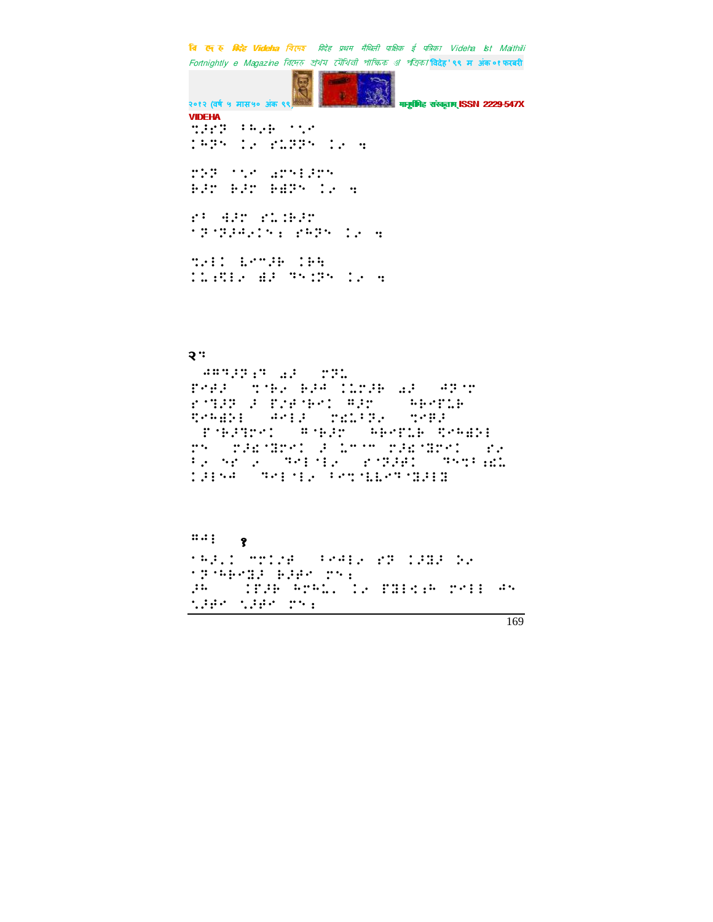**Service** ø. २०१२ (वर्ष ५ मास५० अंक ९९ मानूबंगिह संस्कृताम् ISSN 2229-547X **VIDEHA** THI HAR TH **TARK IS READY IS A** 

THE THE APPERTY **BAT BAT BETY IS 4** 

rt dir rudir **SPORFACE PROVIDED** 

tell beth 188 **MANUEL AREA TRIPS IN A** 

## $\mathbf{Q}$  ::

**AUTITIT AT TIL** PARE STORY RPP CLOPE AR 19800 êsîka û Popjest Ayr (1968)<br>Ssakri (1961) (rolîsay (1982)  $\cdots$ **POSTERY BODY ALONES CONSTRU** ch (caerdon) a thom caerdon) ca<br>Pache a chefofa (cheap) chefoidt **THE CONSTRUCTION OF THE CONSTRUCTION** 

 $\ldots;$  $\mathbf{P}$ 

**TRAVE MODERN FRAGE PRODUCER** SA **SPORTH REPORT** TERPRESS IN THERE THE 45  $\mathbf{H}$ tHP tHP Thi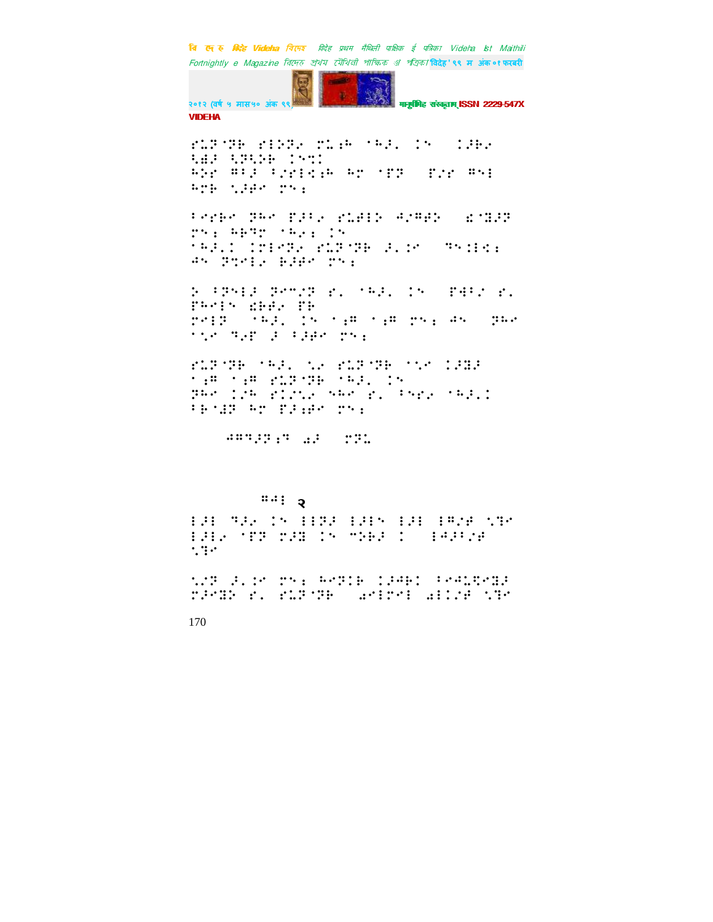

#### **VIDEHA**

२०१२ (वर्ष ५ मास५० अंक

FLETE FINES TISK TRAINING ISRA 1.11 : 1.11.11 : 1.41 RNE WIE INERGA AT STE CINE WAR And the next

Protecter face one: Sample and Sample The BBST CRAECH **TRAVE CONFORM PLAYING ACTIVITIES** An Bonie Blan on:

PORTHER THOSE RICHARD IN CITERALIST PRODUCEDO PRO<br>PODE (1991) 15 (1981) PRODUCEDO PRO the Web 3 (1965 pre-

FLETE TELL NA FLETE TO LIBE time time rundhed that one pic the first sector ever seri **SEMIN RESERVED** 

**ABSER AND THE** 

# $\cdots$ ;  $\sqrt{2}$

EPE TRACIN EERS EPEN EPE ETA NTM EPER TER THE IN THE I CONFERE  $\ddot{ }$ 

WT F.R THE WTIE IPARI PRODUCE range russiger andre affire van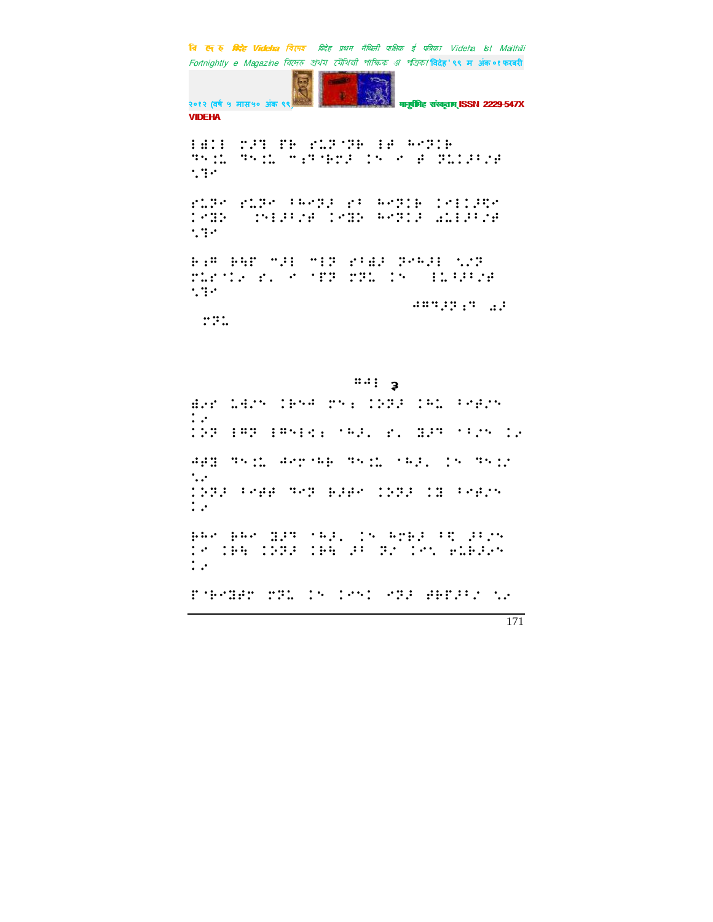

२०१२ (वर्ष ५ मास५० अंक **VIDEHA** 

HALL THE HE SIMPLE HE WATER This This matched in a Pailbar  $1.34$ 

FLPS FLPS FRONT FROM ROBERT COLLERS  $1.4321$ **STORY OF STRAIN STATE**  $\cdot$  :  $\cdot$ 

BAR BAT MUS MIR PART RARI NYE TESTINGS OF THE THE INCOMENTATION  $\mathcal{L}$ 

मानूबंगिह संस्कृताम् ISSN 2229-547X

 $\mathbb{R}^n$ 

 $\cdots$   $\cdots$ ART 1825 (PSA 25: 1933 191 FRAS  $\ddots$ 193 183 185101 '53, 2, 333 '125 '12 **APD REAL ARTINE REAL PART IN REAL**  $\dddot{\phantom{0}}\cdot\cdot$ 1983 Pres Mrs Bash 1983 18 Prezy  $\dddot{\bullet}$  . PRO PRO 325 (PR), IN POPP FO 2525 IS IRE INTE IRE PU TV IST WIRENS  $\dddot{\cdot}$  . PORCHE THE IN THI CHA AREA CON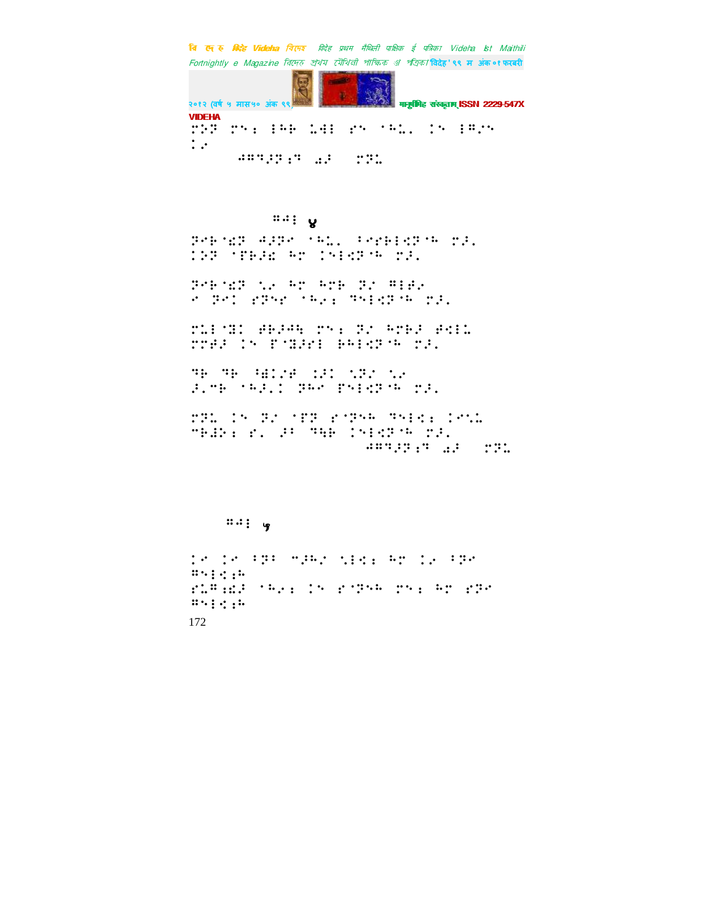

### **VIDEHA**

२०१२ (वर्ष ५ मास५० अंक

THE TRACER LEE FROM LEDGER PROV  $\ddots$ 

**ABSER AS STA** 

# $\cdots$

Preside APProved, Problemshops, IST TEER AT INEXEM TE.

STRING to Ar And St Midr Pri rPar tell PalcPach rP.

MINI BRAG MY BY AMP BRIL TTER IN FINED PRESENTE.

He He Walsh 191 192 192 F.ME TRE.I BRY PRESPIR ME.

PRO IN RESTRIKTING THERE INCO "BIN: P. P. MAR INFORM TR. **ABRILY SECTION** 

# $\cdots$ ;  $\frac{1}{9}$

18 18 FBF MPH2 NEWS RM 12 FBR  $\mathbb{R}^{n}$  :  $\mathbb{R}^{n}$  :  $\mathbb{R}^{n}$ rifical territory reporter and ran  $m+1$  .  $m+1$ 172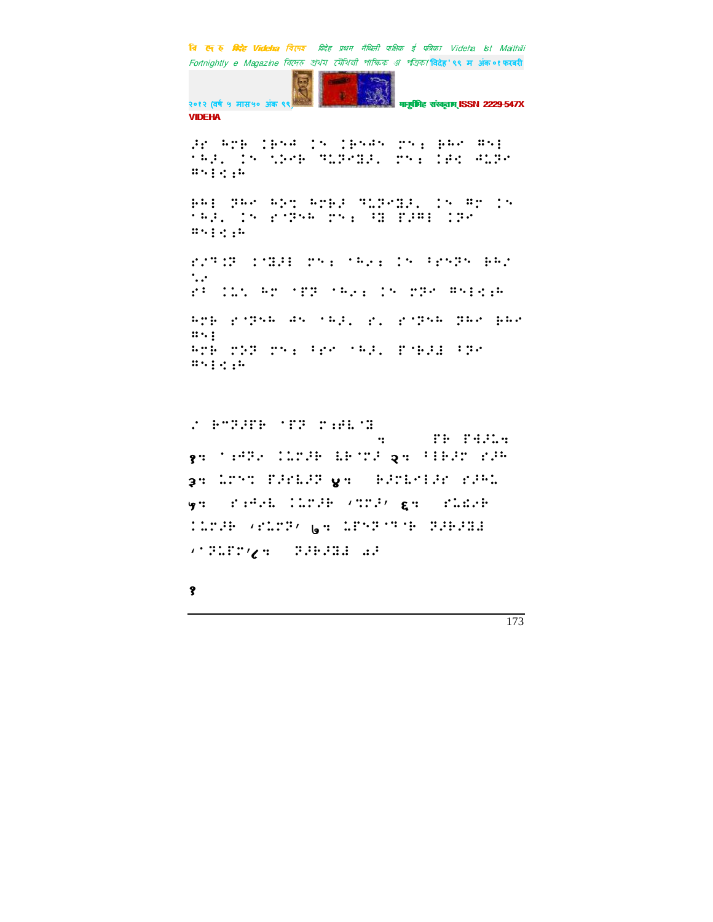चि एत् रू मिन्हे Videha निएन्थ विदेह प्रथम मैथिली पाक्षिक ई पत्रिका Videha Ist Maithili Fortnightly e Magazine বিদেত প্ৰথম মৌথিনী পাক্ষিক প্ৰ' পত্ৰিকা'<mark>বিदेह' ९९ म अंक०१ फरबरी</mark>



#### VIDEHA

 $F$  : which is the set of the set of the set of the set of the set of the set of the set of the set of the set ⢳⢼E!!⣁⢵⢷!⢹⣅⢽⣝⢼E!⣐!⢾⣊!⢺⣅⢽! ⢻5⣊⣐⢳!!

⢷⢳5!⢽⢳!⢳⢵⣉!⢳⢷⢼!⢹⣅⢽⣝⢼E!!⢻!!!  $^+$  E. [  $^+$  E.  $^+$  E.  $^+$  E.  $^+$  E.  $^+$  E.  $^+$  E.  $^+$  E.  $^+$  E.  $^+$  E.  $^+$  E.  $^+$  E.  $^+$  E.  $^+$  E.  $^+$  E.  $^+$  E.  $^+$  E.  $^+$  E.  $^+$  E.  $^+$  E.  $^+$  E.  $^+$  E.  $^+$  E.  $^+$  E.  $^+$  E.  $^+$  E.  $^+$  E.  $^+$  $55 - 55$ 

"4⢹⣈⢽!⣈⣝⢼5!⣐!⢳⢴⣐!!"⢽!⢷⢳4!  $\ddots$ "!⣅⣁!⢳!2⢽!⢳⢴⣐!!⢽!⢻5⣊⣐⢳!!

⢳⢷!"⢽⢳!⢺!⢳⢼E!"E!"⢽⢳!⢽⢳!⢷⢳!  $::$ .: HTP TRE THE FEATURE  $5.5, 5.5, 5.5$ 

4!⢷a⢽⢼2⢷!2⢽!⣐⢾⣇⣝!  $\ddot{\textbf{u}}$  ,  $\ddot{\textbf{v}}$  ,  $\ddot{\textbf{v}}$  ,  $\ddot{\textbf{v}}$  ,  $\ddot{\textbf{v}}$  ,  $\ddot{\textbf{v}}$  ,  $\ddot{\textbf{v}}$ १⣒!⣐⢺⢽⢴!⣅⢼⢷!⣇⢷⢼!२⣒!5⢷⢼!"⢼⢳! ३⣒!⣅⣉!2⢼"⣇⢼⢽!४⣒!!⢷⢼⣇5⢼"!"⢼⢳⣅! ५⣒!!"⣐⢺⢴⣇!⣅⢼⢷!'⣉⢼' ६⣒!!"⣅⣎⢴⢷! ⣅⢼⢷!'"⣅⢽' ७⣒!⣅2⢽⢹⢷!⢽⢼⢷⢼⣝⣜! '⢽⣅2'८⣒!!⢽⢼⢷⢼⣝⣜!⣔⢼!

१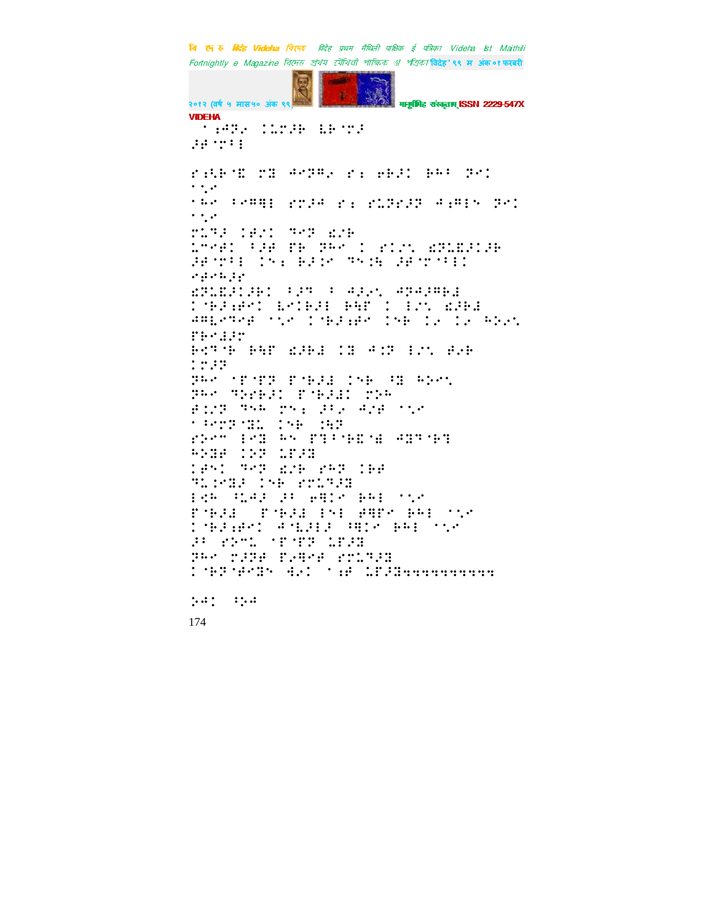Fortnightly e Magazine রিদেত প্রথম মৌথিনী পাক্ষিক প্র পত্রিকা **বিदेह' ९९ म अंक ०१ फरबरी Security** ø, २०१२ (वर्ष ५ मास५० अंक ९९ मानूबंगिह संस्कृताम् ISSN 2229-547X **VIDEHA SEARTH CONTROLLER ARCHITECT** rakt norden reakte bei  $\mathcal{L}(\mathcal{A})$ ter Pregi rrae ri rugrag electrogri  $\cdot$  .  $\cdot$ MARA 1821 787 E2B LTPAT FRA PROPER I FILM EPLERIAR JATES IN: BISK TNOB JATESII egenge #PLEADORD (APR ) # #2.5 #P#2#62 1762-651 ESIB21 BAD 1 125 E261<br>Amisted the 1762-65 156 12012 B225 racar: BCT16 BHT 2283 13 417 125 BS  $1:3:3$ **PARK (POSSED PORT) PARK** jar greiz: pjele: pr Birl Mak ray Bir Ank the 19771 198 18 FROM 103 AN PRINED BOARDING \*\*\*\*\*\*\*\*\*\*\*\*\*\*\*\* **1951 902 AND 293 198** TERMIN INFORMATION EXP REAR PROPERTY PRESSURE roble roble by sare by co **THEAT ANILY MICH BAILING SECTION CONTRACTOR** The MINE Class formula **THEMPS AN MAP AND SEAST-PROPERTY**  $541 - 154$ 

बि एक रु मिनेट Videha विएक विदेह प्रथम मैथिली पाक्षिक ई पत्रिका Videha Ist Maithili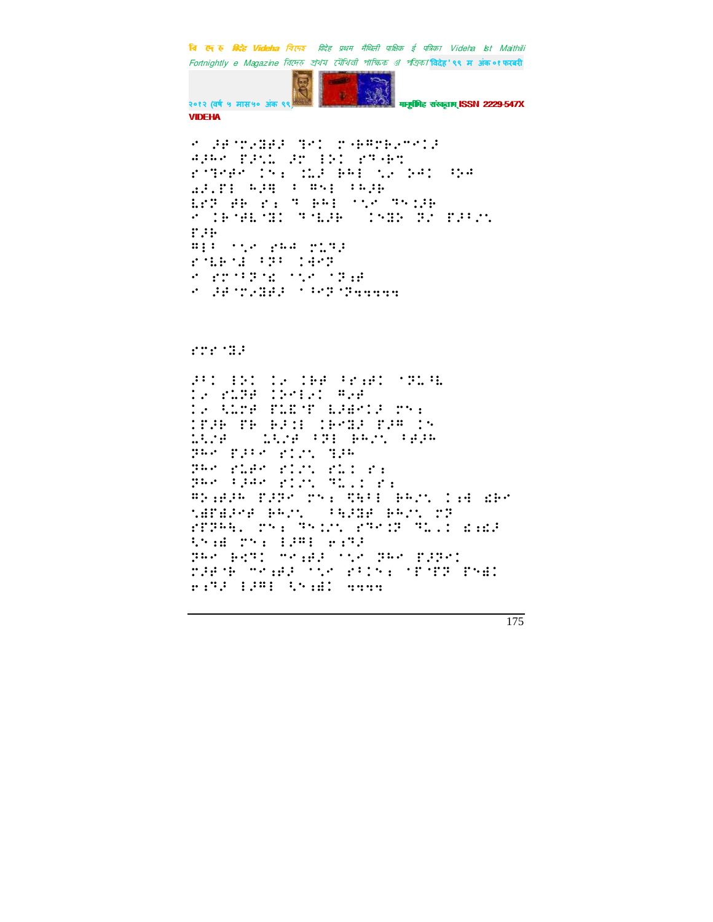

**PORTUGES TO PARTERMAIS** ages four or in an energy<br>actives that most new rate the APRIL 828 (F 851 (B.B. EPP #F PE 7 PRE 155 755 HE K IRMENI TARA (MILITARIA)  $f: P$ HILL THE PERS rubu (p. 1489) S ETHER NATHE **P. BETTAGED - PROGRAM** 

## ana dia

251 121 12 122 3810 3913.<br>12 Mille 12-121 522 **MANUELE ENERGY SERVICE** CPAR PROBASE (Brogan Page 15 DUF ( DUF FAI PROVIER **PART PROPERTY TO THE** PRO PLACE PLAT PLICE: BRA PERA BIZA MELICE: angela park pro safo afirm (od dar)<br>Nobelfra afirm (officer afirm pr FTPAR, TN: PNICL FRAIR RE.I EARD **What restaurant excel** SAR BEST TREET TO SAR SERRI THE ROOM WAS SERVED TO THE TABLE *PATH 1201 15.000 5999*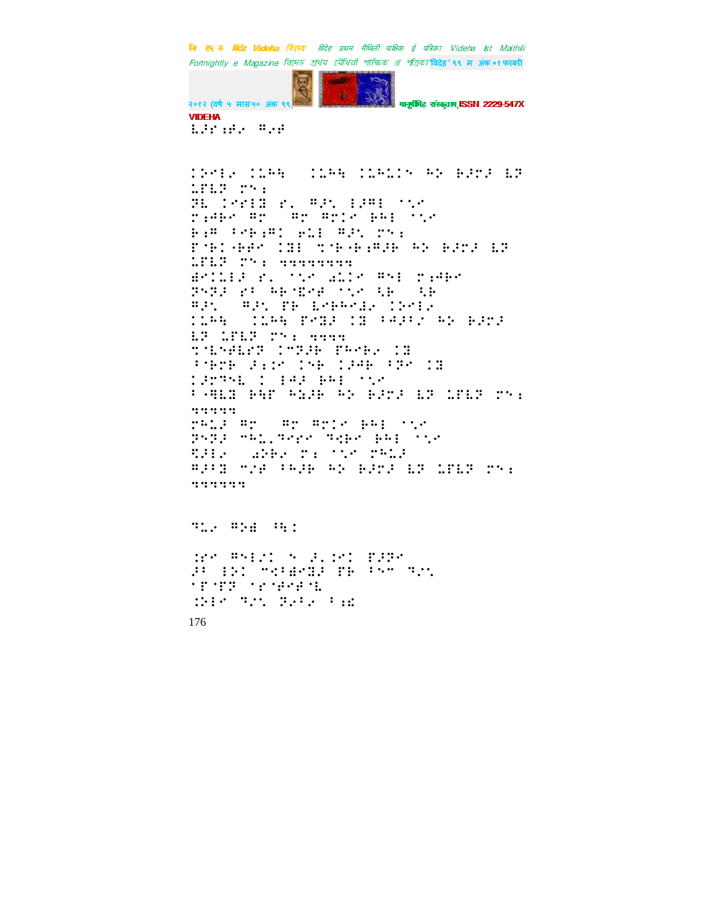

२०१२ (वर्ष ५ मास५० अंक

**VIDEHA** Lifest Sep

INTER INAN (INAN INANI) AN BRYF AR MIN THE PE CHAIR AL PRO 1991 'NH right mr. Mr. Mris BAI tis F:# (01:#1 e1: #21 f) : PORT-BEN (SEE SOB-B-BREE AS BRS) AS Brillian runner alle Art rader PARE 23 APARAS 152 AP (AP  $\mathbb{R}^{n}$ **WELTERHOUS** INTE TIAN (TIAN PRIP II FAPER AN BREA TANGGA 1926 Persona POPP SERVICE COMPOSED CH TROPH TORGEDAY TE **FARE BRY SERVICE BRY EN LIKE THE**  $111111111$ rang ar ar ar aris aal sys BABD SALLAGER BEER BALLAGE WHEN ANDER THE TREAT BRID MAR TRAB RD BRID AN WELK IN : \*\*\*\*\*\*

**Mile High Shi** 

HP PHIL S FLIED FRP PUBLIC TERRIPORT PROPERTY **SPORT SERVICE** THE TEL THE PER 176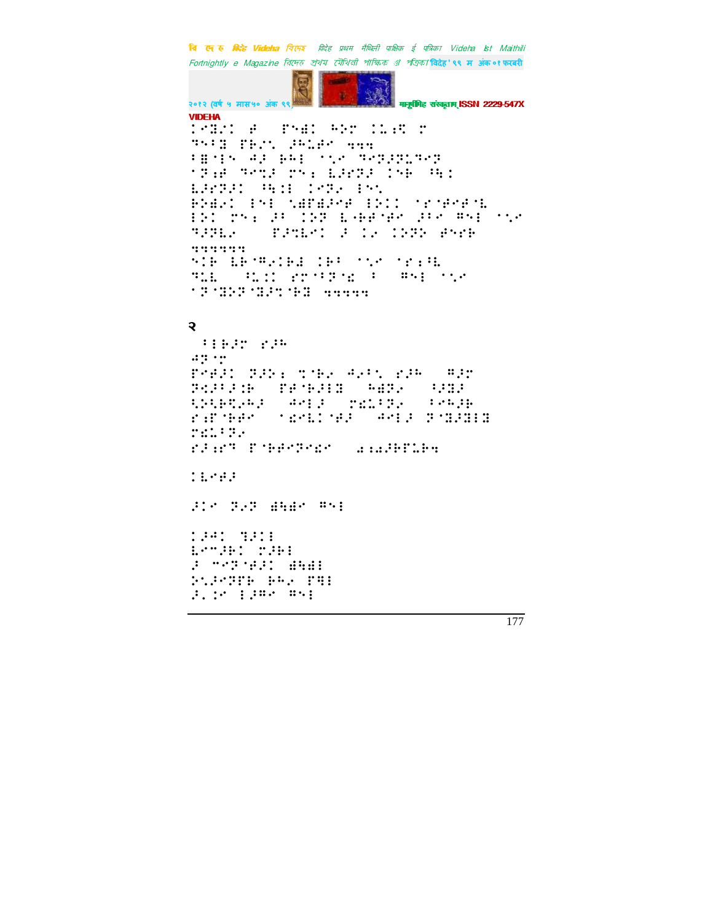

२०१२ (वर्ष ५ मास५० अंक ९ **VIDEHA** 

**CONSTRUCTION CONSTRUCTION** THIS TEMM SHIP AND FESTS AF EAT SIZE REPRESENT the whates been is go LETTI RED 1872 INC PRESS INFORMERS INCOMENDENT EPI THE PUSING EMPIRE PROGRESS ON **TERE** TREET FILE IND PATE **NIE ERMEIDE IPF MAC MEIR** THE TELL PETER COURSE THE TEA 

## $\mathbf{R}$

 $111777777$  $\mathbf{a}$  :  $\mathbf{b}$ PORT THE TORE AFT, PHA ART POPER PENDED HOW MODE SOURCE: ANIS TRUTH PRODUCT rander (selfog) end pomini mana su KINT POPPORT ANDERS

 $11.141$ 

SIM BAB ARAM WHE

1991-1911 EPTER TEEL *POSSED* BRE **AND AND AND ADDRESS OF A STATE**  $3.79$  ( $3.30$   $-0.4$ )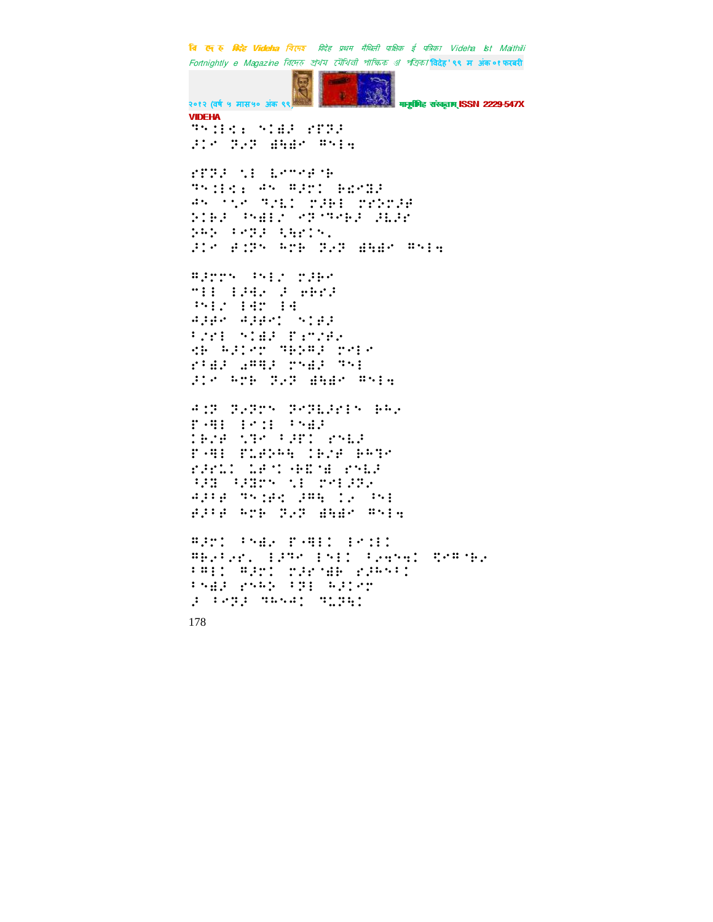**Service** ø, २०१२ (वर्ष ५ मास५० अंक ९९ मानूबंगिह संस्कृताम् ISSN 2229-547X **VIDEHA** Third blar from **MANUAL SERVICE** FINE AL LESSEAR Third An Ward Benda

as tie sul rad rroad<br>Sida ssair exsede aldr **1912 FRID LARTY.** HP BIR AME REP BABY ASIA

BRTT WE THE "II HALL J PRI 3512 142 14<br>920 920 5102 Frei Slaf Penner de estas deportante **FILE AND PART TAL** 318 Aph BaB AGAR Ania

**AN REPS PORTER BR** F-91 1831 1542 **TEMP STRATES STRATE THI WARE INT BET** FRID DET WENT PALE **120 12000 11 001200** 4318 Third 386 12 Th: Alle bre Bal Ahar Byle

**APPI PHA PHIL PHIL** Wester, 1955 1911 Cennel Cowtes têlî êlel sarnek kakkil<br>tsel ksel tal eliko 3 000 0000 0000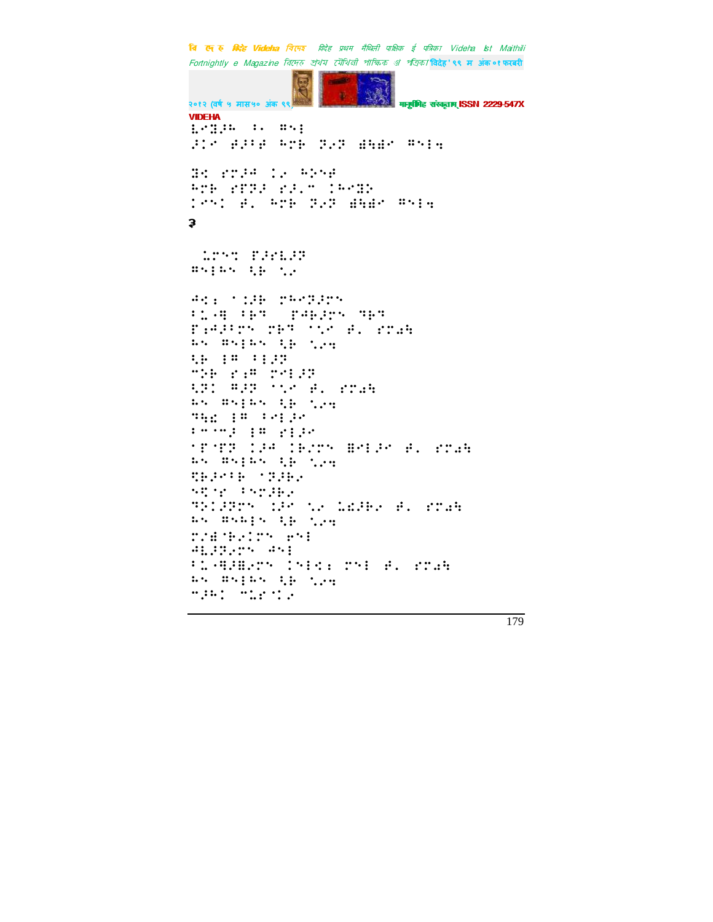```
चि एत् रू मिन्हे Videha निएन्थ विदेह प्रथम मैथिली पाक्षिक ई पत्रिका Videha Ist Maithili
Fortnightly e Magazine বিদেত প্ৰথম মৌথিনী পাক্ষিক প্ৰ' পত্ৰিকা'<mark>বিदेह' ९९ म अंक०१ फरबरी</mark>
                                Service
२०१२ (वर्ष ५ मास५० अंक ९९) मानुषि संस्कृतिह संस्कृतम् ISSN 2229-547X
VIDEHA 
LeHE : 0 05
\vdots \vdots \vdots \vdots \vdots \vdots \vdots \vdots \vdots∰: :::: :: :: :: +}^#
500 PM 2001 PM 2002
^{\circ} ^{\circ} ^{\circ} ^{\circ} ^{\circ} ^{\circ} ^{\circ} ^{\circ} ^{\circ} ^{\circ} ^{\circ} ^{\circ} ^{\circ} ^{\circ} ^{\circ} ^{\circ} ^{\circ} ^{\circ} ^{\circ} ^{\circ} ^{\circ} ^{\circ} ^{\circ} ^{\circ} ^{\circ} ^{\circ} ^{\circ} ^{\circ} ^{\circ} ^{\circ} ^{\circ} ^{\circ}३
  !⣅⣉!2⢼"⣇⢼⢽!
Sec. 25 Sec. 25
⢺⣊⣐!⣈⢼⢷!⢳⢽⢼!
SQUE PARIS TRI
2⣐⢺⢼!⢷⢹!⣁!⢾E!"⣔⣓!
LS BRIES IN THE TIME
⣃⢷!5⢻!5⢼⢽!
a⢵⢷!"⣐⢻!5⢼⢽!
⣃⢽!⢻⢼⢽!⣁!⢾E!"⣔⣓!
WHERE SHEET
THE IS STREET
aan 15 50 51 51 52
12 YEAR 194 (1942) ERICH STAR
WE SHIP SEE SHIP
⣋⢷⢼⢷!⢽⢼⢷⢴!
STAR PROPER
⢹⢵⢼⢽!⣈⢼!⣁⢴!⣅⣎⢼⢷⢴!⢾E!"⣔⣓!
\frac{1}{5} \frac{1}{5} \frac{1}{5} \frac{1}{5} \frac{1}{5} \frac{1}{5} \frac{1}{5} \frac{1}{5} \frac{1}{5} \frac{1}{5} \frac{1}{5} \frac{1}{5} \frac{1}{5} \frac{1}{5} \frac{1}{5} \frac{1}{5} \frac{1}{5} \frac{1}{5} \frac{1}{5} \frac{1}{5} \frac{1}{5} \frac{1}{5} \THE SECTION SECTION
SEPTION SEPTION
SLABHET ISLE TO THE BL TTAR
⢳!⢻5⢳!⣃⢷!⣁⢴⣒!
a⢼⢳!a⣅"⢴!
```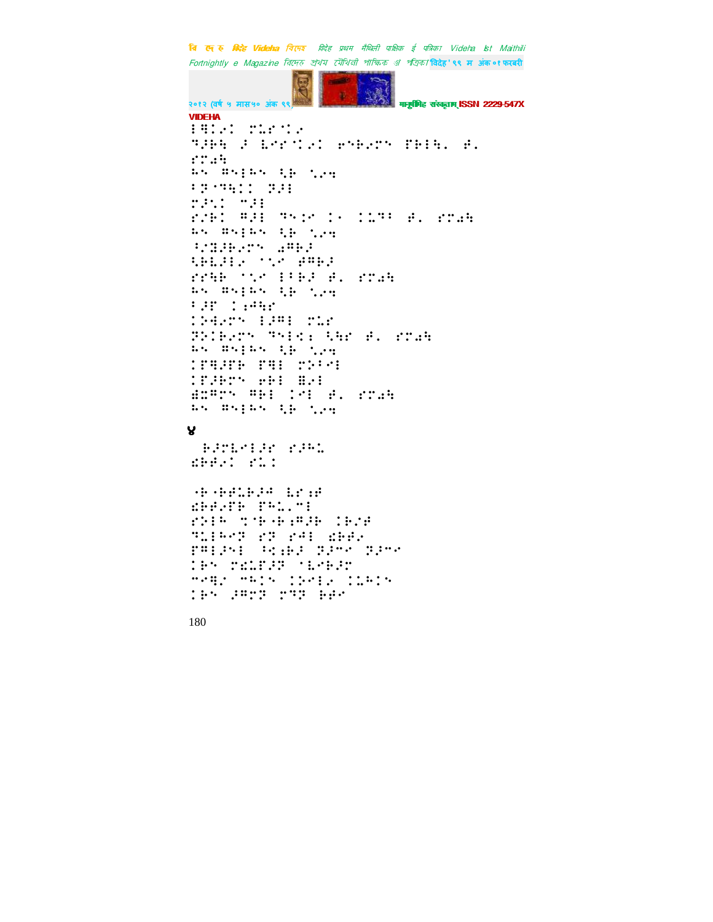चि एत् रू मिन्हे Videha निएन्थ विदेह प्रथम मैथिली पाक्षिक ई पत्रिका Videha Ist Maithili Fortnightly e Magazine বিদেত প্ৰথম মৌথিনী পাক্ষিক প্ৰ' পত্ৰিকা'<mark>বিदेह' ९९ म अंक०१ फरबरी</mark>



VIDEHA 5⣛⢴!⣅"⢴! ⢹⢼⢷⣓!⢼!⣇"⢴!⢶⢷⢴!2⢷5⣓E!⢾E!  $f''$ **WE SHIP SEE SHIP** ⢽⢹⣓!⢽⢼5! ⢼⣁!a⢼5! "4⢷!⢻⢼5!⢹⣈!c!⣅⢹!⢾E!"⣔⣓! **WE SEE OF STREET** ⢸4⣝⢼⢷⢴!⣔⢻⢷⢼! **SHESE TO SHESE** ""⣓⢷!⣁!5⢷⢼!⢾E!"⣔⣓! **WE SERVE SHOWER PATE CONSTRUCT** ⢵⣚⢴!5⢼⢻5!⣅"! SHIPS THE UP THE PILE La Baptis (1998) 2⣛⢼2⢷!2⣛5!⢵5! 1930-000 PH ST ⣞⣍⢻!⢻⢷5!5!⢾E!"⣔⣓! **WAY WAY THE START** ४

!⢷⢼⣇5⢼"!"⢼⢳⣅! ⣎⢷⢾⢴!"⣅⣈!

Be Benit Boy ⣎⢷⢾⢴2⢷!2⢳⣅Ea5! "⢵5⢳!⣉⢷B⢷⣐⢻⢼⢷!⢷4⢾! ⢹⣅5⢳⢽!"⢽!"⢺5!⣎⢷⢾⢴! 2⢻5⢼5!⢸⣊⣐⢷⢼!⢽⢼a.⢽⢼a! ⢷!⣎⣅2⢼⢽!⣇⢷⢼! ade de la construcción de la construcción de la construcción de la construcción de la construcción de la const<br>Algoritmente de la construcción de la construcción de la construcción de la construcción de la construcción de  $^{\circ}$   $^{\circ}$   $^{\circ}$   $^{\circ}$   $^{\circ}$   $^{\circ}$   $^{\circ}$   $^{\circ}$   $^{\circ}$   $^{\circ}$   $^{\circ}$   $^{\circ}$   $^{\circ}$   $^{\circ}$   $^{\circ}$   $^{\circ}$   $^{\circ}$   $^{\circ}$   $^{\circ}$   $^{\circ}$   $^{\circ}$   $^{\circ}$   $^{\circ}$   $^{\circ}$   $^{\circ}$   $^{\circ}$   $^{\circ}$   $^{\circ}$   $^{\circ}$   $^{\circ}$   $^{\circ}$   $^{\circ}$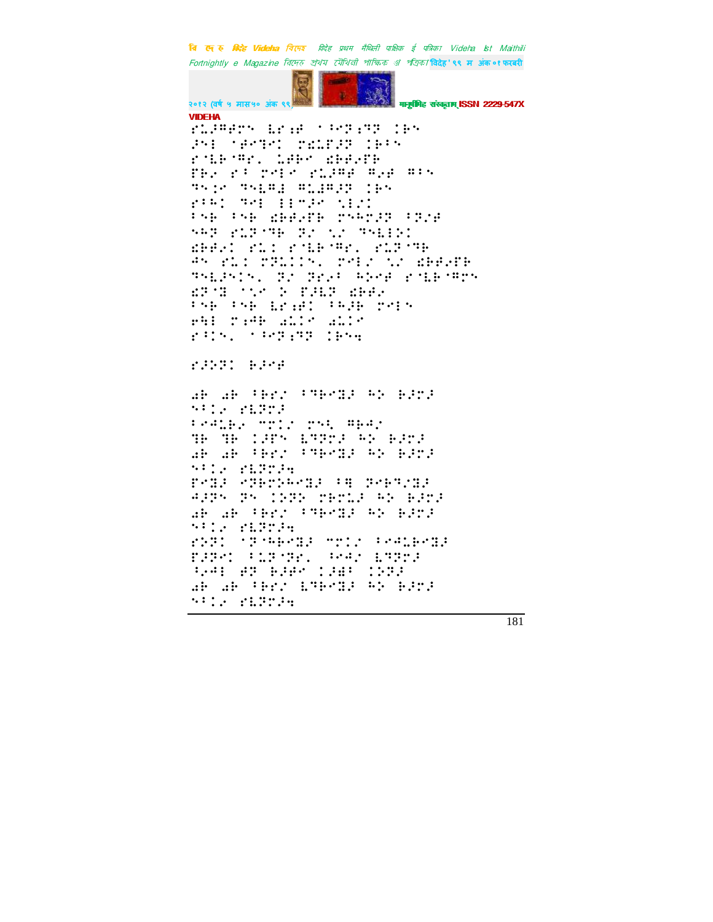

२०१२ (वर्ष ५ मास५० अंक ९९ **VIDEHA** 

मानूबंगिह संस्कृताम् ISSN 2229-547X

flunges lead (101.92.165 PH SPORT PELEPP IPPS rolene, Leen deeler The right films may mis The Thing Higher Che PERSONAL BENGHALLS PSB PSB dBBSTB TSBT37 PT28 583 FLP 78 ST 12 ST 88111 ERRAT PLI POLEORE, PLF OR An elimentin, religio dederb THERMAL BY BEAT WARE FIELD FOR EPSE TO P FREE ERR PAR PAR LEWI PAGE 2015 **PHI TIME ALL' ALL'** FRN, 1971-72 1954

rathar Barre

We was they then the bird SPORT PERMIT Predez mode pro eest WE WE CAPS ARRES AN BATA SP SP TREE TRANS AN RESE **SPILE PERMITTER** <u> 1919 - 1920 - 1920 - 1920 - 1930 - 1940 - 1940 - 1940 - 1940 - 1940 - 1940 - 1940 - 1940 - 1940 - 1940 - 194</u> APPS BS 1988 MEMLE AG BRMS ab ab they they delive been **SPILE PERFIEL** FOR STREET TO PROPER ESPO (SECRE) PRES ENRER agar en baée camp (Sna ab ab they knowns by beer **SPILE PLETIE**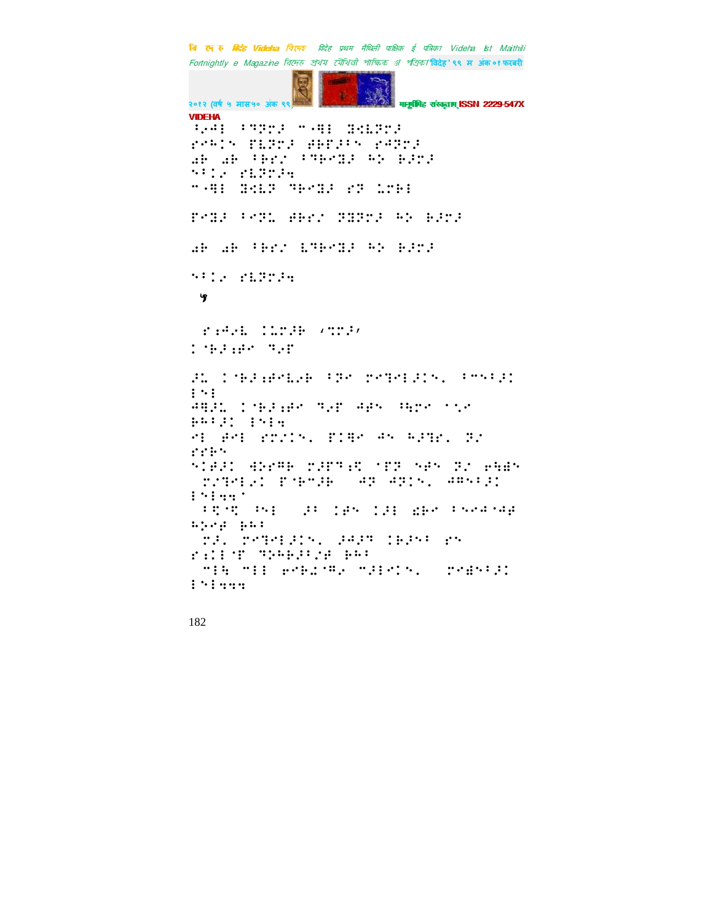```
चि एत् रू मिन्हे Videha निएन्थ विदेह प्रथम मैथिली पाक्षिक ई पत्रिका Videha Ist Maithili
Fortnightly e Magazine বিদেত প্ৰথম মৌথিনী পাক্ষিক প্ৰ' পত্ৰিকা'<mark>বিदेह' ९९ म अंक०१ फरबरी</mark>
                                     Service
२०१२ (वर्ष ५ मास५० अंक ९९) मानुसारी मानुसार संस्कृतम् ISSN 2229-547X
VIDEHA 
⢸⢴⢺5!⢹⢽⢼!aB⣛5!⣝⣊⣇⢽⢼!
"⢳!2⣇⢽⢼!⢾⢷2⢼!"⢺⢽⢼!
\overline{4} . \overline{4} . \overline{4} . \overline{4} . \overline{4} . \overline{4} . \overline{4} . \overline{4} . \overline{4} . \overline{4} . \overline{4} . \overline{4} . \overline{4} . \overline{4} . \overline{4} . \overline{4} . \overline{4} . \overline{4} . \overline{4} . \overline{4} . \\overline{1} The state of the state of the state of the state of the state of the state of the state of the state of the state of the state of the state of the state of the state of the state of the state of the state of the s
aB⣛5!⣝⣊⣇⢽!⢹⢷⣝⢼!"⢽!⣅⢷5!!
200 : 200 : 200 : 200 : 200 : 200 : 200 : 200 : 200 : 200 : 200 : 200 : 200 : 200 : 200 : 200 : 200 : 200 : 20
aB aB 9Br: 69Br982 92 B272 −
\sim To the Press
 ५
  !"⣐⢺⢴⣇!⣅⢼⢷!'⣉⢼'
⢷⢼⣐⢾!⢹⢴2!
\mathcal{L} \mathcal{L} \mathcal{L} \mathcal{L} \mathcal{L} \mathcal{L} \mathcal{L} \mathcal{L} \mathcal{L} \mathcal{L} \mathcal{L} \mathcal{L} \mathcal{L} \mathcal{L} \mathcal{L} \mathcal{L} \mathcal{L} \mathcal{L} \mathcal{L} \mathcal{L} \mathcal{L} \mathcal{L} \mathcal{L} \mathcal{L} \mathcal{L\vdots⢺⣛⢼⣅!⢷⢼⣐⢾!⢹⢴2!⢺⢾!⢸⣓!⣁!
PRINT 1555
5.⢾5!"4E!2⣛!⢺!⢳⢼⣙"E!⢽4!
"⢾⢼!⣚⢵"⢻⢷!⢼2⢹⣐⣋!2⢽!⢾!⢽4!⢶⣓⣞!!
  !4⣙5⢴!2⢷a⢼⢷-!⢺⢽.⢺⢽E!⢺⢻⢼!
5.5<sub>0.91</sub>!⣋⣋!⢸5"!⢼!⢾!⢼5!⣎⢷!⢺⢺⢾!
\mathbf{h}!⢼E!⣙5⢼E!⢼⢺⢼⢹!⢷⢼!"!
"⣐52!⢹⢵⢳⢷⢼4⢾!⢷⢳-!!
  !a5⣓!a55!⢶⢷⣌⢻⢴!a⢼5E-!⣞⢼!
555:155:155
```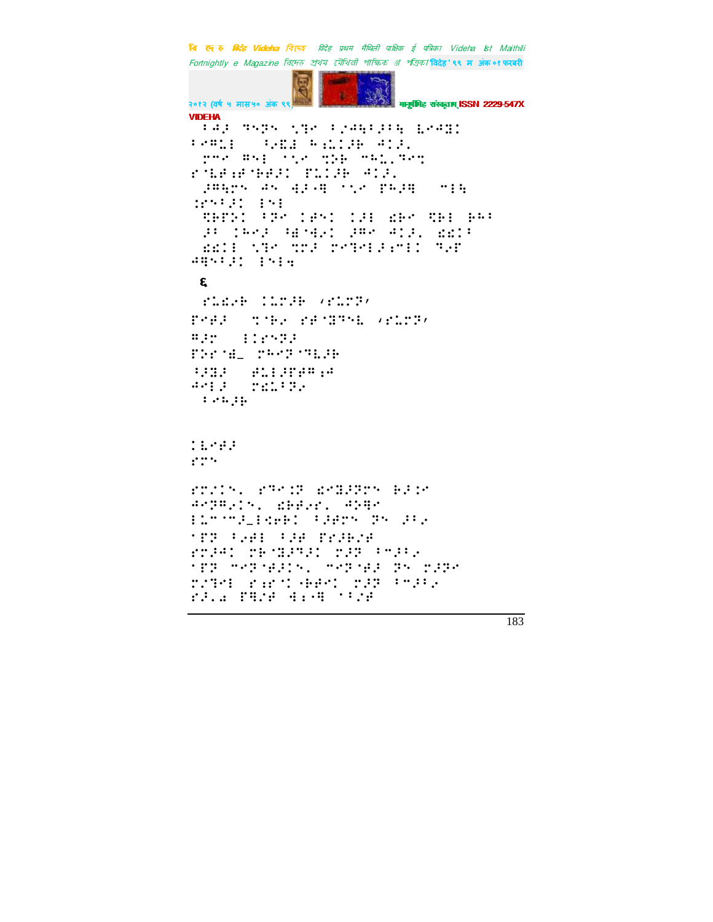बि एक रु मिनेट Videha विएक विदेह प्रथम मैथिली पाक्षिक ई पत्रिका Videha Ist Maithili Fortnightly e Magazine রিদেত প্রথম মৌথিনী পাক্ষিক প্র পত্রিকা **বিदेह' ९९ म अंक ०१ फरबरी Service** × २०१२ (वर्ष ५ मास५० अंक ९९ मानूबंगिह संस्कृताम् ISSN 2229-547X **VIDEHA** PARLEY GALL RELEASEDED gree Wall the SDB SALLTER rimerës: mile sil journed as graphical page office HOWER 191 SBEDI PROJESI LAL ABOSBI BRO<br>JP 1962 BESBAL AROSIALA AALP EEDE NIM TEE PAIRLEMED FAR  $a_1, a_2, a_3, a_4, a_5, a_6, a_7, a_8, a_9, a_1, a_2, a_3, a_4, a_5, a_6, a_7, a_8, a_9, a_1, a_2, a_3, a_4, a_5, a_6, a_7, a_8, a_9, a_1, a_2, a_3, a_4, a_5, a_6, a_7, a_8, a_9, a_1, a_2, a_3, a_4, a_5, a_6, a_7, a_8, a_9, a_1, a_2, a_3, a_4, a_5, a_6, a_7, a_8, a_9, a_1,$  $\boldsymbol{\epsilon}$ riadh firdh (rich) POST THE PENTHE WEIT sur first Chris reconnue APER SENSIE  $\mathbf{1}$  ,  $\mathbf{1}$  ,  $\mathbf{1}$  ,  $\mathbf{1}$  ,  $\mathbf{1}$  $11.141$  $\cdots$ control change concerned and **APPRIL SHERE AND** Himstellawei (Perry Py Py 'TT LAN LIN TEACH FTPH TEMPPH THE POPS **TER TRENETS, TRENET BY THE** TITEL PARTIGHEN TIP POPL rala para 4.08 sira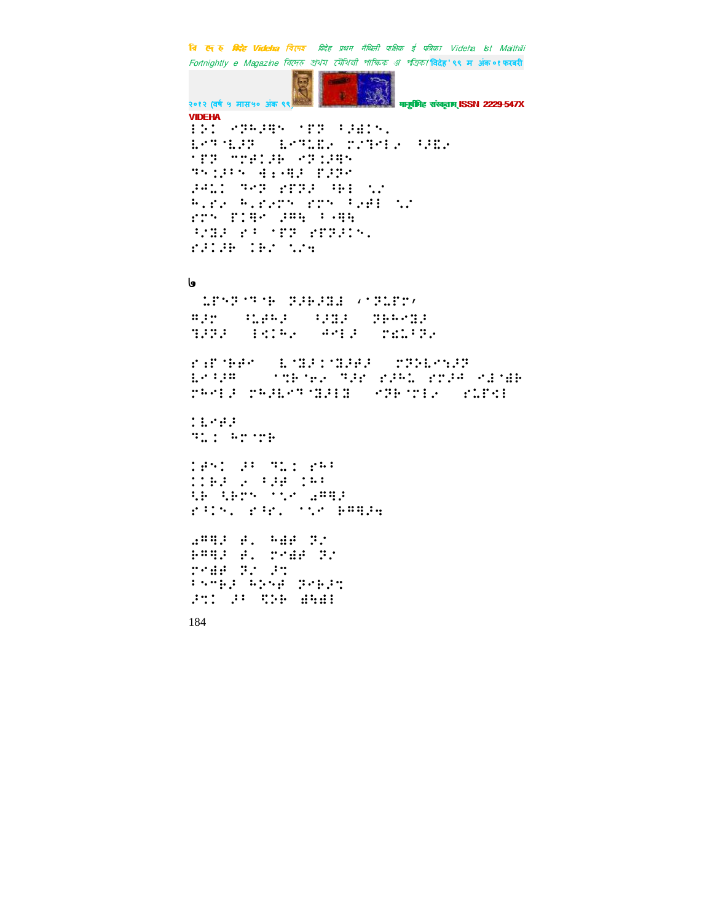

मनूर्वनिह संस्कृतम् ISSN 2229-547X

**VIDEHA 101 - 2000 - 2000 - 2000 - 2000 - 2000 - 2000 - 2000 - 2000 - 2000 - 2000 - 2000 - 2000 - 2000 - 2000 - 2000 -**ESTADE ESTADA MATERIALISEA 183 728138 731385 **THIS HEAD TIPS SALE REP 2003 RD 12** Ring Ringh and Pade to **STAR POST SHOW SHOW** SMART PROPERTY. **STORE IN STRAIGHT** 

### وا

LESPOR PRESENTATION **APP MINE MINE ADDAMI** 9292 | 1916. | 4012 | 20119.

KATORES LISTED SERVICES ESPAR COMPENSORER PARL PEAR SINGE TRANS TRANSPORTED ATENTIC COPAN

TEPBP. The Bright

1951 31 711 351 1163 2 336 163 **WE WESTER SHIP** FUND FRONT PRES

**2892 B. 688 BY BAR: B. Temp B.** 2788 F.C. 31 **PATER ADAR STERT** *Print* **Printing Print**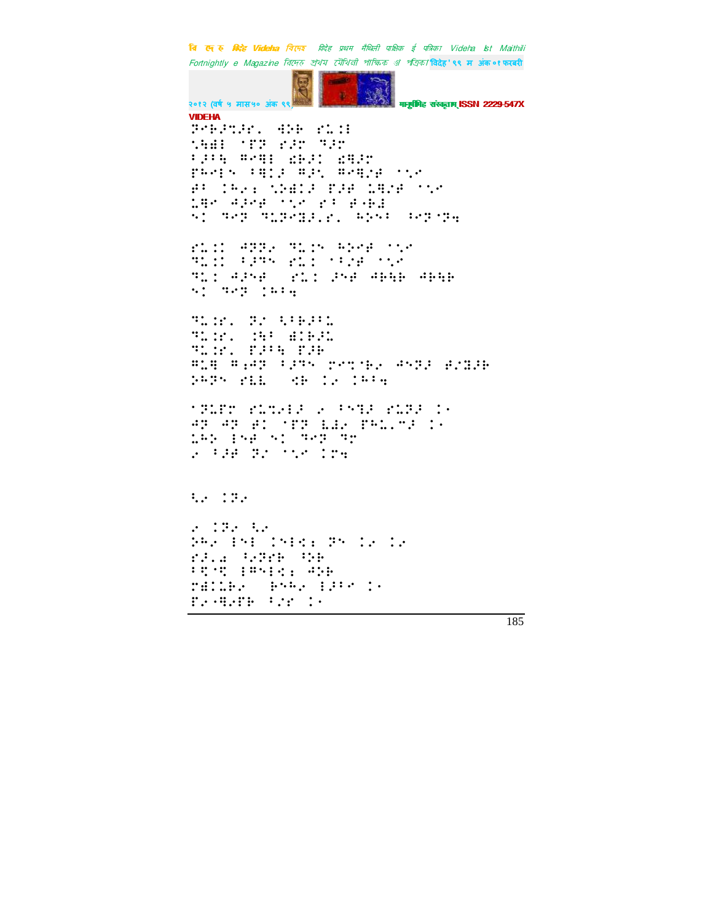

मानूबंगिह संस्कृताम् ISSN 2229-547X

**VIDEHA** Sobietic dib clif 1981 199 230 930 tura mendi deur dhur.<br>Inedis thru mus menya sie B Christianis Company the 188 APPE TO STORAGE **STORY MIRTING AND DESCRIPT** 

KLID APPA TLIM PRAB TOM<br>TLID FRTM KLID TRAB TOM TEL APSE (PEL PSE ARBE ARBE sponsor parallel

**TERE IN STREET** TLAM ARE BIBEL 300 ST Big Bas Cars reread Asta and B 1975 PLL (28 12 1979)

fann namis a thu finist AP AP BI MER EGA ERNIMA IX<br>185 ESB SI PAR PR **2 128 22 127 128** 

 $4.7 \pm 0.714$ 

 $\mathcal{L} = \mathbb{Z} \mathbb{Z} \mathbb{Z} \times \mathbb{Z} \mathbb{Z} \times \mathbb{Z}$ 142 EME (MERE 35 IS 12 **FILE WEEK THE FRAME SHARR** (2015) rdinks by picking Desmark for 18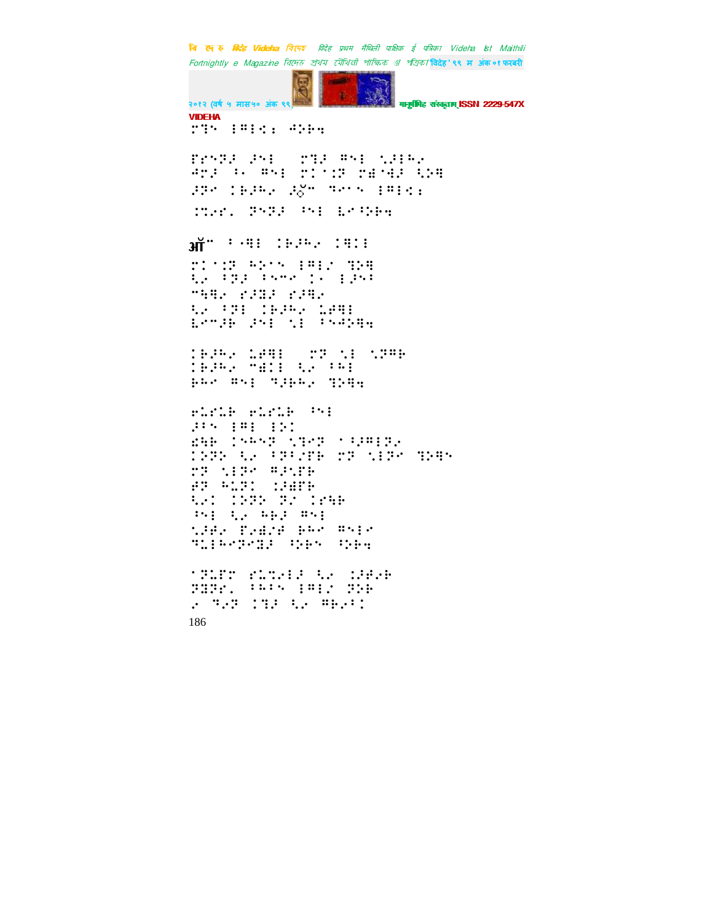

**STARP PLACES AS SPECE** THE SALE IS THE T 186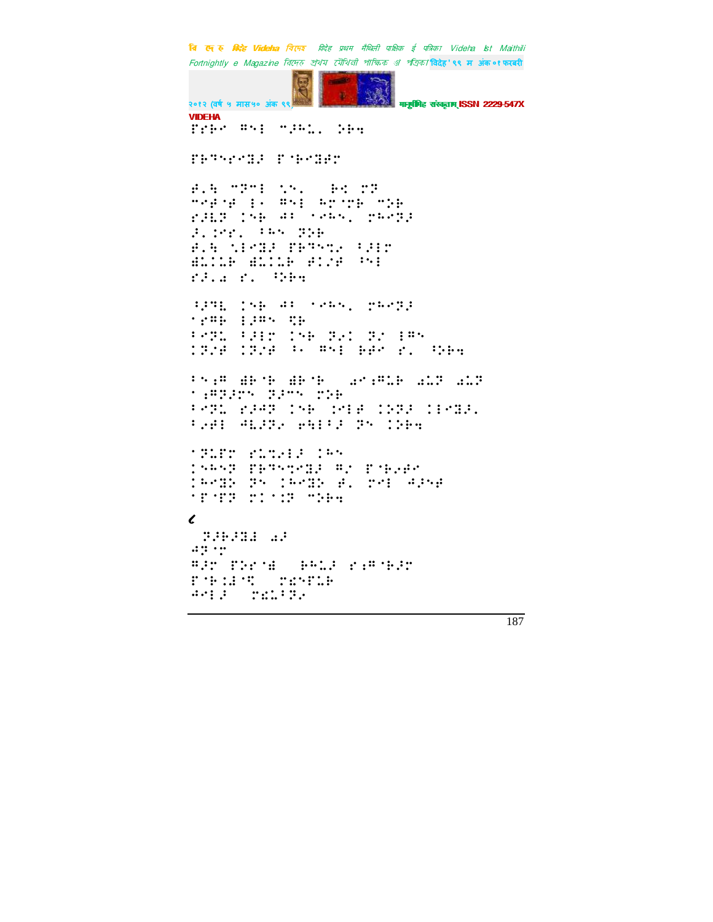चि एत् रू मिन्हे Videha निएन्थ विदेह प्रथम मैथिली पाक्षिक ई पत्रिका Videha Ist Maithili Fortnightly e Magazine বিদেত প্ৰথম মৌথিনী পাক্ষিক প্ৰ' পত্ৰিকা'<mark>বিदेह' ९९ म अंक०१ फरबरी</mark> **Security** २०१२ (वष ५ मास५० अंक ९९) मानुषीिमह संकृताम्ISSN 2229-547X VIDEHA Trie Wei Slei Die THREE THINGS  $E=E=E+E$  :  $E=E$ as an extra series of the "cHP (540) 441 (540) 542-54 E. E. S. S. S. S.  $E$ E. E SIMBER TETHIO ⣞⣅⣅⢷.⣞⣅⣅⢷!⢾4⢾!⢸5! fi.e f. Sir ⢸⢼⢹⣇!⢷!⢺!⢳E!⢳⢽⢼! "⢻⢷!5⢼⢻!⣋⢷! 9⁄92.9200 1910 1920 1930 1 192€ 192€ F. Brief E. Bre Presume and the control of the control of the control of the control of the control of the control of the control of the control of the control of the control of the control of the control of the control of the control of ⣐⢻⢽⢼!⢽⢼a!⢵⢷! ⢽⣅!"⢼⢺⢽!⢷!⣈5⢾!⢵⢽⢼!5⣝⢼E! ⢴⢾5!⢺⣇⢼⢽⢴!⢶⣓5⢼!⢽!⢵⢷⣒! ⢽⣅2."⣅⣉⢴5⢼!⢳!  $\mathbb{R}$  : 200  $\mathbb{R}$  : 200  $\mathbb{R}$  : 200  $\mathbb{R}$  : 200  $\mathbb{R}$  : 200  $\mathbb{R}$  : 200  $\mathbb{R}$  : 200  $\mathbb{R}$  : 200  $\mathbb{R}$  : 200  $\mathbb{R}$  : 200  $\mathbb{R}$  : 200  $\mathbb{R}$  : 200  $\mathbb{R}$  : 200  $\mathbb{R}$  : 200  $\mathbb{R}$  : 2 ⢳⣝⢵.⢽.⢳⣝⢵!⢾E!5!⢺⢼⢾! 22⢽!⣈⢽!a⢵⢷⣒! ८ !⢽⢼⢷⢼⣝⣜!⣔⢼! **∴**. 1601802:91:01 PM 2001802:91:00 PM 2001802:00 PM 2001802:00 PM 2001802:00 PM 2001802:00 PM 2001802:00 PM 2001802:00 PM 2001802:00 PM 2001802:00 PM 2001802:00 PM 2001802:00 PM 2001802:00 PM 2001802:00 PM 2001802:00 PM H#r PH = PH = PH = PH = P 2⢷⣈⣜⣋.!⣎2⣅⢷! **SHIP** : TELFIE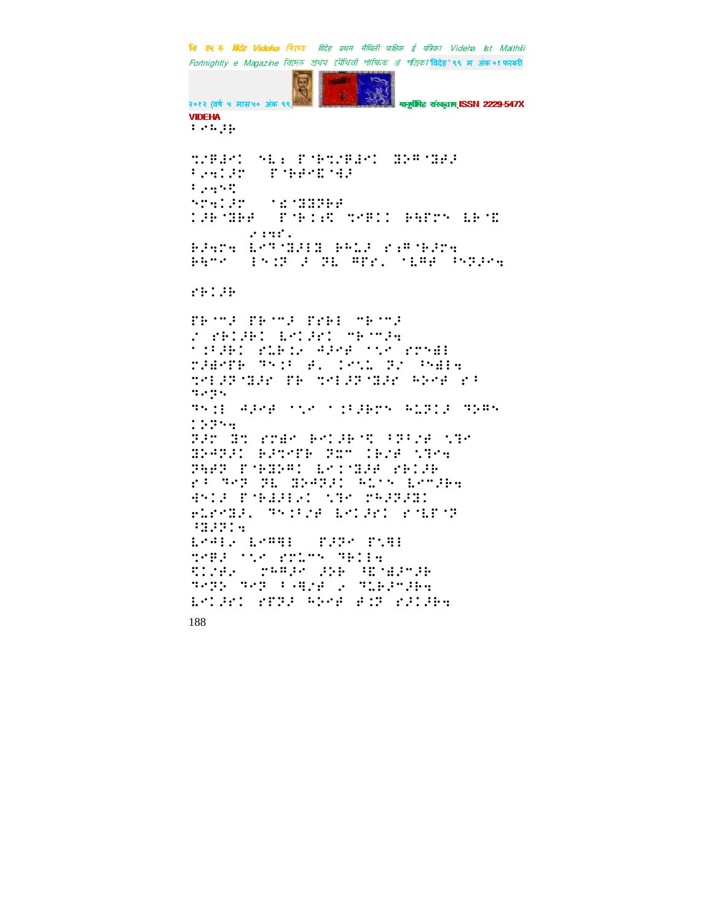

२०१२ (वर्ष ५ मास५० अंक

**VIDEHA**  $1.74.14$ 

treat has pretreat depose **CALLS STEPENE**  $1, 0, 0, 1, 0$ **THE THE STATE TELL BUT SET**  $\therefore$   $\therefore$   $\therefore$ BOST ESTMORE BRID PARTHON PATE (PAIR F.R. APP) (EAR PARPER

**RECAR** 

TECTA TECTA TEEL CECTA **SERVED BRIEF SERVICE SIGHT PLEAS APPROVED PIPER** raach mot al boul by male THEFTHE THOTH FRONT REAL P  $\mathfrak{m}\times\mathfrak{m}\times\mathfrak{m}$ This ages the transfer Rifle Them  $13344$ FAT IT STAR BRIGHT FFINA NTR 834331 BSYMIB 387 1B28 1304 **THIT ENERGY RESIDENTS** FI THE TE BRIDGE BILL BROWN 4512 EMBABAL STK PRAPAB FLEVER, TRIPP EVERY POET T 13.000 1941. 1944: 1946. 1947 THE TO STIP BELLE tive. These systems are send sen conduction since he ESTIMA MUSEUM PAR MUSICA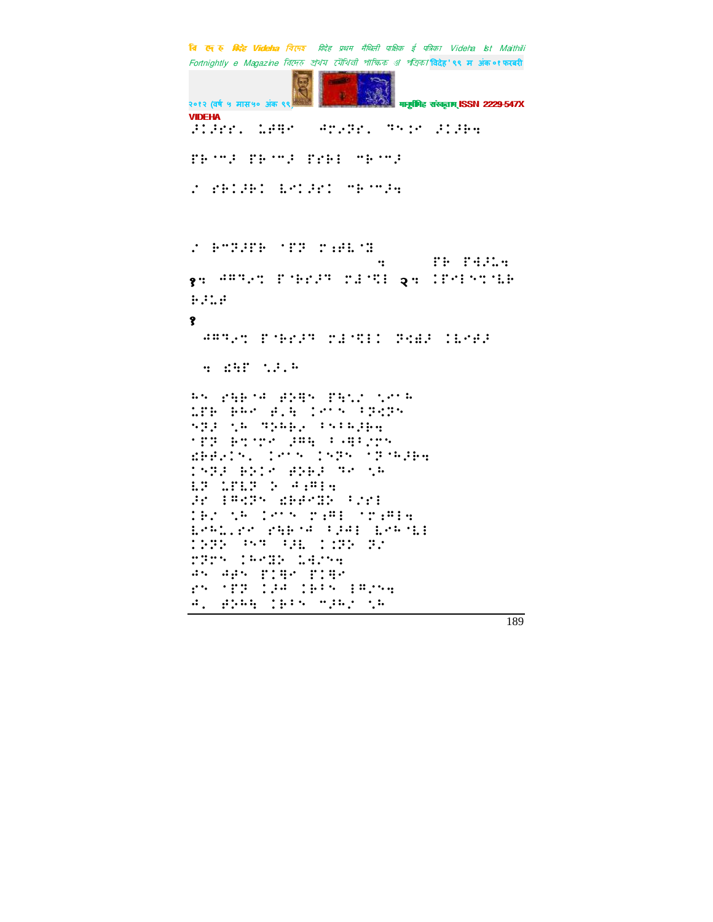```
चि एत् रू मिन्हे Videha निएन्थ विदेह प्रथम मैथिली पाक्षिक ई पत्रिका Videha Ist Maithili
Fortnightly e Magazine বিদেত প্ৰথম মৌথিনী পাক্ষিক প্ৰ' পত্ৰিকা'<mark>বিदेह' ९९ म अंक०१ फरबरी</mark>
२०१२ (वर्ष ५ मास५० अंक ९९) मानुषि संस्कृतिह संस्कृतम् ISSN 2229-547X
VIDEHA 
⢼⢼""E!⣅⢾⣛-!⢺⢴⢽"E!⢹⣈!⢼⢼⢷⣒!!
2⢷a⢼.2⢷a⢼!2"⢷5!a⢷a⢼!!
4!"⢷⢼⢷!⣇⢼"!a⢷a⢼⣒!!
4!⢷a⢽⢼2⢷!2⢽!⣐⢾⣇⣝!
                                    hhe fields
१⣒!⢺⢻⢹⢴⣉!2⢷"⢼⢹!⣜⣋5!२⣒!25⣉⣇⢷!
⢷⢼⣅⢾!
१
  !⢺⢻⢹⢴⣉!2⢷"⢼⢹!⣜⣋5!⢽⣊⣞⢼!⣇⢾⢼.!
 2⣒!⣎⣓2.⣁⢼E⢳!
\overline{1} . The set of the set of the set of the set of the set of the set of the set of the set of the set of the set of the set of the set of the set of the set of the set of the set of the set of the set of the set of th
LPP PRO BIR 1975 CONTROL
⢽⢼!⣁⢳!⢹⢵⢳⢷⢴!⢳⢼⢷⣒!
2⢽!⢷⣉!⢼⢻⣓!B⣛4!
GRANCE CONTROL
⢽⢼!⢷⢵!⢾⢵⢷⢼!⢹!⣁⢳!
⣇⢽.⣅2⣇⢽!⢵!⢺⣐⢻5⣒!
⢼"!5⢻⣊⢽!⣎⢷⢾⣝⢵!4"5!
102 Juni 1999 (1995)
LORDIES ON THE SALE EXPOSURE
⢵⢽⢵!⢸⢹.⢸⢼⣇!⣈⢽⢵!⢽4!
⢽!⢳⣝⢵!⣅⣚4⣒!
as ags pjee pjee
"!2⢽!⢼⢺!⢷!5⢻4⣒!
E. EDE IS THE THE S
```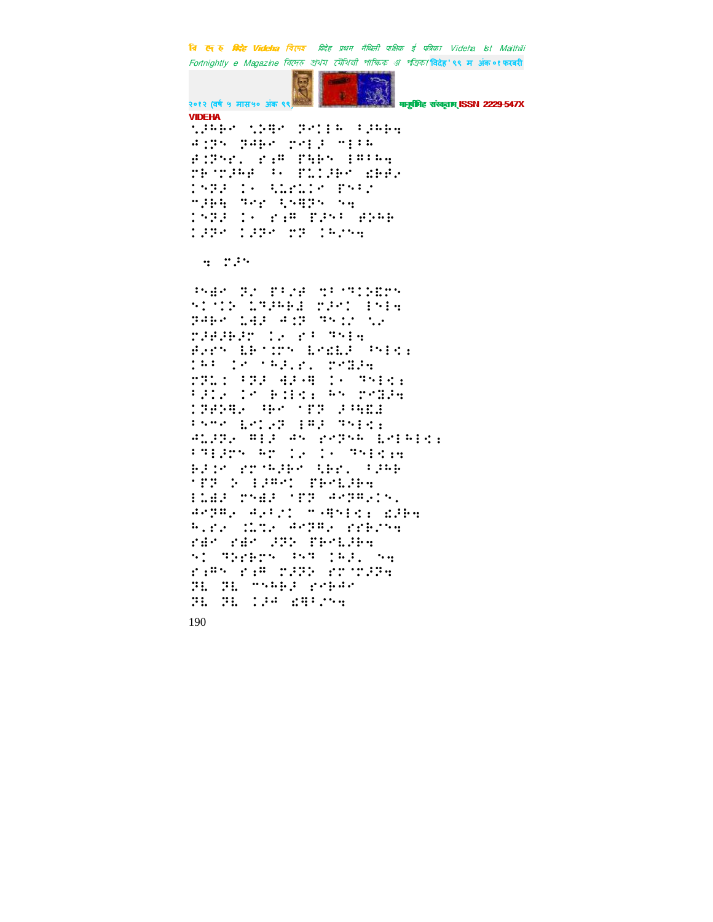

मानूबंगिह संस्कृताम् ISSN 2229-547X

#### **VIDEHA**

२०१२ (वर्ष ५ मास५० अंक ९९)

13555 1385 33115 1356 Adres pape representa FIRST FIR THEN INCH. TROTHE WAS TILLED WHEN 1933 : Annie Par **MPR TEE LARPS AR** 1531 16 rim past gree 1936 1936 23 19254

 $\mathcal{H}$  . The state  $\mathcal{H}$ 

PART STORE SECTIONS STOR CREAK CEST INE pape 142 aux mainsie radade la ri Shie Fary LETING Legal Syle: 198 (2009) 82121 (2002) **TTL: ITP 4P-8 1- This:** PRIS IM BIRT AN THIRT **AND AND AND ARRIVED AT A 1990** 1556 LeleB 182 Stiel **ALISA REFORM PROVE ERENER:** FRIEN AN IS IS RAIGH Bir romane UBN 1256 **THE REPORT BOOKS** ilas põas (pp) Agpagio.<br>Agpag Agpai mõbitus agpa Rick Mich Ander Sching rdr rdr WM Martine SI TEERS PST INF. SA risk ris rage from 25. TE TE SALARI PARAM **ALCOHOL:** 1999 1999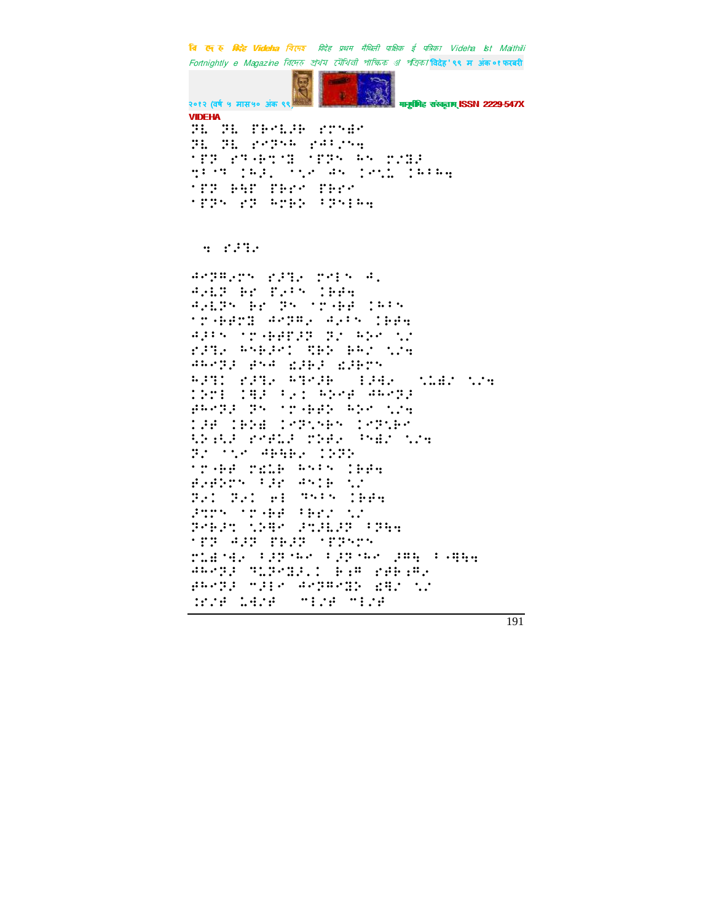

मानुबंधिह संस्कृतम् ISSN 2229-547X

**VIDEHA** Si Si Thill Style H. H. Prink patche TER PROPERTY TERM AN INCH give pake the law pank parag 'TT PAT THE THEE 1995 PR ROBE 195164

 $\mathcal{H}$  and  $\mathcal{L}$  and  $\mathcal{L}$ 

APPRENT PRIS PRINTAL SAIR BY TANK (BEW **ARIS BE THAT THE INDE** trakers arportakers then APPS STORED IN RESEARCH range where the bar whe ARRIE BRA EIRI EIRTR RATI KATA PTAJE (1918. SLED SJE **1971 193 Fac Abed Abey; BREE BY TO BEE RES NIN** 198 (1658 1935)65 (20356) that reducing the same the Si tir Abbbe 1935 **Trake Talk Anth Cham** Report the Anipoli BAL BAL AL MARA (1884)<br>Gron (or-AB (1882) No 3493 WHA SINE (339) \*\*\* 48 TES \*\*\*\*\* ridings for the forthe open found ARANG MINIBILI KAN YAKARA BRAND STEP ARTHRONO ENDING GOS LAZA (MIZA MIZA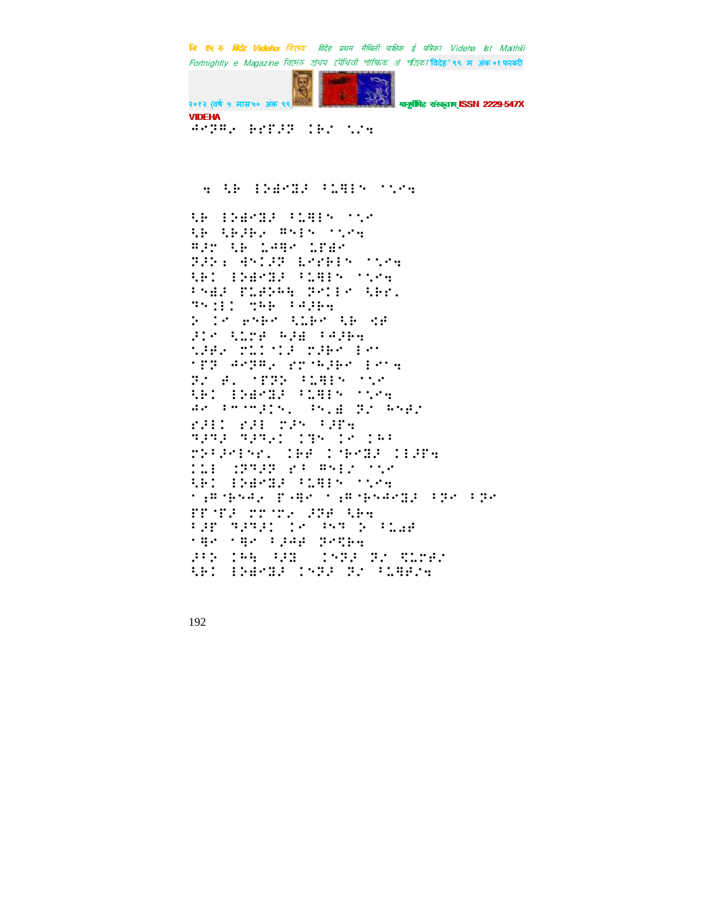**Separate** ø २०१२ (वर्ष ५ मास५० अंक ९

मानूसीमेह संस्कृताम् ISSN 2229-547X

**VIDEHA** West brist in the

**A AR PREMIS PERPOSSING** 

10 1903 - 1908 - 191 th thing said time **BACK AND ARRY ATEM** SAR: 451AS Lerbis tiem ARI (PEMBA PLAIN TIME **PART PLAYER BOOK ARE.** 35:11 356 (SPR) S in ener then the de <u>Missime bid faibe</u> Web Silvia same pr **THE APPRE POSSER LESS** H. W. TER CLAIR TE ARI INBERI PLAIN TIEN 48 Frongis, Pue Broeser FAIL FAIL TAN ARTH **BEEF BEEF IN 18 188** TREPEND INFORMATIONS **MACHINE PROPERTY TO WELFARE HIS START** tienese papernimesega (propr nish mar an an Pertentation in the following 196 196 1946 PCB4 How the 198 (1981) State Street **AD HARBY 1972 T. FLARIN**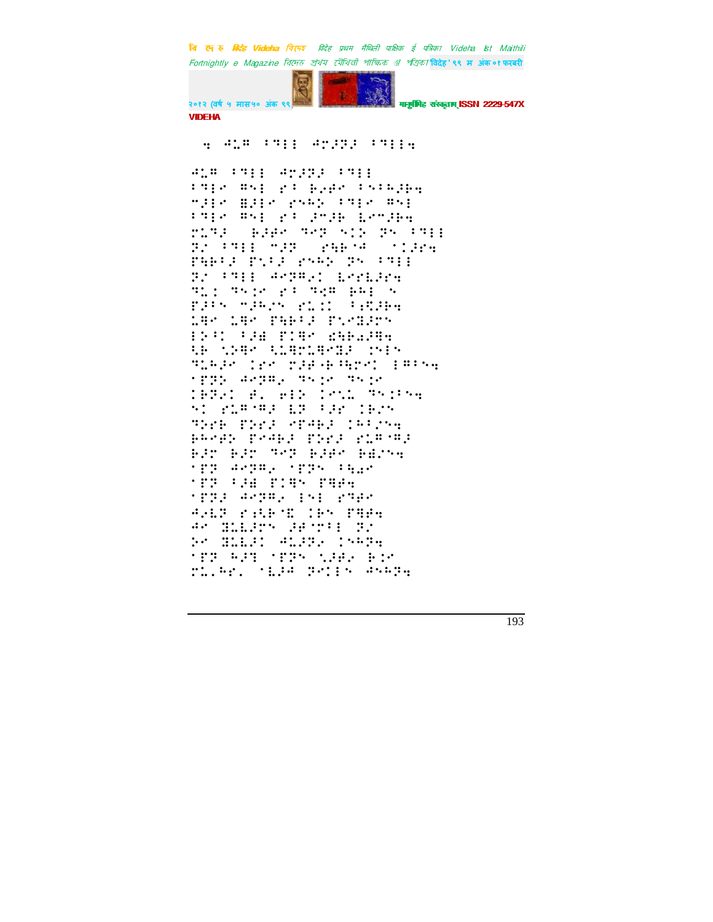

मानुबंधिह संस्कृतम् ISSN 2229-547X

२०१२ (वर्ष ५ मास५० अंक **VIDEHA** 

4 428 FRIE 42222 FRIE

**ALB (SH) ANDRE (SH)** PRES WHE PROBLEM PAPARDA mark mark rush (smr) mur FREE #SE PROPER LETTER MARA BEES TER SIN TS PRES Br FAIL MAR (PHETA (11324) PARTS POSS PART PACIFIC BY PREP ARTHOL BRYERS This Third and Tame BAI in FRAMERY MAIL SHIPS LAR LAR PARIS PIREDR *BASE AND PARTY ROOM* SP SPROGLAPSHORE INTO SLAGE CONTOHERNESS (BRAG **SPPD ARTH. TEST TEST** IPRAD B. PIR IMIN RYCHAN ST PLAYAR ER PRESIDEN Then Phel Spand 16ths presp resp first sires BIT BIT THE BIGHT BETTH \*FF 4098, \*FF5 \*G.0 **199 : 200 : 215 : 200 :** 1832 Angel (5) 2380 **ARAB PALEND IS STAR** Ar Hiller Serric Br **TER APR TERM NEW BIP** rijar, sija prijs askog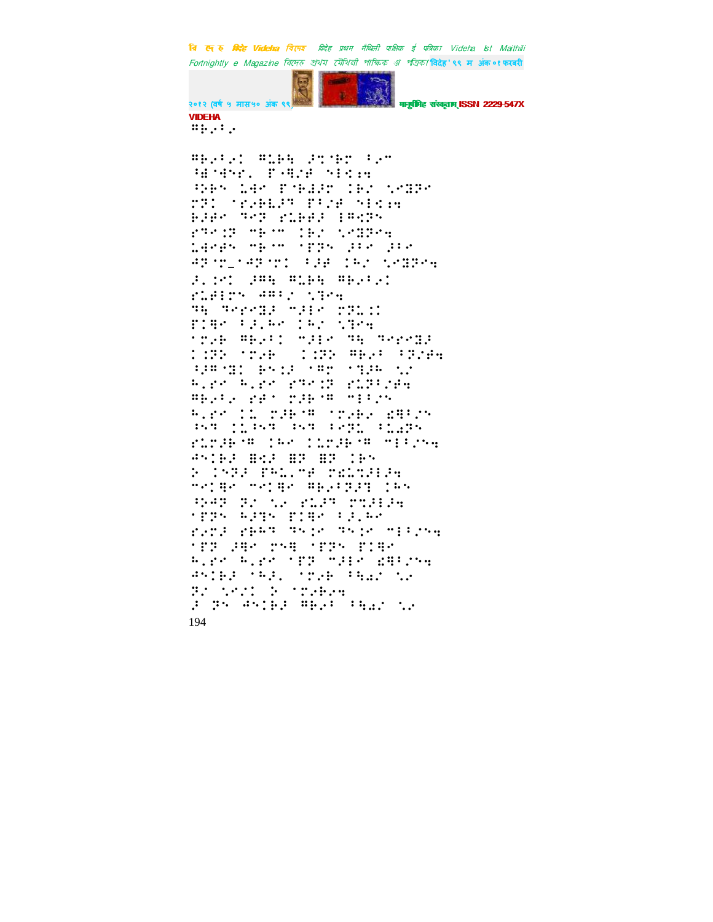

२०१२ (वर्ष ५ मास५० अंक **VIDEHA** 

 $\mathbf{u}_1, \mathbf{u}_2, \mathbf{u}_3$ 

**Abstract Albert Conference** HOPP, PARE SEEM SPEN 148 POBARD IBN 18787 TT: TEAHLER TEAM SECA BJPK THR PLBBJ 18425 Program (Politica Source igadi ekonomiya yazorda 83 TELMAN TELL 188 (182) 1233224  $\mathcal{G}_\alpha$  (st. ) and (wiled (where  $\mathcal{G}_\alpha$ FLATTS ARE: 1374 na negena este print Pine (Pine 162 the) TEAR REARD MAIR RE REPORT 1952 - T.S. (1952 A.H. (1974) HART PORTH TAP TEACH Already and resource richers #BREAK PROVIDENT SERIES Rich IL MARTH STARK WHEN BAN TERM PAN PARE PEARS ringen ier ibngen mitzu \*\*\*\*\* #\*\* #\* #\* #\* ! d 1522 Philime Malm2124<br>Shigh Shigh Gelegge 165 8942 22 12 2123 212124 the Ware place fire ring raws same same within 187 281 258 1875 8181<br>Pirr Pirr 187 782 820 881 ANIBA MARI MESE PRESS NA He will be traken a prostiga melecient tr 194

मानुबंधिह संस्कृतम् ISSN 2229-547X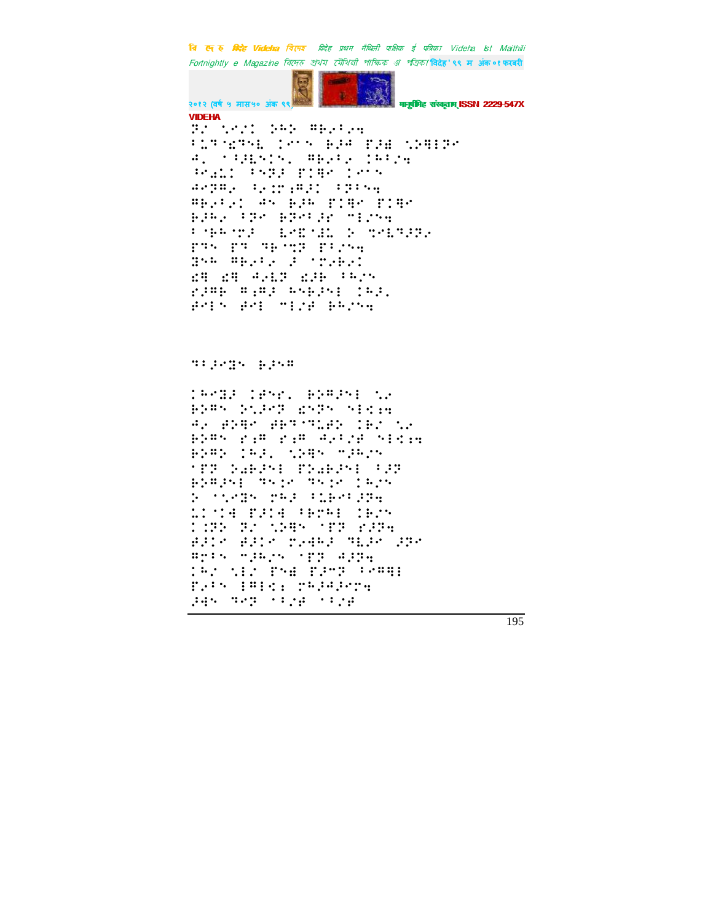

मानुबंधिह संस्कृतम् ISSN 2229-547X

 $\mathbb{R}^2$  , which is<br>the superconduction FLTM2THE CHOM BEW FEB MOBER-**A. SPRESINA BELOW IPPINE** Wall Performe lets Wednesday (1991) 1915. WERE AN EPH FIRE FIRE BIRG MIC BICAR MECH PORTUGAL EMBORADO PORTUELO rak ra aking richa Brb Whata Convert ST ST SALT SID TRYS r:86 #.83 & SEP : 163. Principal middleburg

migungs pass

२०१२ (वर्ष ५ मास५० अंक ९९

**VIDEHA** 

**CARDE CENT. BOBBNE CA** B285 25253 8535 51618 42 BRAY BRAYNER CROSS B2#5 ri# ri# 4212# 51414 B282 (BJ, 1285 72825 **THE BARRY START OF ST** BD#353 7530 7530 1625 8 MARS 253 MIRT224 MOVE HIS SEPHI INT **THE SECOND TER PRES** BID BID THE TER ST spis will be the side. 152 MEZ PSA PRSP PROH Path (Bird) phanache 345 TPP (128 (128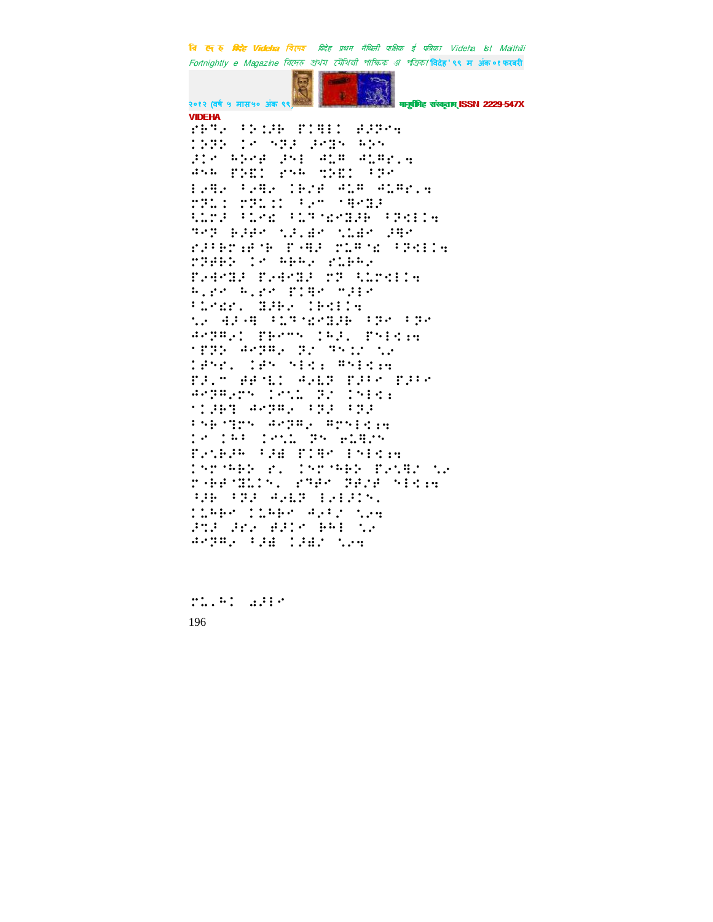

मानूसीमेह संस्कृताम् ISSN 2229-547X

895 BOB BIBI 8895 1930 12 533 3035 895 Bir Abre 251 Alm Almr.4 Web pick gob gick (pr 1980 (200 1928 ALB ALB) 4  $\mathbb{R}^2$  , where  $\mathbb{R}^2$  and  $\mathbb{R}^2$  are  $\mathbb{R}^2$  and  $\mathbb{R}^2$ *PRODUCE* thr: Cher (127 media (2011) **SAT PARK NAVAR NIGHT ANY** raterians pour rians (prefig THEE IS WHEE TIEN PARTE PARTE 23 MINUTE Right Right PIRe made **START HOME SERVICE** te dred (17 media (22 (22) Argent germy (Ad. Shiring true acome de mais de TENEL TEN NER: BNERIN HIM BRAIN BALT HIM TIME Arrages Trum Rochers \*\*\*\*\* \*\*\*\* \*\*\* \*\*\* PSE TES APPRA RESERVE **IF THE TELL BY BLEET** Tethan (SH TIAM Inice Increase all Increase Bainer is reaching she have store AR PROPERTIES. TIPPS TIPPS APPLY THE PhP Res BRIS BRI NS **APPRE FIRE 1182 NPW** 

 $(11.41 - 0.41)$ 196

२०१२ (वर्ष ५ मास५० अंक ९९

**VIDEHA**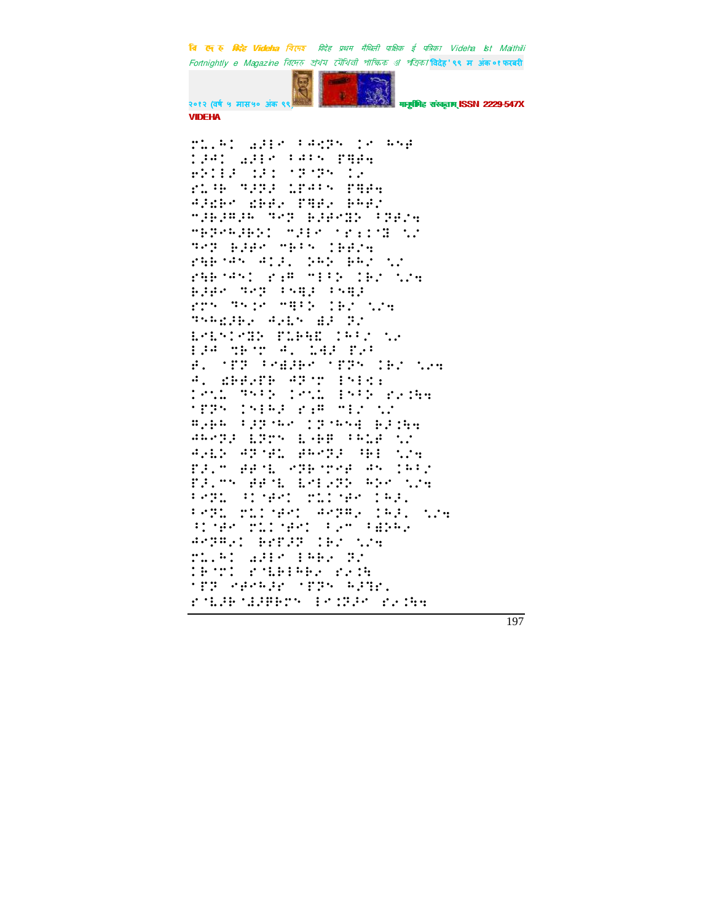मानूबंगिह संस्कृताम् ISSN 2229-547X



२०१२ (वर्ष ५ मास५० अंक **VIDEHA** 

richt afte faghe is bef 1941 ANY 1915 PRA #NIF NI 7878 N fin THE LEAD PARA Aldho dhe. Mun. bhe. **MIRING TAT RIPOR (TRIM** TRISPIRADO TALS CALONENO<br>TSI RAPS TRIS CREOL randa ata, pangan tr PHENNY PAR MIRE IED NOW place were read read. FTS TSP MEER IES NIE Theile, A.Lh Al SI ROCKER CREEK CHILL 194 dece 4. Dag p.4 B. MTB PRESBY MTBY IBN NAM 4. defere 42 m 1514: *itil mar ith an angles* **MERS INTER PARTNERSHIP** #264 FRPS4 (PS44 BRCH) strip bre ber stor to AND APTEL BRAFF HE STA FRIT BEND STENDSHOW (RP) FAUTH HEME LMEVER ARM NOW PARL RIGHT MILTER INF. Pedi ricert sepak (sp. 124 speak firstness (200 (200) **ACTES BETAT IN SAM** rich: ages emporar<br>1971: Poleemporar **SPP SPORTS SPPS RING.** rollenieren Boden rader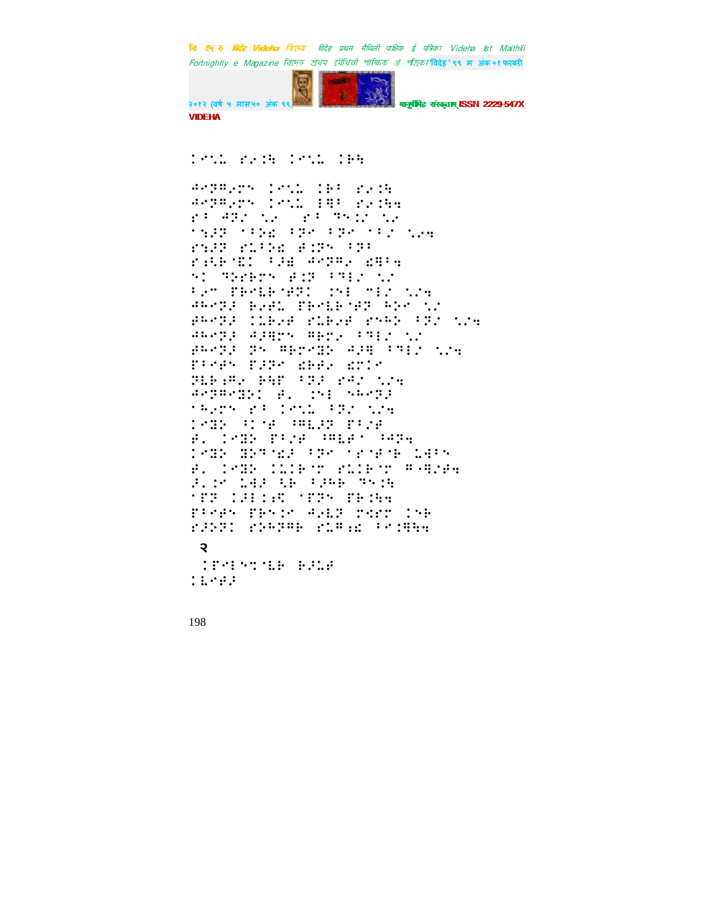

२०१२ (वर्ष ५ मास५० अंक मानुबंधिह संस्कृताम् ISSN 2229-547X **VIDEHA** 

**ISTE SAME IST INE** 

Ardeary Crim IBF Rach APPRAIN LONG INFORMING PROPERTY OF PROPERTY 1922 1922 926 926 1920 1920 FAR RIGHT #125 (12) ranch an esta della SI THEFT FOR PRIZIC For PROBECTION OF THE NOR ARCH BAN TROBAT AND WO PROTE CLEAR PLEAR PRAY FILM NOW **ARPIE APRIL AREA (MILL )** projects the through sendingly sing Pick PHP dhis dold **HiP:#: BAP (FR) 242 524** Website W. Stiltwerk SPACE PROPERTY NAM 1818 HOW PEAR PICE S. MAR STAR SERP SER. 1832 327 33 336 3378 338 1438 B. 1982 (1118)T fliby #98284 R. W 18: W :PH This **TEP IPEIR TEPS EFTHE** Pick Third Said rer 156 rath right right of compa

 $\mathbf{Q}$ **TPSPSTER BREE** tarea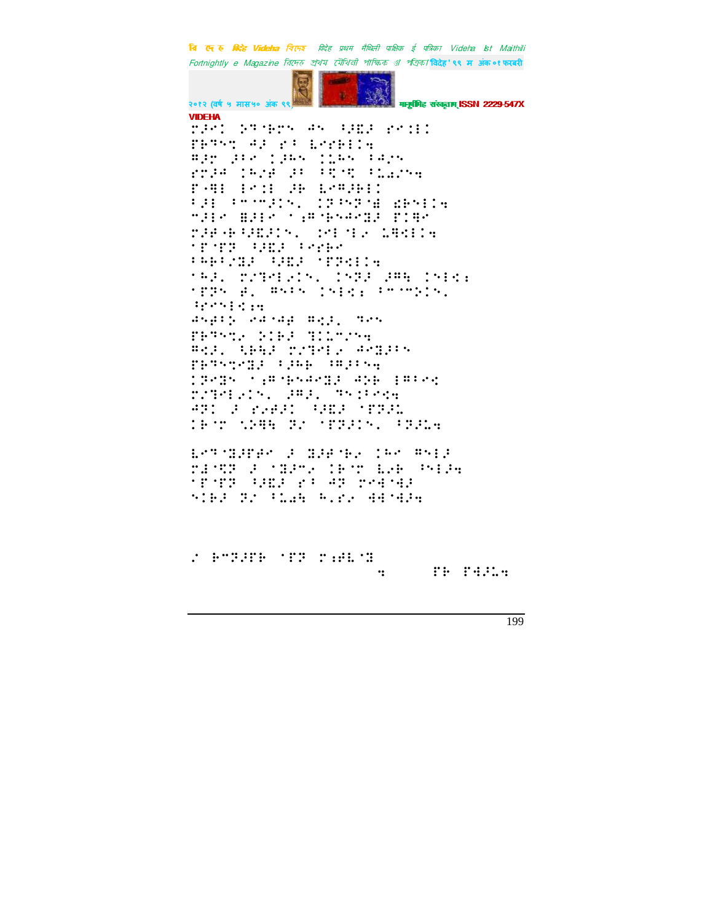चि एत् रू मिन्हे Videha निएन्थ विदेह प्रथम मैथिली पाक्षिक ई पत्रिका Videha Ist Maithili Fortnightly e Magazine বিদেত প্ৰথম মৌথিনী পাক্ষিক প্ৰ' পত্ৰিকা'<mark>বিदेह' ९९ म अंक०१ फरबरी</mark>



२०१२ (वर्ष ५ मास५० अंक ९९) मानुषि संस्कृतिह संस्कृतम् ISSN 2229-547X

VIDEHA  $TPT$  )  $TTP$  :  $TTP$  ,  $TTP$  ,  $TTP$  ,  $TTP$  ,  $TTP$  ,  $TTP$  ,  $TTP$  ,  $TTP$  ,  $TTP$  ,  $TTP$  ,  $TTP$  ,  $TTP$  ,  $TTP$  ,  $TTP$  ,  $TTP$  ,  $TTP$  ,  $TTP$  ,  $TTP$  ,  $TTP$  ,  $TTP$  ,  $TTP$  ,  $TTP$  ,  $TTP$  ,  $TTP$  ,  $TTP$  ,  $TTP$  ,  $TTP$  ,  $TTP$  ,  $TTP$  ,  $TTP$  2⢷⢹⣉!⢺⢼!"⢸!⣇"⢷5⣒! #dr die 1965 1165 (1425 "⢼⢺!⢳4⢾!⢼!⣋⣋!⣅⣔4⣒! **2** OU SP 3 SOUTH ⢼5!aa⢼E!⢽⢸⢽⣞!⣎⢷5⣒! a⢼5.⣟⢼5!⣐⢻⢷⢺⣝⢼!2⣛! ⢼⢾B⢷⢸⢼⣏⢼E!⣈55⢴!⣅⣛⣊5⣒! 22 22 22 22 22 23 24 25 26 27 27 27 27 27 27 27 27 27 27 28 29 20 21 22 23 24 25 26 27 27 27 27 27 27 27 27 27 ⢳⢷4⣝⢼!⢸⢼⣏⢼!2⢽⣊5⣒! ⢳⢼E!4⣙5⢴E!⢽⢼!⢼⢻⣓!5⣊⣐! 250 PH SALE STATES AND THE STATES ⢸"5⣊⣐⣒! Greatly control we were 2⢷⢹⣉⢴!⢵⢷⢼!⣙⣅a4⣒! ⢻⣊⢼E.⣃⢷⣓⢼!4⣙5⢴!⢺⣝⢼! 2⢷⢹⣉⣝⢼!⢼⢳⢷!⢸⢻⢼⣒! ⢽⣝!⣐⢻⢷⢺⣝⢼!⢺⢵⢷!5⢻⣊! 4⣙5⢴E!⢼⢻⢼E!⢹⣈⣊⣒! ⢺⢽!⢼!"⢴⢾⢼!⢸⢼⣏⢼!2⢽⢼⣅!  $!$  P  $\alpha$  /248 P  $\alpha$  /22215, 22214

L-THEFT CONTROL CONTROL  $^{\prime}$  :  $^{\prime}$  :  $^{\prime}$  :  $^{\prime}$  :  $^{\prime}$  :  $^{\prime}$  :  $^{\prime}$  :  $^{\prime}$  :  $^{\prime}$  :  $^{\prime}$  :  $^{\prime}$  :  $^{\prime}$  :  $^{\prime}$  :  $^{\prime}$  :  $^{\prime}$  :  $^{\prime}$  :  $^{\prime}$  :  $^{\prime}$  :  $^{\prime}$  :  $^{\prime}$  :  $^{\prime}$  :  $^{\prime}$  :  $^{\prime}$  :  $^{\prime}$  :  $^{\prime}$ 22⢽!⢸⢼⣏⢼!"⢸!⢺⢽!⣚⣚⢼!  $^{\prime}$  . The mass of the set of the set of the set of the set of the set of the set of the set of the set of the set of the set of the set of the set of the set of the set of the set of the set of the set of the set of the

4!⢷a⢽⢼2⢷!2⢽!⣐⢾⣇⣝! he state band parties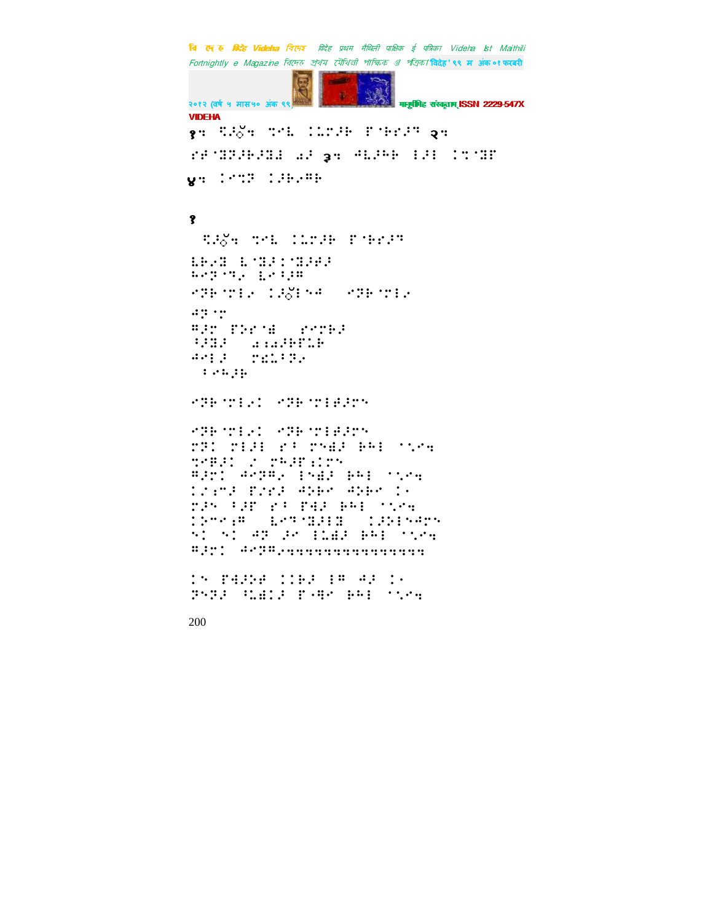चि एत् रू मिन्हे Videha निएन्थ विदेह प्रथम मैथिली पाक्षिक ई पत्रिका Videha Ist Maithili Fortnightly e Magazine বিদেত প্ৰথম মৌথিনী পাক্ষিক প্ৰ' পত্ৰিকা'<mark>বিदेह' ९९ म अंक०१ फरबरी</mark>

**Separate** २०१२ (वर्ष ५ मास५० अंक ९९) मानुषि संस्कृतिह संस्कृतम् ISSN 2229-547X  $\mathbf{r}$  : ZAS: The South Post Post

"⢾⣝⢽⢼⢷⢼⣝⣜!⣔⢼!३⣒!⢺⣇⢼⢳⢷!5⢼5!⣉⣝2! ४⣒!⣉⢽!⢼⢷⢴⢻⢷!

# १

VIDEHA

!⣋⢼◌ॅ⣒!⣉⣇!⣅⢼⢷!2⢷"⢼⢹! ⣇⢷⢴⣝!⣇⣝⢼⣈⣝⢼⢾⢼! ⢳⢽⢹⢴!⣇⢸⢼⢻! **STEPHENO CONTROL**  $\mathcal{L}$   $\mathcal{L}$   $\mathcal{L}$ ⢻⢼,2⢵"⣞.!"⢷⢼! ⢸⢼⣝⢼.!⣔⣐⣔⢼⢷2⣅⢷! **GPIS SENSION**  $\cdots$ 

**STRATE: STRATESTS** 

⢽⢷5⢴!⢽⢷5⢾⢼!  $T$ 50  $T$  50  $T$  50  $T$  50  $T$  50  $T$  50  $T$  50  $T$ ⣉⢿⢼!4!⢳⢼2⣐! ⢻⢼!⢺⢽⢻⢴!5⣞⢼!⢷⢳5!⣁⣒! 4⣐a⢼.24"⢼!⢺⢵⢷.⢺⢵⢷!c! ⢼.⢼2!"⢸!2⣚⢼!⢷⢳5!⣁⣒!  $[130^\circ]$  +  $[130^\circ]$  +  $[130^\circ]$  +  $[130^\circ]$  +  $[130^\circ]$  +  $[130^\circ]$  +  $[130^\circ]$  +  $[130^\circ]$  +  $[130^\circ]$  +  $[130^\circ]$  +  $[130^\circ]$  +  $[130^\circ]$  +  $[130^\circ]$  +  $[130^\circ]$  +  $[130^\circ]$  +  $[130^\circ]$  +  $[130^\circ]$  +  $[130^\circ]$  +  $[130^\$ .!⢺⢽!⢼!5⣅⣞⢼!⢷⢳5!⣁⣒! ⢻⢼!⢺⢽⢻⢴⣒⣒⣒⣒⣒⣒⣒⣒⣒⣒⣒⣒⣒⣒⣒!

!2⣚⢼⢵⢾!⢷⢼!5⢻!⢺⢼!c! SHI PASS PART PRESENT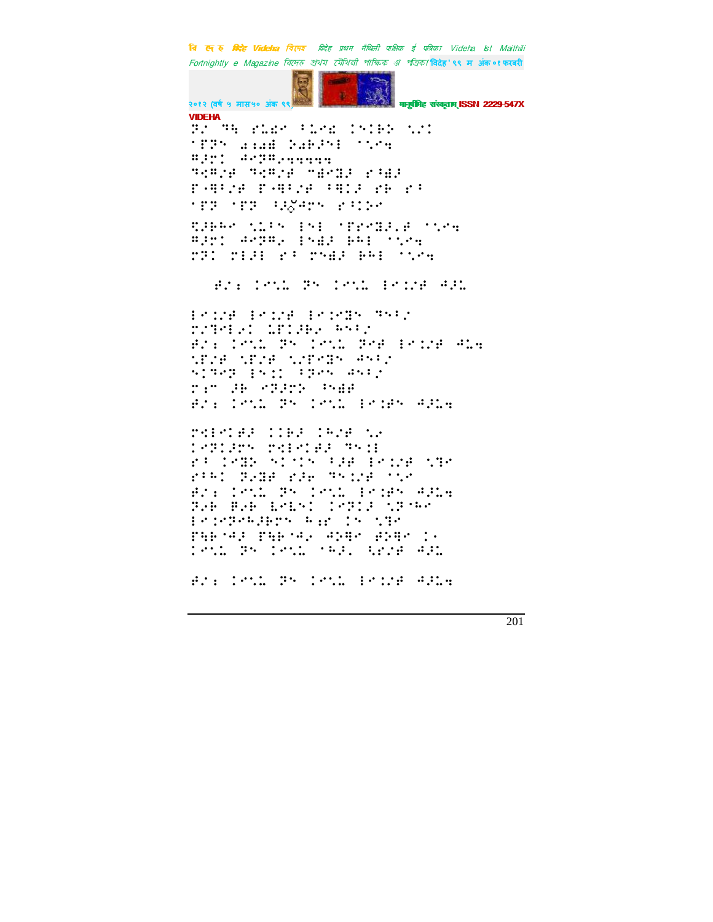

मानुबंधिह संस्कृताम् ISSN 2229-547X

**VIDEHA** Br Wh risk Wike (STBR SM) **TEP STAR DEPT TOM BITI ACTORAGES SYRIE SYRIE MENIE FALL** ranje ranje odjele po THE THE HEWEN FILM

२०१२ (वर्ष ५ मास५० अंक ९९

SHEEP MILL HAR STREETING STAR BIMI AMPRA INGLE BAI TIMA 231 2121 23 2542 951 5500

Bri Deth St Deth Being ARL

Prize Prize Prince Ship rather drifts and Bri 1811 By 1811 Bee Fride Ala tria tria trene astr Willes Hall Head and rim AB 20002 PHB Bri Tri Th Tri Brien Bla

refered time that to **IMPLEM PHEMIS TAIL** ra 1828 Side ale Pour des FIRE THE FEW TRIPS TO Bri 18th By 18th Point Adn. THE BHE LOLAT ISTILE AT THAT Programmer Rendrich PHEORY PHEORY ANNO ANNO 18 **IMAGES IMAGES ARE ARE** 

Bri 1811 By 1811 Bring Adia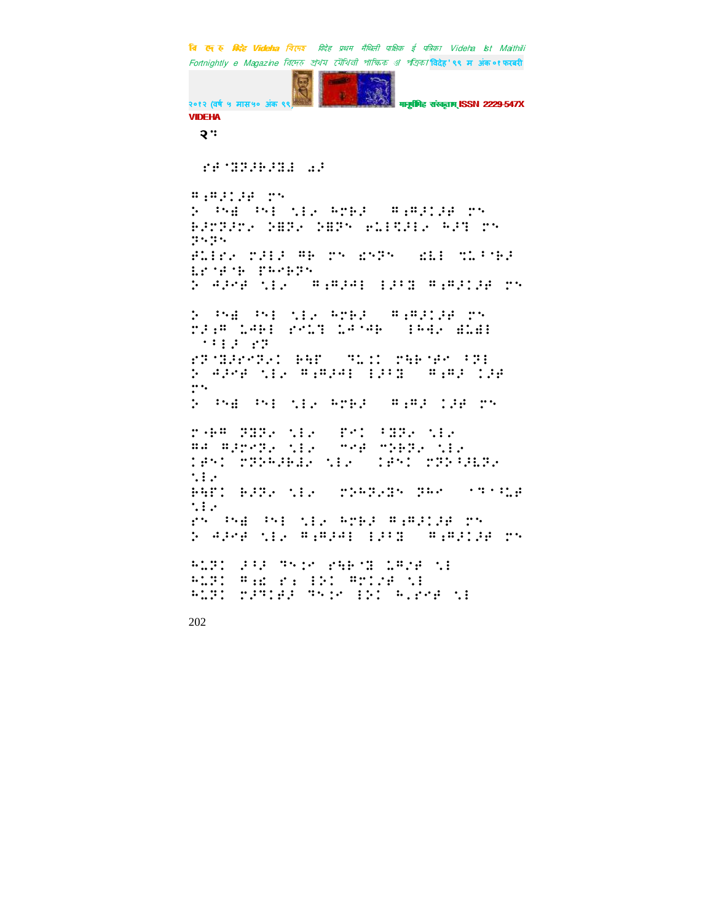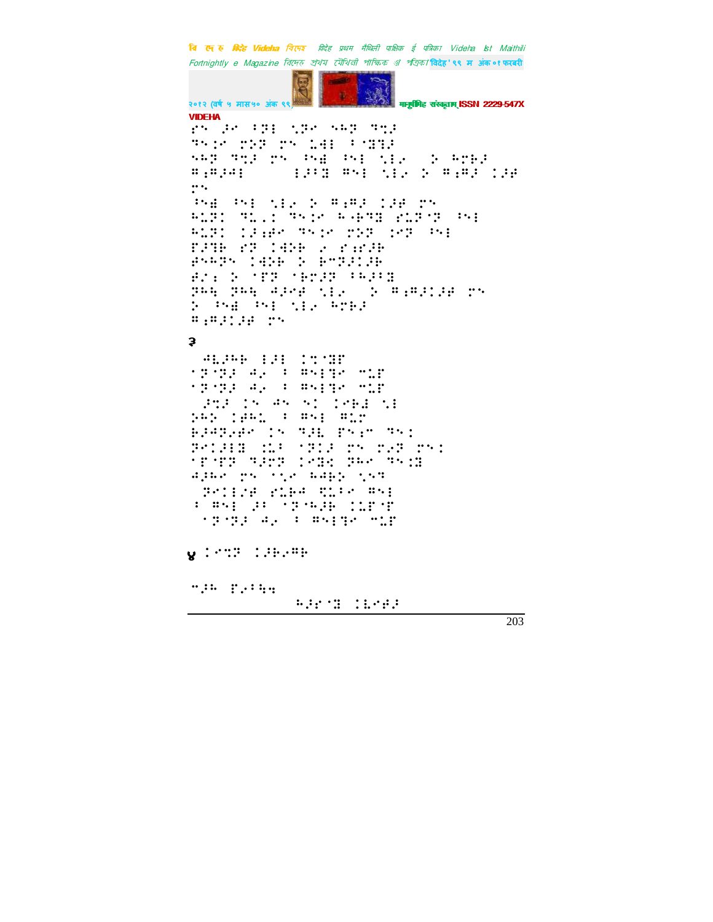

२०१२ (वर्ष ५ मास५० अंक ९९ मनुसमिह संस्कृतम् ISSN 2229-547X **VIDEHA** PS 28 FPI SPE SAP 352 The MINISTER COMMISSION server by the server and the server of the server of the server of the server of the server of the server of the server of the server of the server of the server of the server of the server of the server of the server of t  $\cdots$ PHOPHONIA & BABA 128 TR RID TIME THE RATE MITT PH RLP: 12:85 This TRP 157 WE ran St tem a redh PART CHIP I PTELIP BOY & MER MEMBER PROPE 366 366 4386 512 - 2 #1#3138 35 P PAR PAR NEW ROBE  $H_1H_2U_1H_2U_2W_3$ 

#### $\mathbf{3}$

**ALLES CONTROL SPORT ALL PROPERTY STATE STORY ALL PERSONS** (PSP 18 AN 81 1894 MB **SAR THAN F WAI WIN** BISPARE IN THE PRESS THE Polaim dia 1912 ny nyaénya<br>1818 mara-dari Peksayum **Aller product babb 199** SPOILE PLACED CAPA **SPORT ALL PROPERTY MID** 

 $y :$   $(22 - 12) + 27$ 

nga patan

**APPARTMENT**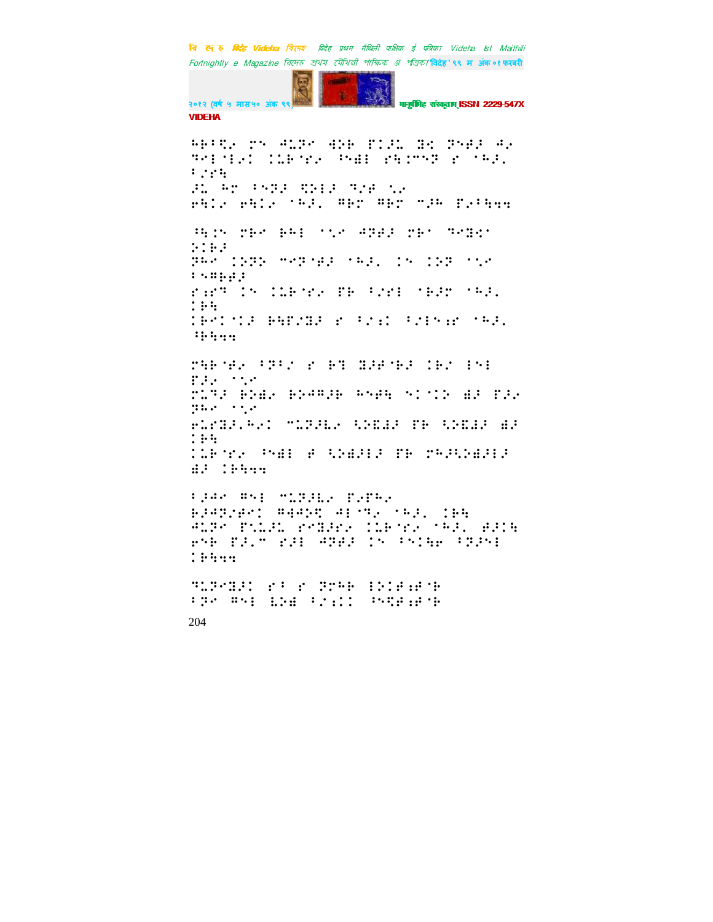

मानुबंधिह संस्कृताम् ISSN 2229-547X

#### **VIDEHA**

२०१२ (वर्ष ५ मास५० अंक

ABIRA TA ALTA ADE TIJEL IN TAAJ AA TAINING CORNER PAIR PROMOTE POST.  $\mathcal{L}$  ,  $\mathcal{L}$  ,  $\mathcal{L}$ BL AT PARE REEP THE LE PAIR PAIR TAG, ABY ABY MGA IRIANA Here the had the Adda the Reddy  $1:1:1$ BAR 1982 MRTHE MAR. IN 198 MIR  $\ldots$  and  $\mu$  . ran in Clear Te Fri (PRT (PRT)  $: \mathbb{H}$ TRATATE RAPINER & PINED PINED MAR.  $\ddots$ THE YEAR STEAM OF THE SEEMED CENT CENT  $P(A) = P(A)$ ring byde byggge ange nivit de file  $\mathfrak{g}$  in  $\mathfrak{g} \to \mathfrak{g}$  ,  $\mathfrak{g}$ 

 $: \mathbb{N}$ TIPYS PART # CHARLE TR TRACHARD d: :Phan

tiar man minima ranka

EPRINANT RARGE RESP. (RP. 184 ALTE POLIC POINTS CLEARS ORAL BACK PSB PAIM PAI ARAA 18 FSIBP FRAN  $: 1.4444$ 

SLOWED FOR FUND INTERNA **TOM AND ENE PRINT PROPERTY** 204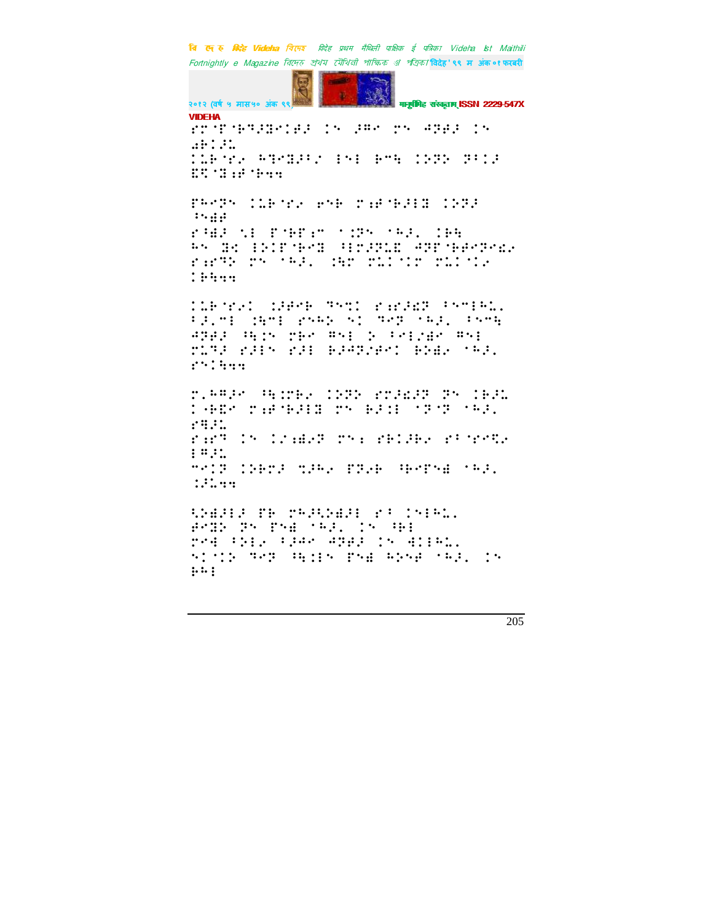

२०१२ (वर्ष ५ मास५० अंक ९९ मानुबंधिह संस्कृताम् ISSN 2229-547X **VIDEHA** FROM PERSONAL CALLERY PROVISE CA 

**COMPASS ANGELES (1918-1918) SERVICE SERVICE** ET 12 of 1999

PROPRIATOR PRESENTED IN 1992  $\cdots$ PARTNE PAREM TORN TAR. IPH BS HA MAINTERN SIMPLE SPECIFICAT rank by the dar midde midde  $: 1: 1: 1: 1:$ 

TLE YEAR (1984) TATI SANGER CAMERIL FRINT CHNI PARK AT THE SARI TANK **APACK REDUCTION RAILS IN FRIDAM RAI** MIRA RAIN RAI BAHRYANI BIWA YAA.  $11.1444$ 

r.HAR ARTH. 1982 PRACH BY 1931 DARK MARAHETY BASE MENE MAR.  $f(4,1)$ ran in Liabe nna deidea rinne.  $: 4.41$ MAIR INBMA MARA TRAB ABATME MAR.  $1.31.44$ 

these re resthese recreate BOIL TO PAR SALE IN HE 784 FEED FRAM AREA IN ATIAL. SIMP REPORTED FRESHMENTED IN  $\cdots$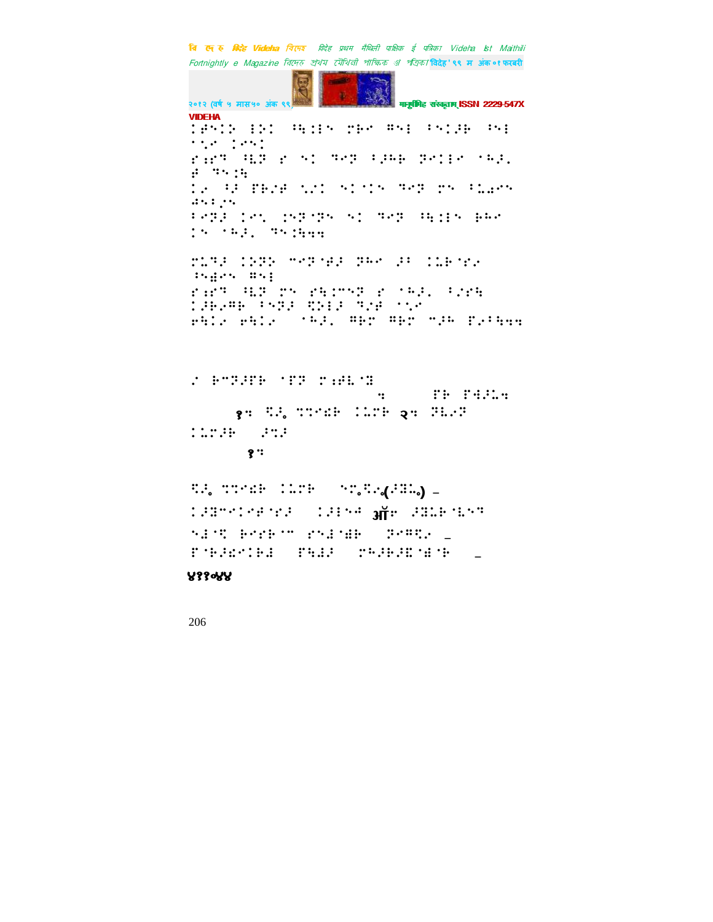206

#### ४११०४४

⣋⢼॰ ⣉⣉⣎⢷!⣅⢷-!॰⣋⢴॰(⢼⣝⣅॰) – 1955-1959 CONNER CONTROL  $^+$ 4's Propose the South Company  $^-$ 2⢷⢼⣎⢷⣜-!2⣓⣜⢼!)⢳⢼⢷⢼⣏⣞⢷\*!–

## ! ?

4!⢷a⢽⢼2⢷!2⢽!⣐⢾⣇⣝! hhe fields !!!!१⣒!⣋⢼॰ ⣉⣉⣎⢷!⣅⢷!२⣒!⢽⣇⢴⢽! ⣅⢼⢷!#⢼⣉⢼#!!

! S PRESS PRESS ⣅⢹⢼!⢵⢽⢵!a⢽⢾⢼!⢽⢳!⢼!⣅⢷"⢴! Super Sec.  $T$  :  $T$  :  $T$  :  $T$  :  $T$  :  $T$  :  $T$  :  $T$  :  $T$  :  $T$  :  $T$  :  $T$  :  $T$  :  $T$  :  $T$  :  $T$  :  $T$  :  $T$  :  $T$  :  $T$  :  $T$  :  $T$  :  $T$  :  $T$  :  $T$  :  $T$  :  $T$  :  $T$  :  $T$  :  $T$  :  $T$  :  $T$  :  $T$  :  $T$  :  $T$  :  $T$  :  $T$  : ⢼⢷⢴⢻⢷!⢽⢼!⣋⢵5⢼!⢹4⢾!⣁!  $^{\circ}$  . For the state of the state of the state of the state of the state of the state of the state of the state of the state of the state of the state of the state of the state of the state of the state of the state of t

२०१२ (वर्ष ५ मास५० अंक ९९) मानुषि संस्कृतिह संस्कृतम् ISSN 2229-547X VIDEHA ⢾⢵!5⢵!⢸⣓⣈5!⢷!⢻5!⢼⢷!⢸5!  $\mathcal{P}(\mathcal{P})$  ,  $\mathcal{P}(\mathcal{P})$  ,  $\mathcal{P}(\mathcal{P})$ "CHI HAT I ST THE PAIR THIS TELL  $\mathbb{R}^2$  =  $\mathbb{R}^2$  =  $\mathbb{R}^2$  =  $\mathbb{R}^2$  =  $\mathbb{R}^2$  =  $\mathbb{R}^2$  =  $\mathbb{R}^2$  =  $\mathbb{R}^2$  $L$ . OF THIS AND MINIMUM THIS CONSTRUCT  $49.4\pm0.1$ ⢽⢼!⣁!⣈⢽⢽!!⢹⢽!⢸⣓⣈5!⢷⢳!



चि एत् रू मिन्हे Videha निएन्थ विदेह प्रथम मैथिली पाक्षिक ई पत्रिका Videha Ist Maithili Fortnightly e Magazine বিদেত প্ৰথম মৌথিনী পাক্ষিক প্ৰ' পত্ৰিকা'<mark>বিदेह' ९९ म अंक०१ फरबरी</mark>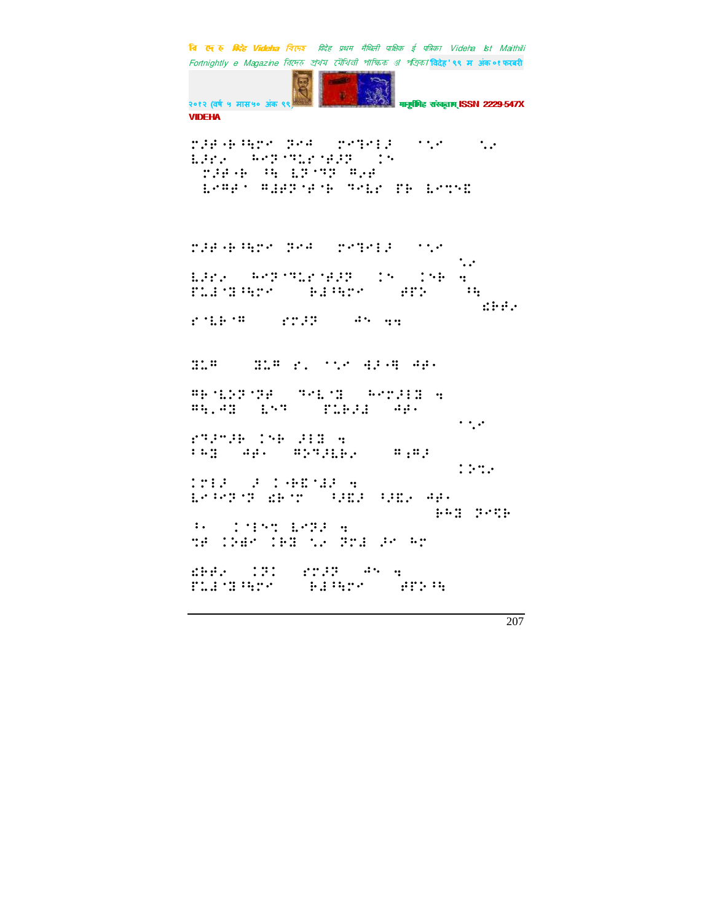मनूर्वनिह संस्कृतम् ISSN 2229-547X २०१२ (वर्ष ५ मास५० अंब **VIDEHA** 선생님은 마음에 걸어서 이번에 대한 이 시간에 있다. LES BRETENTER  $\mathbb{R}^n$ **THE WAY THE SERVE** temps manying mean re-temper rae (Barel 1940) retead only  $\dddot{\phantom{0}}$ . EPPA CORPORATION OF CONFIGUR  $\cdots$ **Similar** ribu 3737 (2009) H.W. H.W. M. M. H.W. H.W. #FARTYF #4.4 WYREA  $\cdot$  ... **PAPE DE 311 +**  $1222$ **TOOL CONSULTS** L'OTO ENT GRES GRES 48. **BAS SYSP** Be first ESPA a nd Char (BS %) Thi ar An deel (191) role (45) e FLISHER BIGHT STEEL

बि एक स्टेड Videha विएक विदेह प्रथम मैथिली पाक्षिक ई पत्रिका Videha Ist Maithili Fortnightly e Magazine রিদেত প্রথম মৌথিনী পাক্ষিক প্র পত্রিকা' বিदेह' ९९ म अंक०९ फरबरी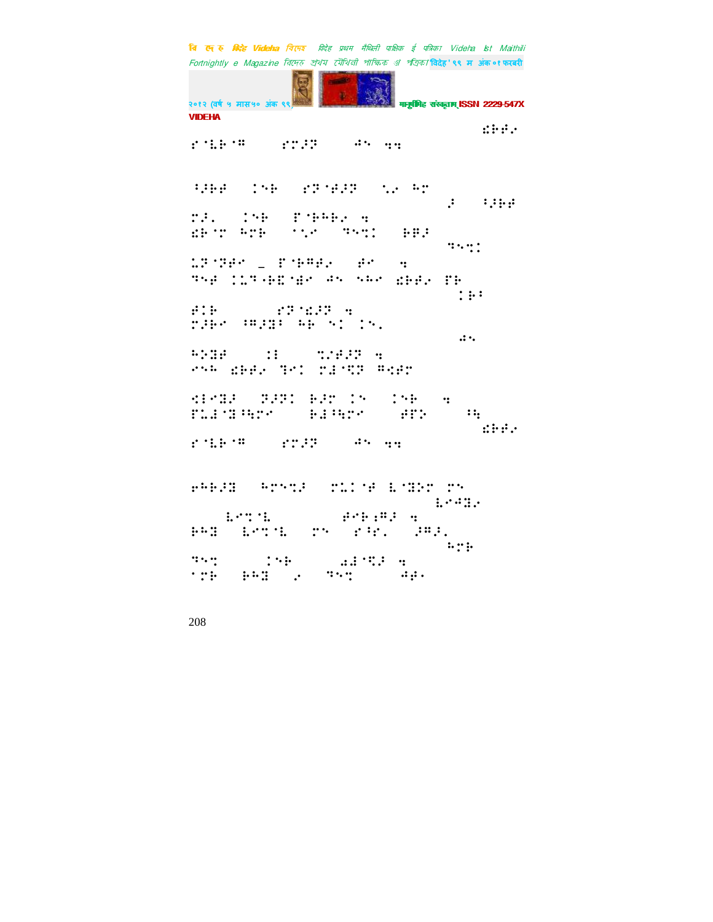बि एक स्टेड Videha विएक विदेह प्रथम मैथिली पाक्षिक ई पत्रिका Videha Ist Maithili Fortnightly e Magazine রিদেত প্রথম মৌথিনী পাক্ষিক প্র পত্রিকা' বিदेह' ९९ म अंक०९ फरबरी २०१२ (वर्ष ५ मास५० मानुबंधिह संस्कृताम् ISSN 2229-547X **VIDEHA** shee rust control and the sea SHE INF STORE IN WH  $\mathcal{F} = \mathcal{F}$ TA. THE POPPER ST detrolere the man:  $\ddots$  :  $\mathbf{u}$ LP (PAK) \_ P (PARE) = AK ()  $\dddot{\bullet}$ THE CLIPPED HE AN NAM WEEK TE  $\mathbf{1}$  : EIR (1972-1978)<br>1988: HABI AR SI IS.  $\mathbf{a}$ . **AND : 11 THE 4 PAR EREA TAI CEATE RARD** KIKIP PPD BPD 15 (158 %)<br>FLIMPHOK (BIPPO) PPD  $\cdots$ diff rings research PRESS ROOM COUNTY LOOK ON  $1.443.$  $\#\mathcal{C}\models\#\mathcal{C}\models\mathcal{C}$  $1.45111$ **PRI LOTE TO PROVISION**  $\ldots$  :  $\cdots$  $\mathbb{R}^{n+1}$  $\mathbf{a} \mathbf{B} \mathbf{C} \mathbf{C} \mathbf{A} \mathbf{C} \mathbf{C}$ **SEATER SEATS TANK**  $\cdot$  ri- $\ldots$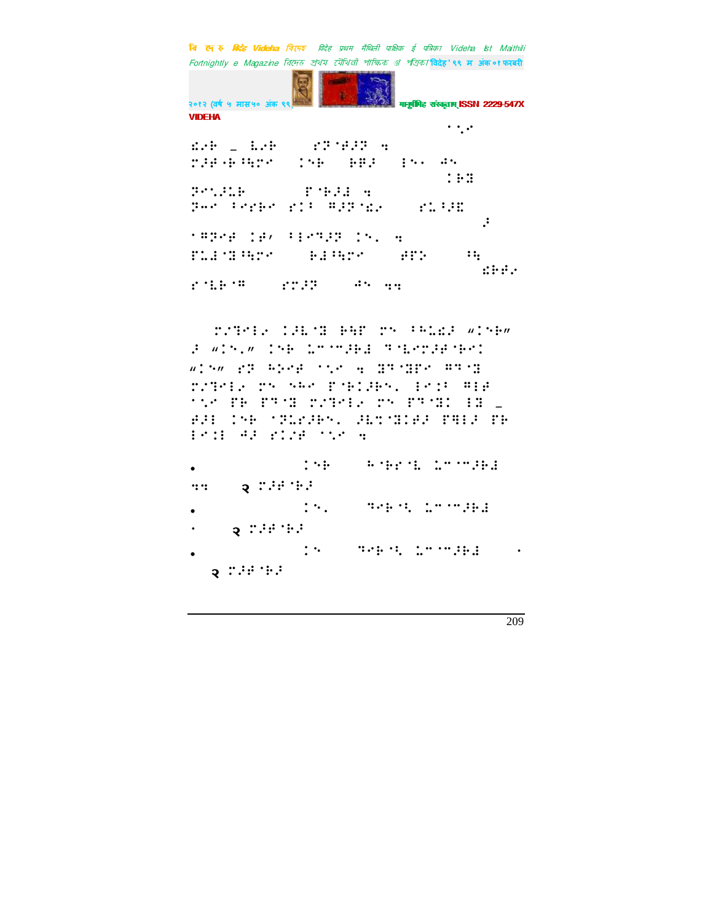२०१२ (वर्ष ५ मास५ मानुबंधिह संस्कृताम् ISSN 2229-547X **VIDEHA**  $\cdot$  .  $\mathbb{R}\times\mathbb{R}^n=\mathbb{R}\times\mathbb{R}^n$  $\mathcal{L}(\mathbb{R}^n) \cong \mathbb{R}^n \times \mathbb{R}^n$ 236 000 256 000 000 000 000  $: 99$ Pendide **TEAM** Per Preprodito AdPort  $\mathbf{r}$  :  $\mathbf{r}$  $\cdot$ 

 $\pm$  8308 (30) (30) (30) (30) (30)  $\mathbf{a}$ ristre asset so  $\mathbf{r}: \mathbf{r}: \mathbf{r}$ riku rit ava

TIME INFORMED TO PRINT WITH Factor Director Sales Street wing an about the a manufacturer of DZBALA DN NAM BARIJEN, LAJP ALE **MARY PROPERTY IN PROBABLE** AN TH TRANS ARTHUR PHILT PAIR 42 SIDE TO 8 8

 $\mathbb{R}^{n+1}$ **Ending the Communistic Constitution**  $\mathbf{Q}$  with the  $\mathbf{Q}$  $\cdot$ :  $\cdot$ : **THERE IN WITHI**  $\mathbb{R}^{n}$  $\bullet$  $\mathbf{Q}$   $\mathbf{H}^{\text{H}}$   $\mathbf{H}^{\text{H}}$   $\mathbf{H}^{\text{H}}$  $\mathbb{R}^n$ **CONSTRUCTION**  $Q$   $\mathbb{R}^{2}$   $\mathbb{R}^{2}$   $\mathbb{R}^{2}$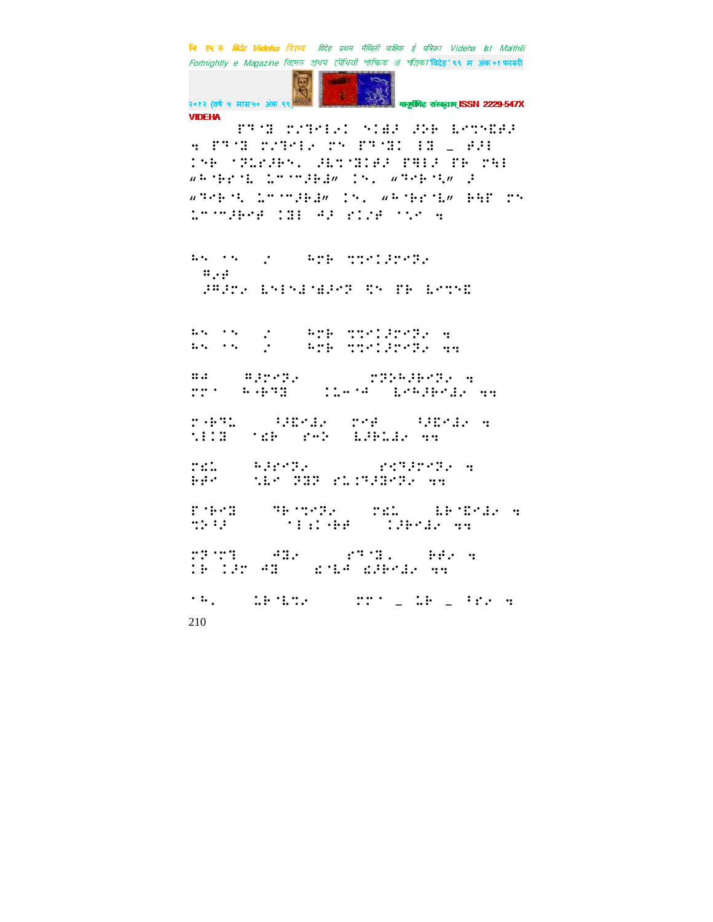

।<br>| गानुधीनेह संस्कृताम् ISSN 2229-547X

FROM MUSEUM COMPANY REPORTS R PRESIDENT PRESIDENT **THE TRIVIES, JEVINGE PHIS TE VAL** where  $\mathbb{E}[\mathbb{E}[\mathbb{E}[\mathbb{E}[\mathbb{E}[\mathbb{E}[\mathbb{E}[\mathbb{E}[\mathbb{E}[\mathbb{E}[\mathbb{E}[\mathbb{E}[\mathbb{E}[\mathbb{E}[\mathbb{E}[\mathbb{E}[\mathbb{E}[\mathbb{E}[\mathbb{E}[\mathbb{E}[\mathbb{E}[\mathbb{E}[\mathbb{E}[\mathbb{E}[\mathbb{E}[\mathbb{E}[\mathbb{E}[\mathbb{E}[\mathbb{E}[\mathbb{E}[\mathbb{E}[\mathbb{E}[\mathbb{E}[\mathbb{E}[\mathbb{E}[\mathbb{$ where increases in whire is reported Chinaped CH: 43 rich tir 4

An in 2008 App distance  $\mathbf{a}$ SPRING ENERGYMENT TROLL ENTRE

an in 2008 app docleped a

sa sprepe rprepera .<br>rri egno

rakti (førslag ref) (førslag).<br>NETRO Møks reformationer

 $\mathbb{R}^n$  $\mathcal{L} = \{ \mathcal{L} \mathcal{L} \mathcal{L} \mathcal{L} \mathcal{L} \mathcal{L} \mathcal{L} \}$ 

 $F = 100.3$  $\mathcal{I}(\mathbb{R}^n)$  is a strictly in the set of  $\mathcal{I}(\mathbb{R}^n)$ 9671–1922 – India Albricale A<br>Stilicief – 1996–1924  $22.33 - 1.5$ 

rdiri (412) (rigil Bel<br>19 19: 41 (rigil Belede Be **STAR SERVICE** 

**SALE LEMAN CONTROL LE L'ARCHE** 

210

**VIDEHA**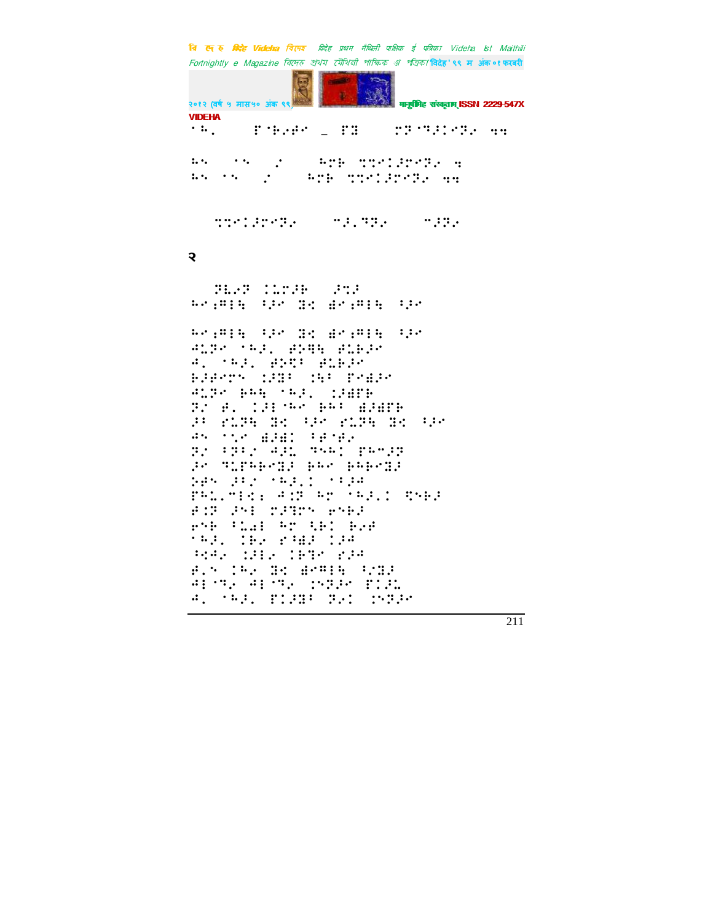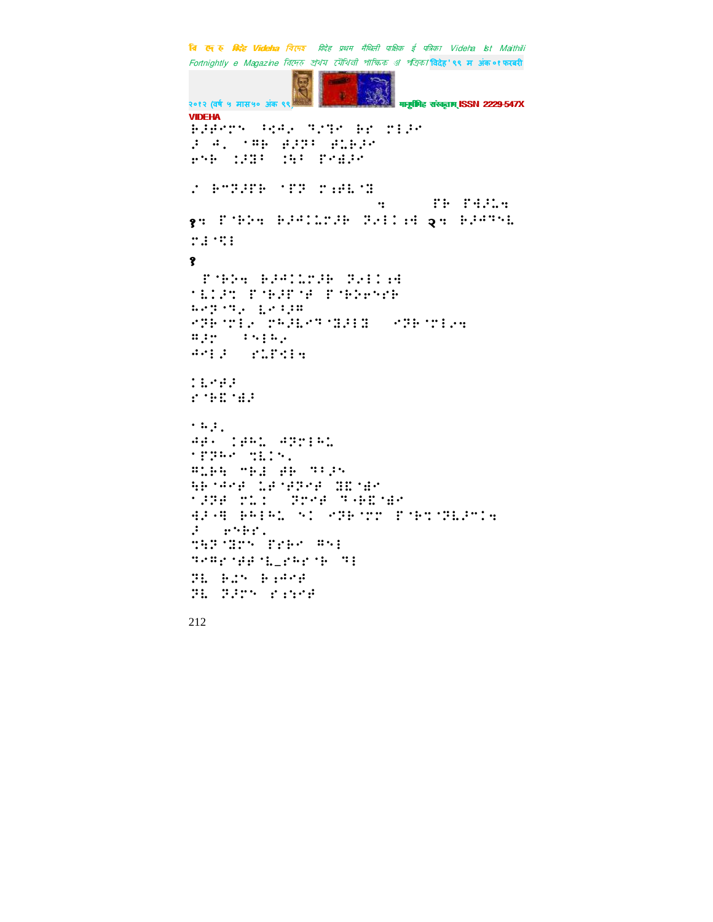```
चि एत् रू मिन्हे Videha निएन्थ विदेह प्रथम मैथिली पाक्षिक ई पत्रिका Videha Ist Maithili
Fortnightly e Magazine বিদেত প্ৰথম মৌথিনী পাক্ষিক প্ৰ' পত্ৰিকা'<mark>বিदेह' ९९ म अंक०१ फरबरी</mark>
                        COMPANY
२०१२ (वष ५ मास५० अंक ९९) मानुषीिमह संकृताम्ISSN 2229-547X 
VIDEHA 
⢷⢼⢾!⢸⣊⢺⢴!⢹4⣙!⢷"!5⢼!
\vdash 4. THE BRB BIRD
⢶⢷!⣈⢼⣝!⣈⣓!2⣞⢼!
4!⢷a⢽⢼2⢷!2⢽!⣐⢾⣇⣝!
                               he discussed by the control of the control of the control of the control of the control of the control of the <br>Experimental control of the control of the control of the control of the control of the control of the control
१⣒!2⢷⢵⣒!⢷⢼⢺⣅⢼⢷!⢽⢴5⣐⣚!२⣒!⢷⢼⢺⢹⣇!
⣜⣋5!
१
 !2⢷⢵⣒!⢷⢼⢺⣅⢼⢷!⢽⢴5⣐⣚!
⣇⢼⣉!2⢷⢼2⢾!2⢷⢵⢶"⢷!
⢳⢽⢹⢴!⣇⢸⢼⢻!
⢽⢷5⢴!⢳⢼⣇⢹⣝⢼5⣝-!⢽⢷5⢴⣒!
B(f) = 1.5f(1.5)SATIST STATES
⣇⢾⢼.!
"⢷⣏⣞⢼!
\cdot E_{\rm eff}GP: 1991 SP:10.
2⢽⢳!⣉⣇E!
⢻⣅⢷⣓.a⢷⣜!⢾⢷!⢹⢼!
⣓⢷⢺⢾.⣅⢾⢾⢽⢾!⣝⣏⣞!
⢼⢽⢾!⣅⣈-!⢽⢾!⢹B⢷⣏⣞!
⣚⢼B⣛!⢷⢳5⢳⣅!!⢽⢷!2⢷⣉⢽⣇⢼a⣒!
\mathcal{F} = \mathcal{F}^* \mathcal{F} \mathcal{F}.
⣉⣓⢽⣝!2"⢷!⢻5!
⢹⢻"⢾⢾⣇–"⢳"⢷.⢹5!
⢽⣇!⢷⣌!⢷⣐⢺⢾!
P : The state P
```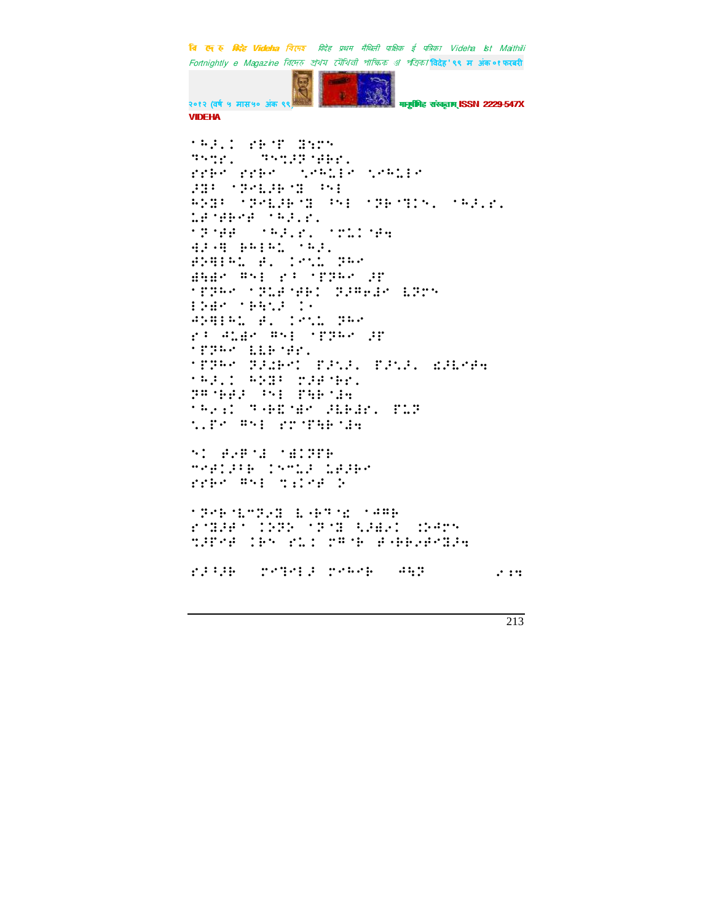

मानूबंगिह संस्कृतम् ISSN 2229-547X २०१२ (वर्ष ५ मास५० ३ **VIDEHA** 

**THAIR SENT HATM** Thur. Thursday. rrBo rrBo (Somila Somila **SHOWERS 1980** PRESIDENT PROTECTIVE SPACE. MORE-MARINE **TERM TREE STATES** 42.4 BMS (82. BARA B. College Bar mar ra crow or **TERRY TELEMBER BURGUN LETT** 1985 (1952) 19<br>Aberel Blockhill Ber go and map oppar gr **TERM LEPTE.** \*TPR\* BRIEFI TRUE TRUE ERREN **SARIO AND SPRESS** proper by partie 'West THRIB' HARRY TOP tire and grounded. **ST BARYA YELDER** medicing completed rren #si miles 2 **196818-928 L-PTM 1986** rimar (1973) (Fig. 42421) (1942)

MAPAR TEN SIL MARKE BABELBARA

ranam (regera remember 1992) (1993)  $\mathbf{r}$  :

 $\overline{213}$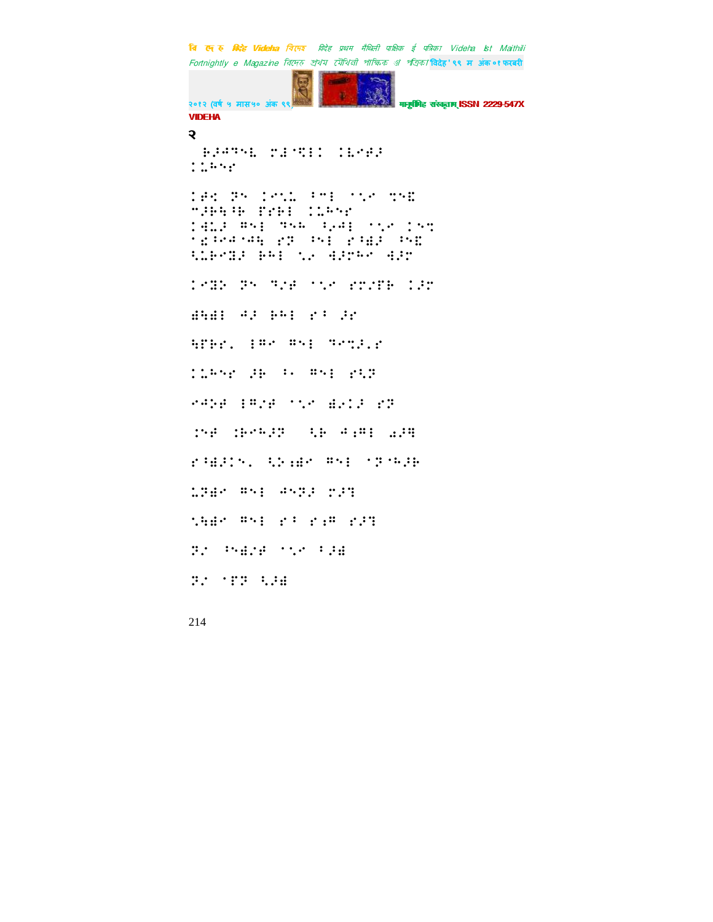चि एत् रू मिन्हे Videha निएन्थ विदेह प्रथम मैथिली पाक्षिक ई पत्रिका Videha Ist Maithili Fortnightly e Magazine বিদেত প্ৰথম মৌথিনী পাক্ষিক প্ৰ' পত্ৰিকা'<mark>বিदेह' ९९ म अंक०१ फरबरी</mark>



1982 75 728 128 2228 128 12

⣞⣓⣞5!⢺⢼!⢷⢳5!"⢸!⢼"!!

**APE: 185 851 551 551** 

∷ikre je po mrej poz

⢺⢵⢾!5⢻4⢾!⣁!⣞⢴⢼!"⢽!!

⣈⢾.⣈⢷⢳⢼⢽-!⣃⢷!⢺⣐⢻5.⣔⢼⣛!!

"⢸⣞⢼E!⣃⢵⣐⣞!⢻5!⢽⢳⢼⢷!!

1785 #51 #522 723

⣁⣓⣞!⢻5!"⢸!"⣐⢻."⢼⣙!!

 $\mathbb{R}^2$  . Then  $\mathbb{R}^2$  is the state of

**22 122 522** 

214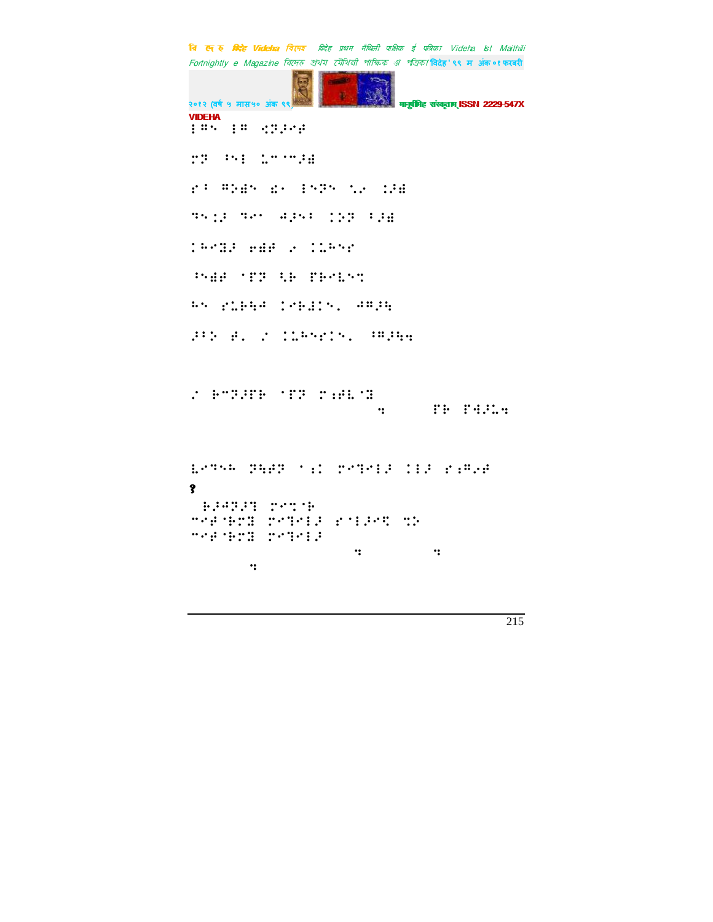बि एक स्टेड Videha विएक विदेह प्रथम मैथिली पाक्षिक ई पत्रिका Videha Ist Maithili Fortnightly e Magazine রিদেত প্রথম মৌথিনী পাক্ষিক প্র পত্রিকা **বিदेह' ९९ म अंक ०१ फरबरी** २०१२ (वर्ष ५ मास५० अं मानुबंधिह संस्कृताम् ISSN 2229-547X **VIDEHA** pas pa grade **22 141 18928** r: When he from the the 3512 385 4256 122 528 **COMOS PAR 2 COMPS PAR TELL SE TRINT** 85 PLEAS (PRICH, SWER STR B. 2 CLEATR, WEBS **MARKET START PARKS Example 1995**  $\dddot{\bullet}$ ESTAR TRET SAL CSTSER IER KARAR  $\mathbf{r}$ **BOOKS** Print THE SETE OF THE STATE OF TH **MARINE MARIE**  $\dddot{\bullet}$  $\mathcal{L}_{\mathbf{C}}$  $\dddot{\cdot}$ 

 $\overline{215}$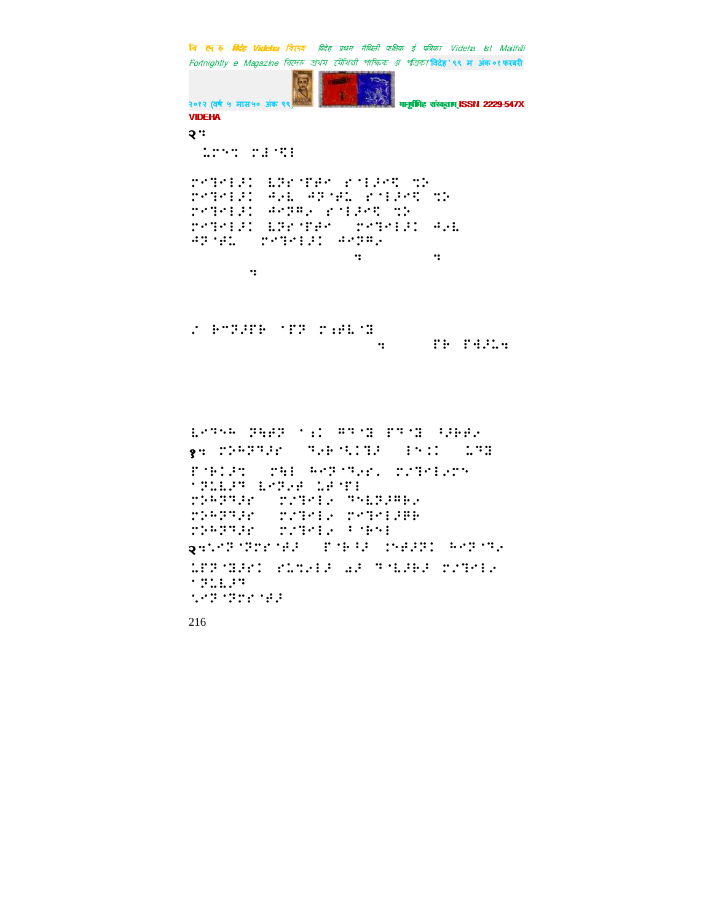चि एत् रू मिन्हे Videha निएन्थ विदेह प्रथम मैथिली पाक्षिक ई पत्रिका Videha Ist Maithili Fortnightly e Magazine বিদেত প্ৰথম মৌথিনী পাক্ষিক প্ৰ' পত্ৰিকা'<mark>বিदेह' ९९ म अंक०१ फरबरी</mark> २०१२ (वर्ष ५ मास५० अंक ९९) मानुषि संस्कृतिह संस्कृतम् ISSN 2229-547X VIDEHA 216 २ $"$ !⣅⣉!⣜⣋5! ⣙5⢼!⣇⢽"2⢾!"5⢼⣋!⣉⢵! ⣙5⢼!⢺⢴⣇.⢺⢽⢾⣅!"5⢼⣋!⣉⢵! ⣙5⢼!⢺⢽⢻⢴!"5⢼⣋!⣉⢵! ⣙5⢼!⣇⢽"2⢾0!⣙5⢼!⢺⢴⣇! ⢺⢽⢾⣅0!⣙5⢼!⢺⢽⢻⢴!! )iuuqt;00tjuftigta dhpphmfdpn0b0w jefib.dpn0wjefib.qbjoujoht.com 4!⢷a⢽⢼2⢷!2⢽!⣐⢾⣇⣝! hhbkfoesbAwjefib⣒dpn!2⢷!2⣚⢼⣅⣒! ⣇⢹⢳!⢽⣓⢾⢽!⣐!⢻⢹⣝.2⢹⣝!⢸⢼⢷⢾⢴! १⣒!⢵⢳⢽⢹⢼"!)⢹⢴⢷⣃⣙⢼\*;5⣈;!⣅⢹⣝! 2⢷⢼⣉!)⣓5!⢳⢽⢹⢴"E!4⣙5⢴! ⢽⣅⣇⢼⢹!⣇⢽⢴⢾!⣅⢾25\*! ⢵⢳⢽⢹⢼"!)4⣙5⢴.⢹⣇⢽⢼⢻⢷⢴\*! ⢵⢳⢽⢹⢼"!)4⣙5⢴.⣙5⢼⢿⢷\*! ⢵⢳⢽⢹⢼"!)4⣙5⢴.⢷5\*! २⣒⣁⢽⢽"⢾⢼.!2⢷⢸⢼!⣈⢾⢼⢽!⢳⢽⢹⢴!  $2$ ⢽⣅⣇⢼⢹! ⣁⢽⢽"⢾⢼!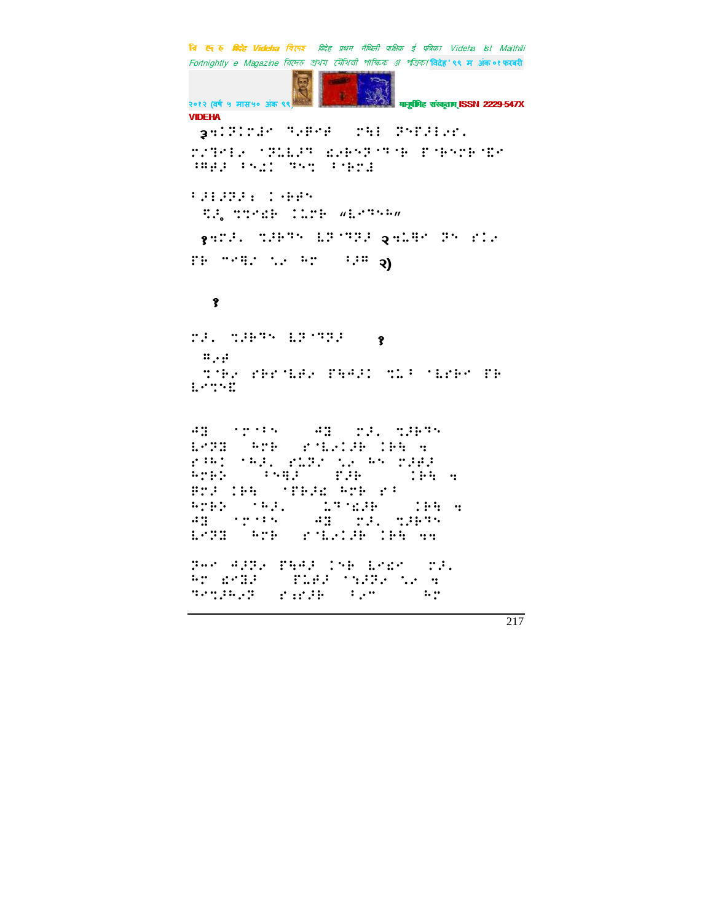

galBirds SeBor (251 Bondier, TITER TELEVISING THE PAPERT HER SAME TAT STEPH

**FILING CONFIDENT** SE TREE CLIP WESTER gard, these areas gales by ric FROM THE SAME RECORDS

# $\mathbf{\hat{z}}$

**TEL THERE ER THE 4**  $\mathbb{R}^n$ THE SEPTER PEAK TO PARE TR ERNINE

**42 (2015) 42 23 23575** ESTI ATE POLECIE CHE 4 randomas ruggos, no ragg 5262 (1982) EJB (1967) Bra 164 (TBar<sup>lo</sup>rn r) ATEN TAGO CITARE CHA 4 98 (1975) - 98 (1922) 1987)<br>Erds (516) - 2012–1987 1987

368 4332 PRAP 158 ESES (23. RT RANK (TIME SANCTION)  $\cdots$ Sendar reda tr

 $\frac{217}{ }$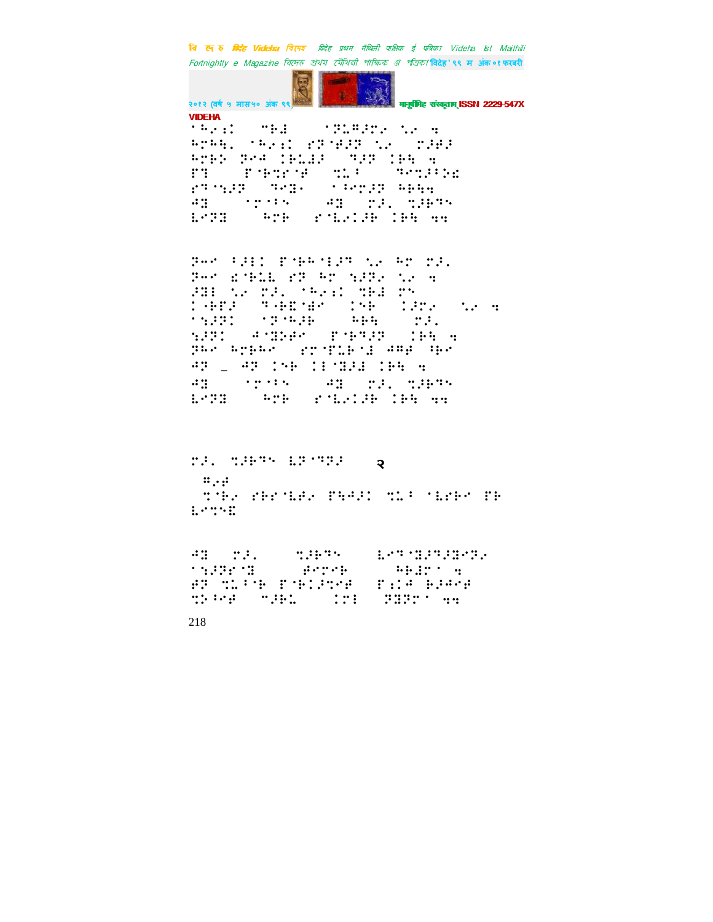## २०१२ (वर्ष ५ मास५० अंक ९ **VIDEHA**



मानूबंगिह संस्कृतम् ISSN 2229-547X

 $\cdot$  :  $\cdot$  : : : **STORIES NAME**  $\cdots$  is defined as ROGE, TRANS PROBREMA (2000) 5762 764 18182 - 737 186 4 and the service **CONTROL** gangga akhi sagaalahay **STATE STATE STATE**  $\mathbf{a}$ **SPREAD ROLLER CONTROL**  $\mathbf{1.322}$ 

Ter FAIL POPENIATOR RESTA Per schlauer er afre den FIR NA TAL SPARE TRE TY CAPA (PAPENGA CIARCIana (na G<br>NGANO (PANAPO) APA (CIARC  $\mathbb{R}^{n}$  , where  $\mathbb{R}^{n}$  $1.4911$ APROVAMENTO POPULA (PROV PRO ROBRO (POSTLESE ARE PRO #P \_ #P 15B 117B2B 1BH +  $4\%$  $\begin{minipage}{.4\linewidth} \begin{tabular}{l} \hline \multicolumn{3}{c}{\textbf{0.4.1}} \end{tabular} \end{minipage} \begin{minipage}{.4\linewidth} \begin{tabular}{l} \hline \multicolumn{3}{c}{\textbf{0.4.1}} \end{tabular} \end{minipage} \begin{minipage}{.4\linewidth} \begin{tabular}{l} \hline \multicolumn{3}{c}{\textbf{0.4.1}} \end{tabular} \end{minipage} \end{minipage} \begin{minipage}{.4\linewidth} \begin{tabular}{l} \hline \multicolumn{3}{c}{\textbf{0.4.1}} \end{tabular}$ **SEPRE POLICIPE CREATE**  $1.433 - 1.000$ 

THE THEFT ERSTER SA  $\mathbf{a}$ . STORY PRESERVATIONS STATES TRANSPORT

ESTAR

 $41 - 11$ . **MARK BERGERIE MANUAL PROPERTY**  $-$  49.12  $+$  4 ST TIPE PRIZES Tild Blder mend the control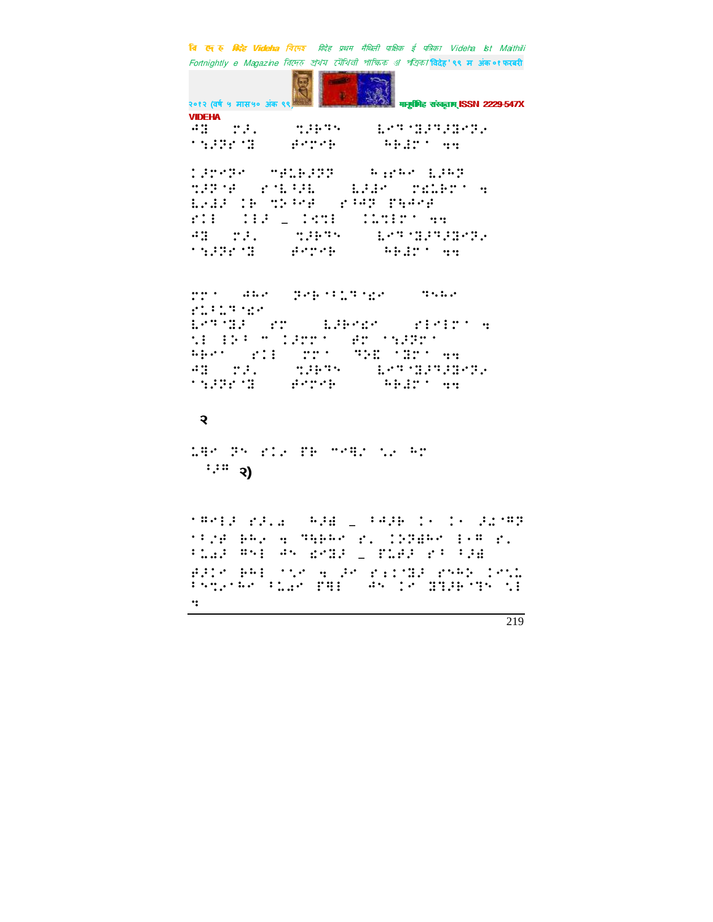$\mathbf{R}$ 180 Profile PROTOCOL AT  $\therefore$   $\therefore$  3) 18512 PALE (528 \_ 558 C) 13 PAINT tize bay a Maban r. 1998an 198 r. FLAP RHE RN WHIP \_ FLEP PP FPH BRICK BREAKING WAS SERVED STREET INTO Pengede Proge PH: Cas is BHDB-78 M:

mr (468) personnel some and the fact of ESTAR ET ERRET FRAGTA ME BRACH CATTLE AT CAPRO REACT FILE TO THE THE CHANNEL al pli dies Testasies.<br>1922–18 erre

**MARKET MARKET** nazira eragako azar heleni e.<br>Azagonegiaren egun hegea rli (113 \_ 1371) (12117) An 98 22. SAPA (1957-19728-2)<br>1922-18 Profes (1968-1970)

**AND SERVICE SERVICES AND SERVICES**  $\mathcal{G}$ २०१२ (वर्ष ५ मास५० अंक ९९ **VIDEHA**  $42 - 22$ . a geografia ( **Service Service Service** 

**Service** 



219

 $\dddot{\phantom{a}}$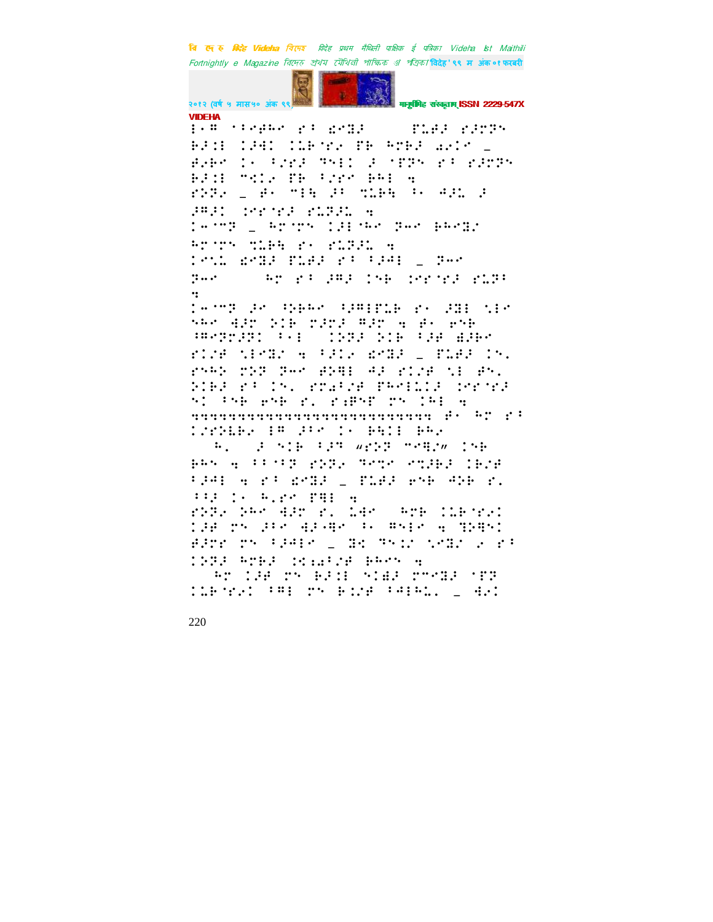

मानुबंधिह संस्कृतम् ISSN 2229-547X

२०१२ (वर्ष ५ मास५० अंक ९९ **VIDEHA** 

post created and additional **TEAR PROPE** BRIDGE COMMON TRANSPORTS BARA TA PINER MARI DI SPRA PROPINS BRIDGE THE PERSON BRIDGE PRES 2 HOUSE PROPERTY ARE P PRI STYP MIRE 4 Increase are the Californ deed Bandin **Bonder Caption Construction** <u> Maria Anglica (m. 1918)</u>  $\mathbb{R}^n$ SAM PROPERTYPE OVERESTING  $\dddotsc$  $\dddot{\cdot}$ TACHE PROGRAM GRAINLE PROVINCING SAR APP NIE PROF ART A AS ASE amerika (111 (112) bay ta ang

rice within a fifty broad i field in. PARE PER RAY BEND AR PICH SE BA. PIER ST IN, STATUE PROBLEM OOP MU SI PSE PSE PL PARSE TS IRE A **TANGER IN SPACE BELL BRA** 

 $\mathcal{H}_1 = \{ \mathcal{H}_1 \mathcal{H}_2 \mathcal{H}_3 \mathcal{H}_4 \mathcal{H}_5 \} \text{ with } \mathcal{H}_1 \mathcal{H}_2 \mathcal{H}_3 \mathcal{H}_4 \mathcal{H}_5 \mathcal{H}_6 \mathcal{H}_7 \mathcal{H}_8 \mathcal{H}_9 \mathcal{H}_9 \mathcal{H}_9 \mathcal{H}_9 \mathcal{H}_9 \mathcal{H}_9 \mathcal{H}_9 \mathcal{H}_9 \mathcal{H}_9 \mathcal{H}_9 \mathcal{H}_9 \mathcal{H}_9 \mathcal{H}_9 \mathcal{H}_9 \mathcal{H}_9 \mathcal{H}_9$ phone control structure supply these tid: e ri roll \_ TLAI ene die r. **FOR 19 HOPPY PRESS** 

reds employer richer ("mrm (116/rs) tig region given the server grant FROM ON FRAID 2018 THIN NORTH 2018 **TOO HTEE MODELS EACH 4** 

**Ar CAP TN BACE NOWA THANK YTP** TIRYS (FA) THE THE RIVE FAIRLY 2002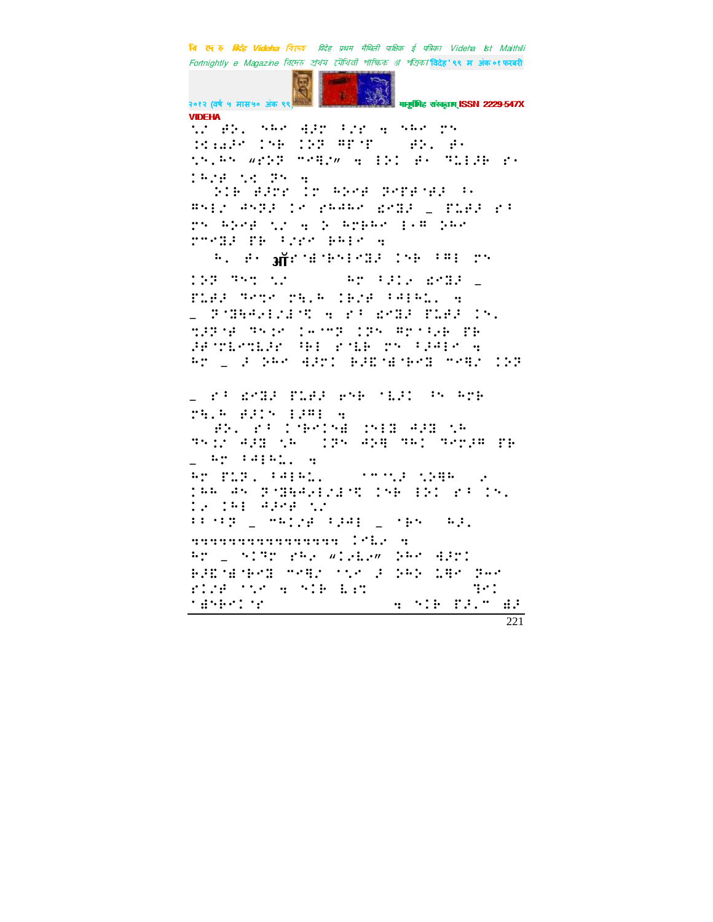thing with media a life as miller re

BIB ARTY IT AGAR TATA-AR IN Brigary (2019) (Page 2013) [ PLAT 23

B. B. Wright Concert Communication

 $\frac{1}{2}$  ,  $\frac{1}{2}$  ,  $\frac{1}{2}$  ,  $\frac{1}{2}$  ,  $\frac{1}{2}$  ,  $\frac{1}{2}$  ,  $\frac{1}{2}$  ,  $\frac{1}{2}$  ,  $\frac{1}{2}$ 

rs Aber of 4 b Arbae 198 bae

FLAR TOTO TELEVISING PAIRLE A

rnell fr the belo w

th Br. See ART Fre a See ps Ready InfoINT WE'T will do you

मानुबंधिह संस्कृताम् ISSN 2229-547X

२०१२ (वर्ष ५ मास५० अंक ९

TRIA SE PROA

**1980 RMM 1980** 

**VIDEHA** 

\_ FMBARINER & PRESENCE IN man me sa the same of the same that the Bernbenber Abt ande nachtenen Ar \_ P SAR HPP: BPD BORTHO TREN CSP \_ r: profile field and cold ( ) are **TH.A HILL INTI 4** i and an Inestra (1983-923) in<br>This ago in City and Thi Terge th  $\frac{1}{2}$  is independent of  $\frac{1}{2}$ RO PLE. FAIRL. COMMISSION TAA AN POBBASEZEND INF ENI KATUNG **1. 101 4108 11** FEMP 2 MAINE FRAME 2 MBN 0 RP. **\*\*\*\*\*\*\*\*\*\*\*\*\*\*\*\*\*\*\*\*\*\*\*\*\*\*\*\*\*\*\*\*** Ar \_ SIRP PAR wirden DAR 4221

BADYBYBYT MYRT TYM 3 DAD 188 SAM  $\dddot{\mathbf{z}}$ FINE THAN HOME EST 4 MIB 33.7 AP **Maneral Service** 

 $\overline{221}$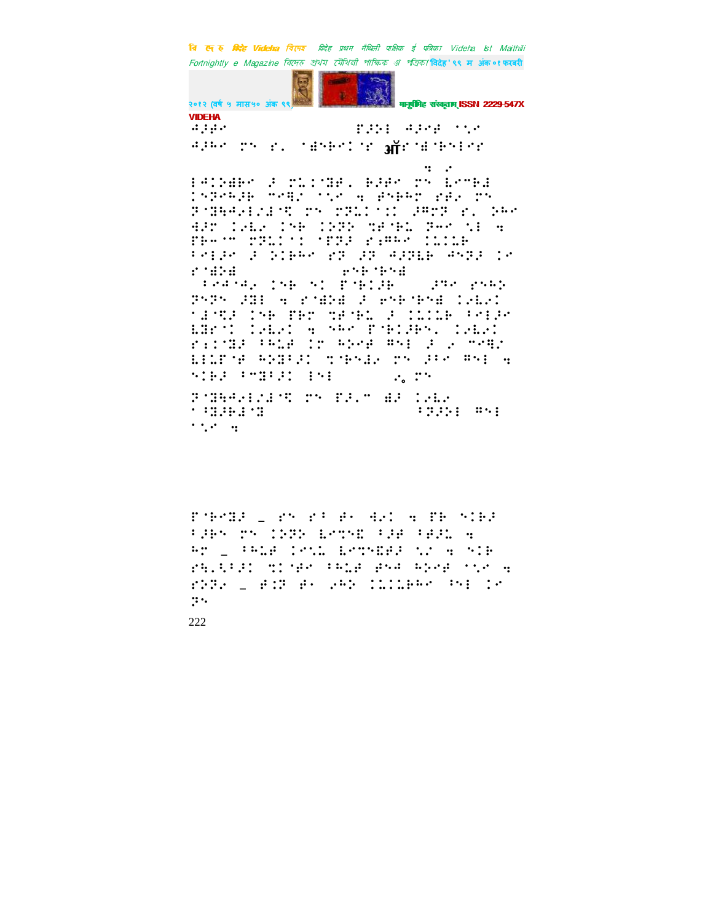

मानुबंधिह संस्कृताम् ISSN 2229-547X

**VIDEHA**  $3.3.3.7$ 

२०१२ (वर्ष ५ मास५० अंक

PRS: APPROXIMA

Added the risk of Branch or and the target

 $\mathbf{H}$ PAINBRO 2 CLIMBS P2PO DN ESTER CAPARE MARY TOA A PARRO PRO DA POBALLICE TY TRICOL JATE C. DAY 420 lebe 196 ligi dengan gerupa yang Prije a bibbr 23 as Addib Anga ir **Sending Service** r dhe **Search the St Biblie**  $\begin{array}{c} \begin{array}{c} \text{13.1}\end{array} & \begin{array}{c} \text{15.1}\end{array} \end{array}$ 3535 281 A PORTA 2 PSP 950 12121 SEPRESIME PER MEMBLO FOLIGE FREES DERI A SAM PSEIRS, IRER Editor: riche (Gield dr. Giel And Jack Her ETCP'H ANDRAI C'HALE CA ARA RAI 4 **SIBE PRINT ISE**  $\mathcal{L}_{\bullet}$  . The set of  $\mathcal{L}_{\bullet}$ 

FORMALISM TO THE MAN DALK  $1329413$ 1935: #51  $\mathcal{L}$  ,  $\mathcal{L}$  , and  $\mathcal{L}$ 

PORTH \_ PS PR #+ 421 + PR SIRP FRANCY CORPORATOR FRANCH Ar \_ (Ale loui bornee un a nie ralaka minggunang pada ayan nya 4 8998 \_ #39 #6 245 ILILAHA PSE 18  $\mathbf{B}$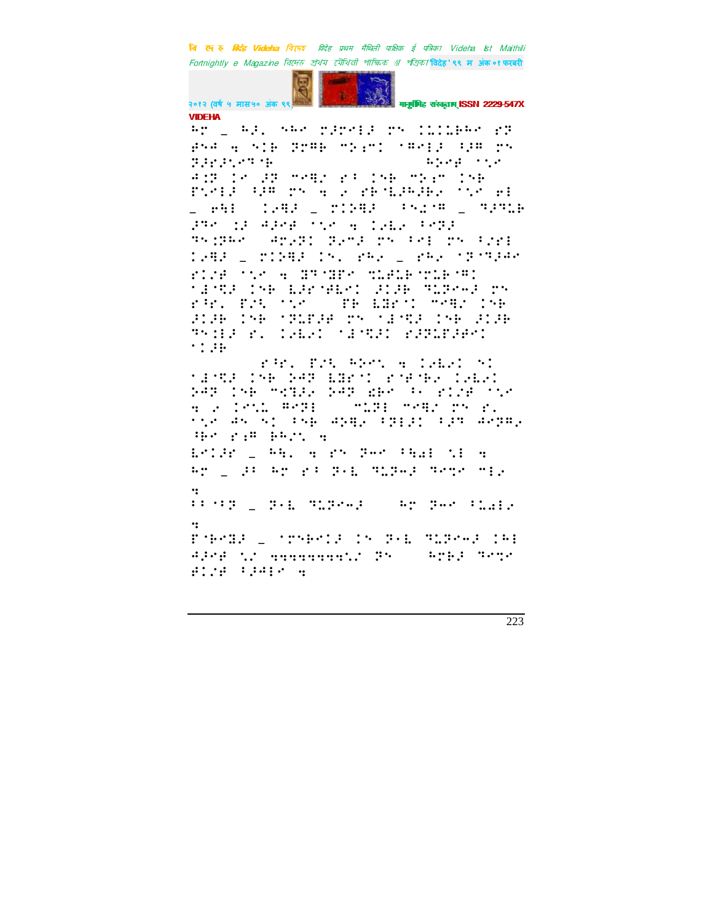

मानुबंधिह संस्कृताम् ISSN 2229-547X

### **VIDEHA**

RM 2 RF. SRM MEMBER MS ININFRA WE Proton (1918) Street Steams (1981) Fire the **BEECHANGE**  $\mathcal{L}(\mathcal{L},\mathcal{F},\mathcal{L})=\mathcal{L}(\mathcal{F},\mathcal{F})$ AND CALLED MARY RAILING MEET CHE. PUSE OF THE WORLD PERSONAL STATE  $\mathbb{L}$  and constructions there is a second control. PRO 12 8288 118 & 1212 F872 The SPACE CONTRACT CONTRACT AND RECEIVED A SERIES TVB2 \_ TIPB2 In. The \_ The SPP-Par FILE TIP & HTTHE TUBLETTIET tarta 156 martemat alam Alakwa ps FARI TIME TO STEP ENERGY THAT INF FOR THE MELEVER MARKETINE FORE TRIE E. LALAT SESERI ESTATARI  $\cdot$  : ...

FRED PARTNERS AT LABEL ST narta 196 bez barni roedea labâ.<br>195 înformata 195 abe de rive niv **BOOK STATE** the as spoke and cropping conserved Springer part of

ESTAY \_ PRI A PROTHOL PRI ME A ago di agogli più strani sege ella FROM LORE MIRRAR COMPORER REALS  $\dddot{\cdot}$ 

PORTH \_ STORYLE IN THE TETPAR INE Alse to aggagageto Processel Prov arra chara 4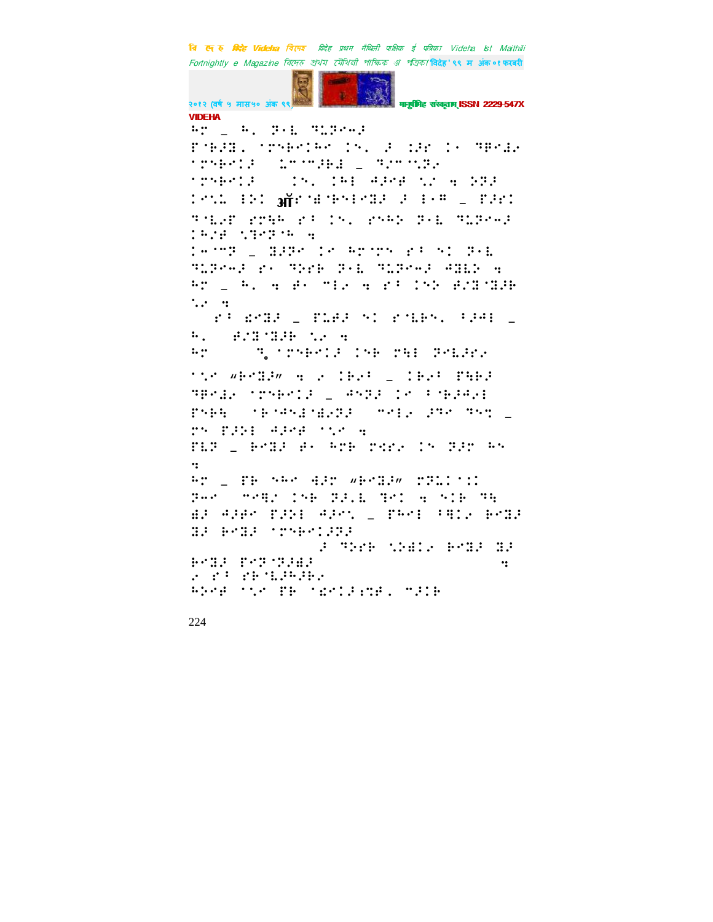मानूबंगिह संस्कृताम् ISSN 2229-547X २०१२ (वर्ष ५ मास५० अंक **VIDEHA**  $\mathbb{R}\mathbb{M} \subseteq \mathbb{R}$  . For which  $\mathbb{M}$ ESPARING TOMPATERS IN LOCAL LAST IN THREE **SPERIE COMMED 2 SPENER** *Properties* **STAL THE APPROXIMATION** 1951 FRI WESTERFORD FOR 2 FRI THEFT PORT PROTOCO PART TOE TETHING TACHE \_ BARK TROADCOM BACKERE TERMA PA TREE RAL TERMA AHER 4 RESERVE BY MEASURE INFORMATION  $\ddots$   $\ddots$ **And Reduce Profile Strategy (1941)**  $\ddot{a}$ .  $\mathbf{L}$  : Systemetrics (SB) 251 Seminar the westle and level like family SPARE STORAGE CONSTRUCTION PROPERTY Pres (terandrave) made 200 055 L rn fini Alek tir a FLF \_ POIP P+ PTP TOOK IN TPT PN  $\bullet\bullet$ RT \_ TR SRP HRT WRCHEW TILL'IN PHP (2008) 198 PRIE 901 & 518 98 AF APPA BRS: APPN 2 BRA: PAIR BRS: HA BRID STREETING **S THE THIS PAIR IS** Bens reretrage  $\cdot$ :  $\mathcal{L}$  and an expected in the state of  $\mathcal{L}$ REAR TO THE MENTERN PECH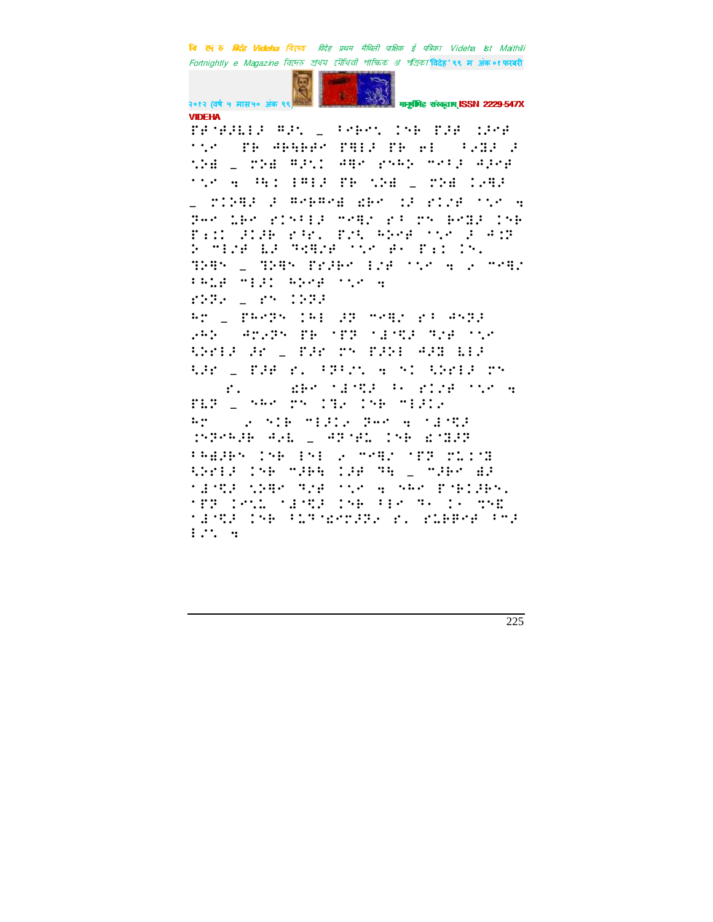



PROBLEM APV 2 Porch 156 PPR (Por TAK TE HEER THIS TE FE SANS S the government age read weak aper. the A HillBox De new 2008 1982 <u>2 dings s gregore enrolled bird throug</u> BAR LES FINADA MERIN FA PN BERD INE PACK STORY PARK POSSESS AND STATE POMINE LA PRAINE SOM ARCEILLON. THEN 2 THEN FRIEN FOR THE SACTORY PALE MISS REME TO A FRA 2 FR 1999 Ap \_ PAPPS (A) (P) medic r = 4592 pan agons na sprisgend nga sos WHIP AN 2 TAN TH TANK AAR WAR the gound of the south that a most **SEPTIME POSSESSOR**  $\mathbf{r}$ HAR 2 MAR TR THE THE MEANS RESOURCES PERSON BAR AUTHORI 1536636 421 \_ 43181 156 didde PAGGES ISB ISI & MARY TER MILLER SPEED 198 MORR 108 MR 2 MORM BD rdings the modeling and popular TER CHILD SEPERTINE FER THOSE THE **MARKET CHECK AND MARKET STATES AND STATES ARE SERVED AND ARRAY ARE SERVED AND ARRAY ARRAY ARRAY ARRAY ARRAY ARR**  $\frac{1}{2}$   $\frac{1}{2}$   $\frac{1}{2}$   $\frac{1}{2}$   $\frac{1}{2}$   $\frac{1}{2}$   $\frac{1}{2}$   $\frac{1}{2}$   $\frac{1}{2}$   $\frac{1}{2}$   $\frac{1}{2}$   $\frac{1}{2}$   $\frac{1}{2}$   $\frac{1}{2}$   $\frac{1}{2}$   $\frac{1}{2}$   $\frac{1}{2}$   $\frac{1}{2}$   $\frac{1}{2}$   $\frac{1}{2}$   $\frac{1}{2}$   $\frac{1}{2}$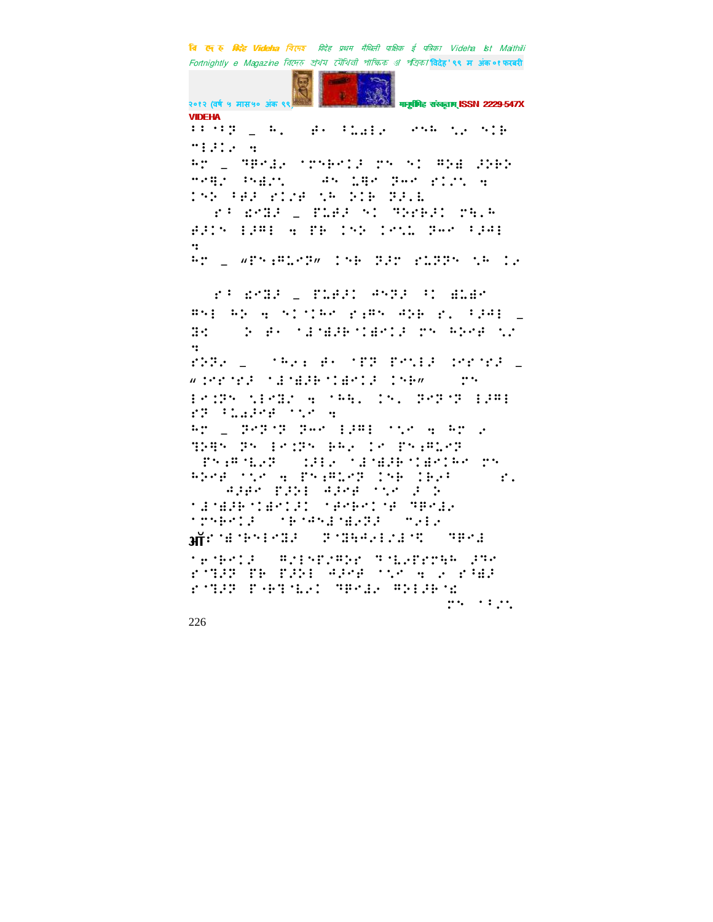

**VIDEHA** FROM 2 R. PROGRAM CONFORMATE misis a RE \_ MBRAR STREPLE TRONG WEB 2000 and the fact states of  $\mathbf{H} \times \mathbf{H} \times \mathbf{H} \times \mathbf{H} \times \mathbf{H} \times \mathbf{H} \times \mathbf{H} \times \mathbf{H} \times \mathbf{H} \times \mathbf{H} \times \mathbf{H} \times \mathbf{H} \times \mathbf{H} \times \mathbf{H} \times \mathbf{H} \times \mathbf{H} \times \mathbf{H} \times \mathbf{H} \times \mathbf{H} \times \mathbf{H} \times \mathbf{H} \times \mathbf{H} \times \mathbf{H} \times \mathbf{H} \times \mathbf{H} \times \mathbf{H} \times \mathbf{H} \times \mathbf{$ 152 FBF R128 SR 218 BRIE **An Exist Lottes by TheBs: MA.A** BRIN ERWE A TR 195 1951 TAX TAX FRA  $\dddot{\mathbf{r}}$ RE \_ WINERSTA INF REP PLRPN NR IS an and I made and o dian #51 42 4 51 104 23#5 426 21 (241) **SEARCH SEARCH SEARCH SEARCH SEARCH SEARCH SEARCH SEARCH SEARCH SEARCH SEARCH SEARCH SEARCH SEARCH SEARCH SEARCH**  $\mathbb{R}$  . The set of  $\mathbb{R}$ 

 $\dddot{\mathbf{r}}$ PREAL STATE POSTER POIR CONSOL windows of managements in the co  $\cdots$ POINT SPOINT AT THE TIME IMPORTED film and the state RE \_ POP P PAC 1981 (1981 4 RE 2 TORS TO PRINCE BELL TRIPS HEAT **The mass of the condition of the second second second second second second second second second second second** REAR TO A PRESENT INFORMATION  $\mathbf{r}$  :  $\mathbf{r}$ Addr Bdd Adre thr P D **MINER MENTED SPARED NE MERLE STARKIS SEMANINERS MAIR** When the transfer the position of the control of the control of the control of the control of the control of the control of the control of the control of the control of the control of the control of the control of the cont Senedi Walshabe Shienge (San

FORESTRO PART ARMA SOME 2018 MAR FTHE PARTNEL TRANS TRING  $\mathbf{r}$  .  $\mathbf{r}$  .  $\mathbf{r}$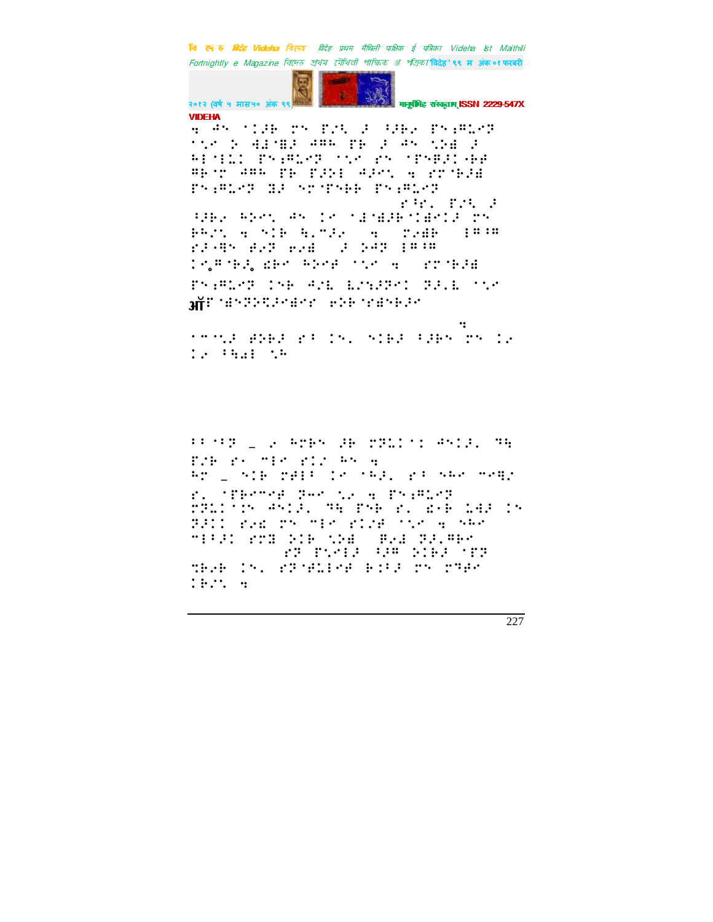चि एत् रू मिन्हे Videha निएन्थ विदेह प्रथम मैथिली पाक्षिक ई पत्रिका Videha Ist Maithili Fortnightly e Magazine বিদেত প্ৰথম মৌথিনী পাক্ষিক প্ৰ' পত্ৰিকা'<mark>বিदेह' ९९ म अंक०१ फरबरी</mark>



२०१२ (वर्ष ५ मास५० अंक ९९) मानुषि संस्कृतिह संस्कृतम् ISSN 2229-547X

# VIDEHA

⣒!⢺!⢼⢷!!24⣃!⢼!⢸⢼⢷⢴!2⣐⢻⣅⢽! ⣁!⢵!⣚⣜⣟⢼!⢺⢻⢳!2⢷!⢼!⢺!⣁⢵⣞!⢼!  $55$  The Property of the Section of the Property of the Property of the Property of the Property of the Property of the Property of the Property of the Property of the Property of the Property of the Property of the Proper ⢻⢷!⢺⢻⢳!2⢷!2⢼⢵5!⢺⢼⣁!⣒!"⢷⢼⣞!

2⣐⢻⣅⢽!⣝⢼!2⢷⢷!2⣐⢻⣅⢽! )Fnqfsps!qfohvjo\*!"⢸"E!24⣃!⢼! J.Bel Rock an installed ten<br>Prins a nie Almies as moeen (1998 HAN : HON : YOH : BUTER "⢼B⣛!⢾⢴⢽!⢶⢴⣞\*!⢼!⢵⢺⢽!5⢻⢸⢻!46! ॰⢻⢷⢼॰ ⣎⢷!⢳⢵⢾!⣁!⣒!!"⢷⢼⣞!

2⣐⢻⣅⢽!⢷!⢺4⣇!⣇4⣑⢼⢽!⢽⢼E⣇!⣁!  $\overrightarrow{u}$ i 's 's belief in the set of the set of the set of the set of the set of the set of the set of the set

)Batter (Batter General)Batter (Batter General) an nif area af this nief faen an tis  $: . . . . ; . . . .$ 

 $\overline{17}$  (12)  $\overline{17}$   $\overline{17}$  (14)  $\overline{17}$  (14)  $\overline{17}$  (14)  $\overline{17}$  (14)  $\overline{17}$  (14)  $\overline{17}$ P2B Profile Pic Pic And  $\frac{1}{2}$  , will define the state of the state of the state of the state of the state of the state of the state of  $E$  : There is no constructed in the second second in the second second in the second second in the second second in the second second in  $\mathbb{R}^2$ ⢽⣅⣈!⢺⢼E!⢹⣓!2⢷!"E!⣎c⢷!⣅⣚⢼!! BRIT FAR THE TEA FIRE TO A SAR a5⢼!"⣝!⢵⢷!⣁⢵⣞.!⢿⢴⣜!⢽⢼E⢻⢷! )Ubjm\*!!"⢽!2⣁5⢼!⢸⢼⢻!⢵⢷⢼!2⢽! ⣉⢷⢴⢷!E!"⢽⢾⣅5⢾!⢷⣈⢼!!⢹⢾! : ::: :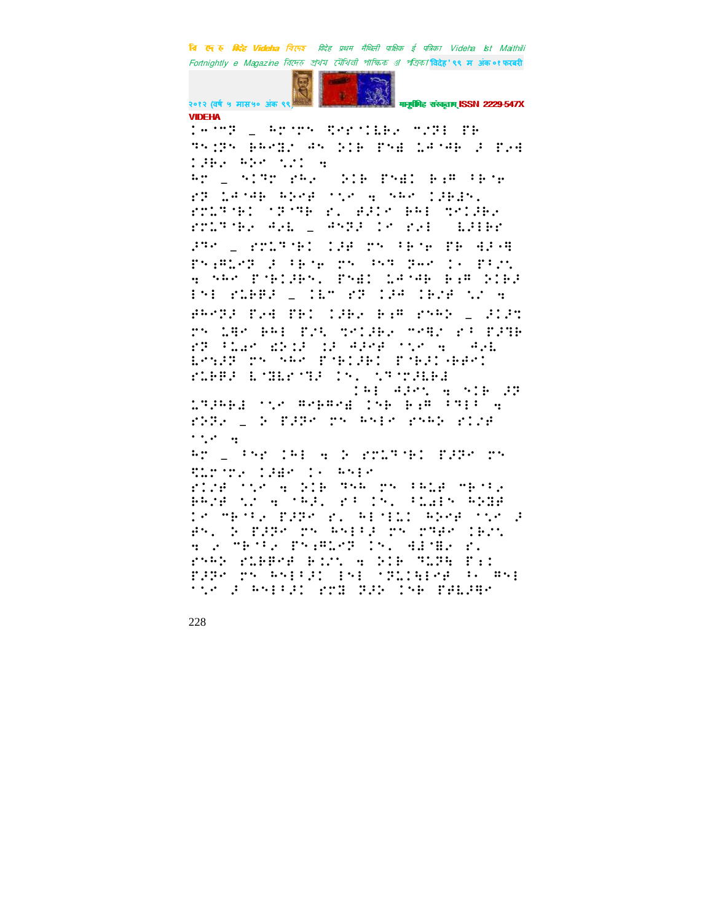

मानुबंधिह संस्कृताम् ISSN 2229-547X

### **VIDEHA**

२०१२ (वर्ष ५ मास५० अंक ९९

Industry Province Capture (2008) TR Third Bengin and Side Pha Lange (Ford) 1382 ADP 521 9 RM 2 SIRM PRE SID PSHI BER PROF rd lange work to a new libin. rnith: 'Pote r. Alle belongike FTLT TEACHER (2005) IS TANKED a sa ba PRO 2 PENTADO DE PROFESO PEORDA Primary a term by the Ben Constant A SAR PORTAGO, PSAI LASAR RAN DIRE PH RLABA \_ MAT RR CAR CARE N2 4 PROTECTED IN THE FAR PARK 2 JUNE rn 186 BAE POL SKIPER SKRIFT PIPER PROPERTY RESEARCH TO A SALE ESSAY TH NAM POBLAND POBACHAMI FIRE STRETCH IN STORES an ang ang ang ang 1936-1 str Report the BiR Pape of robert in control and more than the record  $\mathcal{F}(\mathcal{F}_1,\mathcal{F}_2)$  , and  $\mathbf{a}$ *\_* Par IAE & D roll'Al FJPM om SLP TE (1985) IS AND C rice the 4 Sim The residence that the BRIE NI A MRAV PROTHU PLAIN RIER TROMBURG BERK BLOWERED WERE STANDED Br. 2 FRR Tr Rrig Tr TRE TEM. HOROTETER INSPIRED IN CHIMEROPY ryky riegyf birt a 210 Migh Pit FRIE TO ROLLEY IN CIRCUITY ROUND tic PASHER FT THE THETHE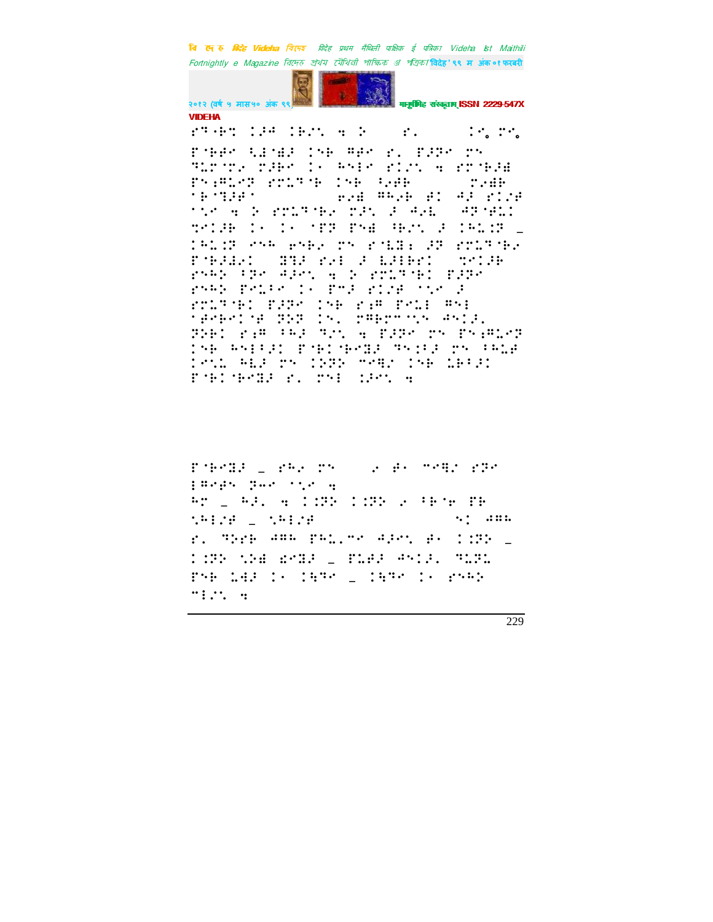

२०१२ (वर्ष ५ मास५० अंक ९९ **VIDEHA** 

मानुमिंह संस्कृतम् ISSN 2229-547X

PROBLEM INTERNATIONAL こうしにかい

Poben Kanad (nb Aen el Padro en Rings Tabello belo rici a rrobam ry:Aler rolling the Geb.  $\ldots$ **p.d #6.0 01 42 rt:0**  $18.2341$ the a bostinger file down  $\rightarrow$   $\cdots$ WORK IS IS MER ENE REMOVE INSURE IRDIE SAR EARS ON POLE: 22 POLESKA **STRACH A LARED COORD** Portale: PARK FRAGGEN ALD PELTAL FREM PARK PALES IN PMP PICE TOO P rnite: ESP (SP r.# Poll #5) ference are the amendon mote. BEED FOR THE TOOL A FIRE TO PROPERT 158 ASIAN PORTOGRAD SSON 25 CALE isin and by the some the never FORTHWEET, THE GROUP

PORTER I PARTICH (P. B. MORE PRO properties that the sea Ar \_ AR, a life life > Teve TE  $\ddot{\cdot}$  :  $\ddot{\cdot}$  : SPECH \_ SPECH r. The ABA PALINK APM AN INTEL **THE CHOONER ISSUE ANIEL TIME** PHP LAP IX IAPP \_ IAPP IX PHAP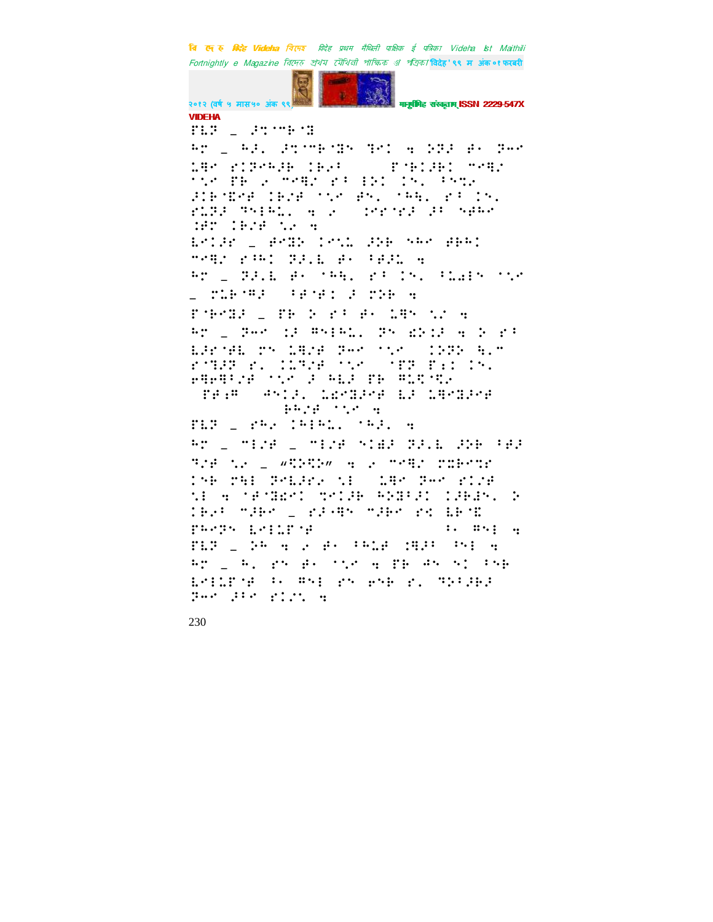

मानुबंधिह संस्कृताम् ISSN 2229-547X

 $\begin{array}{lll} \textbf{11.11} & \textbf{12.131} & \textbf{13.131} \\ \textbf{14.141} & \textbf{14.131} & \textbf{14.131} \\ \textbf{15.141} & \textbf{16.131} & \textbf{17.131} & \textbf{18.131} \\ \textbf{18.141} & \textbf{18.131} & \textbf{18.131} & \textbf{18.131} \\ \textbf{19.151} & \textbf{19.131} & \textbf{19.131} & \textbf{19.13$ Ap 2 Ad, dermands det a Spa ak par 186 PIRAGG IBAR ( PALIBI MAR) the PROS medicine (PRIOR) (Sensity FIRMENT CROB STATES (SPRINGER IN) PLEA THING, A 2000 PROPER SHAPE HT IESE NA S BRIEF \_ PROD IRED AND READ MARY PART BELL BY ABEL A RT \_ FRIE #+ TREV #F IN. FLWEN TOP  $\perp$  sirver (February 2015)  $\pm$ FORCE \_ FROM PORT AROUND A RE \_ PAR OF PRIRE, PROBECT 4 PORT ESPARE TROLEUM PHASTICAL CORPORAT<br>PATES PLOIDENMONTAGE TRE PAINING **PRPIESE TO FAILER TE TOTS** TEST ANDE LENGRAF LE LUNGRAF BR28 1121 9 HIP \_ PRA (PIRL) (RE) A RM 2 MINE 2 MINE STAR PALE ADE FER The to I which a construction IMP THE POLICY NEW **ABY SHE STAR** the redmark order explaintable in TEAR MORE 2 POSSES MORE PROBECT PROPR LOCATOR  $\cdots$   $\cdots$   $\cdots$ HS \_ W + , # (Wie MP) WE +  $\mathcal{H}_{\mathcal{D}}^{(n)}\equiv\left\langle\mathcal{H}_{\mathcal{D}}^{(n)}\right\rangle\left\langle\mathcal{D}^{(n)}\right\rangle\left\langle\mathcal{H}_{\mathcal{D}}^{(n)}\right\rangle\left\langle\mathcal{H}_{\mathcal{D}}^{(n)}\right\rangle\left\langle\mathcal{H}_{\mathcal{D}}^{(n)}\right\rangle\left\langle\mathcal{H}_{\mathcal{D}}^{(n)}\right\rangle\left\langle\mathcal{H}_{\mathcal{D}}^{(n)}\right\rangle\left\langle\mathcal{H}_{\mathcal{D}}^{(n)}\right\rangle$ ESERTA PORT PO POR PLOTERE 348 BR SIN 8

230

**VIDEHA**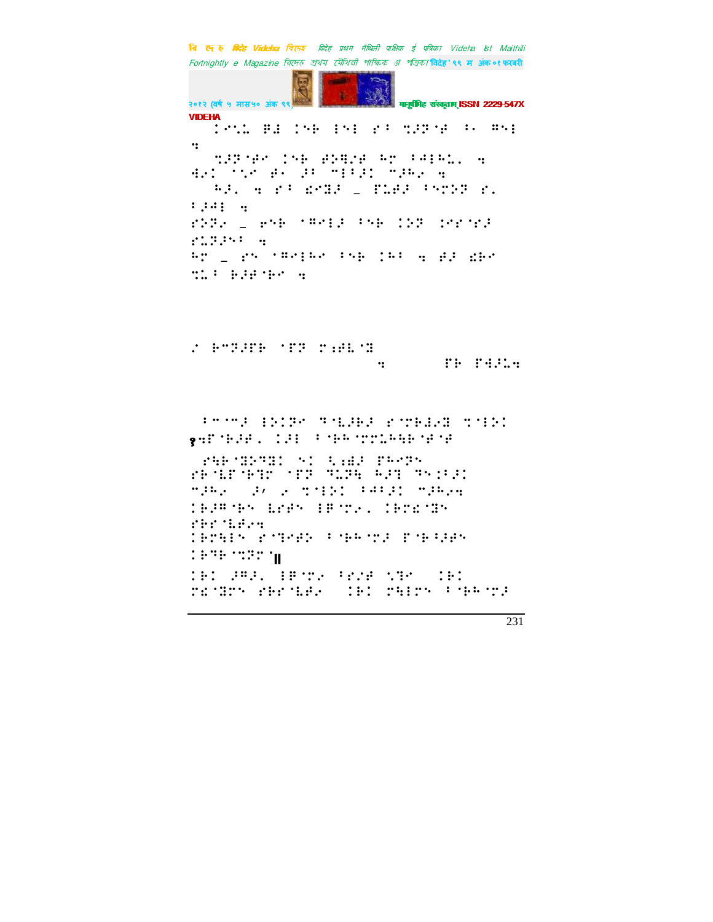```
बि एक रु मिनेट Videha विएक विदेह प्रथम मैथिली पाक्षिक ई पत्रिका Videha Ist Maithili
Fortnightly e Magazine রিদেত প্রথম মৌথিনী পাক্ষিক প্র পত্রিকা বিदेह' ९९ म अंक ०१ फरबरी
```

```
२०१२ (वर्ष ५ मास५० अंक
                           मानूबंगिह संस्कृताम् ISSN 2229-547X
VIDEHA
  TRID BE THE ENE PROMIBING AN WHI
\dddot{\mathbf{z}}THE NEW THE BIBLE AT PAIRL. A
akiliné ak delegar egakla
  ARL A PROBREY PLAR PATHERS.
\ddot{a}FRIE L'ESPOSTAGIA PSP (PROGRAM)
richt 4
Ap _ ps (Arque Psp jar 4 B) groupe
MIP BEFINDER
```

```
A BACHING AND MANUSCRY
                                  \cdots \cdots \cdots\cdot:
```

```
From BOS TEARS PORTS TEAR
partner, 19: Postcherner
 FAR METHODS (S. S.A.P. PREPR
PROMISSION OFFICIAL RESOURCES
MARY ACTOR WAS PROPERTY
CEOPER LEAR IBSTAL CETESTS
```

```
che filmen
TETHIN POTORY PORTUBUR HARRY
1979-1122.1m
```
rendro secuel (191 reproduced)

IBI PAR. BETTY PETE NTM (IBI

```
231
```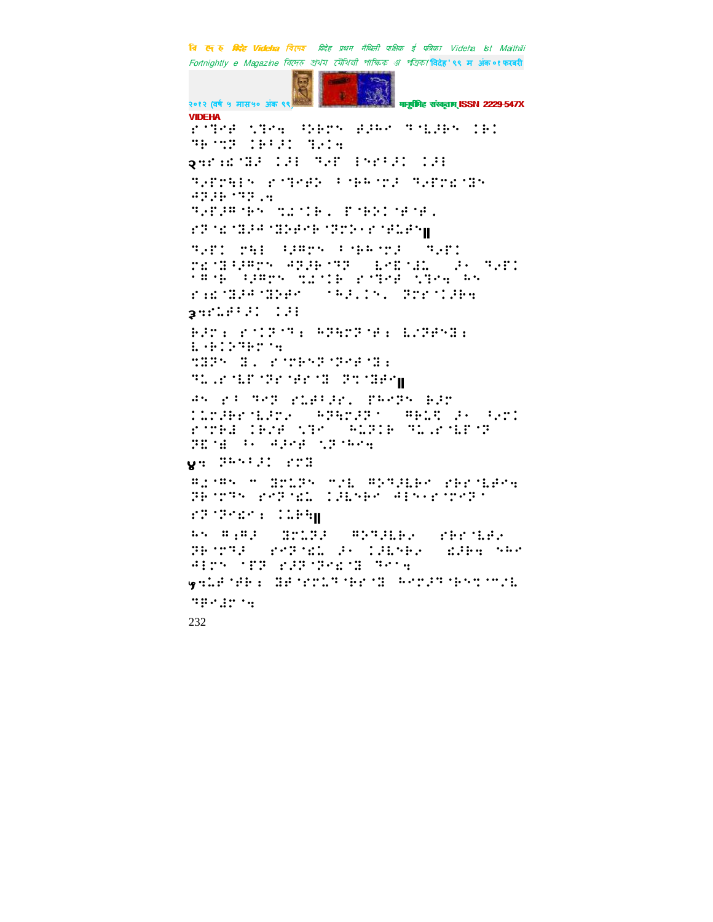**Separate** 

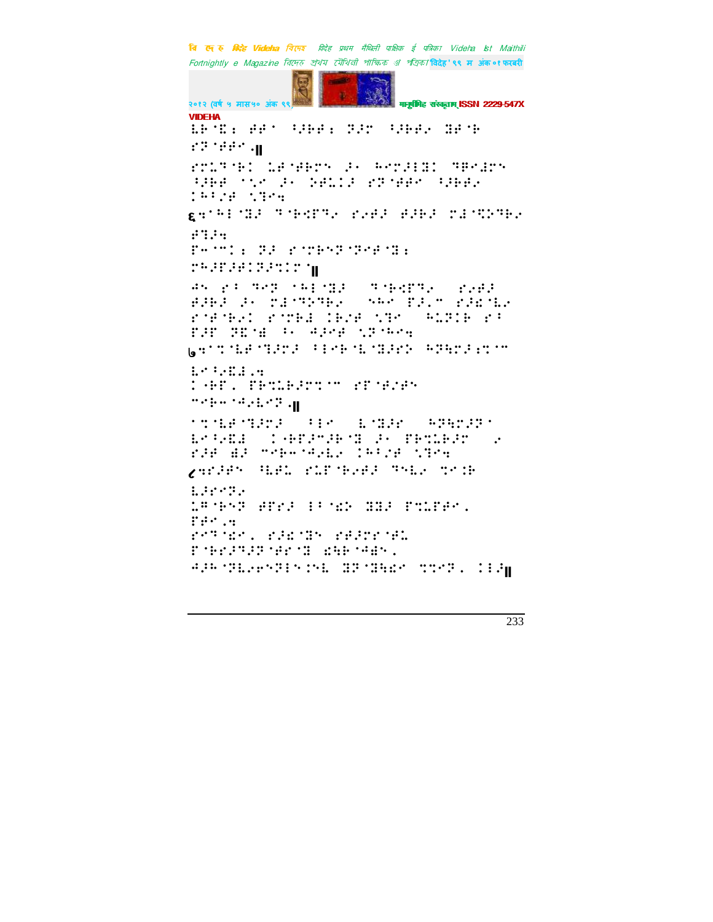२०१२ (वर्ष ५ मास५० अंक मानुबंधिह संस्कृताम् ISSN 2229-547X **VIDEHA** MPH: APT SMART 725 SPARE MATH  $\mathbb{R}^{n+1}$  is the sum rolade: Ledebon di Anoles: aprilon BRA TO POSSIBLE STORE BRA 19328 5389 gaint the scholars, and department  $111111$ Feinleiß anterstützeit. 252020000001 an ya menye midigi as promedioarchy (morente pref.)<br>APR Politachemer (saeconelectronica) roford rocks drug the SADDE re EST PENE POSPER SPORT WANTER THE FIRE ENTRY STEPHEN ESPECIAL DAR. BROGENS STAND mental capacity of **STARTED HR ENGIN APAREN** ESPECIAL CONSTRUCTS CONTROLLED  $\ddot{\phantom{0}}$ rde di nebenezia (Pire Stee ZAPIES (BEL PLEMERE TALK TO B ESPACE. LEMPHY HIMS IN MAY HIS PRING. Fire ... rether, recommended rienske britten

**APP MERRYTH YOU AN MARY MOVE. ITEM** 

बि एक रु मिनेट Videha विएक विदेह प्रथम मैथिली पाक्षिक ई पत्रिका Videha Ist Maithili Fortnightly e Magazine রিদেত প্রথম মৌথিনী পাক্ষিক প্র পত্রিকা **বিदेह' ९९ म अंक ०१ फरबरी**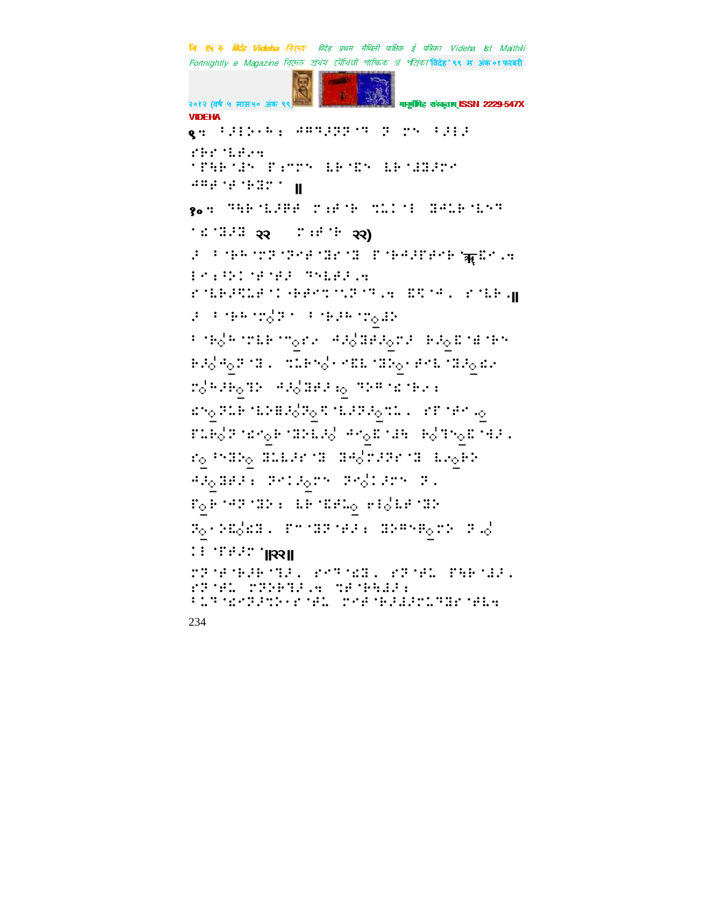२०१२ (वर्ष ५ मास५० अंक मानुबंधिह संस्कृतम् ISSN 2229-547X **VIDEHA** es (212) A. ARTITIST F. 25 (211) che theles **TEARING FAMILY LENGTH LENGTHEN ARP 18 19 22 1 11** gon Theologie reacher miller delection  $\therefore$   $\therefore$   $\therefore$   $\therefore$   $\therefore$   $\therefore$   $\therefore$   $\therefore$   $\therefore$  35) 2003 de concrete car cal a de estade de la Printernal Symphon PORFIELE O HERO OSTORIE EDOPLI PORFIN  $\mathcal{P}$  , the map is a relation of s dede mae morzi istodaetont i etoja neder  $\mathbb{H}\mathbb{P}^1_0\mathbb{H}_0\mathbb{P}^1\mathbb{H}$  . Independent the subset of the subset  $\mathbb{P}^{1,1}_{0}\oplus\mathbb{P}^{1,1}_{0}\oplus\mathbb{P}^{1,1}_{0}\oplus\mathbb{P}^{1,2}_{0}\oplus\mathbb{P}^{1,1}_{0}\oplus\mathbb{P}^{1,1}_{0}\oplus\mathbb{P}^{1,1}_{0}\oplus\mathbb{P}^{1,1}_{0}\oplus\mathbb{P}^{1,1}_{0}\oplus\mathbb{P}^{1,1}_{0}\oplus\mathbb{P}^{1,1}_{0}\oplus\mathbb{P}^{1,1}_{0}\oplus\mathbb{P}^{1,1}_{0}\oplus\mathbb{P}^{1,1}_{0}\oplus\mathbb{P}^{1,1$  $\mathbb{C} \cap_{\mathcal{O}} \mathbb{P} \mathbb{Z} \oplus \mathbb{C} \mathbb{E} \cap \mathbb{E} \cap \mathbb{P} \oplus \mathbb{P} \oplus \mathbb{C} \subset \mathbb{C} \cup \mathbb{C} \neq \mathbb{C} \cap \mathbb{C} \subset \mathbb{C} \subset \mathbb{C} \cap \mathbb{C} \subset \mathbb{C} \subset \mathbb{C} \subset \mathbb{C} \subset \mathbb{C} \subset \mathbb{C} \subset \mathbb{C} \subset \mathbb{C} \subset \mathbb{C} \subset \mathbb{C} \subset \mathbb{C} \subset \mathbb{C$ amega vasoe vapadag sessa vae sessas per sept  $\sigma_0$  to special section is sequenced and special HAGBAR: PriAGON Provense P.  $T_0$ Poter which he which right wh  $\mathbb{P}_{\mathcal{O}}$  - PE $_{\mathcal{O}}$ EE . For the telescope spectrum  $\mathbb{P}_{\mathcal{O}}$  $\mathbb{H}^1 \oplus \mathbb{H}^2 \oplus \mathbb{H}^2$ TEMPER TEL PARTERS FROM THEMAP. raned capearly denemic. **FIRMS REPORTED THE RELEASED MEN**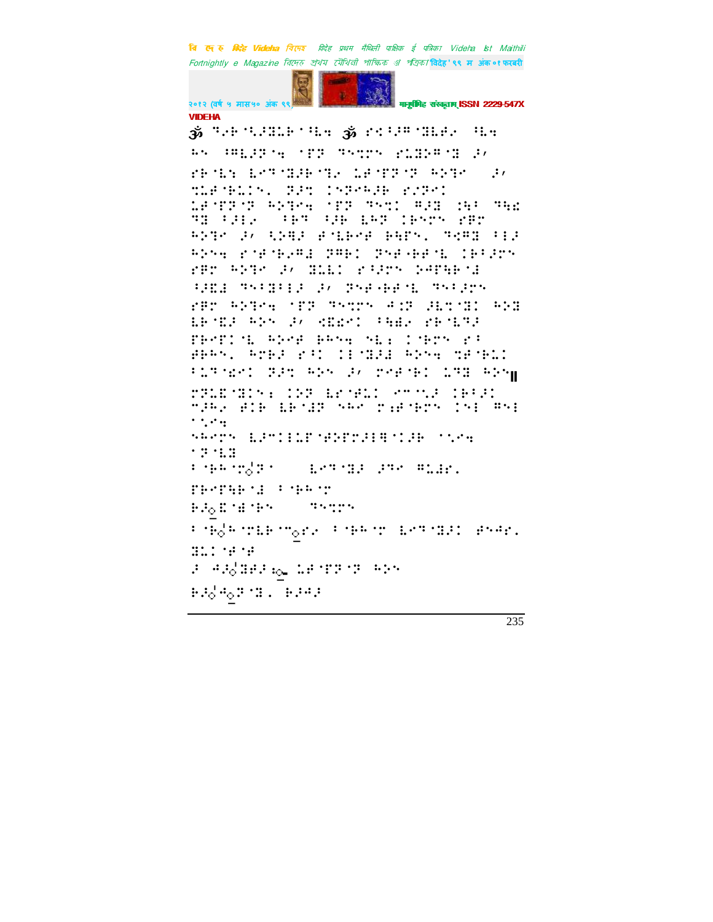

२०१२ (वर्ष ५ मास५० अंक

```
मानुसीहि संस्कृतम् ISSN 2229-547X
```
**VIDEHA**  $\mathfrak{F}$  and the set of  $\mathfrak{F}$  and  $\mathfrak{F}$  and  $\mathfrak{F}$  and  $\mathfrak{F}$  and  $\mathfrak{F}$  and  $\mathfrak{F}$ We SERREN THE TETT FIRET A FROM LOCAL PROGRESS CONTROL the Galler ServicePeerB (22PC) LENTRIC RETAIL NER SANT SER DER SAL TH FREE THIS REP EAR CHAIN FRY ANDR J. KNAS FRIEDE BATH. TRAG SIJ RESA PORTBERG PRES PSP HETE IBF255 FAR ANDER SA BILLI STUDY NAPARTE BREAKTHILL A PHEREN THIRT FROM PRIME STR THOM AND SECTION PRI month and control can reduce TESTICA PRSE ERSE SER LOBOS PR ARAS, AMBA 231 117031 ASSA MATRI FLANDED BET REN EV THENED LAB RENN PROBABLY: 197 BEARING AT THE 1953 many ata ia di she raa dhes tsi Asi  $\cdot$  ,  $\cdot$  . SPARS EPSILE SPERFIESIE SAME  $\cdot$  :  $\cdot$  : : : Popendro lette Program **CONSTRUCTION FASEMENT STATES** Portegno video viento de la contra constanta de Aragonia (menormento de Aragonia de Marco de Aragonia de Marco Bill tette a aadmaa warna na mbo FR286771, FP43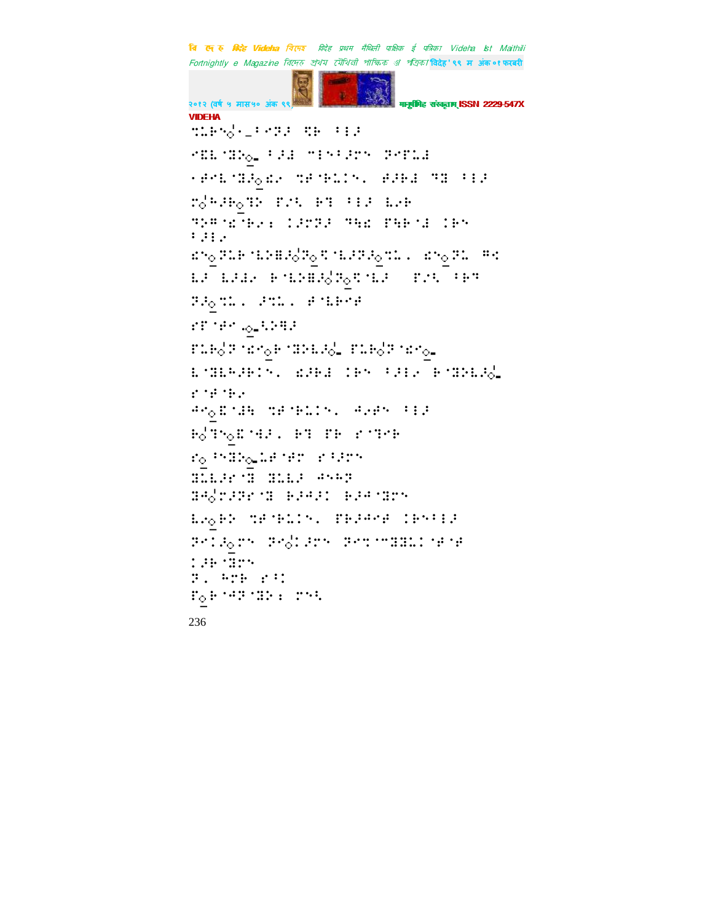

 $: 3: .$  $\mathfrak{a}\gamma_0\mathfrak{p}\mathfrak{a}\mathfrak{p}\gamma\mathfrak{a}\mathfrak{p}\mathfrak{a}\mathfrak{p}\mathfrak{q}\mathfrak{p}_0\mathfrak{p}\gamma\mathfrak{a}\mathfrak{p}\mathfrak{p}_0\mathfrak{q}\mathfrak{a}\gamma\mathfrak{a}\gamma_0\mathfrak{p}\mathfrak{a}\gamma\mathfrak{p}\mathfrak{q}$ LA LADE FOLDER RESEARCH TAN FRO Pagnie anie aniena

rrier<sub>io</sub>usse

**VIDEHA** 

 $\mathbb{E} \mathbb{L} \oplus \big\{ \mathbb{P}^{-1} \mathbb{E} \wedge_{\mathbb{Q}} \mathbb{P}^{-1} \mathbb{E} \otimes \mathbb{L} \wedge \big\} \big\|_{\mathbb{L}} \mathbb{E} \mathbb{L} \oplus \big\{ \mathbb{P}^{-1} \mathbb{E} \wedge_{\mathbb{Q}^{\perp}}$ 

EMBRARING WARE IRN FAIR ROBBERG  $\mathcal{L}^{(1)}$  is the  $\mathcal{L}^{(2)}$ 

Produce defects, Paes His

Polity Edgard Profile School

ro marque ner andre

**RELIEVE RILLE SHAP** 

EPOPE MEMBLIN, FRARCH (PNFEA Prigure Profilere Profilesione de

**CAR MENT** B. AME PRI

```
\Gamma_0 is the term of \Gamma and \Gamma
```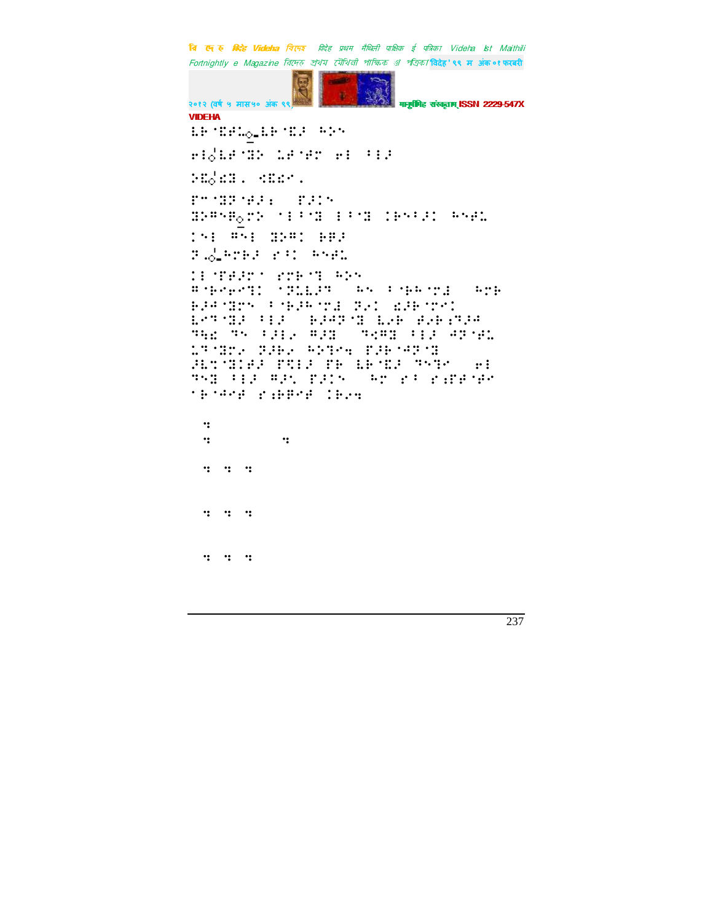चि एत् रू मिन्हे Videha निएन्थ विदेह प्रथम मैथिली पाक्षिक ई पत्रिका Videha Ist Maithili Fortnightly e Magazine বিদেত প্ৰথম মৌথিনী পাক্ষিক প্ৰ' পত্ৰিকা'<mark>বিदेह' ९९ म अंक०१ फरबरी</mark>



52⢾⢼."⢷⣙!⢳⢵! ⢻⢷⢶⣙!⢽⣅⣇⢼⢹.!⢳!⢷⢳⣜-!⢳⢷! ⢷⢼⢺⣝!⢷⢼⢳⣜!⢽⢴!⣎⢼⢷! LAN SHE RANGE ISLAM SHE THE SHE SHE SHE SHE SHE ⣅⢹⣝⢴!⢽⢼⢷⢴!⢳⢵⣙⣒!2⢼⢷⢺⢽⣝! ⢼⣇⣉⣝⢾⢼!2⣋5⢼!2⢷!⣇⢷⣏⢼!⢹⣙-!⢶5! ⢹⣝!5⢼!⢻⢼⣁!2⢼-!⢳!"⢸!"⣐2⢾⢾! ⢷⢺⢾0"⣐⢷⢿⢾!⢷⢴⣒!

9. WJEFIBIBI GEOGRAFIE 9 and 20 and 20 and 20 and 20 and 20 and 20 and 20 and 20 and 20 and 20 and 20 and 20 and 20 and 20 and  $9:2:2:2$  $9:2:2:2$ 9⣒2⣒4⣒Po`uif`ejdf.

VIDEHA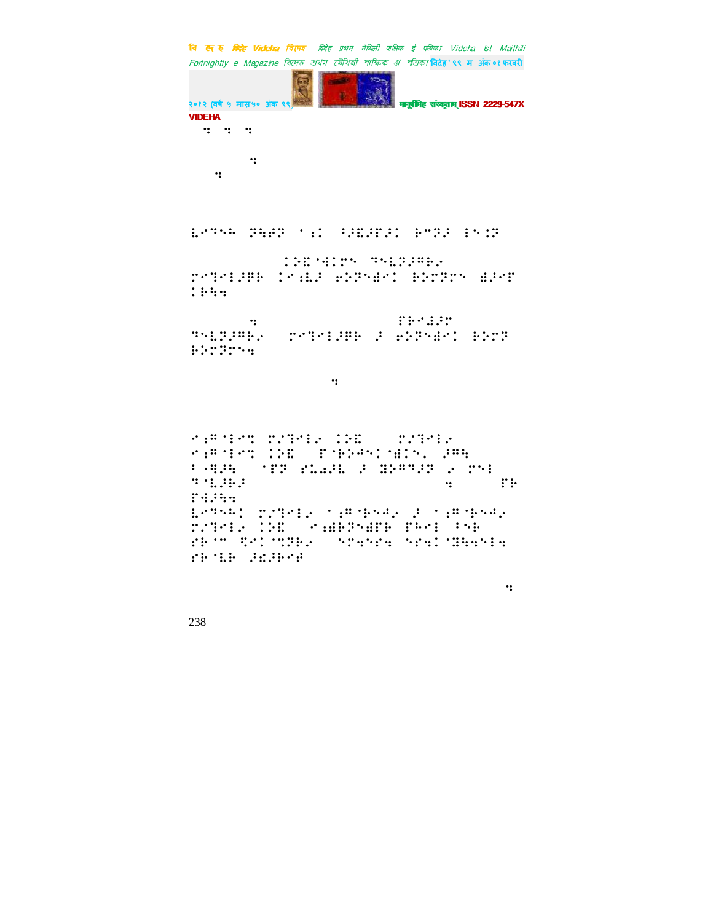चि एत् रू मिन्हे Videha निएन्थ विदेह प्रथम मैथिली पाक्षिक ई पत्रिका Videha Ist Maithili Fortnightly e Magazine বিদেত প্ৰথম মৌথিনী পাক্ষিক প্ৰ' পত্ৰিকা'<mark>বিदेह' ९९ म अंक०१ फरबरी</mark> २०१२ (वर्ष ५ मास५० अंक ९९) मानुषि संस्कृतिह संस्कृतम् ISSN 2229-547X VIDEHA  $9:2:2:2$ cz! Esperant w Political Political Political Political Political Political Political Political Political Political Political Political Political Political Political Political Political Political Political Political Politic  $\mathbb{R}^n$ Lette Pheroin (2000) 2002 1917 Joqvu;!)⢵⣏⣚!⢹⣇⢽⢼⢻⢷⢴-! ⣙5⢼⢿⢷!⣐⣇⢼!⢶⢵⢽⣞.⢷⢵⢽!⣞⢼2! ⢷⣓⣒!Joqvu!jo!Efwbobhbsj-!  $\frac{1}{2}$ ⢹⣇⢽⢼⢻⢷⢴-!⣙5⢼⢿⢷!⢼!⢶⢵⢽⣞.⢷⢵⢽0! ⢷⢵⢽⣒!Sftvmu!jo!Efwbobhbsj-! Spield (Spield Spield Spield) ⣐⢻5⣉.4⣙5⢴.⢵⣏!0!4⣙5⢴. ⣐⢻5⣉.⢵⣏!!2⢷⢵⢺⣞E!⢼⢻⣓! B⣛⢼⣓-!2⢽!"⣅⣔⢼⣇!⢼!⣝⢵⢻⢹⢼⢽!⢴.5! ⢹⣇⢼⢷⢼!hhbkfoesbAwjefib⣒dpn!2⢷! 2⣚⢼⣓⣒! ⣇⢹⢳!4⣙5⢴.⣐⢻⢷⢺⢴!⢼!⣐⢻⢷⢺⢴! frustral in the component part of the  $'$ ib.'' Xilb.' Yunti Ya. Yilbeti "⢷⣇⢷!⢼⣎⢼⢷⢾!.Cbtfe!po!nt.trm!

Fohmjti.Nbjuijmj!Ejdujpobsz⣒!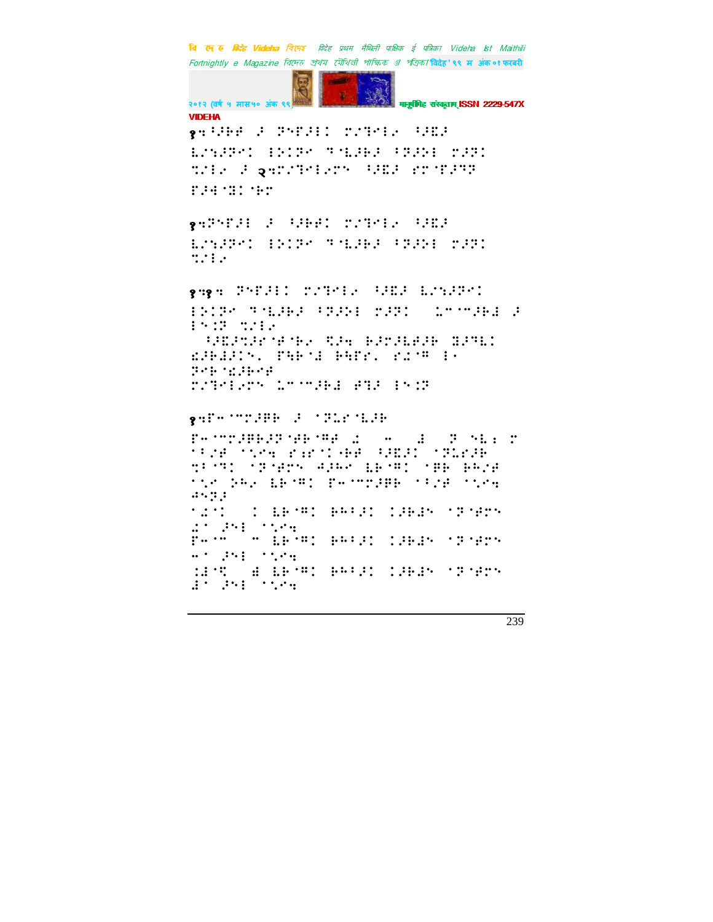

मानुबंधिह संस्कृताम् ISSN 2229-547X

### **VIDEHA**

*Quide 3 Preset retric the* EMPRIS BRITING TERRITORY TALK & QUEVERLATE SHER PERFECT F.H. TEL TET

**WENTH & WHAT TATES WER** EMARKI BRIRK THEADY FRANK MARI  $\mathbb{R}^2$  :

gugu Presil preside Sams Ernstadt BROWNSHAPHARD MARI COMMANDS ENGEL SALA **BUDGETHAN CHANGED CONST** ESPASSE THE SEPHENT PETH IN Port State of **MINISTY LEONIEE FIA INST** 

# gare thrugged and that they

MAR 282 EEMED PHONOHE MADE MARK  $45.344$ title I BETRI PROFI CHAR TROPPS  $25.751.754$ <sup>1</sup>e ikën keto calavjeran  $\mathbf{r}$  .  $\cdots$  $\alpha \leq \beta \leq \beta \leq \gamma \leq \alpha$ HPD # HPPD PRODUCER 12500  $2.5\%$  ,  $2.64\%$  ,  $2.5\%$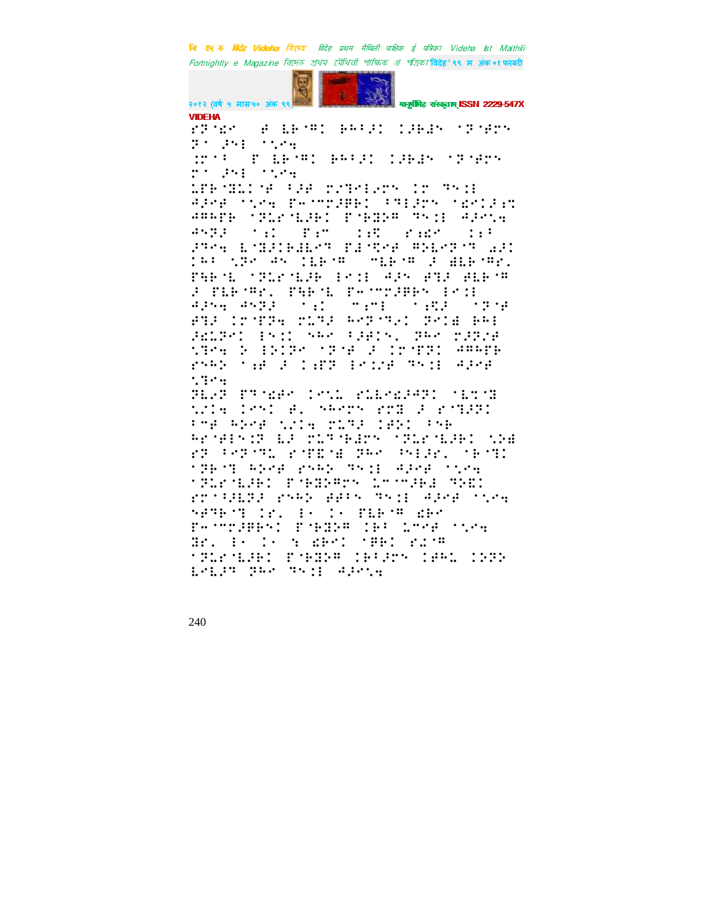

२०१२ (वर्ष ५ मास५० अंक ९९)

मानुबंधिह संस्कृताम् ISSN 2229-547X

**VIDEHA** 

rance a benn effect caels in den 

WORLD BENNY BROAD CARAN SPORTS  $\frac{1}{2}$   $\frac{1}{2}$   $\frac{1}{2}$   $\frac{1}{2}$   $\frac{1}{2}$   $\frac{1}{2}$   $\frac{1}{2}$   $\frac{1}{2}$   $\frac{1}{2}$   $\frac{1}{2}$   $\frac{1}{2}$   $\frac{1}{2}$   $\frac{1}{2}$   $\frac{1}{2}$   $\frac{1}{2}$   $\frac{1}{2}$   $\frac{1}{2}$   $\frac{1}{2}$   $\frac{1}{2}$   $\frac{1}{2}$   $\frac{1}{2}$   $\frac{1}{2}$ 

WEBSING THE MATERIAL IN TEST APPE TORE PHONORED FREEDS TERIPS ARAPE (SEP SLARI PORTRA SSOC APSOL PSPE THIS FAMILIAR START INF ang pendidikan padag malayan 20 183 NPK AN 11678 (M1678 J B16786) PHP NO STARTAGE (POINT AGNO ATEN ALESA FIRENT THE PANTHER POS agsalasgg (fall hanfilitad lighe<br>aga conga pung kegunac geca kki BELGAL ENIL NAM FREIN, GAM MEGGE the boile creolicers www. real the Folder Brook avec Aleg  $1.399$ 

PERP PROBE COLL PLEOBRED OFFICE wie land e. naarn wol 2 kaler Pre Abre this cite (eb)  $\cdots$ Render as monday incident the FROM PROVINCIAL PROVINCIAL CONTROL their aborderate than along them **MIRTIAL PASSEN LTTER THI** rroughts read gain which ages they SPRESH IP. BY IS TERME WHO Fermanner Premier (B) Long (1996) Br. E. D. S. SPO (BB) SIMP **MARKET PROPERTIES CONTROLLER** nenda dae asgebuurs,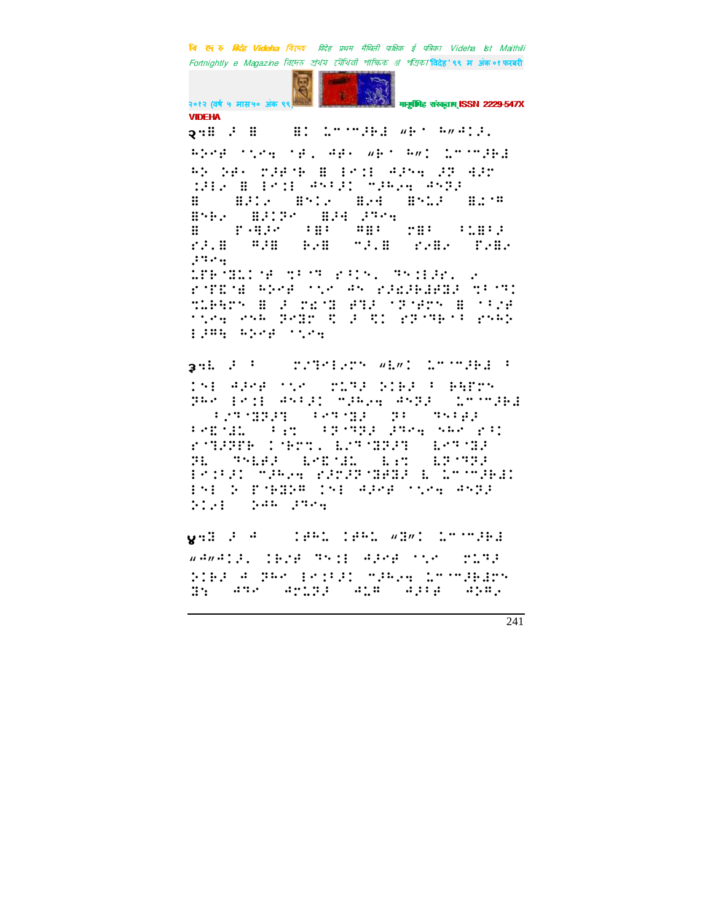

२०१२ (वर्ष ५ मास५० अंक **VIDEHA** 

मानुबंधिह संस्कृताम् ISSN 2229-547X

ED Connells who hadde  $2$   $\cdot$   $\vdots$   $\cdot$   $\vdots$ Rode them the April Wet Ral Loomsed AS SAN TARNE BOIRGING ARMA AR AAT WHAT BOYS AND MURDE AND **HOO: HILLS HILL 2704 E** P.910 181 881  $\begin{array}{ccc}\n\cdots & \cdots & \cdots & \cdots\n\end{array}$ PACE AND PART MACH PARK TABY  $19.94<sub>1</sub>$ WEBSING TEST FIN, TRIEN A roffine above the an registered prop:  $1.394 - 0.004 - 0.004$ 

gal 2 For Stringers wiw. Loomships THE APPROXIMATION STREET FOREST PRO ESTE ANIGI MARGA ANDA (1888-1881  $\begin{minipage}{.4\linewidth} \begin{tabular}{l} \hline \textbf{1} & \textbf{2} & \textbf{3} & \textbf{4} & \textbf{5} & \textbf{5} & \textbf{6} & \textbf{7} & \textbf{8} & \textbf{9} & \textbf{10} & \textbf{10} & \textbf{10} & \textbf{10} & \textbf{10} & \textbf{10} & \textbf{10} & \textbf{10} & \textbf{10} & \textbf{10} & \textbf{10} & \textbf{10} & \textbf{10} & \textbf{10} & \textbf{10} & \textbf{10}$ ternal the treatre been seeded POTERTE CORPOS ESTOREER (ESTORE BL PHEF LETTEL LIT LETTER ESTER SPACE PROFESER E L'OSPAR 151 2 FORDA 151 APME SVM ASDE  $7:7:1$  $\frac{1}{2}$  ,  $\frac{1}{2}$  and  $\frac{1}{2}$  and  $\frac{1}{2}$ 

ved a 4 (1951-1951 Ndw. 18.588)  $\sqrt{2}$   $\frac{1}{2}$   $\frac{1}{2}$   $\frac{1}{2}$   $\frac{1}{2}$   $\frac{1}{2}$   $\frac{1}{2}$   $\frac{1}{2}$   $\frac{1}{2}$   $\frac{1}{2}$   $\frac{1}{2}$   $\frac{1}{2}$   $\frac{1}{2}$   $\frac{1}{2}$   $\frac{1}{2}$   $\frac{1}{2}$   $\frac{1}{2}$   $\frac{1}{2}$   $\frac{1}{2}$   $\frac{1}{2}$   $\frac{1}{2}$   $\frac{1}{2}$   $\frac$ SIER A BAK EKSERI MARYA GMOMARIN de and arbeit are alte agap.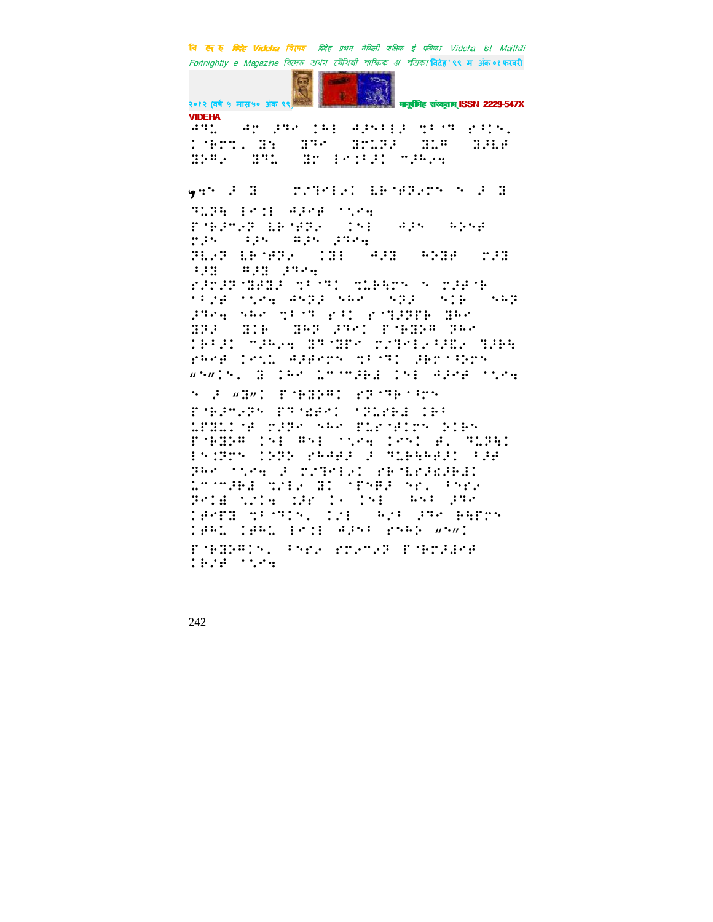

### **VIDEHA**

 $\mathbf{a}$ Dern, Br. BRY (Brigg) BiR **ERSIM** 898. ST. ST. ST. PARTY TANK

ger 2-3 - Multipl Weders r 2-3

**SLEE ESSE APSE SASE** PORTS BORD (MI)  $\label{eq:optimal} \begin{array}{rcl} \mathcal{A}(\mathcal{G}) & \mathcal{A}(\mathcal{G}) & \mathcal{A}(\mathcal{G}) \end{array}$ ha Grunda an A 31.3 18.99. THE 931 AND 53 120 020 2009 FINITEERS TEMP TERM & MIRTH  $\mathcal{F}(\mathbb{P}_1\otimes\mathbb{P}_1\otimes\mathbb{P}_2\otimes\mathbb{P}_2\otimes\mathbb{P}_2\otimes\mathbb{P}_2\otimes\mathbb{P}_2\otimes\mathbb{P}_2\otimes\mathbb{P}_2\otimes\mathbb{P}_2\otimes\mathbb{P}_2\otimes\mathbb{P}_2\otimes\mathbb{P}_2\otimes\mathbb{P}_2\otimes\mathbb{P}_2\otimes\mathbb{P}_2\otimes\mathbb{P}_2\otimes\mathbb{P}_2\otimes\mathbb{P}_2\otimes\mathbb{P}_2\otimes\mathbb{P}_2\otimes\mathbb{$  $\cdots$ Pres SAR MEST PAI POTPER BAY BRA (BIB) BRA 2001 FOREST BRA IPPEL MPRES BROBEN MINERER REPS rene child sperm machine percontr whath, Boles Loomaka 15: Adda once

**S FAMILYMENT SPORTER** PORPORA PROBRI ORLAND INC MTHIS TIPS SAR THREET NIA FORDER (SI BS) Steeller E. SLEED isors car peel foreign Od PRO CONTRACTORES DE SESENHEI LTOTABA TRIA IL CESBA SEL PSEA Prim this day is independent and DESTA SPORTS, COLL. AND JOS BATCH TARL TARL ERIE APRE PRAD WRAT POBRATO COMA MARAT PORTENT TESP STAR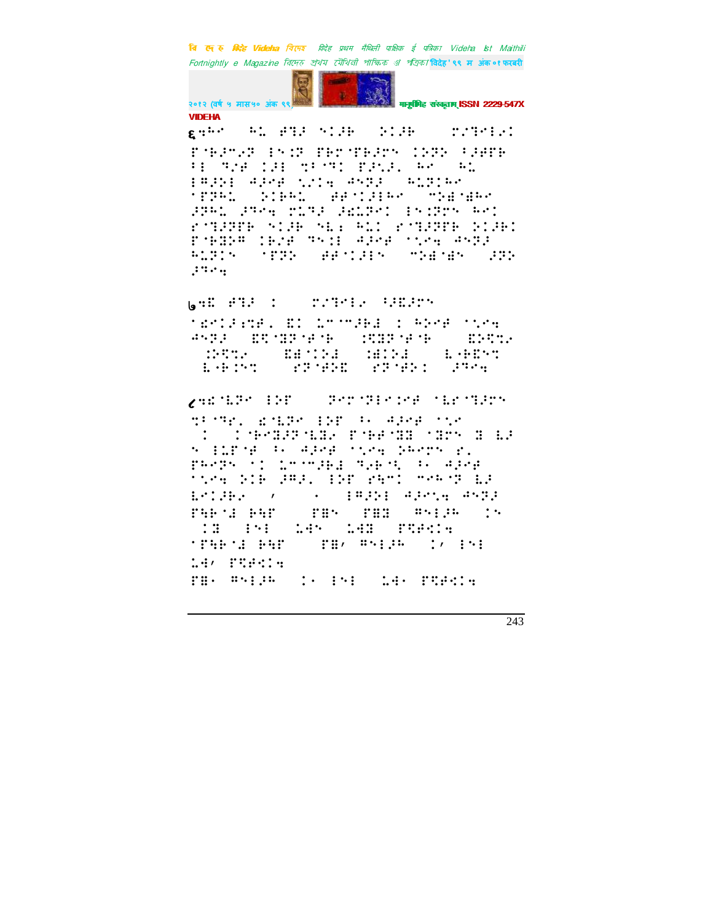

मानुबंधिह संस्कृताम् ISSN 2229-547X

### **VIDEHA**

२०१२ (वर्ष ५ मास५० अंक ९९

gabe (61 BB) 512B (512B)  $\ldots$  :  $\ldots$  :

FORFOR ENCH PROCPRISE INTERFERI FE THE LEE MESTIC PENEL ARE AL 18221 4234 5214 4532 (PLBIAS) **SPPAL DIRAL RESIRA SONEGRO** FRANCISCH MITE BRIEM (Princh Ani FORFER SIER SEE ALL FORFER SIER Poble 1626 svil aleg (1246 avd) ROOM TEN HETOEN MARTEN 200 gara de la propiedad de la contecidad de la contecidad de la contecidad de la contecidad de la contecidad de l<br>Contecidad de la contecidad de la contecidad de la contecidad de la contecidad de la contecidad de la contecid

# **AND STEET CONSTRUCTS**

**MANIFERS IN LOCATED & PROF COOP 4532 BIMBSH ANDRE BEAT**  $\frac{1}{2}$  ,  $\frac{1}{2}$  ,  $\frac{1}{2}$  ,  $\frac{1}{2}$  ,  $\frac{1}{2}$  ,  $\frac{1}{2}$  ,  $\frac{1}{2}$  ,  $\frac{1}{2}$  ,  $\frac{1}{2}$  ,  $\frac{1}{2}$ EGENT PROBLEMS PROPERTY

ged 1628 (1980) - 280 1218 1940 (163 1120)

tring, graph and a speaking **MARINE SHOW THE SERVICE OF** s fires a sper sper parrol p. PROPRINT IMMORALIZARI POSTARO<br>1904 PIR PRAS IPE PROVINCE LA  $E(f, B, C)$ a jagjaan sega **THE 12 BAT** THE THE WEIGHT IS  $11.1 + 11.1$ 145 148 PRACH TH, #5128 (1) 151 **THETE BAY** 14, PUPCE FB: #511# (1) 151 LAP PRACH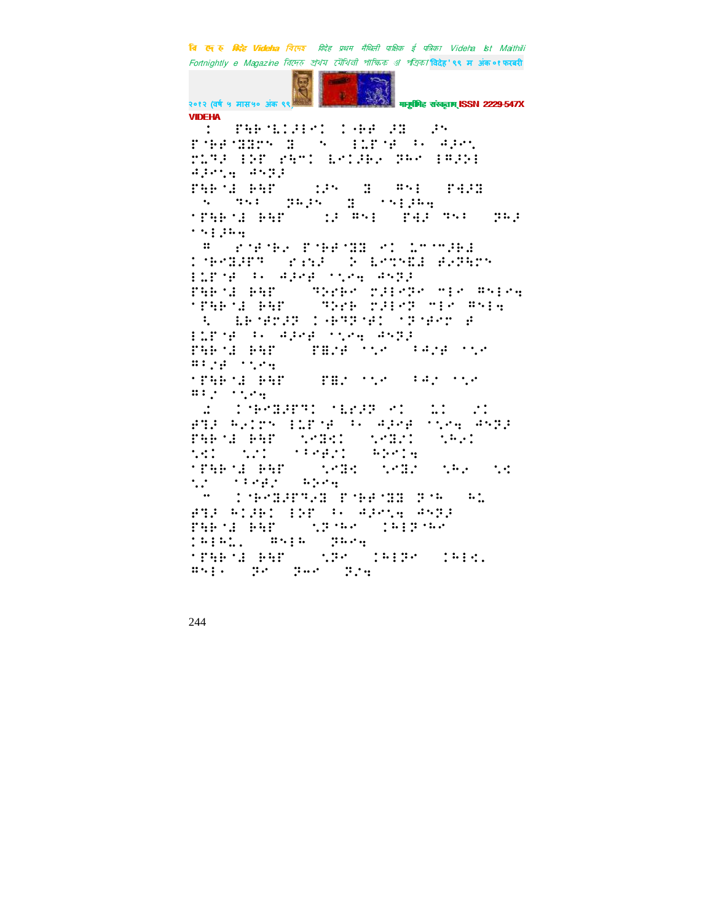

**VIDEHA CONTRACTORS IN SECTION** PORTHERS HOW (ELPOR B. 410) MARK THE PART LRIBBY BAR TARRE  $\mathcal{A}(\mathcal{I},\mathcal{I}),\mathcal{A}(\mathcal{I},\mathcal{I},\mathcal{I})$ **THE WE BAT**  $1.114 \pm 0.11$  $\cdots$   $\cdots$  $\mathcal{N}$  and papel is then **TERMS RESOURCES THE THE THE**  $\cdots$  ;  $\cdots$ **F PORTH PREMIE PO LETTARE** D'BRIST (Pans) & LROMES SAPROX ELEVAL POSSERBOYCH SPRE FARME RAT COMPRESS MEPTER MARKERS the a bar o the chick side will **A LENTR LATTNE MINT** INFORMATION COMMUNIST FAR 12 PAP **CONSTRUCTION**  $\mathbf{H} = \begin{bmatrix} \mathbf{H} & \mathbf{H} & \mathbf{H} & \mathbf{H} & \mathbf{H} \\ \mathbf{H} & \mathbf{H} & \mathbf{H} & \mathbf{H} & \mathbf{H} \\ \mathbf{H} & \mathbf{H} & \mathbf{H} & \mathbf{H} & \mathbf{H} \end{bmatrix}$ **TERMS REP STREET STATE STATE STATE**  $\mathbf{H}(\mathbf{y}) = \mathbf{y} \cdot \mathbf{y} \cdot \mathbf{y}$  $\mathbb{R}^n$  . The manning started by  $\mathbb{R}^n$  ,  $\mathbb{R}^n$ FIR RAINS ELEMENT APPENING AND rand ear **ASSESSED AND SERVICE**  $\mathbf{1}$  ,  $\mathbf{1}$  ,  $\mathbf{1}$  ,  $\mathbf{1}$ ter ter  $\mathcal{L} \left( \mathcal{L} \right) = \mathcal{L} \left( \mathcal{L} \right)$  $\mathbb{Z}^2$  . In the contract of the contract of  $\mathbb{Z}^2$ **MERPORARE STARK NARRY NAV NA** trong the state of the second second <sup>71</sup> (1969) - Property Book Politics (1969) - Pro FOR RIPE: 1987 (P. Alema, Angl. rakský kár (\* 1276) (Alpse)<br>1616–172 – Bale Speca irakia kan "Sube (1618) (614.<br>Anis 20 (20 (20 )224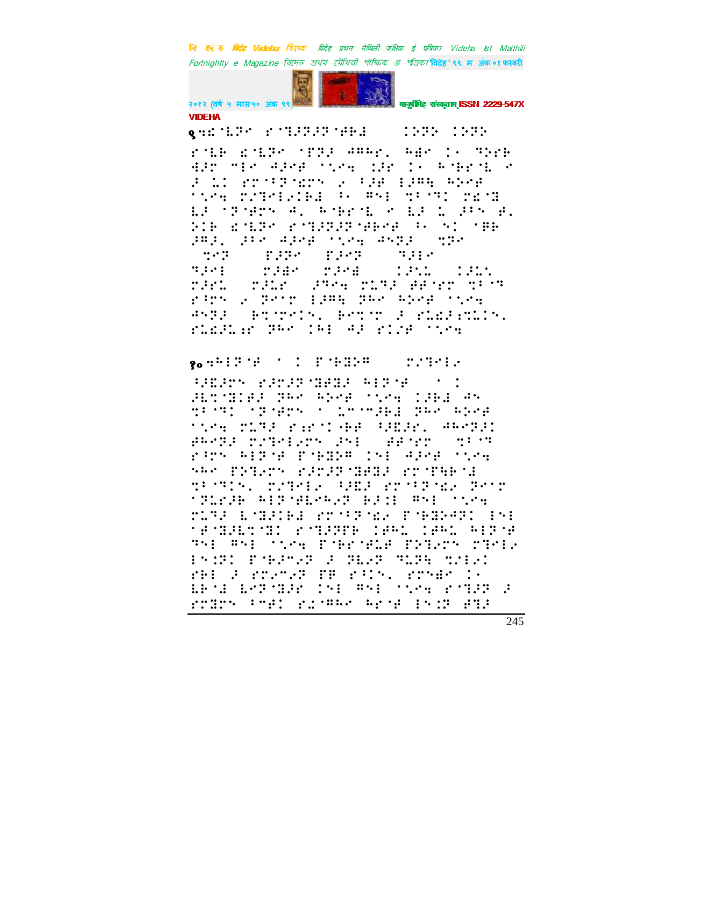

२०१२ (वर्ष ५ मास५० अंक ९९

**VIDEHA** 

मानूबंगिह संस्कृताम् ISSN 2229-547X

endiale conservation **COSTS COSTS** 

rnik rnišk (1933–486), Adr (\* 7526 425 MER APPENDING OPENED A SPECIE R 3 11 rryagyory a tan 1986 Abye tive characted to menter contrate EP (Poems 4, Robert 8 EP 1 Pro 8. DIR KOLEK KOTZEZPORRAR (F. 51 ORR ama. ato wang sing woman sin  $\mathbb{R}^n \times \mathbb{R}^n \times \mathbb{R}^n$  $\mathbb{R}^n$ **SECOND PROPERTY THE THE CONST**  $11.11$  $\ldots$ THE SPACEFF BEET TEST martin and rans o Petr (285 PRe Rock ties ANGEL PRODUCE PROOF 2 PLAINSING riskier PRO 191 43 stre otom

**Romer Product Experience Construction** 

<u> 1000 - 1000 - 1000 - 1000 - 1000 - 1000 - 1000 - 1000 - 1000 - 1000 - 1000 - 1000 - 1000 - 1000 - 1000 - 100</u> **SETTEDED THAN ROAD TOAN ISBN 45** tical creme of fronted reclasses the muse rarotage shows abend andra potentiare aen caalong ditor<br>Bare nijela potential arda over SAR PRINTS RITISTINGS RTTERS the the control of the control determines and control of the control of the control of the control of the control of the control of the control of the control of the control of the control of the control of the control of **TRIME RIPARENT BEN RAI TOM** MURA ESTRAIBA POSTASIONE TERRAPI (PS) **MARKET STORE CAR CAR ACTS** The Whe street Polential Product corder PACK PORTS FOR TEACHER PHOROGRAPH PROVINCERS IN BROB BREOBH CME #ME SOME ROBER & rodos (Pel rismas arse Psic edi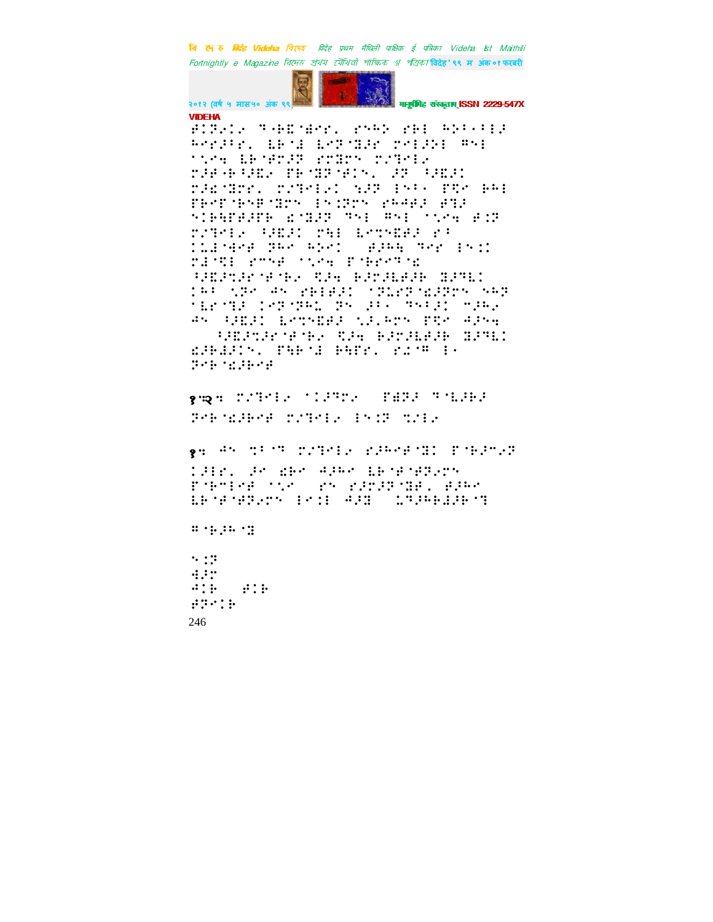

२०१२ (वर्ष ५ मास५० अंक ९ **VIDEHA** 

मानुबंधिह संस्कृताम् ISSN 2229-547X

BIRALA TAHEMBAR, PARA PEE RAFATER POSTES ARME LOTMER SOLENE POL **TOM ARTHUR STATE CONFIDENT MARKET BINDEN STREET** racurr. repose as sweeper and FRAFARABANYA (PANTA PRABA BAR SIBBERNE ROBER TSE TSE SAME ROB rately GHB: rAl LeryHAD at three paraprol **SALE TAY INT** MARI ETH MORE PORTS SPEPTED TRIAL SPACE REDUCED SETTLE IAF NORTHWEIGHT (SOUTHWEIGHT) TERMIN CREMENT BY JPS SPACE MINE AN PREPLAINING SPIER TRY APNE

SEPTEMBER TH BRAGGE BRED EPERING THE GUESSING PLANE IS Portage of

paper Suffrie (1993) - PEPP Politic Premiere prints ind pris

 $\frac{1}{2}$   $\frac{1}{2}$   $\frac{1}{2}$   $\frac{1}{2}$   $\frac{1}{2}$   $\frac{1}{2}$   $\frac{1}{2}$   $\frac{1}{2}$   $\frac{1}{2}$   $\frac{1}{2}$   $\frac{1}{2}$   $\frac{1}{2}$   $\frac{1}{2}$   $\frac{1}{2}$   $\frac{1}{2}$   $\frac{1}{2}$   $\frac{1}{2}$   $\frac{1}{2}$   $\frac{1}{2}$   $\frac{1}{2}$   $\frac{1}{2}$   $\frac{1}{2}$  1988. Prodes Adam dengngsan Portical tick of states day, aske EPSPSPECT POINTED COPPERED

 $5.32$  $4.3<sub>1</sub>$  $41H$  $\mathbb{R}^2$  : **BOOK** 246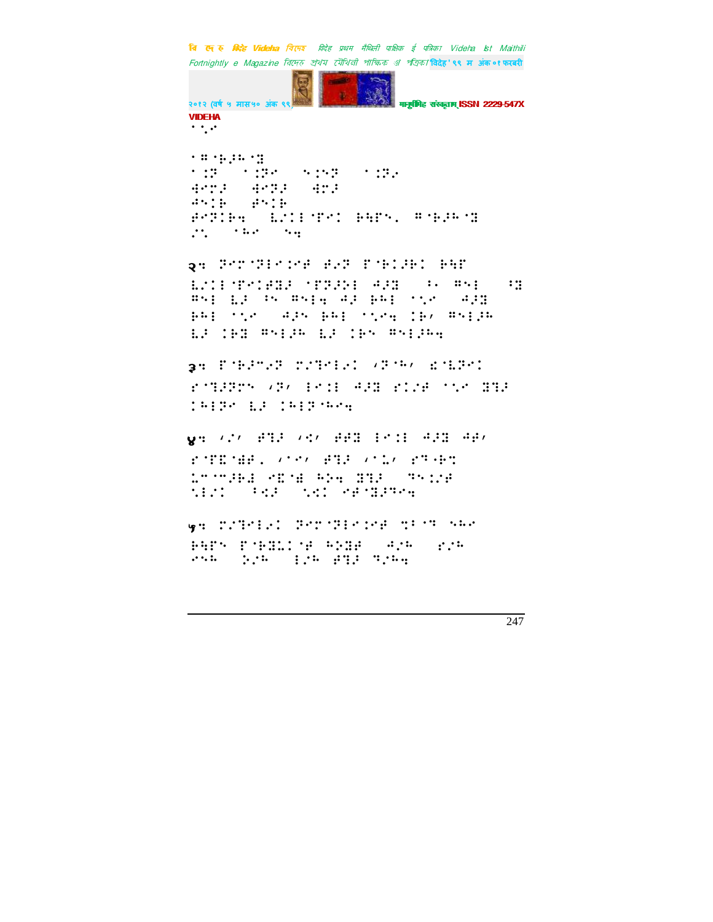चि एत् रू मिन्हे Videha निएन्थ विदेह प्रथम मैथिली पाक्षिक ई पत्रिका Videha Ist Maithili Fortnightly e Magazine বিদেত প্ৰথম মৌথিনী পাক্ষিক প্ৰ' পত্ৰিকা'<mark>বিदेह' ९९ म अंक०१ फरबरी</mark> २०१२ (वर्ष ५ मास५० अंक ९९) मानुषि संस्कृतिह संस्कृतम् ISSN 2229-547X VIDEHA  $\cdot$  . ⢻⢷⢼⢳⣝!! ⣈⢽-!⣈⢽-!⣈⢽-!⣈⢽⢴! ⣚⢼-!⣚⢽⢼-!⣚⢼! ⢺⢷-!⢾⢷! ⢾⢽⢷⣒!)⣇452!⢷⣓2E!⢻⢷⢼⢳⣝\*!  $\frac{1}{2}$  +  $\frac{1}{2}$  +  $\frac{1}{2}$  +  $\frac{1}{2}$  +  $\frac{1}{2}$  +  $\frac{1}{2}$ २⣒!⢽⢽5⣈⢾!⢾⢴⢽!2⢷⢼⢷!⢷⣓2!  $1.11$  :  $1.11$  :  $1.11$  :  $1.11$  :  $1.11$  :  $1.11$  :  $1.11$  :  $1.11$  :  $1.11$  :  $1.11$  :  $1.11$  :  $1.11$  :  $1.11$  :  $1.11$  :  $1.11$  :  $1.11$  :  $1.11$  :  $1.11$  :  $1.11$  :  $1.11$  :  $1.11$  :  $1.11$  :  $1.11$  :  $1.11$  :  $1.11$ ⢻5!⣇⢼!⢸!⢻5⣒!⢺⢼!⢷⢳5!⣁-!⢺⢼⣝! ⢷⢳5!⣁-!⢺⢼!⢷⢳5!⣁⣒!⢷'!⢻5⢼⢳-!  $1.3$   $1.5$   $1.5$   $1.5$   $1.5$   $1.5$   $1.5$   $1.5$   $1.5$   $1.5$   $1.5$   $1.5$   $1.5$   $1.5$   $1.5$   $1.5$   $1.5$   $1.5$   $1.5$   $1.5$   $1.5$   $1.5$   $1.5$   $1.5$   $1.5$   $1.5$   $1.5$   $1.5$   $1.5$   $1.5$   $1.5$   $1.5$   $1.5$   $1.5$   $1.5$   $1.5$   $1.5$   $\overline{3}$ s Pjesmus punkist (Pies Andres "c 'HAPP' (P) (P) 15 SING CILE (T) 5 SING ⢳5⢽!⣇⢼!⢳5⢽⢳⣒! ४⣒!'4'!⢾⣙⢼!'⣊'!⢾⢾⣝!5⣈5!⢺⢼⣝!⢺⢾' "2⣏⣞⢾⣀!''!⢾⣙⢼!'⣅'!"⢹B⢷⣉!  $\frac{1}{2}$  which is the state of the state of the state of the state of the state of the state of the state of the state Hero we have the second second the second second second second second second second second second second second ५⣒!4⣙5⢴!⢽⢽5⣈⢾!⣉⢹!⢳! ⢷⣓2!2⢷⣝⣅⢾!⢳⢵⣝⢾;!⢺4⢳-!"4⢳-! ⢳-!⢵4⢳-!54⢳!⢾⣙⢼!⢹4⢳⣒!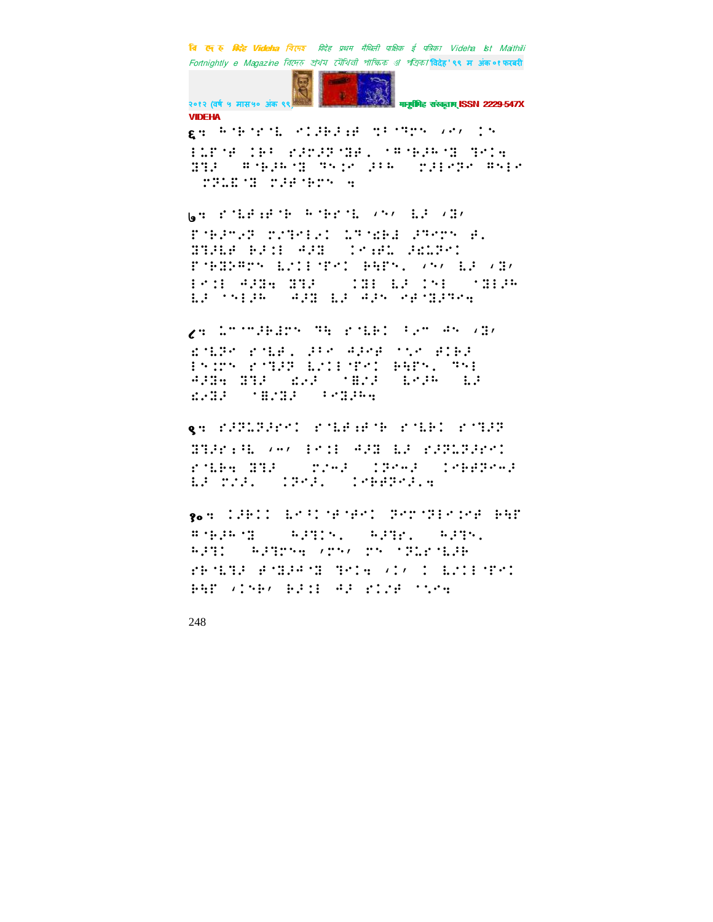

### २०१२ (वर्ष ५ मास५० अंक ९ **VIDEHA**

ga Roborom Plana in dicare severe BODYF CHA RODORYSH, MAGHARI SYLA HTP Replace to provide the proposed *STORYS SIDNER* 

gen in the sentence that the same show his solid

POBROS MATORAL LA MER PARO BL 88888 8888 8888 8888 8888 POHENEN EMISTED BHPS, AND EASAID PANE APON ONLY THE EPOINT AND POST EP (SPER ) APR EP APS SPORTERS

25 Animabaro de Polei (Panceo VI)

EMERGENED PROGRESS PREP ENDEN RITHER ESTERTIFHEN, THE  $1.434 - 1.3$ R. R. P. P. R. P. R. R. P. P. R. R. P. R. R. P. R. R. P. R. R. P. R. R. R. R. R.

Quest PROPERTY COMMERCIAL COMMERCIAL CONTRACT BIRD: H. (4) PRI 4RB ER DREIRENT  $\mathbb{R}^2$  and  $\mathbb{R}^2$  . Then  $\mathbb{R}^2$  is the specific rime Sur EP STA. (1983) (Phedrolin

00: 1981: Estimated BoroBecom BAP **世体护理 网络拉尔 短期的 照相** RPH RPPS ATA TA MERILE REMOVED PROPERTY AND CONSTRUCT BAT KINDA BASE AR SIZE TUNG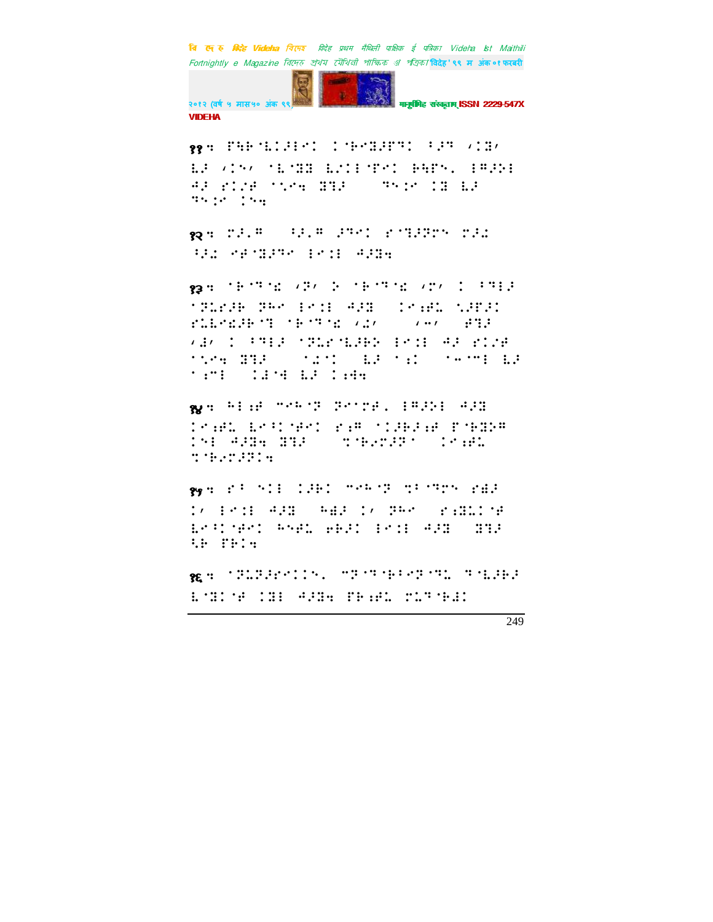

मानुबंधिह संस्कृताम् ISSN 2229-547X

**VIDEHA** 

२०१२ (वर्ष ५ मास५० ३

00: FREMISING CHRISTS (337 VII) LE VIN, MEMBERINEMENT BREN, BRENE AF PICA SNAW HIP (1960) IN 12 12  $\mathcal{V}^{(1)}\left(\mathcal{V}^{(2)}\right)=\mathcal{V}^{(1)}\left(\mathcal{V}^{(1)}\right)$ 

82: 23.5 (33.5 334) remove that **ARE PERSON ERR ARSE** 

83 9 10 17 18 19 20 10 10 11 12 13 14 15 16 17 18 **TRIME REM PRID AND COMMUNIST** PLEMENT TESTAL VECT  $\mathbf{v}$   $\mathbf{v}$ . . . . . . **VERTICA REPORTED BY EXTENSIONS AND STUP** tion due to this age this communication **TEMPORE AND SERVICES** 

we Him which counts implies an Drael Erscher, ram oderea formem *The Actor Address* **STEPHEN COMPLETED** ministration

949 PRODUCTS LEED MARKET ME MEMORIAL 1, Erde Add (Add 1, PArc Product) ESTINAT PRAL ARTI BST ATH (HTP) the file

RES CRIPPENSING MECHANICS CONFERED 178178 THE ASSA PRACE TETRIC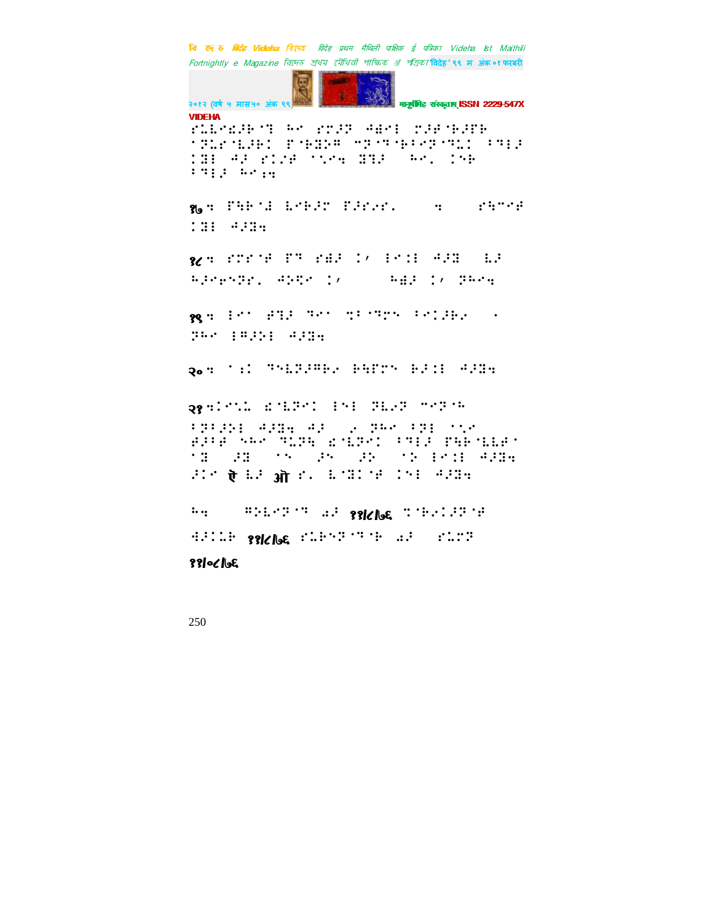चि एत् रू मिन्हे Videha निएन्थ विदेह प्रथम मैथिली पाक्षिक ई पत्रिका Videha Ist Maithili Fortnightly e Magazine বিদেত প্ৰথম মৌথিনী পাক্ষিক প্ৰ' পত্ৰিকা'<mark>বিदेह' ९९ म अंक०१ फरबरी</mark>



VIDEHA

"⣅⣇⣎⢼⢷⣙!⢳!"⢼⢽!⢺⣞5!⢼⢾⢷⢼2⢷! ⢽⣅"⣇⢼⢷!2⢷⣝⢵⢻!a⢽⢹⢷⢽⢹⣅!⢹5⢼! ⣝5!⢺⢼!"4⢾!⣁⣒!⣝⣙⢼.!⢳E!⢷! **STEP 50** 

१७९ में 200 Best Party Party and the Party of the Party of the Party of the Party of the Party of the Party of **THE SHIP** 

१८⣒!""⢾!2⢹!"⣞⢼!'!5⣈5!⢺⢼⣝-!⣇⢼! ⢳⢼⢶⢽"E!⢺⢵⣋!'!-!!⢳⣞⢼!'!⢽⢳⣒!

१९⣒!5!⢾⣙⢼!⢹!⣉⢹!⢼⢷⢴!)c\*! ⢽⢳!5⢻⢼⢵5!⢺⢼⣝⣒!

२०⣒!⣐!⢹⣇⢽⢼⢻⢷⢴!⢷⣓2!⢷⢼⣈5!⢺⢼⣝⣒!

२१⣒⣁⣅!⣎⣇⢽!55!⢽⣇⢴⢽!a⢽⢳! ⢽⢼⢵5!⢺⢼⣝⣒!⢺⢼(!⢴!⢽⢳!⢽5!⣁! ⢾⢼⢾!⢳!⢹⣅⢽⣓!⣎⣇⢽!⢹5⢼!2⣓⢷⣇⣇⢾! ⣝0!⢼⣝0!0!⢼0!⢼⢵0!⢵!5⣈5!⢺⢼⣝⣒! ⢼!ऎ ⣇⢼!ऒ "E!⣇⣝⢾!5!⢺⢼⣝⣒!

₩, 0.000, 0.000, 0.000, 0.000, 0.000, 0.000, 0.000, 0.000, 0.000, 0.000, 0.000, 0.000, 0.000, 0.000, 0.000, 0.0 H.POLIS SANGE PRINTS THE STREET ११/०८/७६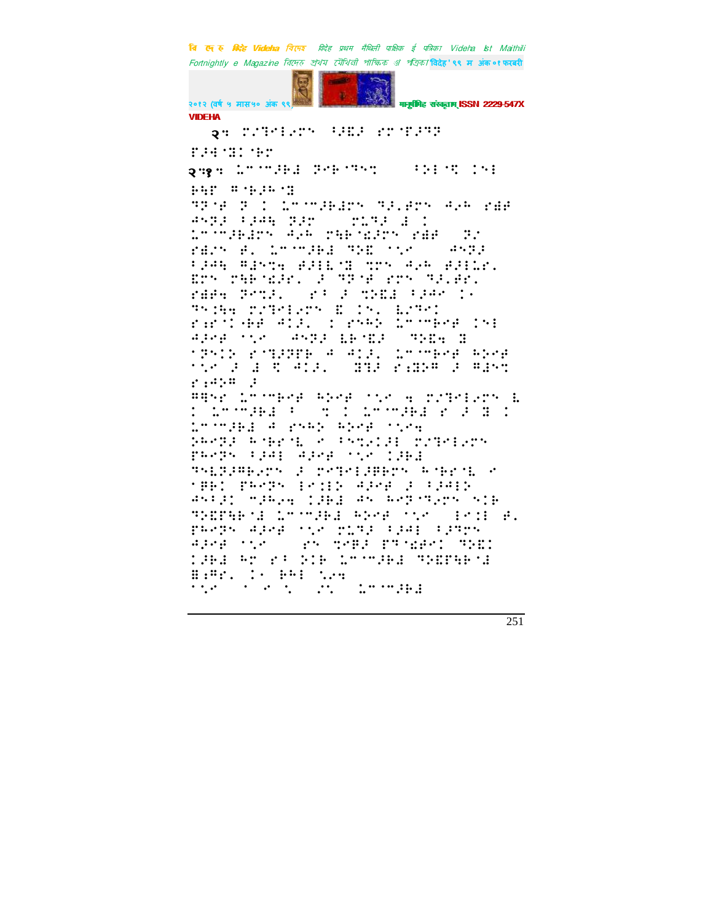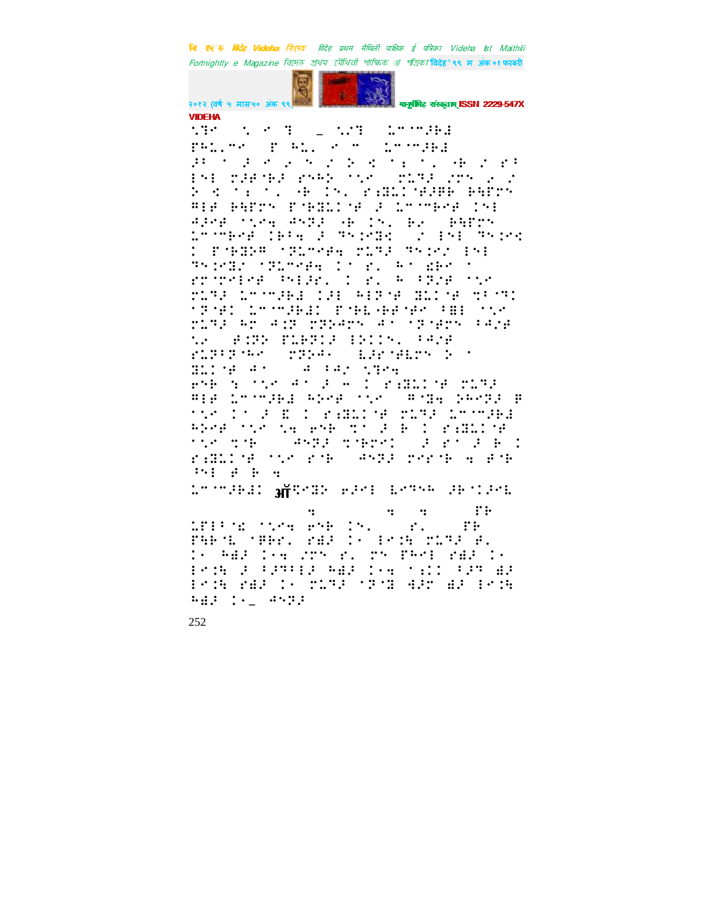

मानूबंगिह संस्कृताम् ISSN 2229-547X

### **VIDEHA**

२०१२ (वर्ष ५ मास५० अंक ९९

**NP NATURE STORES** PROCHE POSSIBLE SEMIgenik gelengen in den annet gelengen.<br>Ene operage anabission i opera von de vi #F# PAPTY PORBLION & LTOTPYR INE aleg ties and of in. Be sharpy Drinker (Big 2 Things of 151 Things : Pjede (Slovey olga groz (P) Shirochi (Sinher I) al Ancare ernelektede. Di klosofie ove ring increasion added mich north **SPACING GREET PARAGEMENT RESIDENT** ring ar and reduge as serges barg ta and manifestic constant anggotha (1994) bgangbay 201<br>Ghine an Caligary Nga PRESS STATES AND POSSESSION CONFIDENTIAL REF LOOMFER REMENSION ROBERT ERMIE B the Industry Page of Base Company RESERVED THE PRESS OF RESERVE TO THE PROPERTY FOR STREET raming the right and recognished

DOMEST WESTER BEST ESTABLISHMENT

 $\mathbf{u} = \mathbf{u}$  . da : :∙  $\dddot{\phantom{a}}$ MPP to the see 15. The  $\cdots$ PHP NO TERRI VALE (1891) PORTUGAL De Add Dem 225 21 25 PAME 2dd De Problem Performance and the Control Performan POR PAR IS TURE STOR ART AR POS Add to Ange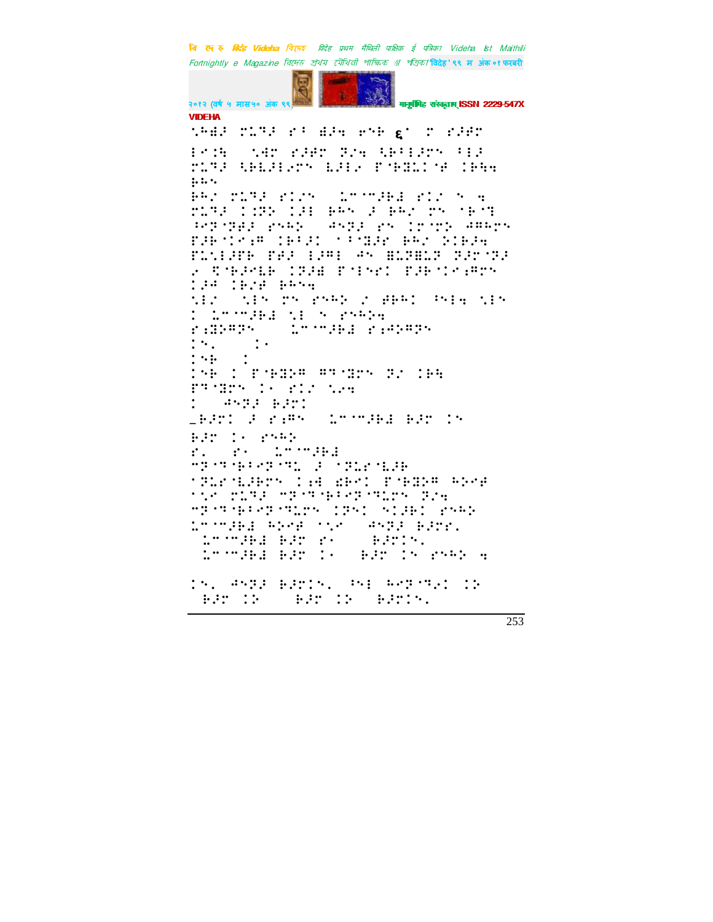बि एक रु मिनेट Videha विएक विदेह प्रथम मैथिली पाक्षिक ई पत्रिका Videha Ist Maithili Fortnightly e Magazine রিদেত প্রথম মৌথিনী পাক্ষিক প্র পত্রিকা **বিदेह' ९९ म अंक ०१ फरबरी** 

मानुबंधिह संस्कृताम् ISSN 2229-547X



२०१२ (वर्ष ५ मास५० अंक ९९ **VIDEHA** 

thes play of est end go a clear Problem Care Star Computer Star File **MINE ABLAINMENTS FARIOUS CHA**  $\ldots$ BRO DURA BOON - ChinaBa BOON NOB MITE CORPORATOR RESOURCEMENT sepande este caspi es transcamers raksisim telat sebagai ekologeak MAINE MAILER AN BLACK CANNA 2 STEPHE 1728 PTENT PARTICAPEN **134 1828 BRS4**  $\mathbb{R}$ : **SALES TRANSPORT PRESSURES COMMISSION SERVICE** rungs - Cronded regges  $15.771$  $1.94$ ink c'hnege grngen ge dek PROBA NO PIC NOT : 4532 BRT LEADI A PARK (WOODAA EAD IN PAT 16 PAPE  $\ddot{\mathbf{r}}$  ,  $\ddot{\mathbf{r}}$  ,  $\ddot{\mathbf{r}}$  ,  $\ddot{\mathbf{r}}$  ,  $\ddot{\mathbf{r}}$  ,  $\ddot{\mathbf{r}}$  $\mathbf{r}$ . hin harin. Therma **TRACTAGES IN SECTIFIERS AND** the play of diskeption from **MEST REPORTED A LESI SIGHT ROOM** Loomaal Aberlook (ASTA Barr. desember bar re **BEATTLE** In Angeleschin Philadersin In **BBC 13** BAT IN BATIN.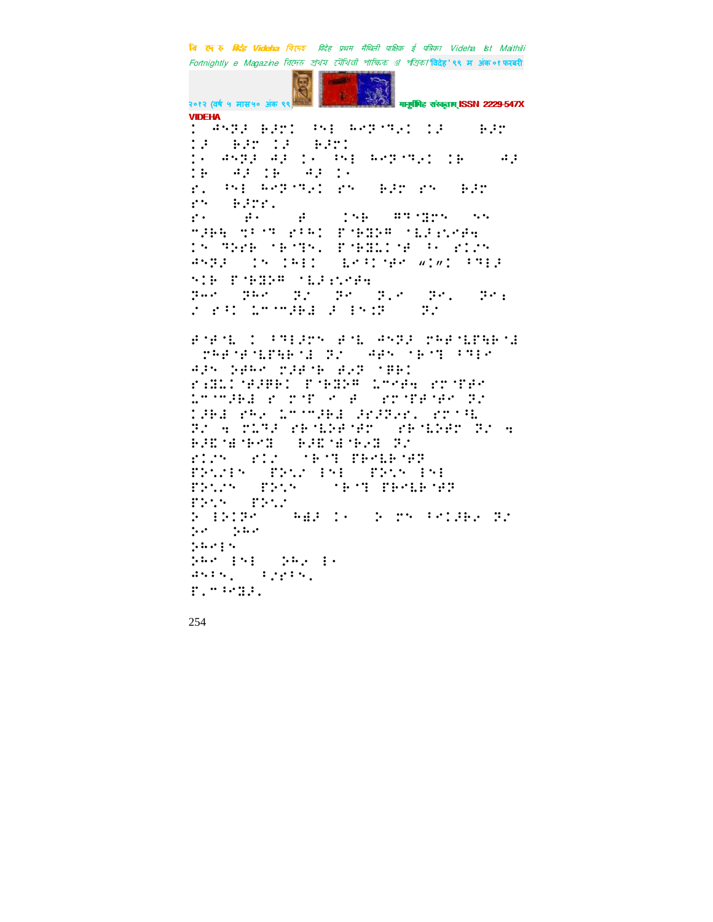बि एक स्टेड Videha विएक विदेह प्रथम मैथिली पाक्षिक ई पत्रिका Videha Ist Maithili Fortnightly e Magazine রিদেত প্রথম মৌথিনী পাক্ষিক প্র পত্রিকা **বিदेह' ९९ म अंक ०१ फरबरी** 



२०१२ (वर्ष ५ मास५० अंक ९९) मानूबंगिह संस्कृताम् ISSN 2229-547X **VIDEHA** 1 8522 BRT 351 852-761 12 **Salar 10 BAY 13 BAY:** 19 AND AP 19 PH REPORT IN 1942  $-49.18 - 49.14$  $\mathbb{R}^n$  $f_1$  (in ) argument and **SEPT PRODUCT**  $\mathbf{r}$ . **BEAT SECTION**  $\mathbf{r}$ .  $\mathbf{P}$  $\mathbf{H}$ MARE MEST PERI PORTABLE SERVICE IN THE MEMBER THEN ME BEEN **AND : 19 (BI)**  $\frac{1}{2}$  .  $\frac{1}{2}$  .  $\frac{1}{2}$  .  $\frac{1}{2}$  .  $\frac{1}{2}$  .  $\frac{1}{2}$  .  $\frac{1}{2}$  .  $\frac{1}{2}$  .  $\frac{1}{2}$ **NID PARDS MERCHE**  $\frac{1}{2}$  and  $\frac{1}{2}$  and  $\frac{1}{2}$  and  $\frac{1}{2}$  and  $\frac{1}{2}$  and  $\frac{1}{2}$  and  $\frac{1}{2}$  and  $\frac{1}{2}$ CARD LOOPBEAR FAIR (RC FOR NO DO PRESENTENDO ANTE CHANDERAND THE SECRETARY CONTRACTOR OF STATES APR NAME THAN AND THAT rancheses rogage code roofe Loomaba e populació en epopulado de **THE PRE LOOPEE PRIRER BOOK** Brie mita resident in Sendar Brie **SOUTHERN SOUTHERN ST** rich fic jen Bember PRINTS (PRINTSH) PRINTSH CONTROLLED THE CONTROLLED SEE FRAME FRAM 5 ib:36 Add to the me better by  $10^{\circ}$  ,  $10^{\circ}$  $\{14,24,56\}$  for  $\{14,16\}$ 1987 (1911) 1992 (19  $\mathcal{A}\mathcal{A}\mathcal{A}\mathcal{B}\mathcal{B},\qquad \mathcal{B}\mathcal{A}\mathcal{B}\mathcal{B}\mathcal{B},$  $T_{1}$  = 1-12.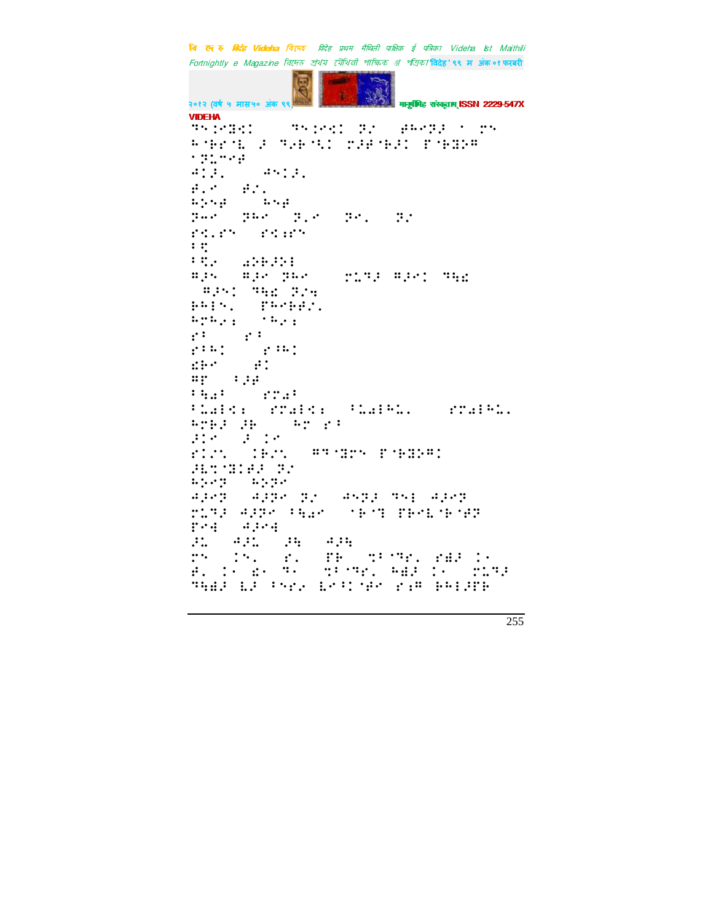बि एक स्टेड Videha विएक विदेह प्रथम मैथिली पाक्षिक ई पत्रिका Videha Ist Maithili Fortnightly e Magazine রিদেত প্রথম মৌথিনী পাক্ষিক প্র পত্রিকা' বিदेह' ९९ म अंक०९ फरबरी

**September** ø २०१२ (वर्ष ५ मास५० अंक ९९ मानुबंधिह संस्कृताम् ISSN 2229-547X

**VIDEHA**  $\mathcal{L} = \{ \mathcal{L} \in \mathcal{L} \mid \mathcal{L} \in \mathcal{L} \} \cup \{ \mathcal{L} \in \mathcal{L} \mid \mathcal{L} \in \mathcal{L} \} \cup \{ \mathcal{L} \in \mathcal{L} \}$ **SALESSED** ROBEON S MARCHE TARONES PORTA **SIMPART**  $41.31$  $\mathcal{A} \sim \mathcal{I} \mathcal{A}$ .  $\mathbf{F} \cdot \mathbf{F} = \mathbf{F} \cdot \mathbf{F}$  $\mathbf{b}_1^1\mathbf{c}_2\mathbf{d}_1^2\mathbf{c}_2^2\mathbf{c}_3^2\mathbf{c}_4^2\mathbf{c}_5^2\mathbf{c}_6^2\mathbf{c}_7^2\mathbf{c}_8^2\mathbf{c}_9^2\mathbf{c}_9^2\mathbf{c}_9^2\mathbf{c}_9^2\mathbf{c}_9^2\mathbf{c}_9^2\mathbf{c}_9^2\mathbf{c}_9^2\mathbf{c}_9^2\mathbf{c}_9^2\mathbf{c}_9^2\mathbf{c}_9^2\mathbf{c}_9^2\mathbf{c}_9^2\mathbf{c}_$ 348 348 3.8  $39.732$ PAIP PAIP  $\mathbf{H}$  $\mathbb{R}^n$ ags age part **SECTION SECTION BOST THE BIG** BRÍS, (PRSBAZ)<br>Anton (Pro  $\mathcal{C}^{(1)}$  ,  $\mathcal{C}^{(1)}$  $\mathcal{C}^{1,0}$  .  $\mathbb{R}^2$ :  $\mathbb{R}^2$  $\mathbb{R}^{n \times n}$  $\mathbf{H}$ :  $\mathbf{u}$   $\mathbf{r}$   $\mathbf{u}$   $\mathbf{u}$   $\mathbf{u}$   $\mathbf{u}$ **Philips State** Plain: Prain: Plainl. Prainl. **ATED OR SERVICE**  $\mathbb{R}^2\mathbb{R}^2\subset\mathbb{R}^2\backslash\{x\}$ FILE THE WATER PRESS **PERMITTED BY**  $0.593 - 0.539$ **APP AND NO AND THE APP** ring agger than one of people ag pear agear  $\begin{minipage}{.4\linewidth} \begin{tabular}{l} \bf 11 & 0.11 & 0.11 \\ 0.00 & 0.000 & 0.000 \\ 0.000 & 0.000 & 0.000 \\ \end{tabular} \end{minipage}$ ry (1818) el (PB) d'Orl edició<br>Al 19 de de Specialista Adición (1804) THE EF THE ESTIMATOR PARTIES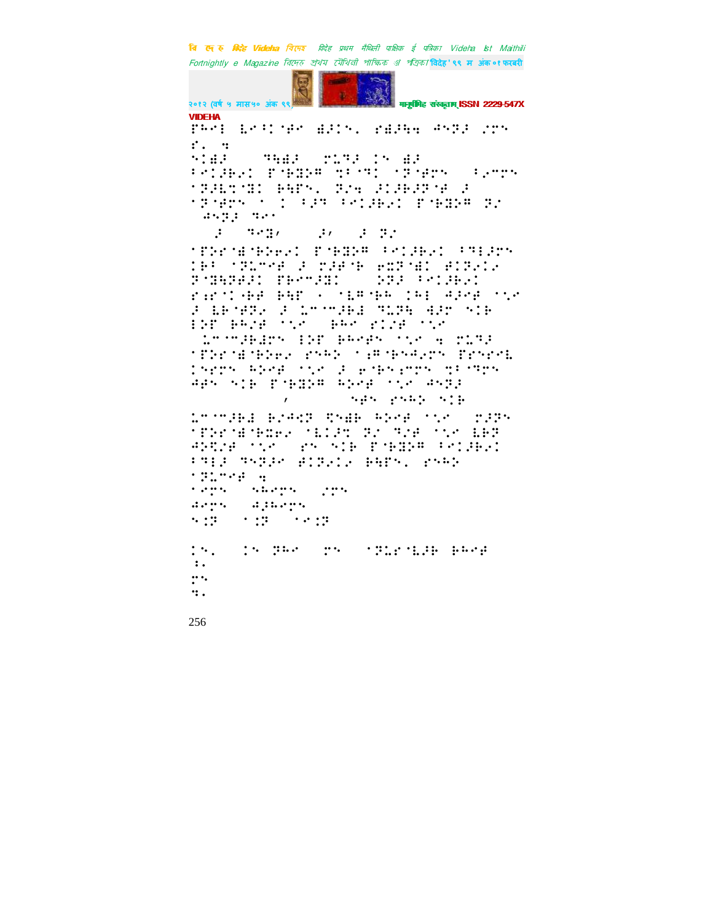बि एक रु मिनेट Videha विएक विदेह प्रथम मैथिली पाक्षिक ई पत्रिका Videha Ist Maithili Fortnightly e Magazine রিদেত প্রথম মৌথিনী পাক্ষিক প্র পত্রিকা **বিदेह' ९९ म अंक ०१ फरबरी** 



```
२०१२ (वर्ष ५ मास५० अंक ९९)
                                           मानुबंधिह संस्कृताम् ISSN 2229-547X
PRAD EAST NAME AND AN ANDERSON AND ALL AND ARRAIGNMENT
niag ("Padgo" picto in ag<br>Priged: Boegga of Ctic og Gph ("Punph
```
**MERCHINERY, EM JUREEN E** SPORTS TO LARA ASSAMING PORTS RI  $\mathcal{L}^1(\mathbb{R}^d_+)=\mathcal{L}^1(\mathbb{R}^d_+)$ 

 $\mathbb{R}^n \times \mathbb{R}^n$  .  $\mathcal{L}$  ,  $\mathcal{L}$  ,  $\mathcal{L}$  ,  $\mathcal{L}$  ,  $\mathcal{L}$ 

the disposit remainstract (speci IPF (SLTGE F MIRTH ANPART AIR.) BYGAZÁZI PAPPZGÍ (1922–1912A)<br>Partiská AGP (1918–1941–1924–192 F ERMER F LTOMBE MICH ART NIR information and single the

Chinabary (SP BRARY the B 2073) **TERMINERS PARK TERMINEN EPAPE** 1922 Alexandrich (d. 1942)<br>1955 Sib Bobart Alexandre (d. 1922) SPS PSP SIE

Loomand Roads Ship Abor over 2005 **TERPORATES TELPS EN THE TER ERP** ANDRE STAR (25 SIE POBBER FRIEND FREE RAPIN BIRNIN BARA, PARN **STEAM STAR** naga saaga  $\therefore$   $\therefore$  $\mathbf{a}$  ,  $\mathbf{a}$  ,  $\mathbf{a}$ a gravnje  $5.17 - 1.17 - 1.17$ 

In. In The Street Stillen Here  $\mathbf{1}$ .  $\cdots$ 

256

 $\ddots$ .

**VIDEHA** 

 $\mathcal{L}$ ,  $\mathcal{L}$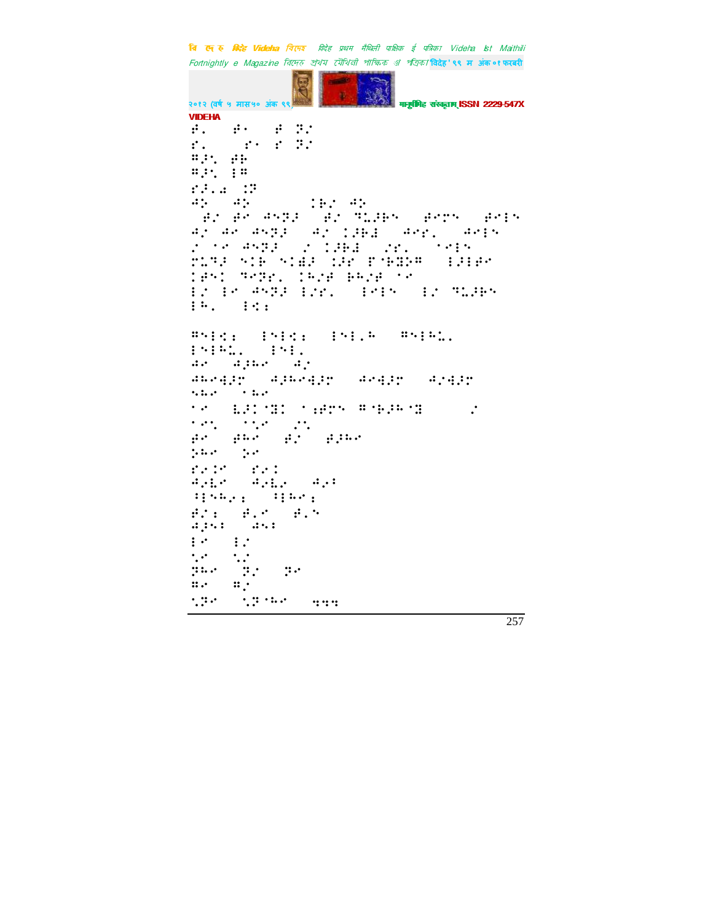```
चि एत् रू मिन्हे Videha निएन्थ विदेह प्रथम मैथिली पाक्षिक ई पत्रिका Videha Ist Maithili
Fortnightly e Magazine বিদেত প্ৰথম মৌথিনী পাক্ষিক প্ৰ' পত্ৰিকা'<mark>বিदेह' ९९ म अंक०१ फरबरी</mark>
                 Q
                       Service
२०१२ (वष ५ मास५० अंक ९९) मानुषीिमह संकृताम्ISSN 2229-547X 
VIDEHA 
⢾E!)⢾c-!⢾!⢽4*!
E : E : E : E⢻⢼⣁!⢾⢷!
⢻⢼⣁!5⢻!
"⢼E⣔!⣈⢽!
⊕{ ep# ep# ep# ep# ep# ep# ep# e
!Å 200 Press Parties (1990) 1990 Press Parties (1990) Press Parties (1990) Press P
H2 45 H5P2 → 42 1961 → 451. → 4515 →
40!⢺⢽⢼.!4!⢼⢷⣜0!4"E0!50!
⣅⢹⢼!⢷!⣞⢼!⣈⢼"!2⢷⣝⢵⢻.!5⢼5⢾!
[ ENI TEN INA PRIEST
1405!<br>1540 : 1341
      5:BMEC: EMEC: EMECH (BMERL)
55⢳⣅E0!55E!
de digne di
⢺⢳⣚⢼0!⢺⢼⢳⣚⢼0!⢺⣚⢼0!⢺4⣚⢼!!
⢳0!⢳0!!
!) ) { } {{\sigmat}}} } {{\sigmat}}} # {{\sigmat}}} } {{\sigmat}}} } {{\sigmat}}} } {{\sigmat}}} } {{\sigmat}}
      \sim 0.01 \sim 0.01 \sim∄e dee de de de
⢵⢳0!⢵!!
"⢴⣈0!"⢴⣈!!
GAU CHANGE CHANGE
⢸5⢳⢴⣐0!⢸5⢳⣐!!!
∄2: ∄.e ∄.5
⢺⢼0!⢺!!
50^\circ 52^\circ\mathcal{M}^{\text{max}}_{\text{max}}999 92 92
\mathfrak{m} \mathfrak{m} \mathfrak{m} \mathfrak{m} \mathfrak{m}⣁⢽0!⣁⢽⢳!!⣒⣒⣒!!
```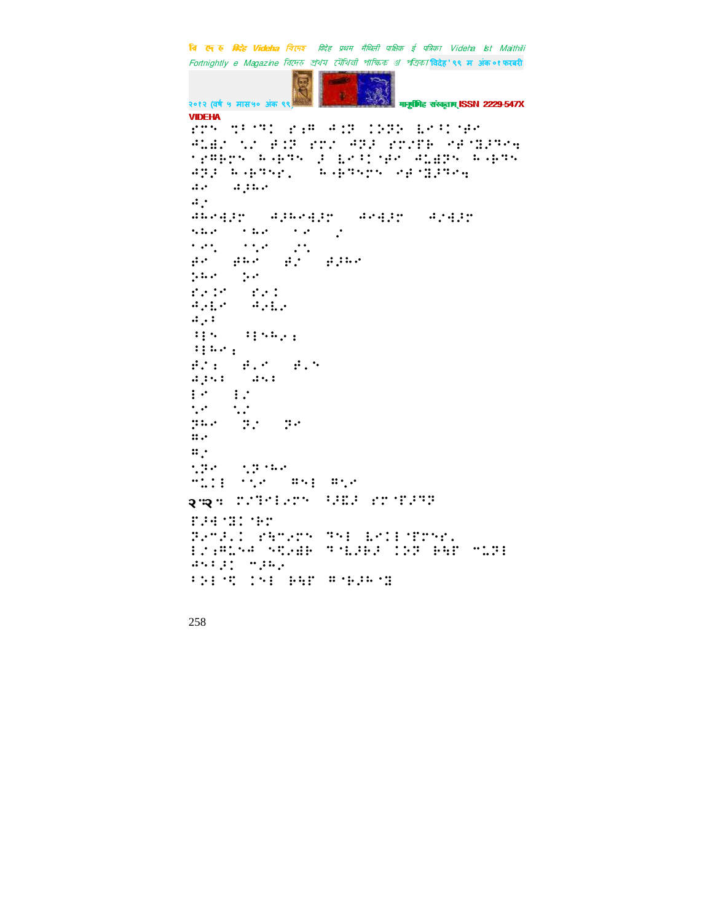

```
VIDEHA
```

```
"!⣉⢹!"⣐⢻!⢺⣈⢽!⢵⢽⢵!⣇⢸⢾!
⢺⣅⣞4!⣁4!⢾⣈⢽!"4!⢺⢽⢼!"42⢷!⢾⣝⢼⢹⣒!
"⢻⢷!⢳B⢷⢹!⢼!⣇⢸⢾!⢺⣅⣞⢽!⢳B⢷⢹!
⢺⢽⢼!⢳B⢷⢹"E-!⢳B⢷⢹!⢾⣝⢼⢹⣒!!!!
die digital
\cdot :
⢺⢳⣚⢼0!⢺⢼⢳⣚⢼0!⢺⣚⢼0!⢺4⣚⢼!
where \alpha is the \alpha -dependent of \alpha\mathcal{O}(\mathcal{O}(1)) . The contract of the contract of the contract of the contract of the contract of the contract of the contract of the contract of the contract of the contract of the contract of the contract of the contra
⢾0!⢾⢳0!⢾40!⢾⢼⢳!
⢵⢳0!⢵!
"⢴⣈0!"⢴⣈!
⢺⢴⣇0!⢺⢴⣇⢴0!!
\mathbf{a} \mathbf{a}HD SHOW:
5.5<sub>1</sub>⢾4⣐0!⢾E0!⢾E!
⢺⢼0!⢺!
50^\circ 52^\circ\mathcal{W}^0 , \mathcal{W}^0⢽⢳0!⢽40!⢽!
\mathbf{u}.
\dddot{H} :
⣁⢽0!⣁⢽⢳!
and the second state
२⣒२⣒!4⣙5⢴!⢸⢼⣏⢼!"2⢼⢹⢽!
2⢼⣚⣝⢷!!
EPTEL FROM THE ESIPTEN.
54⣐⢻⣅⢺!⣋⢴⣞⢷!⢹⣇⢼⢷⢼!⢵⢽!⢷⣓2!a⣅⢽5!
⢺⢼!a⢼⢳⢴;!
SQ: THE PRESS PRESS
```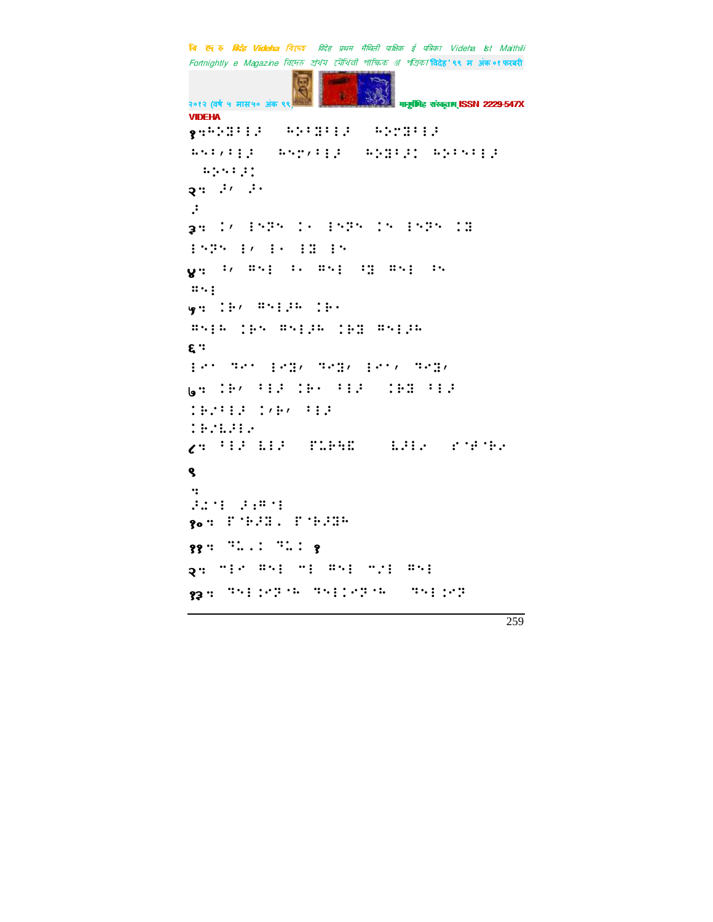```
चि एत् रू मिन्हे Videha निएन्थ विदेह प्रथम मैथिली पाक्षिक ई पत्रिका Videha Ist Maithili
Fortnightly e Magazine বিদেত প্ৰথম মৌথিনী পাক্ষিক প্ৰ' পত্ৰিকা'<mark>বিदेह' ९९ म अंक०१ फरबरी</mark>
२०१२ (वर्ष ५ मास५० अंक ९९) मान्य मान्यान्त अस्त्री मानुषिदि संस्कृतम् ISSN 2229-547X
VIDEHA 
१⣒⢳⢵⣝5⢼0!⢳⢵⣝5⢼0!⢳⢵⣝5⢼0!
5.50⢳⢵⢼!!
2: \therefore \therefore\mathbf{E}३⣒!'!5⢽0c!5⢽0!5⢽0⣝!
5⢽05'05c05⣝05!!
४⣒!⢸'!⢻50⢸c!⢻50⢸⣝!⢻50⢸!
\cdots५<del>:</del> 197, 851,960,197
B_{5} = \frac{1}{2} \frac{1}{2} = \frac{1}{2} = \frac{1}{2} = \frac{1}{2} = \frac{1}{2} = \frac{1}{2} = \frac{1}{2} = \frac{1}{2} = \frac{1}{2} = \frac{1}{2} = \frac{1}{2} = \frac{1}{2} = \frac{1}{2} = \frac{1}{2} = \frac{1}{2} = \frac{1}{2} = \frac{1}{2} =
\varepsilon :
50⢹!5⣝'-⢹⣝'-5'-⢹⣝'0!!
७⣒!⢷'!5⢼0⢷c!5⢼0!⢷⣝!5⢼!
: bitis : bib : bib
⢷4⣇⢼5⢴!!
८⣒!5⢼!⣇5⢼!)2⣅⢷⣓⣏*-!⣇⢼5⢴!)"⢾⢷⢴*!
९
\dddot{\mathbf{r}}⢼⣌5!⢼⣐⢻5!!
१०⣒!2⢷⢼⣝⣀!2⢷⢼⣝⢳!!
१९: "... "
२⣒!a5!⢻5!a5!⢻50a45!⢻5!!
१३⣒!⢹5⣈⢽⢳!⢹5⢽⢳-!⢹5⣈⢽!!
```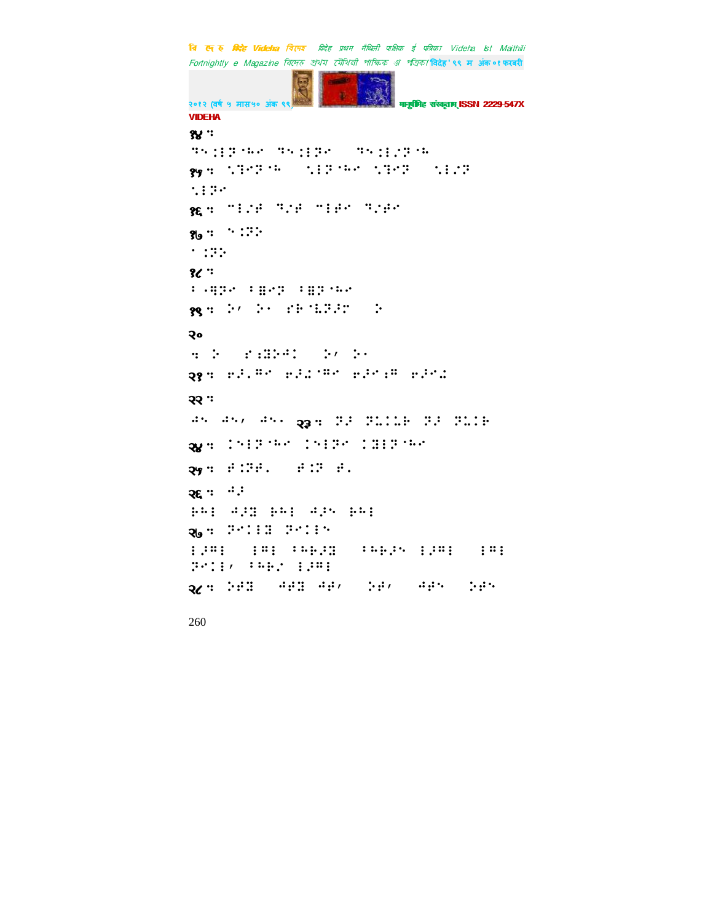

 $\pm$  0  $\pm$  0.000  $\pm$  0.000  $\pm$ २१⣒!⢶⢼E⢻0⢶⢼⣌⢻!⢶⢼⣐⢻0⢶⢼⣌!! २२ :  $\frac{1}{2}$   $\frac{1}{2}$   $\frac{1}{2}$   $\frac{1}{2}$   $\frac{1}{2}$   $\frac{1}{2}$   $\frac{1}{2}$   $\frac{1}{2}$   $\frac{1}{2}$   $\frac{1}{2}$   $\frac{1}{2}$   $\frac{1}{2}$   $\frac{1}{2}$   $\frac{1}{2}$   $\frac{1}{2}$   $\frac{1}{2}$   $\frac{1}{2}$   $\frac{1}{2}$   $\frac{1}{2}$   $\frac{1}{2}$   $\frac{1}{2}$   $\frac{1}{2}$   $\$ २४ : 1510 (b) 1510 (b) 1510 (b) २५ : FORE PRESS  $2\xi$ :  $\therefore$ **000 000 000 000 000** २७ : २००९ : २००९ : २००९ : २००९ : २००९ : २००९ : २००९ : २००९ : २००९ : २००९ : २००९ : २००९ : २००९ : २००९ : २००९ : 5⢼⢻50!5⢻5!⢳⢷⢼⣝0!⢳⢷⢼!5⢼⢻50!5⢻5! **SMID (199)** २८ºº 590 990 990 990 590 990 590

260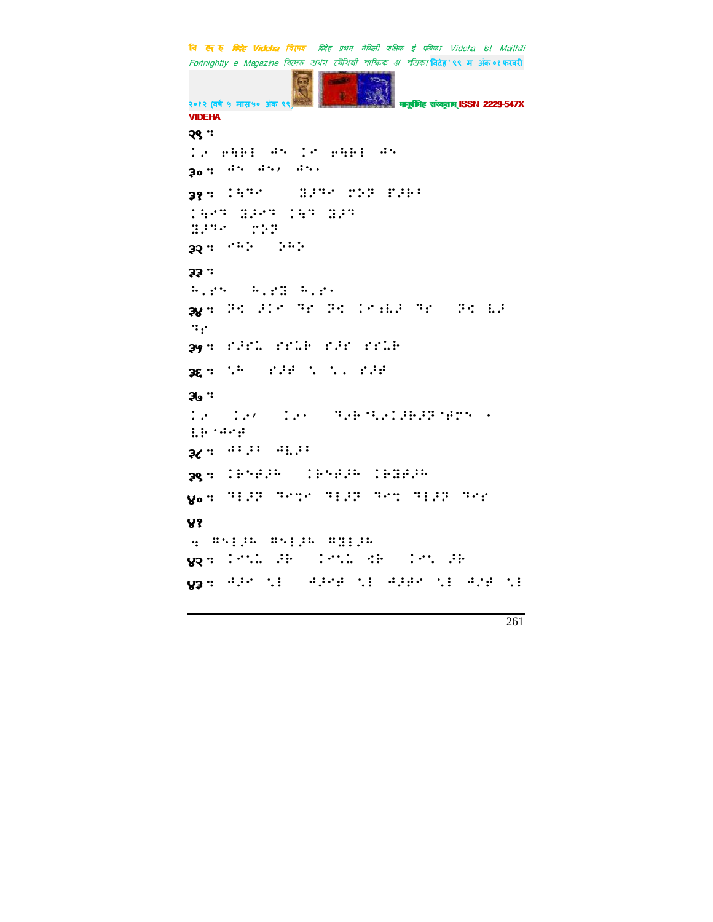```
चि एत् रू मिन्हे Videha निएन्थ विदेह प्रथम मैथिली पाक्षिक ई पत्रिका Videha Ist Maithili
Fortnightly e Magazine বিদেত প্ৰথম মৌথিনী পাক্ষিক প্ৰ' পত্ৰিকা'<mark>বিदेह' ९९ म अंक०१ फरबरी</mark>
२०१२ (वर्ष ५ मास५० अंक ९९) मान्य मान्यान्त अस्त्री मानुषिदि संस्कृतम् ISSN 2229-547X
VIDEHA 
२९⣒!
\blacksquare30 \frac{3}{2} \frac{3}{2} \frac{3}{2} \frac{3}{2} \frac{3}{2} \frac{3}{2} \frac{3}{2} \frac{3}{2} \frac{3}{2} \frac{3}{2} \frac{3}{2}३१⣒!⣓⢹!0!⣝⢼⢹)⢵⢽!2⢼⢷*!
⣓⢹0⣝⢼⢹0⣓⢹0⣝⢼⢹0!!
⣝⢼⢹!)⢵⢽*!!
३२⣒!⢳⢵0!⢵⢳⢵!!
३३ :
⢳E"0!⢳E"⣝!⢳E"c!!
३४⣒!⢽⣊!⢼!⢹"0⢽⣊!⣐⣇⢼!⢹"0!⢽⣊!⣇⢼!
"39º 'SATA PRAB PAT PRAB
३६⣒!⣁⢳0!"⢼⢾!⣁0⣁⣀0"⢼⢾!!
३७ :
\mathbf{C} , \mathbf{C} , \mathbf{C} , \mathbf{C} , \mathbf{C} , \mathbf{C} , \mathbf{C} , \mathbf{C} , \mathbf{C} , \mathbf{C} , \mathbf{C} , \mathbf{C} , \mathbf{C} , \mathbf{C} , \mathbf{C} , \mathbf{C} , \mathbf{C} , \mathbf{C} , \mathbf{C} , \mathbf{C} , \⣇⢷⢺⢾*!!
36 : \frac{31}{21} : \frac{31}{21} : \frac{31}{21} :
३९⣒!⢷⢾⢼⢳0!⢷⢾⢼⢳!⢷⣝⢾⢼⢳!!
४०⣒!⢹5⢼⢽!⢹⣉!⢹5⢼⢽!⢹⣉0⢹5⢼⢽!⢹"!!
४१
⣒!⢻5⢼⢳!⢻5⢼⢳0⢻⣝5⢼⢳!!
४२⣒!⣁⣅!⢼⢷0!⣁⣅!⣊⢷0!⣁!⢼⢷!!
४३⣒!⢺⢼!⣁50!⢺⢼⢾!⣁5!⢺⢼⢾!⣁50⢺4⢾!⣁5!!
```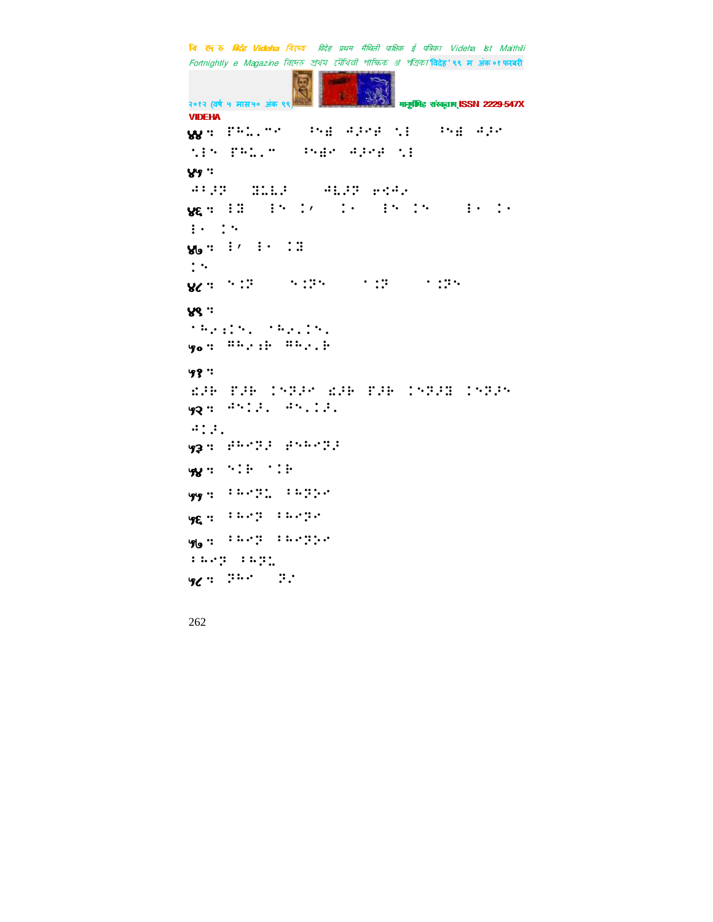Fortnightly e Magazine বিদেত প্ৰথম মৌথিনী পাক্ষিক প্ৰ' পত্ৰিকা'<mark>বিदेह' ९९ म अंक०१ फरबरी</mark> २०१२ (वर्ष ५ मास५० अंक ९९) मान्य मान्यान्ति मानुमिट संस्कृतम् ISSN 2229-547X VIDEHA ४४⣒!2⢳⣅Ea0!⢸⣞!⢺⢼⢾!⣁50!⢸⣞!⢺⢼!  $\overline{15}$  This control of  $\overline{25}$  $\mathbf{y} \cdot \mathbf{y}$ ⢺⢼⢽!)⣝⣅⣇⢼\*0!⢺⣇⢼⢽)⢶⣊⢺⢴\*!! ४६⣒!5⣝0!5!'0!c0!5!!0!5c!c0!  $5 - 15$  $y_0: 's'$  :  $: 's$ ! : ४८⣒!⣈⢽!0!⣈⢽!0!⣈⢽!0!⣈⢽!! ४९⣒!! ⢳⢴⣐E!⢳⢴EE!! ५०⣒!⢻⢳⢴⣐⢷!⢻⢳⢴E⢷!! ५१ " ⣎⢼⢷!2⢼⢷!⢽⢼!⣎⢼⢷!2⢼⢷!⢽⢼⣝0⢽⢼!! ५२ : <sup>45</sup>12. 45.12.  $\mathbf{a}$ : ५३⣒!⢾⢳⢽⢼!⢾⢳⢽⢼!! ५४ : २००९ : २००९ : २००९ : २००९ : २००९ : २००९ : २००९ : २००९ : २००९ : २००९ : २००९ : २००९ : २००९ : २००९ : २००९ : ५५ अप्रैल कर<mark>्म</mark> ५६⣒!⢳⢽!⢳⢽!!  $y_9: '...$ :  $...$ ⢳⢽.⢳⢽⣅!! ५८ : <sup>22</sup> : 22

चि एत् रू मिन्हे Videha निएन्थ विदेह प्रथम मैथिली पाक्षिक ई पत्रिका Videha Ist Maithili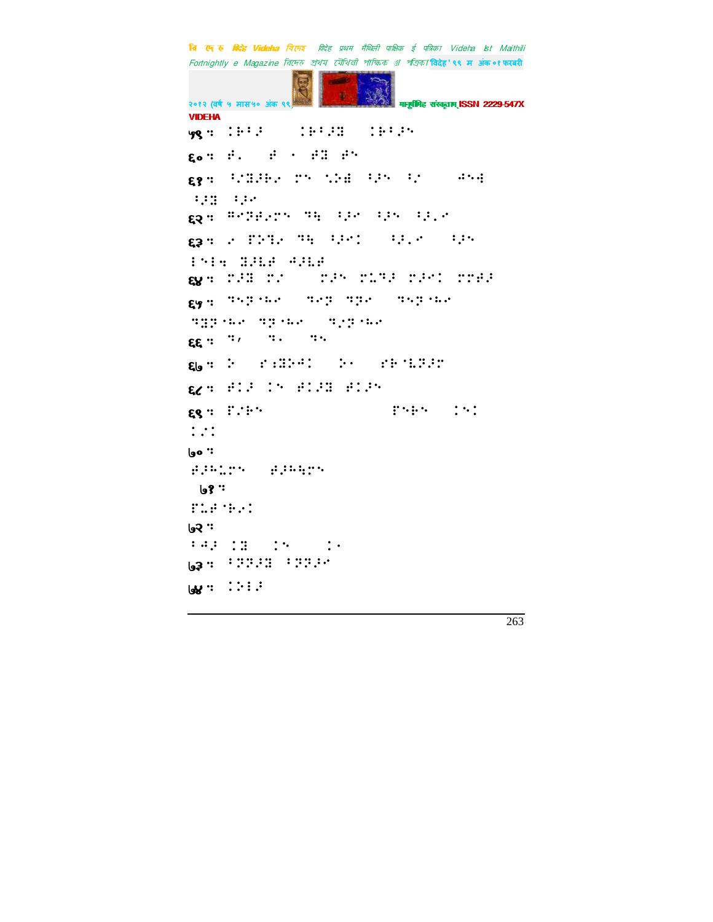२०१२ (वर्ष ५ मास५० अंक ९९) मान्य क्रिकेट क्रिकेट की मानुसीरि संस्कृतम् ISSN 2229-547X VIDEHA ५९⣒!⢷⢼!0!⢷⢼⣝0!⢷⢼!!  $\epsilon$ <sup>o</sup> :  $\dot{H}$ :  $\dot{H}$  :  $\dot{H}$  :  $\dot{H}$  :  $\dot{H}$  :  $\dot{H}$  :  $\dot{H}$  :  $\dot{H}$  :  $\dot{H}$  :  $\dot{H}$  :  $\dot{H}$  :  $\dot{H}$  :  $\dot{H}$  :  $\dot{H}$  :  $\dot{H}$  :  $\dot{H}$  :  $\dot{H}$  :  $\dot{H}$  :  $\dot{H}$  :  $\dot{H}$  :  $\dot{H}$  :  $\$ ६१⣒!⢸4⣝⢼⢷⢴!!⣁⢵⣞.⢸⢼0⢸40-!⢺⣚.  $\frac{1}{2}$ ६२⣒!⢻⢽⢾⢴!⢹⣓!⢸⢼0⢸⢼0⢸⢼E!!! ६३⣒!⢴!2⢵⣙⢴!⢹⣓!⢸⢼0!⢸⢼E0!⢸⢼0! 55⣒!⣝⢼⣇⢾!⢺⢼⣇⢾!! ६४⣒!⢼⣝!4!0!⢼!⣅⢹⢼!⢼!⢾⢼!! ६५⣒!⢹⢽⢳0!⢹⢽!⢹⢽0!⢹⢽⢳0! ⢹⣝⢽⢳!⢹⢽⢳0!⢹4⢽⢳!! ६६ : <sup>प</sup>राणिक : प्रधान ६७⣒!⢵!)"⣐⣝⢵⢺\*!⢵c!)"⢷⣇⢽⢼\*!! ६८⣒!⢾⢼!!⢾⢼⣝!⢾⢼!! ६९ व में 24€ (10) point of the Press (10)  $\ddots$  : ७०⣒! ⢾⢼⢳⣅0!⢾⢼⢳⣓!! '' १७ 2⣅⢾⢷⢴!! '' है ⢺⢼!⣝0!!0!c!! ७३⣒!⢽⢽⢼⣝0⢽⢽⢼!!  $\mathbf{S}$  :  $\mathbf{S}$  :  $\mathbf{S}$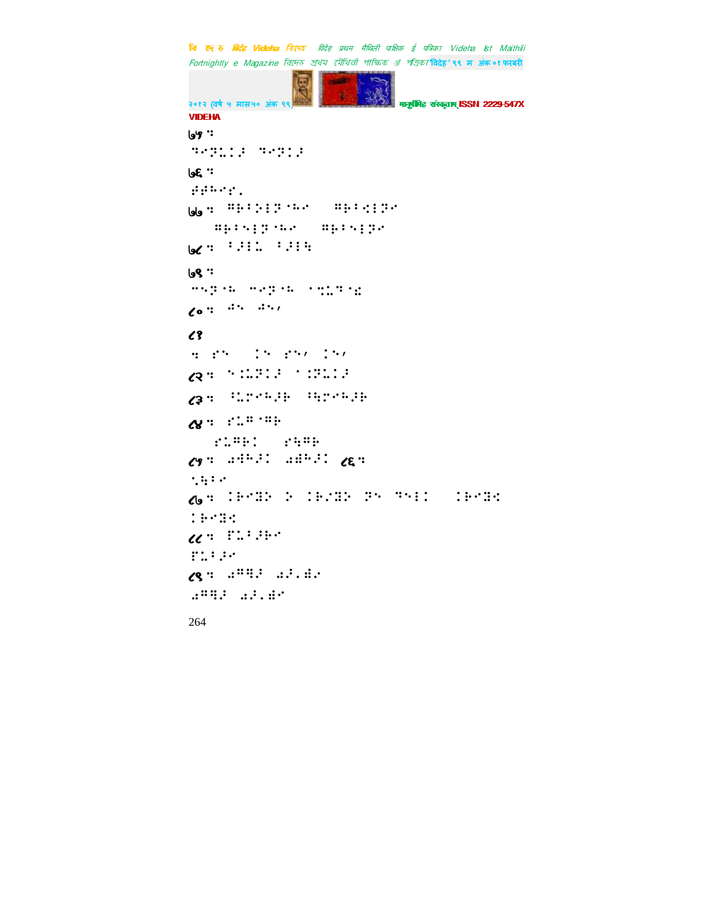चि एत् रू मिन्हे Videha निएन्थ विदेह प्रथम मैथिली पाक्षिक ई पत्रिका Videha Ist Maithili Fortnightly e Magazine বিদেত প্ৰথম মৌথিনী পাক্ষিক প্ৰ' পত্ৰিকা'<mark>বিदेह' ९९ म अंक०१ फरबरी</mark> २०१२ (वर्ष ५ मास५० अंक ९९) मान्य मान्यान्त अस्त्री मानुषिदि संस्कृतम् ISSN 2229-547X VIDEHA  $99$ ⢹⢽⣅⢼!⢹⢽⢼!! ७६⣒! ⢾⢾⢳"E!! ७७ ः अस्पर्याः अस्पर्याः अ⊌ !!⢻⢷5⢽⢳0!⢻⢷5⢽!!  $196$  :  $3131$  :  $3131$  $\mathcal{S}$ وا ang a sa pag-ata ng pa  $\zeta$ o $\mathbb{R}^{n+1}$   $\mathbb{R}^{n}$   $\mathbb{R}^{n}$ ८१ H 25 (15 25) 15) ८२⣒!⣈⣅⢽⢼!⣈⢽⣅⢼!! ८३⣒!⢸⣅⢳⢼⢷!⢸⣓⢳⢼⢷!!  $\alpha$  :  $\mathbb{C}$   $\mathbb{C}$ 0!"⣅⢻⢷0!"⣓⢻⢷!! ८५⣒!⣔⣚⢳⢼!⣔⣞⢳⢼!८६⣒!  $\gamma$  is in the  $\gamma$ ८७⣒!⢷⣝⢵0⢵!⢷4⣝⢵!⢽!⢹5!0⢷⣝⣊. ⢷⣝⣊!!  $\alpha$  :  $\cdots$ 2012-2010 ८९⣒!⣔⢻⣛⢼.⣔⢼E⣞⢴! ⣔⢻⣛⢼.⣔⢼E⣞!!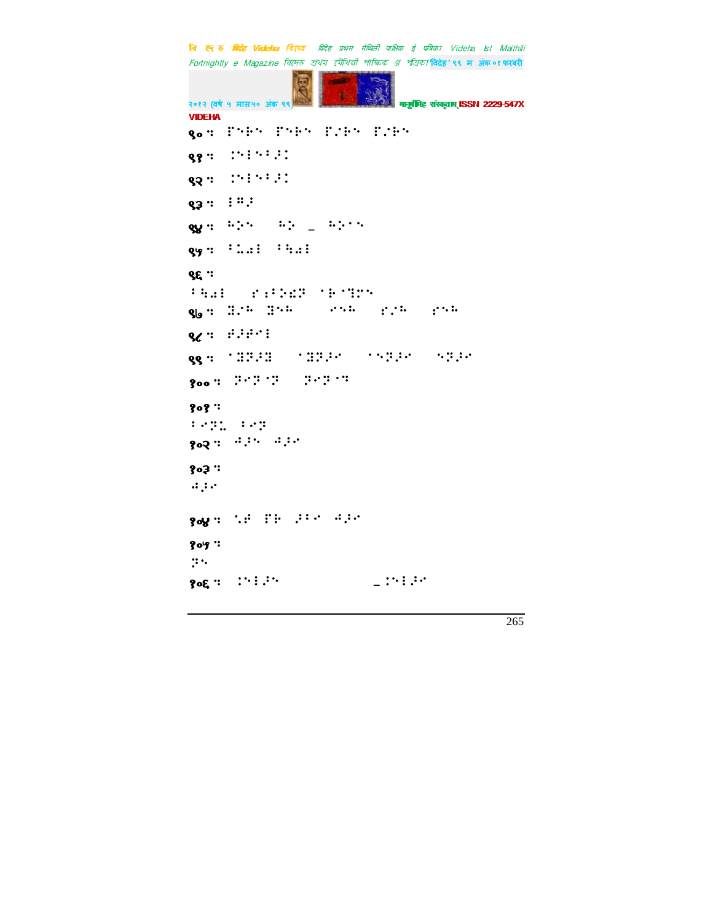Fortnightly e Magazine বিদেত প্ৰথম মৌথিনী পাক্ষিক প্ৰ' পত্ৰিকা'<mark>বিदेह' ९९ म अंक०१ फरबरी</mark> २०१२ (वर्ष ५ मास५० अंक ९९) मान्य क्रिकेट क्रिकेट की मानुसीरि संस्कृतम् ISSN 2229-547X VIDEHA ९०९ Fren Fren Fren Fren ९१ : '' |' '' |' | ९२ : 'ं!''  $\sqrt{93}$ :  $\frac{1}{2}$ ९४ : निर्देश कर कर - निर्देश क ९५: ' $\ldots$ !' ९६ : HALL CHINE (FORTH ९७⣒!⣝4⢳!⣝⢳!0!⢳0!"4⢳0!"⢳!!  $\mathsf{S} \mathcal{C}$  :  $\mathbb{R}^3$  :  $\mathbb{R}^3$  :  $\mathbb{R}^3$  :  $\mathbb{R}^3$ ९९⣒!⣝⢽⢼⣝.!⣝⢽⢼0!⢽⢼0!⢽⢼!! १००⣒!⢽⢽⢽.!⢽⢽⢹!! १०१ : ⢽⣅!⢽!!  $803$  :  $\frac{11}{20}$  :  $\frac{11}{20}$ १०३ :  $\mathcal{A}$ jo:ejstonfou tfotfolio tfotfolio tfotfolio tfotfolio tfotfolio tfotfolio tfotfolio tfotfolio tfotfolio १०४ : २० साल साल साल का प्रदेश का प्रदेश का प्रदेश का प्रदेश का प्रदेश का प्रदेश का प्रदेश का प्रदेश का प्रदेश<br>जनसङ्ख्या  $904$ :  $\mathbf{B}$ १०६⣒!⣈5⢼!)qmbz\*!–⣈5⢼!!

चि एत् रू मिन्हे Videha निएन्थ विदेह प्रथम मैथिली पाक्षिक ई पत्रिका Videha Ist Maithili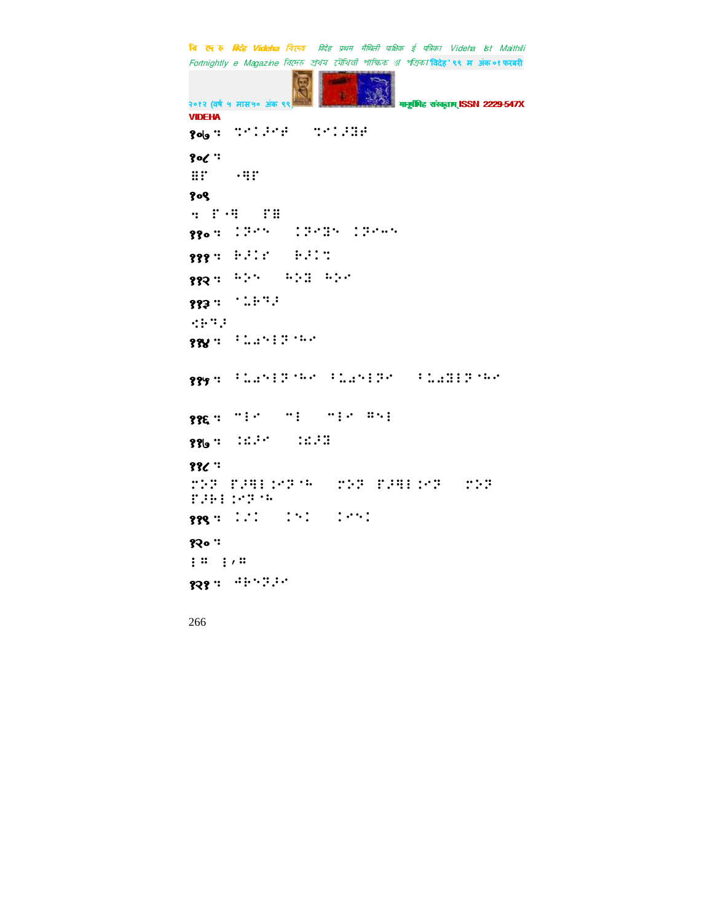चि एत् रू मिन्हे Videha निएन्थ विदेह प्रथम मैथिली पाक्षिक ई पत्रिका Videha Ist Maithili Fortnightly e Magazine বিদেত প্ৰথম মৌথিনী পাক্ষিক প্ৰ' পত্ৰিকা'<mark>বিदेह' ९९ म अंक०१ फरबरी</mark> २०१२ (वर्ष ५ मास५० अंक ९९) मान्य क्रिकेट क्रिकेट की मानुसीरि संस्कृतम् ISSN 2229-547X VIDEHA १०७⣒!⣉⢼⢾.!⣉⢼⣝⢾!! १०८ $\cdot$ :  $\mathbf{u}: \mathbf{v}: \mathbf{v}: \mathbf{v}: \mathbf{v}: \mathbf{v}: \mathbf{v}: \mathbf{v}: \mathbf{v}: \mathbf{v}: \mathbf{v}: \mathbf{v}: \mathbf{v}: \mathbf{v}: \mathbf{v}: \mathbf{v}: \mathbf{v}: \mathbf{v}: \mathbf{v}: \mathbf{v}: \mathbf{v}: \mathbf{v}: \mathbf{v}: \mathbf{v}: \mathbf{v}: \mathbf{v}: \mathbf{v}: \mathbf{v}: \mathbf{v}: \mathbf{v}: \mathbf{v}: \mathbf{v}: \mathbf{v}: \mathbf{v}: \mathbf{v}: \mathbf{v}: \mathbf{$ १०९ ⣒!2B⣛.!2⣟!! ११०⣒!⢽0!⢽⣝!⢽⢲!! १११⣒!⢷⢼".!⢷⢼⣉!! ११२ : २०१० : २०१० : २१९  $883 : '... : "$ ⣊⢷⢹⢼!! १९४ : किलोमी से प्रकार १९५ : नियंत्रां से एक नियंत्रां से एक नियंत्रां से प्रयोग स् ११६ माला का अधिकारिक समिति हो।<br>इ.स. १९६१ मा जनसङ्ख्या जनसङ्ख्या जनसङ्ख्या जनसङ्ख्या जनसङ्ख्या जनसङ्ख्या जनसङ्ख्या जनसङ्ख्या जनसङ्ख्या जनसङ्ख् ११७⣒!⣈⣎⢼.!⣈⣎⢼⣝!!  $38C$  : ⢵⢽!2⢼⣛5⣈⢽⢳0!⢵⢽!2⢼⣛5⣈⢽0!⢵⢽! 2⢼⢷5⣈⢽⢳!! ११९ : 121 121 1221 १२०⣒!  $j := j$ १२१ : निर्माण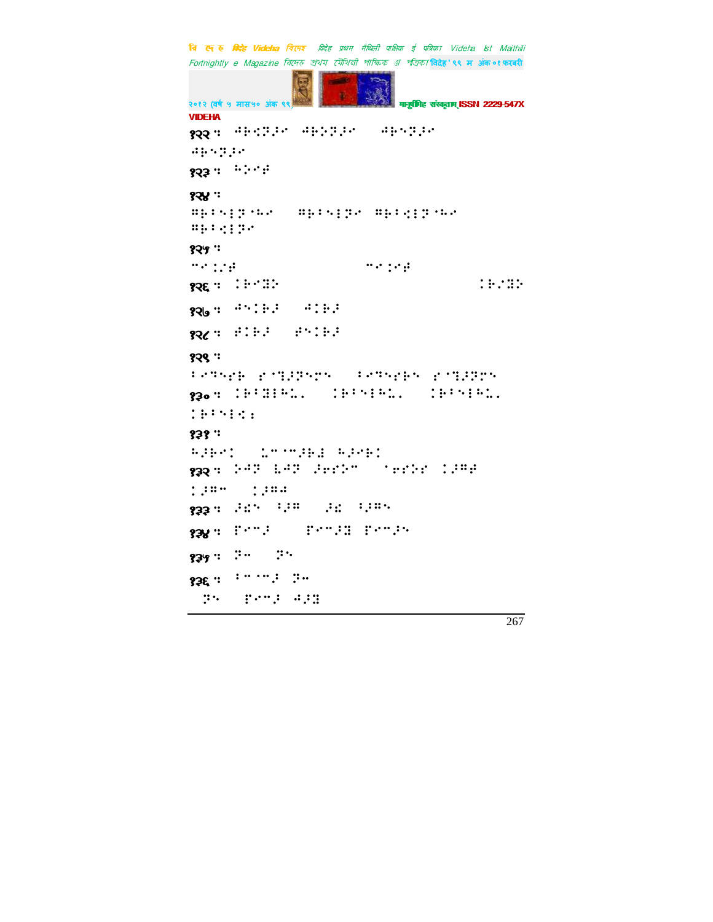```
चि एत् रू मिन्हे Videha निएन्थ विदेह प्रथम मैथिली पाक्षिक ई पत्रिका Videha Ist Maithili
Fortnightly e Magazine বিদেত প্ৰথম মৌথিনী পাক্ষিক প্ৰ' পত্ৰিকা'<mark>বিदेह' ९९ म अंक०१ फरबरी</mark>
२०१२ (वर्ष ५ मास५० अंक ९९) मान्य क्रिकेट क्रिकेट की मानुसीरि संस्कृतम् ISSN 2229-547X
VIDEHA 
१२२⣒!⢺⢷⣊⢽⢼!⢺⢷⢵⢽⢼.!⢺⢷⢽⢼0!
⢺⢷⢽⢼!!
833 :: ``\cdots:
१२४ :
⢻⢷5⢽⢳0!⢻⢷5⢽!⢻⢷⣊5⢽⢳0!
⢻⢷⣊5⢽!!
१२५ :
and an anti-set of the set of the set of the set of the set of the set of the set of the set of the set of the
१२६ : २००१ : २००१ : २००१ : २००१ : २००१ : २००१ : २००१ : २००१ : २००१ : २००१ : २००१ : २००१ : २००१ : २००१ : २००१ :
\mathbf{R} = \mathbf{R} \mathbf{R} \mathbf{S} = \mathbf{R} \mathbf{S} \mathbf{S}१२८ : निर्वित कर्णाटे
१२९ :
\frac{1}{2} \frac{1}{2} \frac{1}{2} \frac{1}{2} \frac{1}{2} \frac{1}{2} \frac{1}{2} \frac{1}{2} \frac{1}{2} \frac{1}{2} \frac{1}{2} \frac{1}{2} \frac{1}{2} \frac{1}{2} \frac{1}{2} \frac{1}{2} \frac{1}{2} \frac{1}{2} \frac{1}{2} \frac{1}{2} \frac{1}{2} \frac{1}{2} \१३०⣒!⢷⣝5⢳⣅E0!⢷5⢳⣅E0!⢷5⢳⣅E!
CHINES
१३१⣒!
^+ : ^+ : ^+ : ^+ : ^+ : ^+ : ^+ : ^+ : ^+ : ^+ : ^+ : ^+ : ^+ : ^+ : ^+ : ^+ : ^+ : ^+ : ^+ : ^+ : ^+ : ^+ : ^+ : ^+ : ^+ : ^+ : ^+ : ^+ : ^+ : ^+ : ^+ : ^+ 
१३२⣒!⢵⢺⢽!⣇⢺⢽!⢼⢶"⢵a0!⢶"⢵"!⢼⢻⢾0!
⢼⢻a0!⢼⢻⢺!
१३३⣒!⢼⣎!⢸⢼⢻0!⢼⣎.⢸⢼⢻!!
१३४ : 2012 - 2012 2012 : 2012
334 :: "..."335 : ... : ... : ...)⢽*!2a⢼!⢺⢼⣝!!
```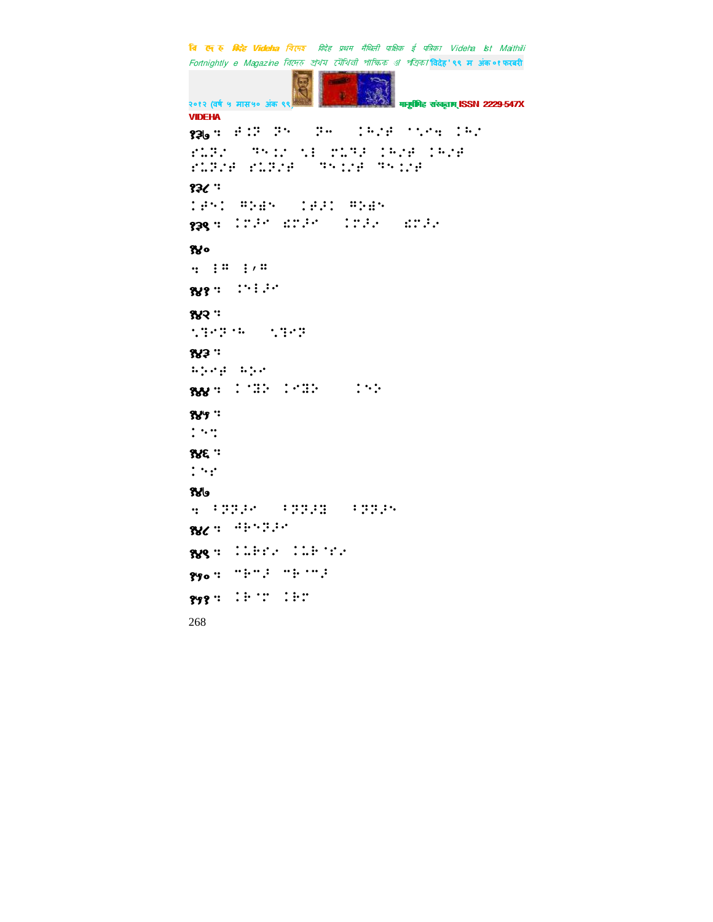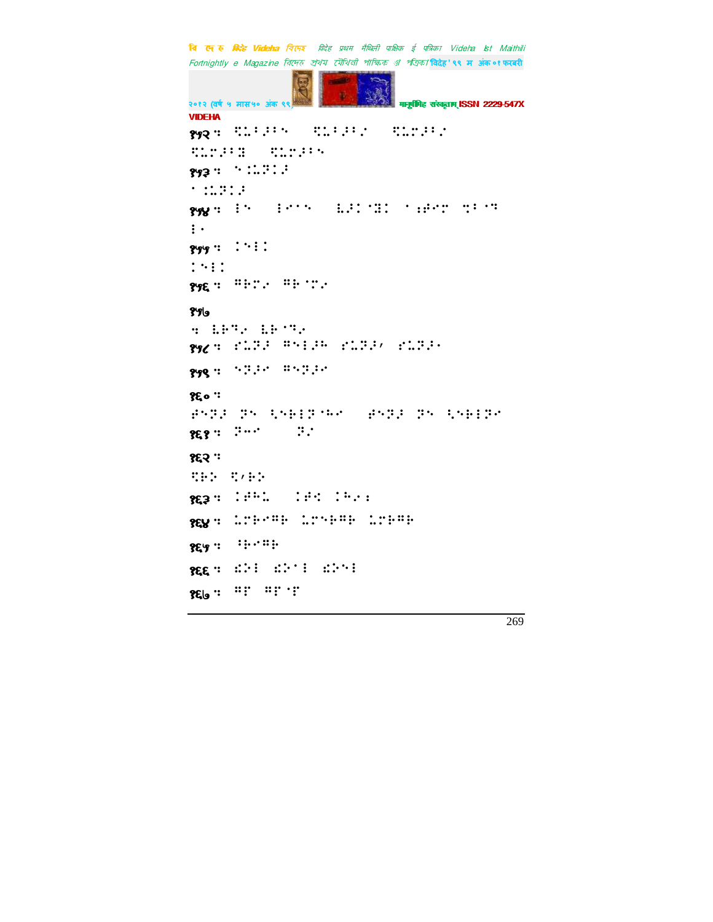```
चि एत् रू मिन्हे Videha निएन्थ विदेह प्रथम मैथिली पाक्षिक ई पत्रिका Videha Ist Maithili
Fortnightly e Magazine বিদেত প্ৰথম মৌথিনী পাক্ষিক প্ৰ' পত্ৰিকা'<mark>বিदेह' ९९ म अंक०१ फरबरी</mark>
२०१२ (वर्ष ५ मास५० अंक ९९) मान्य क्रिकेट क्रिकेट की मानुसीरि संस्कृतम् ISSN 2229-547X
VIDEHA 
१५२⣒!⣋⣅⢼0!⣋⣅⢼40!⣋⣅⢼4!
⣋⣅⢼⣝0!⣋⣅⢼!!
893 :: ``::::::^{\circ} :1313
१७४ ता जिल्ला का उपाध करते हैं। इस उपाध करते हैं कि उपाध करते हैं कि अपने का अपने का अपने का अपने का अपने का अ
\vdots399 : 31 : 31 : 31: \cdot : \cdot१५६ : मेंसे अप्रदेश
१५७
WEIGHT:
१५८⣒!"⣅⢽⢼!⢻5⢼⢳!"⣅⢽⢼'0"⣅⢽⢼c!!
१५९ : २२ : २९ : २९ : १९९
१६०⣒!
⢾⢽⢼!⢽!⣃⢷5⢽⢳0!⢾⢽⢼!⢽!⣃⢷5⢽!!
१६१⣒!⢽⢲!0!⢽4!
१६२⣒!!
WED 37511
१६३⣒!⢾⢳⣅0!⢾⣊!⢳⢴⣐!!
१६४⣒!⣅⢷⢻⢷.⣅⢷⢻⢷!⣅⢷⢻⢷!!
\mathbf{R} \mathbf{S}१६६⣒!⣎⢵50⣎⢵5!⣎⢵5!!
१६७⣒!⢻20⢻22!!
```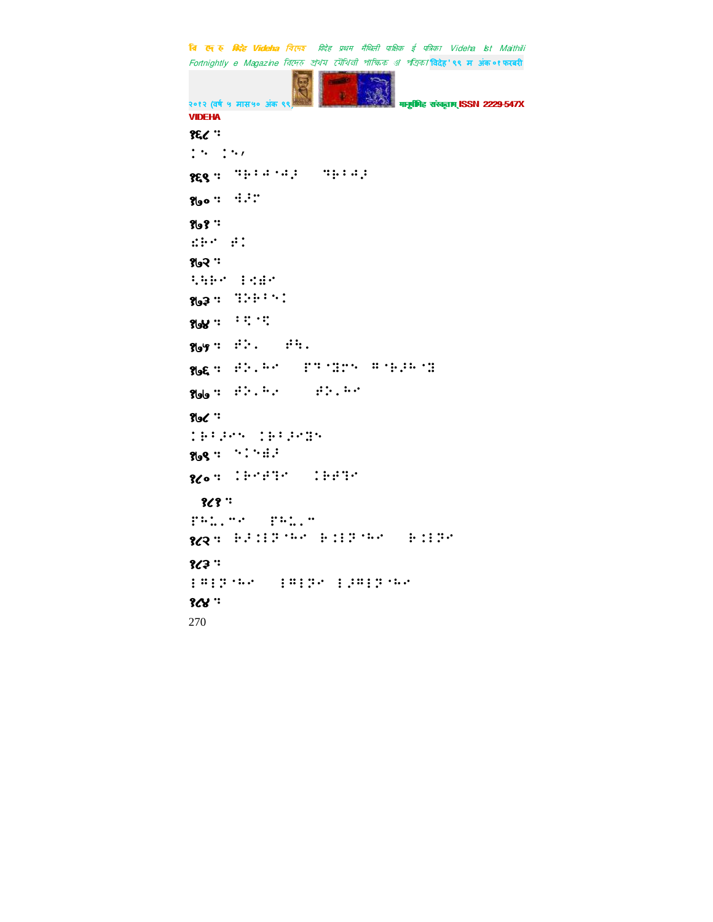```
चि एत् रू मिन्हे Videha निएन्थ विदेह प्रथम मैथिली पाक्षिक ई पत्रिका Videha Ist Maithili
Fortnightly e Magazine বিদেত প্ৰথম মৌথিনী পাক্ষিক প্ৰ' পত্ৰিকা'<mark>বিदेह' ९९ म अंक०१ फरबरी</mark>
२०१२ (वर्ष ५ मास५० अंक ९९) मान्य क्रिकेट क्रिकेट की मानुसीरि संस्कृतम् ISSN 2229-547X
VIDEHA 
270
१६८ :
!'!!
१६९⣒!⢹⢷⢺⢺⢼0!⢹⢷⢺⢼!!
g_{\theta}\circ : \therefore१७१ :
:P. 91
993:
SHEP 1555
903 : 1.1111908 : : : : :y_9y :: \vdots: \vdots१७६⣒!⢾⢵E⢳)!2⢹⣝!⢻⢷⢼⢳⣝*!!
\mathcal{B}30<sup>o</sup>⢷⢼!⢷⢼⣝!!
908: \therefore \therefore \therefore \therefore8८० : \frac{10}{20} : \frac{10}{20} : \frac{10}{20} : \frac{10}{20} : \frac{10}{20}3(3:2⢳⣅Ea0!2⢳⣅Ea!!
१८२⣒!⢷⢼⣈5⢽⢳!⢷⣈5⢽⢳0!⢷⣈5⢽!!
3(3:5⢻5⢽⢳0!5⢻5⢽!5⢼⢻5⢽⢳!!
3C5 :
```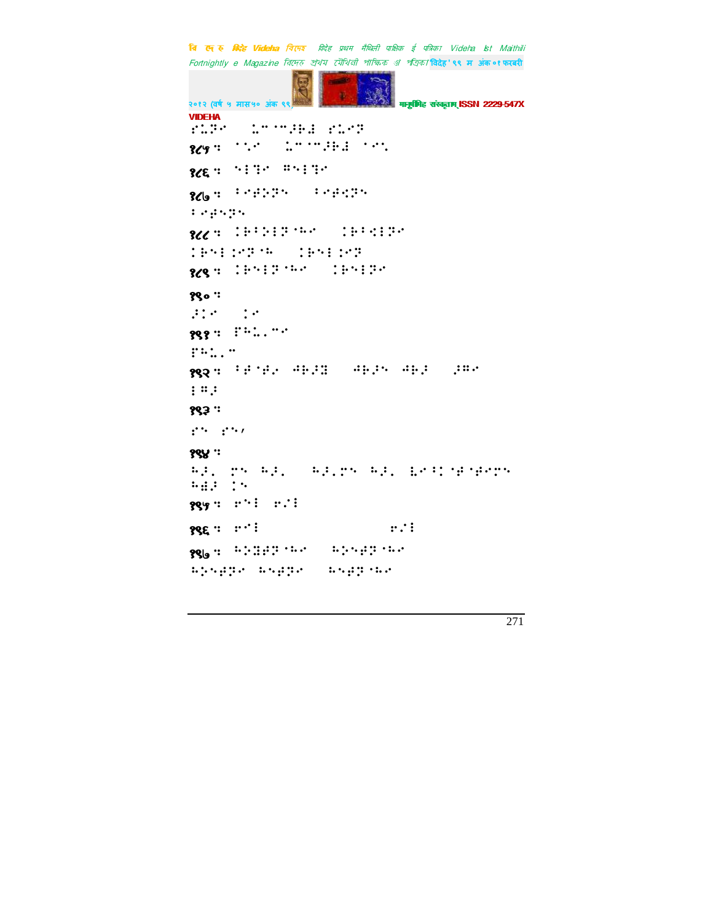```
चि एत् रू मिन्हे Videha निएन्थ विदेह प्रथम मैथिली पाक्षिक ई पत्रिका Videha Ist Maithili
Fortnightly e Magazine বিদেত প্ৰথম মৌথিনী পাক্ষিক প্ৰ' পত্ৰিকা'<mark>বিदेह' ९९ म अंक०१ फरबरी</mark>
२०१२ (वर्ष ५ मास५० अंक ९९) मान्य क्रिकेट क्रिकेट की मानुसीरि संस्कृतम् ISSN 2229-547X
VIDEHA 
"
१८५ : २०१० : २०१०: २०१३ : २०१२
8\angle 6 : 5\div 1\div 7\div 1\div 7\div 1१८७⣒!⢾⢵⢽0!⢾⣊⢽0!!
⢾⢽!!
१८८⣒!⢷⢵5⢽⢳0!⢷⣊5⢽0!
⢷5⣈⢽⢳0!⢷5⣈⢽!!
१८९ : 19593-00 : 19593-0
१९०⣒!!
FD 015
१९१ : <sup>21</sup>
2⢳⣅Ea!!
१९२८ ! अपने अस्टा अस्टा अधिकारी होता.
; ".
१९३⣒!!
\mathcal{C}^{\mathcal{M}} : \mathcal{C}^{\mathcal{M}} /
१९४⣒!!
EE. En E. E. E. E. E. E. E. E. E. E.
H \oplus H \oplus H\gamma९५\cdot: \cdot: \cdot: \cdot: \cdot: \cdot:
१९६⣒!⢶5)tqbdjpvt*!⢶45!!
१९७⣒!⢳⢵⣝⢾⢽⢳0!⢳⢵⢾⢽⢳0!
⢳⢵⢾⢽0⢳⢾⢽0!⢳⢾⢽⢳!!
```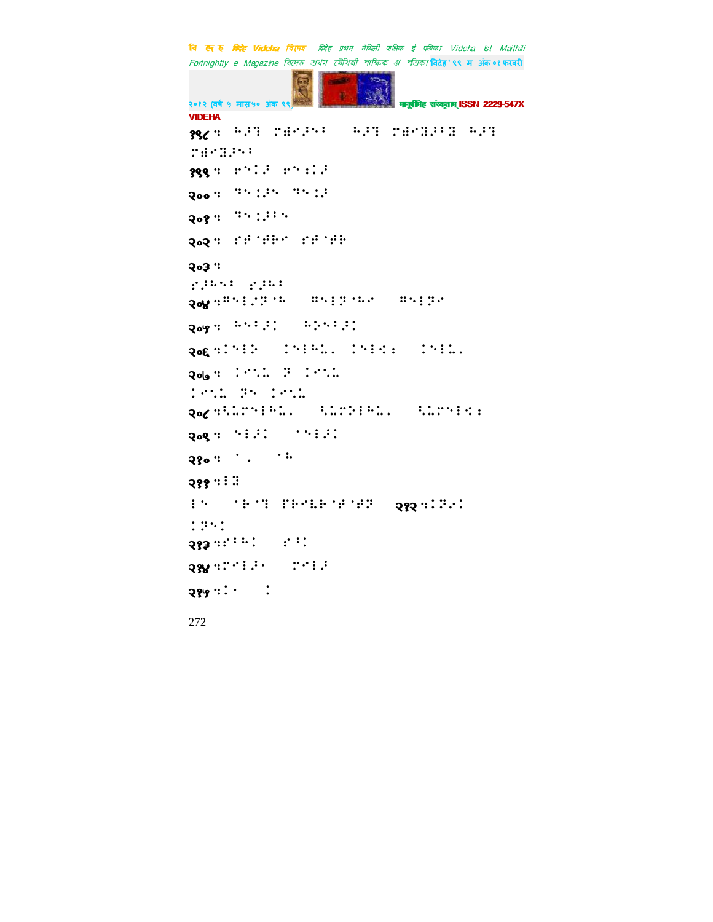Fortnightly e Magazine বিদেত প্ৰথম মৌথিনী পাক্ষিক প্ৰ' পত্ৰিকা'<mark>বিदेह' ९९ म अंक०१ फरबरी</mark> २०१२ (वर्ष ५ मास५० अंक ९९) मान्य क्रिकेट क्रिकेट की मानुसीरि संस्कृतम् ISSN 2229-547X VIDEHA १९८⣒!⢳⢼⣙!⣞⢼0!⢳⢼⣙!⣞⣝⢼⣝0⢳⢼⣙! ⣞⣝⢼!! १९९⣒!⢶⢼!⢶⣐⢼!! २०० : २००९ : २००९ २०१ में में में सार २०२⣒!"⢾⢾⢷!"⢾⢾⢷!! २०३ : "⢼⢳!"⢼⢳!! २०४⣒⢻54⢽⢳0!⢻5⢽⢳0!⢻5⢽!! २०५ : २०५ : २०५ : २०५ : २०५ : २०५ : २०५ : २० २०६ : 540 ENS (1998) - 1995 - 1995 - 1995  $200 \cdot 1 \cdot 1 \cdot 1 \cdot 1 \cdot 1 \cdot 1 \cdot 1$ **TAND 24 (2011)** २०८⣒⣃⣅5⢳⣅E0!⣃⣅⢵5⢳⣅E0!⣃⣅5⣊⣐!! २०९ मा जिले जिल्ह्या अवस्थित २१० $: ' . '$  $388 :: 5$ 5!)⢷⣙.2⢷⣇⢷⢾⢾⢽\*!२१२⣒⢽⢴0! :: .:  $383$  ::::::::::::::::::: २१४⣒5⢼c0!5⢼!!  $284$  ::  $\cdot$  :

चि एत् रू मिन्हे Videha निएन्थ विदेह प्रथम मैथिली पाक्षिक ई पत्रिका Videha Ist Maithili

```
272
```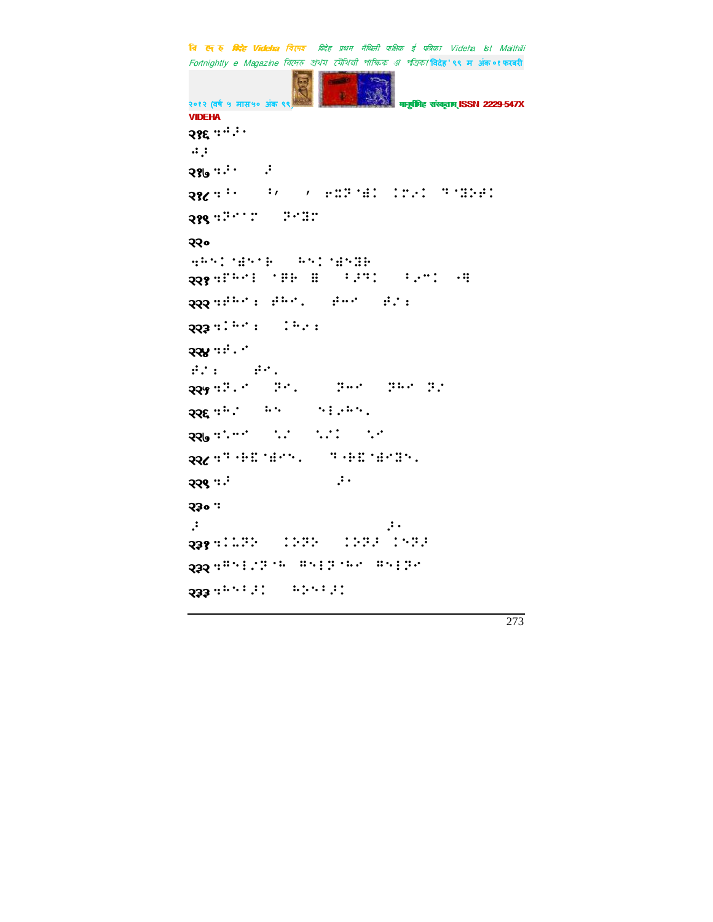```
चि एत् रू मिन्हे Videha निएन्थ विदेह प्रथम मैथिली पाक्षिक ई पत्रिका Videha Ist Maithili
Fortnightly e Magazine বিদেত প্ৰথম মৌথিনী পাক্ষিক প্ৰ' পত্ৰিকা'<mark>বিदेह' ९९ म अंक०१ फरबरी</mark>
२०१२ (वर्ष ५ मास५० अंक ९९) मान्य मान्यान्त अस्त्री मानुषिदि संस्कृतम् ISSN 2229-547X
VIDEHA 
385 .....
\ddots :
380 :: \cdot \cdot२१८⣒⢸c!0⢸'!)'!⢶⣍⢽⣞!⢴!⢹⣝⢵⢾*!!
२१९ अमेरिकेट के अन्य प्राप्त कर
२२०
⣒⢳⣞⢷0!⢳⣞⣝⢷!!
२२१⣒2⢳5!⢿⢷!⣟0!⢼⢹0!⢴a!B⣛!!
२२२ परिवेक सामान्य स्टेड
२२३⣒⢳⣐0!⢳⢴⣐!!
२२४ ःःं . .
H^2: H^2.
२२५ HELP (E0) Percent Percent Pro
२२६ मध्य जातील करते हैं।<br>इन्दर्भ संस्कृति
२२७⣒⣁⢲0!⣁40!⣁4!0⣁!!
२२८⣒⢹B⢷⣏⣞E0!⢹B⢷⣏⣞⣝E!!
\mathfrak{so} : \mathfrak{so}२३०⣒!!
\mathcal{F} ) denote the contract of \mathcal{F} . We also assume that \mathcal{F}२३१⣒⣅⢽⢵0!⢵⢽⢵-!⢵⢽⢼0⢽⢼!
२३२ मण्डी इ.स.च्या अवस्था अवस्था अस
२३३⣒⢳⢼.!⢳⢵⢼!
```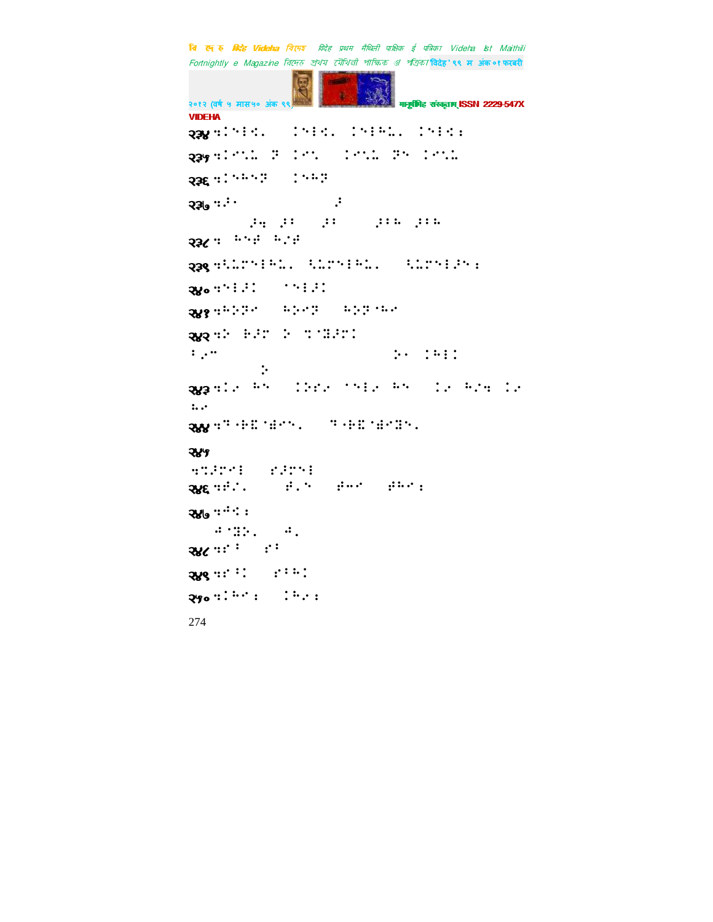२०१२ (वर्ष ५ मास५० अंक ९९) मानुसारी मानुसार संस्कृतम् ISSN 2229-547X VIDEHA 274 २३४ ministration in Enter Communistration २३५ सालिया जिल्ला असता असता अधिकारिक अधिकारिक अधिकारिक अधिकारिक अधिकारिक अधिकारिक अधिकारिक अधिकारिक अधिकारिक अ<br>उपमाणिक अधिकारिक अधिकारिक अधिकारिक अधिकारिक अधिकारिक अधिकारिक अधिकारिक अधिकारिक अधिकारिक अधिकारिक अधिकारिक अधि २३६ ::  $1.442$  $330 \ldots$   $\vdots$ boe\*0⢼⣒!⢼(.⢼(!0⢼⢳.⢼⢳! २३८ मध्यमा अस Q30 SHAPPERL SAPPERL SAPPERD २४० परिवेक्षिण करी होते. २४१ जनसङ्ख्या अनुसारमध्ये २४२ min 997 min 997 min 997 min ⢴a)dpokvodujpo\*-!⢵c!⢳5!)if! tbje\*0⢵! २४३ व्यक्तिगति अस्ति । अस्ति । अस्ति । अस्ति । अस्ति । अस्ति । अस्ति । अस्ति । अस्ति । अस्ति । अस्ति । अस्ति ।<br>सन्दर्भ  $\ddot{\mathbf{u}}$ . २४४⣒⢹B⢷⣏⣞E0!⢹B⢷⣏⣞⣝E! २४५ ⣒⣉⢼50!"⢼5!! २४६ परिचय करते हैं। अन्य करते हैं किया है। अन्य करते हैं किया करते हैं किया है। अन्य करते हैं किया है किया है। ર‰ ઃ"ઃ : 0!⢺⣝⢵E0!⢺E0!! २४८ ःःं ःः २४९⣒"⢸0!"⢳! २५० : : : : : : : : : : 2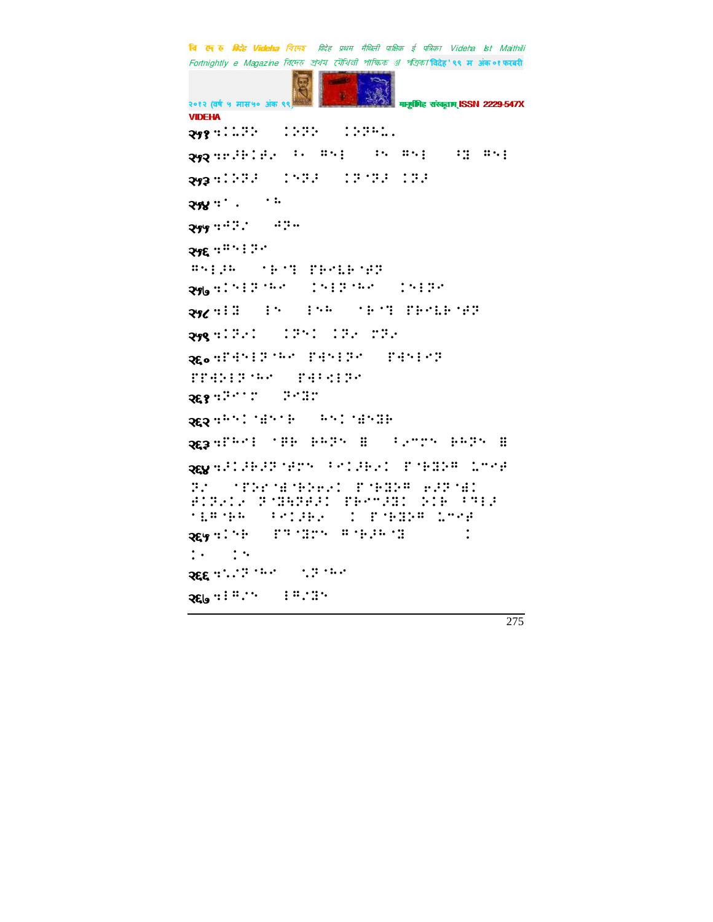२०१२ (वर्ष ५ मास५० अंक ९९) मानुषि संस्कृतिह संस्कृतम् ISSN 2229-547X VIDEHA २५१ : 1099 : 1099 : 1099 : 1099 : 1099 : 1099 : 1099 : 1099 : 1099 : 1099 : 1099 : 1099 : 1099 : 1099 : 1099 : २५२ घाट से इंग्लिश करते हैं। इस साथ से अपनी साथ से अपनी साथ से अपनी साथ से अधिकारित के अन्य साथ से अधिकारित कर २५३ ± 1999 = 1999 = 1999 = 1999 २५४ : २५४ : २००९ २५५⣒⢺⢽40!⢺⢽⢲! २५९ : <sup>3.1</sup> ⢻5⢼⢳!)⢷⣙!2⢷⣇⢷⢾⢽\*!! २७७ घ. १९३ करण - १९३ करण - १९३३ कर २५८⣒5⣝0!50!5⢳!)⢷⣙!2⢷⣇⢷⢾⢽\*! २५९ : 000 : 000 : 000 : 000 : 000 : 000 : 000 : 000 : 000 : 000 : 000 : 000 : 000 : 000 : 000 : 000 : 000 : 00 २६० समिले में से प्रकार करने के साथ प्रकार के साथ प्रकार करने के साथ प्रकार करने के साथ प्रकार करने के साथ प्र<br>जनसङ्ख्या 22⣚⢵5⢽⢳0!2⣚⣊5⢽0! २६१ : २००१ : २००१ : २००१ : २००१ : २००१ : २००१ : २००१ : २००१ : २००१ : २००१ : २००१ : २००१ : २००१ : २० २६२ तमेली जिलेका अधिकारिक प्राप्त करने अपनी स्थान २६३⣒2⢳5!⢿⢷!⢷⢳⢽!⣟0!⢴a!⢷⢳⢽!⣟! २६४⣒⢼⢼⢷⢼⢽⢾!⢼⢷⢴!2⢷⣝⢵⢻!⣅a⢾! ⢽40!2⢵"⣞⢷⢵⢶⢴!2⢷⣝⢵⢻!⢶⢼⢽⣞! ⢾⢽⢴⢴!⢽⣝⣓⢽⢾⢼!2⢷a⢼⣝!⢵⢷!⢹5⢼!  $^{\prime}$  . In the set of the set of the set of the set of the set of the set of the set of the set of the set of the set of the set of the set of the set of the set of the set of the set of the set of the set of the set of t २६५ dine - Filippe Boliva  $\mathbb{R}^2$  and  $\mathbb{R}^2$  and  $\mathbb{R}^2$ २६६ प्रदेशियाचे प्रकार प्रदेशिया २६७⣒5⢻40!5⢻4⣝!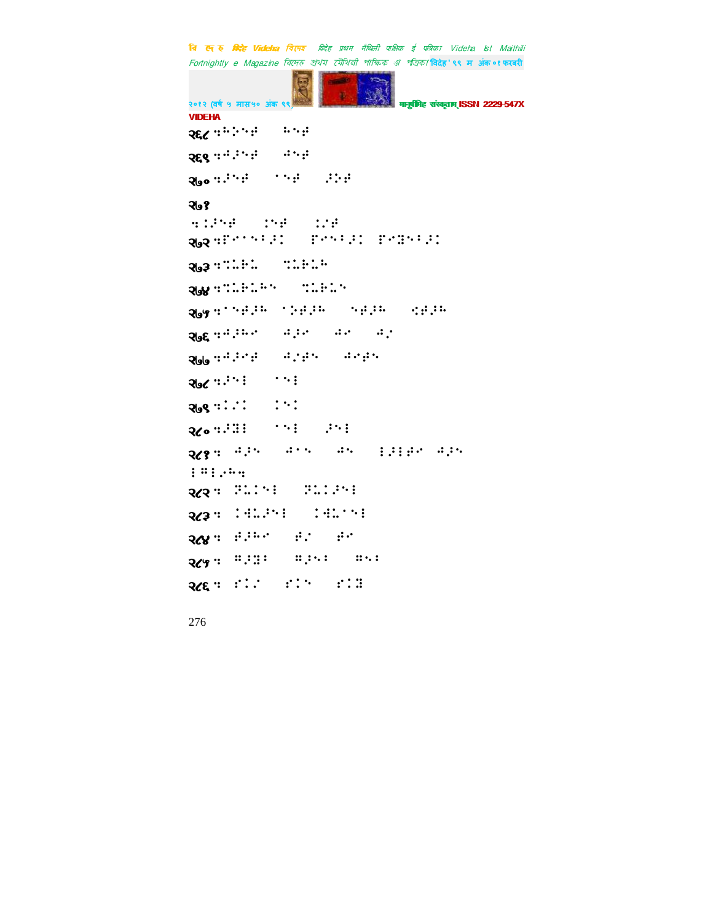२०१२ (वर्ष ५ मास५० अंक ९९) मानुषि संस्कृतिह संस्कृतम् ISSN 2229-547X VIDEHA २६८⣒⢳⢵⢾0!⢳⢾! २६९⣒⢺⢼⢾0!⢺⢾0! २७० ::<sup>:-:</sup> २०: २०: २७: २७१ **₩** २७२ मधिकाले २३ वर्षे सम्पन्ने सम्बन्धाः सम्बन्धस्य अ २७३⣒⣉⣅⢷⣅0!⣉⣅⢷⣅⢳! २७% अप्रैल अप्रैल अप्रैल अप्रैल अप्रैल अप्रैल अप्रैल अप्रैल अप्रैल अप्रैल अप्रैल अप्रैल अप्रैल अप्रैल अप्रैल अ<br>अप्रैल अप्रैल अप्रैल अप्रैल अप्रैल अप्रैल अप्रैल अप्रैल अप्रैल अप्रैल अप्रैल अप्रैल अप्रैल अप्रैल अप्रैल अप्रै २७५ चा प्रदेश प्रदेश करते हैं।<br>सन्दर्भ प्रदेश के लिए प्रदेश करते हैं। २७६ पर्वप्रदेश करने हो। २७७ सामान परमान सम्यान समिति हो।<br>जनसङ्ख्या २७८ : २० : २० :  $208$  ::::  $\therefore$  ::: २८० अमेरिके जिल्ला का अपने अधिकारिके २८१ फ़ नहीं किया जाता है। अपनी स्थान के प्रकाश करता 5⢻5⢴⢳⣒\*! २८२⣒!⢽⣅50!⢽⣅⢼5! २८३ मध्यप्रदेशीय अधिकारि २८४ : मेले कर कर २८५ : "..." "..." "... २८६⣒!"40!"0!"⣝!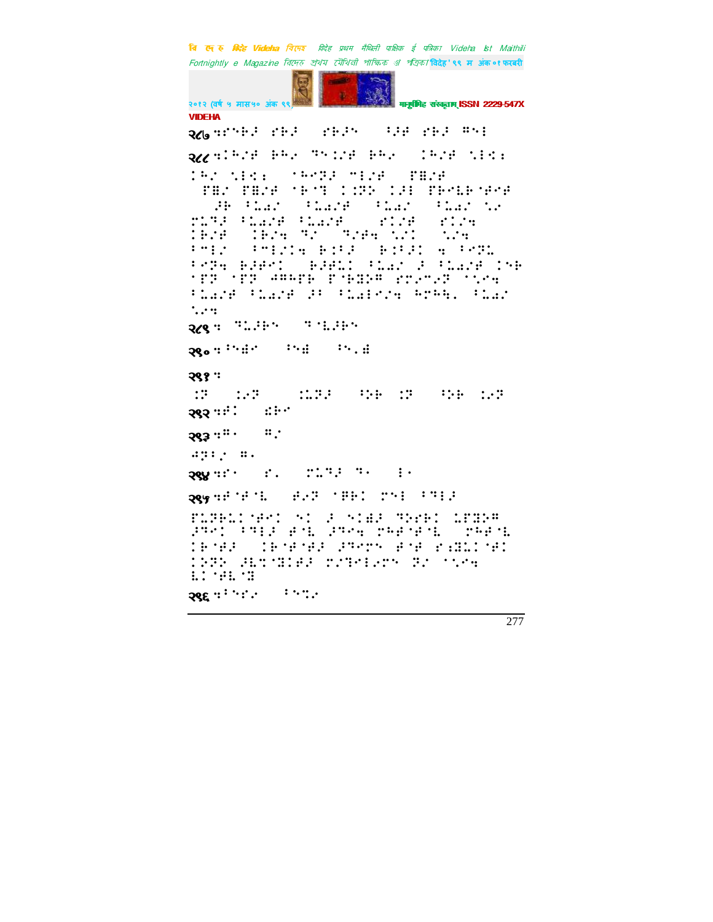

VIDEHA २८७ : 1999 : 1999 : 1999 : 1999 : 1999 : 1999 : 1999 : 1999 : 1999 : 1999 : 1999 : 1999 : 1999 : 1999 : 1999 : २८८ व्यास अपनी समाप्त करते हैं कि अपनी समाप्त करते हैं कि अपनी समाप्त करते हैं कि अपनी समाप्त करते हैं कि अपनी :4: \:\. ^4/3: "!:# #### )2⣟4.2⣟4⢾!⢷⣙!⣈⢽⢵!⢼5!2⢷⣇⢷⢾⢾\*! .!⢼⢷!⣅⣔40!⣅⣔4⢾!)⣅⣔40!⣅⣔4!⣁⢴-! ⣅⢹⢼!⣅⣔4⢾.⣅⣔4⢾\*0!"4⢾0!"4⣒! 10:20 10:20 10:20 10:20<br>10:20 10:21:40:01:21 10:22:40:23 a540!a54⣒!⢷⣈⢼0!⢷⣈⢼!⣒!⢽⣅0! ⢽⣒!⢷⢼⢾0!⢷⢼⢾⣅!⣅⣔4!⢼!⣅⣔4⢾!⢷! 2⢽.2⢽!⢺⢻⢳2⢷!2⢷⣝⢵⢻!"⢴a⢴⢽!⣁⣒! SLATE TEATH OF SEARCH FREE. SEAR  $\ddots$ २८९ : निर्वात : नामान २९०⣒⢸⣞0!⢸⣞0!⢸E⣞! २९१⣒!! ⣈⢽0!⣈⢴⢽0!!⣈⣅⢽⢼!)⢸⢵⢷!⣈⢽0!⢸⢵⢷!⣈⢴⢽\*!! २९२⣒⢾0!⣎⢷!  $283$ ...........  $4 \frac{1}{2}$  :  $\frac{1}{2}$  :  $\frac{1}{2}$  :  $\frac{1}{2}$  :  $\frac{1}{2}$ २९४⣒"c0!"E!)⣅⢹⢼!⢹c-!5c\*! २९५⣒⢾⢾⣇-)⢾⢴⢽!⢿⢷!5!⢹5⢼! 2⣅⢽⢷⣅⢾!!⢼!⣞⢼!⢹⢵"⢷!⣅2⣝⢵⢻\*! ⢼⢹!⢹5⢼!⢾⣇!⢼⢹⣒!⢳⢾⢾⣇0!⢳⢾⣇0!  $\mathbf{F}$   $\mathbf{F}$   $\mathbf{F}$   $\mathbf{F}$   $\mathbf{F}$   $\mathbf{F}$   $\mathbf{F}$   $\mathbf{F}$   $\mathbf{F}$   $\mathbf{F}$   $\mathbf{F}$   $\mathbf{F}$   $\mathbf{F}$   $\mathbf{F}$   $\mathbf{F}$   $\mathbf{F}$   $\mathbf{F}$   $\mathbf{F}$   $\mathbf{F}$   $\mathbf{F}$   $\mathbf{F}$   $\mathbf{F}$   $\mathbf{F}$   $\mathbf{F}$   $\mathbf{F$  $\overline{1}$ 535 | SENIGER I 1950 | SENIGER I 1950 | SENIGER I 1950 | SENIGER I 1950 | SENIGER I 1950 | SENIGER I 1950 | SENIGER I 1950 | SENIGER I 1950 | SENIGER I 1950 | SENIGER I 1950 | SENIGER I 1950 | SENIGER I 1950 | SENI  $L$ .  $H$  :  $H$ २९६⣒"⢴0!⣉⢴!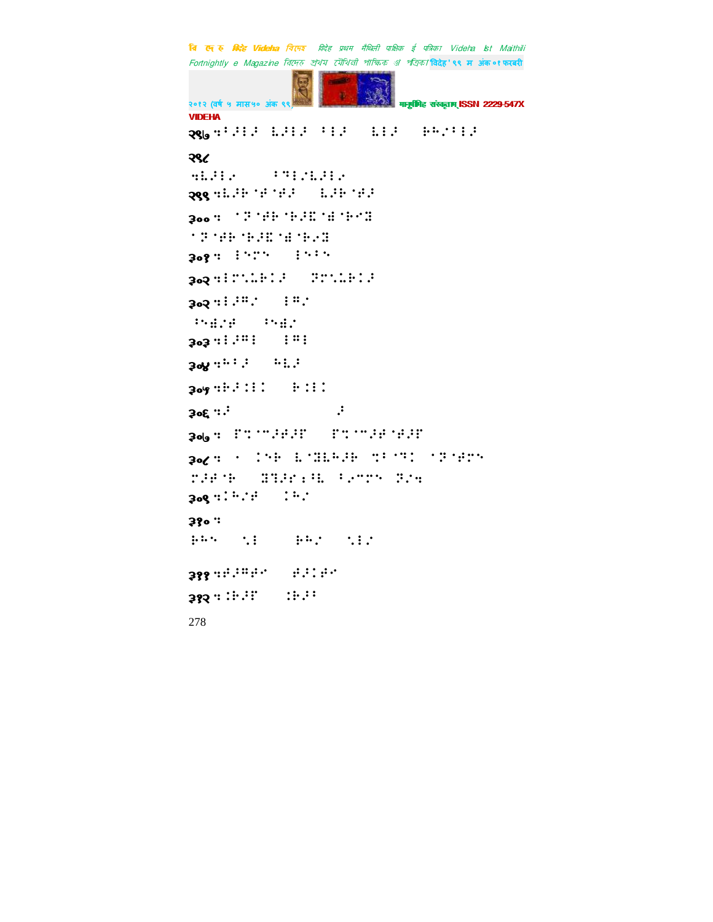२०१२ (वर्ष ५ मास५० अंक ९९) मान्य मान्यान्त अस्त्री मानुषिदि संस्कृतम् ISSN 2229-547X VIDEHA २९७⣒⢼5⢼0⣇⢼5⢼!5⢼0!⣇5⢼!)⢷⢳45⢼\*! २९८ ⣒⣇⢼5⢴0!)⢹54⣇⢼5⢴\*!! २९९ प्रोजनियम प्राप्त (CDC) ३००⣒!⢽⢾⢷⢷⢼⣏⣞⢷⣝0! ⢽⢾⢷⢷⢼⣏⣞⢷⢴⣝!  $308$  :  $55.75$   $55.55$ ३०२⣒5⣁⣅⢷⢼-!⢽⣁⣅⢷⢼! ३०२⣒5⢼⢻40!5⢻4!)! ⢸⣞4⢾0!⢸⣞4\*!! ३०३⣒5⢼⢻50!5⢻5!  $30$ % $9$  $9$  $9$  $9$  $10$ ३०५⣒⢷⢼⣈50!⢷⣈5!  $3$ og $\therefore$  $300$  :  $200$   $20$ ३०८⣒!c!⢷!⣇⣝⣇⢳⢼⢷!⣉⢹!⢽⢾! ⢼⢾⢷-!⣝⣙⢼"⣐⢸⣇!⢴a!⢽4⣒!  $308$   $4:4:4$   $1:4$ ३१०⣒! ⢷⢳!)⣁5\*0!⢷⢳4!)⣁54\*!)nfbojoh! ३११⣒⢾⢼⢻⢾0!⢾⢼⢾! ३१२ ः संस्थाः संस्कृति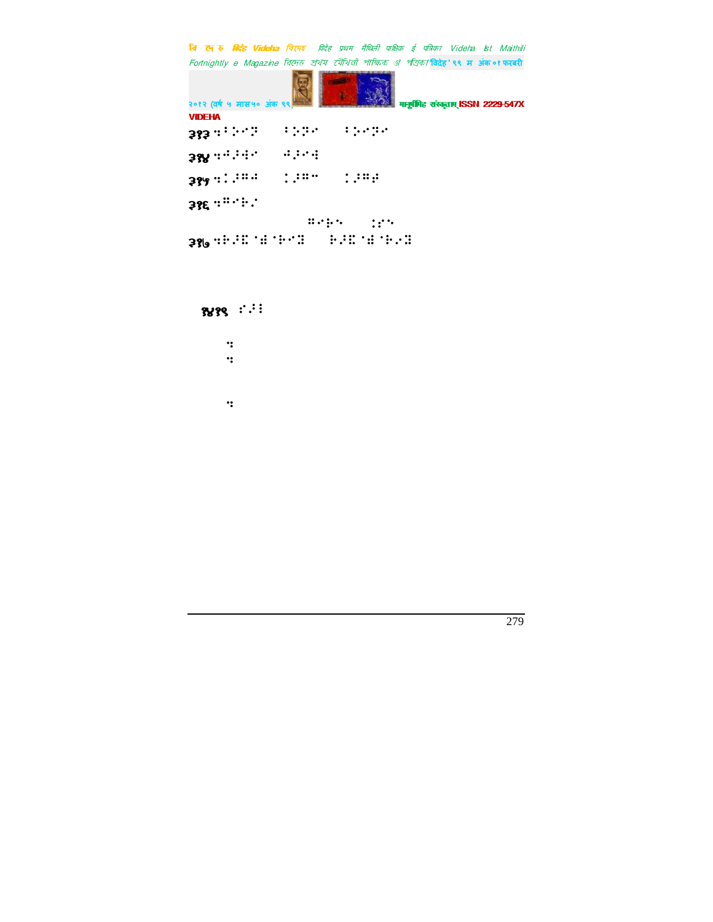| २०१२ (वर्ष ५ मास५० अंक ९९) अधिक     |                               |  | मानुबंधिह संस्कृतम् ISSN 2229-547X |  |
|-------------------------------------|-------------------------------|--|------------------------------------|--|
| <b>VIDEHA</b>                       |                               |  |                                    |  |
| $333 + 11111 - 11111 - 111111$      |                               |  |                                    |  |
| 38.44444                            |                               |  |                                    |  |
| $384$ :: $1384$ :: $1384$ :: $1384$ |                               |  |                                    |  |
| 385                                 |                               |  |                                    |  |
|                                     | $\mathbf{u} \cdot \mathbf{v}$ |  |                                    |  |
| 3% #FREATH FAR FREATH               |                               |  |                                    |  |

## $888$  :  $:$

 $\mathbf{S}$  $\frac{1}{2}$  $\ddot{\cdot}$ :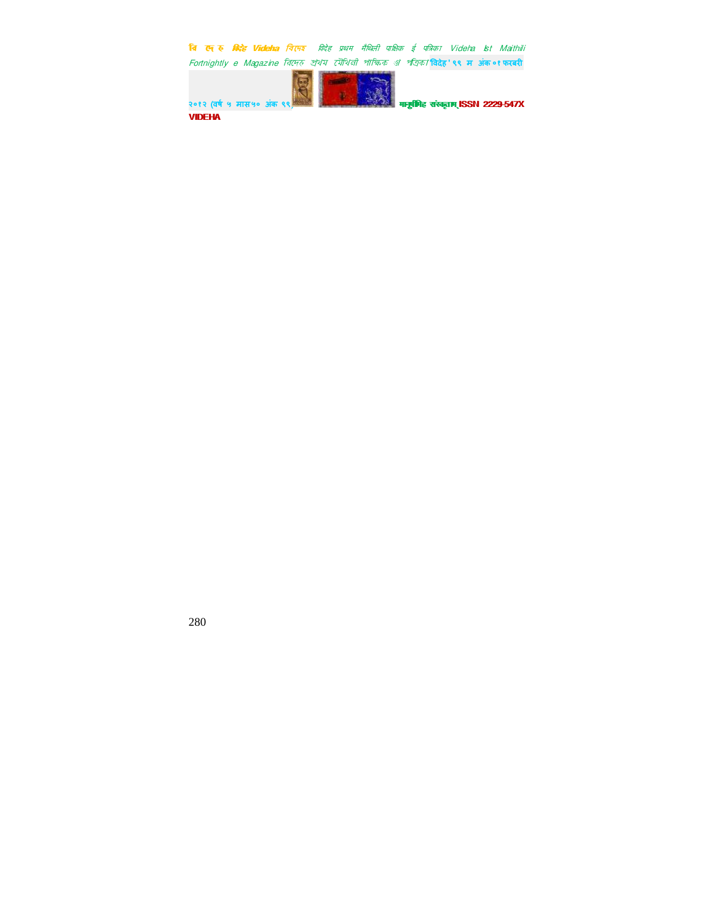

२०१२ (वर्ष ५ मास५० अंक<br><mark>VIDEHA</mark>

२०१२ (वर्षे २०१२)<br>यो प्रान्तुमित संस्कृतम् ISSN 2229-547X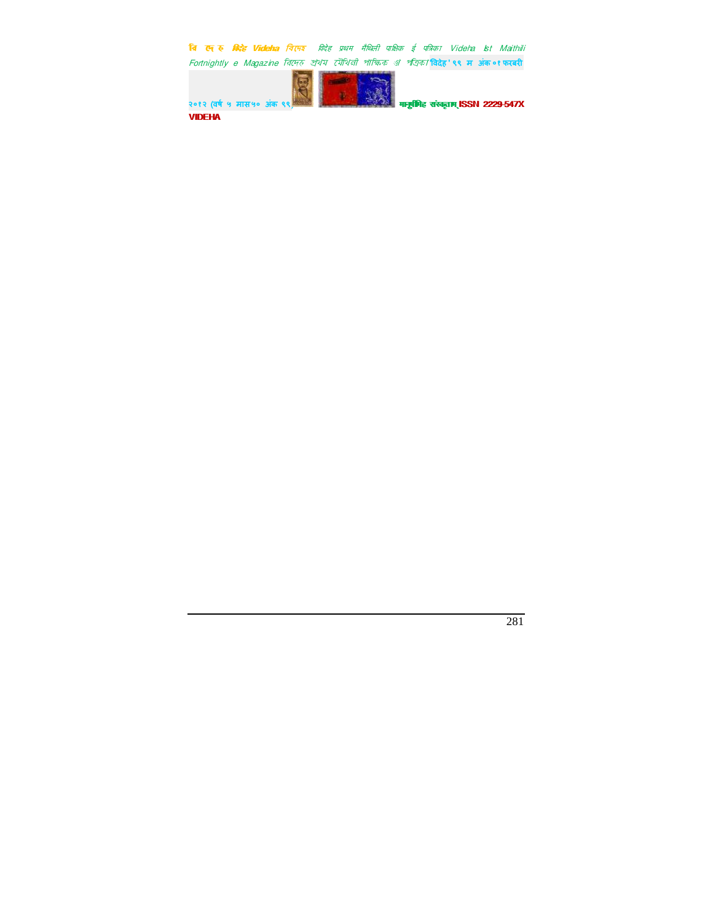

२०१२ (वर्ष ५ मास५० अंक<br><mark>VIDEHA</mark>

२०१२ (वर्ष ४१)<br>यो प्राप्त संस्कृति संस्कृतम् ISSN 2229-547X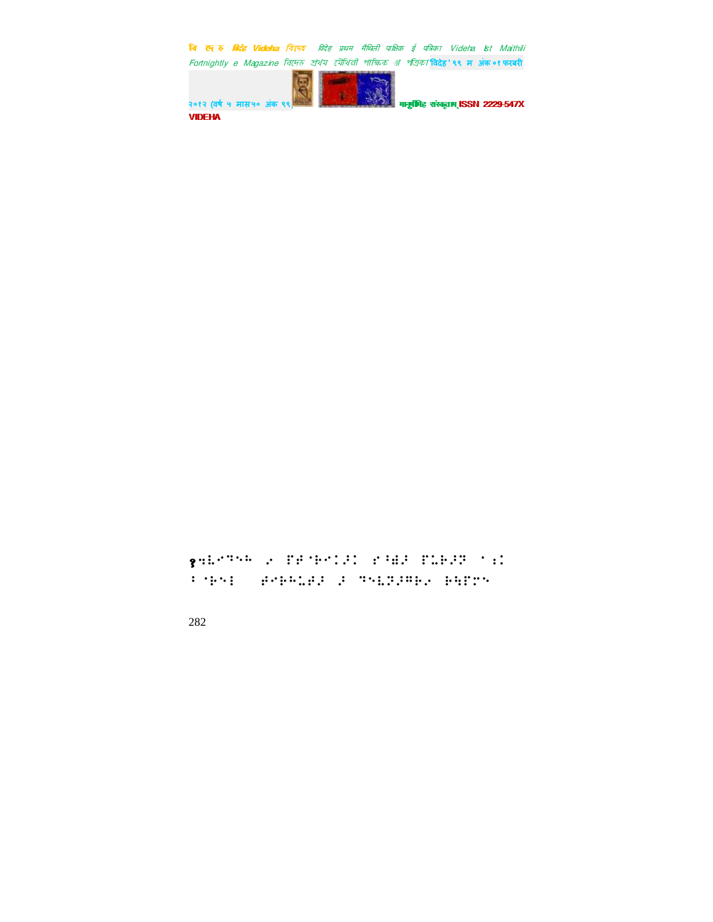२०१२ (वर्ष ५ मास५० अंक ९९) मान्य क्रिकेट के मानुभिंद संस्कृतम् ISSN 2229-547X

१⣒⣇⢹⢳!⢴.2⢾⢷⢼!"⢸⣞⢼!2⣅⢷⢼⢽!⣐! ⢷5-!⢾⢷⢳⣅⢾⢼!⢼!⢹⣇⢽⢼⢻⢷⢴!⢷⣓2!

282

VIDEHA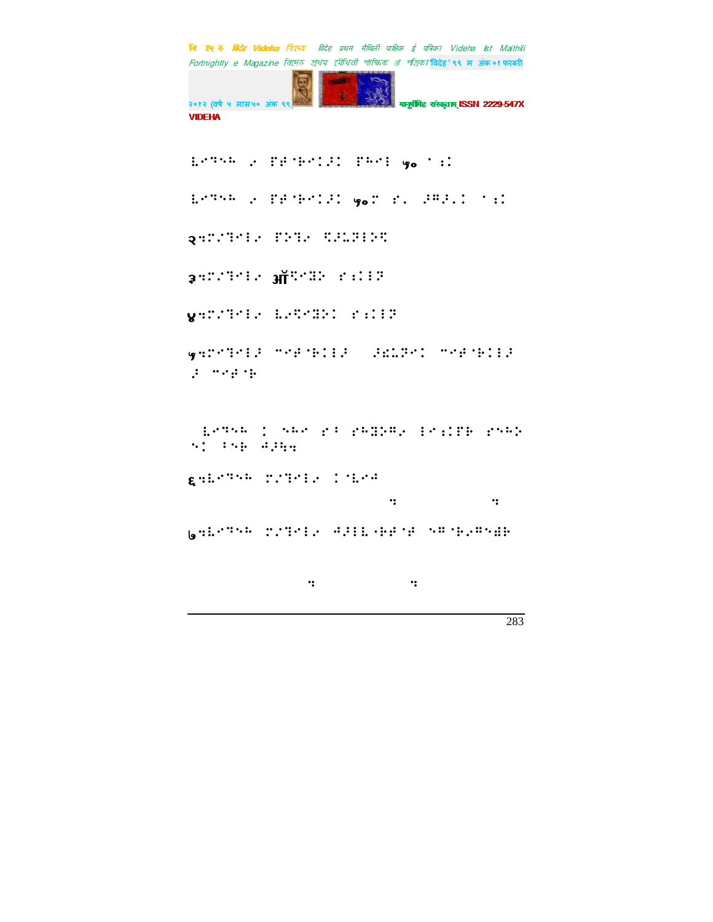

LATAR & PENERIC PRAI Wo (1) LARSH & PENECIE WAT PL PRESIDENT २⣒4⣙5⢴!2⢵⣙⢴!⣋⢼⣅⢽5⢵⣋!Nbjuijmj! 3 400 HE SHE REAL SECTION ४⣒4⣙5⢴!⣇⢴⣋⣝⢵!"⣐5⢽!Nbjuijmj! ५⣒⣙5⢼!a⢾⢷5⢼0!⢼⣎⣅⢽!a⢾⢷5⢼! ⢼!a⢾⢷!Njuijmb!Qbjoujoh0! #⣇⢹⢳#!⢳!"⢸!"⢳⣝⢵⢻⢴!5⣐2⢷!"⢳⢵! %! !%} #285 ६⣒⣇⢹⢳!4⣙5⢴!⣇⢺!!;!! ius;00wjefibration;00wjefibration;00wjefibration;00wjefibration;00wjefibration;00wjefibration;00wjefibration;0 ७⣒⣇⢹⢳!4⣙5⢴!⢺⢼5⣇B⢷⢾⢾!⢻⢷⢴⢻⣞⢷!

bhash bhash ann an chuid ann an chuid an chuid an chuid an chuid an chuid an chuid an chuid an chuid an chuid a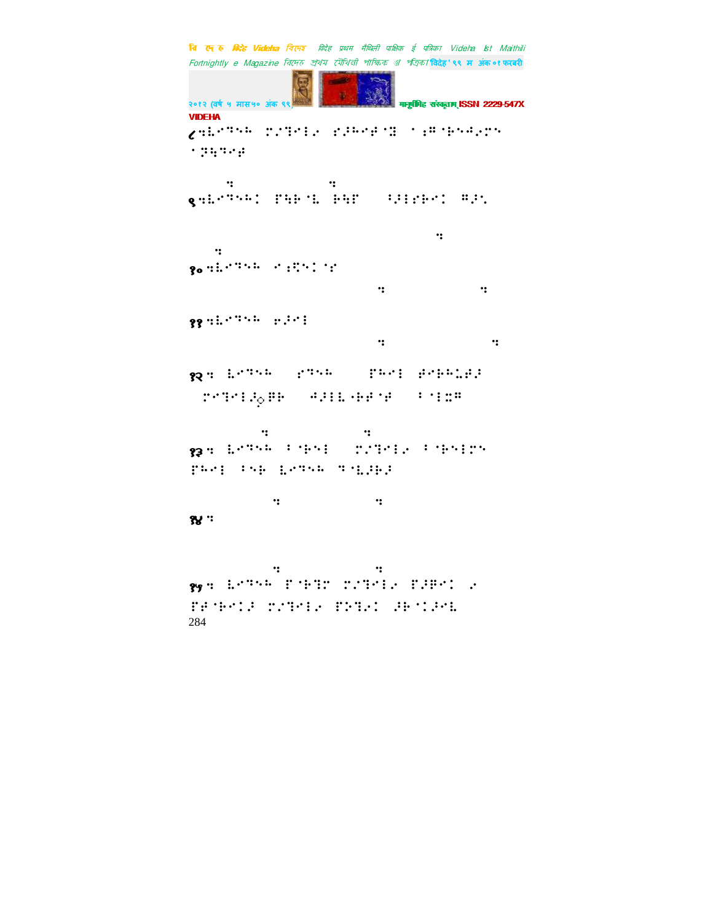चि एत् रू मिन्हे Videha निएन्थ विदेह प्रथम मैथिली पाक्षिक ई पत्रिका Videha Ist Maithili Fortnightly e Magazine বিদেত প্ৰথম মৌথিনী পাক্ষিক প্ৰ' পত্ৰিকা'<mark>বিदेह' ९९ म अंक०१ फरबरी</mark> २०१२ (वर्ष ५ मास५० अंक ९९) मानुसार अधिकारी मानुसीनेत संस्कृताम् ISSN 2229-547X VIDEHA ८⣒⣇⢹⢳!4⣙5⢴!"⢼⢳⢾⣝!⣐⢻⢷⢺⢴! ⢽⣓⢹⢾! bsuch the control of the control of the control of the control of the control of the control of the control of §\$\$^™™}` PHP 1 PHP | PHPPPI PP. iuuq;00hbkfoesbuiblvs⣒cmphtq  $\ddot{\phantom{a}}$ १०⣒⣇⢹⢳!⣐⣋"!!;!! iuuq;00wjefib234⣒cmphtqpu⣒dpn ११⣒⣇⢹⢳!⢶⢼5!;!! ius;00wjefib234,000wjefib234 १२⣒!⣇⢹⢳;!"⢹⢳!;!2⢳5!⢾⢷⢳⣅⢾⢼!  $\mathcal{L}$  )  $\mathcal{L}$   $\mathcal{L}$   $\mathcal{L}$   $\mathcal{L}$   $\mathcal{L}$   $\mathcal{L}$   $\mathcal{L}$   $\mathcal{L}$   $\mathcal{L}$   $\mathcal{L}$   $\mathcal{L}$   $\mathcal{L}$   $\mathcal{L}$   $\mathcal{L}$   $\mathcal{L}$   $\mathcal{L}$   $\mathcal{L}$   $\mathcal{L}$   $\mathcal{L}$   $\mathcal{L}$   $\mathcal{L}$   $\mathcal{L}$   $\mathcal{L}$   $\math$ tbefore the control of the control of the control of the control of the control of the control of the control of the control of the control of the control of the control of the control of the control of the control of the १३ मा केले पुलिस के प्रकाश कर राज्य करने हैं। इन्हें अपने कार्य केले किया जा किया है। इन्हें अपने कार्य केले स<br>पुलिस केले किया जाता है। इन्हें अपने कार्य के प्रकाश कर राज्य के प्रकाश कर राज्य करने के प्रकाश कर राज्य कर रा 2⢳5!⢷!⣇⢹⢳!⢹⣇⢼⢷⢼! csbimmed and the control of the control of the control of the control of the control of the control of the control of the control of the control of the control of the control of the control of the control of the control of  $\mathcal{W}$  is a set of the set of the set of the set of the set of the set of the set of the set of the set of the set of the set of the set of the set of the set of the set of the set of the set of the set of the set of th bsdie bedruik in der deutsche bedruik in der deutsche bedruik in der deutsche bedruik in der deutsche bedruik १५ : 63755 ESPIC (11981) (11955)

284 2⢾⢷⢼!4⣙5⢴!2⢵⣙⢴!⢼⢷⢼⣇!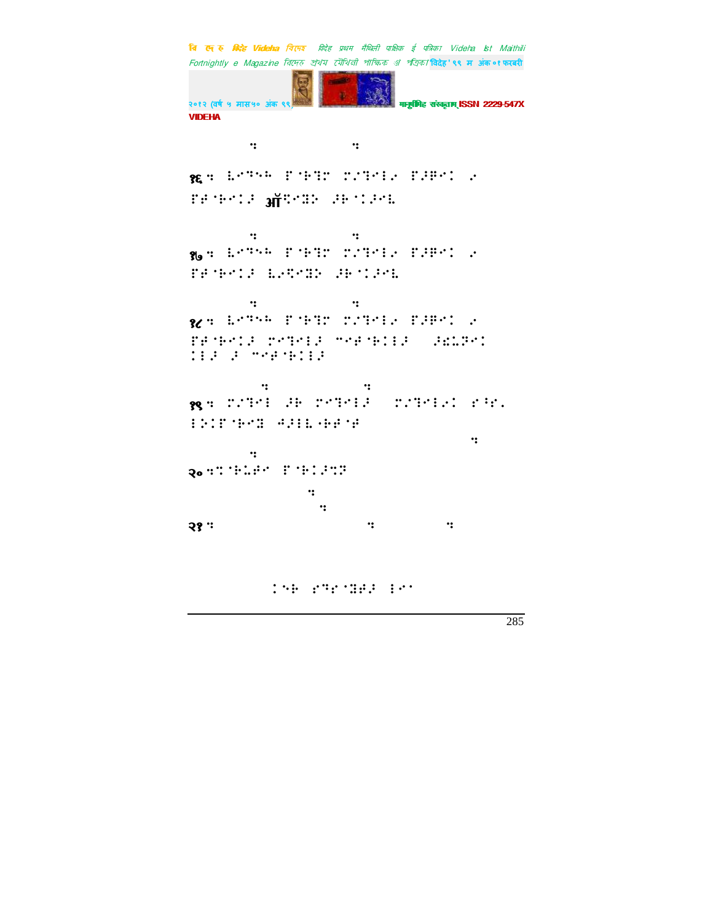```
चि एत् रू मिन्हे Videha निएन्थ विदेह प्रथम मैथिली पाक्षिक ई पत्रिका Videha Ist Maithili
 Fortnightly e Magazine বিদেত প্ৰথম মৌথিনী পাক্ষিক প্ৰ' পত্ৰিকা'<mark>বিदेह' ९९ म अंक०१ फरबरी</mark>
२०१२ (वर्ष ५ मास५० अंक ९९) मान्य मान्यान्त अस्त्री मानुषिदि संस्कृतम् ISSN 2229-547X
VIDEHA 
 q_1cmphtq_2dpuij\alpha१६⣒!⣇⢹⢳!2⢷⣙!4⣙5⢴!2⢼⢿!⢴!
2⢾⢷⢼!ऑ⣋⣝⢵!⢼⢷⢼⣇!
 by the control of the control of the control of the control of the control of the control of the control of the
१७⣒!⣇⢹⢳!2⢷⣙!4⣙5⢴!2⢼⢿!⢴!
2⢾⢷⢼!⣇⢴⣋⣝⢵!⢼⢷⢼⣇!
 where \frac{1}{2} and \frac{1}{2} and \frac{1}{2} and \frac{1}{2}१८⣒!⣇⢹⢳!2⢷⣙!4⣙5⢴!2⢼⢿!⢴!
 2⢾⢷⢼!⣙5⢼!a⢾⢷5⢼-!⢼⣎⣅⢽!
 5⢼!⢼!a⢾⢷5⢼!
 quadre control of the control of the control of the control of the control of the control of the control of the control of the control of the control of the control of the control of the control of the control of the contr
१९⣒!4⣙5!⢼⢷!⣙5⢼!)4⣙5⢴!"⢸"E!
 5ius;00nbjuijmbvsnjuijmbvsnjuijmbvsniuijmbvsniuijmbvsniuijmbvsniuijmbvsniuijmbvsniuijmbvsniuijmbvsniuijmbvsniui
                 \ddot{\cdot}२० : 200 : 200 : 200 : 200 : 200 : 201 : 201 : 201 : 201 : 201 : 201 : 201 : 201 : 201 : 201 : 201 : 201 : 201
 ius in control de la control de la control de la control de la control de la control de la control de la control de la control de la control de la control de la control de la control de la control de la control de la contr
 \frac{1}{2}२१ : परिवार परिवार को साथ परिवार को साथ परिवार को साथ परिवार को साथ परिवार को साथ परिवार को साथ परिवार को साथ <br>नेपालिक परिवार को साथ परिवार को साथ परिवार को साथ परिवार को साथ परिवार को साथ परिवार को साथ परिवार को साथ परिव
```
INE STRIBER EST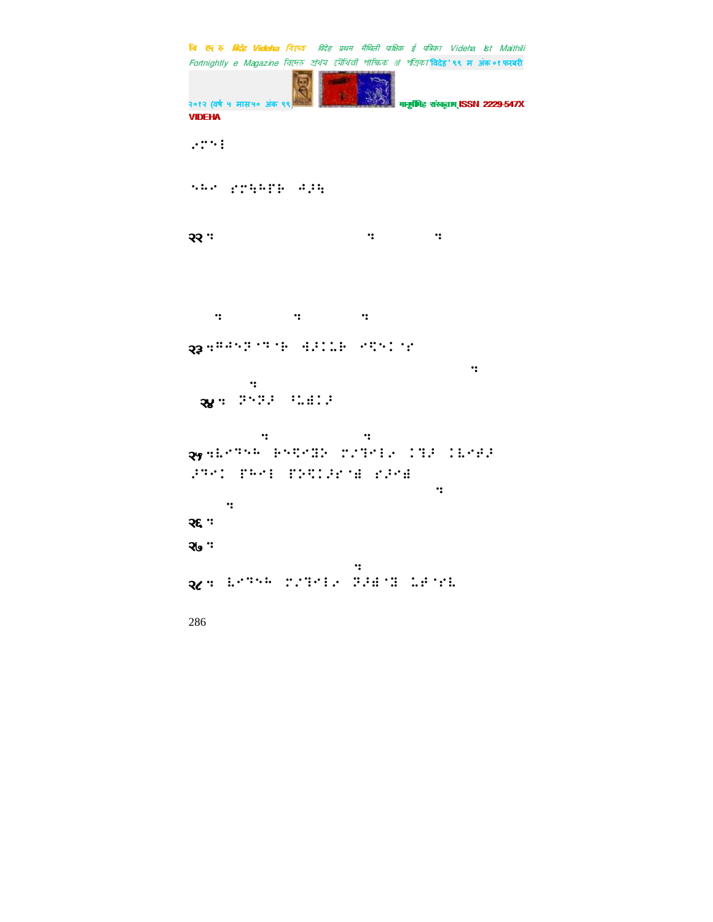```
चि एत् रू मिन्हे Videha निएन्थ विदेह प्रथम मैथिली पाक्षिक ई पत्रिका Videha Ist Maithili
Fortnightly e Magazine বিদেত প্ৰথম মৌথিনী পাক্ষিক প্ৰ' পত্ৰিকা'<mark>বিदेह' ९९ म अंक०१ फरबरी</mark>
२०१२ (वर्ष ५ मास५० अंक ९९) मान्य क्षेत्र मानुसार संस्कृतम् ISSN 2229-547X
VIDEHA 
286
5:5:1⢳!"⣓⢳2⢷!⢺⢼⣓!!
२२ : परिवार को साथ परिवार को साथ परिवार को साथ परिवार को साथ परिवार को साथ परिवार को साथ परिवार को साथ परिवार <br>इन्द्र साथ परिवार को साथ परिवार को साथ परिवार को साथ परिवार को साथ परिवार को साथ परिवार को साथ परिवार को साथ प
     \mathbf{v}_1 variety \mathbf{v}_2 variety \mathbf{v}_3२३⣒⢻⢺⢽⢹⢷!⣚⢼⣅⢷!⣋"!!
ius;00hbkgbkgbkgbkgbkgbkgbkgbkgbkg
              \ddot{\cdot}:
 २४ : २४% अपनी स्टे
libco de la contrada de la contrada de la contrada de la contrada de la contrada de la contrada de la contrada
२५⣒⣇⢹⢳!⢷⣋⣝⢵;4⣙5⢴!⣙⢼.⣇⢾⢼!
⢼⢹!2⢳5!2⢵⣋⢼"⣞!"⢼⣞!
ius (1983) in the control of the control of the control of the control of the control of the control of the co
        \cdot:
२६ :
२७ \cdot :
\mathbf{g} is a set of \mathbf{g} is a set of \mathbf{g}२८व सेत्रपत्रमे अधीर्मात समिति समिति ।
```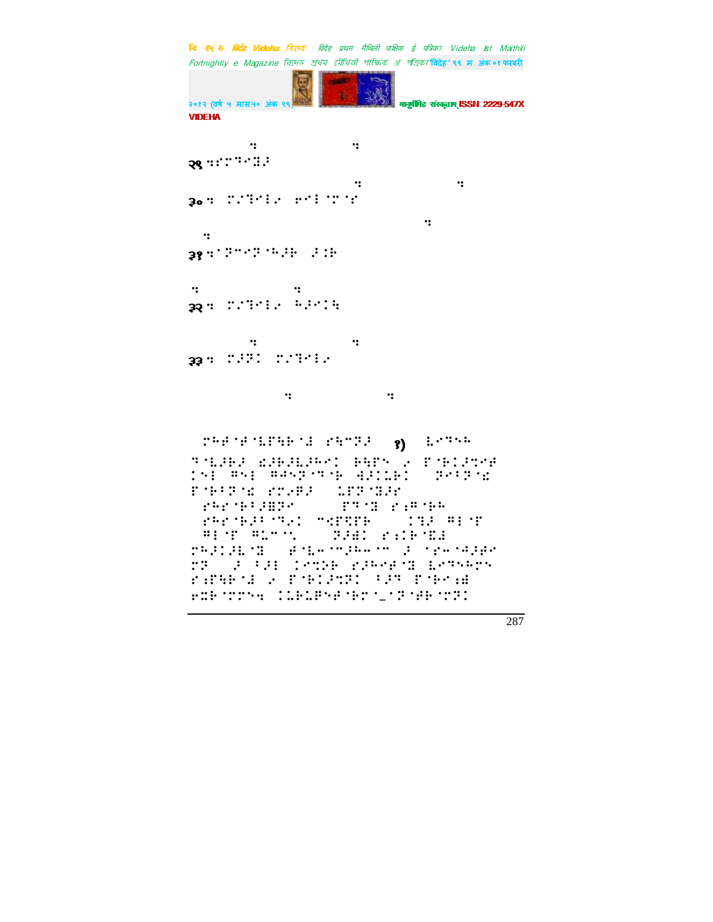चि एत् रू मिन्हे Videha निएन्थ विदेह प्रथम मैथिली पाक्षिक ई पत्रिका Videha Ist Maithili Fortnightly e Magazine বিদেত প্ৰথম মৌথিনী পাক্ষিক প্ৰ' পত্ৰিকা'<mark>বিदेह' ९९ म अंक०१ फरबरी</mark> २०१२ (वर्ष ५ मास५० अंक ९९) मान्य मान्यान्त अस्त्री मानुषिदि संस्कृतम् ISSN 2229-547X VIDEHA esbnb, phtps://www.comphanet.com २९ ॥ ॥ ॥ ॥ ॥ ॥ ॥ ॥ ॥ ॥ ॥ ॥ ॥ ॥ ॥ ! ius;00ftbnbbesquedpnbbesquedpnbbesquedpnbbesquedpnbbesquedpnbbesquedpnbbesquedpnbbesquedpnbbesquedpnbbesquedpn 30: 223512 PMICTIC ius;00nbjuijmjegimntoja (1900-1900)  $\ddot{\phantom{1}}$ ३१⣒⢽a⢽⢳⢼⢷!⢼⣈⢷! ⣒cmphtqpu⣒dpn0!! ३२⣒!4⣙5⢴!⢳⢼⣓! ibility of the company of the company of the company of the company of the company of the company of the company of the company of the company of the company of the company of the company of the company of the company of t ३३⣒!⢼⢽!4⣙5⢴! nbjuijmj⣒cmphtqpu⣒dpn0! !⢳⢾⢾⣇2⣓⢷⣜!"⣓a⢽⢼;)१) (⣇⢹⢳(! ⢹⣇⢼⢷⢼!⣎⢼⢷⢼⣇⢼⢳!⢷⣓2!⢴.2⢷⢼⣉⢾! 5!⢻5!⢻⢺⢽⢹⢷!⣚⢼⣅⢷!!⢽⢽⣎. 2⢷⢽⣎."⢴⢿⢼-!⣅2⢽⣝⢼"! ) (PHIMPIPS) (PPIE PIPS) )"⢳"⢷⢼⢹⢴!a⣊2⣋2⢷\*-!⣙⢼.⢻52! )⢻52.⢻⣅a⣁\*-!⢽⢼⣞)"⣐⢷⣏⣜\*-! ⢳⢼⢼⣇⣝!)⢾⣇⢲a⢼⢳⢲a!⢼!"⢲⢺⢼⢾!  $T$   $\overline{S}$   $\overline{S}$   $\overline{S}$   $\overline{S}$   $\overline{S}$   $\overline{S}$   $\overline{S}$   $\overline{S}$   $\overline{S}$   $\overline{S}$   $\overline{S}$   $\overline{S}$   $\overline{S}$   $\overline{S}$   $\overline{S}$   $\overline{S}$   $\overline{S}$   $\overline{S}$   $\overline{S}$   $\overline{S}$   $\overline{S}$   $\overline{S}$   $\overline{S}$   $\overline{S}$   $\$  $T$ 

⢶⣍⢷⣒!⣅⢷⣅⢿⢾⢷–⢽⢾⢷⢽!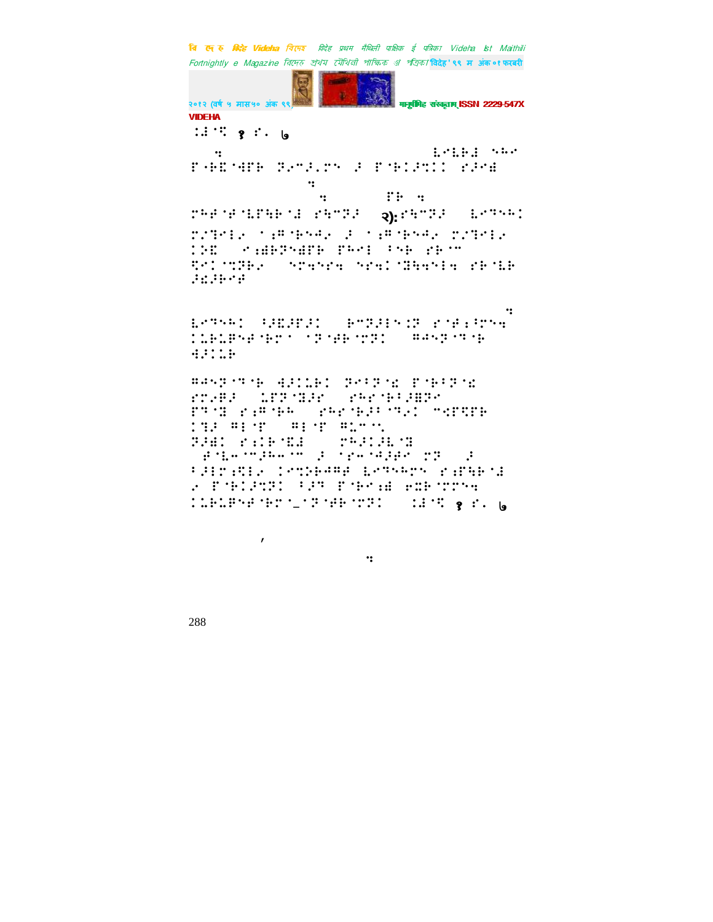चि एत् रू मिन्हे Videha निएन्थ विदेह प्रथम मैथिली पाक्षिक ई पत्रिका Videha Ist Maithili Fortnightly e Magazine বিদেত প্ৰথম মৌথিনী পাক্ষিক প্ৰ' পত্ৰিকা'<mark>বিदेह' ९९ म अंक०१ फरबरी</mark> २०१२ (वर्ष ५ मास५० अंक ९९) मानुषि संस्कृतम् ISSN 2229-547X VIDEHA ⣈⣜⣋.१ "E!७ Dpncjofe!JTCO! Op 38.92.1883:.1883:.1883:.1883:.1883:.1883:.1883:.1883:.1883:.1883:.1883:.1883:.1883:.1883:.1883:.1883:.1883: 2B⢷⣏⣚2⢷!⢽⢴a⢼E!⢼!2⢷⢼⣉!"⢼⣞! ius in control de la control de la control de la control de la control de la control de la control de la control de la control de la control de la control de la control de la control de la control de la control de la contr  $\mathbf{q}$  and  $\mathbf{r}$  if  $\mathbf{r}$ ⢳⢾⢾⣇2⣓⢷⣜!"⣓a⢽⢼!)२):"⣓a⢽⢼;!⣇⢹⢳! 4⣙5⢴.⣐⢻⢷⢺⢴!⢼!⣐⢻⢷⢺⢴!4⣙5⢴! ⢵⣏!)⣐⣞⢷⢽⣞2⢷!2⢳5!⢷!"⢷a. ⣋⣉⢽⢷⢴\*!⣒"⣒!"⣒⣝⣓⣒5⣒!"⢷⣇⢷! ⢼⣎⢼⢷⢾!.Cbtfe!po!nt.trm!tfswfs! Fohmjti.Nbjuijmj!Ejdujpobsz⣒! ⣇⢹⢳!⢸⢼⣏⢼2⢼.!⢷a⢽⢼5⣈⢽!"⢾⣐⢸⣒! ⣅⢷⣅⢿⢾⢷!⢽⢾⢷⢽.!⢻⢺⢽⢹⢷! ⣚⢼⣅⢷! ⢻⢺⢽⢹⢷!⣚⢼⣅⢷!⢽⢽⣎.2⢷⢽⣎. "⢴⢿⢼-!⣅2⢽⣝⢼"!)"⢳"⢷⢼⣟⢽\*!-! PROB PART PRODUCT ⣙⢼.⢻52!)⢻52!⢻⣅a⣁\*-! ⢽⢼⣞)"⣐⢷⣏⣜\*-!⢳⢼⢼⣇⣝! ) enger alle tronde alle tronde alle tronde alle tronde alle tronde alle tronde alle tronde alle tro  $^5$ 500  $^5$ 500  $^5$  . The Section of Section of Section of Section of Section of Section  $F$ .2  $F$ ⣅⢷⣅⢿⢾⢷–⢽⢾⢷⢽-!⣈⣜⣋.१ "E!७

 $\mathcal{G}$ 

Uiblist van die Grootste van die Grootste van die Grootste van die Grootste van die Grootste van die Grootste<br>Gebeure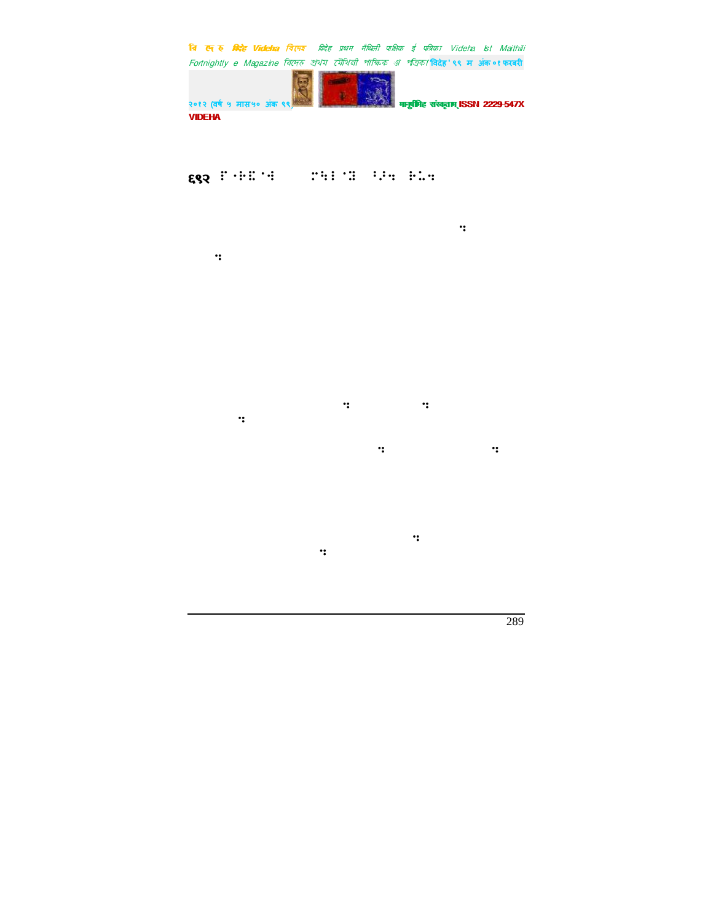चि एत् रू मिन्हे Videha निएन्थ विदेह प्रथम मैथिली पाक्षिक ई पत्रिका Videha Ist Maithili Fortnightly e Magazine বিদেত প্ৰথম মৌথিনী পাক্ষিক প্ৰ' পত্ৰিকা'<mark>বিदेह' ९९ म अंक०१ फरबरी</mark>



२०१२ (वर्ष ५ मास५० अंक ९९) मानुषिक संस्कृतम् ISSN 2229-547X

## ६९२ - Politics - Politics - Politics - Politics - Politics - Politics - Politics - Politics - Politics - Polit

VIDEHA



iuuqt;00tjuftigtat;00tjuftigtat;00tjuftigtat;00tjuftigtat;00tjuftigtat;00tjuftigtat;00tjuftigtat;00tjuftigtat; efib $\alpha$  of  $\alpha$  of  $\alpha$  of  $\alpha$  of  $\alpha$ ius;00wjefib234,000wjefib234

xfctium (1980), iuu quadrum (1980), iuu  $\frac{d\theta}{d\theta}$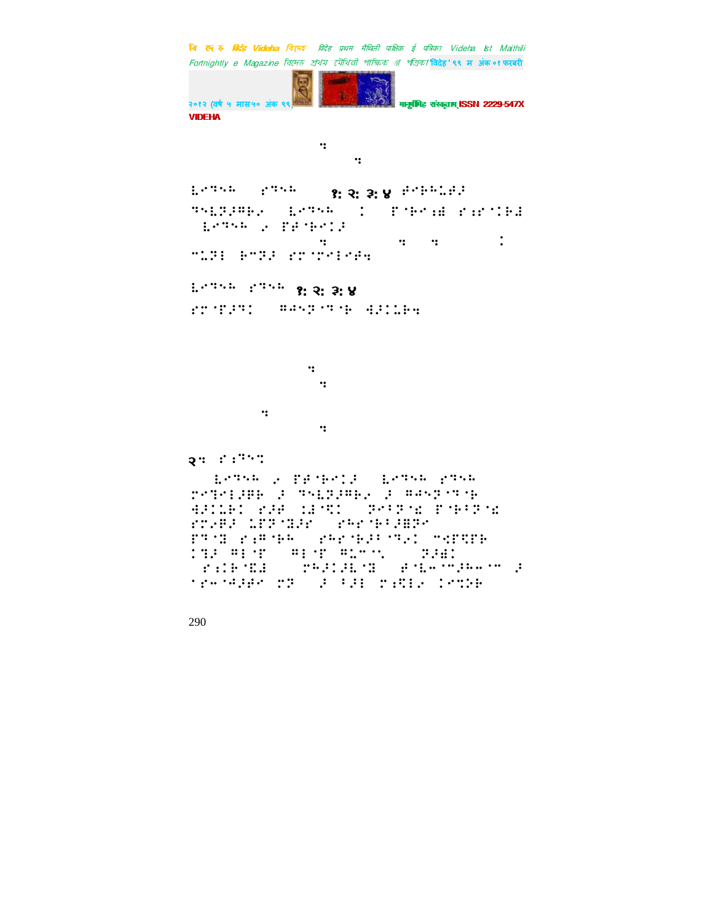चि एत् रू मिन्हे Videha निएन्थ विदेह प्रथम मैथिली पाक्षिक ई पत्रिका Videha Ist Maithili Fortnightly e Magazine বিদেত প্ৰথম মৌথিনী পাক্ষিক প্ৰ' পত্ৰিকা'<mark>বিदेह' ९९ म अंक०१ फरबरी</mark>

२०१२ (वर्ष ५ मास५० अंक ९९) मानुषि संस्कृतिह संस्कृतम् ISSN 2229-547X VIDEHA

nbjm;tisvuj⣒qvcmjdbujpoAtisv uj.dov. a na staro dpa je postavlja se obrazil na staro dpa je postavlja se obrazil na staro dpa je postavlja<br>Dogodka je postavlja se obrazil na staro dpa je postavlja se obrazil na staro dpa je postavlja se obrazil na s

Let  $\mathbb{R}^n$  if  $\mathbb{R}^n$  if  $\mathbb{R}^n$  ,  $\mathbb{R}^n$  ,  $\mathbb{R}^n$  ,  $\mathbb{R}^n$  ,  $\mathbb{R}^n$  if  $\mathbb{R}^n$  if  $\mathbb{R}^n$  if  $\mathbb{R}^n$ ⢹⣇⢽⢼⢻⢷⢴!#⣇⢹⢳#!-!2⢷⣐⣞!"⣐"⢷⣜! ;⣇⢹⢳.⢴.2⢾⢷⢼!  $\ddot{\mathbf{u}}$ a⣅⢽5!⢷a⢽⢼!"5⢾⣒!

 $\frac{17}{10}$ ,  $\frac{17}{10}$ ;  $\frac{17}{10}$ ;  $\frac{17}{10}$ ;  $\frac{17}{10}$ ;  $\frac{17}{10}$ ;  $\frac{17}{10}$ ;  $\frac{17}{10}$ ;  $\frac{17}{10}$ ;  $\frac{17}{10}$ ;  $\frac{17}{10}$ ;  $\frac{17}{10}$ ;  $\frac{17}{10}$ ;  $\frac{17}{10}$ ;  $\frac{17}{10}$ ;  $\frac{17}{10}$ ;  $\frac{17}{10}$ ; "2⢼⢹;!⢻⢺⢽⢹⢷!⣚⢼⣅⢷⣒!

ius in control de la control de la control de la control de la control de la control de la control de la control de la control de la control de la control de la control de la control de la control de la control de la contr qvcmjdbujpo buje buje po predstavlja se po predstavlja se po po predstavlja se po po po po po po po po po po p tisvuje poznati svuje poznati svuje poznati svuje poznati svuje poznati svuje poznati svuje poznati svuje pozn  $\mathbf{q}$ 

 $2$  :  $\therefore$   $\therefore$   $\therefore$   $\therefore$ 

 $\sim$  10000  $\sim$  2000  $\sim$  2000  $\sim$  2000  $\sim$  2000  $\sim$ ⣙5⢼⢿⢷!⢼!⢹⣇⢽⢼⢻⢷⢴!⢼!⢻⢺⢽⢹⢷! ⣚⢼⣅⢷!"⢼⢾!⣈⣜⣋.!⢽⢽⣎.2⢷⢽⣎. "⢴⢿⢼-⣅2⢽⣝⢼"!)"⢳"⢷⢼⣟⢽\*!-! 2⢹⣝."⣐⢻⢷⢳!)"⢳"⢷⢼⢹⢴!a⣊2⣋2⢷\*-! ⣙⢼.⢻52!)⢻52!⢻⣅a⣁\*-!⢽⢼⣞! )"⣐⢷⣏⣜\*-!⢳⢼⢼⣇⣝!)⢾⣇⢲a⢼⢳⢲a!⢼! "⢲⢺⢼⢾!⢽\*!⢼!⢼5.⣐⣋5⢴.⣉⢵⢷!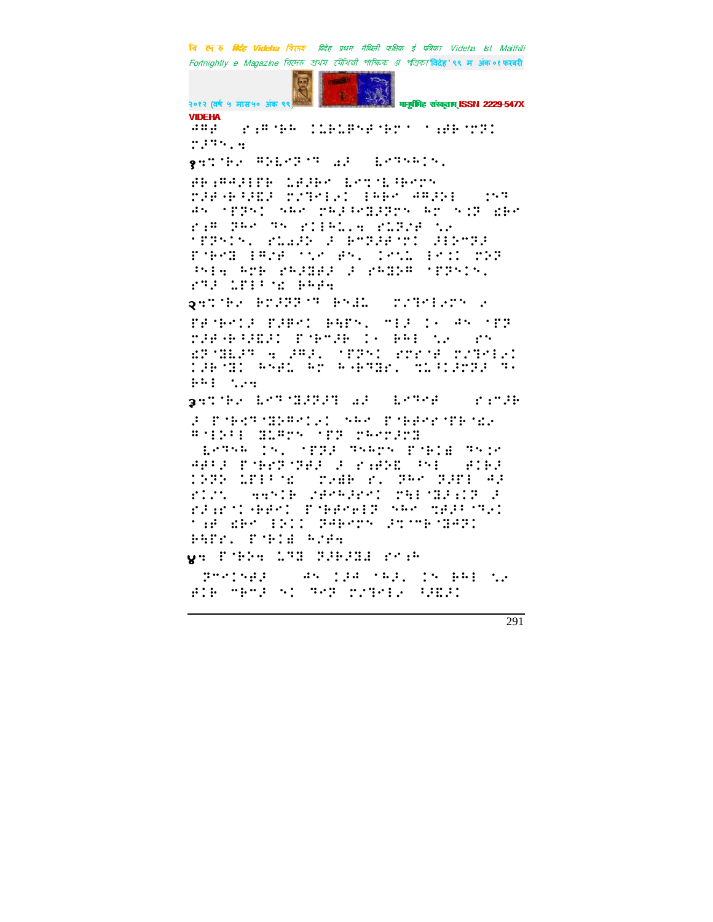

२०१२ (वर्ष ५ मास५० अंक **VIDEHA** 

**September 1161858-1627 (September**  $\ldots$   $\ldots$  $\mathbb{R}^{1111}$  ,  $\mathbb{R}$ 

permanent was an enterty.

#B.#43100 1#365 Estil Bert narakan nyere (sekolenger  $\cdots$ An ippn; new peparagern ar nip der ram der de richten richte in **MERSING PLATE JE BMPJEME JEDMPJ** PORCH ERNE SOME BY, INCL. ENC. 200 Prim Are regular a redie fronth. ru drivi bee

patter enggang esib (nighters )

FRONT PRESS BATS, MERSING AN OFF raegeara: Poenae is empouse pr EPSHER A PRES STRAT ETECH TITELE THE MILL READ RESERVED CONTINUES TO 9911 1201

astric betrootse af deter scree

F Poberogramici nam Pobenechborg **B (11:11 SIMP)** (22 PRODUCT)

Sieres (n. 1933 resen Piela rech APPLE THAT THE SURVEY ME UPINE 1989 LEFF'S COVER P. PROGRESS **ANNIE ZEPRIET PRETHILE I**  $\mathcal{L}^{\text{max}}$ ranciska i populacija (partne)<br>1968. godine i područe PATE: POPIN POPH

ye Poble 173 SSBS31 rock

 $(29912943)$  $\begin{aligned} \mathcal{L}_{\mathcal{A}}(\mathcal{A})\mathcal{A} &\stackrel{\mathcal{A}}{\longrightarrow} \mathcal{L}_{\mathcal{A}}(\mathcal{A})\mathcal{A} &\stackrel{\mathcal{A}}{\longrightarrow} \mathcal{L}_{\mathcal{A}}(\mathcal{A})\mathcal{A} &\stackrel{\mathcal{A}}{\longrightarrow} \mathcal{L}_{\mathcal{A}}(\mathcal{A})\mathcal{A} &\stackrel{\mathcal{A}}{\longrightarrow} \mathcal{L}_{\mathcal{A}}(\mathcal{A})\mathcal{A} &\stackrel{\mathcal{A}}{\longrightarrow} \mathcal{L}_{\mathcal{A}}(\mathcal{A})\mathcal{A} &\stackrel{\math$ BIB MEMP NI RET MINER PRESI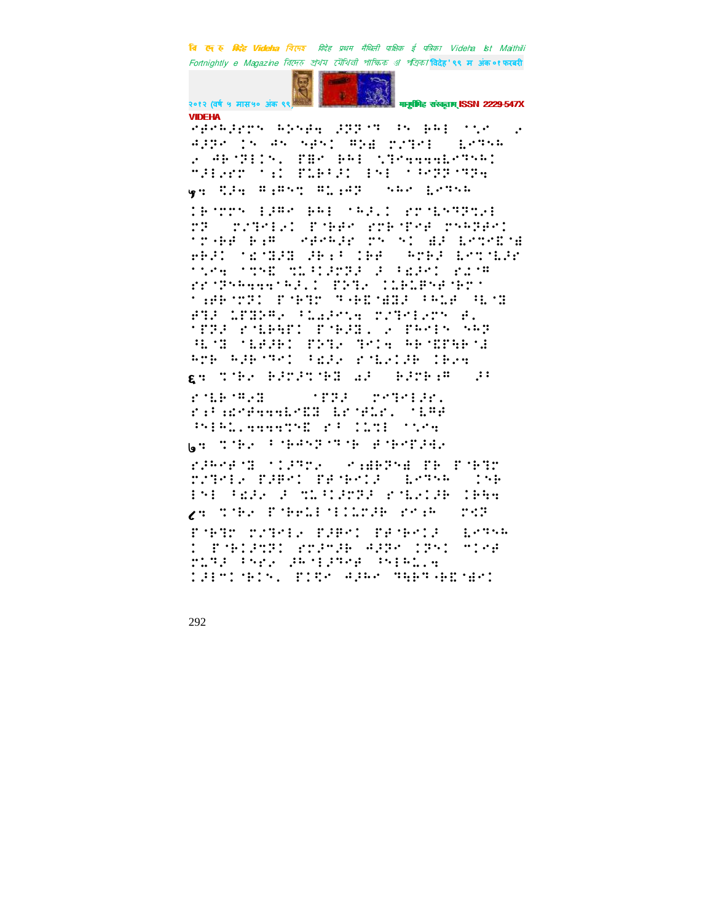**Separate** 



reraders abses drain is and the

TROTTS EPRO RAI CAPIT STORSTTER MF STATES PORT MARKETED MARREN trake kan sakende me et al bemedia WHIT YEARD SHEETING THREE EARALIS tice that histarge a seast error rrunneernd. Die Cabberrer **THE TIL FIRT THE WALL INE WAS** SI MBR MART THREE WE **TER PARATITER. PERSONA** HAND MEERS TRIP INTO APMIRANCE And Albert (Chile Political China) ga the Baratha Wall Barber (A

**STATE SECTION** 

racen nich. Papea o preo rotels raped respects letter (14 PHORAGE POINTERS FORCED THE ga the Pomentonia remover PORT TIRES PRESS PROPER LETSE

**TREMOVEDY, BIRM ARAM MARMARYNE** 

rilardeedroom bridge (186 **SMILL SESSING STATE STATE** We the President Portion

: PORTREE PORTRA ARRA (PS)

ring correct particular correction

APPA IN AN NANI APA SITE - LATHA 2 ABYSIN, PBK BAI (Skaaaalksha) "Her 'n Then Ha 'n Seppera we the Richard Riege (San Letter

मानुबंधिह संस्कृताम् ISSN 2229-547X

 $\mathbb{R}^{\bullet}$ 

**VIDEHA** 

POLE SEVIE

२०१२ (वर्ष ५ मास५० अंक ९९)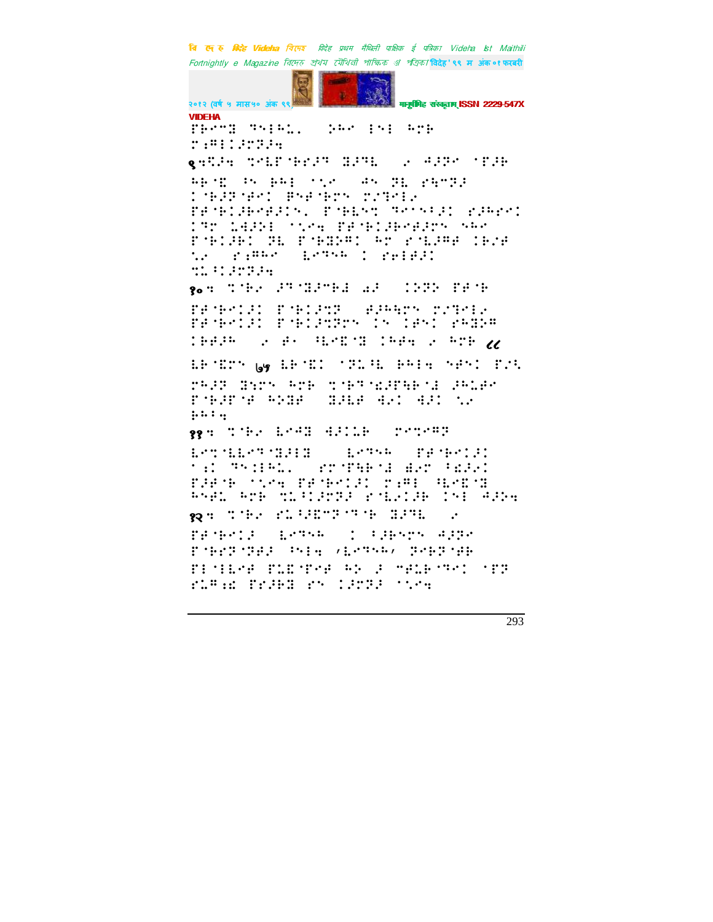मानुबंधिह संस्कृताम् ISSN 2229-547X



२०१२ (वर्ष ५ मास५० अंक ९

**VIDEHA** TESTI THING, GAS INE ATE *<u> :::::::::::*</u>

estis that their directions with the

WHITE IN BWE TIME DORPEY PRESENT CORE. FRONTRACTS, FORDAT RACHIE PIRPAI STA 1995: Time Profilements Swe Poblected Popler Woodcape thre ta rammo kenne (anidi 1111111111

gon the Publicat CDPP Pens

FRONTIN PORTAGE (RARGON COTOR) FACEOLIC FORCESTS IN CANC PAGEM TEACH OF AN HERBOR IPAN 2008-22

LE TECT GO LE TEL CORLOR (ERES CORT) ELT.

responsers eneographique senser rnore som man all direct  $1.1.1.1$ 

99 S. T. TELE ESSERIE SERIES CONTROL

ESTALPRADED (ESTAL) PRAECED **TED PREPAIRS SECTIBETE BAT PRACT** FARTH TOM FRONTIL MARK HARTH RNAD RTB TO STATES ROBERTAL TNE APPA 83 : THE PLEETE THE HITL

PROBACI ESTAR (C. PREADA ARRA Pobracher (Sig (Estat) pobroh FINISH PLENGE AN 3 MALENNY MPP flam Hill re 1973 tie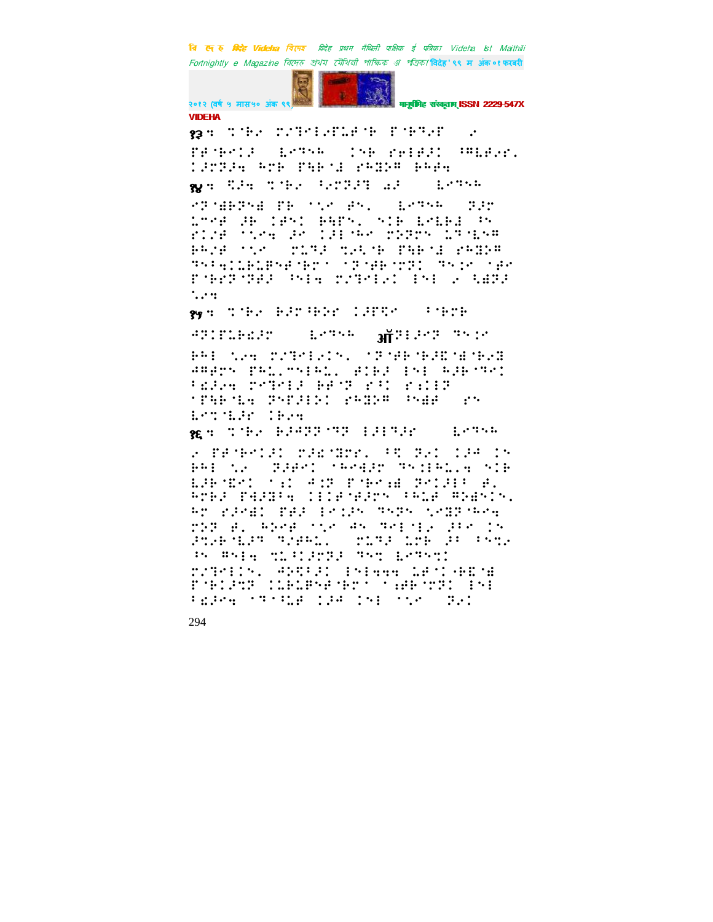

मानुबंधिह संस्कृताम् ISSN 2229-547X

**VIDEHA** gas the completed former

PROPOSE LOTAR CAR PRIRIC PREPEN 137734 ATE PHETE 24038 BAB4

we the tree terms are a guerra de

rdighted the tir delighted and dur DOOR OF TEST PHES. SIE ESERE IS FILE TORE OF ISE THAN TO FER LITTLES PROFILED TO THE THEORY OF THE CONTROL SHAILELENE GET TIP GETER SPATE TER PORTUGAL PHALOGRAPH PHILALERS  $\ddots$  :

gger the Bardbar Lappe (Frenb

APIELBERT LATSE AWFIRST TYPE

PRI NA MATALIN, SPARARDENHA ARATH PALIMATAL, ACRA THE RARING FERRY TRIPER BROT SAL SALER TERRIE PYEZEN PAGNA PAR (PY Letteller (Ble:

**REAL TIMES BUSINESS THE EUROPE CONSUMING** 

2 TAMPAIRI MARGAREZ AR RED IPA IN PRESS, PRESS SPARE TRIPLE SIR EPPORT TELORIE PORT PRIPER BY RMPE PASSEN TELEMBRY FROM ARANIN. RE PAREL PAR LETATS TSPS NEBROARE PNP R. WING SAN RESERVED PROTECT Griechistorialem (Martine Griechistorial The White Milliards (The Exthel SZTATIN, ANTAI TNIAAA LESIARINE ESPIRAT CLELENASES SAFESSEL 1NE FERM TRING 198 151 158 (P.)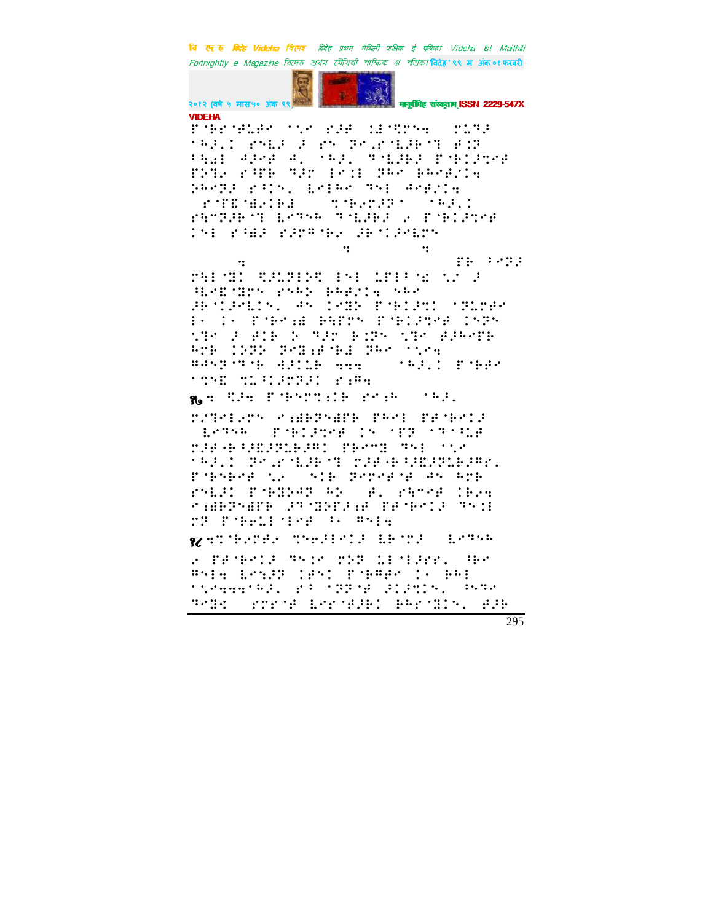

मानुबंधिह संस्कृताम् ISSN 2229-547X

## **VIDEHA**

२०१२ (वर्ष ५ मास५० अंक ९९

Portelles over 228 (12/5254).  $111.777$ **SAFLI PALE E PA PALEMENT FOR** PANE APAR AL MARI SMERRE EMPIRYA THE FULL SAM POIL THE PHOPING SARDE PRINT EREAR THE ARBITA SECRETARIES (CONSTRUCTORIAL) PROBRAT LATAR TALIBE & PARISON Información de General  $\cdot$ :  $\dddot{\bullet}$ 

TH POST METHOLOGICAL ENEUGENCY CO HAINTY PAGE BERTH SEA

**ARTIFICAL AN IMID ENERGY TRIPP** ER IR POPOLE BATTO POBIZIONE INFO the again to many body of programs. President Primarki PPC tick HANDATH HALLB HAN **Start Portion TOR SERVICE PRO** 

 $g_0$  : Win Polecomally real conditions

ratelers eadersdie inst research and the state of the state of the state of the state of the state of the state of the state of the state of the MARTININI SPYRTH (19 **TARIO RESTORIE TO THE REPORTED** Pobober than other Persenter Anders rmal former en al remodulera KABRANE PUBLIA NEUKI 751 **TT FARLING CONTROL** 

WHITE-TEA THEREST ERITE (ESTAR

2 PENESIA TSIS MAR LENGRE, HE Brig Louis (Br) Pobago () Bai *Steamer Race of Figure (alandry, Pres* TAIR (STEAR LAPARRI) PREALLY, RRP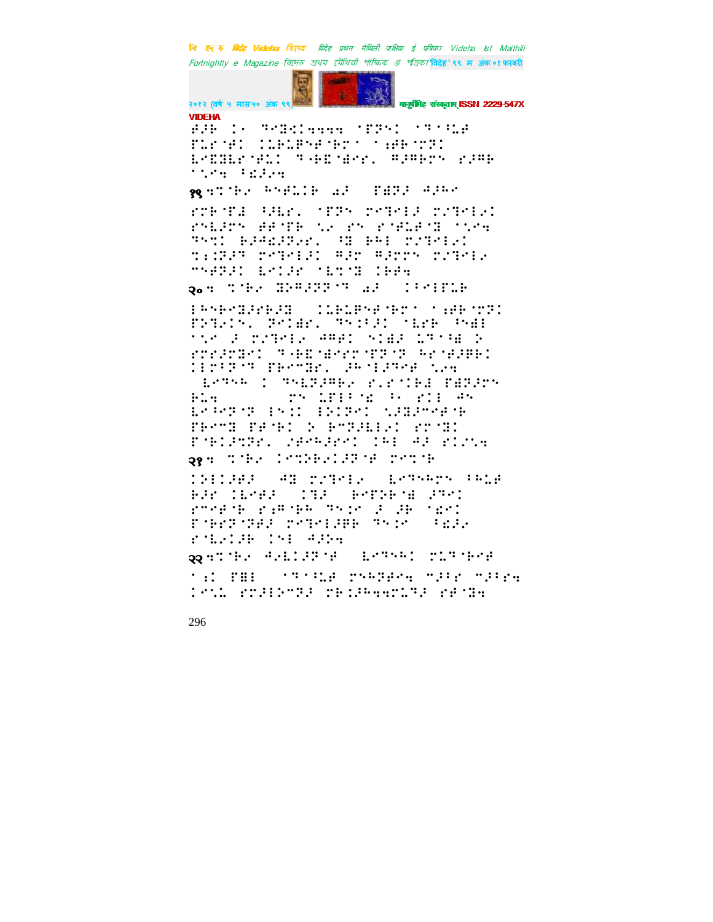

२०१२ (वर्ष ५ मास५० अंक ९९

मानुबंधिह संस्कृताम् ISSN 2229-547X

**VIDEHA** 

BR DO TABALARAN (PPS) (TOCHE FLETH: CLELPSHTET THE TTE EMISSION THEORY SPREAD CRE **Time Parker** 

**RESULTS: PREDICT AND PERSONAL PRO** 

FTB TE SHEET TEPS TETER TETERS PRESTRIBUTE NA PROPINENT CNA Thi BREERS, HE BRE TITLE TEMP POPIE RE RETT TERM "SPRINGENCH (BTM CHA) Row With EPHAPP TE APE CENTER

IPSPORACHE (CLELPSECHOOL) HECODY PRINCE POINT TESTING MANIFOLD the Portfolk Americans Little & rredrag: THEMProfiles Armedia HOPPY PROBE, PROPORTING LATAR I TALBIMEA PLP NEW PHRIDA  $H:U$ TS LEEP E PO FIL PRO Léteror rain frirei confédera PROTE PROPI & PORRER: 2008) POBLEMENT CHORACON CRETAR STOCK 28 m (Toler Contenting of Tony Or

IPECARE (AB SVIME) (BRINASN FALB Bar Marga (1936) Brooking and rear a regular and the property of the Pobre del cronique divir  $\mathcal{L}$  and  $\mathcal{L}$  and  $\mathcal{L}$ rulin is show gg ad the Sandales the Calendary Control and

**THI PHI TERRITAGE STARRETH MIRE MIRES** Tend Statemen thingschaft Sands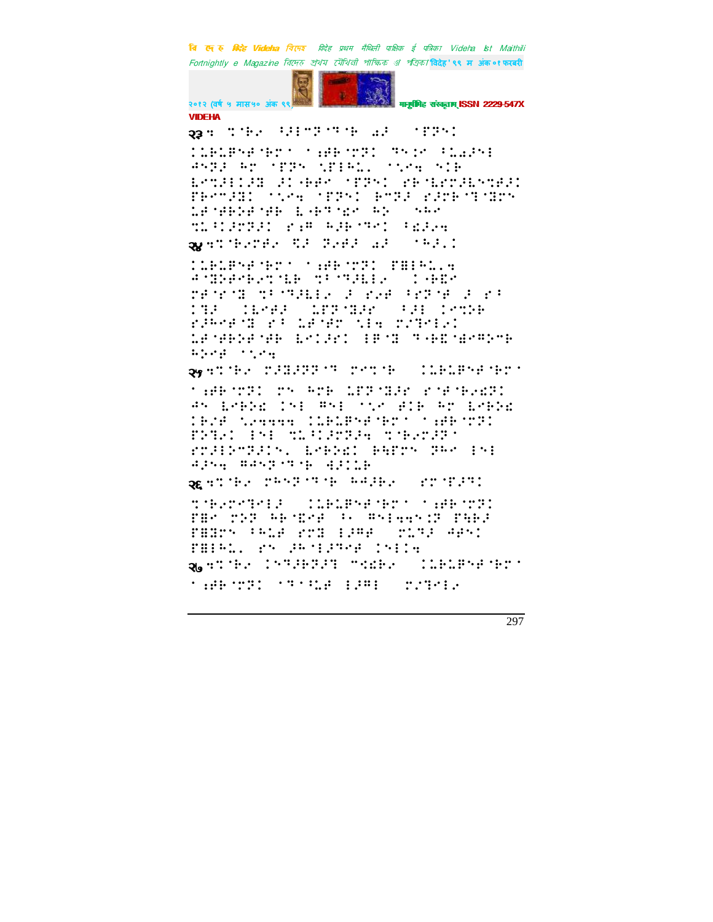मानुबंधिह संस्कृताम् ISSN 2229-547X

२०१२ (वर्ष ५ मास५० अंक ९९

**VIDEHA** 

 $\mathcal{H}^1_{\mathcal{D}}\left(\mathcal{H}^1_{\mathcal{D}}\right)=\mathcal{H}^1_{\mathcal{D}}\left(\mathcal{H}^1_{\mathcal{D}}\right)$ 

23 to 12th 2013 12:07:08 (all) - ・おおんだ

297

ggan Gernal Ala Bealt also that i **TIPLENE THE THE TIL THIRL.4** A STEAMENT TER STANDERS CONFIDE MESESI MESPALIZ JEZZA FRANCA ZER  $1.333 - 1.001$ **TERRE CONSTRUCT CONTROL** ramers ra denem die raseil Le reace real actient (aeros of Gasoncorpor

pesting released retire (lightering) **THE TEL TY ATE LEFTER FTETHALL** An Especial the And Stockies are Especial TECH SPAAAA COROPHES TECH MARCERO BREATH SEARCH SEARCH

rrathers: Lebhal Burre The 191

**MIRAPARALE COLEGENATION (ARENTI)** THE THE RESERVE IN REPORT THE? FART : HIS CON 1980 - MIT APV

Quantier (SPPPPPP) meder (CLELPSPIPP)

agsy maspere grid  $p_{\text{E}}$  and the contract of the state  $\mathbf{r}$ 

FHIRD, PROPRIETER INTE

**THEORY ORDER EPH CONSER** 

**MONDAY MANUEL AND MANUEL** tilleri fra Se Server Bils

FRAMABI STOCK STRAIN RMPA SCAPE MEMBER  $\cdot \cdot \cdot \cdot$ 

 $\mathcal{L}$  and  $\mathcal{L}$  and  $\mathcal{L}$  and  $\mathcal{L}$ 

CLELBYFORM (1986-1981) SYSTEM FLAPY<br>SPAR (PM) (1985) NEFRL, CNYH (2016) ESTATION OF GARS STRAINS PROFESSION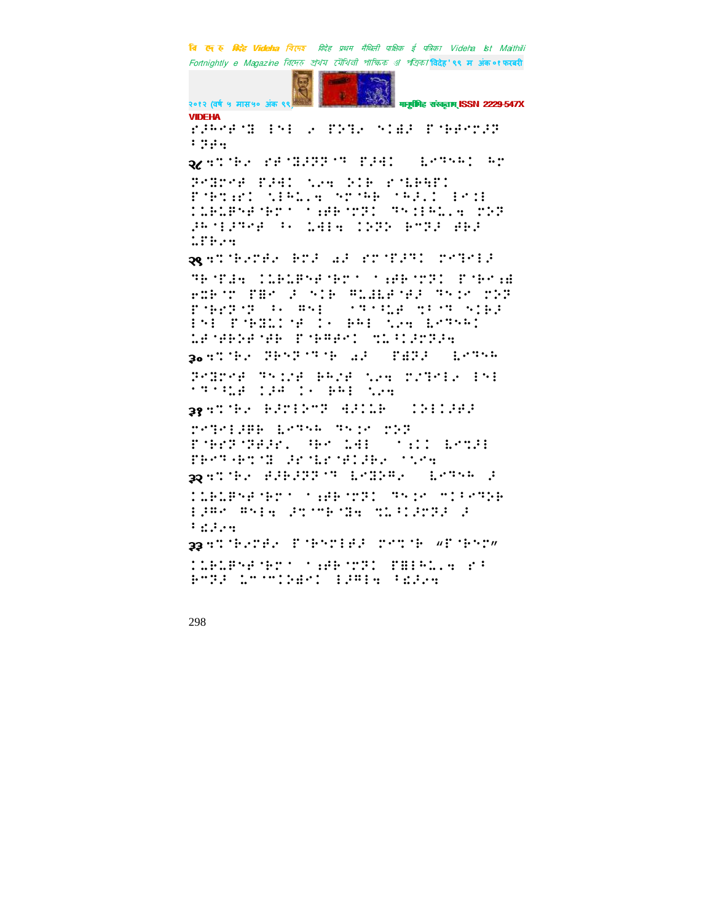

मानुबंधिह संस्कृताम् ISSN 2229-547X

**VIDEHA** 

२०१२ (वर्ष ५ मास५० अंक

raberil (S) 2 fri, Sida Piberil  $\ldots$ 

26:37 TEST 218-13-222-13 (EUHI) (ESTARD) PD

Promer Pad: San Gib roubbri<br>Pobman: Sibula Smobb (62.1 inci **CONSENSATION CONSENSATION CONSENSATION** jangjung al-1919 (1931 braz gad  $...$   $...$ 

pentification into additional protects

TEMPLE CORONAMENT SCHEMMIC PORTER FOR THE POST PLANE THIS TIME progress to map  $\left\langle \left( \begin{array}{ccc} \alpha & \beta & \beta \\ \beta & \beta & \beta \end{array} \right\rangle \right\rangle = \left\langle \begin{array}{ccc} \alpha & \beta & \beta \\ \alpha & \beta & \beta \end{array} \right\rangle \left\langle \begin{array}{ccc} \alpha & \beta & \beta \\ \alpha & \beta & \beta \end{array} \right\rangle$ PRESENTED TO BALLARY EXTAND LE MENEMENT MERRY SOLICEDER

Boatter PHAP The WP (PHPP) Ernes Propre Shire Pare the ringle (85)

**STARBOON IN BRIDGE** 

38 87 TEST BUDGET RUNGER  $13311383$ 

repersons never very risk PORTSHIP ARTICLE THIS ROOM PROVIDENT AND START STATES 30 87 TER SERFERENT LRIPER ( LRIPER )

CONSENSATION CONTROL SERVICES SERVICE **EPRO RNEW POOTECRY CLASSER P** 

 $3.23...$ 

33 ST TERMER (ESTERNIER COMMITTENT)

**CONSENSATION CONTROLLERS** POSE LOOSEWICK PERPETRIAL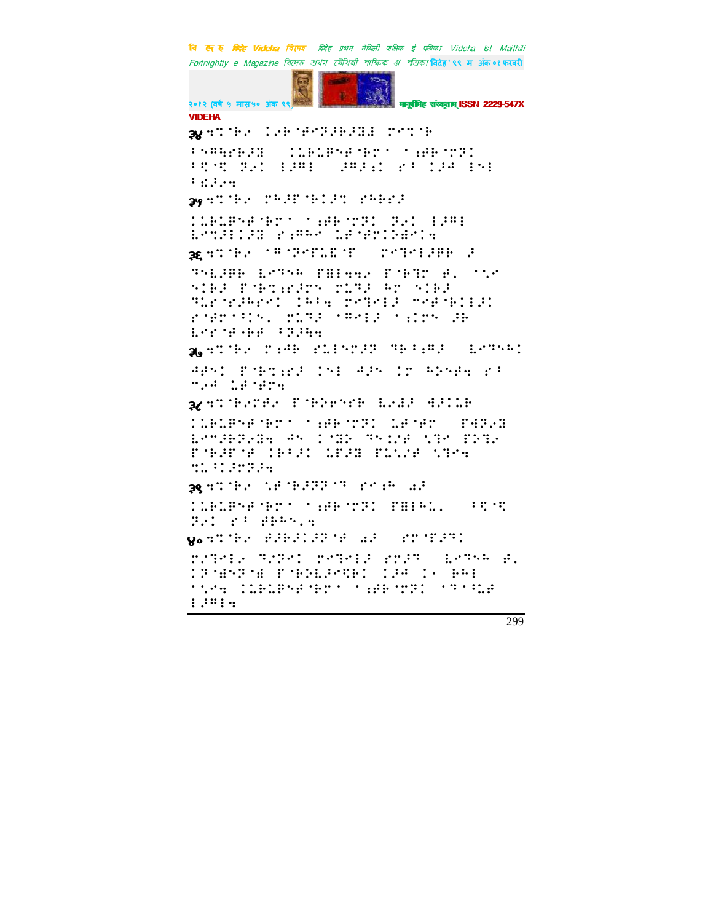

```
मानुबंधिह संस्कृताम् ISSN 2229-547X
```
**VIDEHA** gyarnak (1967-1972-1914) benyik

२०१२ (वर्ष ५ मास५० अंक

**BARGER CONSIDER MARTIN** FROM BALL 1981 - 98211 200 194 151  $\ldots$ 

39.87.1990 PROFITS DOWN PREPS

CONFRACTO CHEOSO SO 1991 ESTELLER PARRY LENETIMETA

36 HT TELL OF TEMPLE TELL INVITED HELLS

supported things this form SIEP POPTERPDS PLAP AT SIEP Sirneren (BPA rede) meddill rienich, not security and Lereshi Miha

a street referrations we have the common

APSI PORTHER ISE APS IN ADSPECTA med defense

3697 TERTER ESTERFORMADE ADDIE

CLELBYFORD COMPOSIT LEOPO (PHP28 ESTARDED AN INSENSION CONSTRUC rente de la construcción de la construcción that and a

29.97.199. NB 19922-13. Prints ad-

**CONSERVATORS CONSERVATION** T. S. S. Sheep

gond the defect and all conductions

rradio aract readis rraa (1988-191 **TORY CONSENSATION IN SERVICE INTO A REPORT**  $: 100111$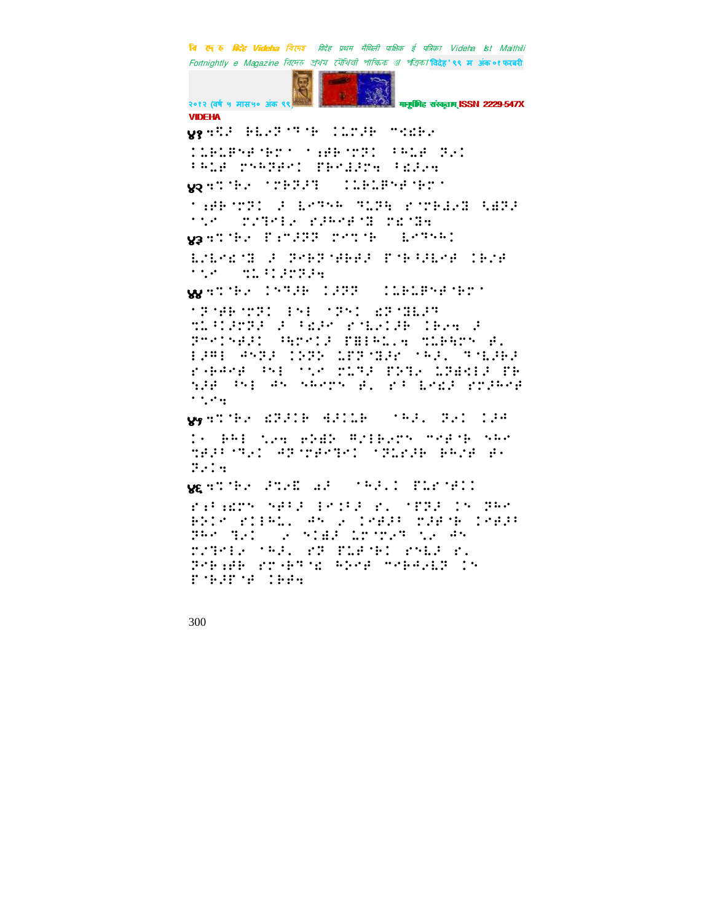

मानुबंधिह संस्कृताम् ISSN 2229-547X

**VIDEHA** genth PEARTH (DINAB) model

CONCRETENT SHENTI PROFISI **TALE TSAPESI SESSING FEIST** 

yandries of the Part **CONSIGNATION** 

tament a brown once runded the Min Schola (Presidential yandike Pengga penjadi besara

LARAN F PAPPAPER PARAGE DRA  $\begin{minipage}{.4\linewidth} \begin{tabular}{l} \hline \multicolumn{1}{c}{\textbf{0.5}} \end{tabular} \end{minipage} \begin{minipage}{.4\linewidth} \begin{tabular}{l} \hline \multicolumn{1}{c}{\textbf{0.5}} \end{tabular} \end{minipage} \begin{minipage}{.4\linewidth} \begin{tabular}{l} \hline \multicolumn{1}{c}{\textbf{0.5}} \end{tabular} \end{minipage} \begin{minipage}{.4\linewidth} \begin{tabular}{l} \hline \multicolumn{1}{c}{\textbf{0.5}} \end{tabular} \end{minipage} \begin{minipage}{.$ 

website Christ Clark Classified for

**SPORTSHIPS** SPORTS thursed a that rinkin leg a Protest Hrota PHIPL.4 SlBAre B. EPRE PARA CORD APRIMAN INAL SIMBAD race hi to classificate in the s nde Priser recht e. et bodd proece  $\cdot$   $\cdot$   $\cdot$   $\cdot$ 

Wentifie EPRIE HRILE (1982) PRI 1998

<u> 19 Ani wa alio Asiashi ndaga she</u> MARINES ARMANAI MELER BROADE  $3.414$ 

yearth. Premius (1991) Flacenci

rilms afterned running the Tea BRIS KIERD, AN 2 1882) MARTH 1882<br>GRANDEL V NIEA DMONATON AN repose that an mathematical Presentary entry state moneyer in rose de tade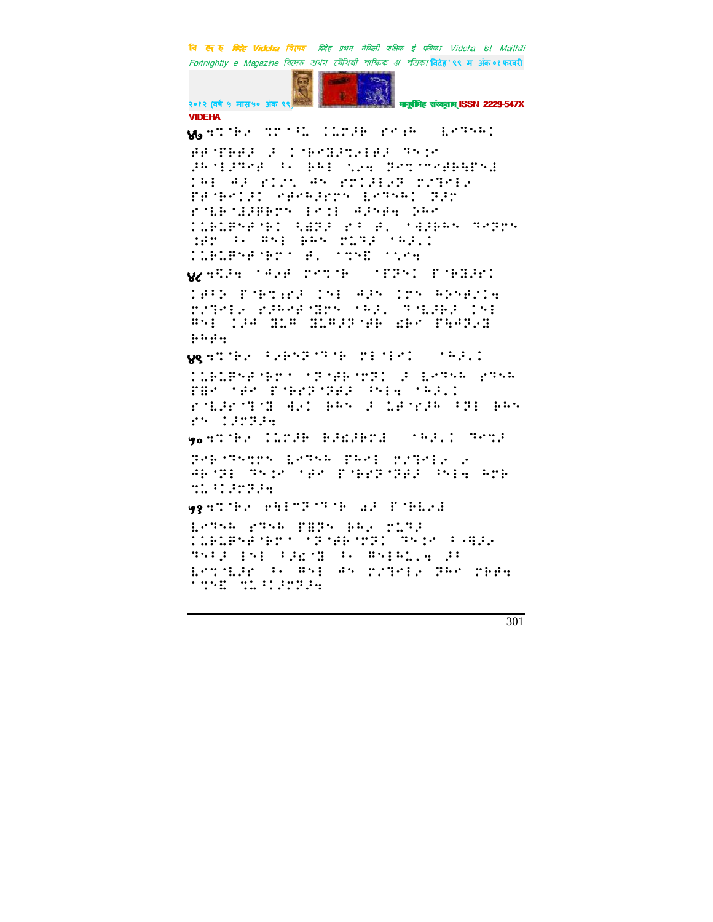

Westfall through Inneb are as a brown:

**VIDEHA** 

BRIDGE STORYSHER TYPE *pholiment in this was formunerated* IRE AF BIJN AN BRIFER RITHER FRONTIL SPEARING ESTARI **335** ribusher Pon Abua ba CONSENSANT CONSTRUCTS (1995) 1995 1857 : 841 : 852 : 853 : 854 : 855 **CONSERVATION EXISTENCI** 

WHERE THE PROTECTIFIES PERMIT

THIS POPTER INFORMATION RESERVE rately ruser-dry (sell which in:  $1.1.1.$ 

general Partners and Hall  $\cdots$  :  $\cdots$ 

CLELPSE SEM (1719) MARIE (2010-2256) PRSS THE SAC PORTUGAL SERVICE. ribriti del 85 d'artiche (1870) and Carpen

your the Close Beached (1981) Shop

Personal Lens frei Scheie AB THE TRIP OFF ISBN THE THE STATE **MARK START** 

weather earning the art finance

ESTAR PTAR PHPA BRD PLTP **CLELBYENET (1818-1931) SYNC FORES** THE PHORN CONTROL OF Lettlar (8) West An referred The radio **THE MILLIPS OF**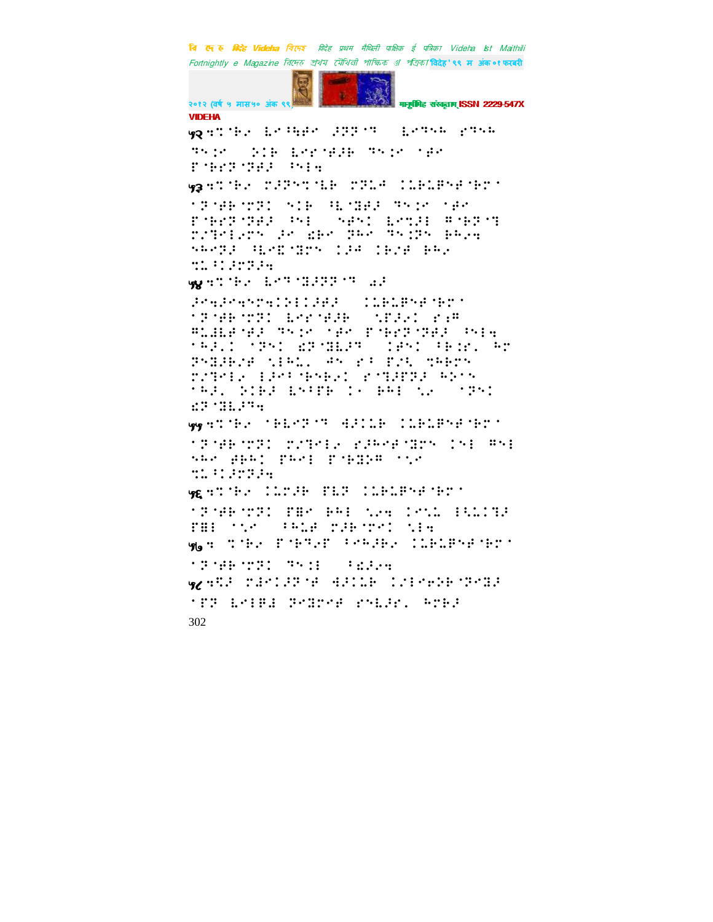

मानुबंधिह संस्कृताम् ISSN 2229-547X

**VIDEHA** 

**MARK POINT AND RESPONSE** 

dF 131.274

the Controller

302

**13.96.931 35.96** 

**FASTAR BER** 

w - Tie 107 1222 7 12

**SPORTS RESIDENT** 

92.57 The Looking SPP of Cleans Pann

Third Die Erriede Thir Me

ya di tek (2005) tie (2014) (161859 ter t

**SPORTST SIE ROBERTSCHLORE** PORTUGAL PHOTOGRAPH # 9201 ratelers as des pas psich bale SAMPLE RECEIPT IN INSTALL

PrePresentation: CORDPARTS

BLIEFYER TYSK SEN FORESTER SYEM 'All' Thi drimar (2010) Ped. Ar PRESENT NIAL AN PROPER TABLES 11941. 1241.958.1 r.12002.0515 TREL DIRECTORPHONE RAILTY CONTROL

yyatika telehin ahlib libibnaden **MEMBERTED PATELS SCHEFFIERS INE RNE** 

**SPARATE THE RAIL SECTION** 

Mg : The Pobol Progress Libler Street

WARE CENTER MARINE TOENHER THE

**TER LOING ROBOON SOLAR, PORP** 

 $\mathcal{L}$  :  $\mathcal{L}$  :  $\mathcal{L}$  :  $\mathcal{L}$  :

nan gaa: pan: prezes tin

yg at the CLPPE FER CLELENFORT

FBI MAN PROFINENTAL ME

 $\mathbb{R}^2$  :  $\mathbb{R}^2$  :  $\mathbb{R}^2$  :  $\mathbb{R}^2$  :  $\mathbb{R}^2$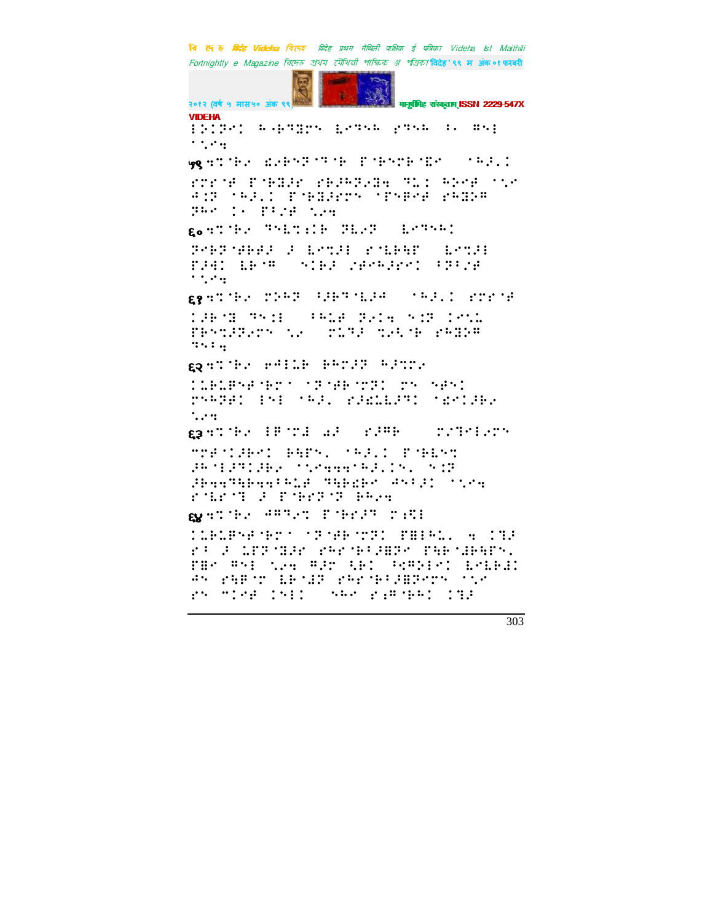

२०१२ (वर्ष ५ मास५० अंक **VIDEHA** 

EDITOR RAPTERS ESTAR PTAR IN HAI  $\cdot$  ,  $\cdot$  .

we an international professional control of the control of the control of the control of the control of the control of

rrens physik regegie als ebne nin **AMP MARIN PARRETT MENAGE PARAM** PRO DO PROF NAM

goniths Weltelb Hash (18764)

POPTOBER PARTIE KANAR (ASSA FRAN ERSA (STRA SASARES) (PRSA  $\cdots$ 

gentler chart specialle (influid chaine

TARYE MYSES (FRIE BAIN YOU TYLE FRANCISCO NA CONSTA NAPORTADA  $3.44$ 

ganthe edile bend? benne

CONSENSATION OF THE MATCH CARDS ryage: Exported Figures: restigu  $\ddots$  :

ganthe EBord ad Stamp 

**MMACHAIL BEN, CRE.: POBST** PROPERTY STATES AND RESEARCH JEGGTGEGGIESE TEEKER WAIJE TSRG riri Freeze ees

gyander ABS.com Policies parts

**CLEAPSE SET TO SEE TOO SHEEL AND CHE** PROPOSED PHOTOGRAPH SERVANCY. FBK 851 NPA 822 SB1 SMP2181 EPERIO AN PARTY LETIC PARTERGENTITY rs more cs: "say rimmer" (8)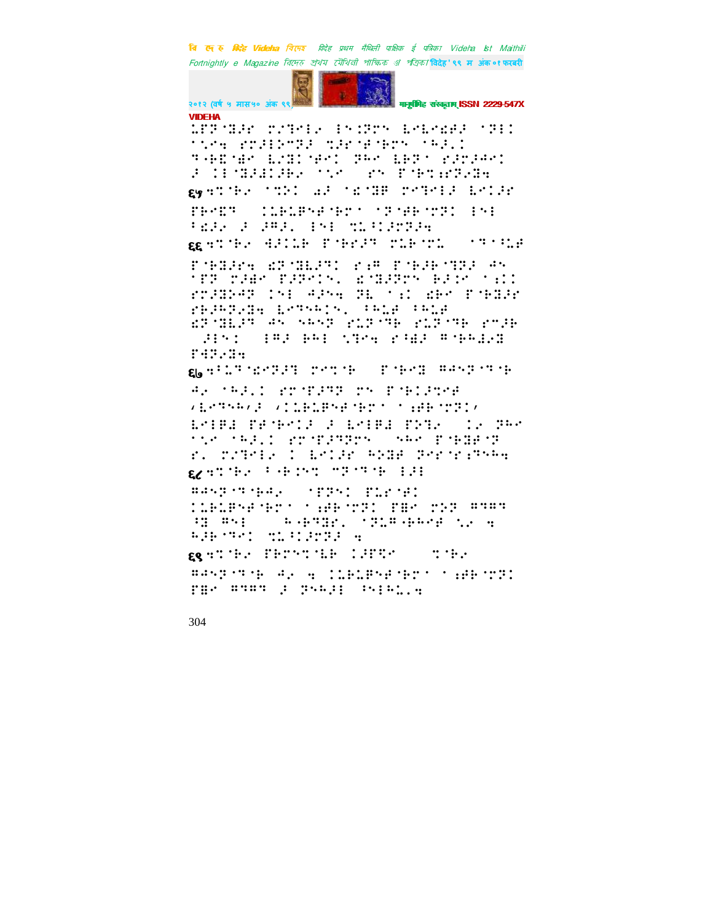**APROVED SERVICE A** gend the Chronolle Cenness of  $\mathbf{r}$  . The set of  $\mathbf{r}$ ##SPYPYBO#2040011B1#S#YBTYOYG#BYPP1 FBP #3#3 2 PSAPE PSEALS

BASE SPORT (SPESI PLEAR) **CONSERVANT CONSTRUCTS PER STAR AND A**  $\frac{1}{2}$  ,  $\frac{1}{2}$  ,  $\frac{1}{2}$  ,  $\frac{1}{2}$  ,  $\frac{1}{2}$  ,  $\frac{1}{2}$  ,  $\frac{1}{2}$  ,  $\frac{1}{2}$  ,  $\frac{1}{2}$  ,  $\frac{1}{2}$  ,  $\frac{1}{2}$  $\mathbb{R}^n$  and  $\mathbb{R}^n$ 

Al SARI PETRAN TS PAIRTS **VERTHALL VISESENFIET TO HERTIC** LAIRE THANKING LAIRE TYTE (10 THA **TAP TREE STORES SAFE PREPORT** r. T.Televi Lander Rolf Perfectual EZ 87 TEST FOR 1981 (1991) 1991

renone:  $\epsilon$  and the second control of the distance of the  $\epsilon$ 

FORDER EPOBLES FIR FORDERED TER CHAR ESPRIN, REGISTRATES PARA TELL rogards the dang all net arm popale PROPRIE LETTRIT, PRIE PRIE EPSHER AN NAMP PLP TR PLP TR PTP **SPACE PROGRESS STAR PART REPARED** 

TRANS (MARRAGEMENT STARTSTER) IN **FRID I PART IN TERRITING** gg ad the castlike forker only the  $\cdots$  :  $\cdots$ 

APPARENTMENTS INTENSIONALE APPE **TERR POSSESTS CONTROLLER** THE MACEDONIC THAN ERTY PROPER  $\frac{1}{2}$  ,  $\frac{1}{2}$  ,  $\frac{1}{2}$  ,  $\frac{1}{2}$  ,  $\frac{1}{2}$  ,  $\frac{1}{2}$  ,  $\frac{1}{2}$  ,  $\frac{1}{2}$  ,  $\frac{1}{2}$  ,  $\frac{1}{2}$  ,  $\frac{1}{2}$ **SERVICE SERVICE** gyardek (1921) af dange regelf belgr

२०१२ (वर्ष ५ मास५० अंक ९९)

**VIDEHA** 



बि एक रु मिनेट Videha विएक विदेह प्रथम मैथिली पाक्षिक ई पत्रिका Videha Ist Maithili Fortnightly e Magazine রিদেত প্রথম মৌথিনী পাক্ষিক প্র পত্রিকা **বিदेह' ९९ म अंक ०१ फरबरी**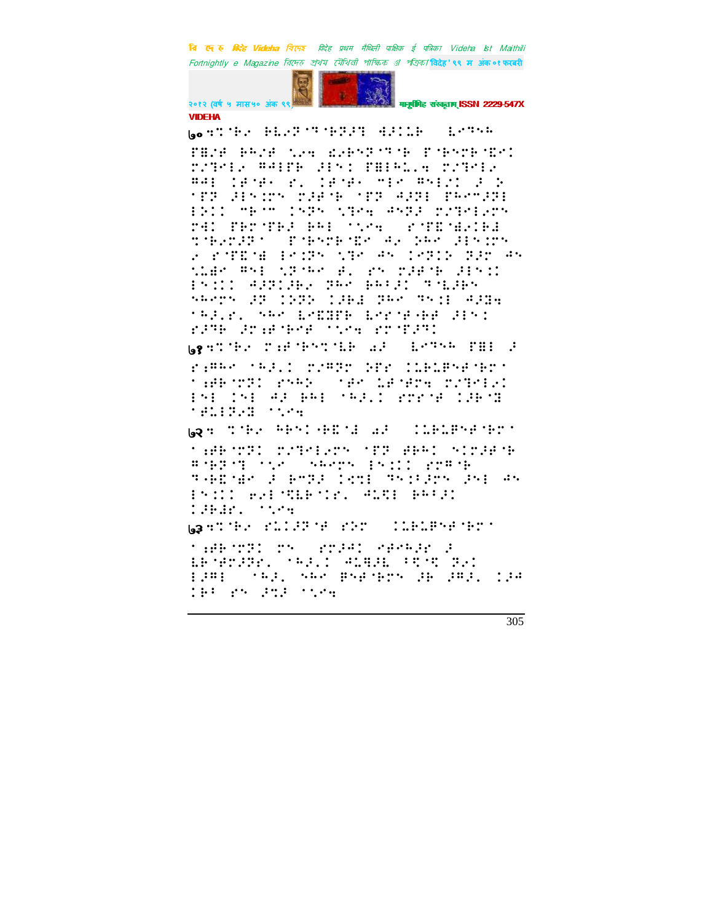

मानुबंधिह संस्कृताम् ISSN 2229-547X

**VIDEHA** 

60 STORY FRAME STORY SERIES a guerran

TEMP PROF NOT ESPRITTE TIPOTETEN retele maire disc room. E retel AAE CENER BL CENER MER ANEZO 2 D MER 215:55 S283B MER 4281 ERMM281 EDII MESMUTARA STAWOWARD CITATION MAI PROTES RAI SAMA COTEMAIRE tikels ( Fibre in A. 248 Street 2 romani from the 45 legic gar 45 MARK AND MESAN B. PN THROB HINM Print Additional Der Bergi dingspr **SRATS OF LIFE LOGAL TRACES ACRE TRACK SRM LEDGIB LEFTRARE ADSI** rang aryened the rright

69 STORY COMPANY WE WANT APPROVED THE UP

rame (Fall crep SB) Claimsenro tagenter anno 1961 dengan poderat 151 151 42 BRI 19211 20214 12813 **MANUFACTURE** 

WRACK THE SERVICE TO APPOINT THE TEST

**TABETER CONSERVATOR BEAT STORETH RIPERTY MAY APPROVEMENT PERMIT** THE NEW POST COLL TACEPY PART AN ESIL PRESUDENT SURFAMI TERRIT STAR

**ALLESS TEST**  $\overline{192}$  with the state  $\overline{111}$  and  $\overline{111}$  and  $\overline{111}$  and  $\overline{111}$  and  $\overline{111}$  and  $\overline{111}$ 

**SAME TO SERVE SHOWER** EPSPIEL SPILL PERH FRST ELD EPRESS MADE SAM BRANDEN DR 282. IPA TER EN STE TOPE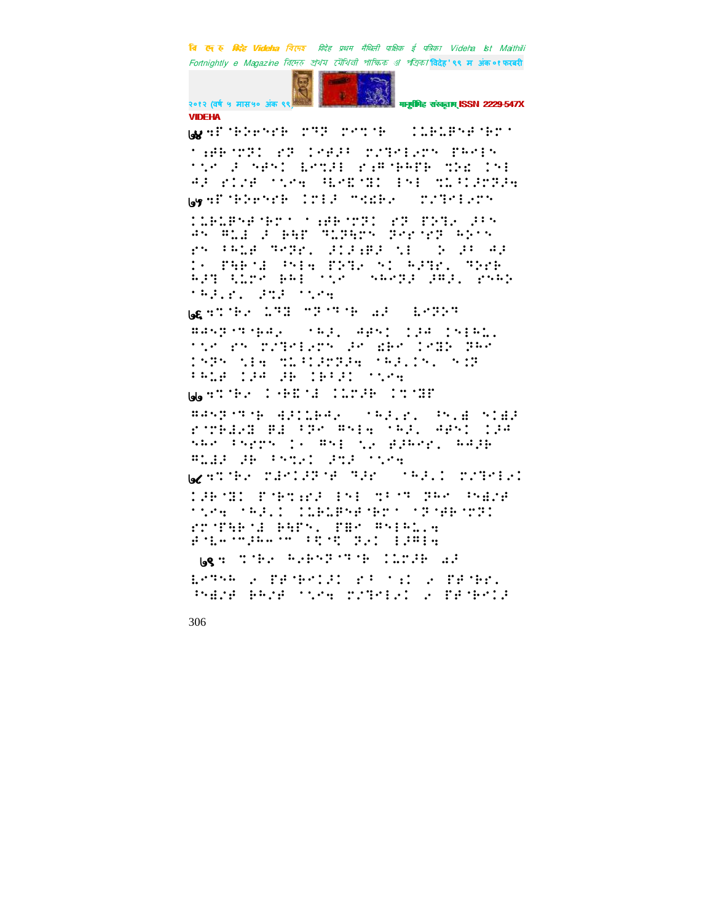

मानूबंगिह संस्कृतम् ISSN 2229-547X

WHEN THE THE STREET WAS SERVED TO **All Constitutions** 

taëre: 2001/2012/01/101/2012 TO PART ESSE FRAME THE THIS AF PICE TOME ARMENED INE MISSERFIE West there: Internative contrivers

ry PALE Repr. 212.82 (1) 3 3 3 42 is mesu bia may si kami punk agg three paperness saeppe pap, psap 198121 203 1024

GENNY THAN 1978 IN THE MAIL IN LANDING

##57754A2 (\$P) ##51 13# 151PL the re-rubblers as may left fac INPN NEW MIRIPERS TREETS, NIP PALE TRA PROTECT STAY

lele survivent of the Management of the Constant

##SPYPE WEIGHAD (SAFLY, PSIM SIMP romall Brasse Reference and the nar there is well to diangle adde BLEE HE PATE: PTP TIME

West the charter the there is the concrete at

196781 Preside Enforcement Parties tive that computer britch the trac rromand announced models. goga sejal se orgogogaj garia

We will have the control of

ESTAR A PROPOSICATO NELLA PROPE. PARTE BROAD TOPA CONFIDENT & PATHOLS

306

**VIDEHA**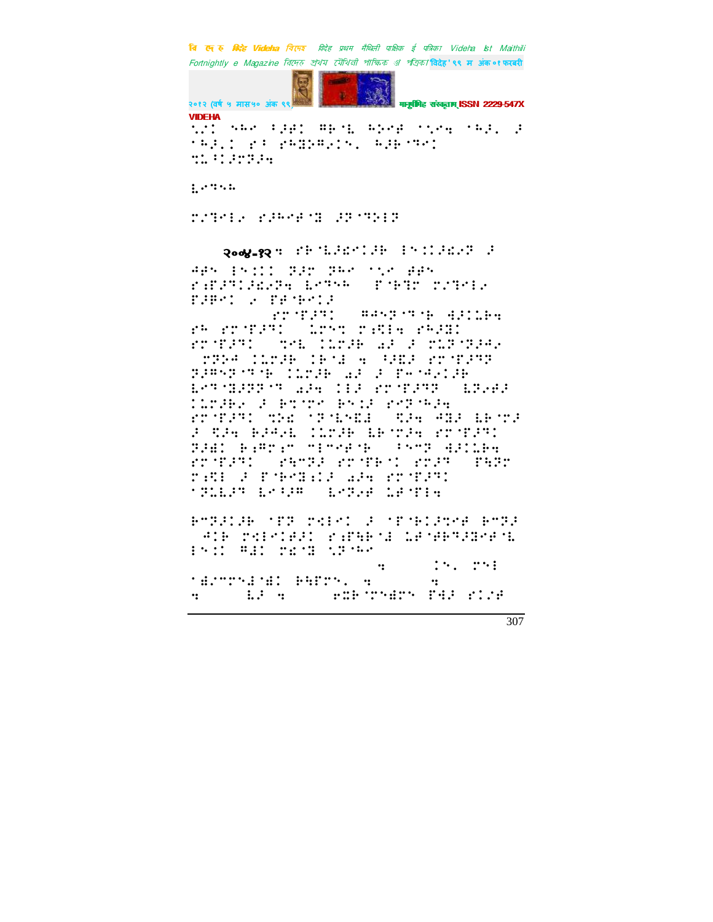

**VIDEHA** 

मानूबंगिह संस्कृताम् ISSN 2229-547X this may class we'll also come over a

**MARINER PARPAIN, APRIMAT MARK PERSON** 

 $\mathbf{L}$  and  $\mathbf{L}$ 

TIME REPRISEMENT

Rook-88 at the Manufacture of the Manufacture

APR ENDING THE THE SOME PRO ranguare bens - papp provis THRID PROPERTY

rrunn menne anthe re roman: Const oate read FOSTERI (1911-11018) AF F-OLESTERS TPER CLTPE CENE & SPRE PTNPPP BARA SA TILAR LE A TRAGICA ESTMERTS WAS TEACHEDED ERAB CLTARY A BTITY BYLA PYTIMAR STORES THE TENNIS **THE SECOND SECTION** 3 CA FALL COSE BESTA STIPP: FAAD BARTAT TETERIB (FSTP)AADLBA FOREST PROTECTIVE CONTRACTO rad a populla da propos **SPEERS EPARAL EPARATER** 

BMP313B MPP MAINT 3 MPMB13MAB BMP3 **AND MARKED PATHERS LARGERSHAM ENGL BELL TENE NEMPT** 

 $\frac{1}{2}$   $\frac{1}{2}$   $\frac{1}{2}$   $\frac{1}{2}$   $\frac{1}{2}$   $\frac{1}{2}$   $\frac{1}{2}$   $\frac{1}{2}$   $\frac{1}{2}$   $\frac{1}{2}$   $\frac{1}{2}$   $\frac{1}{2}$   $\frac{1}{2}$   $\frac{1}{2}$   $\frac{1}{2}$   $\frac{1}{2}$   $\frac{1}{2}$   $\frac{1}{2}$   $\frac{1}{2}$   $\frac{1}{2}$   $\frac{1}{2}$   $\frac{1}{2}$   $\dddot{\mathbf{r}}$ **MACTERS IN SERIES CONTROL**  $\mathbb{R}^2$  . The set of  $\mathbb{R}^2$ **Sepherrers Pel File**  $\mathbf{B}$  and  $\mathbf{B}$